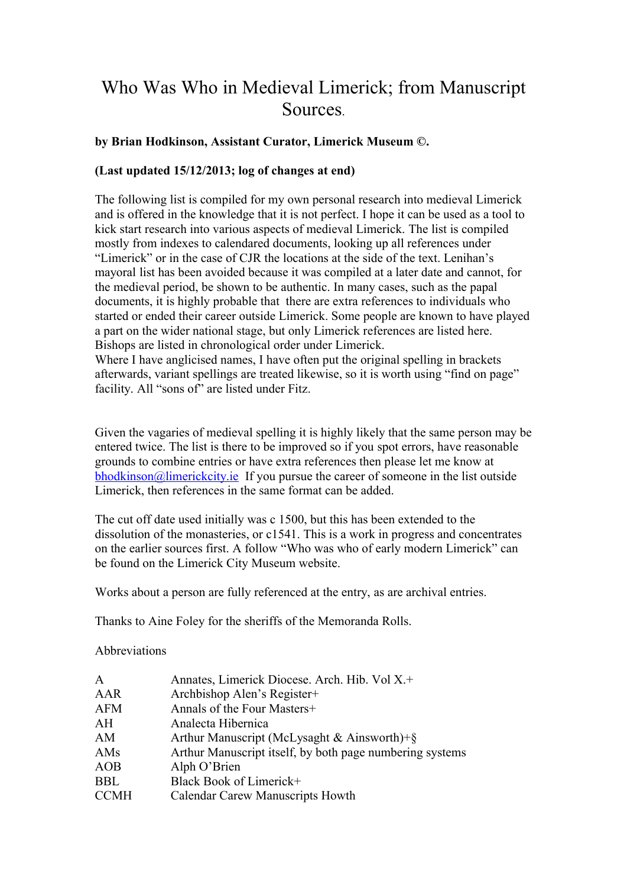## Who Was Who in Medieval Limerick; from Manuscript Sources.

### **by Brian Hodkinson, Assistant Curator, Limerick Museum ©.**

### **(Last updated 15/12/2013; log of changes at end)**

The following list is compiled for my own personal research into medieval Limerick and is offered in the knowledge that it is not perfect. I hope it can be used as a tool to kick start research into various aspects of medieval Limerick. The list is compiled mostly from indexes to calendared documents, looking up all references under "Limerick" or in the case of CJR the locations at the side of the text. Lenihan's mayoral list has been avoided because it was compiled at a later date and cannot, for the medieval period, be shown to be authentic. In many cases, such as the papal documents, it is highly probable that there are extra references to individuals who started or ended their career outside Limerick. Some people are known to have played a part on the wider national stage, but only Limerick references are listed here. Bishops are listed in chronological order under Limerick.

Where I have anglicised names, I have often put the original spelling in brackets afterwards, variant spellings are treated likewise, so it is worth using "find on page" facility. All "sons of" are listed under Fitz.

Given the vagaries of medieval spelling it is highly likely that the same person may be entered twice. The list is there to be improved so if you spot errors, have reasonable grounds to combine entries or have extra references then please let me know at bhodkinson@limerickcity.ie If you pursue the career of someone in the list outside Limerick, then references in the same format can be added.

The cut off date used initially was c 1500, but this has been extended to the dissolution of the monasteries, or c1541. This is a work in progress and concentrates on the earlier sources first. A follow "Who was who of early modern Limerick" can be found on the Limerick City Museum website.

Works about a person are fully referenced at the entry, as are archival entries.

Thanks to Aine Foley for the sheriffs of the Memoranda Rolls.

#### Abbreviations

| A           | Annates, Limerick Diocese. Arch. Hib. Vol X.+            |
|-------------|----------------------------------------------------------|
| AAR         | Archbishop Alen's Register+                              |
| <b>AFM</b>  | Annals of the Four Masters+                              |
| AH          | Analecta Hibernica                                       |
| AM          | Arthur Manuscript (McLysaght & Ainsworth)+ $\S$          |
| AMs         | Arthur Manuscript itself, by both page numbering systems |
| <b>AOB</b>  | Alph O'Brien                                             |
| <b>BBL</b>  | Black Book of Limerick+                                  |
| <b>CCMH</b> | <b>Calendar Carew Manuscripts Howth</b>                  |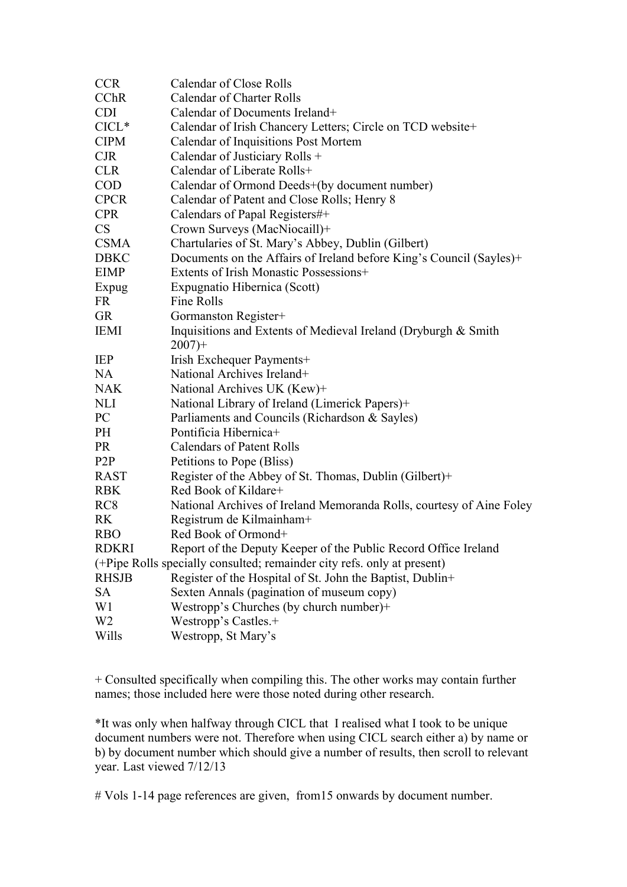| <b>CCR</b>       | Calendar of Close Rolls                                                 |
|------------------|-------------------------------------------------------------------------|
| <b>CChR</b>      | <b>Calendar of Charter Rolls</b>                                        |
| <b>CDI</b>       | Calendar of Documents Ireland+                                          |
| $CICL*$          | Calendar of Irish Chancery Letters; Circle on TCD website+              |
| <b>CIPM</b>      | Calendar of Inquisitions Post Mortem                                    |
| <b>CJR</b>       | Calendar of Justiciary Rolls +                                          |
| <b>CLR</b>       | Calendar of Liberate Rolls+                                             |
| <b>COD</b>       | Calendar of Ormond Deeds+(by document number)                           |
| <b>CPCR</b>      | Calendar of Patent and Close Rolls; Henry 8                             |
| <b>CPR</b>       | Calendars of Papal Registers#+                                          |
| CS               | Crown Surveys (MacNiocaill)+                                            |
| <b>CSMA</b>      | Chartularies of St. Mary's Abbey, Dublin (Gilbert)                      |
| <b>DBKC</b>      | Documents on the Affairs of Ireland before King's Council (Sayles)+     |
| <b>EIMP</b>      | Extents of Irish Monastic Possessions+                                  |
| Expug            | Expugnatio Hibernica (Scott)                                            |
| FR               | Fine Rolls                                                              |
| GR               | Gormanston Register+                                                    |
| <b>IEMI</b>      | Inquisitions and Extents of Medieval Ireland (Dryburgh & Smith          |
|                  | $2007+$                                                                 |
| IEP              | Irish Exchequer Payments+                                               |
| NA               | National Archives Ireland+                                              |
| <b>NAK</b>       | National Archives UK (Kew)+                                             |
| NLI              | National Library of Ireland (Limerick Papers)+                          |
| PC               | Parliaments and Councils (Richardson & Sayles)                          |
| PH               | Pontificia Hibernica+                                                   |
| <b>PR</b>        | <b>Calendars of Patent Rolls</b>                                        |
| P <sub>2</sub> P | Petitions to Pope (Bliss)                                               |
| <b>RAST</b>      | Register of the Abbey of St. Thomas, Dublin (Gilbert)+                  |
| <b>RBK</b>       | Red Book of Kildare+                                                    |
| RC <sub>8</sub>  | National Archives of Ireland Memoranda Rolls, courtesy of Aine Foley    |
| RK               | Registrum de Kilmainham+                                                |
| <b>RBO</b>       | Red Book of Ormond+                                                     |
| <b>RDKRI</b>     | Report of the Deputy Keeper of the Public Record Office Ireland         |
|                  | (+Pipe Rolls specially consulted; remainder city refs. only at present) |
| <b>RHSJB</b>     | Register of the Hospital of St. John the Baptist, Dublin+               |
| SA               | Sexten Annals (pagination of museum copy)                               |
| W <sub>1</sub>   | Westropp's Churches (by church number)+                                 |
| W <sub>2</sub>   | Westropp's Castles.+                                                    |
| Wills            | Westropp, St Mary's                                                     |
|                  |                                                                         |

+ Consulted specifically when compiling this. The other works may contain further names; those included here were those noted during other research.

\*It was only when halfway through CICL that I realised what I took to be unique document numbers were not. Therefore when using CICL search either a) by name or b) by document number which should give a number of results, then scroll to relevant year. Last viewed 7/12/13

# Vols 1-14 page references are given, from15 onwards by document number.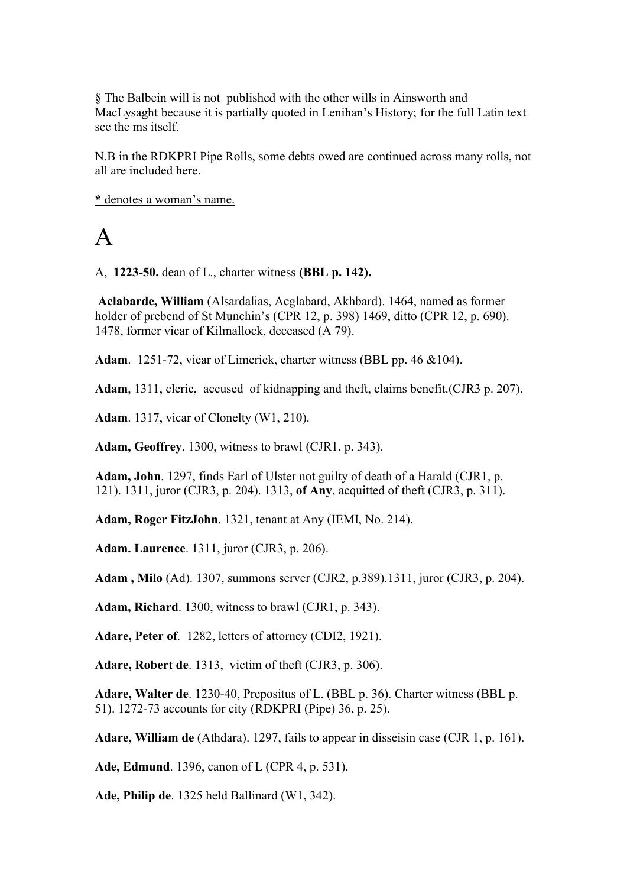§ The Balbein will is not published with the other wills in Ainsworth and MacLysaght because it is partially quoted in Lenihan's History; for the full Latin text see the ms itself.

N.B in the RDKPRI Pipe Rolls, some debts owed are continued across many rolls, not all are included here.

**\*** denotes a woman's name.

# A

A, **1223-50.** dean of L., charter witness **(BBL p. 142).**

 **Aclabarde, William** (Alsardalias, Acglabard, Akhbard). 1464, named as former holder of prebend of St Munchin's (CPR 12, p. 398) 1469, ditto (CPR 12, p. 690). 1478, former vicar of Kilmallock, deceased (A 79).

**Adam**. 1251-72, vicar of Limerick, charter witness (BBL pp. 46 &104).

**Adam**, 1311, cleric, accused of kidnapping and theft, claims benefit.(CJR3 p. 207).

**Adam**. 1317, vicar of Clonelty (W1, 210).

**Adam, Geoffrey**. 1300, witness to brawl (CJR1, p. 343).

**Adam, John**. 1297, finds Earl of Ulster not guilty of death of a Harald (CJR1, p. 121). 1311, juror (CJR3, p. 204). 1313, **of Any**, acquitted of theft (CJR3, p. 311).

**Adam, Roger FitzJohn**. 1321, tenant at Any (IEMI, No. 214).

**Adam. Laurence**. 1311, juror (CJR3, p. 206).

**Adam , Milo** (Ad). 1307, summons server (CJR2, p.389).1311, juror (CJR3, p. 204).

**Adam, Richard**. 1300, witness to brawl (CJR1, p. 343).

**Adare, Peter of**. 1282, letters of attorney (CDI2, 1921).

**Adare, Robert de**. 1313, victim of theft (CJR3, p. 306).

**Adare, Walter de**. 1230-40, Prepositus of L. (BBL p. 36). Charter witness (BBL p. 51). 1272-73 accounts for city (RDKPRI (Pipe) 36, p. 25).

**Adare, William de** (Athdara). 1297, fails to appear in disseisin case (CJR 1, p. 161).

**Ade, Edmund**. 1396, canon of L (CPR 4, p. 531).

**Ade, Philip de**. 1325 held Ballinard (W1, 342).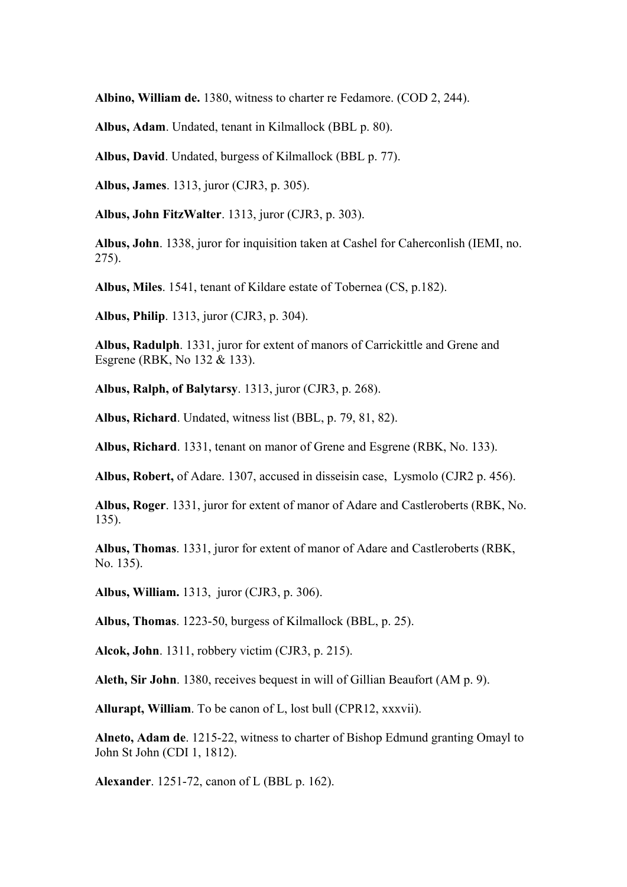**Albino, William de.** 1380, witness to charter re Fedamore. (COD 2, 244).

**Albus, Adam**. Undated, tenant in Kilmallock (BBL p. 80).

**Albus, David**. Undated, burgess of Kilmallock (BBL p. 77).

**Albus, James**. 1313, juror (CJR3, p. 305).

**Albus, John FitzWalter**. 1313, juror (CJR3, p. 303).

**Albus, John**. 1338, juror for inquisition taken at Cashel for Caherconlish (IEMI, no. 275).

**Albus, Miles**. 1541, tenant of Kildare estate of Tobernea (CS, p.182).

**Albus, Philip**. 1313, juror (CJR3, p. 304).

**Albus, Radulph**. 1331, juror for extent of manors of Carrickittle and Grene and Esgrene (RBK, No 132 & 133).

**Albus, Ralph, of Balytarsy**. 1313, juror (CJR3, p. 268).

**Albus, Richard**. Undated, witness list (BBL, p. 79, 81, 82).

**Albus, Richard**. 1331, tenant on manor of Grene and Esgrene (RBK, No. 133).

**Albus, Robert,** of Adare. 1307, accused in disseisin case, Lysmolo (CJR2 p. 456).

**Albus, Roger**. 1331, juror for extent of manor of Adare and Castleroberts (RBK, No. 135).

**Albus, Thomas**. 1331, juror for extent of manor of Adare and Castleroberts (RBK, No. 135).

**Albus, William.** 1313, juror (CJR3, p. 306).

**Albus, Thomas**. 1223-50, burgess of Kilmallock (BBL, p. 25).

**Alcok, John**. 1311, robbery victim (CJR3, p. 215).

**Aleth, Sir John**. 1380, receives bequest in will of Gillian Beaufort (AM p. 9).

**Allurapt, William**. To be canon of L, lost bull (CPR12, xxxvii).

**Alneto, Adam de**. 1215-22, witness to charter of Bishop Edmund granting Omayl to John St John (CDI 1, 1812).

**Alexander**. 1251-72, canon of L (BBL p. 162).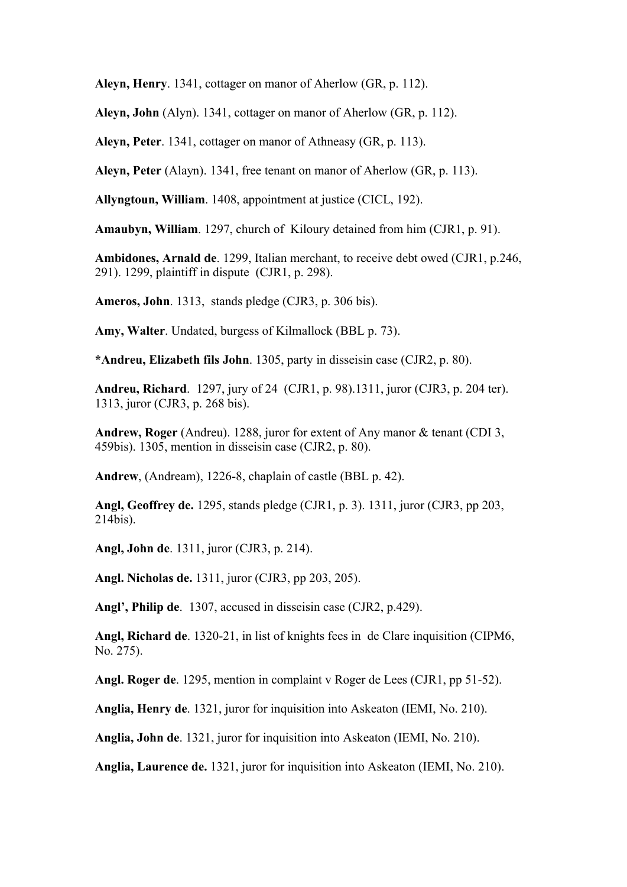**Aleyn, Henry**. 1341, cottager on manor of Aherlow (GR, p. 112).

**Aleyn, John** (Alyn). 1341, cottager on manor of Aherlow (GR, p. 112).

**Aleyn, Peter**. 1341, cottager on manor of Athneasy (GR, p. 113).

**Aleyn, Peter** (Alayn). 1341, free tenant on manor of Aherlow (GR, p. 113).

**Allyngtoun, William**. 1408, appointment at justice (CICL, 192).

**Amaubyn, William**. 1297, church of Kiloury detained from him (CJR1, p. 91).

**Ambidones, Arnald de**. 1299, Italian merchant, to receive debt owed (CJR1, p.246, 291). 1299, plaintiff in dispute (CJR1, p. 298).

**Ameros, John**. 1313, stands pledge (CJR3, p. 306 bis).

**Amy, Walter**. Undated, burgess of Kilmallock (BBL p. 73).

**\*Andreu, Elizabeth fils John**. 1305, party in disseisin case (CJR2, p. 80).

**Andreu, Richard**. 1297, jury of 24 (CJR1, p. 98).1311, juror (CJR3, p. 204 ter). 1313, juror (CJR3, p. 268 bis).

**Andrew, Roger** (Andreu). 1288, juror for extent of Any manor & tenant (CDI 3, 459bis). 1305, mention in disseisin case (CJR2, p. 80).

**Andrew**, (Andream), 1226-8, chaplain of castle (BBL p. 42).

**Angl, Geoffrey de.** 1295, stands pledge (CJR1, p. 3). 1311, juror (CJR3, pp 203, 214bis).

**Angl, John de**. 1311, juror (CJR3, p. 214).

**Angl. Nicholas de.** 1311, juror (CJR3, pp 203, 205).

**Angl', Philip de**. 1307, accused in disseisin case (CJR2, p.429).

**Angl, Richard de**. 1320-21, in list of knights fees in de Clare inquisition (CIPM6, No. 275).

**Angl. Roger de**. 1295, mention in complaint v Roger de Lees (CJR1, pp 51-52).

**Anglia, Henry de**. 1321, juror for inquisition into Askeaton (IEMI, No. 210).

**Anglia, John de**. 1321, juror for inquisition into Askeaton (IEMI, No. 210).

**Anglia, Laurence de.** 1321, juror for inquisition into Askeaton (IEMI, No. 210).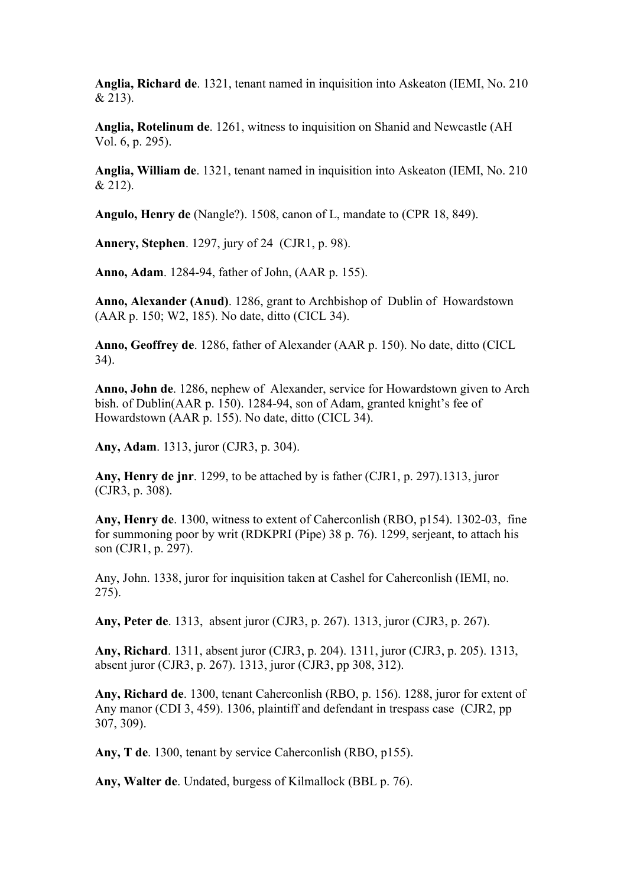**Anglia, Richard de**. 1321, tenant named in inquisition into Askeaton (IEMI, No. 210 & 213).

**Anglia, Rotelinum de**. 1261, witness to inquisition on Shanid and Newcastle (AH Vol. 6, p. 295).

**Anglia, William de**. 1321, tenant named in inquisition into Askeaton (IEMI, No. 210 & 212).

**Angulo, Henry de** (Nangle?). 1508, canon of L, mandate to (CPR 18, 849).

**Annery, Stephen**. 1297, jury of 24 (CJR1, p. 98).

**Anno, Adam**. 1284-94, father of John, (AAR p. 155).

**Anno, Alexander (Anud)**. 1286, grant to Archbishop of Dublin of Howardstown (AAR p. 150; W2, 185). No date, ditto (CICL 34).

**Anno, Geoffrey de**. 1286, father of Alexander (AAR p. 150). No date, ditto (CICL 34).

**Anno, John de**. 1286, nephew of Alexander, service for Howardstown given to Arch bish. of Dublin(AAR p. 150). 1284-94, son of Adam, granted knight's fee of Howardstown (AAR p. 155). No date, ditto (CICL 34).

**Any, Adam**. 1313, juror (CJR3, p. 304).

**Any, Henry de jnr**. 1299, to be attached by is father (CJR1, p. 297).1313, juror (CJR3, p. 308).

**Any, Henry de**. 1300, witness to extent of Caherconlish (RBO, p154). 1302-03, fine for summoning poor by writ (RDKPRI (Pipe) 38 p. 76). 1299, serjeant, to attach his son (CJR1, p. 297).

Any, John. 1338, juror for inquisition taken at Cashel for Caherconlish (IEMI, no. 275).

**Any, Peter de**. 1313, absent juror (CJR3, p. 267). 1313, juror (CJR3, p. 267).

**Any, Richard**. 1311, absent juror (CJR3, p. 204). 1311, juror (CJR3, p. 205). 1313, absent juror (CJR3, p. 267). 1313, juror (CJR3, pp 308, 312).

**Any, Richard de**. 1300, tenant Caherconlish (RBO, p. 156). 1288, juror for extent of Any manor (CDI 3, 459). 1306, plaintiff and defendant in trespass case (CJR2, pp 307, 309).

**Any, T de**. 1300, tenant by service Caherconlish (RBO, p155).

**Any, Walter de**. Undated, burgess of Kilmallock (BBL p. 76).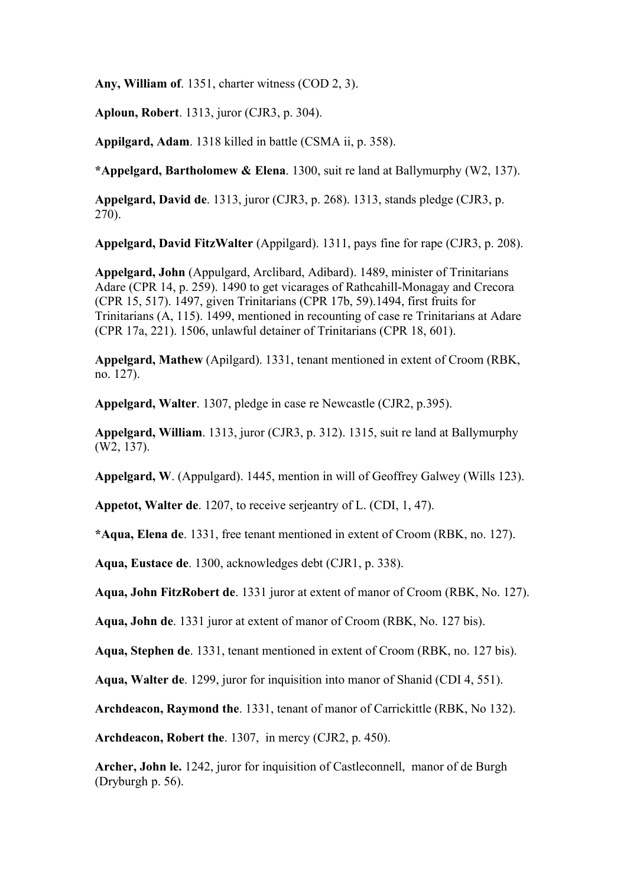**Any, William of**. 1351, charter witness (COD 2, 3).

**Aploun, Robert**. 1313, juror (CJR3, p. 304).

**Appilgard, Adam**. 1318 killed in battle (CSMA ii, p. 358).

**\*Appelgard, Bartholomew & Elena**. 1300, suit re land at Ballymurphy (W2, 137).

**Appelgard, David de**. 1313, juror (CJR3, p. 268). 1313, stands pledge (CJR3, p. 270).

**Appelgard, David FitzWalter** (Appilgard). 1311, pays fine for rape (CJR3, p. 208).

**Appelgard, John** (Appulgard, Arclibard, Adibard). 1489, minister of Trinitarians Adare (CPR 14, p. 259). 1490 to get vicarages of Rathcahill-Monagay and Crecora (CPR 15, 517). 1497, given Trinitarians (CPR 17b, 59).1494, first fruits for Trinitarians (A, 115). 1499, mentioned in recounting of case re Trinitarians at Adare (CPR 17a, 221). 1506, unlawful detainer of Trinitarians (CPR 18, 601).

**Appelgard, Mathew** (Apilgard). 1331, tenant mentioned in extent of Croom (RBK, no. 127).

**Appelgard, Walter**. 1307, pledge in case re Newcastle (CJR2, p.395).

**Appelgard, William**. 1313, juror (CJR3, p. 312). 1315, suit re land at Ballymurphy (W2, 137).

**Appelgard, W**. (Appulgard). 1445, mention in will of Geoffrey Galwey (Wills 123).

**Appetot, Walter de**. 1207, to receive serjeantry of L. (CDI, 1, 47).

**\*Aqua, Elena de**. 1331, free tenant mentioned in extent of Croom (RBK, no. 127).

**Aqua, Eustace de**. 1300, acknowledges debt (CJR1, p. 338).

**Aqua, John FitzRobert de**. 1331 juror at extent of manor of Croom (RBK, No. 127).

**Aqua, John de**. 1331 juror at extent of manor of Croom (RBK, No. 127 bis).

**Aqua, Stephen de**. 1331, tenant mentioned in extent of Croom (RBK, no. 127 bis).

**Aqua, Walter de**. 1299, juror for inquisition into manor of Shanid (CDI 4, 551).

**Archdeacon, Raymond the**. 1331, tenant of manor of Carrickittle (RBK, No 132).

**Archdeacon, Robert the**. 1307, in mercy (CJR2, p. 450).

**Archer, John le.** 1242, juror for inquisition of Castleconnell, manor of de Burgh (Dryburgh p. 56).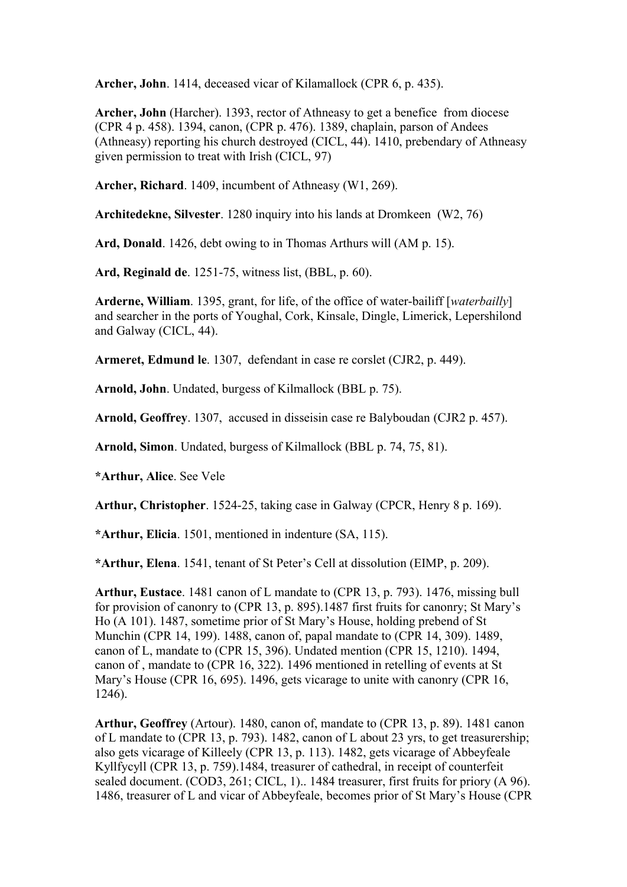**Archer, John**. 1414, deceased vicar of Kilamallock (CPR 6, p. 435).

**Archer, John** (Harcher). 1393, rector of Athneasy to get a benefice from diocese (CPR 4 p. 458). 1394, canon, (CPR p. 476). 1389, chaplain, parson of Andees (Athneasy) reporting his church destroyed (CICL, 44). 1410, prebendary of Athneasy given permission to treat with Irish (CICL, 97)

**Archer, Richard**. 1409, incumbent of Athneasy (W1, 269).

**Architedekne, Silvester**. 1280 inquiry into his lands at Dromkeen (W2, 76)

**Ard, Donald**. 1426, debt owing to in Thomas Arthurs will (AM p. 15).

**Ard, Reginald de**. 1251-75, witness list, (BBL, p. 60).

**Arderne, William**. 1395, grant, for life, of the office of water-bailiff [*waterbailly*] and searcher in the ports of Youghal, Cork, Kinsale, Dingle, Limerick, Lepershilond and Galway (CICL, 44).

**Armeret, Edmund le**. 1307, defendant in case re corslet (CJR2, p. 449).

**Arnold, John**. Undated, burgess of Kilmallock (BBL p. 75).

**Arnold, Geoffrey**. 1307, accused in disseisin case re Balyboudan (CJR2 p. 457).

**Arnold, Simon**. Undated, burgess of Kilmallock (BBL p. 74, 75, 81).

**\*Arthur, Alice**. See Vele

**Arthur, Christopher**. 1524-25, taking case in Galway (CPCR, Henry 8 p. 169).

**\*Arthur, Elicia**. 1501, mentioned in indenture (SA, 115).

**\*Arthur, Elena**. 1541, tenant of St Peter's Cell at dissolution (EIMP, p. 209).

**Arthur, Eustace**. 1481 canon of L mandate to (CPR 13, p. 793). 1476, missing bull for provision of canonry to (CPR 13, p. 895).1487 first fruits for canonry; St Mary's Ho (A 101). 1487, sometime prior of St Mary's House, holding prebend of St Munchin (CPR 14, 199). 1488, canon of, papal mandate to (CPR 14, 309). 1489, canon of L, mandate to (CPR 15, 396). Undated mention (CPR 15, 1210). 1494, canon of , mandate to (CPR 16, 322). 1496 mentioned in retelling of events at St Mary's House (CPR 16, 695). 1496, gets vicarage to unite with canonry (CPR 16, 1246).

**Arthur, Geoffrey** (Artour). 1480, canon of, mandate to (CPR 13, p. 89). 1481 canon of L mandate to (CPR 13, p. 793). 1482, canon of L about 23 yrs, to get treasurership; also gets vicarage of Killeely (CPR 13, p. 113). 1482, gets vicarage of Abbeyfeale Kyllfycyll (CPR 13, p. 759).1484, treasurer of cathedral, in receipt of counterfeit sealed document. (COD3, 261; CICL, 1).. 1484 treasurer, first fruits for priory (A 96). 1486, treasurer of L and vicar of Abbeyfeale, becomes prior of St Mary's House (CPR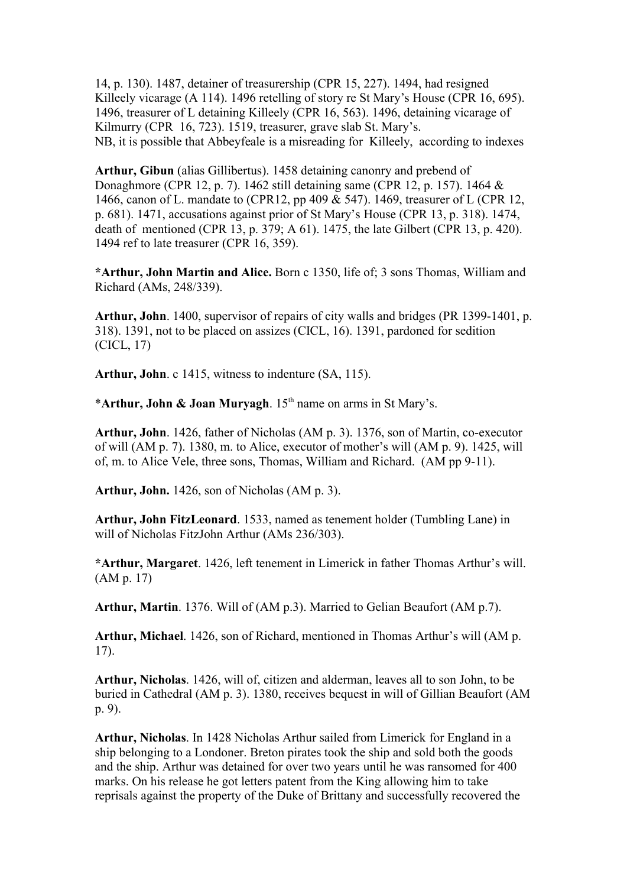14, p. 130). 1487, detainer of treasurership (CPR 15, 227). 1494, had resigned Killeely vicarage (A 114). 1496 retelling of story re St Mary's House (CPR 16, 695). 1496, treasurer of L detaining Killeely (CPR 16, 563). 1496, detaining vicarage of Kilmurry (CPR 16, 723). 1519, treasurer, grave slab St. Mary's. NB, it is possible that Abbeyfeale is a misreading for Killeely, according to indexes

**Arthur, Gibun** (alias Gillibertus). 1458 detaining canonry and prebend of Donaghmore (CPR 12, p. 7). 1462 still detaining same (CPR 12, p. 157). 1464 & 1466, canon of L. mandate to (CPR12, pp 409 & 547). 1469, treasurer of L (CPR 12, p. 681). 1471, accusations against prior of St Mary's House (CPR 13, p. 318). 1474, death of mentioned (CPR 13, p. 379; A 61). 1475, the late Gilbert (CPR 13, p. 420). 1494 ref to late treasurer (CPR 16, 359).

**\*Arthur, John Martin and Alice.** Born c 1350, life of; 3 sons Thomas, William and Richard (AMs, 248/339).

**Arthur, John**. 1400, supervisor of repairs of city walls and bridges (PR 1399-1401, p. 318). 1391, not to be placed on assizes (CICL, 16). 1391, pardoned for sedition (CICL, 17)

**Arthur, John**. c 1415, witness to indenture (SA, 115).

\***Arthur, John & Joan Muryagh**. 15th name on arms in St Mary's.

**Arthur, John**. 1426, father of Nicholas (AM p. 3). 1376, son of Martin, co-executor of will (AM p. 7). 1380, m. to Alice, executor of mother's will (AM p. 9). 1425, will of, m. to Alice Vele, three sons, Thomas, William and Richard. (AM pp 9-11).

**Arthur, John.** 1426, son of Nicholas (AM p. 3).

**Arthur, John FitzLeonard**. 1533, named as tenement holder (Tumbling Lane) in will of Nicholas FitzJohn Arthur (AMs 236/303).

**\*Arthur, Margaret**. 1426, left tenement in Limerick in father Thomas Arthur's will. (AM p. 17)

**Arthur, Martin**. 1376. Will of (AM p.3). Married to Gelian Beaufort (AM p.7).

**Arthur, Michael**. 1426, son of Richard, mentioned in Thomas Arthur's will (AM p. 17).

**Arthur, Nicholas**. 1426, will of, citizen and alderman, leaves all to son John, to be buried in Cathedral (AM p. 3). 1380, receives bequest in will of Gillian Beaufort (AM p. 9).

**Arthur, Nicholas**. In 1428 Nicholas Arthur sailed from Limerick for England in a ship belonging to a Londoner. Breton pirates took the ship and sold both the goods and the ship. Arthur was detained for over two years until he was ransomed for 400 marks. On his release he got letters patent from the King allowing him to take reprisals against the property of the Duke of Brittany and successfully recovered the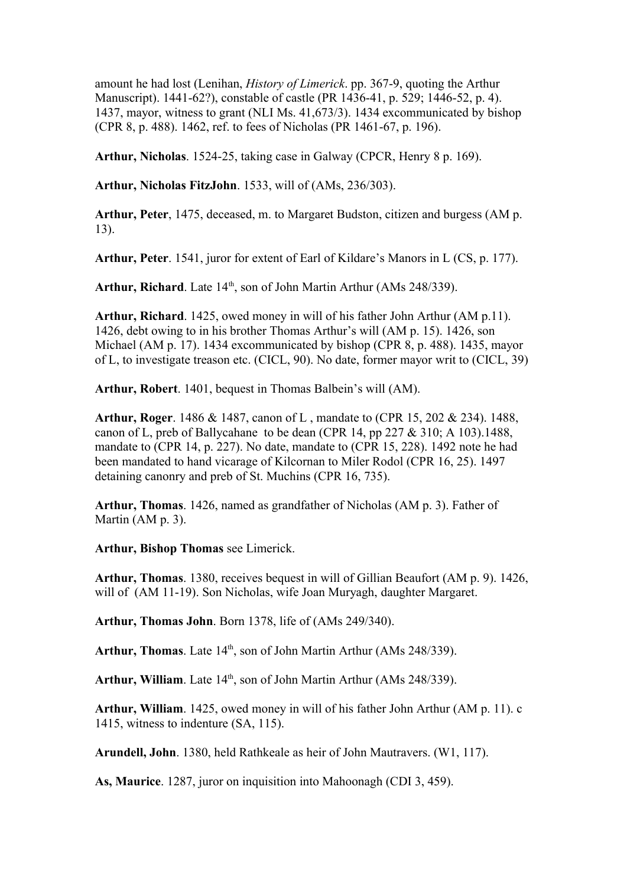amount he had lost (Lenihan, *History of Limerick*. pp. 367-9, quoting the Arthur Manuscript). 1441-62?), constable of castle (PR 1436-41, p. 529; 1446-52, p. 4). 1437, mayor, witness to grant (NLI Ms. 41,673/3). 1434 excommunicated by bishop (CPR 8, p. 488). 1462, ref. to fees of Nicholas (PR 1461-67, p. 196).

**Arthur, Nicholas**. 1524-25, taking case in Galway (CPCR, Henry 8 p. 169).

**Arthur, Nicholas FitzJohn**. 1533, will of (AMs, 236/303).

**Arthur, Peter**, 1475, deceased, m. to Margaret Budston, citizen and burgess (AM p. 13).

**Arthur, Peter**. 1541, juror for extent of Earl of Kildare's Manors in L (CS, p. 177).

Arthur, Richard. Late 14<sup>th</sup>, son of John Martin Arthur (AMs 248/339).

**Arthur, Richard**. 1425, owed money in will of his father John Arthur (AM p.11). 1426, debt owing to in his brother Thomas Arthur's will (AM p. 15). 1426, son Michael (AM p. 17). 1434 excommunicated by bishop (CPR 8, p. 488). 1435, mayor of L, to investigate treason etc. (CICL, 90). No date, former mayor writ to (CICL, 39)

**Arthur, Robert**. 1401, bequest in Thomas Balbein's will (AM).

**Arthur, Roger**. 1486 & 1487, canon of L , mandate to (CPR 15, 202 & 234). 1488, canon of L, preb of Ballycahane to be dean (CPR 14, pp 227 & 310; A 103).1488, mandate to (CPR 14, p. 227). No date, mandate to (CPR 15, 228). 1492 note he had been mandated to hand vicarage of Kilcornan to Miler Rodol (CPR 16, 25). 1497 detaining canonry and preb of St. Muchins (CPR 16, 735).

**Arthur, Thomas**. 1426, named as grandfather of Nicholas (AM p. 3). Father of Martin (AM p. 3).

**Arthur, Bishop Thomas** see Limerick.

**Arthur, Thomas**. 1380, receives bequest in will of Gillian Beaufort (AM p. 9). 1426, will of (AM 11-19). Son Nicholas, wife Joan Muryagh, daughter Margaret.

**Arthur, Thomas John**. Born 1378, life of (AMs 249/340).

Arthur, Thomas. Late 14<sup>th</sup>, son of John Martin Arthur (AMs 248/339).

Arthur, William. Late 14<sup>th</sup>, son of John Martin Arthur (AMs 248/339).

**Arthur, William**. 1425, owed money in will of his father John Arthur (AM p. 11). c 1415, witness to indenture (SA, 115).

**Arundell, John**. 1380, held Rathkeale as heir of John Mautravers. (W1, 117).

**As, Maurice**. 1287, juror on inquisition into Mahoonagh (CDI 3, 459).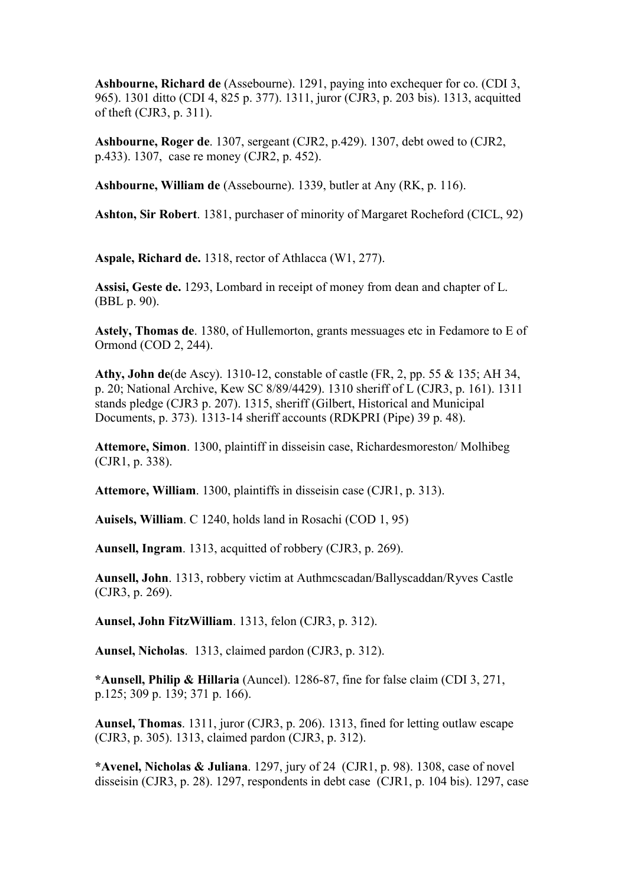**Ashbourne, Richard de** (Assebourne). 1291, paying into exchequer for co. (CDI 3, 965). 1301 ditto (CDI 4, 825 p. 377). 1311, juror (CJR3, p. 203 bis). 1313, acquitted of theft (CJR3, p. 311).

**Ashbourne, Roger de**. 1307, sergeant (CJR2, p.429). 1307, debt owed to (CJR2, p.433). 1307, case re money (CJR2, p. 452).

**Ashbourne, William de** (Assebourne). 1339, butler at Any (RK, p. 116).

**Ashton, Sir Robert**. 1381, purchaser of minority of Margaret Rocheford (CICL, 92)

**Aspale, Richard de.** 1318, rector of Athlacca (W1, 277).

**Assisi, Geste de.** 1293, Lombard in receipt of money from dean and chapter of L. (BBL p. 90).

**Astely, Thomas de**. 1380, of Hullemorton, grants messuages etc in Fedamore to E of Ormond (COD 2, 244).

**Athy, John de**(de Ascy). 1310-12, constable of castle (FR, 2, pp. 55 & 135; AH 34, p. 20; National Archive, Kew SC 8/89/4429). 1310 sheriff of L (CJR3, p. 161). 1311 stands pledge (CJR3 p. 207). 1315, sheriff (Gilbert, Historical and Municipal Documents, p. 373). 1313-14 sheriff accounts (RDKPRI (Pipe) 39 p. 48).

**Attemore, Simon**. 1300, plaintiff in disseisin case, Richardesmoreston/ Molhibeg (CJR1, p. 338).

**Attemore, William**. 1300, plaintiffs in disseisin case (CJR1, p. 313).

**Auisels, William**. C 1240, holds land in Rosachi (COD 1, 95)

**Aunsell, Ingram**. 1313, acquitted of robbery (CJR3, p. 269).

**Aunsell, John**. 1313, robbery victim at Authmcscadan/Ballyscaddan/Ryves Castle (CJR3, p. 269).

**Aunsel, John FitzWilliam**. 1313, felon (CJR3, p. 312).

**Aunsel, Nicholas**. 1313, claimed pardon (CJR3, p. 312).

**\*Aunsell, Philip & Hillaria** (Auncel). 1286-87, fine for false claim (CDI 3, 271, p.125; 309 p. 139; 371 p. 166).

**Aunsel, Thomas**. 1311, juror (CJR3, p. 206). 1313, fined for letting outlaw escape (CJR3, p. 305). 1313, claimed pardon (CJR3, p. 312).

**\*Avenel, Nicholas & Juliana**. 1297, jury of 24 (CJR1, p. 98). 1308, case of novel disseisin (CJR3, p. 28). 1297, respondents in debt case (CJR1, p. 104 bis). 1297, case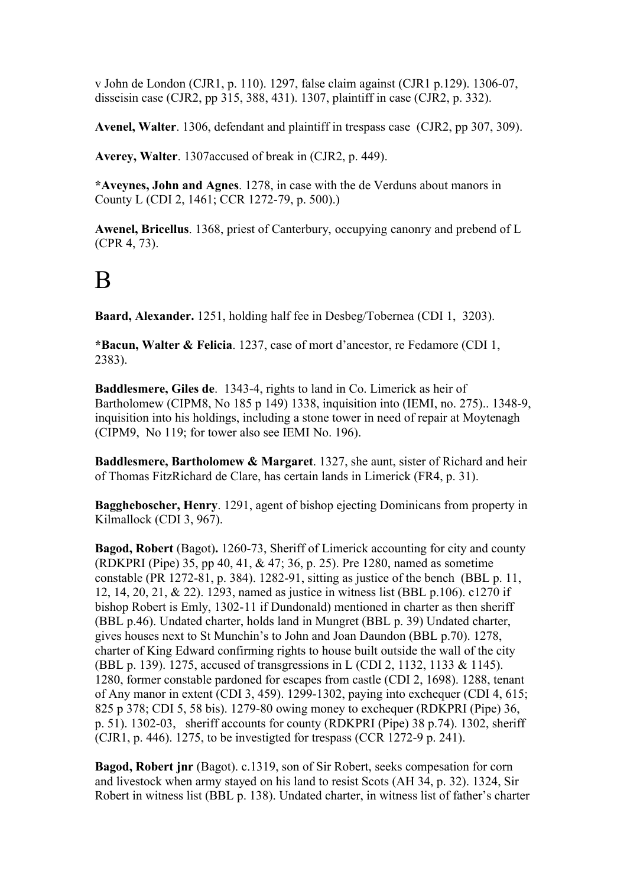v John de London (CJR1, p. 110). 1297, false claim against (CJR1 p.129). 1306-07, disseisin case (CJR2, pp 315, 388, 431). 1307, plaintiff in case (CJR2, p. 332).

**Avenel, Walter**. 1306, defendant and plaintiff in trespass case (CJR2, pp 307, 309).

**Averey, Walter**. 1307accused of break in (CJR2, p. 449).

**\*Aveynes, John and Agnes**. 1278, in case with the de Verduns about manors in County L (CDI 2, 1461; CCR 1272-79, p. 500).)

**Awenel, Bricellus**. 1368, priest of Canterbury, occupying canonry and prebend of L (CPR 4, 73).

# B

**Baard, Alexander.** 1251, holding half fee in Desbeg/Tobernea (CDI 1, 3203).

**\*Bacun, Walter & Felicia**. 1237, case of mort d'ancestor, re Fedamore (CDI 1, 2383).

**Baddlesmere, Giles de**. 1343-4, rights to land in Co. Limerick as heir of Bartholomew (CIPM8, No 185 p 149) 1338, inquisition into (IEMI, no. 275).. 1348-9, inquisition into his holdings, including a stone tower in need of repair at Moytenagh (CIPM9, No 119; for tower also see IEMI No. 196).

**Baddlesmere, Bartholomew & Margaret**. 1327, she aunt, sister of Richard and heir of Thomas FitzRichard de Clare, has certain lands in Limerick (FR4, p. 31).

**Baggheboscher, Henry**. 1291, agent of bishop ejecting Dominicans from property in Kilmallock (CDI 3, 967).

**Bagod, Robert** (Bagot)**.** 1260-73, Sheriff of Limerick accounting for city and county (RDKPRI (Pipe) 35, pp 40, 41, & 47; 36, p. 25). Pre 1280, named as sometime constable (PR 1272-81, p. 384). 1282-91, sitting as justice of the bench (BBL p. 11, 12, 14, 20, 21, & 22). 1293, named as justice in witness list (BBL p.106). c1270 if bishop Robert is Emly, 1302-11 if Dundonald) mentioned in charter as then sheriff (BBL p.46). Undated charter, holds land in Mungret (BBL p. 39) Undated charter, gives houses next to St Munchin's to John and Joan Daundon (BBL p.70). 1278, charter of King Edward confirming rights to house built outside the wall of the city (BBL p. 139). 1275, accused of transgressions in L (CDI 2, 1132, 1133 & 1145). 1280, former constable pardoned for escapes from castle (CDI 2, 1698). 1288, tenant of Any manor in extent (CDI 3, 459). 1299-1302, paying into exchequer (CDI 4, 615; 825 p 378; CDI 5, 58 bis). 1279-80 owing money to exchequer (RDKPRI (Pipe) 36, p. 51). 1302-03, sheriff accounts for county (RDKPRI (Pipe) 38 p.74). 1302, sheriff (CJR1, p. 446). 1275, to be investigted for trespass (CCR 1272-9 p. 241).

**Bagod, Robert jnr** (Bagot). c.1319, son of Sir Robert, seeks compesation for corn and livestock when army stayed on his land to resist Scots (AH 34, p. 32). 1324, Sir Robert in witness list (BBL p. 138). Undated charter, in witness list of father's charter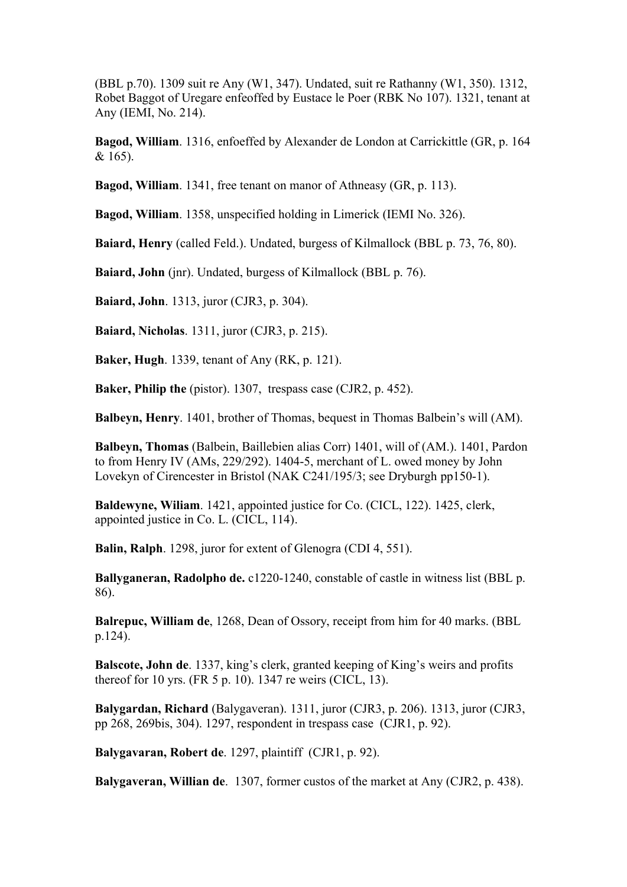(BBL p.70). 1309 suit re Any (W1, 347). Undated, suit re Rathanny (W1, 350). 1312, Robet Baggot of Uregare enfeoffed by Eustace le Poer (RBK No 107). 1321, tenant at Any (IEMI, No. 214).

**Bagod, William**. 1316, enfoeffed by Alexander de London at Carrickittle (GR, p. 164 & 165).

**Bagod, William**. 1341, free tenant on manor of Athneasy (GR, p. 113).

**Bagod, William**. 1358, unspecified holding in Limerick (IEMI No. 326).

**Baiard, Henry** (called Feld.). Undated, burgess of Kilmallock (BBL p. 73, 76, 80).

**Baiard, John** (jnr). Undated, burgess of Kilmallock (BBL p. 76).

**Baiard, John**. 1313, juror (CJR3, p. 304).

**Baiard, Nicholas**. 1311, juror (CJR3, p. 215).

**Baker, Hugh**. 1339, tenant of Any (RK, p. 121).

**Baker, Philip the** (pistor). 1307, trespass case (CJR2, p. 452).

**Balbeyn, Henry**. 1401, brother of Thomas, bequest in Thomas Balbein's will (AM).

**Balbeyn, Thomas** (Balbein, Baillebien alias Corr) 1401, will of (AM.). 1401, Pardon to from Henry IV (AMs, 229/292). 1404-5, merchant of L. owed money by John Lovekyn of Cirencester in Bristol (NAK C241/195/3; see Dryburgh pp150-1).

**Baldewyne, Wiliam**. 1421, appointed justice for Co. (CICL, 122). 1425, clerk, appointed justice in Co. L. (CICL, 114).

**Balin, Ralph**. 1298, juror for extent of Glenogra (CDI 4, 551).

**Ballyganeran, Radolpho de.** c1220-1240, constable of castle in witness list (BBL p. 86).

**Balrepuc, William de**, 1268, Dean of Ossory, receipt from him for 40 marks. (BBL p.124).

**Balscote, John de**. 1337, king's clerk, granted keeping of King's weirs and profits thereof for 10 yrs. (FR 5 p. 10). 1347 re weirs (CICL, 13).

**Balygardan, Richard** (Balygaveran). 1311, juror (CJR3, p. 206). 1313, juror (CJR3, pp 268, 269bis, 304). 1297, respondent in trespass case (CJR1, p. 92).

**Balygavaran, Robert de**. 1297, plaintiff (CJR1, p. 92).

**Balygaveran, Willian de**. 1307, former custos of the market at Any (CJR2, p. 438).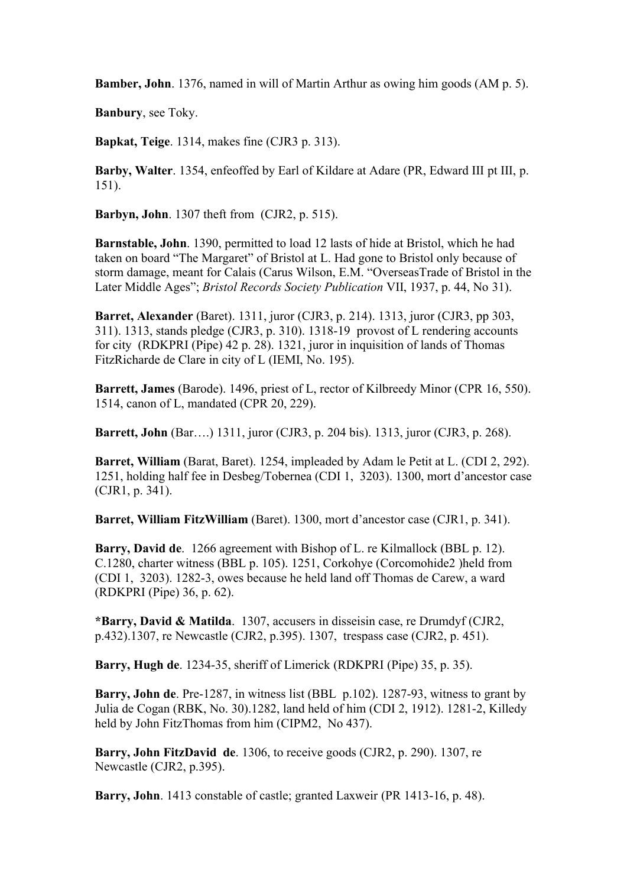**Bamber, John**. 1376, named in will of Martin Arthur as owing him goods (AM p. 5).

**Banbury**, see Toky.

**Bapkat, Teige**. 1314, makes fine (CJR3 p. 313).

**Barby, Walter**. 1354, enfeoffed by Earl of Kildare at Adare (PR, Edward III pt III, p. 151).

**Barbyn, John**. 1307 theft from (CJR2, p. 515).

**Barnstable, John**. 1390, permitted to load 12 lasts of hide at Bristol, which he had taken on board "The Margaret" of Bristol at L. Had gone to Bristol only because of storm damage, meant for Calais (Carus Wilson, E.M. "OverseasTrade of Bristol in the Later Middle Ages"; *Bristol Records Society Publication* VII, 1937, p. 44, No 31).

**Barret, Alexander** (Baret). 1311, juror (CJR3, p. 214). 1313, juror (CJR3, pp 303, 311). 1313, stands pledge (CJR3, p. 310). 1318-19 provost of L rendering accounts for city (RDKPRI (Pipe) 42 p. 28). 1321, juror in inquisition of lands of Thomas FitzRicharde de Clare in city of L (IEMI, No. 195).

**Barrett, James** (Barode). 1496, priest of L, rector of Kilbreedy Minor (CPR 16, 550). 1514, canon of L, mandated (CPR 20, 229).

**Barrett, John** (Bar….) 1311, juror (CJR3, p. 204 bis). 1313, juror (CJR3, p. 268).

**Barret, William** (Barat, Baret). 1254, impleaded by Adam le Petit at L. (CDI 2, 292). 1251, holding half fee in Desbeg/Tobernea (CDI 1, 3203). 1300, mort d'ancestor case (CJR1, p. 341).

**Barret, William FitzWilliam** (Baret). 1300, mort d'ancestor case (CJR1, p. 341).

**Barry, David de**. 1266 agreement with Bishop of L. re Kilmallock (BBL p. 12). C.1280, charter witness (BBL p. 105). 1251, Corkohye (Corcomohide2 )held from (CDI 1, 3203). 1282-3, owes because he held land off Thomas de Carew, a ward (RDKPRI (Pipe) 36, p. 62).

**\*Barry, David & Matilda**. 1307, accusers in disseisin case, re Drumdyf (CJR2, p.432).1307, re Newcastle (CJR2, p.395). 1307, trespass case (CJR2, p. 451).

**Barry, Hugh de**. 1234-35, sheriff of Limerick (RDKPRI (Pipe) 35, p. 35).

**Barry, John de**. Pre-1287, in witness list (BBL p.102). 1287-93, witness to grant by Julia de Cogan (RBK, No. 30).1282, land held of him (CDI 2, 1912). 1281-2, Killedy held by John FitzThomas from him (CIPM2, No 437).

**Barry, John FitzDavid de**. 1306, to receive goods (CJR2, p. 290). 1307, re Newcastle (CJR2, p.395).

**Barry, John**. 1413 constable of castle; granted Laxweir (PR 1413-16, p. 48).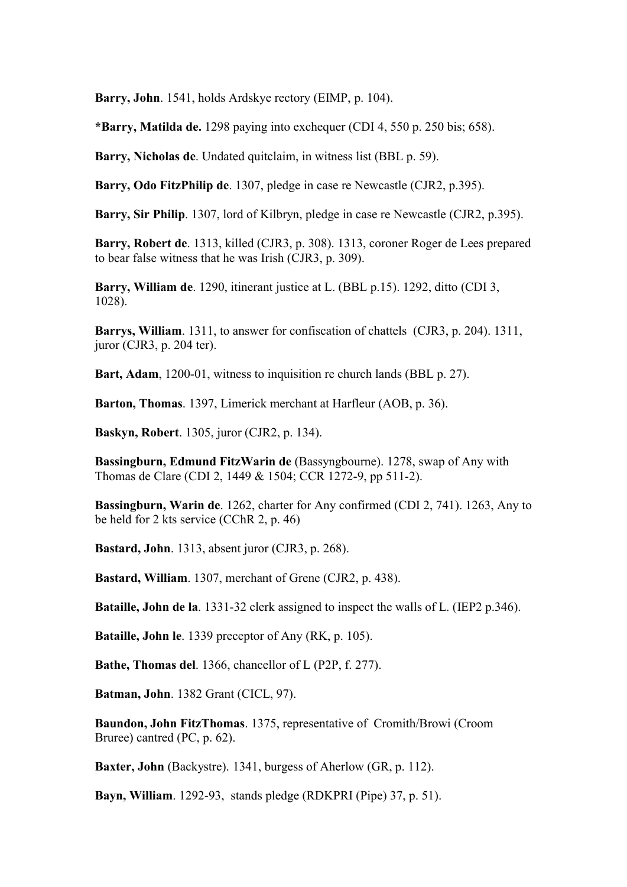**Barry, John**. 1541, holds Ardskye rectory (EIMP, p. 104).

**\*Barry, Matilda de.** 1298 paying into exchequer (CDI 4, 550 p. 250 bis; 658).

**Barry, Nicholas de**. Undated quitclaim, in witness list (BBL p. 59).

**Barry, Odo FitzPhilip de**. 1307, pledge in case re Newcastle (CJR2, p.395).

**Barry, Sir Philip**. 1307, lord of Kilbryn, pledge in case re Newcastle (CJR2, p.395).

**Barry, Robert de**. 1313, killed (CJR3, p. 308). 1313, coroner Roger de Lees prepared to bear false witness that he was Irish (CJR3, p. 309).

**Barry, William de**. 1290, itinerant justice at L. (BBL p.15). 1292, ditto (CDI 3, 1028).

**Barrys, William**. 1311, to answer for confiscation of chattels (CJR3, p. 204). 1311, juror (CJR3, p. 204 ter).

**Bart, Adam**, 1200-01, witness to inquisition re church lands (BBL p. 27).

**Barton, Thomas**. 1397, Limerick merchant at Harfleur (AOB, p. 36).

**Baskyn, Robert**. 1305, juror (CJR2, p. 134).

**Bassingburn, Edmund FitzWarin de** (Bassyngbourne). 1278, swap of Any with Thomas de Clare (CDI 2, 1449 & 1504; CCR 1272-9, pp 511-2).

**Bassingburn, Warin de**. 1262, charter for Any confirmed (CDI 2, 741). 1263, Any to be held for 2 kts service (CChR 2, p. 46)

**Bastard, John**. 1313, absent juror (CJR3, p. 268).

**Bastard, William**. 1307, merchant of Grene (CJR2, p. 438).

**Bataille, John de la**. 1331-32 clerk assigned to inspect the walls of L. (IEP2 p.346).

**Bataille, John le**. 1339 preceptor of Any (RK, p. 105).

**Bathe, Thomas del**. 1366, chancellor of L (P2P, f. 277).

**Batman, John**. 1382 Grant (CICL, 97).

**Baundon, John FitzThomas**. 1375, representative of Cromith/Browi (Croom Bruree) cantred (PC, p. 62).

**Baxter, John** (Backystre). 1341, burgess of Aherlow (GR, p. 112).

**Bayn, William**. 1292-93, stands pledge (RDKPRI (Pipe) 37, p. 51).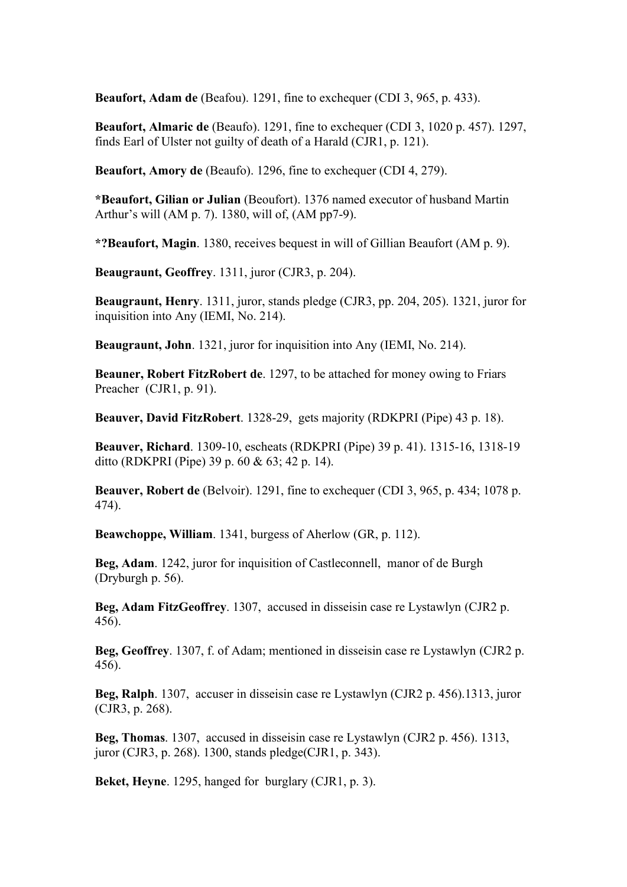**Beaufort, Adam de** (Beafou). 1291, fine to exchequer (CDI 3, 965, p. 433).

**Beaufort, Almaric de** (Beaufo). 1291, fine to exchequer (CDI 3, 1020 p. 457). 1297, finds Earl of Ulster not guilty of death of a Harald (CJR1, p. 121).

**Beaufort, Amory de** (Beaufo). 1296, fine to exchequer (CDI 4, 279).

**\*Beaufort, Gilian or Julian** (Beoufort). 1376 named executor of husband Martin Arthur's will (AM p. 7). 1380, will of, (AM pp7-9).

**\*?Beaufort, Magin**. 1380, receives bequest in will of Gillian Beaufort (AM p. 9).

**Beaugraunt, Geoffrey**. 1311, juror (CJR3, p. 204).

**Beaugraunt, Henry**. 1311, juror, stands pledge (CJR3, pp. 204, 205). 1321, juror for inquisition into Any (IEMI, No. 214).

**Beaugraunt, John.** 1321, juror for inquisition into Any (IEMI, No. 214).

**Beauner, Robert FitzRobert de**. 1297, to be attached for money owing to Friars Preacher (CJR1, p. 91).

**Beauver, David FitzRobert**. 1328-29, gets majority (RDKPRI (Pipe) 43 p. 18).

**Beauver, Richard**. 1309-10, escheats (RDKPRI (Pipe) 39 p. 41). 1315-16, 1318-19 ditto (RDKPRI (Pipe) 39 p. 60 & 63; 42 p. 14).

**Beauver, Robert de** (Belvoir). 1291, fine to exchequer (CDI 3, 965, p. 434; 1078 p. 474).

**Beawchoppe, William**. 1341, burgess of Aherlow (GR, p. 112).

**Beg, Adam**. 1242, juror for inquisition of Castleconnell, manor of de Burgh (Dryburgh p. 56).

**Beg, Adam FitzGeoffrey**. 1307, accused in disseisin case re Lystawlyn (CJR2 p. 456).

**Beg, Geoffrey**. 1307, f. of Adam; mentioned in disseisin case re Lystawlyn (CJR2 p. 456).

**Beg, Ralph**. 1307, accuser in disseisin case re Lystawlyn (CJR2 p. 456).1313, juror (CJR3, p. 268).

**Beg, Thomas**. 1307, accused in disseisin case re Lystawlyn (CJR2 p. 456). 1313, juror (CJR3, p. 268). 1300, stands pledge(CJR1, p. 343).

**Beket, Heyne**. 1295, hanged for burglary (CJR1, p. 3).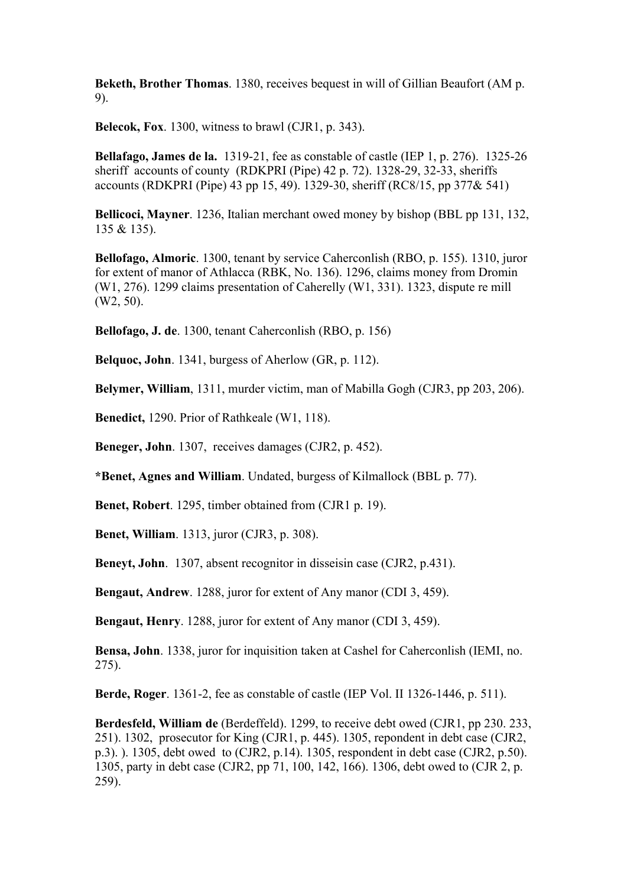**Beketh, Brother Thomas**. 1380, receives bequest in will of Gillian Beaufort (AM p. 9).

**Belecok, Fox**. 1300, witness to brawl (CJR1, p. 343).

**Bellafago, James de la.** 1319-21, fee as constable of castle (IEP 1, p. 276). 1325-26 sheriff accounts of county (RDKPRI (Pipe) 42 p. 72). 1328-29, 32-33, sheriffs accounts (RDKPRI (Pipe) 43 pp 15, 49). 1329-30, sheriff (RC8/15, pp 377& 541)

**Bellicoci, Mayner**. 1236, Italian merchant owed money by bishop (BBL pp 131, 132, 135 & 135).

**Bellofago, Almoric**. 1300, tenant by service Caherconlish (RBO, p. 155). 1310, juror for extent of manor of Athlacca (RBK, No. 136). 1296, claims money from Dromin (W1, 276). 1299 claims presentation of Caherelly (W1, 331). 1323, dispute re mill (W2, 50).

**Bellofago, J. de**. 1300, tenant Caherconlish (RBO, p. 156)

**Belquoc, John**. 1341, burgess of Aherlow (GR, p. 112).

**Belymer, William**, 1311, murder victim, man of Mabilla Gogh (CJR3, pp 203, 206).

**Benedict,** 1290. Prior of Rathkeale (W1, 118).

**Beneger, John**. 1307, receives damages (CJR2, p. 452).

**\*Benet, Agnes and William**. Undated, burgess of Kilmallock (BBL p. 77).

**Benet, Robert**. 1295, timber obtained from (CJR1 p. 19).

**Benet, William**. 1313, juror (CJR3, p. 308).

**Beneyt, John**. 1307, absent recognitor in disseisin case (CJR2, p.431).

**Bengaut, Andrew**. 1288, juror for extent of Any manor (CDI 3, 459).

**Bengaut, Henry**. 1288, juror for extent of Any manor (CDI 3, 459).

**Bensa, John**. 1338, juror for inquisition taken at Cashel for Caherconlish (IEMI, no. 275).

**Berde, Roger**. 1361-2, fee as constable of castle (IEP Vol. II 1326-1446, p. 511).

**Berdesfeld, William de** (Berdeffeld). 1299, to receive debt owed (CJR1, pp 230. 233, 251). 1302, prosecutor for King (CJR1, p. 445). 1305, repondent in debt case (CJR2, p.3). ). 1305, debt owed to (CJR2, p.14). 1305, respondent in debt case (CJR2, p.50). 1305, party in debt case (CJR2, pp 71, 100, 142, 166). 1306, debt owed to (CJR 2, p. 259).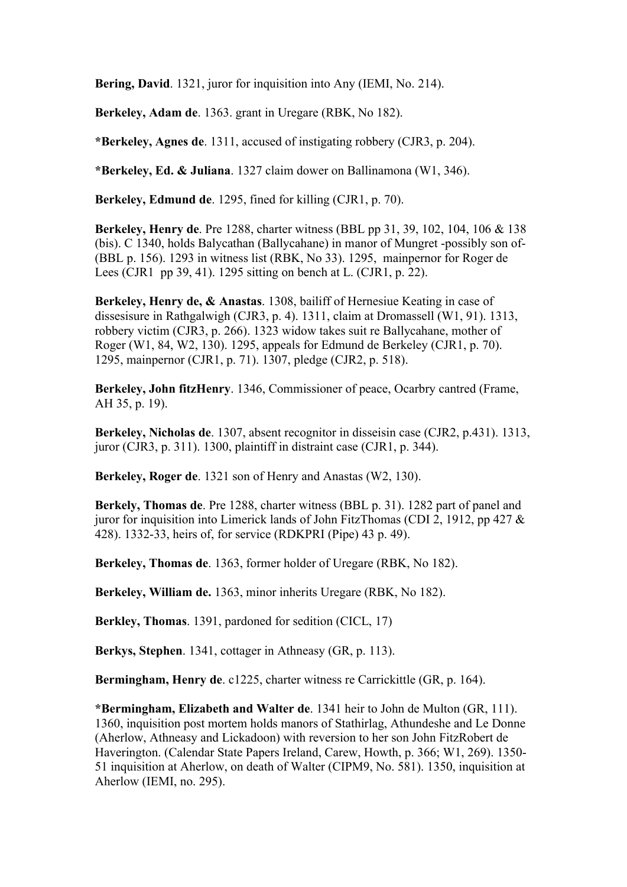**Bering, David**. 1321, juror for inquisition into Any (IEMI, No. 214).

**Berkeley, Adam de**. 1363. grant in Uregare (RBK, No 182).

**\*Berkeley, Agnes de**. 1311, accused of instigating robbery (CJR3, p. 204).

**\*Berkeley, Ed. & Juliana**. 1327 claim dower on Ballinamona (W1, 346).

**Berkeley, Edmund de**. 1295, fined for killing (CJR1, p. 70).

**Berkeley, Henry de**. Pre 1288, charter witness (BBL pp 31, 39, 102, 104, 106 & 138 (bis). C 1340, holds Balycathan (Ballycahane) in manor of Mungret -possibly son of- (BBL p. 156). 1293 in witness list (RBK, No 33). 1295, mainpernor for Roger de Lees (CJR1 pp 39, 41). 1295 sitting on bench at L. (CJR1, p. 22).

**Berkeley, Henry de, & Anastas**. 1308, bailiff of Hernesiue Keating in case of dissesisure in Rathgalwigh (CJR3, p. 4). 1311, claim at Dromassell (W1, 91). 1313, robbery victim (CJR3, p. 266). 1323 widow takes suit re Ballycahane, mother of Roger (W1, 84, W2, 130). 1295, appeals for Edmund de Berkeley (CJR1, p. 70). 1295, mainpernor (CJR1, p. 71). 1307, pledge (CJR2, p. 518).

**Berkeley, John fitzHenry**. 1346, Commissioner of peace, Ocarbry cantred (Frame, AH 35, p. 19).

**Berkeley, Nicholas de**. 1307, absent recognitor in disseisin case (CJR2, p.431). 1313, juror (CJR3, p. 311). 1300, plaintiff in distraint case (CJR1, p. 344).

**Berkeley, Roger de**. 1321 son of Henry and Anastas (W2, 130).

**Berkely, Thomas de**. Pre 1288, charter witness (BBL p. 31). 1282 part of panel and juror for inquisition into Limerick lands of John FitzThomas (CDI 2, 1912, pp 427  $\&$ 428). 1332-33, heirs of, for service (RDKPRI (Pipe) 43 p. 49).

**Berkeley, Thomas de**. 1363, former holder of Uregare (RBK, No 182).

**Berkeley, William de.** 1363, minor inherits Uregare (RBK, No 182).

**Berkley, Thomas**. 1391, pardoned for sedition (CICL, 17)

**Berkys, Stephen**. 1341, cottager in Athneasy (GR, p. 113).

**Bermingham, Henry de**. c1225, charter witness re Carrickittle (GR, p. 164).

**\*Bermingham, Elizabeth and Walter de**. 1341 heir to John de Multon (GR, 111). 1360, inquisition post mortem holds manors of Stathirlag, Athundeshe and Le Donne (Aherlow, Athneasy and Lickadoon) with reversion to her son John FitzRobert de Haverington. (Calendar State Papers Ireland, Carew, Howth, p. 366; W1, 269). 1350- 51 inquisition at Aherlow, on death of Walter (CIPM9, No. 581). 1350, inquisition at Aherlow (IEMI, no. 295).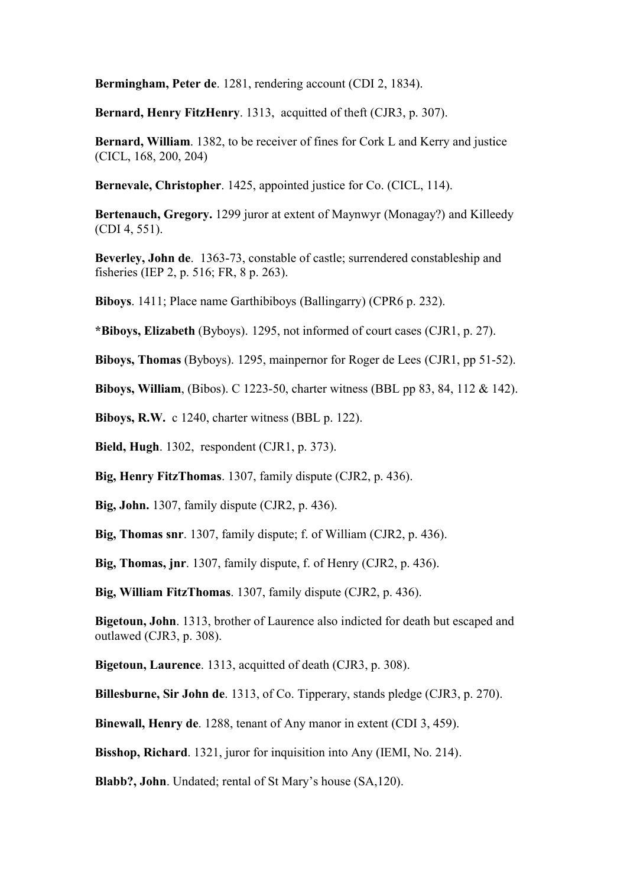**Bermingham, Peter de**. 1281, rendering account (CDI 2, 1834).

**Bernard, Henry FitzHenry**. 1313, acquitted of theft (CJR3, p. 307).

**Bernard, William**. 1382, to be receiver of fines for Cork L and Kerry and justice (CICL, 168, 200, 204)

**Bernevale, Christopher**. 1425, appointed justice for Co. (CICL, 114).

**Bertenauch, Gregory.** 1299 juror at extent of Maynwyr (Monagay?) and Killeedy (CDI 4, 551).

**Beverley, John de**. 1363-73, constable of castle; surrendered constableship and fisheries (IEP 2, p. 516; FR, 8 p. 263).

**Biboys**. 1411; Place name Garthibiboys (Ballingarry) (CPR6 p. 232).

**\*Biboys, Elizabeth** (Byboys). 1295, not informed of court cases (CJR1, p. 27).

**Biboys, Thomas** (Byboys). 1295, mainpernor for Roger de Lees (CJR1, pp 51-52).

**Biboys, William**, (Bibos). C 1223-50, charter witness (BBL pp 83, 84, 112 & 142).

**Biboys, R.W.** c 1240, charter witness (BBL p. 122).

**Bield, Hugh**. 1302, respondent (CJR1, p. 373).

**Big, Henry FitzThomas**. 1307, family dispute (CJR2, p. 436).

**Big, John.** 1307, family dispute (CJR2, p. 436).

**Big, Thomas snr**. 1307, family dispute; f. of William (CJR2, p. 436).

**Big, Thomas, jnr**. 1307, family dispute, f. of Henry (CJR2, p. 436).

**Big, William FitzThomas**. 1307, family dispute (CJR2, p. 436).

**Bigetoun, John**. 1313, brother of Laurence also indicted for death but escaped and outlawed (CJR3, p. 308).

**Bigetoun, Laurence**. 1313, acquitted of death (CJR3, p. 308).

**Billesburne, Sir John de**. 1313, of Co. Tipperary, stands pledge (CJR3, p. 270).

**Binewall, Henry de**. 1288, tenant of Any manor in extent (CDI 3, 459).

**Bisshop, Richard**. 1321, juror for inquisition into Any (IEMI, No. 214).

**Blabb?, John**. Undated; rental of St Mary's house (SA,120).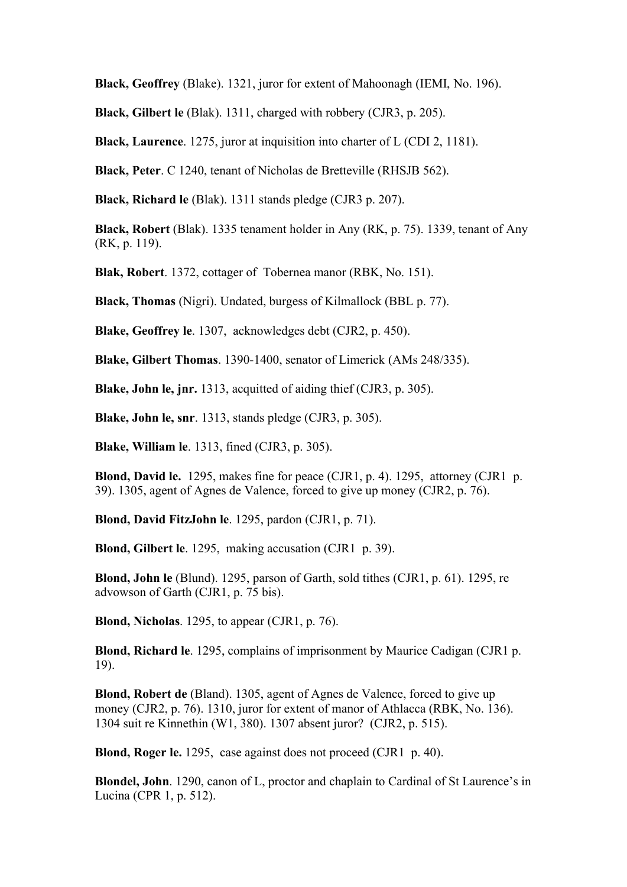**Black, Geoffrey** (Blake). 1321, juror for extent of Mahoonagh (IEMI, No. 196).

**Black, Gilbert le** (Blak). 1311, charged with robbery (CJR3, p. 205).

**Black, Laurence**. 1275, juror at inquisition into charter of L (CDI 2, 1181).

**Black, Peter**. C 1240, tenant of Nicholas de Bretteville (RHSJB 562).

**Black, Richard le** (Blak). 1311 stands pledge (CJR3 p. 207).

**Black, Robert** (Blak). 1335 tenament holder in Any (RK, p. 75). 1339, tenant of Any (RK, p. 119).

**Blak, Robert**. 1372, cottager of Tobernea manor (RBK, No. 151).

**Black, Thomas** (Nigri). Undated, burgess of Kilmallock (BBL p. 77).

**Blake, Geoffrey le**. 1307, acknowledges debt (CJR2, p. 450).

**Blake, Gilbert Thomas**. 1390-1400, senator of Limerick (AMs 248/335).

**Blake, John le, jnr.** 1313, acquitted of aiding thief (CJR3, p. 305).

**Blake, John le, snr**. 1313, stands pledge (CJR3, p. 305).

**Blake, William le**. 1313, fined (CJR3, p. 305).

**Blond, David le.** 1295, makes fine for peace (CJR1, p. 4). 1295, attorney (CJR1 p. 39). 1305, agent of Agnes de Valence, forced to give up money (CJR2, p. 76).

**Blond, David FitzJohn le**. 1295, pardon (CJR1, p. 71).

**Blond, Gilbert le**. 1295, making accusation (CJR1 p. 39).

**Blond, John le** (Blund). 1295, parson of Garth, sold tithes (CJR1, p. 61). 1295, re advowson of Garth (CJR1, p. 75 bis).

**Blond, Nicholas**. 1295, to appear (CJR1, p. 76).

**Blond, Richard le**. 1295, complains of imprisonment by Maurice Cadigan (CJR1 p. 19).

**Blond, Robert de** (Bland). 1305, agent of Agnes de Valence, forced to give up money (CJR2, p. 76). 1310, juror for extent of manor of Athlacca (RBK, No. 136). 1304 suit re Kinnethin (W1, 380). 1307 absent juror? (CJR2, p. 515).

**Blond, Roger le.** 1295, case against does not proceed (CJR1 p. 40).

**Blondel, John**. 1290, canon of L, proctor and chaplain to Cardinal of St Laurence's in Lucina (CPR 1, p. 512).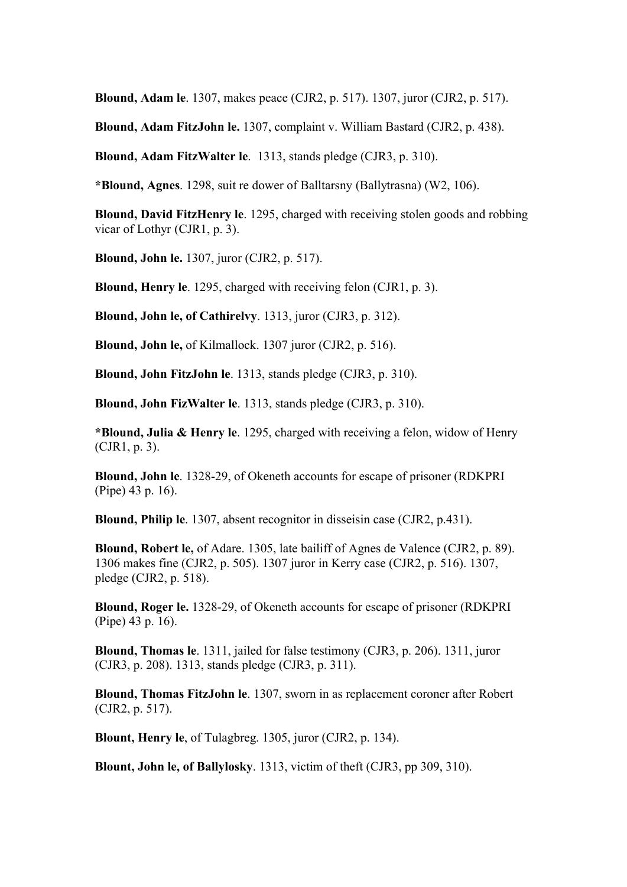**Blound, Adam le**. 1307, makes peace (CJR2, p. 517). 1307, juror (CJR2, p. 517).

**Blound, Adam FitzJohn le.** 1307, complaint v. William Bastard (CJR2, p. 438).

**Blound, Adam FitzWalter le**. 1313, stands pledge (CJR3, p. 310).

**\*Blound, Agnes**. 1298, suit re dower of Balltarsny (Ballytrasna) (W2, 106).

**Blound, David FitzHenry le**. 1295, charged with receiving stolen goods and robbing vicar of Lothyr (CJR1, p. 3).

**Blound, John le.** 1307, juror (CJR2, p. 517).

**Blound, Henry le**. 1295, charged with receiving felon (CJR1, p. 3).

**Blound, John le, of Cathirelvy**. 1313, juror (CJR3, p. 312).

**Blound, John le,** of Kilmallock. 1307 juror (CJR2, p. 516).

**Blound, John FitzJohn le**. 1313, stands pledge (CJR3, p. 310).

**Blound, John FizWalter le**. 1313, stands pledge (CJR3, p. 310).

**\*Blound, Julia & Henry le**. 1295, charged with receiving a felon, widow of Henry (CJR1, p. 3).

**Blound, John le**. 1328-29, of Okeneth accounts for escape of prisoner (RDKPRI (Pipe) 43 p. 16).

**Blound, Philip le**. 1307, absent recognitor in disseisin case (CJR2, p.431).

**Blound, Robert le,** of Adare. 1305, late bailiff of Agnes de Valence (CJR2, p. 89). 1306 makes fine (CJR2, p. 505). 1307 juror in Kerry case (CJR2, p. 516). 1307, pledge (CJR2, p. 518).

**Blound, Roger le.** 1328-29, of Okeneth accounts for escape of prisoner (RDKPRI (Pipe) 43 p. 16).

**Blound, Thomas le**. 1311, jailed for false testimony (CJR3, p. 206). 1311, juror (CJR3, p. 208). 1313, stands pledge (CJR3, p. 311).

**Blound, Thomas FitzJohn le**. 1307, sworn in as replacement coroner after Robert (CJR2, p. 517).

**Blount, Henry le**, of Tulagbreg. 1305, juror (CJR2, p. 134).

**Blount, John le, of Ballylosky**. 1313, victim of theft (CJR3, pp 309, 310).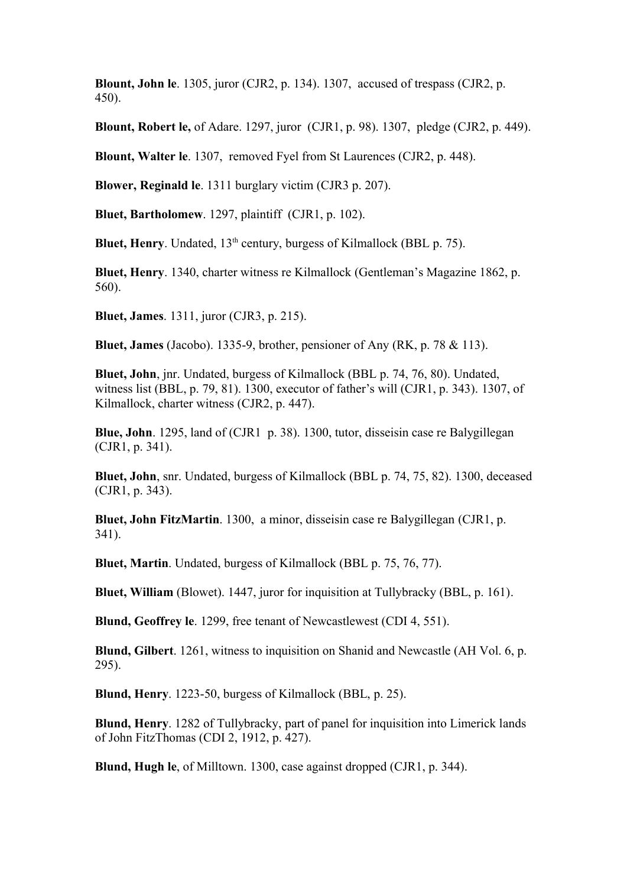**Blount, John le**. 1305, juror (CJR2, p. 134). 1307, accused of trespass (CJR2, p. 450).

**Blount, Robert le,** of Adare. 1297, juror (CJR1, p. 98). 1307, pledge (CJR2, p. 449).

**Blount, Walter le**. 1307, removed Fyel from St Laurences (CJR2, p. 448).

**Blower, Reginald le**. 1311 burglary victim (CJR3 p. 207).

**Bluet, Bartholomew**. 1297, plaintiff (CJR1, p. 102).

**Bluet, Henry**. Undated, 13<sup>th</sup> century, burgess of Kilmallock (BBL p. 75).

**Bluet, Henry**. 1340, charter witness re Kilmallock (Gentleman's Magazine 1862, p. 560).

**Bluet, James**. 1311, juror (CJR3, p. 215).

**Bluet, James** (Jacobo). 1335-9, brother, pensioner of Any (RK, p. 78 & 113).

**Bluet, John**, jnr. Undated, burgess of Kilmallock (BBL p. 74, 76, 80). Undated, witness list (BBL, p. 79, 81). 1300, executor of father's will (CJR1, p. 343). 1307, of Kilmallock, charter witness (CJR2, p. 447).

**Blue, John**. 1295, land of (CJR1 p. 38). 1300, tutor, disseisin case re Balygillegan (CJR1, p. 341).

**Bluet, John**, snr. Undated, burgess of Kilmallock (BBL p. 74, 75, 82). 1300, deceased (CJR1, p. 343).

**Bluet, John FitzMartin**. 1300, a minor, disseisin case re Balygillegan (CJR1, p. 341).

**Bluet, Martin**. Undated, burgess of Kilmallock (BBL p. 75, 76, 77).

**Bluet, William** (Blowet). 1447, juror for inquisition at Tullybracky (BBL, p. 161).

**Blund, Geoffrey le**. 1299, free tenant of Newcastlewest (CDI 4, 551).

**Blund, Gilbert**. 1261, witness to inquisition on Shanid and Newcastle (AH Vol. 6, p. 295).

**Blund, Henry**. 1223-50, burgess of Kilmallock (BBL, p. 25).

**Blund, Henry**. 1282 of Tullybracky, part of panel for inquisition into Limerick lands of John FitzThomas (CDI 2, 1912, p. 427).

**Blund, Hugh le**, of Milltown. 1300, case against dropped (CJR1, p. 344).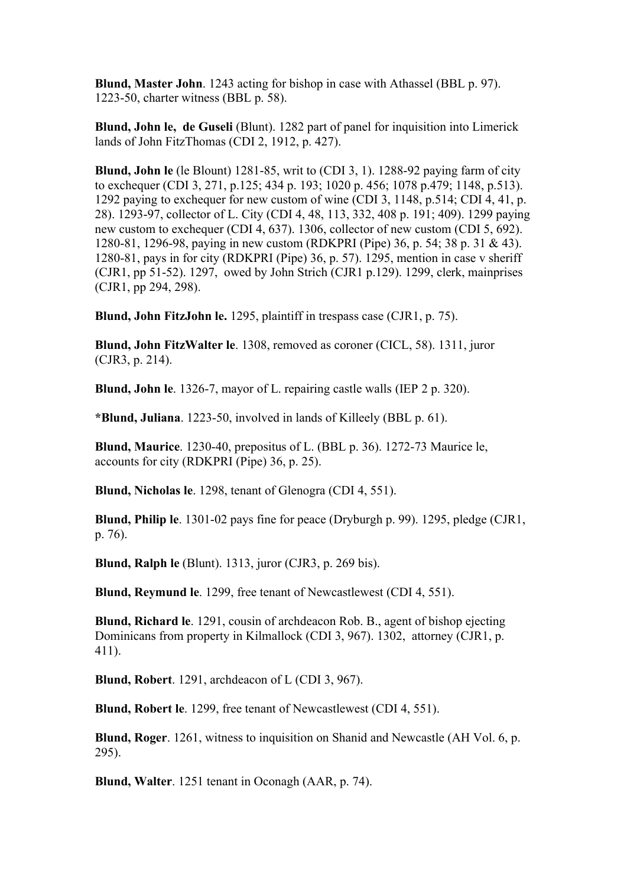**Blund, Master John**. 1243 acting for bishop in case with Athassel (BBL p. 97). 1223-50, charter witness (BBL p. 58).

**Blund, John le, de Guseli** (Blunt). 1282 part of panel for inquisition into Limerick lands of John FitzThomas (CDI 2, 1912, p. 427).

**Blund, John le** (le Blount) 1281-85, writ to (CDI 3, 1). 1288-92 paying farm of city to exchequer (CDI 3, 271, p.125; 434 p. 193; 1020 p. 456; 1078 p.479; 1148, p.513). 1292 paying to exchequer for new custom of wine (CDI 3, 1148, p.514; CDI 4, 41, p. 28). 1293-97, collector of L. City (CDI 4, 48, 113, 332, 408 p. 191; 409). 1299 paying new custom to exchequer (CDI 4, 637). 1306, collector of new custom (CDI 5, 692). 1280-81, 1296-98, paying in new custom (RDKPRI (Pipe) 36, p. 54; 38 p. 31 & 43). 1280-81, pays in for city (RDKPRI (Pipe) 36, p. 57). 1295, mention in case v sheriff (CJR1, pp 51-52). 1297, owed by John Strich (CJR1 p.129). 1299, clerk, mainprises (CJR1, pp 294, 298).

**Blund, John FitzJohn le.** 1295, plaintiff in trespass case (CJR1, p. 75).

**Blund, John FitzWalter le**. 1308, removed as coroner (CICL, 58). 1311, juror (CJR3, p. 214).

**Blund, John le**. 1326-7, mayor of L. repairing castle walls (IEP 2 p. 320).

**\*Blund, Juliana**. 1223-50, involved in lands of Killeely (BBL p. 61).

**Blund, Maurice**. 1230-40, prepositus of L. (BBL p. 36). 1272-73 Maurice le, accounts for city (RDKPRI (Pipe) 36, p. 25).

**Blund, Nicholas le**. 1298, tenant of Glenogra (CDI 4, 551).

**Blund, Philip le**. 1301-02 pays fine for peace (Dryburgh p. 99). 1295, pledge (CJR1, p. 76).

**Blund, Ralph le** (Blunt). 1313, juror (CJR3, p. 269 bis).

**Blund, Reymund le**. 1299, free tenant of Newcastlewest (CDI 4, 551).

**Blund, Richard le**. 1291, cousin of archdeacon Rob. B., agent of bishop ejecting Dominicans from property in Kilmallock (CDI 3, 967). 1302, attorney (CJR1, p. 411).

**Blund, Robert**. 1291, archdeacon of L (CDI 3, 967).

**Blund, Robert le**. 1299, free tenant of Newcastlewest (CDI 4, 551).

**Blund, Roger**. 1261, witness to inquisition on Shanid and Newcastle (AH Vol. 6, p. 295).

**Blund, Walter**. 1251 tenant in Oconagh (AAR, p. 74).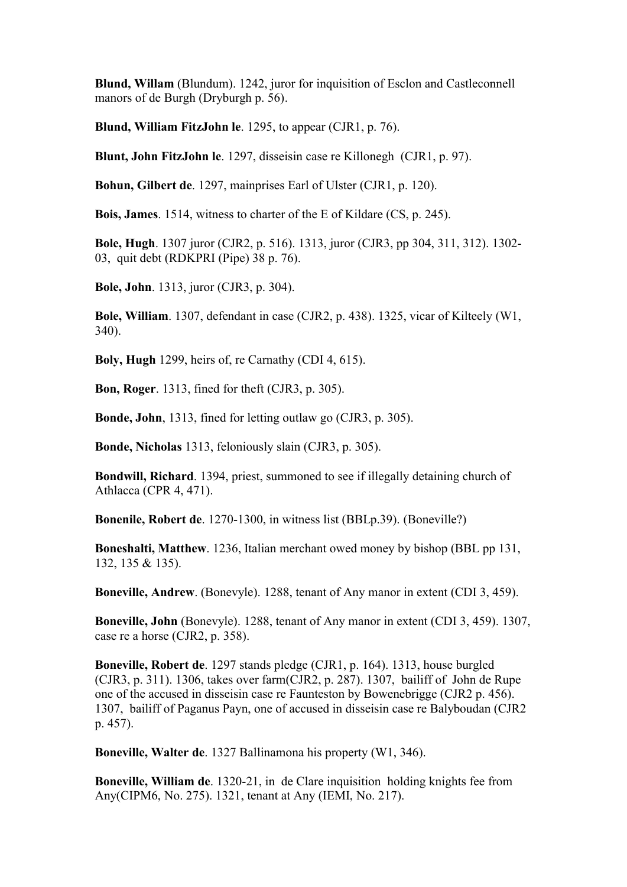**Blund, Willam** (Blundum). 1242, juror for inquisition of Esclon and Castleconnell manors of de Burgh (Dryburgh p. 56).

**Blund, William FitzJohn le**. 1295, to appear (CJR1, p. 76).

**Blunt, John FitzJohn le**. 1297, disseisin case re Killonegh (CJR1, p. 97).

**Bohun, Gilbert de**. 1297, mainprises Earl of Ulster (CJR1, p. 120).

**Bois, James**. 1514, witness to charter of the E of Kildare (CS, p. 245).

**Bole, Hugh**. 1307 juror (CJR2, p. 516). 1313, juror (CJR3, pp 304, 311, 312). 1302- 03, quit debt (RDKPRI (Pipe) 38 p. 76).

**Bole, John**. 1313, juror (CJR3, p. 304).

**Bole, William**. 1307, defendant in case (CJR2, p. 438). 1325, vicar of Kilteely (W1, 340).

**Boly, Hugh** 1299, heirs of, re Carnathy (CDI 4, 615).

**Bon, Roger**. 1313, fined for theft (CJR3, p. 305).

**Bonde, John**, 1313, fined for letting outlaw go (CJR3, p. 305).

**Bonde, Nicholas** 1313, feloniously slain (CJR3, p. 305).

**Bondwill, Richard**. 1394, priest, summoned to see if illegally detaining church of Athlacca (CPR 4, 471).

**Bonenile, Robert de**. 1270-1300, in witness list (BBLp.39). (Boneville?)

**Boneshalti, Matthew**. 1236, Italian merchant owed money by bishop (BBL pp 131, 132, 135 & 135).

**Boneville, Andrew**. (Bonevyle). 1288, tenant of Any manor in extent (CDI 3, 459).

**Boneville, John** (Bonevyle). 1288, tenant of Any manor in extent (CDI 3, 459). 1307, case re a horse (CJR2, p. 358).

**Boneville, Robert de**. 1297 stands pledge (CJR1, p. 164). 1313, house burgled (CJR3, p. 311). 1306, takes over farm(CJR2, p. 287). 1307, bailiff of John de Rupe one of the accused in disseisin case re Faunteston by Bowenebrigge (CJR2 p. 456). 1307, bailiff of Paganus Payn, one of accused in disseisin case re Balyboudan (CJR2 p. 457).

**Boneville, Walter de**. 1327 Ballinamona his property (W1, 346).

**Boneville, William de**. 1320-21, in de Clare inquisition holding knights fee from Any(CIPM6, No. 275). 1321, tenant at Any (IEMI, No. 217).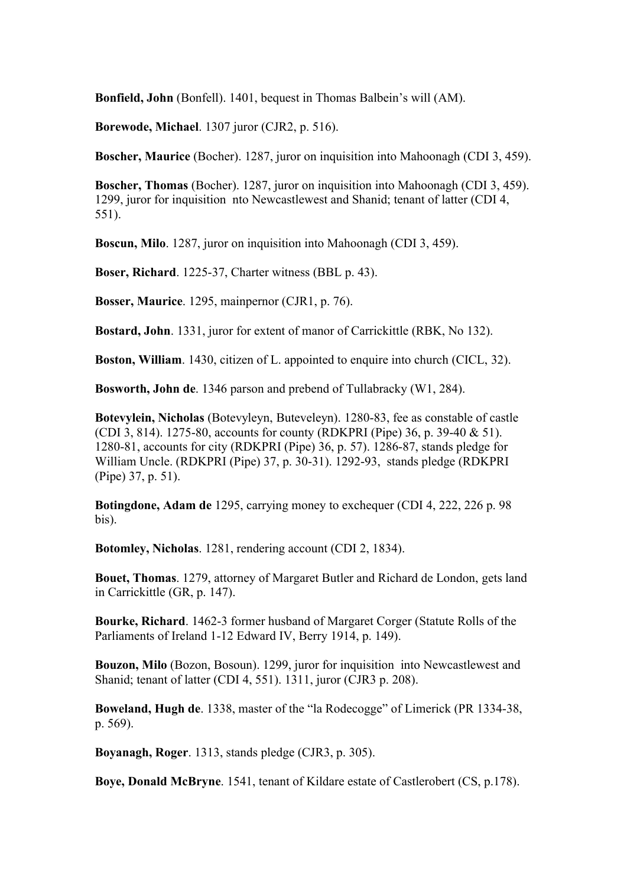**Bonfield, John** (Bonfell). 1401, bequest in Thomas Balbein's will (AM).

**Borewode, Michael**. 1307 juror (CJR2, p. 516).

**Boscher, Maurice** (Bocher). 1287, juror on inquisition into Mahoonagh (CDI 3, 459).

**Boscher, Thomas** (Bocher). 1287, juror on inquisition into Mahoonagh (CDI 3, 459). 1299, juror for inquisition nto Newcastlewest and Shanid; tenant of latter (CDI 4, 551).

**Boscun, Milo**. 1287, juror on inquisition into Mahoonagh (CDI 3, 459).

**Boser, Richard**. 1225-37, Charter witness (BBL p. 43).

**Bosser, Maurice**. 1295, mainpernor (CJR1, p. 76).

**Bostard, John**. 1331, juror for extent of manor of Carrickittle (RBK, No 132).

**Boston, William**. 1430, citizen of L. appointed to enquire into church (CICL, 32).

**Bosworth, John de**. 1346 parson and prebend of Tullabracky (W1, 284).

**Botevylein, Nicholas** (Botevyleyn, Buteveleyn). 1280-83, fee as constable of castle (CDI 3, 814). 1275-80, accounts for county (RDKPRI (Pipe) 36, p. 39-40 & 51). 1280-81, accounts for city (RDKPRI (Pipe) 36, p. 57). 1286-87, stands pledge for William Uncle. (RDKPRI (Pipe) 37, p. 30-31). 1292-93, stands pledge (RDKPRI (Pipe) 37, p. 51).

**Botingdone, Adam de** 1295, carrying money to exchequer (CDI 4, 222, 226 p. 98 bis).

**Botomley, Nicholas**. 1281, rendering account (CDI 2, 1834).

**Bouet, Thomas**. 1279, attorney of Margaret Butler and Richard de London, gets land in Carrickittle (GR, p. 147).

**Bourke, Richard**. 1462-3 former husband of Margaret Corger (Statute Rolls of the Parliaments of Ireland 1-12 Edward IV, Berry 1914, p. 149).

**Bouzon, Milo** (Bozon, Bosoun). 1299, juror for inquisition into Newcastlewest and Shanid; tenant of latter (CDI 4, 551). 1311, juror (CJR3 p. 208).

**Boweland, Hugh de**. 1338, master of the "la Rodecogge" of Limerick (PR 1334-38, p. 569).

**Boyanagh, Roger**. 1313, stands pledge (CJR3, p. 305).

**Boye, Donald McBryne**. 1541, tenant of Kildare estate of Castlerobert (CS, p.178).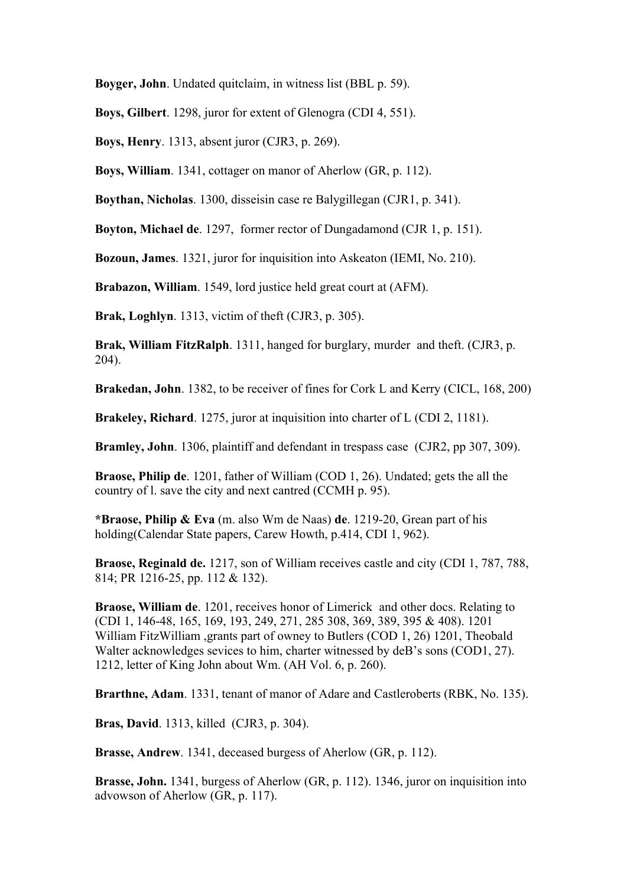**Boyger, John**. Undated quitclaim, in witness list (BBL p. 59).

**Boys, Gilbert**. 1298, juror for extent of Glenogra (CDI 4, 551).

**Boys, Henry**. 1313, absent juror (CJR3, p. 269).

**Boys, William**. 1341, cottager on manor of Aherlow (GR, p. 112).

**Boythan, Nicholas**. 1300, disseisin case re Balygillegan (CJR1, p. 341).

**Boyton, Michael de**. 1297, former rector of Dungadamond (CJR 1, p. 151).

**Bozoun, James**. 1321, juror for inquisition into Askeaton (IEMI, No. 210).

**Brabazon, William**. 1549, lord justice held great court at (AFM).

**Brak, Loghlyn**. 1313, victim of theft (CJR3, p. 305).

**Brak, William FitzRalph**. 1311, hanged for burglary, murder and theft. (CJR3, p. 204).

**Brakedan, John**. 1382, to be receiver of fines for Cork L and Kerry (CICL, 168, 200)

**Brakeley, Richard**. 1275, juror at inquisition into charter of L (CDI 2, 1181).

**Bramley, John**. 1306, plaintiff and defendant in trespass case (CJR2, pp 307, 309).

**Braose, Philip de**. 1201, father of William (COD 1, 26). Undated; gets the all the country of l. save the city and next cantred (CCMH p. 95).

**\*Braose, Philip & Eva** (m. also Wm de Naas) **de**. 1219-20, Grean part of his holding(Calendar State papers, Carew Howth, p.414, CDI 1, 962).

**Braose, Reginald de.** 1217, son of William receives castle and city (CDI 1, 787, 788, 814; PR 1216-25, pp. 112 & 132).

**Braose, William de**. 1201, receives honor of Limerick and other docs. Relating to (CDI 1, 146-48, 165, 169, 193, 249, 271, 285 308, 369, 389, 395 & 408). 1201 William FitzWilliam ,grants part of owney to Butlers (COD 1, 26) 1201, Theobald Walter acknowledges sevices to him, charter witnessed by deB's sons (COD1, 27). 1212, letter of King John about Wm. (AH Vol. 6, p. 260).

**Brarthne, Adam**. 1331, tenant of manor of Adare and Castleroberts (RBK, No. 135).

**Bras, David**. 1313, killed (CJR3, p. 304).

**Brasse, Andrew**. 1341, deceased burgess of Aherlow (GR, p. 112).

**Brasse, John.** 1341, burgess of Aherlow (GR, p. 112). 1346, juror on inquisition into advowson of Aherlow (GR, p. 117).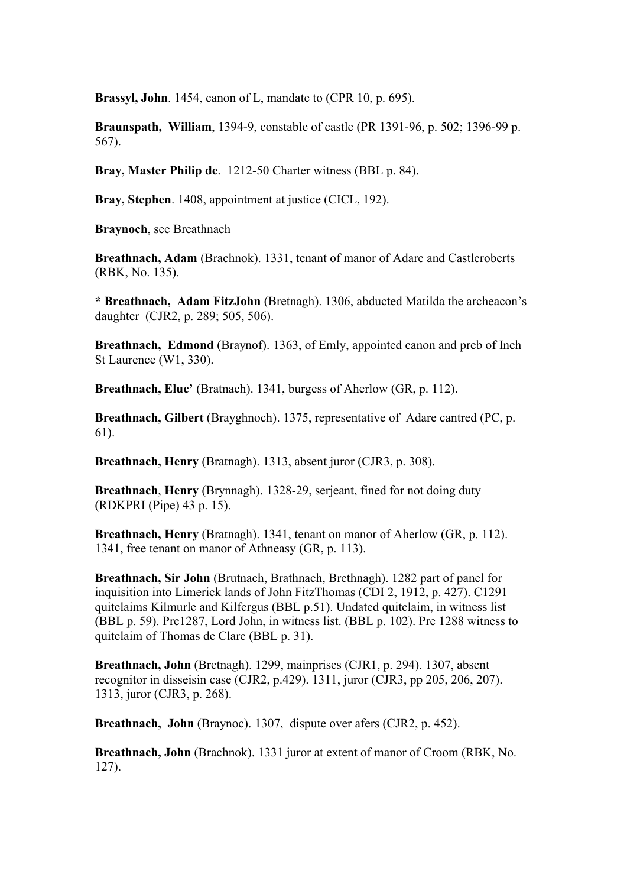**Brassyl, John**. 1454, canon of L, mandate to (CPR 10, p. 695).

**Braunspath, William**, 1394-9, constable of castle (PR 1391-96, p. 502; 1396-99 p. 567).

**Bray, Master Philip de**. 1212-50 Charter witness (BBL p. 84).

**Bray, Stephen**. 1408, appointment at justice (CICL, 192).

**Braynoch**, see Breathnach

**Breathnach, Adam** (Brachnok). 1331, tenant of manor of Adare and Castleroberts (RBK, No. 135).

**\* Breathnach, Adam FitzJohn** (Bretnagh). 1306, abducted Matilda the archeacon's daughter (CJR2, p. 289; 505, 506).

**Breathnach, Edmond** (Braynof). 1363, of Emly, appointed canon and preb of Inch St Laurence (W1, 330).

**Breathnach, Eluc' (Bratnach). 1341, burgess of Aherlow (GR, p. 112).** 

**Breathnach, Gilbert** (Brayghnoch). 1375, representative of Adare cantred (PC, p. 61).

**Breathnach, Henry** (Bratnagh). 1313, absent juror (CJR3, p. 308).

**Breathnach**, **Henry** (Brynnagh). 1328-29, serjeant, fined for not doing duty (RDKPRI (Pipe) 43 p. 15).

**Breathnach, Henry** (Bratnagh). 1341, tenant on manor of Aherlow (GR, p. 112). 1341, free tenant on manor of Athneasy (GR, p. 113).

**Breathnach, Sir John** (Brutnach, Brathnach, Brethnagh). 1282 part of panel for inquisition into Limerick lands of John FitzThomas (CDI 2, 1912, p. 427). C1291 quitclaims Kilmurle and Kilfergus (BBL p.51). Undated quitclaim, in witness list (BBL p. 59). Pre1287, Lord John, in witness list. (BBL p. 102). Pre 1288 witness to quitclaim of Thomas de Clare (BBL p. 31).

**Breathnach, John** (Bretnagh). 1299, mainprises (CJR1, p. 294). 1307, absent recognitor in disseisin case (CJR2, p.429). 1311, juror (CJR3, pp 205, 206, 207). 1313, juror (CJR3, p. 268).

**Breathnach, John** (Braynoc). 1307, dispute over afers (CJR2, p. 452).

**Breathnach, John** (Brachnok). 1331 juror at extent of manor of Croom (RBK, No. 127).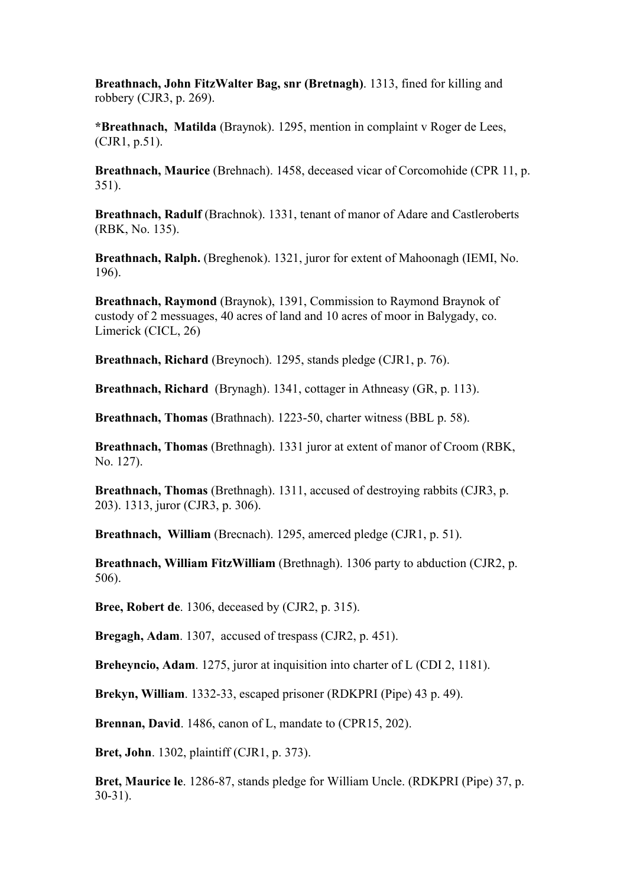**Breathnach, John FitzWalter Bag, snr (Bretnagh)**. 1313, fined for killing and robbery (CJR3, p. 269).

**\*Breathnach, Matilda** (Braynok). 1295, mention in complaint v Roger de Lees, (CJR1, p.51).

**Breathnach, Maurice** (Brehnach). 1458, deceased vicar of Corcomohide (CPR 11, p. 351).

**Breathnach, Radulf** (Brachnok). 1331, tenant of manor of Adare and Castleroberts (RBK, No. 135).

**Breathnach, Ralph.** (Breghenok). 1321, juror for extent of Mahoonagh (IEMI, No. 196).

**Breathnach, Raymond** (Braynok), 1391, Commission to Raymond Braynok of custody of 2 messuages, 40 acres of land and 10 acres of moor in Balygady, co. Limerick (CICL, 26)

**Breathnach, Richard** (Breynoch). 1295, stands pledge (CJR1, p. 76).

**Breathnach, Richard** (Brynagh). 1341, cottager in Athneasy (GR, p. 113).

**Breathnach, Thomas** (Brathnach). 1223-50, charter witness (BBL p. 58).

**Breathnach, Thomas** (Brethnagh). 1331 juror at extent of manor of Croom (RBK, No. 127).

**Breathnach, Thomas** (Brethnagh). 1311, accused of destroying rabbits (CJR3, p. 203). 1313, juror (CJR3, p. 306).

**Breathnach, William** (Brecnach). 1295, amerced pledge (CJR1, p. 51).

**Breathnach, William FitzWilliam** (Brethnagh). 1306 party to abduction (CJR2, p. 506).

**Bree, Robert de**. 1306, deceased by (CJR2, p. 315).

**Bregagh, Adam**. 1307, accused of trespass (CJR2, p. 451).

**Breheyncio, Adam**. 1275, juror at inquisition into charter of L (CDI 2, 1181).

**Brekyn, William**. 1332-33, escaped prisoner (RDKPRI (Pipe) 43 p. 49).

**Brennan, David**. 1486, canon of L, mandate to (CPR15, 202).

**Bret, John**. 1302, plaintiff (CJR1, p. 373).

**Bret, Maurice le**. 1286-87, stands pledge for William Uncle. (RDKPRI (Pipe) 37, p. 30-31).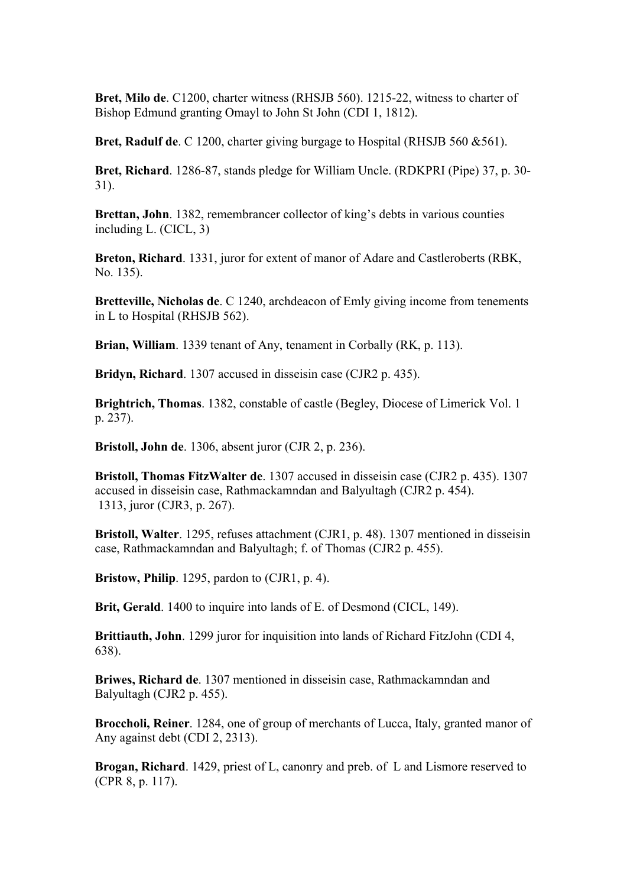**Bret, Milo de**. C1200, charter witness (RHSJB 560). 1215-22, witness to charter of Bishop Edmund granting Omayl to John St John (CDI 1, 1812).

**Bret, Radulf de**. C 1200, charter giving burgage to Hospital (RHSJB 560 &561).

**Bret, Richard**. 1286-87, stands pledge for William Uncle. (RDKPRI (Pipe) 37, p. 30- 31).

**Brettan, John**. 1382, remembrancer collector of king's debts in various counties including L. (CICL, 3)

**Breton, Richard**. 1331, juror for extent of manor of Adare and Castleroberts (RBK, No. 135).

**Bretteville, Nicholas de**. C 1240, archdeacon of Emly giving income from tenements in L to Hospital (RHSJB 562).

**Brian, William**. 1339 tenant of Any, tenament in Corbally (RK, p. 113).

**Bridyn, Richard**. 1307 accused in disseisin case (CJR2 p. 435).

**Brightrich, Thomas**. 1382, constable of castle (Begley, Diocese of Limerick Vol. 1 p. 237).

**Bristoll, John de**. 1306, absent juror (CJR 2, p. 236).

**Bristoll, Thomas FitzWalter de**. 1307 accused in disseisin case (CJR2 p. 435). 1307 accused in disseisin case, Rathmackamndan and Balyultagh (CJR2 p. 454). 1313, juror (CJR3, p. 267).

**Bristoll, Walter**. 1295, refuses attachment (CJR1, p. 48). 1307 mentioned in disseisin case, Rathmackamndan and Balyultagh; f. of Thomas (CJR2 p. 455).

**Bristow, Philip**. 1295, pardon to (CJR1, p. 4).

**Brit, Gerald**. 1400 to inquire into lands of E. of Desmond (CICL, 149).

**Brittiauth, John**. 1299 juror for inquisition into lands of Richard FitzJohn (CDI 4, 638).

**Briwes, Richard de**. 1307 mentioned in disseisin case, Rathmackamndan and Balyultagh (CJR2 p. 455).

**Broccholi, Reiner**. 1284, one of group of merchants of Lucca, Italy, granted manor of Any against debt (CDI 2, 2313).

**Brogan, Richard**. 1429, priest of L, canonry and preb. of L and Lismore reserved to (CPR 8, p. 117).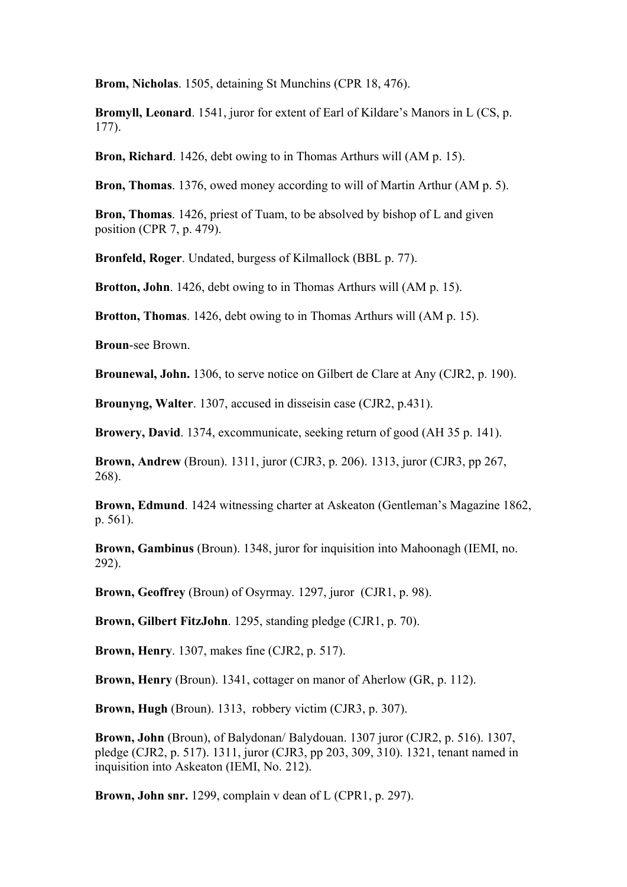**Brom, Nicholas**. 1505, detaining St Munchins (CPR 18, 476).

**Bromyll, Leonard**. 1541, juror for extent of Earl of Kildare's Manors in L (CS, p. 177).

**Bron, Richard**. 1426, debt owing to in Thomas Arthurs will (AM p. 15).

**Bron, Thomas**. 1376, owed money according to will of Martin Arthur (AM p. 5).

**Bron, Thomas**. 1426, priest of Tuam, to be absolved by bishop of L and given position (CPR 7, p. 479).

**Bronfeld, Roger**. Undated, burgess of Kilmallock (BBL p. 77).

**Brotton, John**. 1426, debt owing to in Thomas Arthurs will (AM p. 15).

**Brotton, Thomas**. 1426, debt owing to in Thomas Arthurs will (AM p. 15).

**Broun**-see Brown.

**Brounewal, John.** 1306, to serve notice on Gilbert de Clare at Any (CJR2, p. 190).

**Brounyng, Walter**. 1307, accused in disseisin case (CJR2, p.431).

**Browery, David**. 1374, excommunicate, seeking return of good (AH 35 p. 141).

**Brown, Andrew** (Broun). 1311, juror (CJR3, p. 206). 1313, juror (CJR3, pp 267, 268).

**Brown, Edmund**. 1424 witnessing charter at Askeaton (Gentleman's Magazine 1862, p. 561).

**Brown, Gambinus** (Broun). 1348, juror for inquisition into Mahoonagh (IEMI, no. 292).

**Brown, Geoffrey** (Broun) of Osyrmay. 1297, juror (CJR1, p. 98).

**Brown, Gilbert FitzJohn**. 1295, standing pledge (CJR1, p. 70).

**Brown, Henry**. 1307, makes fine (CJR2, p. 517).

**Brown, Henry** (Broun). 1341, cottager on manor of Aherlow (GR, p. 112).

**Brown, Hugh** (Broun). 1313, robbery victim (CJR3, p. 307).

**Brown, John** (Broun), of Balydonan/ Balydouan. 1307 juror (CJR2, p. 516). 1307, pledge (CJR2, p. 517). 1311, juror (CJR3, pp 203, 309, 310). 1321, tenant named in inquisition into Askeaton (IEMI, No. 212).

**Brown, John snr.** 1299, complain v dean of L (CPR1, p. 297).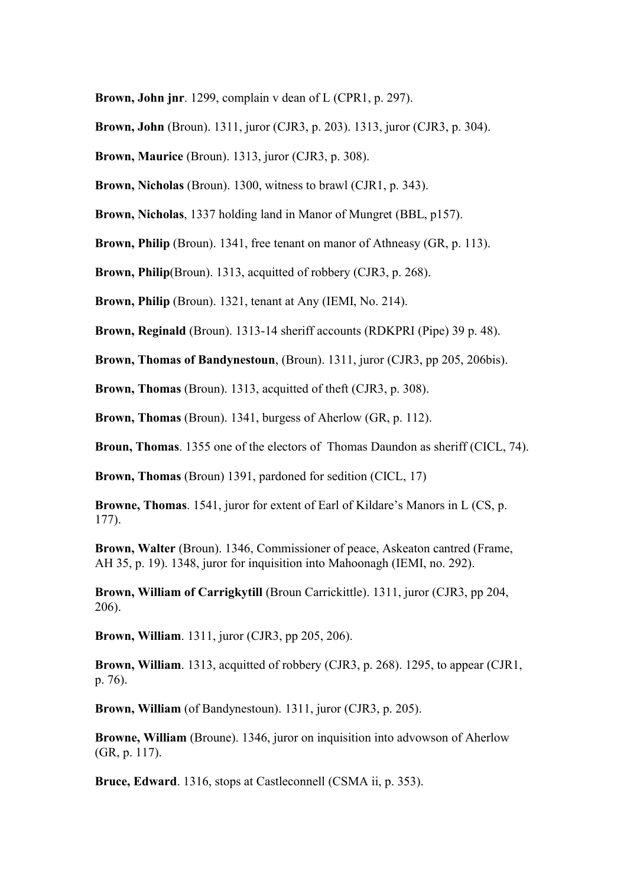**Brown, John jnr**. 1299, complain v dean of L (CPR1, p. 297).

**Brown, John** (Broun). 1311, juror (CJR3, p. 203). 1313, juror (CJR3, p. 304).

**Brown, Maurice** (Broun). 1313, juror (CJR3, p. 308).

**Brown, Nicholas** (Broun). 1300, witness to brawl (CJR1, p. 343).

**Brown, Nicholas**, 1337 holding land in Manor of Mungret (BBL, p157).

**Brown, Philip** (Broun). 1341, free tenant on manor of Athneasy (GR, p. 113).

**Brown, Philip**(Broun). 1313, acquitted of robbery (CJR3, p. 268).

**Brown, Philip** (Broun). 1321, tenant at Any (IEMI, No. 214).

**Brown, Reginald** (Broun). 1313-14 sheriff accounts (RDKPRI (Pipe) 39 p. 48).

**Brown, Thomas of Bandynestoun**, (Broun). 1311, juror (CJR3, pp 205, 206bis).

**Brown, Thomas** (Broun). 1313, acquitted of theft (CJR3, p. 308).

**Brown, Thomas** (Broun). 1341, burgess of Aherlow (GR, p. 112).

**Broun, Thomas**. 1355 one of the electors of Thomas Daundon as sheriff (CICL, 74).

**Brown, Thomas** (Broun) 1391, pardoned for sedition (CICL, 17)

**Browne, Thomas**. 1541, juror for extent of Earl of Kildare's Manors in L (CS, p. 177).

**Brown, Walter** (Broun). 1346, Commissioner of peace, Askeaton cantred (Frame, AH 35, p. 19). 1348, juror for inquisition into Mahoonagh (IEMI, no. 292).

**Brown, William of Carrigkytill** (Broun Carrickittle). 1311, juror (CJR3, pp 204, 206).

**Brown, William**. 1311, juror (CJR3, pp 205, 206).

**Brown, William**. 1313, acquitted of robbery (CJR3, p. 268). 1295, to appear (CJR1, p. 76).

**Brown, William** (of Bandynestoun). 1311, juror (CJR3, p. 205).

**Browne, William** (Broune). 1346, juror on inquisition into advowson of Aherlow (GR, p. 117).

**Bruce, Edward**. 1316, stops at Castleconnell (CSMA ii, p. 353).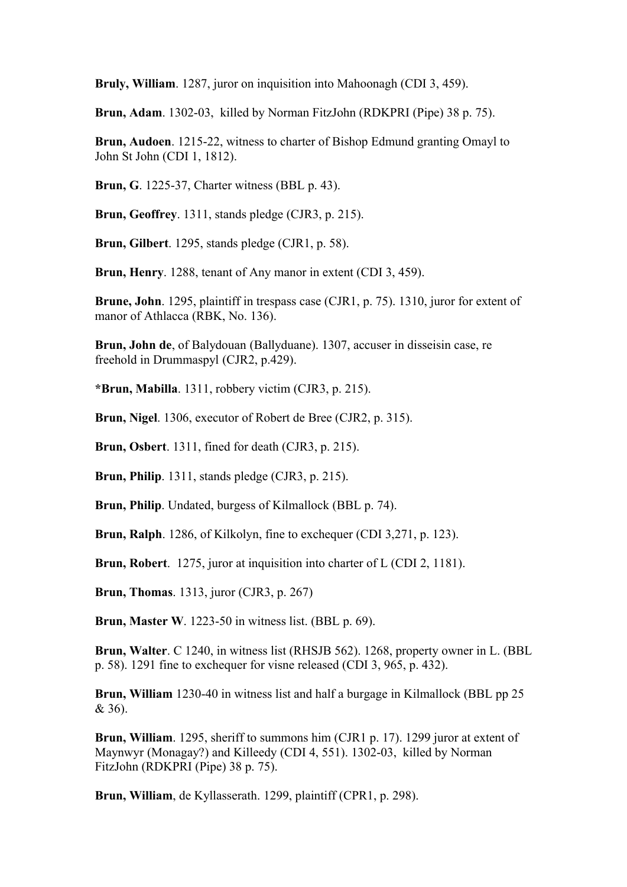**Bruly, William**. 1287, juror on inquisition into Mahoonagh (CDI 3, 459).

**Brun, Adam**. 1302-03, killed by Norman FitzJohn (RDKPRI (Pipe) 38 p. 75).

**Brun, Audoen**. 1215-22, witness to charter of Bishop Edmund granting Omayl to John St John (CDI 1, 1812).

**Brun, G**. 1225-37, Charter witness (BBL p. 43).

**Brun, Geoffrey**. 1311, stands pledge (CJR3, p. 215).

**Brun, Gilbert**. 1295, stands pledge (CJR1, p. 58).

**Brun, Henry**. 1288, tenant of Any manor in extent (CDI 3, 459).

**Brune, John**. 1295, plaintiff in trespass case (CJR1, p. 75). 1310, juror for extent of manor of Athlacca (RBK, No. 136).

**Brun, John de**, of Balydouan (Ballyduane). 1307, accuser in disseisin case, re freehold in Drummaspyl (CJR2, p.429).

**\*Brun, Mabilla**. 1311, robbery victim (CJR3, p. 215).

**Brun, Nigel**. 1306, executor of Robert de Bree (CJR2, p. 315).

**Brun, Osbert**. 1311, fined for death (CJR3, p. 215).

**Brun, Philip**. 1311, stands pledge (CJR3, p. 215).

**Brun, Philip**. Undated, burgess of Kilmallock (BBL p. 74).

**Brun, Ralph**. 1286, of Kilkolyn, fine to exchequer (CDI 3,271, p. 123).

**Brun, Robert**. 1275, juror at inquisition into charter of L (CDI 2, 1181).

**Brun, Thomas**. 1313, juror (CJR3, p. 267)

**Brun, Master W**. 1223-50 in witness list. (BBL p. 69).

**Brun, Walter**. C 1240, in witness list (RHSJB 562). 1268, property owner in L. (BBL p. 58). 1291 fine to exchequer for visne released (CDI 3, 965, p. 432).

**Brun, William** 1230-40 in witness list and half a burgage in Kilmallock (BBL pp 25 & 36).

**Brun, William**. 1295, sheriff to summons him (CJR1 p. 17). 1299 juror at extent of Maynwyr (Monagay?) and Killeedy (CDI 4, 551). 1302-03, killed by Norman FitzJohn (RDKPRI (Pipe) 38 p. 75).

**Brun, William**, de Kyllasserath. 1299, plaintiff (CPR1, p. 298).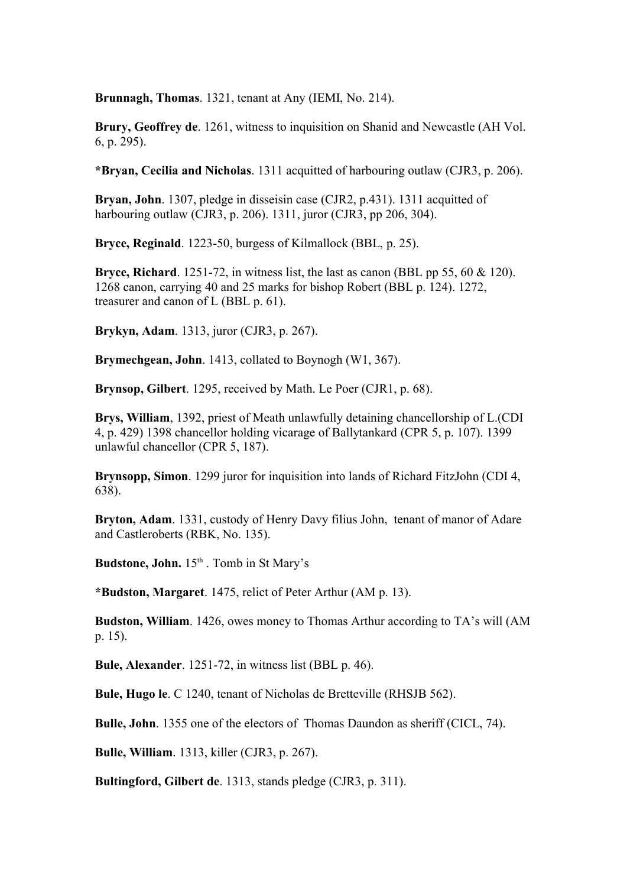**Brunnagh, Thomas**. 1321, tenant at Any (IEMI, No. 214).

**Brury, Geoffrey de**. 1261, witness to inquisition on Shanid and Newcastle (AH Vol. 6, p. 295).

**\*Bryan, Cecilia and Nicholas**. 1311 acquitted of harbouring outlaw (CJR3, p. 206).

**Bryan, John**. 1307, pledge in disseisin case (CJR2, p.431). 1311 acquitted of harbouring outlaw (CJR3, p. 206). 1311, juror (CJR3, pp 206, 304).

**Bryce, Reginald**. 1223-50, burgess of Kilmallock (BBL, p. 25).

**Bryce, Richard**. 1251-72, in witness list, the last as canon (BBL pp 55, 60 & 120). 1268 canon, carrying 40 and 25 marks for bishop Robert (BBL p. 124). 1272, treasurer and canon of L (BBL p. 61).

**Brykyn, Adam**. 1313, juror (CJR3, p. 267).

**Brymechgean, John**. 1413, collated to Boynogh (W1, 367).

**Brynsop, Gilbert**. 1295, received by Math. Le Poer (CJR1, p. 68).

**Brys, William**, 1392, priest of Meath unlawfully detaining chancellorship of L.(CDI 4, p. 429) 1398 chancellor holding vicarage of Ballytankard (CPR 5, p. 107). 1399 unlawful chancellor (CPR 5, 187).

**Brynsopp, Simon**. 1299 juror for inquisition into lands of Richard FitzJohn (CDI 4, 638).

**Bryton, Adam**. 1331, custody of Henry Davy filius John, tenant of manor of Adare and Castleroberts (RBK, No. 135).

Budstone, John. 15<sup>th</sup> . Tomb in St Mary's

**\*Budston, Margaret**. 1475, relict of Peter Arthur (AM p. 13).

**Budston, William**. 1426, owes money to Thomas Arthur according to TA's will (AM p. 15).

**Bule, Alexander**. 1251-72, in witness list (BBL p. 46).

**Bule, Hugo le**. C 1240, tenant of Nicholas de Bretteville (RHSJB 562).

**Bulle, John**. 1355 one of the electors of Thomas Daundon as sheriff (CICL, 74).

**Bulle, William**. 1313, killer (CJR3, p. 267).

**Bultingford, Gilbert de**. 1313, stands pledge (CJR3, p. 311).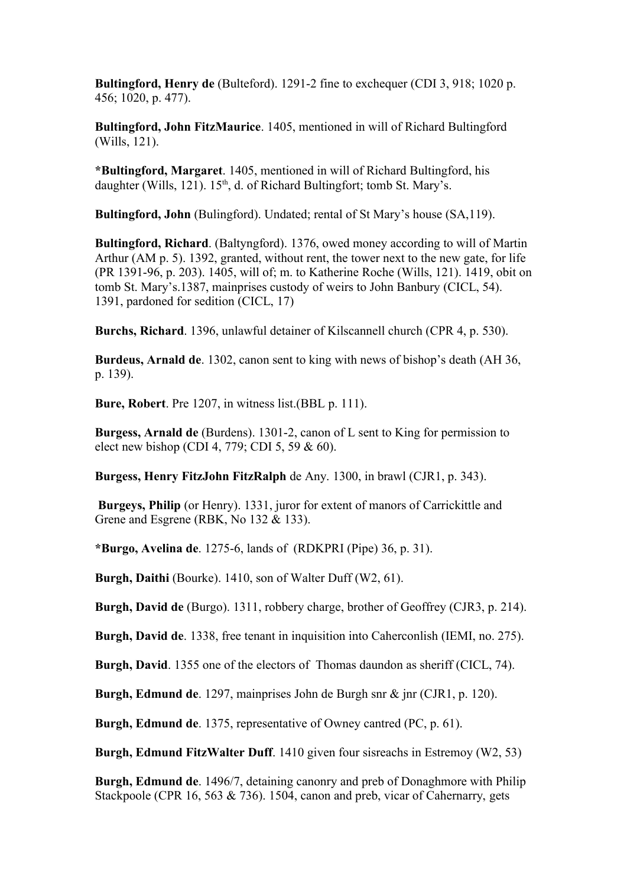**Bultingford, Henry de** (Bulteford). 1291-2 fine to exchequer (CDI 3, 918; 1020 p. 456; 1020, p. 477).

**Bultingford, John FitzMaurice**. 1405, mentioned in will of Richard Bultingford (Wills, 121).

**\*Bultingford, Margaret**. 1405, mentioned in will of Richard Bultingford, his daughter (Wills, 121).  $15<sup>th</sup>$ , d. of Richard Bultingfort; tomb St. Mary's.

**Bultingford, John** (Bulingford). Undated; rental of St Mary's house (SA,119).

**Bultingford, Richard**. (Baltyngford). 1376, owed money according to will of Martin Arthur (AM p. 5). 1392, granted, without rent, the tower next to the new gate, for life (PR 1391-96, p. 203). 1405, will of; m. to Katherine Roche (Wills, 121). 1419, obit on tomb St. Mary's.1387, mainprises custody of weirs to John Banbury (CICL, 54). 1391, pardoned for sedition (CICL, 17)

**Burchs, Richard**. 1396, unlawful detainer of Kilscannell church (CPR 4, p. 530).

**Burdeus, Arnald de**. 1302, canon sent to king with news of bishop's death (AH 36, p. 139).

**Bure, Robert**. Pre 1207, in witness list.(BBL p. 111).

**Burgess, Arnald de** (Burdens). 1301-2, canon of L sent to King for permission to elect new bishop (CDI 4, 779; CDI 5, 59 & 60).

**Burgess, Henry FitzJohn FitzRalph** de Any. 1300, in brawl (CJR1, p. 343).

 **Burgeys, Philip** (or Henry). 1331, juror for extent of manors of Carrickittle and Grene and Esgrene (RBK, No 132 & 133).

**\*Burgo, Avelina de**. 1275-6, lands of (RDKPRI (Pipe) 36, p. 31).

**Burgh, Daithi** (Bourke). 1410, son of Walter Duff (W2, 61).

**Burgh, David de** (Burgo). 1311, robbery charge, brother of Geoffrey (CJR3, p. 214).

**Burgh, David de**. 1338, free tenant in inquisition into Caherconlish (IEMI, no. 275).

**Burgh, David**. 1355 one of the electors of Thomas daundon as sheriff (CICL, 74).

**Burgh, Edmund de**. 1297, mainprises John de Burgh snr & jnr (CJR1, p. 120).

**Burgh, Edmund de**. 1375, representative of Owney cantred (PC, p. 61).

**Burgh, Edmund FitzWalter Duff**. 1410 given four sisreachs in Estremoy (W2, 53)

**Burgh, Edmund de**. 1496/7, detaining canonry and preb of Donaghmore with Philip Stackpoole (CPR 16, 563 & 736). 1504, canon and preb, vicar of Cahernarry, gets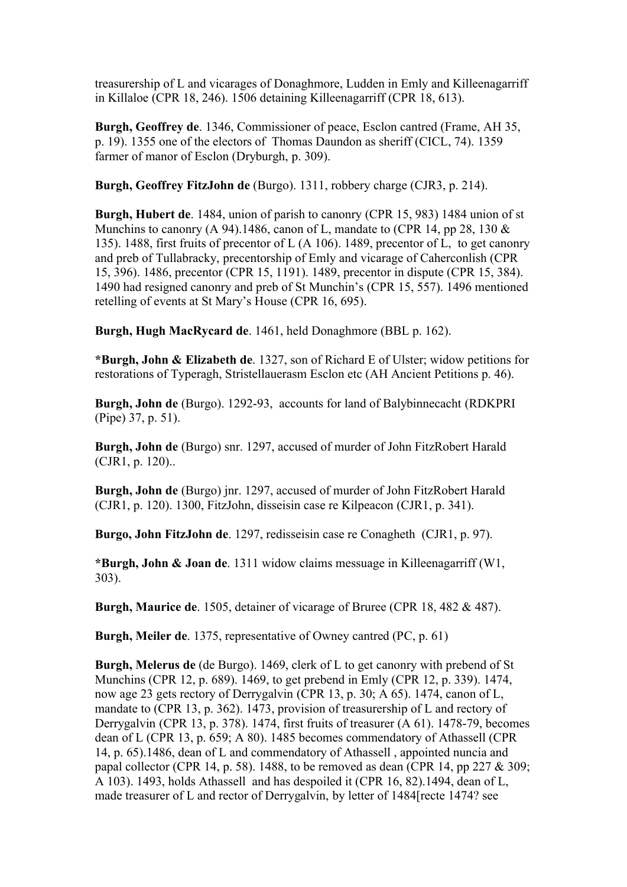treasurership of L and vicarages of Donaghmore, Ludden in Emly and Killeenagarriff in Killaloe (CPR 18, 246). 1506 detaining Killeenagarriff (CPR 18, 613).

**Burgh, Geoffrey de**. 1346, Commissioner of peace, Esclon cantred (Frame, AH 35, p. 19). 1355 one of the electors of Thomas Daundon as sheriff (CICL, 74). 1359 farmer of manor of Esclon (Dryburgh, p. 309).

**Burgh, Geoffrey FitzJohn de** (Burgo). 1311, robbery charge (CJR3, p. 214).

**Burgh, Hubert de**. 1484, union of parish to canonry (CPR 15, 983) 1484 union of st Munchins to canonry (A 94).1486, canon of L, mandate to (CPR 14, pp 28, 130  $\&$ 135). 1488, first fruits of precentor of L (A 106). 1489, precentor of L, to get canonry and preb of Tullabracky, precentorship of Emly and vicarage of Caherconlish (CPR 15, 396). 1486, precentor (CPR 15, 1191). 1489, precentor in dispute (CPR 15, 384). 1490 had resigned canonry and preb of St Munchin's (CPR 15, 557). 1496 mentioned retelling of events at St Mary's House (CPR 16, 695).

**Burgh, Hugh MacRycard de**. 1461, held Donaghmore (BBL p. 162).

**\*Burgh, John & Elizabeth de**. 1327, son of Richard E of Ulster; widow petitions for restorations of Typeragh, Stristellauerasm Esclon etc (AH Ancient Petitions p. 46).

**Burgh, John de** (Burgo). 1292-93, accounts for land of Balybinnecacht (RDKPRI (Pipe) 37, p. 51).

**Burgh, John de** (Burgo) snr. 1297, accused of murder of John FitzRobert Harald (CJR1, p. 120)..

**Burgh, John de** (Burgo) jnr. 1297, accused of murder of John FitzRobert Harald (CJR1, p. 120). 1300, FitzJohn, disseisin case re Kilpeacon (CJR1, p. 341).

**Burgo, John FitzJohn de**. 1297, redisseisin case re Conagheth (CJR1, p. 97).

**\*Burgh, John & Joan de**. 1311 widow claims messuage in Killeenagarriff (W1, 303).

**Burgh, Maurice de**. 1505, detainer of vicarage of Bruree (CPR 18, 482 & 487).

**Burgh, Meiler de**. 1375, representative of Owney cantred (PC, p. 61)

**Burgh, Melerus de** (de Burgo). 1469, clerk of L to get canonry with prebend of St Munchins (CPR 12, p. 689). 1469, to get prebend in Emly (CPR 12, p. 339). 1474, now age 23 gets rectory of Derrygalvin (CPR 13, p. 30; A 65). 1474, canon of L, mandate to (CPR 13, p. 362). 1473, provision of treasurership of L and rectory of Derrygalvin (CPR 13, p. 378). 1474, first fruits of treasurer (A 61). 1478-79, becomes dean of L (CPR 13, p. 659; A 80). 1485 becomes commendatory of Athassell (CPR 14, p. 65).1486, dean of L and commendatory of Athassell , appointed nuncia and papal collector (CPR 14, p. 58). 1488, to be removed as dean (CPR 14, pp 227  $&$  309; A 103). 1493, holds Athassell and has despoiled it (CPR 16, 82).1494, dean of L, made treasurer of L and rector of Derrygalvin, by letter of 1484[recte 1474? see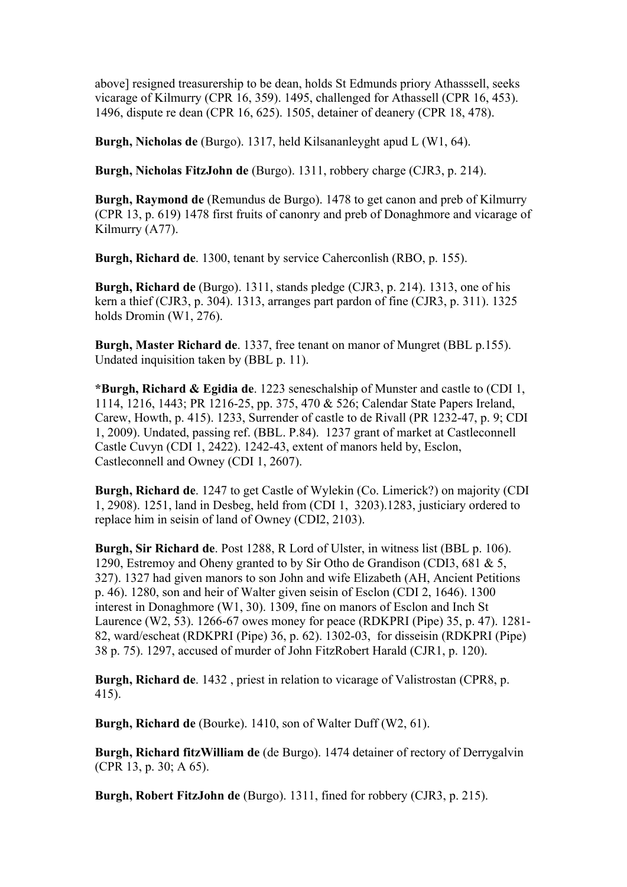above] resigned treasurership to be dean, holds St Edmunds priory Athasssell, seeks vicarage of Kilmurry (CPR 16, 359). 1495, challenged for Athassell (CPR 16, 453). 1496, dispute re dean (CPR 16, 625). 1505, detainer of deanery (CPR 18, 478).

**Burgh, Nicholas de** (Burgo). 1317, held Kilsananleyght apud L (W1, 64).

**Burgh, Nicholas FitzJohn de** (Burgo). 1311, robbery charge (CJR3, p. 214).

**Burgh, Raymond de** (Remundus de Burgo). 1478 to get canon and preb of Kilmurry (CPR 13, p. 619) 1478 first fruits of canonry and preb of Donaghmore and vicarage of Kilmurry (A77).

**Burgh, Richard de**. 1300, tenant by service Caherconlish (RBO, p. 155).

**Burgh, Richard de** (Burgo). 1311, stands pledge (CJR3, p. 214). 1313, one of his kern a thief (CJR3, p. 304). 1313, arranges part pardon of fine (CJR3, p. 311). 1325 holds Dromin (W1, 276).

**Burgh, Master Richard de**. 1337, free tenant on manor of Mungret (BBL p.155). Undated inquisition taken by (BBL p. 11).

**\*Burgh, Richard & Egidia de**. 1223 seneschalship of Munster and castle to (CDI 1, 1114, 1216, 1443; PR 1216-25, pp. 375, 470 & 526; Calendar State Papers Ireland, Carew, Howth, p. 415). 1233, Surrender of castle to de Rivall (PR 1232-47, p. 9; CDI 1, 2009). Undated, passing ref. (BBL. P.84). 1237 grant of market at Castleconnell Castle Cuvyn (CDI 1, 2422). 1242-43, extent of manors held by, Esclon, Castleconnell and Owney (CDI 1, 2607).

**Burgh, Richard de**. 1247 to get Castle of Wylekin (Co. Limerick?) on majority (CDI 1, 2908). 1251, land in Desbeg, held from (CDI 1, 3203).1283, justiciary ordered to replace him in seisin of land of Owney (CDI2, 2103).

**Burgh, Sir Richard de**. Post 1288, R Lord of Ulster, in witness list (BBL p. 106). 1290, Estremoy and Oheny granted to by Sir Otho de Grandison (CDI3, 681 & 5, 327). 1327 had given manors to son John and wife Elizabeth (AH, Ancient Petitions p. 46). 1280, son and heir of Walter given seisin of Esclon (CDI 2, 1646). 1300 interest in Donaghmore (W1, 30). 1309, fine on manors of Esclon and Inch St Laurence (W2, 53). 1266-67 owes money for peace (RDKPRI (Pipe) 35, p. 47). 1281- 82, ward/escheat (RDKPRI (Pipe) 36, p. 62). 1302-03, for disseisin (RDKPRI (Pipe) 38 p. 75). 1297, accused of murder of John FitzRobert Harald (CJR1, p. 120).

**Burgh, Richard de**. 1432 , priest in relation to vicarage of Valistrostan (CPR8, p. 415).

**Burgh, Richard de** (Bourke). 1410, son of Walter Duff (W2, 61).

**Burgh, Richard fitzWilliam de** (de Burgo). 1474 detainer of rectory of Derrygalvin (CPR 13, p. 30; A 65).

**Burgh, Robert FitzJohn de** (Burgo). 1311, fined for robbery (CJR3, p. 215).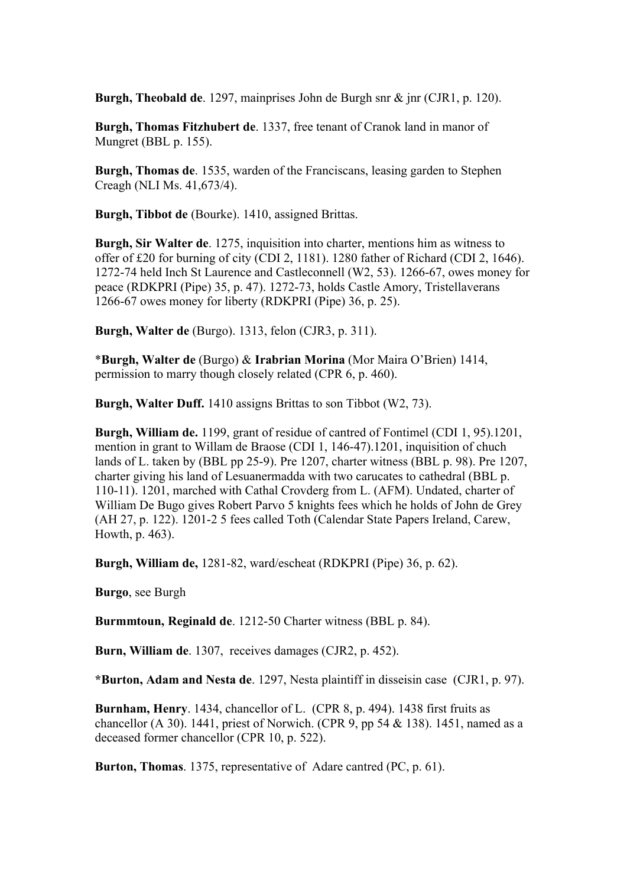**Burgh, Theobald de**. 1297, mainprises John de Burgh snr & jnr (CJR1, p. 120).

**Burgh, Thomas Fitzhubert de**. 1337, free tenant of Cranok land in manor of Mungret (BBL p. 155).

**Burgh, Thomas de**. 1535, warden of the Franciscans, leasing garden to Stephen Creagh (NLI Ms. 41,673/4).

**Burgh, Tibbot de** (Bourke). 1410, assigned Brittas.

**Burgh, Sir Walter de**. 1275, inquisition into charter, mentions him as witness to offer of £20 for burning of city (CDI 2, 1181). 1280 father of Richard (CDI 2, 1646). 1272-74 held Inch St Laurence and Castleconnell (W2, 53). 1266-67, owes money for peace (RDKPRI (Pipe) 35, p. 47). 1272-73, holds Castle Amory, Tristellaverans 1266-67 owes money for liberty (RDKPRI (Pipe) 36, p. 25).

**Burgh, Walter de** (Burgo). 1313, felon (CJR3, p. 311).

\***Burgh, Walter de** (Burgo) & **Irabrian Morina** (Mor Maira O'Brien) 1414, permission to marry though closely related (CPR 6, p. 460).

**Burgh, Walter Duff.** 1410 assigns Brittas to son Tibbot (W2, 73).

**Burgh, William de.** 1199, grant of residue of cantred of Fontimel (CDI 1, 95).1201, mention in grant to Willam de Braose (CDI 1, 146-47).1201, inquisition of chuch lands of L. taken by (BBL pp 25-9). Pre 1207, charter witness (BBL p. 98). Pre 1207, charter giving his land of Lesuanermadda with two carucates to cathedral (BBL p. 110-11). 1201, marched with Cathal Crovderg from L. (AFM). Undated, charter of William De Bugo gives Robert Parvo 5 knights fees which he holds of John de Grey (AH 27, p. 122). 1201-2 5 fees called Toth (Calendar State Papers Ireland, Carew, Howth, p. 463).

**Burgh, William de,** 1281-82, ward/escheat (RDKPRI (Pipe) 36, p. 62).

**Burgo**, see Burgh

**Burmmtoun, Reginald de**. 1212-50 Charter witness (BBL p. 84).

**Burn, William de**. 1307, receives damages (CJR2, p. 452).

**\*Burton, Adam and Nesta de**. 1297, Nesta plaintiff in disseisin case (CJR1, p. 97).

**Burnham, Henry**. 1434, chancellor of L. (CPR 8, p. 494). 1438 first fruits as chancellor  $(A\ 30)$ . 1441, priest of Norwich. (CPR 9, pp 54 & 138). 1451, named as a deceased former chancellor (CPR 10, p. 522).

**Burton, Thomas**. 1375, representative of Adare cantred (PC, p. 61).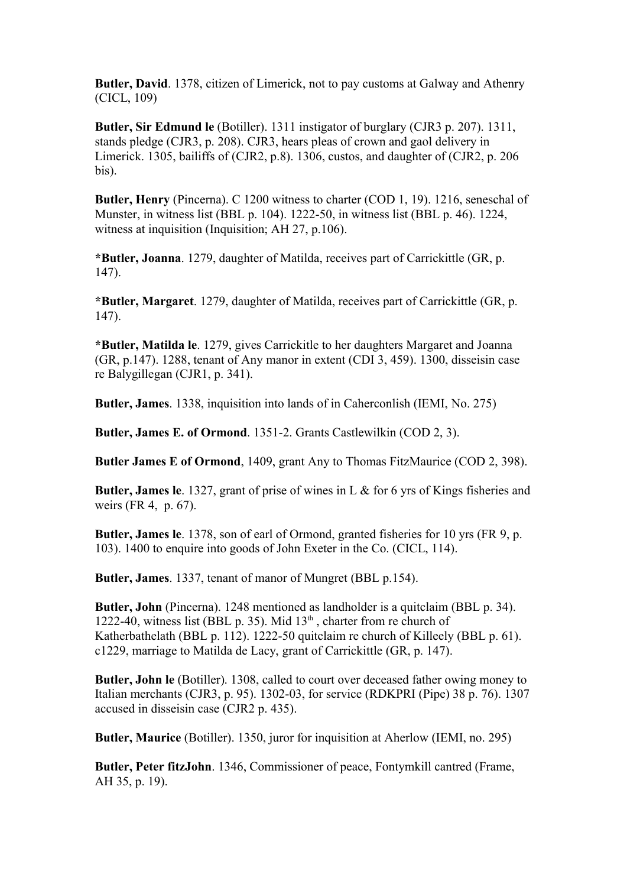**Butler, David**. 1378, citizen of Limerick, not to pay customs at Galway and Athenry (CICL, 109)

**Butler, Sir Edmund le** (Botiller). 1311 instigator of burglary (CJR3 p. 207). 1311, stands pledge (CJR3, p. 208). CJR3, hears pleas of crown and gaol delivery in Limerick. 1305, bailiffs of (CJR2, p.8). 1306, custos, and daughter of (CJR2, p. 206 bis).

**Butler, Henry** (Pincerna). C 1200 witness to charter (COD 1, 19). 1216, seneschal of Munster, in witness list (BBL p. 104). 1222-50, in witness list (BBL p. 46). 1224, witness at inquisition (Inquisition; AH 27, p.106).

**\*Butler, Joanna**. 1279, daughter of Matilda, receives part of Carrickittle (GR, p. 147).

**\*Butler, Margaret**. 1279, daughter of Matilda, receives part of Carrickittle (GR, p. 147).

**\*Butler, Matilda le**. 1279, gives Carrickitle to her daughters Margaret and Joanna (GR, p.147). 1288, tenant of Any manor in extent (CDI 3, 459). 1300, disseisin case re Balygillegan (CJR1, p. 341).

**Butler, James**. 1338, inquisition into lands of in Caherconlish (IEMI, No. 275)

**Butler, James E. of Ormond**. 1351-2. Grants Castlewilkin (COD 2, 3).

**Butler James E of Ormond**, 1409, grant Any to Thomas FitzMaurice (COD 2, 398).

**Butler, James le**. 1327, grant of prise of wines in L & for 6 yrs of Kings fisheries and weirs (FR 4, p. 67).

**Butler, James le**. 1378, son of earl of Ormond, granted fisheries for 10 yrs (FR 9, p. 103). 1400 to enquire into goods of John Exeter in the Co. (CICL, 114).

**Butler, James**. 1337, tenant of manor of Mungret (BBL p.154).

**Butler, John** (Pincerna). 1248 mentioned as landholder is a quitclaim (BBL p. 34). 1222-40, witness list (BBL p. 35). Mid  $13<sup>th</sup>$ , charter from re church of Katherbathelath (BBL p. 112). 1222-50 quitclaim re church of Killeely (BBL p. 61). c1229, marriage to Matilda de Lacy, grant of Carrickittle (GR, p. 147).

**Butler, John le** (Botiller). 1308, called to court over deceased father owing money to Italian merchants (CJR3, p. 95). 1302-03, for service (RDKPRI (Pipe) 38 p. 76). 1307 accused in disseisin case (CJR2 p. 435).

**Butler, Maurice** (Botiller). 1350, juror for inquisition at Aherlow (IEMI, no. 295)

**Butler, Peter fitzJohn**. 1346, Commissioner of peace, Fontymkill cantred (Frame, AH 35, p. 19).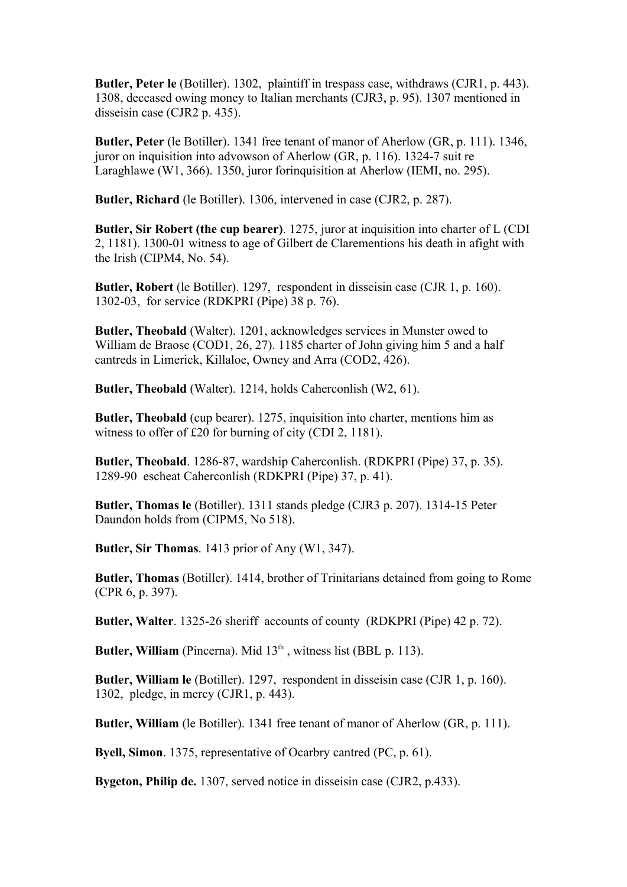**Butler, Peter le** (Botiller). 1302, plaintiff in trespass case, withdraws (CJR1, p. 443). 1308, deceased owing money to Italian merchants (CJR3, p. 95). 1307 mentioned in disseisin case (CJR2 p. 435).

**Butler, Peter** (le Botiller). 1341 free tenant of manor of Aherlow (GR, p. 111). 1346, juror on inquisition into advowson of Aherlow (GR, p. 116). 1324-7 suit re Laraghlawe (W1, 366). 1350, juror forinquisition at Aherlow (IEMI, no. 295).

**Butler, Richard** (le Botiller). 1306, intervened in case (CJR2, p. 287).

**Butler, Sir Robert (the cup bearer)**. 1275, juror at inquisition into charter of L (CDI 2, 1181). 1300-01 witness to age of Gilbert de Clarementions his death in afight with the Irish (CIPM4, No. 54).

**Butler, Robert** (le Botiller). 1297, respondent in disseisin case (CJR 1, p. 160). 1302-03, for service (RDKPRI (Pipe) 38 p. 76).

**Butler, Theobald** (Walter). 1201, acknowledges services in Munster owed to William de Braose (COD1, 26, 27). 1185 charter of John giving him 5 and a half cantreds in Limerick, Killaloe, Owney and Arra (COD2, 426).

**Butler, Theobald** (Walter). 1214, holds Caherconlish (W2, 61).

**Butler, Theobald** (cup bearer). 1275, inquisition into charter, mentions him as witness to offer of £20 for burning of city (CDI 2, 1181).

**Butler, Theobald**. 1286-87, wardship Caherconlish. (RDKPRI (Pipe) 37, p. 35). 1289-90 escheat Caherconlish (RDKPRI (Pipe) 37, p. 41).

**Butler, Thomas le** (Botiller). 1311 stands pledge (CJR3 p. 207). 1314-15 Peter Daundon holds from (CIPM5, No 518).

**Butler, Sir Thomas**. 1413 prior of Any (W1, 347).

**Butler, Thomas** (Botiller). 1414, brother of Trinitarians detained from going to Rome (CPR 6, p. 397).

**Butler, Walter**. 1325-26 sheriff accounts of county (RDKPRI (Pipe) 42 p. 72).

**Butler, William** (Pincerna). Mid 13<sup>th</sup>, witness list (BBL p. 113).

**Butler, William le** (Botiller). 1297, respondent in disseisin case (CJR 1, p. 160). 1302, pledge, in mercy (CJR1, p. 443).

**Butler, William** (le Botiller). 1341 free tenant of manor of Aherlow (GR, p. 111).

**Byell, Simon**. 1375, representative of Ocarbry cantred (PC, p. 61).

**Bygeton, Philip de.** 1307, served notice in disseisin case (CJR2, p.433).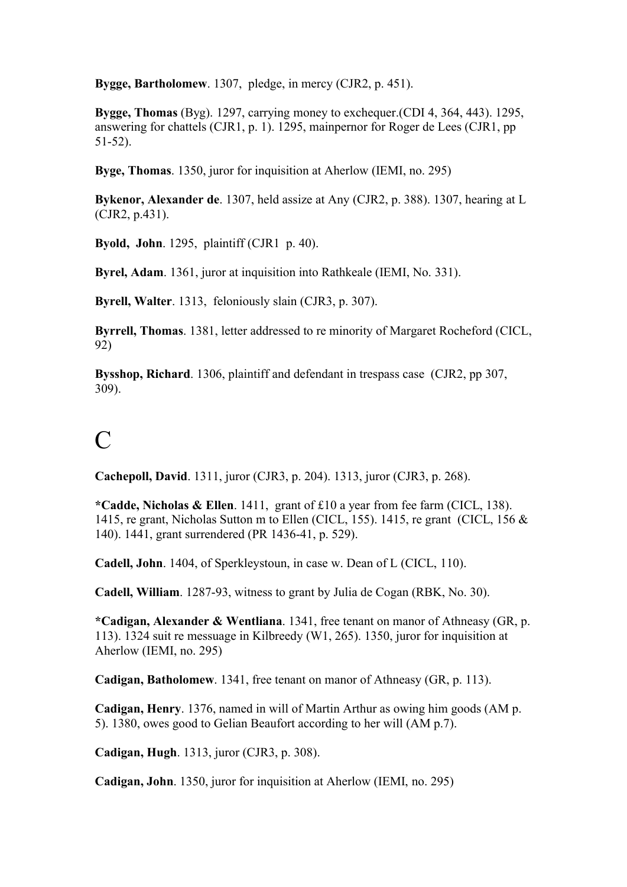**Bygge, Bartholomew**. 1307, pledge, in mercy (CJR2, p. 451).

**Bygge, Thomas** (Byg). 1297, carrying money to exchequer.(CDI 4, 364, 443). 1295, answering for chattels (CJR1, p. 1). 1295, mainpernor for Roger de Lees (CJR1, pp 51-52).

**Byge, Thomas**. 1350, juror for inquisition at Aherlow (IEMI, no. 295)

**Bykenor, Alexander de**. 1307, held assize at Any (CJR2, p. 388). 1307, hearing at L (CJR2, p.431).

**Byold, John**. 1295, plaintiff (CJR1 p. 40).

**Byrel, Adam**. 1361, juror at inquisition into Rathkeale (IEMI, No. 331).

**Byrell, Walter**. 1313, feloniously slain (CJR3, p. 307).

**Byrrell, Thomas**. 1381, letter addressed to re minority of Margaret Rocheford (CICL, 92)

**Bysshop, Richard**. 1306, plaintiff and defendant in trespass case (CJR2, pp 307, 309).

## $\Gamma$

**Cachepoll, David**. 1311, juror (CJR3, p. 204). 1313, juror (CJR3, p. 268).

**\*Cadde, Nicholas & Ellen**. 1411, grant of £10 a year from fee farm (CICL, 138). 1415, re grant, Nicholas Sutton m to Ellen (CICL, 155). 1415, re grant (CICL, 156 & 140). 1441, grant surrendered (PR 1436-41, p. 529).

**Cadell, John**. 1404, of Sperkleystoun, in case w. Dean of L (CICL, 110).

**Cadell, William**. 1287-93, witness to grant by Julia de Cogan (RBK, No. 30).

**\*Cadigan, Alexander & Wentliana**. 1341, free tenant on manor of Athneasy (GR, p. 113). 1324 suit re messuage in Kilbreedy (W1, 265). 1350, juror for inquisition at Aherlow (IEMI, no. 295)

**Cadigan, Batholomew**. 1341, free tenant on manor of Athneasy (GR, p. 113).

**Cadigan, Henry**. 1376, named in will of Martin Arthur as owing him goods (AM p. 5). 1380, owes good to Gelian Beaufort according to her will (AM p.7).

**Cadigan, Hugh**. 1313, juror (CJR3, p. 308).

**Cadigan, John**. 1350, juror for inquisition at Aherlow (IEMI, no. 295)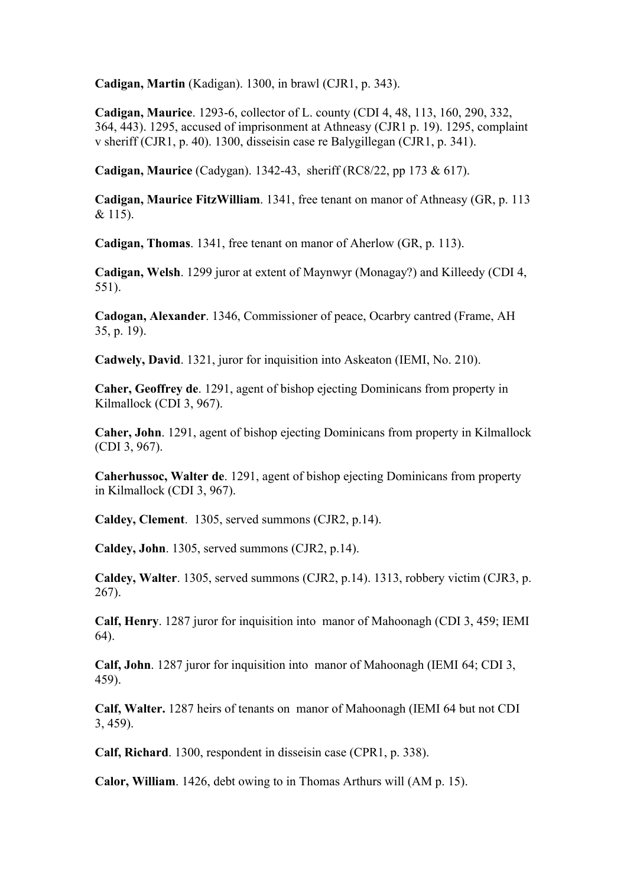**Cadigan, Martin** (Kadigan). 1300, in brawl (CJR1, p. 343).

**Cadigan, Maurice**. 1293-6, collector of L. county (CDI 4, 48, 113, 160, 290, 332, 364, 443). 1295, accused of imprisonment at Athneasy (CJR1 p. 19). 1295, complaint v sheriff (CJR1, p. 40). 1300, disseisin case re Balygillegan (CJR1, p. 341).

**Cadigan, Maurice** (Cadygan). 1342-43, sheriff (RC8/22, pp 173 & 617).

**Cadigan, Maurice FitzWilliam**. 1341, free tenant on manor of Athneasy (GR, p. 113 & 115).

**Cadigan, Thomas**. 1341, free tenant on manor of Aherlow (GR, p. 113).

**Cadigan, Welsh**. 1299 juror at extent of Maynwyr (Monagay?) and Killeedy (CDI 4, 551).

**Cadogan, Alexander**. 1346, Commissioner of peace, Ocarbry cantred (Frame, AH 35, p. 19).

**Cadwely, David**. 1321, juror for inquisition into Askeaton (IEMI, No. 210).

**Caher, Geoffrey de**. 1291, agent of bishop ejecting Dominicans from property in Kilmallock (CDI 3, 967).

**Caher, John**. 1291, agent of bishop ejecting Dominicans from property in Kilmallock (CDI 3, 967).

**Caherhussoc, Walter de**. 1291, agent of bishop ejecting Dominicans from property in Kilmallock (CDI 3, 967).

**Caldey, Clement**. 1305, served summons (CJR2, p.14).

**Caldey, John**. 1305, served summons (CJR2, p.14).

**Caldey, Walter**. 1305, served summons (CJR2, p.14). 1313, robbery victim (CJR3, p. 267).

**Calf, Henry**. 1287 juror for inquisition into manor of Mahoonagh (CDI 3, 459; IEMI 64).

**Calf, John**. 1287 juror for inquisition into manor of Mahoonagh (IEMI 64; CDI 3, 459).

**Calf, Walter.** 1287 heirs of tenants on manor of Mahoonagh (IEMI 64 but not CDI 3, 459).

**Calf, Richard**. 1300, respondent in disseisin case (CPR1, p. 338).

**Calor, William**. 1426, debt owing to in Thomas Arthurs will (AM p. 15).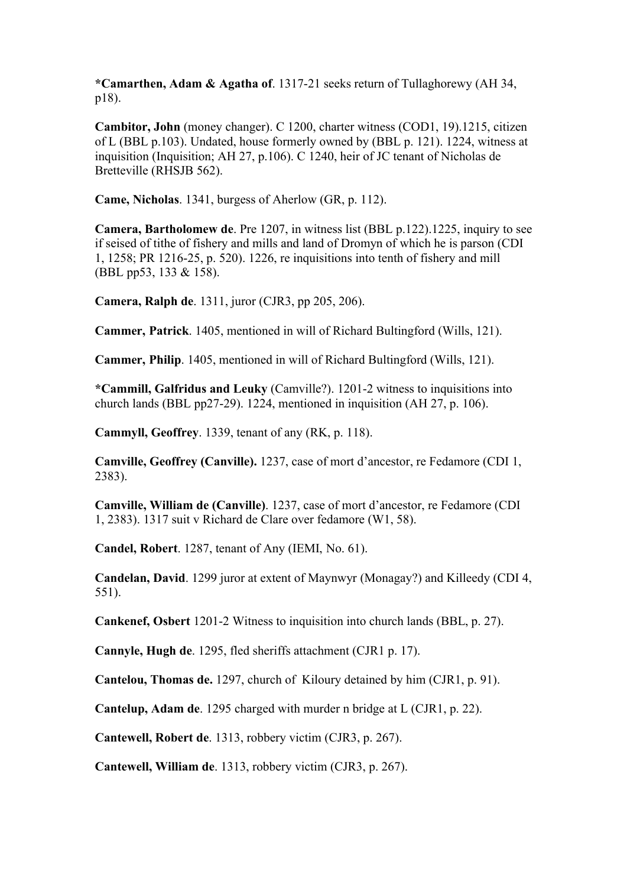**\*Camarthen, Adam & Agatha of**. 1317-21 seeks return of Tullaghorewy (AH 34, p18).

**Cambitor, John** (money changer). C 1200, charter witness (COD1, 19).1215, citizen of L (BBL p.103). Undated, house formerly owned by (BBL p. 121). 1224, witness at inquisition (Inquisition; AH 27, p.106). C 1240, heir of JC tenant of Nicholas de Bretteville (RHSJB 562).

**Came, Nicholas**. 1341, burgess of Aherlow (GR, p. 112).

**Camera, Bartholomew de**. Pre 1207, in witness list (BBL p.122).1225, inquiry to see if seised of tithe of fishery and mills and land of Dromyn of which he is parson (CDI 1, 1258; PR 1216-25, p. 520). 1226, re inquisitions into tenth of fishery and mill (BBL pp53, 133 & 158).

**Camera, Ralph de**. 1311, juror (CJR3, pp 205, 206).

**Cammer, Patrick**. 1405, mentioned in will of Richard Bultingford (Wills, 121).

**Cammer, Philip**. 1405, mentioned in will of Richard Bultingford (Wills, 121).

**\*Cammill, Galfridus and Leuky** (Camville?). 1201-2 witness to inquisitions into church lands (BBL pp27-29). 1224, mentioned in inquisition (AH 27, p. 106).

**Cammyll, Geoffrey**. 1339, tenant of any (RK, p. 118).

**Camville, Geoffrey (Canville).** 1237, case of mort d'ancestor, re Fedamore (CDI 1, 2383).

**Camville, William de (Canville)**. 1237, case of mort d'ancestor, re Fedamore (CDI 1, 2383). 1317 suit v Richard de Clare over fedamore (W1, 58).

**Candel, Robert**. 1287, tenant of Any (IEMI, No. 61).

**Candelan, David**. 1299 juror at extent of Maynwyr (Monagay?) and Killeedy (CDI 4, 551).

**Cankenef, Osbert** 1201-2 Witness to inquisition into church lands (BBL, p. 27).

**Cannyle, Hugh de**. 1295, fled sheriffs attachment (CJR1 p. 17).

**Cantelou, Thomas de.** 1297, church of Kiloury detained by him (CJR1, p. 91).

**Cantelup, Adam de**. 1295 charged with murder n bridge at L (CJR1, p. 22).

**Cantewell, Robert de**. 1313, robbery victim (CJR3, p. 267).

**Cantewell, William de**. 1313, robbery victim (CJR3, p. 267).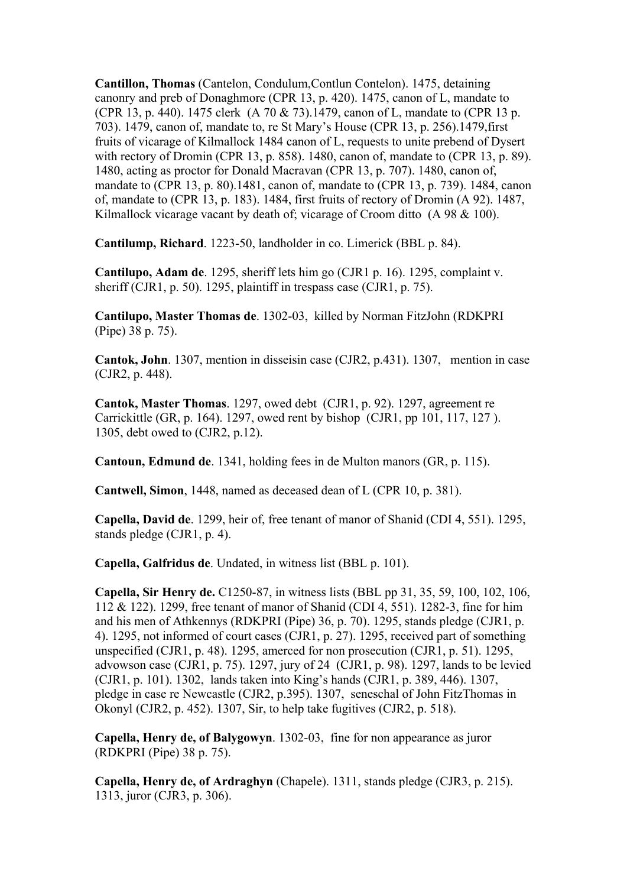**Cantillon, Thomas** (Cantelon, Condulum,Contlun Contelon). 1475, detaining canonry and preb of Donaghmore (CPR 13, p. 420). 1475, canon of L, mandate to (CPR 13, p. 440). 1475 clerk (A 70 & 73).1479, canon of L, mandate to (CPR 13 p. 703). 1479, canon of, mandate to, re St Mary's House (CPR 13, p. 256).1479,first fruits of vicarage of Kilmallock 1484 canon of L, requests to unite prebend of Dysert with rectory of Dromin (CPR 13, p. 858). 1480, canon of, mandate to (CPR 13, p. 89). 1480, acting as proctor for Donald Macravan (CPR 13, p. 707). 1480, canon of, mandate to (CPR 13, p. 80).1481, canon of, mandate to (CPR 13, p. 739). 1484, canon of, mandate to (CPR 13, p. 183). 1484, first fruits of rectory of Dromin (A 92). 1487, Kilmallock vicarage vacant by death of; vicarage of Croom ditto (A 98 & 100).

**Cantilump, Richard**. 1223-50, landholder in co. Limerick (BBL p. 84).

**Cantilupo, Adam de**. 1295, sheriff lets him go (CJR1 p. 16). 1295, complaint v. sheriff (CJR1, p. 50). 1295, plaintiff in trespass case (CJR1, p. 75).

**Cantilupo, Master Thomas de**. 1302-03, killed by Norman FitzJohn (RDKPRI (Pipe) 38 p. 75).

**Cantok, John**. 1307, mention in disseisin case (CJR2, p.431). 1307, mention in case (CJR2, p. 448).

**Cantok, Master Thomas**. 1297, owed debt (CJR1, p. 92). 1297, agreement re Carrickittle (GR, p. 164). 1297, owed rent by bishop (CJR1, pp 101, 117, 127 ). 1305, debt owed to (CJR2, p.12).

**Cantoun, Edmund de**. 1341, holding fees in de Multon manors (GR, p. 115).

**Cantwell, Simon**, 1448, named as deceased dean of L (CPR 10, p. 381).

**Capella, David de**. 1299, heir of, free tenant of manor of Shanid (CDI 4, 551). 1295, stands pledge (CJR1, p. 4).

**Capella, Galfridus de**. Undated, in witness list (BBL p. 101).

**Capella, Sir Henry de.** C1250-87, in witness lists (BBL pp 31, 35, 59, 100, 102, 106, 112 & 122). 1299, free tenant of manor of Shanid (CDI 4, 551). 1282-3, fine for him and his men of Athkennys (RDKPRI (Pipe) 36, p. 70). 1295, stands pledge (CJR1, p. 4). 1295, not informed of court cases (CJR1, p. 27). 1295, received part of something unspecified (CJR1, p. 48). 1295, amerced for non prosecution (CJR1, p. 51). 1295, advowson case (CJR1, p. 75). 1297, jury of 24 (CJR1, p. 98). 1297, lands to be levied (CJR1, p. 101). 1302, lands taken into King's hands (CJR1, p. 389, 446). 1307, pledge in case re Newcastle (CJR2, p.395). 1307, seneschal of John FitzThomas in Okonyl (CJR2, p. 452). 1307, Sir, to help take fugitives (CJR2, p. 518).

**Capella, Henry de, of Balygowyn**. 1302-03, fine for non appearance as juror (RDKPRI (Pipe) 38 p. 75).

**Capella, Henry de, of Ardraghyn** (Chapele). 1311, stands pledge (CJR3, p. 215). 1313, juror (CJR3, p. 306).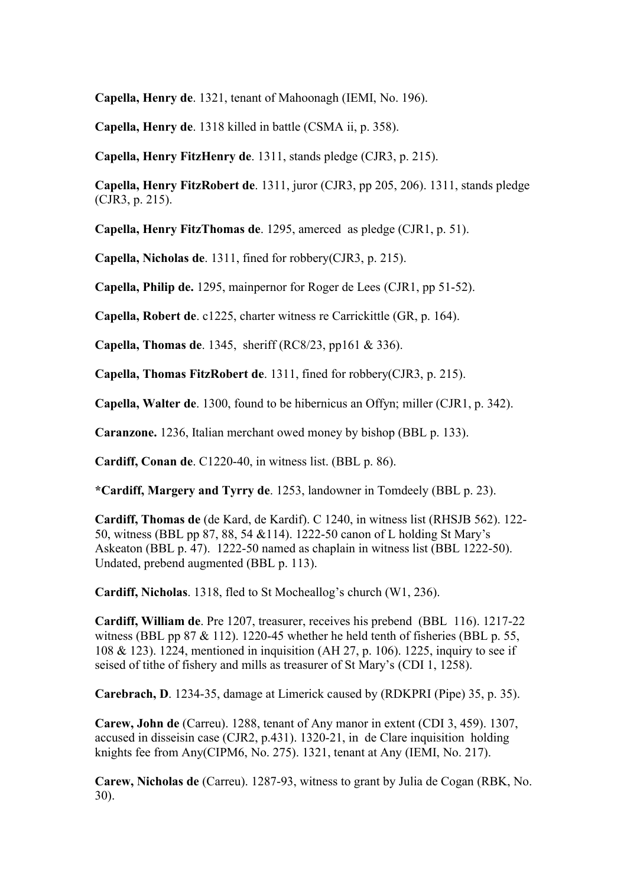**Capella, Henry de**. 1321, tenant of Mahoonagh (IEMI, No. 196).

**Capella, Henry de**. 1318 killed in battle (CSMA ii, p. 358).

**Capella, Henry FitzHenry de**. 1311, stands pledge (CJR3, p. 215).

**Capella, Henry FitzRobert de**. 1311, juror (CJR3, pp 205, 206). 1311, stands pledge (CJR3, p. 215).

**Capella, Henry FitzThomas de**. 1295, amerced as pledge (CJR1, p. 51).

**Capella, Nicholas de**. 1311, fined for robbery(CJR3, p. 215).

**Capella, Philip de.** 1295, mainpernor for Roger de Lees (CJR1, pp 51-52).

**Capella, Robert de**. c1225, charter witness re Carrickittle (GR, p. 164).

**Capella, Thomas de**. 1345, sheriff (RC8/23, pp161 & 336).

**Capella, Thomas FitzRobert de**. 1311, fined for robbery(CJR3, p. 215).

**Capella, Walter de**. 1300, found to be hibernicus an Offyn; miller (CJR1, p. 342).

**Caranzone.** 1236, Italian merchant owed money by bishop (BBL p. 133).

**Cardiff, Conan de**. C1220-40, in witness list. (BBL p. 86).

**\*Cardiff, Margery and Tyrry de**. 1253, landowner in Tomdeely (BBL p. 23).

**Cardiff, Thomas de** (de Kard, de Kardif). C 1240, in witness list (RHSJB 562). 122- 50, witness (BBL pp 87, 88, 54 &114). 1222-50 canon of L holding St Mary's Askeaton (BBL p. 47). 1222-50 named as chaplain in witness list (BBL 1222-50). Undated, prebend augmented (BBL p. 113).

**Cardiff, Nicholas**. 1318, fled to St Mocheallog's church (W1, 236).

**Cardiff, William de**. Pre 1207, treasurer, receives his prebend (BBL 116). 1217-22 witness (BBL pp 87 & 112). 1220-45 whether he held tenth of fisheries (BBL p. 55, 108 & 123). 1224, mentioned in inquisition (AH 27, p. 106). 1225, inquiry to see if seised of tithe of fishery and mills as treasurer of St Mary's (CDI 1, 1258).

**Carebrach, D**. 1234-35, damage at Limerick caused by (RDKPRI (Pipe) 35, p. 35).

**Carew, John de** (Carreu). 1288, tenant of Any manor in extent (CDI 3, 459). 1307, accused in disseisin case (CJR2, p.431). 1320-21, in de Clare inquisition holding knights fee from Any(CIPM6, No. 275). 1321, tenant at Any (IEMI, No. 217).

**Carew, Nicholas de** (Carreu). 1287-93, witness to grant by Julia de Cogan (RBK, No. 30).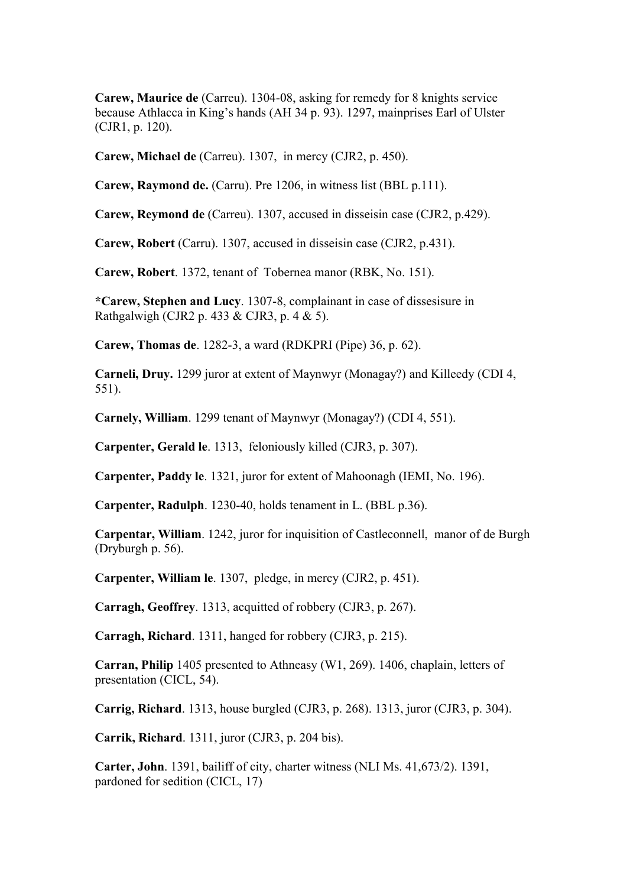**Carew, Maurice de** (Carreu). 1304-08, asking for remedy for 8 knights service because Athlacca in King's hands (AH 34 p. 93). 1297, mainprises Earl of Ulster (CJR1, p. 120).

**Carew, Michael de** (Carreu). 1307, in mercy (CJR2, p. 450).

**Carew, Raymond de.** (Carru). Pre 1206, in witness list (BBL p.111).

**Carew, Reymond de** (Carreu). 1307, accused in disseisin case (CJR2, p.429).

**Carew, Robert** (Carru). 1307, accused in disseisin case (CJR2, p.431).

**Carew, Robert**. 1372, tenant of Tobernea manor (RBK, No. 151).

**\*Carew, Stephen and Lucy**. 1307-8, complainant in case of dissesisure in Rathgalwigh (CJR2 p. 433 & CJR3, p. 4 & 5).

**Carew, Thomas de**. 1282-3, a ward (RDKPRI (Pipe) 36, p. 62).

**Carneli, Druy.** 1299 juror at extent of Maynwyr (Monagay?) and Killeedy (CDI 4, 551).

**Carnely, William**. 1299 tenant of Maynwyr (Monagay?) (CDI 4, 551).

**Carpenter, Gerald le**. 1313, feloniously killed (CJR3, p. 307).

**Carpenter, Paddy le**. 1321, juror for extent of Mahoonagh (IEMI, No. 196).

**Carpenter, Radulph**. 1230-40, holds tenament in L. (BBL p.36).

**Carpentar, William**. 1242, juror for inquisition of Castleconnell, manor of de Burgh (Dryburgh p. 56).

**Carpenter, William le**. 1307, pledge, in mercy (CJR2, p. 451).

**Carragh, Geoffrey**. 1313, acquitted of robbery (CJR3, p. 267).

**Carragh, Richard**. 1311, hanged for robbery (CJR3, p. 215).

**Carran, Philip** 1405 presented to Athneasy (W1, 269). 1406, chaplain, letters of presentation (CICL, 54).

**Carrig, Richard**. 1313, house burgled (CJR3, p. 268). 1313, juror (CJR3, p. 304).

**Carrik, Richard**. 1311, juror (CJR3, p. 204 bis).

**Carter, John**. 1391, bailiff of city, charter witness (NLI Ms. 41,673/2). 1391, pardoned for sedition (CICL, 17)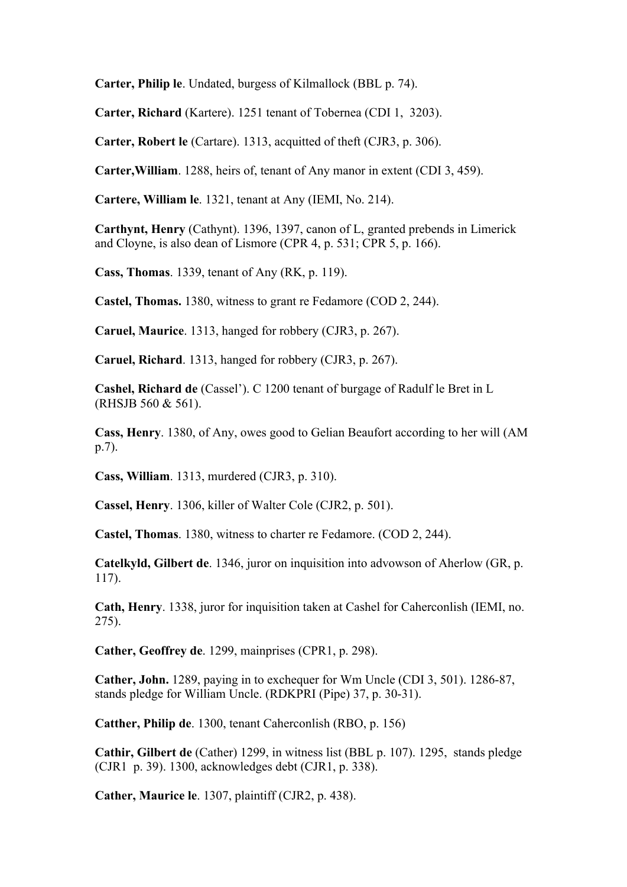**Carter, Philip le**. Undated, burgess of Kilmallock (BBL p. 74).

**Carter, Richard** (Kartere). 1251 tenant of Tobernea (CDI 1, 3203).

**Carter, Robert le** (Cartare). 1313, acquitted of theft (CJR3, p. 306).

**Carter,William**. 1288, heirs of, tenant of Any manor in extent (CDI 3, 459).

**Cartere, William le**. 1321, tenant at Any (IEMI, No. 214).

**Carthynt, Henry** (Cathynt). 1396, 1397, canon of L, granted prebends in Limerick and Cloyne, is also dean of Lismore (CPR 4, p. 531; CPR 5, p. 166).

**Cass, Thomas**. 1339, tenant of Any (RK, p. 119).

**Castel, Thomas.** 1380, witness to grant re Fedamore (COD 2, 244).

**Caruel, Maurice**. 1313, hanged for robbery (CJR3, p. 267).

**Caruel, Richard**. 1313, hanged for robbery (CJR3, p. 267).

**Cashel, Richard de** (Cassel'). C 1200 tenant of burgage of Radulf le Bret in L (RHSJB 560 & 561).

**Cass, Henry**. 1380, of Any, owes good to Gelian Beaufort according to her will (AM p.7).

**Cass, William**. 1313, murdered (CJR3, p. 310).

**Cassel, Henry**. 1306, killer of Walter Cole (CJR2, p. 501).

**Castel, Thomas**. 1380, witness to charter re Fedamore. (COD 2, 244).

**Catelkyld, Gilbert de**. 1346, juror on inquisition into advowson of Aherlow (GR, p. 117).

**Cath, Henry**. 1338, juror for inquisition taken at Cashel for Caherconlish (IEMI, no. 275).

**Cather, Geoffrey de**. 1299, mainprises (CPR1, p. 298).

**Cather, John.** 1289, paying in to exchequer for Wm Uncle (CDI 3, 501). 1286-87, stands pledge for William Uncle. (RDKPRI (Pipe) 37, p. 30-31).

**Catther, Philip de**. 1300, tenant Caherconlish (RBO, p. 156)

**Cathir, Gilbert de** (Cather) 1299, in witness list (BBL p. 107). 1295, stands pledge (CJR1 p. 39). 1300, acknowledges debt (CJR1, p. 338).

**Cather, Maurice le**. 1307, plaintiff (CJR2, p. 438).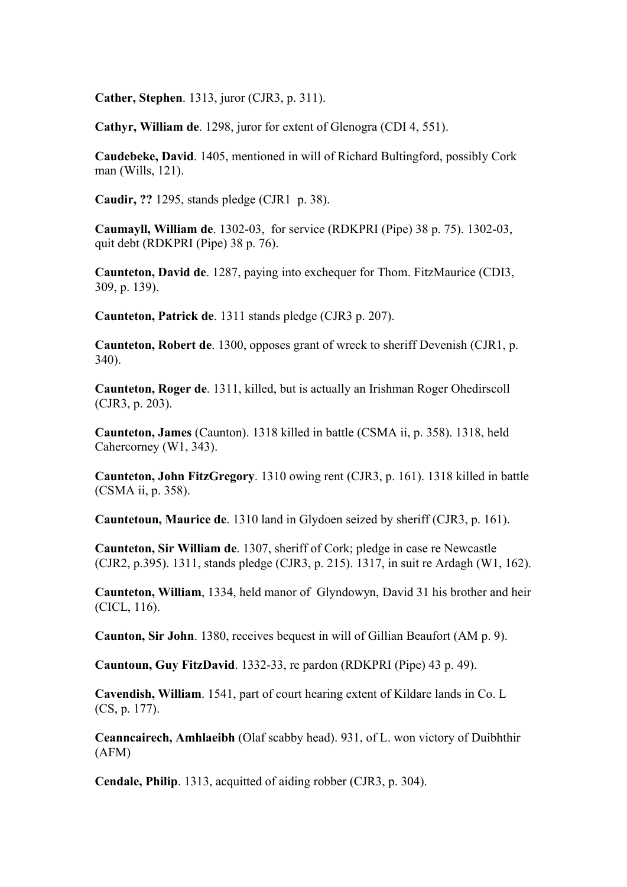**Cather, Stephen**. 1313, juror (CJR3, p. 311).

**Cathyr, William de**. 1298, juror for extent of Glenogra (CDI 4, 551).

**Caudebeke, David**. 1405, mentioned in will of Richard Bultingford, possibly Cork man (Wills, 121).

**Caudir, ??** 1295, stands pledge (CJR1 p. 38).

**Caumayll, William de**. 1302-03, for service (RDKPRI (Pipe) 38 p. 75). 1302-03, quit debt (RDKPRI (Pipe) 38 p. 76).

**Caunteton, David de**. 1287, paying into exchequer for Thom. FitzMaurice (CDI3, 309, p. 139).

**Caunteton, Patrick de**. 1311 stands pledge (CJR3 p. 207).

**Caunteton, Robert de**. 1300, opposes grant of wreck to sheriff Devenish (CJR1, p. 340).

**Caunteton, Roger de**. 1311, killed, but is actually an Irishman Roger Ohedirscoll (CJR3, p. 203).

**Caunteton, James** (Caunton). 1318 killed in battle (CSMA ii, p. 358). 1318, held Cahercorney (W1, 343).

**Caunteton, John FitzGregory**. 1310 owing rent (CJR3, p. 161). 1318 killed in battle (CSMA ii, p. 358).

**Cauntetoun, Maurice de**. 1310 land in Glydoen seized by sheriff (CJR3, p. 161).

**Caunteton, Sir William de**. 1307, sheriff of Cork; pledge in case re Newcastle (CJR2, p.395). 1311, stands pledge (CJR3, p. 215). 1317, in suit re Ardagh (W1, 162).

**Caunteton, William**, 1334, held manor of Glyndowyn, David 31 his brother and heir (CICL, 116).

**Caunton, Sir John**. 1380, receives bequest in will of Gillian Beaufort (AM p. 9).

**Cauntoun, Guy FitzDavid**. 1332-33, re pardon (RDKPRI (Pipe) 43 p. 49).

**Cavendish, William**. 1541, part of court hearing extent of Kildare lands in Co. L (CS, p. 177).

**Ceanncairech, Amhlaeibh** (Olaf scabby head). 931, of L. won victory of Duibhthir (AFM)

**Cendale, Philip**. 1313, acquitted of aiding robber (CJR3, p. 304).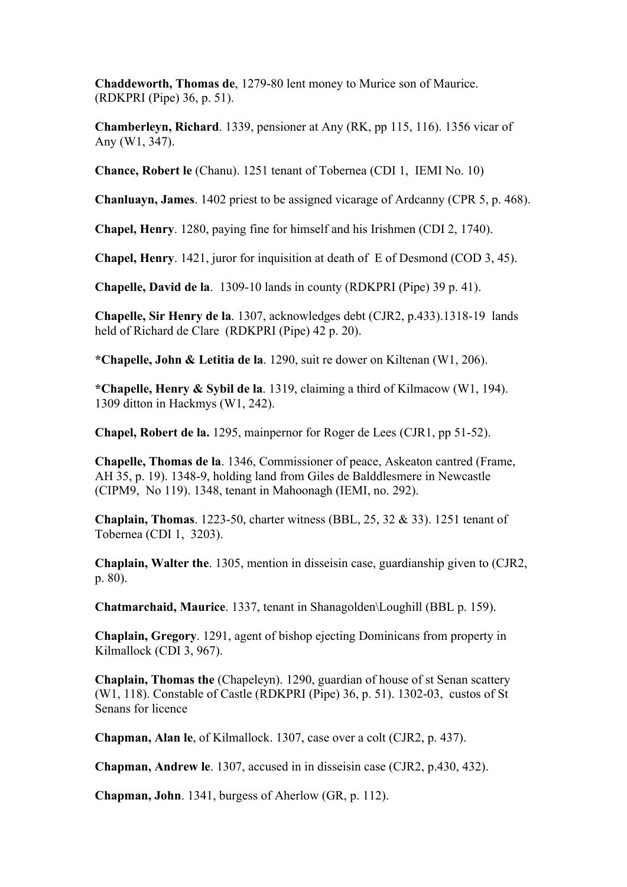**Chaddeworth, Thomas de**, 1279-80 lent money to Murice son of Maurice. (RDKPRI (Pipe) 36, p. 51).

**Chamberleyn, Richard**. 1339, pensioner at Any (RK, pp 115, 116). 1356 vicar of Any (W1, 347).

**Chance, Robert le** (Chanu). 1251 tenant of Tobernea (CDI 1, IEMI No. 10)

**Chanluayn, James**. 1402 priest to be assigned vicarage of Ardcanny (CPR 5, p. 468).

**Chapel, Henry**. 1280, paying fine for himself and his Irishmen (CDI 2, 1740).

**Chapel, Henry**. 1421, juror for inquisition at death of E of Desmond (COD 3, 45).

**Chapelle, David de la**. 1309-10 lands in county (RDKPRI (Pipe) 39 p. 41).

**Chapelle, Sir Henry de la**. 1307, acknowledges debt (CJR2, p.433).1318-19 lands held of Richard de Clare (RDKPRI (Pipe) 42 p. 20).

**\*Chapelle, John & Letitia de la**. 1290, suit re dower on Kiltenan (W1, 206).

**\*Chapelle, Henry & Sybil de la**. 1319, claiming a third of Kilmacow (W1, 194). 1309 ditton in Hackmys (W1, 242).

**Chapel, Robert de la.** 1295, mainpernor for Roger de Lees (CJR1, pp 51-52).

**Chapelle, Thomas de la**. 1346, Commissioner of peace, Askeaton cantred (Frame, AH 35, p. 19). 1348-9, holding land from Giles de Balddlesmere in Newcastle (CIPM9, No 119). 1348, tenant in Mahoonagh (IEMI, no. 292).

**Chaplain, Thomas**. 1223-50, charter witness (BBL, 25, 32 & 33). 1251 tenant of Tobernea (CDI 1, 3203).

**Chaplain, Walter the**. 1305, mention in disseisin case, guardianship given to (CJR2, p. 80).

**Chatmarchaid, Maurice**. 1337, tenant in Shanagolden\Loughill (BBL p. 159).

**Chaplain, Gregory**. 1291, agent of bishop ejecting Dominicans from property in Kilmallock (CDI 3, 967).

**Chaplain, Thomas the** (Chapeleyn). 1290, guardian of house of st Senan scattery (W1, 118). Constable of Castle (RDKPRI (Pipe) 36, p. 51). 1302-03, custos of St Senans for licence

**Chapman, Alan le**, of Kilmallock. 1307, case over a colt (CJR2, p. 437).

**Chapman, Andrew le**. 1307, accused in in disseisin case (CJR2, p.430, 432).

**Chapman, John**. 1341, burgess of Aherlow (GR, p. 112).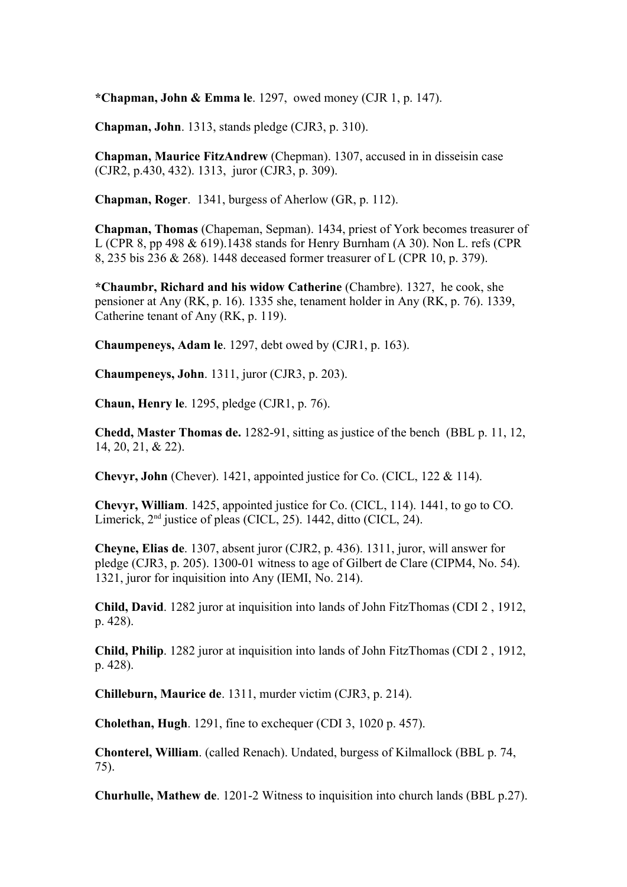**\*Chapman, John & Emma le**. 1297, owed money (CJR 1, p. 147).

**Chapman, John**. 1313, stands pledge (CJR3, p. 310).

**Chapman, Maurice FitzAndrew** (Chepman). 1307, accused in in disseisin case (CJR2, p.430, 432). 1313, juror (CJR3, p. 309).

**Chapman, Roger**. 1341, burgess of Aherlow (GR, p. 112).

**Chapman, Thomas** (Chapeman, Sepman). 1434, priest of York becomes treasurer of L (CPR 8, pp 498 & 619).1438 stands for Henry Burnham (A 30). Non L. refs (CPR 8, 235 bis 236 & 268). 1448 deceased former treasurer of L (CPR 10, p. 379).

**\*Chaumbr, Richard and his widow Catherine** (Chambre). 1327, he cook, she pensioner at Any (RK, p. 16). 1335 she, tenament holder in Any (RK, p. 76). 1339, Catherine tenant of Any (RK, p. 119).

**Chaumpeneys, Adam le**. 1297, debt owed by (CJR1, p. 163).

**Chaumpeneys, John**. 1311, juror (CJR3, p. 203).

**Chaun, Henry le**. 1295, pledge (CJR1, p. 76).

**Chedd, Master Thomas de.** 1282-91, sitting as justice of the bench (BBL p. 11, 12, 14, 20, 21, & 22).

**Chevyr, John** (Chever). 1421, appointed justice for Co. (CICL, 122 & 114).

**Chevyr, William**. 1425, appointed justice for Co. (CICL, 114). 1441, to go to CO. Limerick, 2<sup>nd</sup> justice of pleas (CICL, 25). 1442, ditto (CICL, 24).

**Cheyne, Elias de**. 1307, absent juror (CJR2, p. 436). 1311, juror, will answer for pledge (CJR3, p. 205). 1300-01 witness to age of Gilbert de Clare (CIPM4, No. 54). 1321, juror for inquisition into Any (IEMI, No. 214).

**Child, David**. 1282 juror at inquisition into lands of John FitzThomas (CDI 2 , 1912, p. 428).

**Child, Philip**. 1282 juror at inquisition into lands of John FitzThomas (CDI 2 , 1912, p. 428).

**Chilleburn, Maurice de**. 1311, murder victim (CJR3, p. 214).

**Cholethan, Hugh**. 1291, fine to exchequer (CDI 3, 1020 p. 457).

**Chonterel, William**. (called Renach). Undated, burgess of Kilmallock (BBL p. 74, 75).

**Churhulle, Mathew de**. 1201-2 Witness to inquisition into church lands (BBL p.27).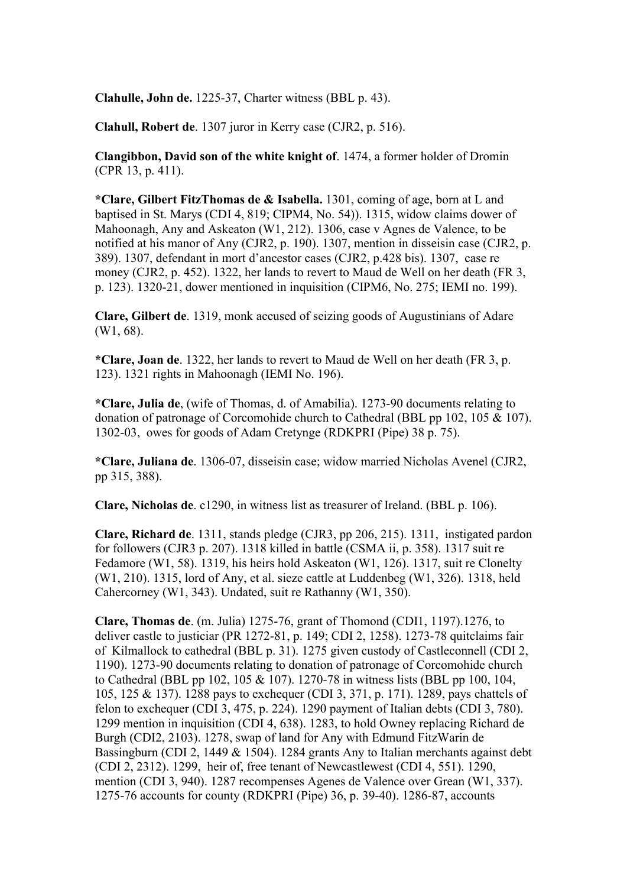**Clahulle, John de.** 1225-37, Charter witness (BBL p. 43).

**Clahull, Robert de**. 1307 juror in Kerry case (CJR2, p. 516).

**Clangibbon, David son of the white knight of**. 1474, a former holder of Dromin (CPR 13, p. 411).

**\*Clare, Gilbert FitzThomas de & Isabella.** 1301, coming of age, born at L and baptised in St. Marys (CDI 4, 819; CIPM4, No. 54)). 1315, widow claims dower of Mahoonagh, Any and Askeaton (W1, 212). 1306, case v Agnes de Valence, to be notified at his manor of Any (CJR2, p. 190). 1307, mention in disseisin case (CJR2, p. 389). 1307, defendant in mort d'ancestor cases (CJR2, p.428 bis). 1307, case re money (CJR2, p. 452). 1322, her lands to revert to Maud de Well on her death (FR 3, p. 123). 1320-21, dower mentioned in inquisition (CIPM6, No. 275; IEMI no. 199).

**Clare, Gilbert de**. 1319, monk accused of seizing goods of Augustinians of Adare (W1, 68).

**\*Clare, Joan de**. 1322, her lands to revert to Maud de Well on her death (FR 3, p. 123). 1321 rights in Mahoonagh (IEMI No. 196).

**\*Clare, Julia de**, (wife of Thomas, d. of Amabilia). 1273-90 documents relating to donation of patronage of Corcomohide church to Cathedral (BBL pp 102, 105 & 107). 1302-03, owes for goods of Adam Cretynge (RDKPRI (Pipe) 38 p. 75).

**\*Clare, Juliana de**. 1306-07, disseisin case; widow married Nicholas Avenel (CJR2, pp 315, 388).

**Clare, Nicholas de**. c1290, in witness list as treasurer of Ireland. (BBL p. 106).

**Clare, Richard de**. 1311, stands pledge (CJR3, pp 206, 215). 1311, instigated pardon for followers (CJR3 p. 207). 1318 killed in battle (CSMA ii, p. 358). 1317 suit re Fedamore (W1, 58). 1319, his heirs hold Askeaton (W1, 126). 1317, suit re Clonelty (W1, 210). 1315, lord of Any, et al. sieze cattle at Luddenbeg (W1, 326). 1318, held Cahercorney (W1, 343). Undated, suit re Rathanny (W1, 350).

**Clare, Thomas de**. (m. Julia) 1275-76, grant of Thomond (CDI1, 1197).1276, to deliver castle to justiciar (PR 1272-81, p. 149; CDI 2, 1258). 1273-78 quitclaims fair of Kilmallock to cathedral (BBL p. 31). 1275 given custody of Castleconnell (CDI 2, 1190). 1273-90 documents relating to donation of patronage of Corcomohide church to Cathedral (BBL pp 102, 105 & 107). 1270-78 in witness lists (BBL pp 100, 104, 105, 125 & 137). 1288 pays to exchequer (CDI 3, 371, p. 171). 1289, pays chattels of felon to exchequer (CDI 3, 475, p. 224). 1290 payment of Italian debts (CDI 3, 780). 1299 mention in inquisition (CDI 4, 638). 1283, to hold Owney replacing Richard de Burgh (CDI2, 2103). 1278, swap of land for Any with Edmund FitzWarin de Bassingburn (CDI 2, 1449 & 1504). 1284 grants Any to Italian merchants against debt (CDI 2, 2312). 1299, heir of, free tenant of Newcastlewest (CDI 4, 551). 1290, mention (CDI 3, 940). 1287 recompenses Agenes de Valence over Grean (W1, 337). 1275-76 accounts for county (RDKPRI (Pipe) 36, p. 39-40). 1286-87, accounts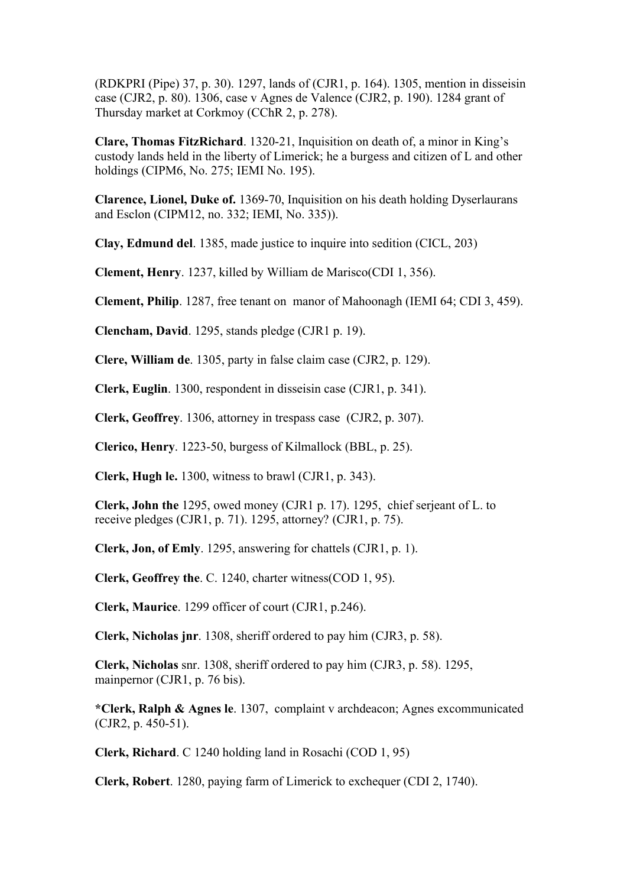(RDKPRI (Pipe) 37, p. 30). 1297, lands of (CJR1, p. 164). 1305, mention in disseisin case (CJR2, p. 80). 1306, case v Agnes de Valence (CJR2, p. 190). 1284 grant of Thursday market at Corkmoy (CChR 2, p. 278).

**Clare, Thomas FitzRichard**. 1320-21, Inquisition on death of, a minor in King's custody lands held in the liberty of Limerick; he a burgess and citizen of L and other holdings (CIPM6, No. 275; IEMI No. 195).

**Clarence, Lionel, Duke of.** 1369-70, Inquisition on his death holding Dyserlaurans and Esclon (CIPM12, no. 332; IEMI, No. 335)).

**Clay, Edmund del**. 1385, made justice to inquire into sedition (CICL, 203)

**Clement, Henry**. 1237, killed by William de Marisco(CDI 1, 356).

**Clement, Philip**. 1287, free tenant on manor of Mahoonagh (IEMI 64; CDI 3, 459).

**Clencham, David**. 1295, stands pledge (CJR1 p. 19).

**Clere, William de**. 1305, party in false claim case (CJR2, p. 129).

**Clerk, Euglin**. 1300, respondent in disseisin case (CJR1, p. 341).

**Clerk, Geoffrey**. 1306, attorney in trespass case (CJR2, p. 307).

**Clerico, Henry**. 1223-50, burgess of Kilmallock (BBL, p. 25).

**Clerk, Hugh le.** 1300, witness to brawl (CJR1, p. 343).

**Clerk, John the** 1295, owed money (CJR1 p. 17). 1295, chief serjeant of L. to receive pledges (CJR1, p. 71). 1295, attorney? (CJR1, p. 75).

**Clerk, Jon, of Emly**. 1295, answering for chattels (CJR1, p. 1).

**Clerk, Geoffrey the**. C. 1240, charter witness(COD 1, 95).

**Clerk, Maurice**. 1299 officer of court (CJR1, p.246).

**Clerk, Nicholas jnr**. 1308, sheriff ordered to pay him (CJR3, p. 58).

**Clerk, Nicholas** snr. 1308, sheriff ordered to pay him (CJR3, p. 58). 1295, mainpernor (CJR1, p. 76 bis).

**\*Clerk, Ralph & Agnes le**. 1307, complaint v archdeacon; Agnes excommunicated (CJR2, p. 450-51).

**Clerk, Richard**. C 1240 holding land in Rosachi (COD 1, 95)

**Clerk, Robert**. 1280, paying farm of Limerick to exchequer (CDI 2, 1740).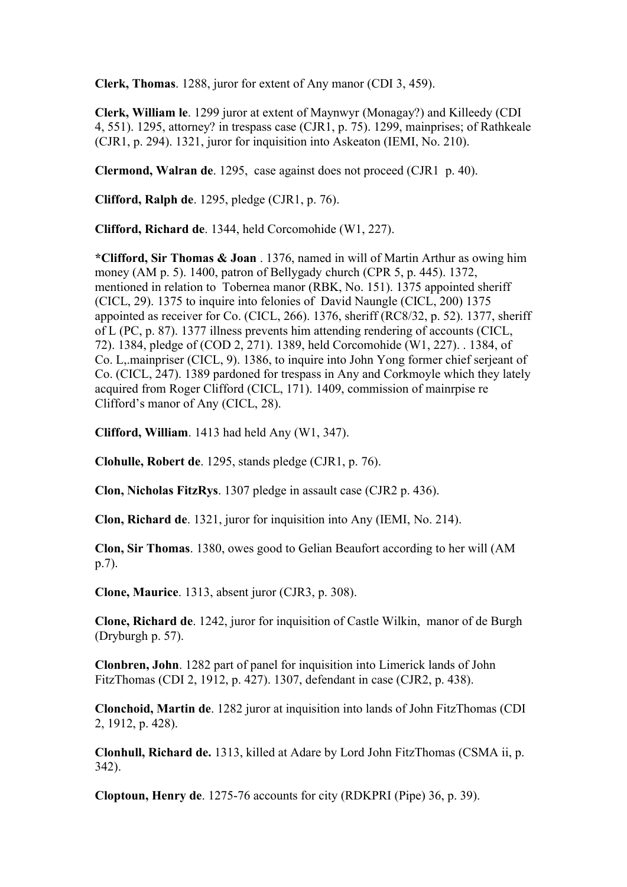**Clerk, Thomas**. 1288, juror for extent of Any manor (CDI 3, 459).

**Clerk, William le**. 1299 juror at extent of Maynwyr (Monagay?) and Killeedy (CDI 4, 551). 1295, attorney? in trespass case (CJR1, p. 75). 1299, mainprises; of Rathkeale (CJR1, p. 294). 1321, juror for inquisition into Askeaton (IEMI, No. 210).

**Clermond, Walran de**. 1295, case against does not proceed (CJR1 p. 40).

**Clifford, Ralph de**. 1295, pledge (CJR1, p. 76).

**Clifford, Richard de**. 1344, held Corcomohide (W1, 227).

**\*Clifford, Sir Thomas & Joan** . 1376, named in will of Martin Arthur as owing him money (AM p. 5). 1400, patron of Bellygady church (CPR 5, p. 445). 1372, mentioned in relation to Tobernea manor (RBK, No. 151). 1375 appointed sheriff (CICL, 29). 1375 to inquire into felonies of David Naungle (CICL, 200) 1375 appointed as receiver for Co. (CICL, 266). 1376, sheriff (RC8/32, p. 52). 1377, sheriff of L (PC, p. 87). 1377 illness prevents him attending rendering of accounts (CICL, 72). 1384, pledge of (COD 2, 271). 1389, held Corcomohide (W1, 227). . 1384, of Co. L,.mainpriser (CICL, 9). 1386, to inquire into John Yong former chief serjeant of Co. (CICL, 247). 1389 pardoned for trespass in Any and Corkmoyle which they lately acquired from Roger Clifford (CICL, 171). 1409, commission of mainrpise re Clifford's manor of Any (CICL, 28).

**Clifford, William**. 1413 had held Any (W1, 347).

**Clohulle, Robert de**. 1295, stands pledge (CJR1, p. 76).

**Clon, Nicholas FitzRys**. 1307 pledge in assault case (CJR2 p. 436).

**Clon, Richard de**. 1321, juror for inquisition into Any (IEMI, No. 214).

**Clon, Sir Thomas**. 1380, owes good to Gelian Beaufort according to her will (AM p.7).

**Clone, Maurice**. 1313, absent juror (CJR3, p. 308).

**Clone, Richard de**. 1242, juror for inquisition of Castle Wilkin, manor of de Burgh (Dryburgh p. 57).

**Clonbren, John**. 1282 part of panel for inquisition into Limerick lands of John FitzThomas (CDI 2, 1912, p. 427). 1307, defendant in case (CJR2, p. 438).

**Clonchoid, Martin de**. 1282 juror at inquisition into lands of John FitzThomas (CDI 2, 1912, p. 428).

**Clonhull, Richard de.** 1313, killed at Adare by Lord John FitzThomas (CSMA ii, p. 342).

**Cloptoun, Henry de**. 1275-76 accounts for city (RDKPRI (Pipe) 36, p. 39).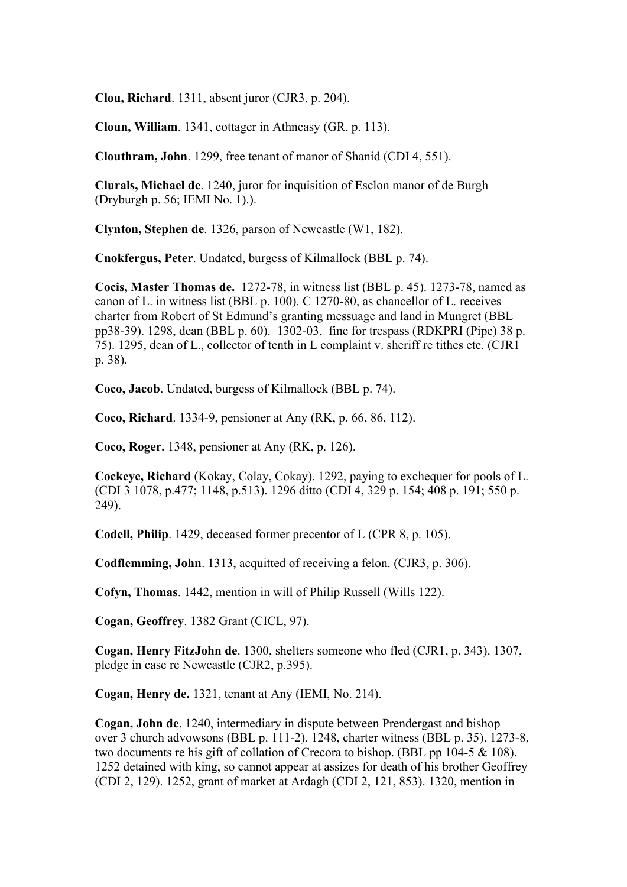**Clou, Richard**. 1311, absent juror (CJR3, p. 204).

**Cloun, William**. 1341, cottager in Athneasy (GR, p. 113).

**Clouthram, John**. 1299, free tenant of manor of Shanid (CDI 4, 551).

**Clurals, Michael de**. 1240, juror for inquisition of Esclon manor of de Burgh (Dryburgh p. 56; IEMI No. 1).).

**Clynton, Stephen de**. 1326, parson of Newcastle (W1, 182).

**Cnokfergus, Peter**. Undated, burgess of Kilmallock (BBL p. 74).

**Cocis, Master Thomas de.** 1272-78, in witness list (BBL p. 45). 1273-78, named as canon of L. in witness list (BBL p. 100). C 1270-80, as chancellor of L. receives charter from Robert of St Edmund's granting messuage and land in Mungret (BBL pp38-39). 1298, dean (BBL p. 60). 1302-03, fine for trespass (RDKPRI (Pipe) 38 p. 75). 1295, dean of L., collector of tenth in L complaint v. sheriff re tithes etc. (CJR1 p. 38).

**Coco, Jacob**. Undated, burgess of Kilmallock (BBL p. 74).

**Coco, Richard**. 1334-9, pensioner at Any (RK, p. 66, 86, 112).

**Coco, Roger.** 1348, pensioner at Any (RK, p. 126).

**Cockeye, Richard** (Kokay, Colay, Cokay). 1292, paying to exchequer for pools of L. (CDI 3 1078, p.477; 1148, p.513). 1296 ditto (CDI 4, 329 p. 154; 408 p. 191; 550 p. 249).

**Codell, Philip**. 1429, deceased former precentor of L (CPR 8, p. 105).

**Codflemming, John**. 1313, acquitted of receiving a felon. (CJR3, p. 306).

**Cofyn, Thomas**. 1442, mention in will of Philip Russell (Wills 122).

**Cogan, Geoffrey**. 1382 Grant (CICL, 97).

**Cogan, Henry FitzJohn de**. 1300, shelters someone who fled (CJR1, p. 343). 1307, pledge in case re Newcastle (CJR2, p.395).

**Cogan, Henry de.** 1321, tenant at Any (IEMI, No. 214).

**Cogan, John de**. 1240, intermediary in dispute between Prendergast and bishop over 3 church advowsons (BBL p. 111-2). 1248, charter witness (BBL p. 35). 1273-8, two documents re his gift of collation of Crecora to bishop. (BBL pp 104-5 & 108). 1252 detained with king, so cannot appear at assizes for death of his brother Geoffrey (CDI 2, 129). 1252, grant of market at Ardagh (CDI 2, 121, 853). 1320, mention in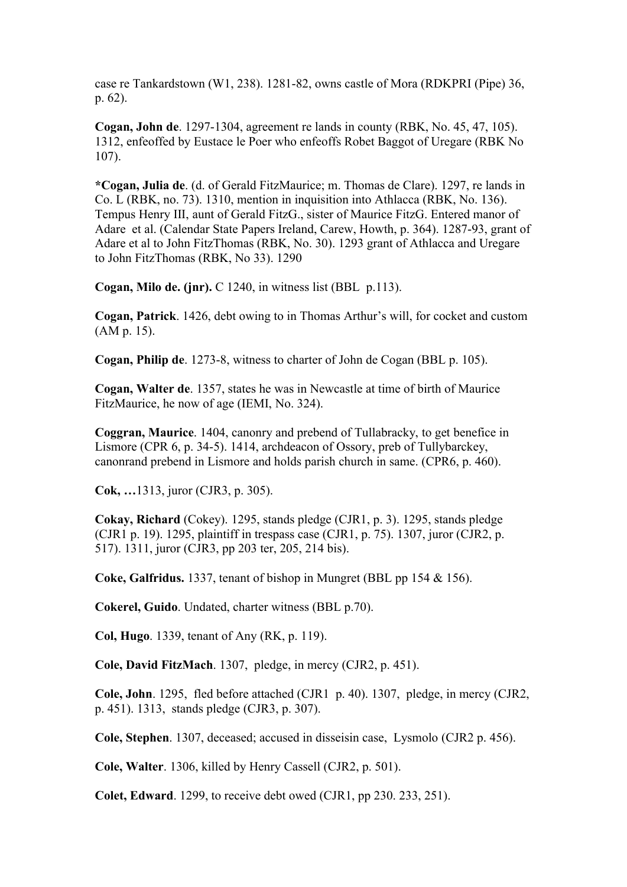case re Tankardstown (W1, 238). 1281-82, owns castle of Mora (RDKPRI (Pipe) 36, p. 62).

**Cogan, John de**. 1297-1304, agreement re lands in county (RBK, No. 45, 47, 105). 1312, enfeoffed by Eustace le Poer who enfeoffs Robet Baggot of Uregare (RBK No 107).

**\*Cogan, Julia de**. (d. of Gerald FitzMaurice; m. Thomas de Clare). 1297, re lands in Co. L (RBK, no. 73). 1310, mention in inquisition into Athlacca (RBK, No. 136). Tempus Henry III, aunt of Gerald FitzG., sister of Maurice FitzG. Entered manor of Adare et al. (Calendar State Papers Ireland, Carew, Howth, p. 364). 1287-93, grant of Adare et al to John FitzThomas (RBK, No. 30). 1293 grant of Athlacca and Uregare to John FitzThomas (RBK, No 33). 1290

**Cogan, Milo de. (jnr).** C 1240, in witness list (BBL p.113).

**Cogan, Patrick**. 1426, debt owing to in Thomas Arthur's will, for cocket and custom (AM p. 15).

**Cogan, Philip de**. 1273-8, witness to charter of John de Cogan (BBL p. 105).

**Cogan, Walter de**. 1357, states he was in Newcastle at time of birth of Maurice FitzMaurice, he now of age (IEMI, No. 324).

**Coggran, Maurice**. 1404, canonry and prebend of Tullabracky, to get benefice in Lismore (CPR 6, p. 34-5). 1414, archdeacon of Ossory, preb of Tullybarckey, canonrand prebend in Lismore and holds parish church in same. (CPR6, p. 460).

**Cok, …**1313, juror (CJR3, p. 305).

**Cokay, Richard** (Cokey). 1295, stands pledge (CJR1, p. 3). 1295, stands pledge (CJR1 p. 19). 1295, plaintiff in trespass case (CJR1, p. 75). 1307, juror (CJR2, p. 517). 1311, juror (CJR3, pp 203 ter, 205, 214 bis).

**Coke, Galfridus.** 1337, tenant of bishop in Mungret (BBL pp 154 & 156).

**Cokerel, Guido**. Undated, charter witness (BBL p.70).

**Col, Hugo**. 1339, tenant of Any (RK, p. 119).

**Cole, David FitzMach**. 1307, pledge, in mercy (CJR2, p. 451).

**Cole, John**. 1295, fled before attached (CJR1 p. 40). 1307, pledge, in mercy (CJR2, p. 451). 1313, stands pledge (CJR3, p. 307).

**Cole, Stephen**. 1307, deceased; accused in disseisin case, Lysmolo (CJR2 p. 456).

**Cole, Walter**. 1306, killed by Henry Cassell (CJR2, p. 501).

**Colet, Edward**. 1299, to receive debt owed (CJR1, pp 230. 233, 251).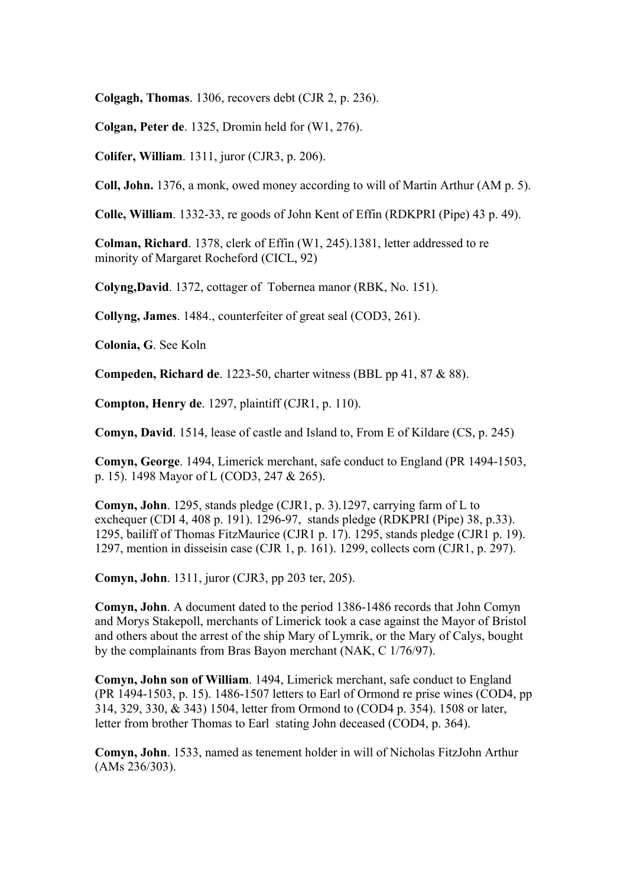**Colgagh, Thomas**. 1306, recovers debt (CJR 2, p. 236).

**Colgan, Peter de**. 1325, Dromin held for (W1, 276).

**Colifer, William**. 1311, juror (CJR3, p. 206).

**Coll, John.** 1376, a monk, owed money according to will of Martin Arthur (AM p. 5).

**Colle, William**. 1332-33, re goods of John Kent of Effin (RDKPRI (Pipe) 43 p. 49).

**Colman, Richard**. 1378, clerk of Effin (W1, 245).1381, letter addressed to re minority of Margaret Rocheford (CICL, 92)

**Colyng,David**. 1372, cottager of Tobernea manor (RBK, No. 151).

**Collyng, James**. 1484., counterfeiter of great seal (COD3, 261).

**Colonia, G**. See Koln

**Compeden, Richard de**. 1223-50, charter witness (BBL pp 41, 87 & 88).

**Compton, Henry de**. 1297, plaintiff (CJR1, p. 110).

**Comyn, David**. 1514, lease of castle and Island to, From E of Kildare (CS, p. 245)

**Comyn, George**. 1494, Limerick merchant, safe conduct to England (PR 1494-1503, p. 15). 1498 Mayor of L (COD3, 247 & 265).

**Comyn, John**. 1295, stands pledge (CJR1, p. 3).1297, carrying farm of L to exchequer (CDI 4, 408 p. 191). 1296-97, stands pledge (RDKPRI (Pipe) 38, p.33). 1295, bailiff of Thomas FitzMaurice (CJR1 p. 17). 1295, stands pledge (CJR1 p. 19). 1297, mention in disseisin case (CJR 1, p. 161). 1299, collects corn (CJR1, p. 297).

**Comyn, John**. 1311, juror (CJR3, pp 203 ter, 205).

**Comyn, John**. A document dated to the period 1386-1486 records that John Comyn and Morys Stakepoll, merchants of Limerick took a case against the Mayor of Bristol and others about the arrest of the ship Mary of Lymrik, or the Mary of Calys, bought by the complainants from Bras Bayon merchant (NAK, C 1/76/97).

**Comyn, John son of William**. 1494, Limerick merchant, safe conduct to England (PR 1494-1503, p. 15). 1486-1507 letters to Earl of Ormond re prise wines (COD4, pp 314, 329, 330, & 343) 1504, letter from Ormond to (COD4 p. 354). 1508 or later, letter from brother Thomas to Earl stating John deceased (COD4, p. 364).

**Comyn, John**. 1533, named as tenement holder in will of Nicholas FitzJohn Arthur (AMs 236/303).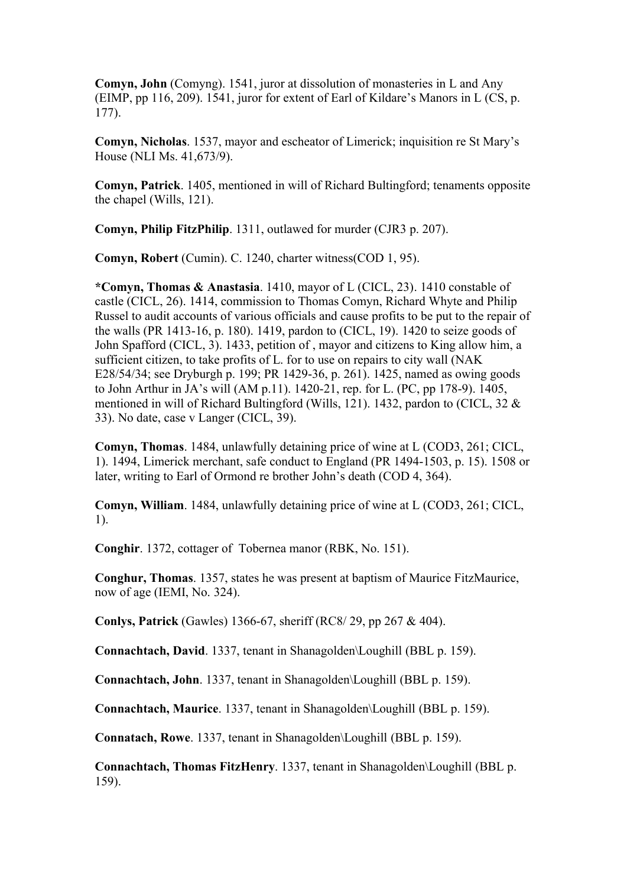**Comyn, John** (Comyng). 1541, juror at dissolution of monasteries in L and Any (EIMP, pp 116, 209). 1541, juror for extent of Earl of Kildare's Manors in L (CS, p. 177).

**Comyn, Nicholas**. 1537, mayor and escheator of Limerick; inquisition re St Mary's House (NLI Ms. 41,673/9).

**Comyn, Patrick**. 1405, mentioned in will of Richard Bultingford; tenaments opposite the chapel (Wills, 121).

**Comyn, Philip FitzPhilip**. 1311, outlawed for murder (CJR3 p. 207).

**Comyn, Robert** (Cumin). C. 1240, charter witness(COD 1, 95).

**\*Comyn, Thomas & Anastasia**. 1410, mayor of L (CICL, 23). 1410 constable of castle (CICL, 26). 1414, commission to Thomas Comyn, Richard Whyte and Philip Russel to audit accounts of various officials and cause profits to be put to the repair of the walls (PR 1413-16, p. 180). 1419, pardon to (CICL, 19). 1420 to seize goods of John Spafford (CICL, 3). 1433, petition of , mayor and citizens to King allow him, a sufficient citizen, to take profits of L. for to use on repairs to city wall (NAK E28/54/34; see Dryburgh p. 199; PR 1429-36, p. 261). 1425, named as owing goods to John Arthur in JA's will (AM p.11). 1420-21, rep. for L. (PC, pp 178-9). 1405, mentioned in will of Richard Bultingford (Wills, 121). 1432, pardon to (CICL, 32 & 33). No date, case v Langer (CICL, 39).

**Comyn, Thomas**. 1484, unlawfully detaining price of wine at L (COD3, 261; CICL, 1). 1494, Limerick merchant, safe conduct to England (PR 1494-1503, p. 15). 1508 or later, writing to Earl of Ormond re brother John's death (COD 4, 364).

**Comyn, William**. 1484, unlawfully detaining price of wine at L (COD3, 261; CICL, 1).

**Conghir**. 1372, cottager of Tobernea manor (RBK, No. 151).

**Conghur, Thomas**. 1357, states he was present at baptism of Maurice FitzMaurice, now of age (IEMI, No. 324).

**Conlys, Patrick** (Gawles) 1366-67, sheriff (RC8/ 29, pp 267 & 404).

**Connachtach, David**. 1337, tenant in Shanagolden\Loughill (BBL p. 159).

**Connachtach, John**. 1337, tenant in Shanagolden\Loughill (BBL p. 159).

**Connachtach, Maurice**. 1337, tenant in Shanagolden\Loughill (BBL p. 159).

**Connatach, Rowe**. 1337, tenant in Shanagolden\Loughill (BBL p. 159).

**Connachtach, Thomas FitzHenry**. 1337, tenant in Shanagolden\Loughill (BBL p. 159).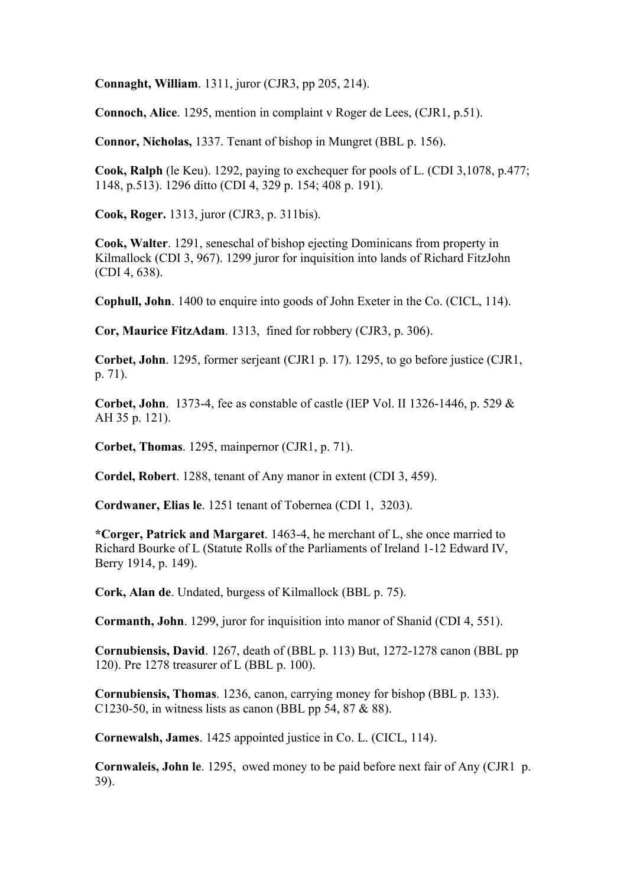**Connaght, William**. 1311, juror (CJR3, pp 205, 214).

**Connoch, Alice**. 1295, mention in complaint v Roger de Lees, (CJR1, p.51).

**Connor, Nicholas,** 1337. Tenant of bishop in Mungret (BBL p. 156).

**Cook, Ralph** (le Keu). 1292, paying to exchequer for pools of L. (CDI 3,1078, p.477; 1148, p.513). 1296 ditto (CDI 4, 329 p. 154; 408 p. 191).

**Cook, Roger.** 1313, juror (CJR3, p. 311bis).

**Cook, Walter**. 1291, seneschal of bishop ejecting Dominicans from property in Kilmallock (CDI 3, 967). 1299 juror for inquisition into lands of Richard FitzJohn (CDI 4, 638).

**Cophull, John**. 1400 to enquire into goods of John Exeter in the Co. (CICL, 114).

**Cor, Maurice FitzAdam**. 1313, fined for robbery (CJR3, p. 306).

**Corbet, John**. 1295, former serjeant (CJR1 p. 17). 1295, to go before justice (CJR1, p. 71).

**Corbet, John**. 1373-4, fee as constable of castle (IEP Vol. II 1326-1446, p. 529 & AH 35 p. 121).

**Corbet, Thomas**. 1295, mainpernor (CJR1, p. 71).

**Cordel, Robert**. 1288, tenant of Any manor in extent (CDI 3, 459).

**Cordwaner, Elias le**. 1251 tenant of Tobernea (CDI 1, 3203).

**\*Corger, Patrick and Margaret**. 1463-4, he merchant of L, she once married to Richard Bourke of L (Statute Rolls of the Parliaments of Ireland 1-12 Edward IV, Berry 1914, p. 149).

**Cork, Alan de**. Undated, burgess of Kilmallock (BBL p. 75).

**Cormanth, John**. 1299, juror for inquisition into manor of Shanid (CDI 4, 551).

**Cornubiensis, David**. 1267, death of (BBL p. 113) But, 1272-1278 canon (BBL pp 120). Pre 1278 treasurer of L (BBL p. 100).

**Cornubiensis, Thomas**. 1236, canon, carrying money for bishop (BBL p. 133). C1230-50, in witness lists as canon (BBL pp 54,  $87 & 88$ ).

**Cornewalsh, James**. 1425 appointed justice in Co. L. (CICL, 114).

**Cornwaleis, John le**. 1295, owed money to be paid before next fair of Any (CJR1 p. 39).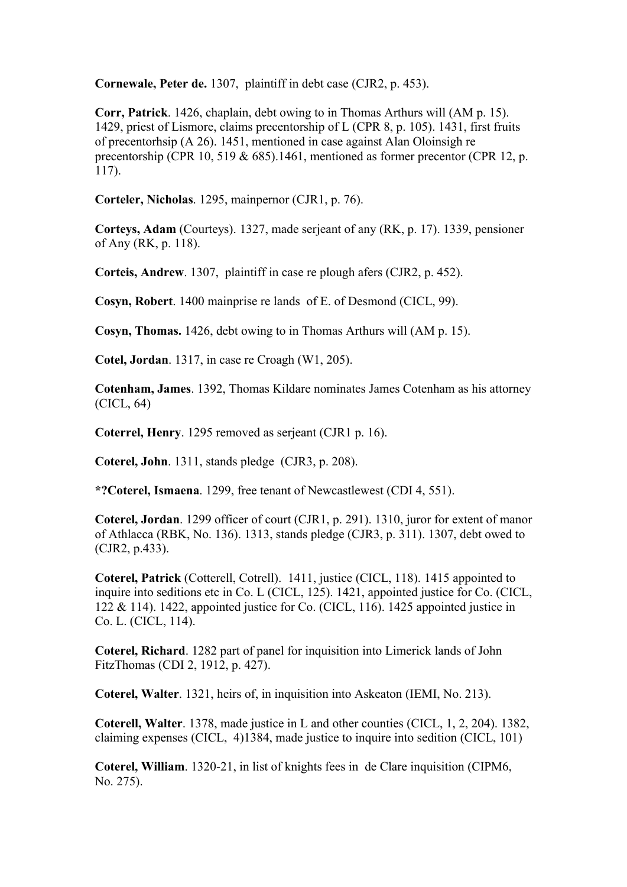**Cornewale, Peter de.** 1307, plaintiff in debt case (CJR2, p. 453).

**Corr, Patrick**. 1426, chaplain, debt owing to in Thomas Arthurs will (AM p. 15). 1429, priest of Lismore, claims precentorship of L (CPR 8, p. 105). 1431, first fruits of precentorhsip (A 26). 1451, mentioned in case against Alan Oloinsigh re precentorship (CPR 10, 519 & 685).1461, mentioned as former precentor (CPR 12, p. 117).

**Corteler, Nicholas**. 1295, mainpernor (CJR1, p. 76).

**Corteys, Adam** (Courteys). 1327, made serjeant of any (RK, p. 17). 1339, pensioner of Any (RK, p. 118).

**Corteis, Andrew**. 1307, plaintiff in case re plough afers (CJR2, p. 452).

**Cosyn, Robert**. 1400 mainprise re lands of E. of Desmond (CICL, 99).

**Cosyn, Thomas.** 1426, debt owing to in Thomas Arthurs will (AM p. 15).

**Cotel, Jordan**. 1317, in case re Croagh (W1, 205).

**Cotenham, James**. 1392, Thomas Kildare nominates James Cotenham as his attorney (CICL, 64)

**Coterrel, Henry**. 1295 removed as serjeant (CJR1 p. 16).

**Coterel, John**. 1311, stands pledge (CJR3, p. 208).

**\*?Coterel, Ismaena**. 1299, free tenant of Newcastlewest (CDI 4, 551).

**Coterel, Jordan**. 1299 officer of court (CJR1, p. 291). 1310, juror for extent of manor of Athlacca (RBK, No. 136). 1313, stands pledge (CJR3, p. 311). 1307, debt owed to (CJR2, p.433).

**Coterel, Patrick** (Cotterell, Cotrell). 1411, justice (CICL, 118). 1415 appointed to inquire into seditions etc in Co. L (CICL, 125). 1421, appointed justice for Co. (CICL, 122 & 114). 1422, appointed justice for Co. (CICL, 116). 1425 appointed justice in Co. L. (CICL, 114).

**Coterel, Richard**. 1282 part of panel for inquisition into Limerick lands of John FitzThomas (CDI 2, 1912, p. 427).

**Coterel, Walter**. 1321, heirs of, in inquisition into Askeaton (IEMI, No. 213).

**Coterell, Walter**. 1378, made justice in L and other counties (CICL, 1, 2, 204). 1382, claiming expenses (CICL, 4)1384, made justice to inquire into sedition (CICL, 101)

**Coterel, William**. 1320-21, in list of knights fees in de Clare inquisition (CIPM6, No. 275).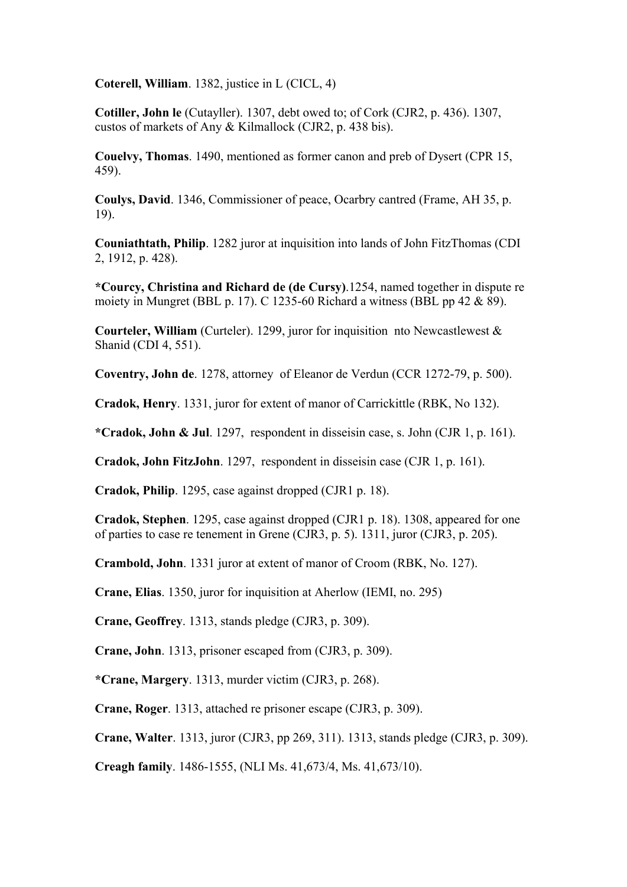**Coterell, William**. 1382, justice in L (CICL, 4)

**Cotiller, John le** (Cutayller). 1307, debt owed to; of Cork (CJR2, p. 436). 1307, custos of markets of Any & Kilmallock (CJR2, p. 438 bis).

**Couelvy, Thomas**. 1490, mentioned as former canon and preb of Dysert (CPR 15, 459).

**Coulys, David**. 1346, Commissioner of peace, Ocarbry cantred (Frame, AH 35, p. 19).

**Couniathtath, Philip**. 1282 juror at inquisition into lands of John FitzThomas (CDI 2, 1912, p. 428).

**\*Courcy, Christina and Richard de (de Cursy)**.1254, named together in dispute re moiety in Mungret (BBL p. 17). C 1235-60 Richard a witness (BBL pp 42 & 89).

**Courteler, William** (Curteler). 1299, juror for inquisition nto Newcastlewest & Shanid (CDI 4, 551).

**Coventry, John de**. 1278, attorney of Eleanor de Verdun (CCR 1272-79, p. 500).

**Cradok, Henry**. 1331, juror for extent of manor of Carrickittle (RBK, No 132).

**\*Cradok, John & Jul**. 1297, respondent in disseisin case, s. John (CJR 1, p. 161).

**Cradok, John FitzJohn**. 1297, respondent in disseisin case (CJR 1, p. 161).

**Cradok, Philip**. 1295, case against dropped (CJR1 p. 18).

**Cradok, Stephen**. 1295, case against dropped (CJR1 p. 18). 1308, appeared for one of parties to case re tenement in Grene (CJR3, p. 5). 1311, juror (CJR3, p. 205).

**Crambold, John**. 1331 juror at extent of manor of Croom (RBK, No. 127).

**Crane, Elias**. 1350, juror for inquisition at Aherlow (IEMI, no. 295)

**Crane, Geoffrey**. 1313, stands pledge (CJR3, p. 309).

**Crane, John**. 1313, prisoner escaped from (CJR3, p. 309).

**\*Crane, Margery**. 1313, murder victim (CJR3, p. 268).

**Crane, Roger**. 1313, attached re prisoner escape (CJR3, p. 309).

**Crane, Walter**. 1313, juror (CJR3, pp 269, 311). 1313, stands pledge (CJR3, p. 309).

**Creagh family**. 1486-1555, (NLI Ms. 41,673/4, Ms. 41,673/10).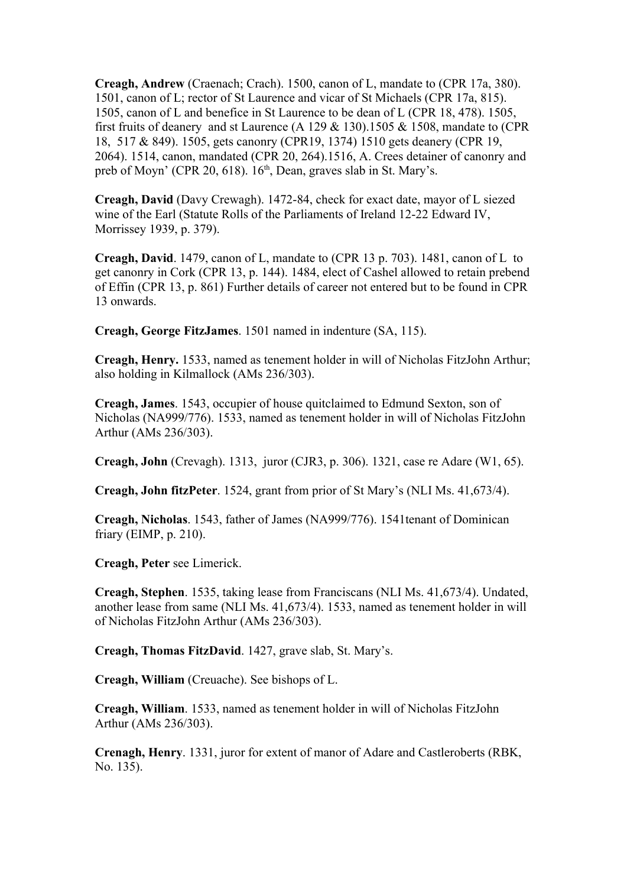**Creagh, Andrew** (Craenach; Crach). 1500, canon of L, mandate to (CPR 17a, 380). 1501, canon of L; rector of St Laurence and vicar of St Michaels (CPR 17a, 815). 1505, canon of L and benefice in St Laurence to be dean of L (CPR 18, 478). 1505, first fruits of deanery and st Laurence (A 129  $&$  130).1505  $&$  1508, mandate to (CPR 18, 517 & 849). 1505, gets canonry (CPR19, 1374) 1510 gets deanery (CPR 19, 2064). 1514, canon, mandated (CPR 20, 264).1516, A. Crees detainer of canonry and preb of Moyn' (CPR 20, 618).  $16<sup>th</sup>$ , Dean, graves slab in St. Mary's.

**Creagh, David** (Davy Crewagh). 1472-84, check for exact date, mayor of L siezed wine of the Earl (Statute Rolls of the Parliaments of Ireland 12-22 Edward IV, Morrissey 1939, p. 379).

**Creagh, David**. 1479, canon of L, mandate to (CPR 13 p. 703). 1481, canon of L to get canonry in Cork (CPR 13, p. 144). 1484, elect of Cashel allowed to retain prebend of Effin (CPR 13, p. 861) Further details of career not entered but to be found in CPR 13 onwards.

**Creagh, George FitzJames**. 1501 named in indenture (SA, 115).

**Creagh, Henry.** 1533, named as tenement holder in will of Nicholas FitzJohn Arthur; also holding in Kilmallock (AMs 236/303).

**Creagh, James**. 1543, occupier of house quitclaimed to Edmund Sexton, son of Nicholas (NA999/776). 1533, named as tenement holder in will of Nicholas FitzJohn Arthur (AMs 236/303).

**Creagh, John** (Crevagh). 1313, juror (CJR3, p. 306). 1321, case re Adare (W1, 65).

**Creagh, John fitzPeter**. 1524, grant from prior of St Mary's (NLI Ms. 41,673/4).

**Creagh, Nicholas**. 1543, father of James (NA999/776). 1541tenant of Dominican friary (EIMP, p. 210).

**Creagh, Peter** see Limerick.

**Creagh, Stephen**. 1535, taking lease from Franciscans (NLI Ms. 41,673/4). Undated, another lease from same (NLI Ms. 41,673/4). 1533, named as tenement holder in will of Nicholas FitzJohn Arthur (AMs 236/303).

**Creagh, Thomas FitzDavid**. 1427, grave slab, St. Mary's.

**Creagh, William** (Creuache). See bishops of L.

**Creagh, William**. 1533, named as tenement holder in will of Nicholas FitzJohn Arthur (AMs 236/303).

**Crenagh, Henry**. 1331, juror for extent of manor of Adare and Castleroberts (RBK, No. 135).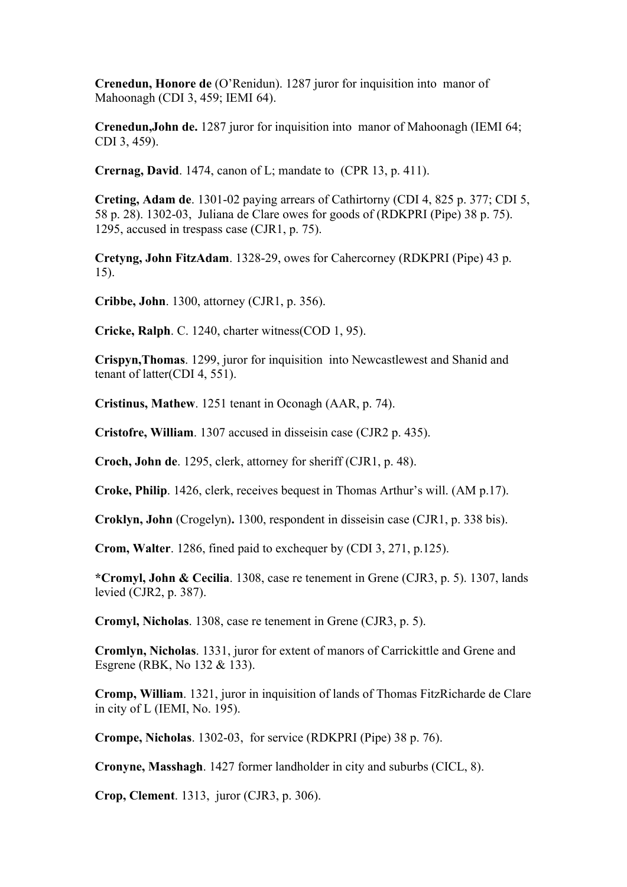**Crenedun, Honore de** (O'Renidun). 1287 juror for inquisition into manor of Mahoonagh (CDI 3, 459; IEMI 64).

**Crenedun,John de.** 1287 juror for inquisition into manor of Mahoonagh (IEMI 64; CDI 3, 459).

**Crernag, David**. 1474, canon of L; mandate to (CPR 13, p. 411).

**Creting, Adam de**. 1301-02 paying arrears of Cathirtorny (CDI 4, 825 p. 377; CDI 5, 58 p. 28). 1302-03, Juliana de Clare owes for goods of (RDKPRI (Pipe) 38 p. 75). 1295, accused in trespass case (CJR1, p. 75).

**Cretyng, John FitzAdam**. 1328-29, owes for Cahercorney (RDKPRI (Pipe) 43 p. 15).

**Cribbe, John**. 1300, attorney (CJR1, p. 356).

**Cricke, Ralph**. C. 1240, charter witness(COD 1, 95).

**Crispyn,Thomas**. 1299, juror for inquisition into Newcastlewest and Shanid and tenant of latter(CDI 4, 551).

**Cristinus, Mathew**. 1251 tenant in Oconagh (AAR, p. 74).

**Cristofre, William**. 1307 accused in disseisin case (CJR2 p. 435).

**Croch, John de**. 1295, clerk, attorney for sheriff (CJR1, p. 48).

**Croke, Philip**. 1426, clerk, receives bequest in Thomas Arthur's will. (AM p.17).

**Croklyn, John** (Crogelyn)**.** 1300, respondent in disseisin case (CJR1, p. 338 bis).

**Crom, Walter**. 1286, fined paid to exchequer by (CDI 3, 271, p.125).

**\*Cromyl, John & Cecilia**. 1308, case re tenement in Grene (CJR3, p. 5). 1307, lands levied (CJR2, p. 387).

**Cromyl, Nicholas**. 1308, case re tenement in Grene (CJR3, p. 5).

**Cromlyn, Nicholas**. 1331, juror for extent of manors of Carrickittle and Grene and Esgrene (RBK, No 132 & 133).

**Cromp, William**. 1321, juror in inquisition of lands of Thomas FitzRicharde de Clare in city of L (IEMI, No. 195).

**Crompe, Nicholas**. 1302-03, for service (RDKPRI (Pipe) 38 p. 76).

**Cronyne, Masshagh**. 1427 former landholder in city and suburbs (CICL, 8).

**Crop, Clement**. 1313, juror (CJR3, p. 306).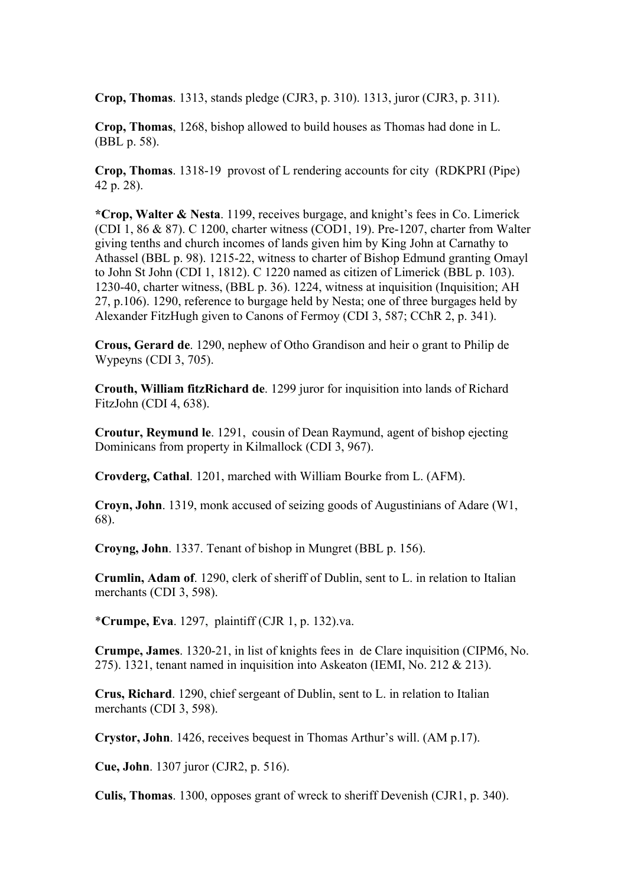**Crop, Thomas**. 1313, stands pledge (CJR3, p. 310). 1313, juror (CJR3, p. 311).

**Crop, Thomas**, 1268, bishop allowed to build houses as Thomas had done in L. (BBL p. 58).

**Crop, Thomas**. 1318-19 provost of L rendering accounts for city (RDKPRI (Pipe) 42 p. 28).

**\*Crop, Walter & Nesta**. 1199, receives burgage, and knight's fees in Co. Limerick (CDI 1, 86 & 87). C 1200, charter witness (COD1, 19). Pre-1207, charter from Walter giving tenths and church incomes of lands given him by King John at Carnathy to Athassel (BBL p. 98). 1215-22, witness to charter of Bishop Edmund granting Omayl to John St John (CDI 1, 1812). C 1220 named as citizen of Limerick (BBL p. 103). 1230-40, charter witness, (BBL p. 36). 1224, witness at inquisition (Inquisition; AH 27, p.106). 1290, reference to burgage held by Nesta; one of three burgages held by Alexander FitzHugh given to Canons of Fermoy (CDI 3, 587; CChR 2, p. 341).

**Crous, Gerard de**. 1290, nephew of Otho Grandison and heir o grant to Philip de Wypeyns (CDI 3, 705).

**Crouth, William fitzRichard de**. 1299 juror for inquisition into lands of Richard FitzJohn (CDI 4, 638).

**Croutur, Reymund le**. 1291, cousin of Dean Raymund, agent of bishop ejecting Dominicans from property in Kilmallock (CDI 3, 967).

**Crovderg, Cathal**. 1201, marched with William Bourke from L. (AFM).

**Croyn, John**. 1319, monk accused of seizing goods of Augustinians of Adare (W1, 68).

**Croyng, John**. 1337. Tenant of bishop in Mungret (BBL p. 156).

**Crumlin, Adam of**. 1290, clerk of sheriff of Dublin, sent to L. in relation to Italian merchants (CDI 3, 598).

\***Crumpe, Eva**. 1297, plaintiff (CJR 1, p. 132).va.

**Crumpe, James**. 1320-21, in list of knights fees in de Clare inquisition (CIPM6, No. 275). 1321, tenant named in inquisition into Askeaton (IEMI, No. 212 & 213).

**Crus, Richard**. 1290, chief sergeant of Dublin, sent to L. in relation to Italian merchants (CDI 3, 598).

**Crystor, John**. 1426, receives bequest in Thomas Arthur's will. (AM p.17).

**Cue, John**. 1307 juror (CJR2, p. 516).

**Culis, Thomas**. 1300, opposes grant of wreck to sheriff Devenish (CJR1, p. 340).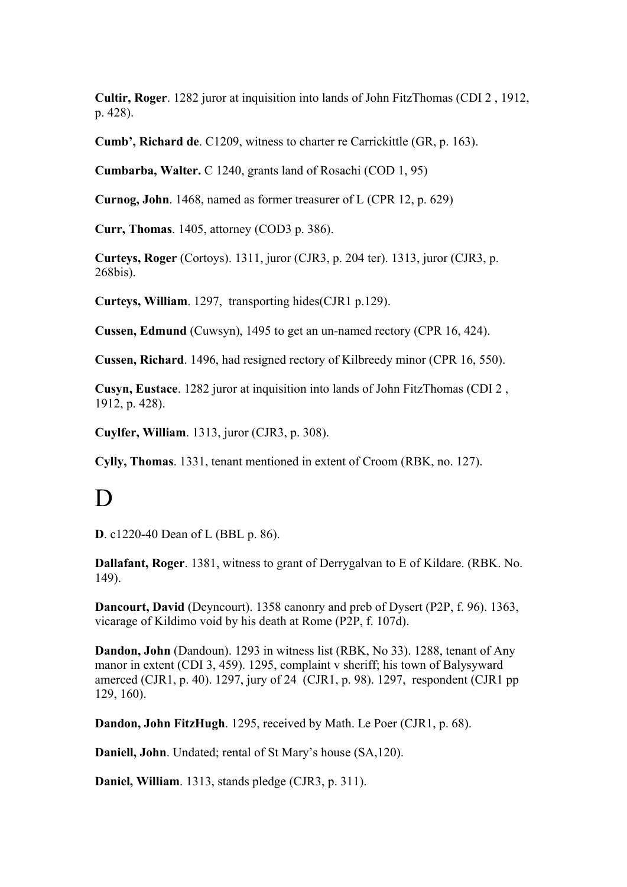**Cultir, Roger**. 1282 juror at inquisition into lands of John FitzThomas (CDI 2 , 1912, p. 428).

**Cumb', Richard de**. C1209, witness to charter re Carrickittle (GR, p. 163).

**Cumbarba, Walter.** C 1240, grants land of Rosachi (COD 1, 95)

**Curnog, John**. 1468, named as former treasurer of L (CPR 12, p. 629)

**Curr, Thomas**. 1405, attorney (COD3 p. 386).

**Curteys, Roger** (Cortoys). 1311, juror (CJR3, p. 204 ter). 1313, juror (CJR3, p. 268bis).

**Curteys, William**. 1297, transporting hides(CJR1 p.129).

**Cussen, Edmund** (Cuwsyn), 1495 to get an un-named rectory (CPR 16, 424).

**Cussen, Richard**. 1496, had resigned rectory of Kilbreedy minor (CPR 16, 550).

**Cusyn, Eustace**. 1282 juror at inquisition into lands of John FitzThomas (CDI 2 , 1912, p. 428).

**Cuylfer, William**. 1313, juror (CJR3, p. 308).

**Cylly, Thomas**. 1331, tenant mentioned in extent of Croom (RBK, no. 127).

## D

**D**. c1220-40 Dean of L (BBL p. 86).

**Dallafant, Roger**. 1381, witness to grant of Derrygalvan to E of Kildare. (RBK. No. 149).

**Dancourt, David** (Deyncourt). 1358 canonry and preb of Dysert (P2P, f. 96). 1363, vicarage of Kildimo void by his death at Rome (P2P, f. 107d).

**Dandon, John** (Dandoun). 1293 in witness list (RBK, No 33). 1288, tenant of Any manor in extent (CDI 3, 459). 1295, complaint v sheriff; his town of Balysyward amerced (CJR1, p. 40). 1297, jury of 24 (CJR1, p. 98). 1297, respondent (CJR1 pp 129, 160).

**Dandon, John FitzHugh**. 1295, received by Math. Le Poer (CJR1, p. 68).

**Daniell, John**. Undated; rental of St Mary's house (SA,120).

**Daniel, William**. 1313, stands pledge (CJR3, p. 311).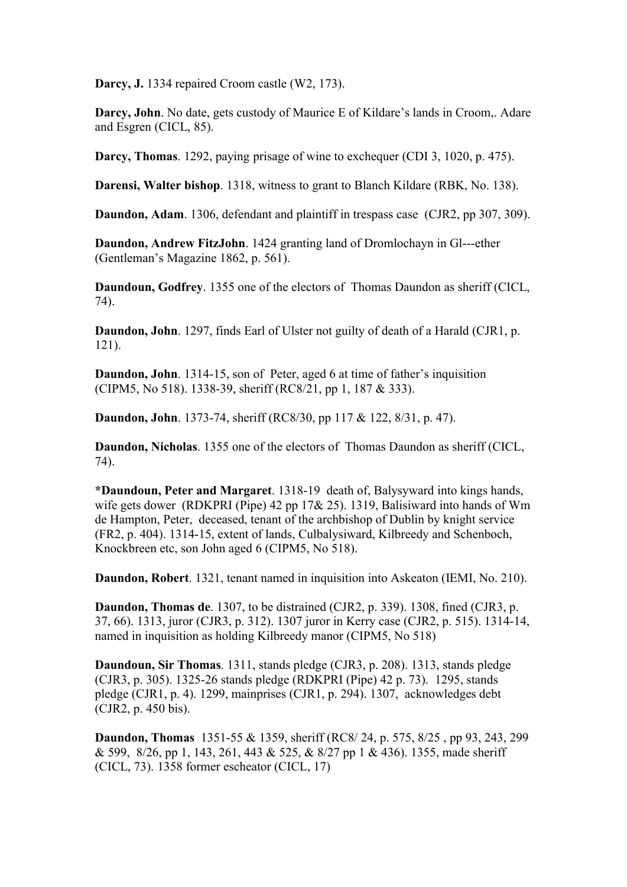**Darcy, J.** 1334 repaired Croom castle (W2, 173).

**Darcy, John**. No date, gets custody of Maurice E of Kildare's lands in Croom,. Adare and Esgren (CICL, 85).

**Darcy, Thomas**. 1292, paying prisage of wine to exchequer (CDI 3, 1020, p. 475).

**Darensi, Walter bishop**. 1318, witness to grant to Blanch Kildare (RBK, No. 138).

**Daundon, Adam**. 1306, defendant and plaintiff in trespass case (CJR2, pp 307, 309).

**Daundon, Andrew FitzJohn**. 1424 granting land of Dromlochayn in Gl---ether (Gentleman's Magazine 1862, p. 561).

**Daundoun, Godfrey**. 1355 one of the electors of Thomas Daundon as sheriff (CICL, 74).

**Daundon, John**. 1297, finds Earl of Ulster not guilty of death of a Harald (CJR1, p. 121).

**Daundon, John**. 1314-15, son of Peter, aged 6 at time of father's inquisition (CIPM5, No 518). 1338-39, sheriff (RC8/21, pp 1, 187 & 333).

**Daundon, John**. 1373-74, sheriff (RC8/30, pp 117 & 122, 8/31, p. 47).

**Daundon, Nicholas**. 1355 one of the electors of Thomas Daundon as sheriff (CICL, 74).

**\*Daundoun, Peter and Margaret**. 1318-19 death of, Balysyward into kings hands, wife gets dower (RDKPRI (Pipe) 42 pp 17& 25). 1319, Balisiward into hands of Wm de Hampton, Peter, deceased, tenant of the archbishop of Dublin by knight service (FR2, p. 404). 1314-15, extent of lands, Culbalysiward, Kilbreedy and Schenboch, Knockbreen etc, son John aged 6 (CIPM5, No 518).

**Daundon, Robert**. 1321, tenant named in inquisition into Askeaton (IEMI, No. 210).

**Daundon, Thomas de**. 1307, to be distrained (CJR2, p. 339). 1308, fined (CJR3, p. 37, 66). 1313, juror (CJR3, p. 312). 1307 juror in Kerry case (CJR2, p. 515). 1314-14, named in inquisition as holding Kilbreedy manor (CIPM5, No 518)

**Daundoun, Sir Thomas**. 1311, stands pledge (CJR3, p. 208). 1313, stands pledge (CJR3, p. 305). 1325-26 stands pledge (RDKPRI (Pipe) 42 p. 73). 1295, stands pledge (CJR1, p. 4). 1299, mainprises (CJR1, p. 294). 1307, acknowledges debt (CJR2, p. 450 bis).

**Daundon, Thomas** 1351-55 & 1359, sheriff (RC8/ 24, p. 575, 8/25 , pp 93, 243, 299 & 599, 8/26, pp 1, 143, 261, 443 & 525, & 8/27 pp 1 & 436). 1355, made sheriff (CICL, 73). 1358 former escheator (CICL, 17)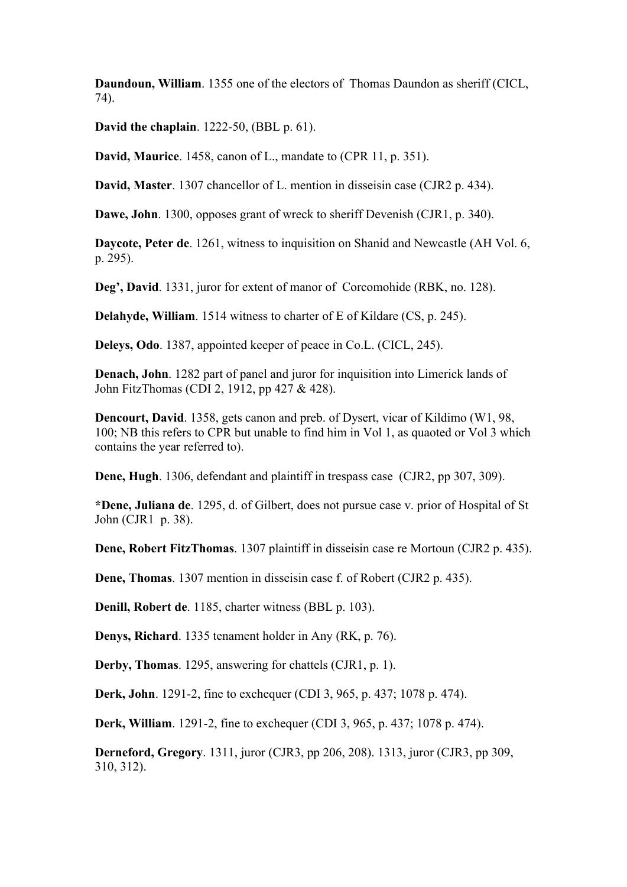**Daundoun, William**. 1355 one of the electors of Thomas Daundon as sheriff (CICL, 74).

**David the chaplain**. 1222-50, (BBL p. 61).

**David, Maurice**. 1458, canon of L., mandate to (CPR 11, p. 351).

**David, Master**. 1307 chancellor of L. mention in disseisin case (CJR2 p. 434).

**Dawe, John**. 1300, opposes grant of wreck to sheriff Devenish (CJR1, p. 340).

**Daycote, Peter de**. 1261, witness to inquisition on Shanid and Newcastle (AH Vol. 6, p. 295).

**Deg', David**. 1331, juror for extent of manor of Corcomohide (RBK, no. 128).

**Delahyde, William**. 1514 witness to charter of E of Kildare (CS, p. 245).

**Deleys, Odo**. 1387, appointed keeper of peace in Co.L. (CICL, 245).

**Denach, John**. 1282 part of panel and juror for inquisition into Limerick lands of John FitzThomas (CDI 2, 1912, pp 427 & 428).

**Dencourt, David**. 1358, gets canon and preb. of Dysert, vicar of Kildimo (W1, 98, 100; NB this refers to CPR but unable to find him in Vol 1, as quaoted or Vol 3 which contains the year referred to).

**Dene, Hugh**. 1306, defendant and plaintiff in trespass case (CJR2, pp 307, 309).

**\*Dene, Juliana de**. 1295, d. of Gilbert, does not pursue case v. prior of Hospital of St John (CJR1 p. 38).

**Dene, Robert FitzThomas**. 1307 plaintiff in disseisin case re Mortoun (CJR2 p. 435).

**Dene, Thomas**. 1307 mention in disseisin case f. of Robert (CJR2 p. 435).

**Denill, Robert de**. 1185, charter witness (BBL p. 103).

**Denys, Richard**. 1335 tenament holder in Any (RK, p. 76).

**Derby, Thomas**. 1295, answering for chattels (CJR1, p. 1).

**Derk, John**. 1291-2, fine to exchequer (CDI 3, 965, p. 437; 1078 p. 474).

**Derk, William**. 1291-2, fine to exchequer (CDI 3, 965, p. 437; 1078 p. 474).

**Derneford, Gregory**. 1311, juror (CJR3, pp 206, 208). 1313, juror (CJR3, pp 309, 310, 312).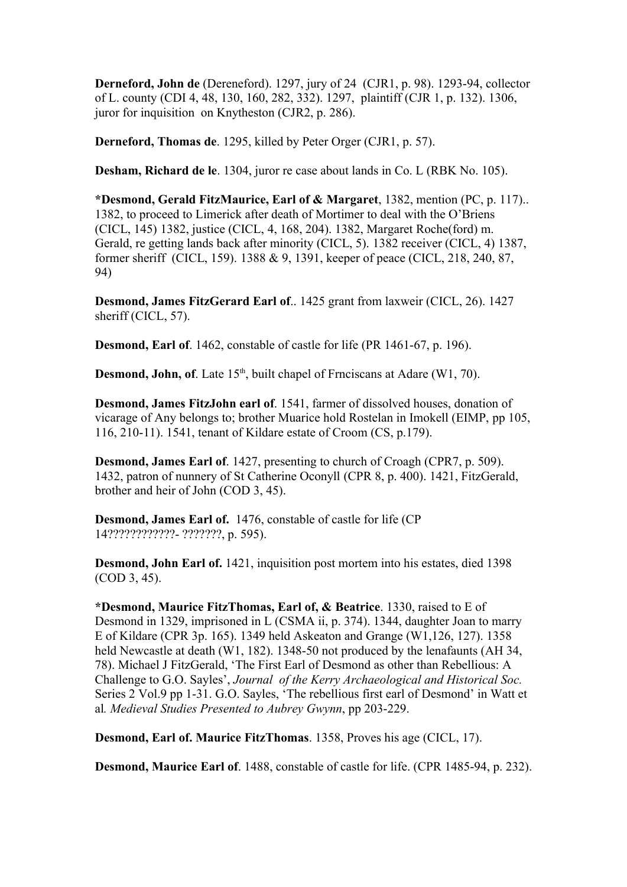**Derneford, John de** (Dereneford). 1297, jury of 24 (CJR1, p. 98). 1293-94, collector of L. county (CDI 4, 48, 130, 160, 282, 332). 1297, plaintiff (CJR 1, p. 132). 1306, juror for inquisition on Knytheston (CJR2, p. 286).

**Derneford, Thomas de**. 1295, killed by Peter Orger (CJR1, p. 57).

**Desham, Richard de le**. 1304, juror re case about lands in Co. L (RBK No. 105).

**\*Desmond, Gerald FitzMaurice, Earl of & Margaret**, 1382, mention (PC, p. 117).. 1382, to proceed to Limerick after death of Mortimer to deal with the O'Briens (CICL, 145) 1382, justice (CICL, 4, 168, 204). 1382, Margaret Roche(ford) m. Gerald, re getting lands back after minority (CICL, 5). 1382 receiver (CICL, 4) 1387, former sheriff (CICL, 159). 1388 & 9, 1391, keeper of peace (CICL, 218, 240, 87, 94)

**Desmond, James FitzGerard Earl of**.. 1425 grant from laxweir (CICL, 26). 1427 sheriff (CICL, 57).

**Desmond, Earl of**. 1462, constable of castle for life (PR 1461-67, p. 196).

**Desmond, John, of**. Late 15<sup>th</sup>, built chapel of Frnciscans at Adare (W1, 70).

**Desmond, James FitzJohn earl of**. 1541, farmer of dissolved houses, donation of vicarage of Any belongs to; brother Muarice hold Rostelan in Imokell (EIMP, pp 105, 116, 210-11). 1541, tenant of Kildare estate of Croom (CS, p.179).

**Desmond, James Earl of**. 1427, presenting to church of Croagh (CPR7, p. 509). 1432, patron of nunnery of St Catherine Oconyll (CPR 8, p. 400). 1421, FitzGerald, brother and heir of John (COD 3, 45).

**Desmond, James Earl of.** 1476, constable of castle for life (CP 14????????????- ???????, p. 595).

**Desmond, John Earl of.** 1421, inquisition post mortem into his estates, died 1398 (COD 3, 45).

**\*Desmond, Maurice FitzThomas, Earl of, & Beatrice**. 1330, raised to E of Desmond in 1329, imprisoned in L (CSMA ii, p. 374). 1344, daughter Joan to marry E of Kildare (CPR 3p. 165). 1349 held Askeaton and Grange (W1,126, 127). 1358 held Newcastle at death (W1, 182). 1348-50 not produced by the lenafaunts (AH 34, 78). Michael J FitzGerald, 'The First Earl of Desmond as other than Rebellious: A Challenge to G.O. Sayles', *Journal of the Kerry Archaeological and Historical Soc.* Series 2 Vol.9 pp 1-31. G.O. Sayles, 'The rebellious first earl of Desmond' in Watt et al*. Medieval Studies Presented to Aubrey Gwynn*, pp 203-229.

**Desmond, Earl of. Maurice FitzThomas**. 1358, Proves his age (CICL, 17).

**Desmond, Maurice Earl of**. 1488, constable of castle for life. (CPR 1485-94, p. 232).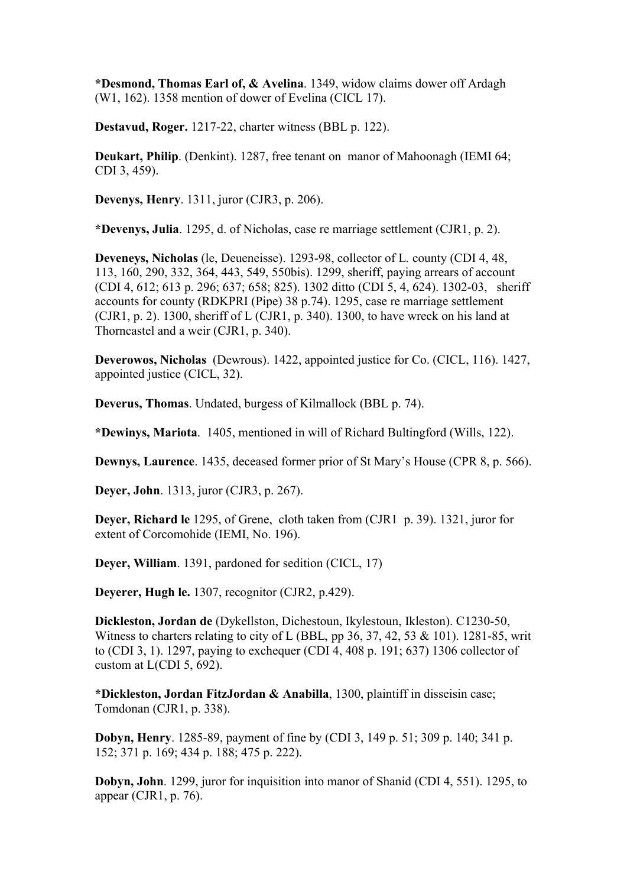**\*Desmond, Thomas Earl of, & Avelina**. 1349, widow claims dower off Ardagh (W1, 162). 1358 mention of dower of Evelina (CICL 17).

**Destavud, Roger.** 1217-22, charter witness (BBL p. 122).

**Deukart, Philip**. (Denkint). 1287, free tenant on manor of Mahoonagh (IEMI 64; CDI 3, 459).

**Devenys, Henry**. 1311, juror (CJR3, p. 206).

**\*Devenys, Julia**. 1295, d. of Nicholas, case re marriage settlement (CJR1, p. 2).

**Deveneys, Nicholas** (le, Deueneisse). 1293-98, collector of L. county (CDI 4, 48, 113, 160, 290, 332, 364, 443, 549, 550bis). 1299, sheriff, paying arrears of account (CDI 4, 612; 613 p. 296; 637; 658; 825). 1302 ditto (CDI 5, 4, 624). 1302-03, sheriff accounts for county (RDKPRI (Pipe) 38 p.74). 1295, case re marriage settlement (CJR1, p. 2). 1300, sheriff of L (CJR1, p. 340). 1300, to have wreck on his land at Thorncastel and a weir (CJR1, p. 340).

**Deverowos, Nicholas** (Dewrous). 1422, appointed justice for Co. (CICL, 116). 1427, appointed justice (CICL, 32).

**Deverus, Thomas**. Undated, burgess of Kilmallock (BBL p. 74).

**\*Dewinys, Mariota**. 1405, mentioned in will of Richard Bultingford (Wills, 122).

**Dewnys, Laurence**. 1435, deceased former prior of St Mary's House (CPR 8, p. 566).

**Deyer, John**. 1313, juror (CJR3, p. 267).

**Deyer, Richard le** 1295, of Grene, cloth taken from (CJR1 p. 39). 1321, juror for extent of Corcomohide (IEMI, No. 196).

**Deyer, William**. 1391, pardoned for sedition (CICL, 17)

**Deyerer, Hugh le.** 1307, recognitor (CJR2, p.429).

**Dickleston, Jordan de** (Dykellston, Dichestoun, Ikylestoun, Ikleston). C1230-50, Witness to charters relating to city of L (BBL, pp 36, 37, 42, 53  $& 101$ ). 1281-85, writ to (CDI 3, 1). 1297, paying to exchequer (CDI 4, 408 p. 191; 637) 1306 collector of custom at L(CDI 5, 692).

**\*Dickleston, Jordan FitzJordan & Anabilla**, 1300, plaintiff in disseisin case; Tomdonan (CJR1, p. 338).

**Dobyn, Henry**. 1285-89, payment of fine by (CDI 3, 149 p. 51; 309 p. 140; 341 p. 152; 371 p. 169; 434 p. 188; 475 p. 222).

**Dobyn, John**. 1299, juror for inquisition into manor of Shanid (CDI 4, 551). 1295, to appear (CJR1, p. 76).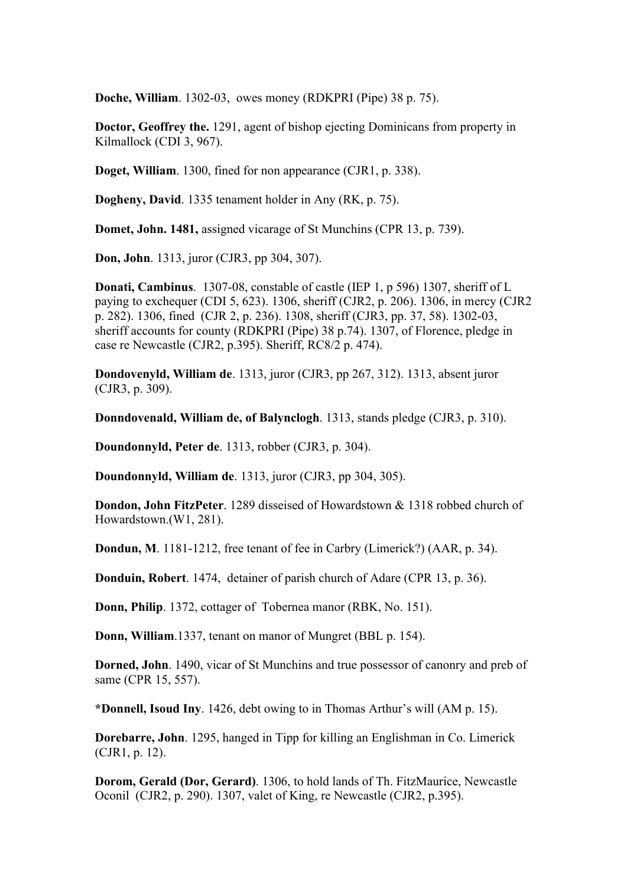**Doche, William**. 1302-03, owes money (RDKPRI (Pipe) 38 p. 75).

**Doctor, Geoffrey the.** 1291, agent of bishop ejecting Dominicans from property in Kilmallock (CDI 3, 967).

**Doget, William**. 1300, fined for non appearance (CJR1, p. 338).

**Dogheny, David**. 1335 tenament holder in Any (RK, p. 75).

**Domet, John. 1481,** assigned vicarage of St Munchins (CPR 13, p. 739).

**Don, John**. 1313, juror (CJR3, pp 304, 307).

**Donati, Cambinus**. 1307-08, constable of castle (IEP 1, p 596) 1307, sheriff of L paying to exchequer (CDI 5, 623). 1306, sheriff (CJR2, p. 206). 1306, in mercy (CJR2 p. 282). 1306, fined (CJR 2, p. 236). 1308, sheriff (CJR3, pp. 37, 58). 1302-03, sheriff accounts for county (RDKPRI (Pipe) 38 p.74). 1307, of Florence, pledge in case re Newcastle (CJR2, p.395). Sheriff, RC8/2 p. 474).

**Dondovenyld, William de**. 1313, juror (CJR3, pp 267, 312). 1313, absent juror (CJR3, p. 309).

**Donndovenald, William de, of Balynclogh**. 1313, stands pledge (CJR3, p. 310).

**Doundonnyld, Peter de**. 1313, robber (CJR3, p. 304).

**Doundonnyld, William de**. 1313, juror (CJR3, pp 304, 305).

**Dondon, John FitzPeter**. 1289 disseised of Howardstown & 1318 robbed church of Howardstown.(W1, 281).

**Dondun, M**. 1181-1212, free tenant of fee in Carbry (Limerick?) (AAR, p. 34).

**Donduin, Robert**. 1474, detainer of parish church of Adare (CPR 13, p. 36).

**Donn, Philip**. 1372, cottager of Tobernea manor (RBK, No. 151).

**Donn, William**.1337, tenant on manor of Mungret (BBL p. 154).

**Dorned, John**. 1490, vicar of St Munchins and true possessor of canonry and preb of same (CPR 15, 557).

**\*Donnell, Isoud Iny**. 1426, debt owing to in Thomas Arthur's will (AM p. 15).

**Dorebarre, John**. 1295, hanged in Tipp for killing an Englishman in Co. Limerick (CJR1, p. 12).

**Dorom, Gerald (Dor, Gerard)**. 1306, to hold lands of Th. FitzMaurice, Newcastle Oconil (CJR2, p. 290). 1307, valet of King, re Newcastle (CJR2, p.395).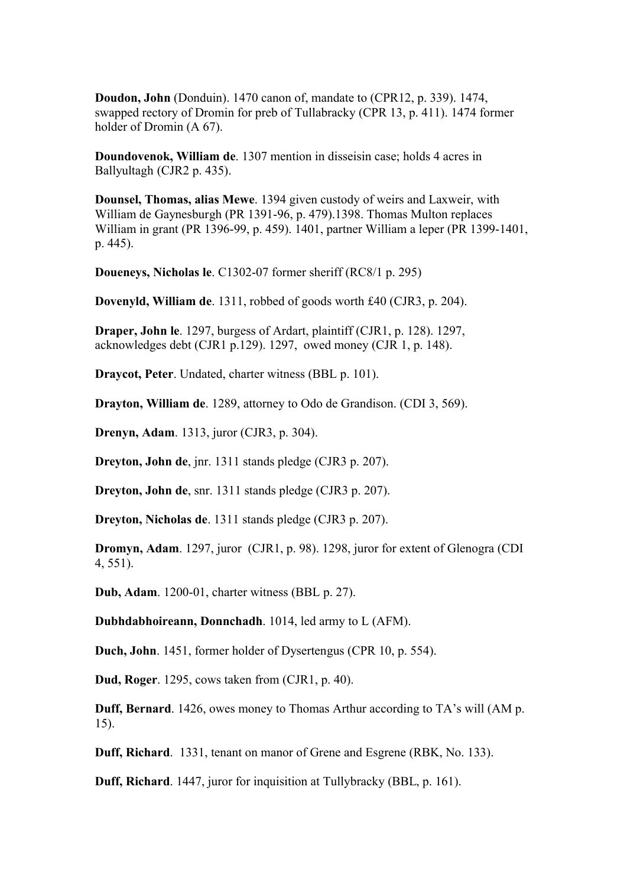**Doudon, John** (Donduin). 1470 canon of, mandate to (CPR12, p. 339). 1474, swapped rectory of Dromin for preb of Tullabracky (CPR 13, p. 411). 1474 former holder of Dromin (A 67).

**Doundovenok, William de**. 1307 mention in disseisin case; holds 4 acres in Ballyultagh (CJR2 p. 435).

**Dounsel, Thomas, alias Mewe**. 1394 given custody of weirs and Laxweir, with William de Gaynesburgh (PR 1391-96, p. 479).1398. Thomas Multon replaces William in grant (PR 1396-99, p. 459). 1401, partner William a leper (PR 1399-1401, p. 445).

**Doueneys, Nicholas le**. C1302-07 former sheriff (RC8/1 p. 295)

**Dovenyld, William de**. 1311, robbed of goods worth £40 (CJR3, p. 204).

**Draper, John le**. 1297, burgess of Ardart, plaintiff (CJR1, p. 128). 1297, acknowledges debt (CJR1 p.129). 1297, owed money (CJR 1, p. 148).

**Draycot, Peter**. Undated, charter witness (BBL p. 101).

**Drayton, William de**. 1289, attorney to Odo de Grandison. (CDI 3, 569).

**Drenyn, Adam**. 1313, juror (CJR3, p. 304).

**Dreyton, John de**, jnr. 1311 stands pledge (CJR3 p. 207).

**Dreyton, John de**, snr. 1311 stands pledge (CJR3 p. 207).

**Dreyton, Nicholas de**. 1311 stands pledge (CJR3 p. 207).

**Dromyn, Adam**. 1297, juror (CJR1, p. 98). 1298, juror for extent of Glenogra (CDI 4, 551).

**Dub, Adam**. 1200-01, charter witness (BBL p. 27).

**Dubhdabhoireann, Donnchadh**. 1014, led army to L (AFM).

**Duch, John**. 1451, former holder of Dysertengus (CPR 10, p. 554).

**Dud, Roger**. 1295, cows taken from (CJR1, p. 40).

**Duff, Bernard**. 1426, owes money to Thomas Arthur according to TA's will (AM p. 15).

**Duff, Richard**. 1331, tenant on manor of Grene and Esgrene (RBK, No. 133).

**Duff, Richard**. 1447, juror for inquisition at Tullybracky (BBL, p. 161).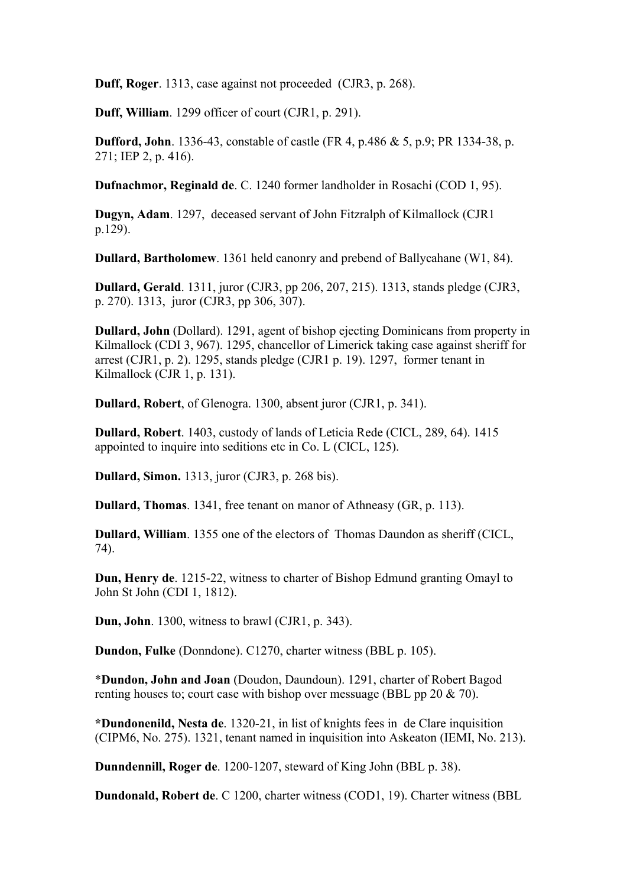**Duff, Roger**. 1313, case against not proceeded (CJR3, p. 268).

**Duff, William**. 1299 officer of court (CJR1, p. 291).

**Dufford, John**. 1336-43, constable of castle (FR 4, p.486 & 5, p.9; PR 1334-38, p. 271; IEP 2, p. 416).

**Dufnachmor, Reginald de**. C. 1240 former landholder in Rosachi (COD 1, 95).

**Dugyn, Adam**. 1297, deceased servant of John Fitzralph of Kilmallock (CJR1 p.129).

**Dullard, Bartholomew**. 1361 held canonry and prebend of Ballycahane (W1, 84).

**Dullard, Gerald**. 1311, juror (CJR3, pp 206, 207, 215). 1313, stands pledge (CJR3, p. 270). 1313, juror (CJR3, pp 306, 307).

**Dullard, John** (Dollard). 1291, agent of bishop ejecting Dominicans from property in Kilmallock (CDI 3, 967). 1295, chancellor of Limerick taking case against sheriff for arrest (CJR1, p. 2). 1295, stands pledge (CJR1 p. 19). 1297, former tenant in Kilmallock (CJR 1, p. 131).

**Dullard, Robert**, of Glenogra. 1300, absent juror (CJR1, p. 341).

**Dullard, Robert**. 1403, custody of lands of Leticia Rede (CICL, 289, 64). 1415 appointed to inquire into seditions etc in Co. L (CICL, 125).

**Dullard, Simon.** 1313, juror (CJR3, p. 268 bis).

**Dullard, Thomas**. 1341, free tenant on manor of Athneasy (GR, p. 113).

**Dullard, William**. 1355 one of the electors of Thomas Daundon as sheriff (CICL, 74).

**Dun, Henry de**. 1215-22, witness to charter of Bishop Edmund granting Omayl to John St John (CDI 1, 1812).

**Dun, John**. 1300, witness to brawl (CJR1, p. 343).

**Dundon, Fulke** (Donndone). C1270, charter witness (BBL p. 105).

\***Dundon, John and Joan** (Doudon, Daundoun). 1291, charter of Robert Bagod renting houses to; court case with bishop over messuage (BBL pp 20 & 70).

**\*Dundonenild, Nesta de**. 1320-21, in list of knights fees in de Clare inquisition (CIPM6, No. 275). 1321, tenant named in inquisition into Askeaton (IEMI, No. 213).

**Dunndennill, Roger de**. 1200-1207, steward of King John (BBL p. 38).

**Dundonald, Robert de**. C 1200, charter witness (COD1, 19). Charter witness (BBL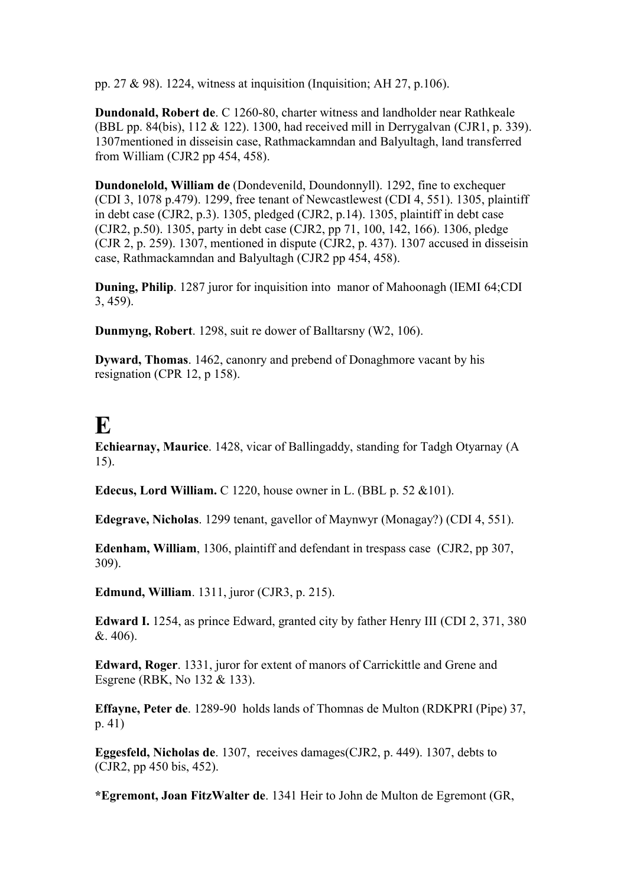pp. 27 & 98). 1224, witness at inquisition (Inquisition; AH 27, p.106).

**Dundonald, Robert de**. C 1260-80, charter witness and landholder near Rathkeale (BBL pp. 84(bis), 112 & 122). 1300, had received mill in Derrygalvan (CJR1, p. 339). 1307mentioned in disseisin case, Rathmackamndan and Balyultagh, land transferred from William (CJR2 pp 454, 458).

**Dundonelold, William de** (Dondevenild, Doundonnyll). 1292, fine to exchequer (CDI 3, 1078 p.479). 1299, free tenant of Newcastlewest (CDI 4, 551). 1305, plaintiff in debt case (CJR2, p.3). 1305, pledged (CJR2, p.14). 1305, plaintiff in debt case (CJR2, p.50). 1305, party in debt case (CJR2, pp 71, 100, 142, 166). 1306, pledge (CJR 2, p. 259). 1307, mentioned in dispute (CJR2, p. 437). 1307 accused in disseisin case, Rathmackamndan and Balyultagh (CJR2 pp 454, 458).

**Duning, Philip**. 1287 juror for inquisition into manor of Mahoonagh (IEMI 64;CDI 3, 459).

**Dunmyng, Robert**. 1298, suit re dower of Balltarsny (W2, 106).

**Dyward, Thomas**. 1462, canonry and prebend of Donaghmore vacant by his resignation (CPR 12, p 158).

## **E**

**Echiearnay, Maurice**. 1428, vicar of Ballingaddy, standing for Tadgh Otyarnay (A 15).

**Edecus, Lord William.** C 1220, house owner in L. (BBL p. 52 &101).

**Edegrave, Nicholas**. 1299 tenant, gavellor of Maynwyr (Monagay?) (CDI 4, 551).

**Edenham, William**, 1306, plaintiff and defendant in trespass case (CJR2, pp 307, 309).

**Edmund, William**. 1311, juror (CJR3, p. 215).

**Edward I.** 1254, as prince Edward, granted city by father Henry III (CDI 2, 371, 380 &. 406).

**Edward, Roger**. 1331, juror for extent of manors of Carrickittle and Grene and Esgrene (RBK, No 132 & 133).

**Effayne, Peter de**. 1289-90 holds lands of Thomnas de Multon (RDKPRI (Pipe) 37, p. 41)

**Eggesfeld, Nicholas de**. 1307, receives damages(CJR2, p. 449). 1307, debts to (CJR2, pp 450 bis, 452).

**\*Egremont, Joan FitzWalter de**. 1341 Heir to John de Multon de Egremont (GR,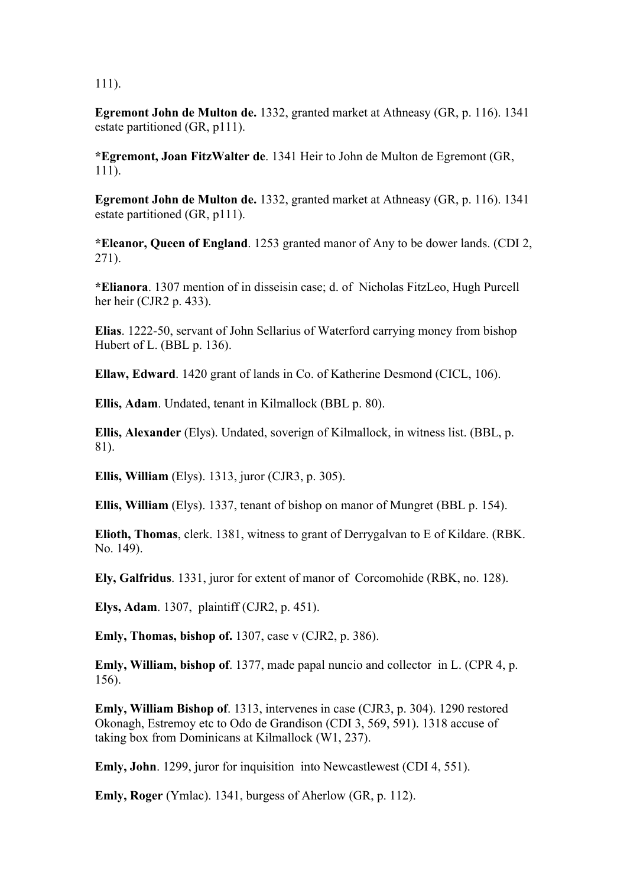111).

**Egremont John de Multon de.** 1332, granted market at Athneasy (GR, p. 116). 1341 estate partitioned (GR, p111).

**\*Egremont, Joan FitzWalter de**. 1341 Heir to John de Multon de Egremont (GR, 111).

**Egremont John de Multon de.** 1332, granted market at Athneasy (GR, p. 116). 1341 estate partitioned (GR, p111).

**\*Eleanor, Queen of England**. 1253 granted manor of Any to be dower lands. (CDI 2, 271).

**\*Elianora**. 1307 mention of in disseisin case; d. of Nicholas FitzLeo, Hugh Purcell her heir (CJR2 p. 433).

**Elias**. 1222-50, servant of John Sellarius of Waterford carrying money from bishop Hubert of L. (BBL p. 136).

**Ellaw, Edward**. 1420 grant of lands in Co. of Katherine Desmond (CICL, 106).

**Ellis, Adam**. Undated, tenant in Kilmallock (BBL p. 80).

**Ellis, Alexander** (Elys). Undated, soverign of Kilmallock, in witness list. (BBL, p. 81).

**Ellis, William** (Elys). 1313, juror (CJR3, p. 305).

**Ellis, William** (Elys). 1337, tenant of bishop on manor of Mungret (BBL p. 154).

**Elioth, Thomas**, clerk. 1381, witness to grant of Derrygalvan to E of Kildare. (RBK. No. 149).

**Ely, Galfridus**. 1331, juror for extent of manor of Corcomohide (RBK, no. 128).

**Elys, Adam**. 1307, plaintiff (CJR2, p. 451).

**Emly, Thomas, bishop of.** 1307, case v (CJR2, p. 386).

**Emly, William, bishop of**. 1377, made papal nuncio and collector in L. (CPR 4, p. 156).

**Emly, William Bishop of**. 1313, intervenes in case (CJR3, p. 304). 1290 restored Okonagh, Estremoy etc to Odo de Grandison (CDI 3, 569, 591). 1318 accuse of taking box from Dominicans at Kilmallock (W1, 237).

**Emly, John**. 1299, juror for inquisition into Newcastlewest (CDI 4, 551).

**Emly, Roger** (Ymlac). 1341, burgess of Aherlow (GR, p. 112).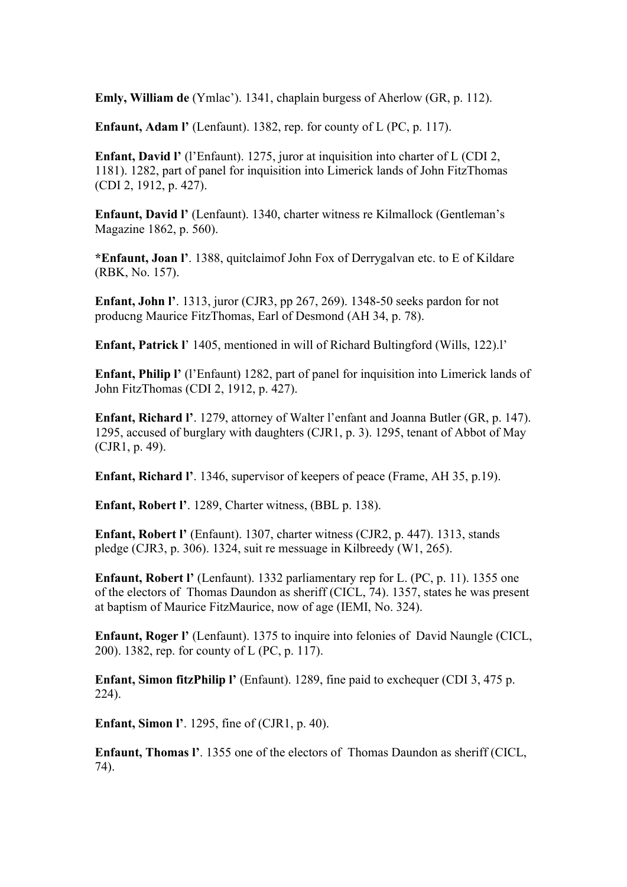**Emly, William de** (Ymlac'). 1341, chaplain burgess of Aherlow (GR, p. 112).

**Enfaunt, Adam l'** (Lenfaunt). 1382, rep. for county of L (PC, p. 117).

**Enfant, David l'** (l'Enfaunt). 1275, juror at inquisition into charter of L (CDI 2, 1181). 1282, part of panel for inquisition into Limerick lands of John FitzThomas (CDI 2, 1912, p. 427).

**Enfaunt, David l'** (Lenfaunt). 1340, charter witness re Kilmallock (Gentleman's Magazine 1862, p. 560).

**\*Enfaunt, Joan l'**. 1388, quitclaimof John Fox of Derrygalvan etc. to E of Kildare (RBK, No. 157).

**Enfant, John l'**. 1313, juror (CJR3, pp 267, 269). 1348-50 seeks pardon for not producng Maurice FitzThomas, Earl of Desmond (AH 34, p. 78).

**Enfant, Patrick l**' 1405, mentioned in will of Richard Bultingford (Wills, 122).l'

**Enfant, Philip I'** (l'Enfaunt) 1282, part of panel for inquisition into Limerick lands of John FitzThomas (CDI 2, 1912, p. 427).

**Enfant, Richard l'**. 1279, attorney of Walter l'enfant and Joanna Butler (GR, p. 147). 1295, accused of burglary with daughters (CJR1, p. 3). 1295, tenant of Abbot of May (CJR1, p. 49).

**Enfant, Richard l'**. 1346, supervisor of keepers of peace (Frame, AH 35, p.19).

**Enfant, Robert l'**. 1289, Charter witness, (BBL p. 138).

**Enfant, Robert l'** (Enfaunt). 1307, charter witness (CJR2, p. 447). 1313, stands pledge (CJR3, p. 306). 1324, suit re messuage in Kilbreedy (W1, 265).

**Enfaunt, Robert l'** (Lenfaunt). 1332 parliamentary rep for L. (PC, p. 11). 1355 one of the electors of Thomas Daundon as sheriff (CICL, 74). 1357, states he was present at baptism of Maurice FitzMaurice, now of age (IEMI, No. 324).

**Enfaunt, Roger l'** (Lenfaunt). 1375 to inquire into felonies of David Naungle (CICL, 200). 1382, rep. for county of L (PC, p. 117).

**Enfant, Simon fitzPhilip l'** (Enfaunt). 1289, fine paid to exchequer (CDI 3, 475 p. 224).

**Enfant, Simon l'**. 1295, fine of (CJR1, p. 40).

**Enfaunt, Thomas l'**. 1355 one of the electors of Thomas Daundon as sheriff (CICL, 74).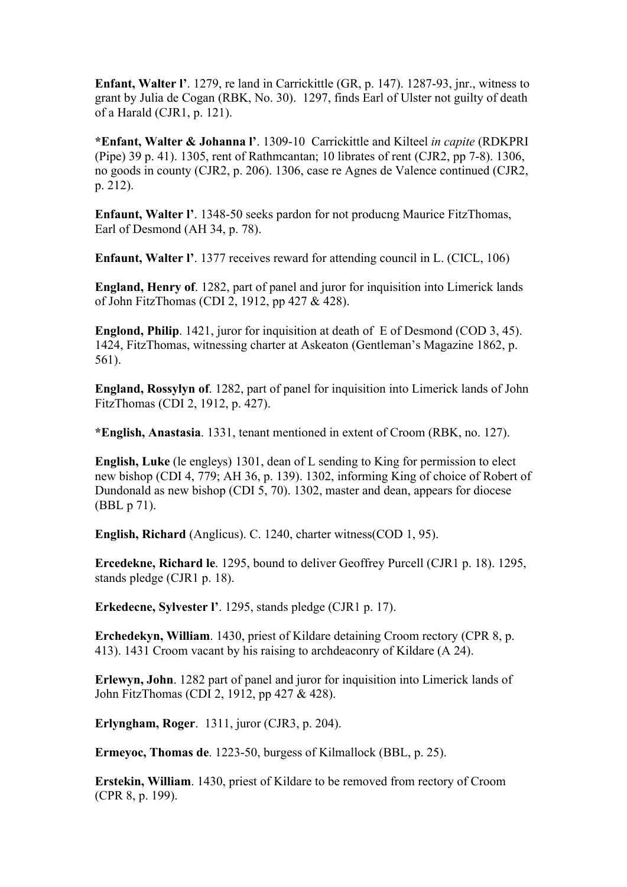**Enfant, Walter l'**. 1279, re land in Carrickittle (GR, p. 147). 1287-93, jnr., witness to grant by Julia de Cogan (RBK, No. 30). 1297, finds Earl of Ulster not guilty of death of a Harald (CJR1, p. 121).

**\*Enfant, Walter & Johanna l'**. 1309-10 Carrickittle and Kilteel *in capite* (RDKPRI (Pipe) 39 p. 41). 1305, rent of Rathmcantan; 10 librates of rent (CJR2, pp 7-8). 1306, no goods in county (CJR2, p. 206). 1306, case re Agnes de Valence continued (CJR2, p. 212).

**Enfaunt, Walter l'**. 1348-50 seeks pardon for not producng Maurice FitzThomas, Earl of Desmond (AH 34, p. 78).

**Enfaunt, Walter l'**. 1377 receives reward for attending council in L. (CICL, 106)

**England, Henry of**. 1282, part of panel and juror for inquisition into Limerick lands of John FitzThomas (CDI 2, 1912, pp 427 & 428).

**Englond, Philip**. 1421, juror for inquisition at death of E of Desmond (COD 3, 45). 1424, FitzThomas, witnessing charter at Askeaton (Gentleman's Magazine 1862, p. 561).

**England, Rossylyn of**. 1282, part of panel for inquisition into Limerick lands of John FitzThomas (CDI 2, 1912, p. 427).

**\*English, Anastasia**. 1331, tenant mentioned in extent of Croom (RBK, no. 127).

**English, Luke** (le engleys) 1301, dean of L sending to King for permission to elect new bishop (CDI 4, 779; AH 36, p. 139). 1302, informing King of choice of Robert of Dundonald as new bishop (CDI 5, 70). 1302, master and dean, appears for diocese (BBL p 71).

**English, Richard** (Anglicus). C. 1240, charter witness(COD 1, 95).

**Ercedekne, Richard le**. 1295, bound to deliver Geoffrey Purcell (CJR1 p. 18). 1295, stands pledge (CJR1 p. 18).

**Erkedecne, Sylvester l'**. 1295, stands pledge (CJR1 p. 17).

**Erchedekyn, William**. 1430, priest of Kildare detaining Croom rectory (CPR 8, p. 413). 1431 Croom vacant by his raising to archdeaconry of Kildare (A 24).

**Erlewyn, John**. 1282 part of panel and juror for inquisition into Limerick lands of John FitzThomas (CDI 2, 1912, pp 427 & 428).

**Erlyngham, Roger**. 1311, juror (CJR3, p. 204).

**Ermeyoc, Thomas de**. 1223-50, burgess of Kilmallock (BBL, p. 25).

**Erstekin, William**. 1430, priest of Kildare to be removed from rectory of Croom (CPR 8, p. 199).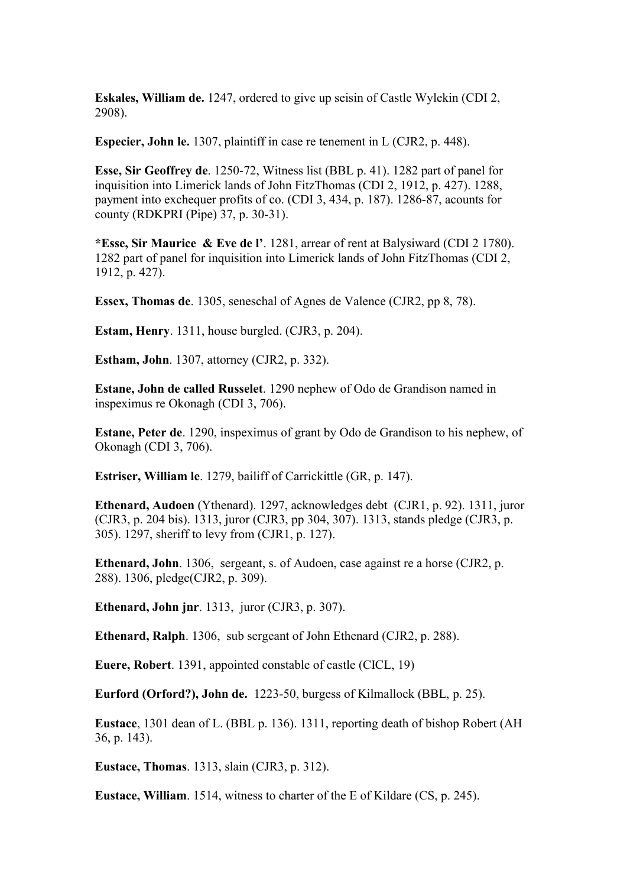**Eskales, William de.** 1247, ordered to give up seisin of Castle Wylekin (CDI 2, 2908).

**Especier, John le.** 1307, plaintiff in case re tenement in L (CJR2, p. 448).

**Esse, Sir Geoffrey de**. 1250-72, Witness list (BBL p. 41). 1282 part of panel for inquisition into Limerick lands of John FitzThomas (CDI 2, 1912, p. 427). 1288, payment into exchequer profits of co. (CDI 3, 434, p. 187). 1286-87, acounts for county (RDKPRI (Pipe) 37, p. 30-31).

**\*Esse, Sir Maurice & Eve de l'**. 1281, arrear of rent at Balysiward (CDI 2 1780). 1282 part of panel for inquisition into Limerick lands of John FitzThomas (CDI 2, 1912, p. 427).

**Essex, Thomas de**. 1305, seneschal of Agnes de Valence (CJR2, pp 8, 78).

**Estam, Henry**. 1311, house burgled. (CJR3, p. 204).

**Estham, John**. 1307, attorney (CJR2, p. 332).

**Estane, John de called Russelet**. 1290 nephew of Odo de Grandison named in inspeximus re Okonagh (CDI 3, 706).

**Estane, Peter de**. 1290, inspeximus of grant by Odo de Grandison to his nephew, of Okonagh (CDI 3, 706).

**Estriser, William le**. 1279, bailiff of Carrickittle (GR, p. 147).

**Ethenard, Audoen** (Ythenard). 1297, acknowledges debt (CJR1, p. 92). 1311, juror (CJR3, p. 204 bis). 1313, juror (CJR3, pp 304, 307). 1313, stands pledge (CJR3, p. 305). 1297, sheriff to levy from (CJR1, p. 127).

**Ethenard, John**. 1306, sergeant, s. of Audoen, case against re a horse (CJR2, p. 288). 1306, pledge(CJR2, p. 309).

**Ethenard, John jnr**. 1313, juror (CJR3, p. 307).

**Ethenard, Ralph**. 1306, sub sergeant of John Ethenard (CJR2, p. 288).

**Euere, Robert**. 1391, appointed constable of castle (CICL, 19)

**Eurford (Orford?), John de.** 1223-50, burgess of Kilmallock (BBL, p. 25).

**Eustace**, 1301 dean of L. (BBL p. 136). 1311, reporting death of bishop Robert (AH 36, p. 143).

**Eustace, Thomas**. 1313, slain (CJR3, p. 312).

**Eustace, William**. 1514, witness to charter of the E of Kildare (CS, p. 245).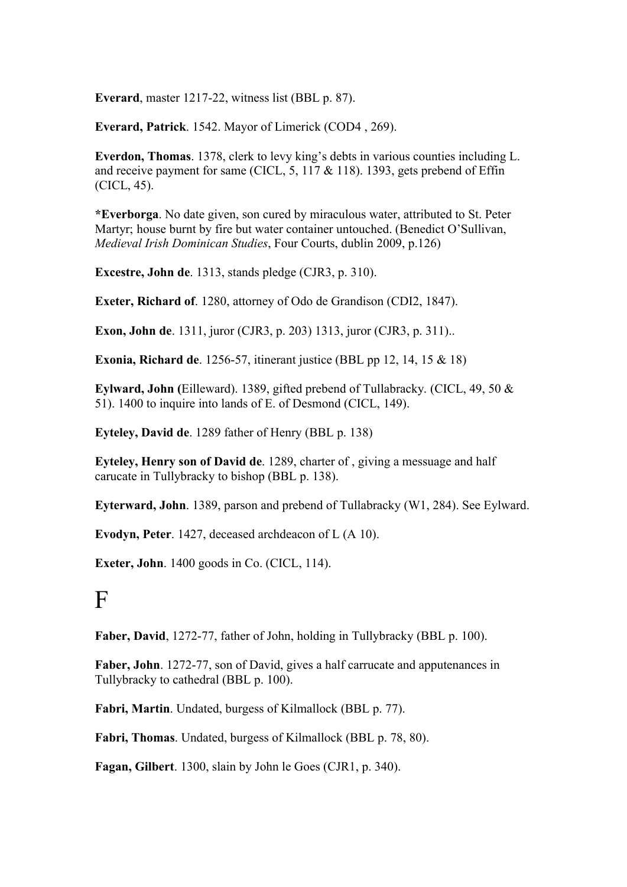**Everard**, master 1217-22, witness list (BBL p. 87).

**Everard, Patrick**. 1542. Mayor of Limerick (COD4 , 269).

**Everdon, Thomas**. 1378, clerk to levy king's debts in various counties including L. and receive payment for same (CICL, 5, 117 & 118). 1393, gets prebend of Effin (CICL, 45).

**\*Everborga**. No date given, son cured by miraculous water, attributed to St. Peter Martyr; house burnt by fire but water container untouched. (Benedict O'Sullivan, *Medieval Irish Dominican Studies*, Four Courts, dublin 2009, p.126)

**Excestre, John de**. 1313, stands pledge (CJR3, p. 310).

**Exeter, Richard of**. 1280, attorney of Odo de Grandison (CDI2, 1847).

**Exon, John de**. 1311, juror (CJR3, p. 203) 1313, juror (CJR3, p. 311)..

**Exonia, Richard de**. 1256-57, itinerant justice (BBL pp 12, 14, 15 & 18)

**Eylward, John (**Eilleward). 1389, gifted prebend of Tullabracky. (CICL, 49, 50 & 51). 1400 to inquire into lands of E. of Desmond (CICL, 149).

**Eyteley, David de**. 1289 father of Henry (BBL p. 138)

**Eyteley, Henry son of David de**. 1289, charter of , giving a messuage and half carucate in Tullybracky to bishop (BBL p. 138).

**Eyterward, John**. 1389, parson and prebend of Tullabracky (W1, 284). See Eylward.

**Evodyn, Peter**. 1427, deceased archdeacon of L (A 10).

**Exeter, John**. 1400 goods in Co. (CICL, 114).

## F

**Faber, David**, 1272-77, father of John, holding in Tullybracky (BBL p. 100).

**Faber, John**. 1272-77, son of David, gives a half carrucate and apputenances in Tullybracky to cathedral (BBL p. 100).

**Fabri, Martin**. Undated, burgess of Kilmallock (BBL p. 77).

**Fabri, Thomas**. Undated, burgess of Kilmallock (BBL p. 78, 80).

**Fagan, Gilbert**. 1300, slain by John le Goes (CJR1, p. 340).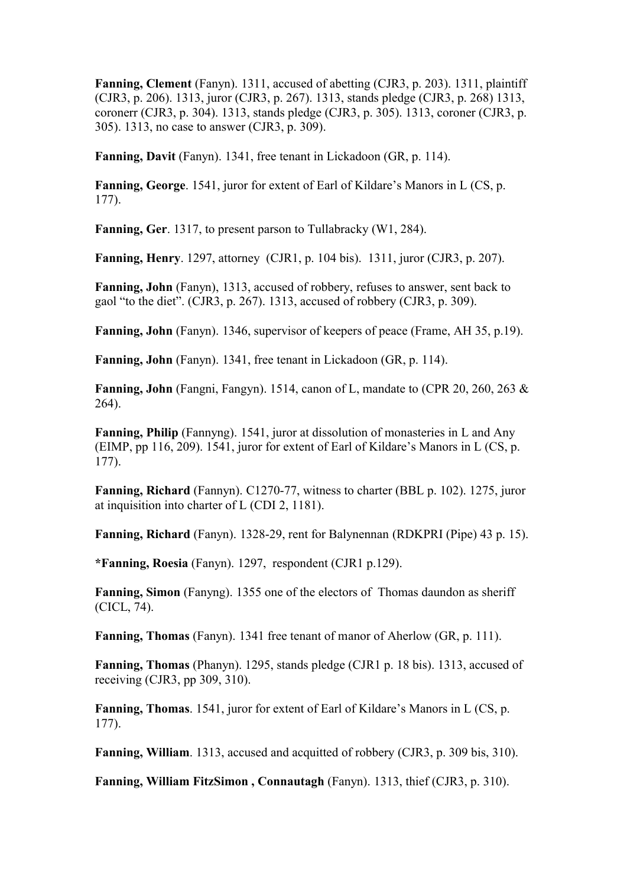**Fanning, Clement** (Fanyn). 1311, accused of abetting (CJR3, p. 203). 1311, plaintiff (CJR3, p. 206). 1313, juror (CJR3, p. 267). 1313, stands pledge (CJR3, p. 268) 1313, coronerr (CJR3, p. 304). 1313, stands pledge (CJR3, p. 305). 1313, coroner (CJR3, p. 305). 1313, no case to answer (CJR3, p. 309).

**Fanning, Davit** (Fanyn). 1341, free tenant in Lickadoon (GR, p. 114).

**Fanning, George**. 1541, juror for extent of Earl of Kildare's Manors in L (CS, p. 177).

**Fanning, Ger**. 1317, to present parson to Tullabracky (W1, 284).

**Fanning, Henry**. 1297, attorney (CJR1, p. 104 bis). 1311, juror (CJR3, p. 207).

**Fanning, John** (Fanyn), 1313, accused of robbery, refuses to answer, sent back to gaol "to the diet". (CJR3, p. 267). 1313, accused of robbery (CJR3, p. 309).

**Fanning, John** (Fanyn). 1346, supervisor of keepers of peace (Frame, AH 35, p.19).

**Fanning, John** (Fanyn). 1341, free tenant in Lickadoon (GR, p. 114).

**Fanning, John** (Fangni, Fangyn). 1514, canon of L, mandate to (CPR 20, 260, 263 & 264).

**Fanning, Philip** (Fannyng). 1541, juror at dissolution of monasteries in L and Any (EIMP, pp 116, 209). 1541, juror for extent of Earl of Kildare's Manors in L (CS, p. 177).

**Fanning, Richard** (Fannyn). C1270-77, witness to charter (BBL p. 102). 1275, juror at inquisition into charter of L (CDI 2, 1181).

**Fanning, Richard** (Fanyn). 1328-29, rent for Balynennan (RDKPRI (Pipe) 43 p. 15).

**\*Fanning, Roesia** (Fanyn). 1297, respondent (CJR1 p.129).

**Fanning, Simon** (Fanyng). 1355 one of the electors of Thomas daundon as sheriff (CICL, 74).

**Fanning, Thomas** (Fanyn). 1341 free tenant of manor of Aherlow (GR, p. 111).

**Fanning, Thomas** (Phanyn). 1295, stands pledge (CJR1 p. 18 bis). 1313, accused of receiving (CJR3, pp 309, 310).

**Fanning, Thomas**. 1541, juror for extent of Earl of Kildare's Manors in L (CS, p. 177).

**Fanning, William**. 1313, accused and acquitted of robbery (CJR3, p. 309 bis, 310).

**Fanning, William FitzSimon , Connautagh** (Fanyn). 1313, thief (CJR3, p. 310).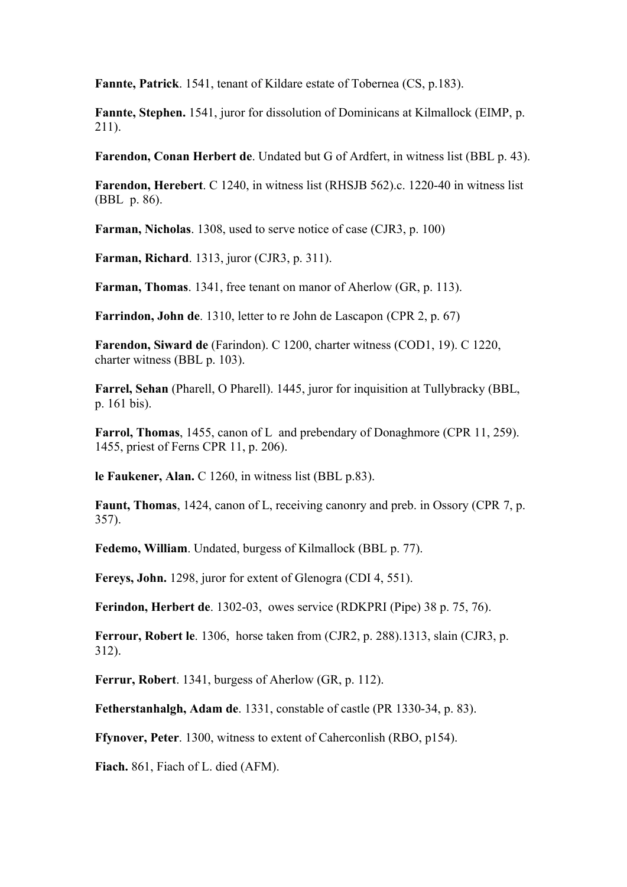**Fannte, Patrick**. 1541, tenant of Kildare estate of Tobernea (CS, p.183).

**Fannte, Stephen.** 1541, juror for dissolution of Dominicans at Kilmallock (EIMP, p. 211).

**Farendon, Conan Herbert de**. Undated but G of Ardfert, in witness list (BBL p. 43).

**Farendon, Herebert**. C 1240, in witness list (RHSJB 562).c. 1220-40 in witness list (BBL p. 86).

**Farman, Nicholas**. 1308, used to serve notice of case (CJR3, p. 100)

**Farman, Richard**. 1313, juror (CJR3, p. 311).

**Farman, Thomas**. 1341, free tenant on manor of Aherlow (GR, p. 113).

**Farrindon, John de**. 1310, letter to re John de Lascapon (CPR 2, p. 67)

**Farendon, Siward de** (Farindon). C 1200, charter witness (COD1, 19). C 1220, charter witness (BBL p. 103).

**Farrel, Sehan** (Pharell, O Pharell). 1445, juror for inquisition at Tullybracky (BBL, p. 161 bis).

**Farrol, Thomas**, 1455, canon of L and prebendary of Donaghmore (CPR 11, 259). 1455, priest of Ferns CPR 11, p. 206).

**le Faukener, Alan.** C 1260, in witness list (BBL p.83).

**Faunt, Thomas**, 1424, canon of L, receiving canonry and preb. in Ossory (CPR 7, p. 357).

**Fedemo, William**. Undated, burgess of Kilmallock (BBL p. 77).

**Fereys, John.** 1298, juror for extent of Glenogra (CDI 4, 551).

**Ferindon, Herbert de**. 1302-03, owes service (RDKPRI (Pipe) 38 p. 75, 76).

**Ferrour, Robert le**. 1306, horse taken from (CJR2, p. 288).1313, slain (CJR3, p. 312).

**Ferrur, Robert**. 1341, burgess of Aherlow (GR, p. 112).

**Fetherstanhalgh, Adam de**. 1331, constable of castle (PR 1330-34, p. 83).

**Ffynover, Peter**. 1300, witness to extent of Caherconlish (RBO, p154).

**Fiach.** 861, Fiach of L. died (AFM).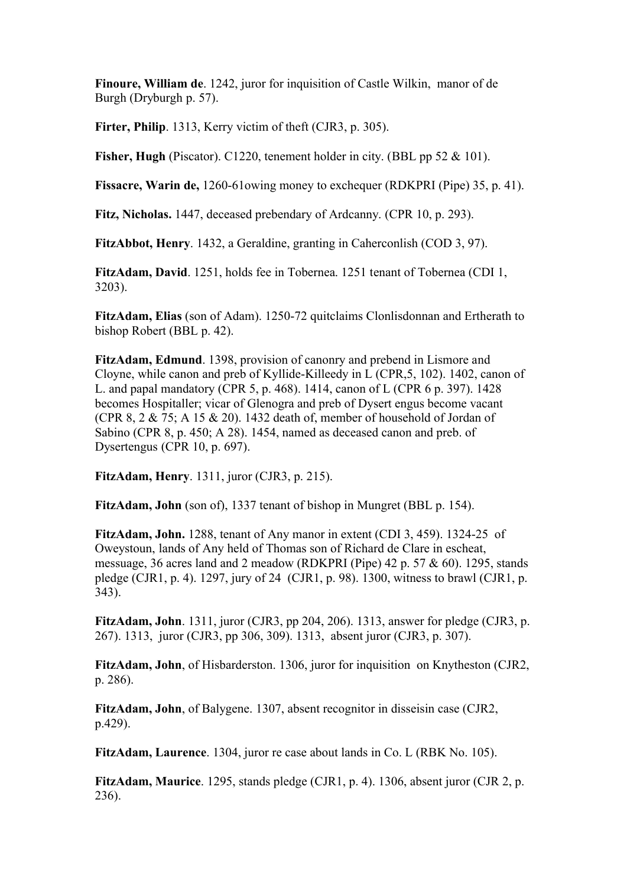**Finoure, William de**. 1242, juror for inquisition of Castle Wilkin, manor of de Burgh (Dryburgh p. 57).

**Firter, Philip**. 1313, Kerry victim of theft (CJR3, p. 305).

**Fisher, Hugh** (Piscator). C1220, tenement holder in city. (BBL pp 52 & 101).

**Fissacre, Warin de,** 1260-61owing money to exchequer (RDKPRI (Pipe) 35, p. 41).

**Fitz, Nicholas.** 1447, deceased prebendary of Ardcanny. (CPR 10, p. 293).

**FitzAbbot, Henry**. 1432, a Geraldine, granting in Caherconlish (COD 3, 97).

**FitzAdam, David**. 1251, holds fee in Tobernea. 1251 tenant of Tobernea (CDI 1, 3203).

**FitzAdam, Elias** (son of Adam). 1250-72 quitclaims Clonlisdonnan and Ertherath to bishop Robert (BBL p. 42).

**FitzAdam, Edmund**. 1398, provision of canonry and prebend in Lismore and Cloyne, while canon and preb of Kyllide-Killeedy in L (CPR,5, 102). 1402, canon of L. and papal mandatory (CPR 5, p. 468). 1414, canon of L (CPR 6 p. 397). 1428 becomes Hospitaller; vicar of Glenogra and preb of Dysert engus become vacant (CPR  $8, 2 \& 75$ ; A 15  $\& 20$ ). 1432 death of, member of household of Jordan of Sabino (CPR 8, p. 450; A 28). 1454, named as deceased canon and preb. of Dysertengus (CPR 10, p. 697).

**FitzAdam, Henry**. 1311, juror (CJR3, p. 215).

**FitzAdam, John** (son of), 1337 tenant of bishop in Mungret (BBL p. 154).

**FitzAdam, John.** 1288, tenant of Any manor in extent (CDI 3, 459). 1324-25 of Oweystoun, lands of Any held of Thomas son of Richard de Clare in escheat, messuage, 36 acres land and 2 meadow (RDKPRI (Pipe) 42 p. 57 & 60). 1295, stands pledge (CJR1, p. 4). 1297, jury of 24 (CJR1, p. 98). 1300, witness to brawl (CJR1, p. 343).

**FitzAdam, John**. 1311, juror (CJR3, pp 204, 206). 1313, answer for pledge (CJR3, p. 267). 1313, juror (CJR3, pp 306, 309). 1313, absent juror (CJR3, p. 307).

**FitzAdam, John**, of Hisbarderston. 1306, juror for inquisition on Knytheston (CJR2, p. 286).

**FitzAdam, John**, of Balygene. 1307, absent recognitor in disseisin case (CJR2, p.429).

**FitzAdam, Laurence**. 1304, juror re case about lands in Co. L (RBK No. 105).

**FitzAdam, Maurice**. 1295, stands pledge (CJR1, p. 4). 1306, absent juror (CJR 2, p. 236).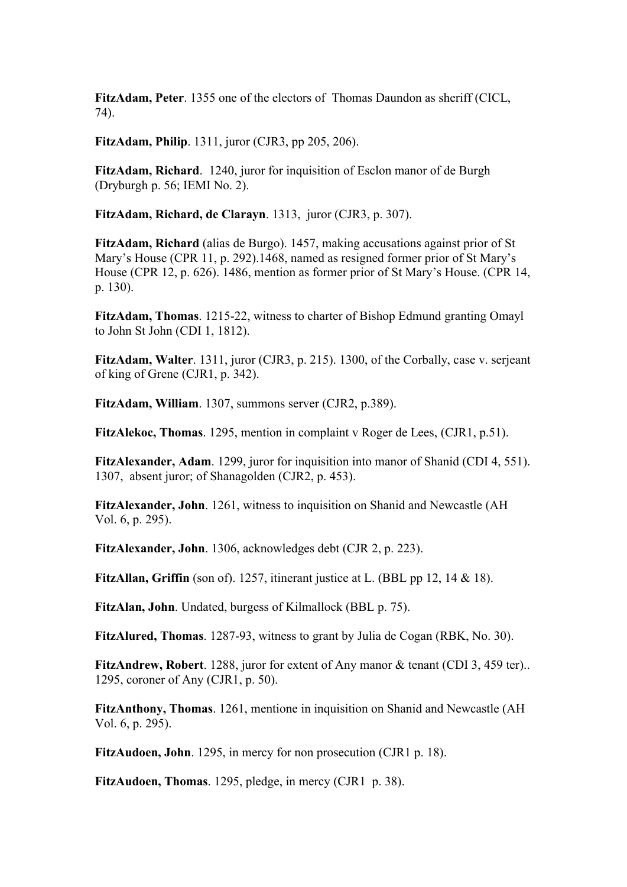**FitzAdam, Peter**. 1355 one of the electors of Thomas Daundon as sheriff (CICL, 74).

**FitzAdam, Philip**. 1311, juror (CJR3, pp 205, 206).

**FitzAdam, Richard.** 1240, juror for inquisition of Esclon manor of de Burgh (Dryburgh p. 56; IEMI No. 2).

**FitzAdam, Richard, de Clarayn**. 1313, juror (CJR3, p. 307).

**FitzAdam, Richard** (alias de Burgo). 1457, making accusations against prior of St Mary's House (CPR 11, p. 292).1468, named as resigned former prior of St Mary's House (CPR 12, p. 626). 1486, mention as former prior of St Mary's House. (CPR 14, p. 130).

**FitzAdam, Thomas**. 1215-22, witness to charter of Bishop Edmund granting Omayl to John St John (CDI 1, 1812).

**FitzAdam, Walter**. 1311, juror (CJR3, p. 215). 1300, of the Corbally, case v. serjeant of king of Grene (CJR1, p. 342).

**FitzAdam, William**. 1307, summons server (CJR2, p.389).

**FitzAlekoc, Thomas**. 1295, mention in complaint v Roger de Lees, (CJR1, p.51).

**FitzAlexander, Adam**. 1299, juror for inquisition into manor of Shanid (CDI 4, 551). 1307, absent juror; of Shanagolden (CJR2, p. 453).

**FitzAlexander, John**. 1261, witness to inquisition on Shanid and Newcastle (AH Vol. 6, p. 295).

**FitzAlexander, John**. 1306, acknowledges debt (CJR 2, p. 223).

**FitzAllan, Griffin** (son of). 1257, itinerant justice at L. (BBL pp 12, 14 & 18).

**FitzAlan, John**. Undated, burgess of Kilmallock (BBL p. 75).

**FitzAlured, Thomas**. 1287-93, witness to grant by Julia de Cogan (RBK, No. 30).

**FitzAndrew, Robert**. 1288, juror for extent of Any manor & tenant (CDI 3, 459 ter).. 1295, coroner of Any (CJR1, p. 50).

**FitzAnthony, Thomas**. 1261, mentione in inquisition on Shanid and Newcastle (AH Vol. 6, p. 295).

**FitzAudoen, John**. 1295, in mercy for non prosecution (CJR1 p. 18).

**FitzAudoen, Thomas**. 1295, pledge, in mercy (CJR1 p. 38).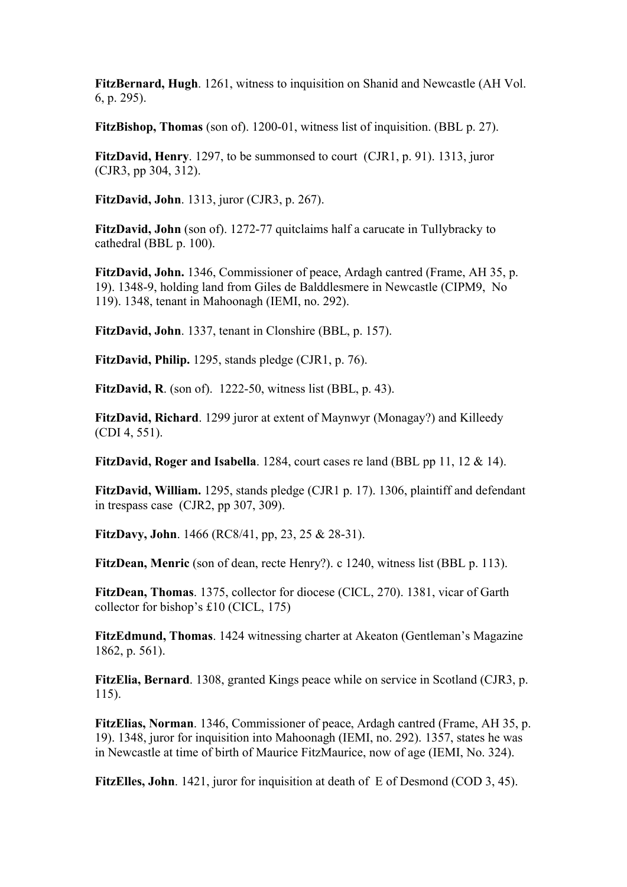**FitzBernard, Hugh**. 1261, witness to inquisition on Shanid and Newcastle (AH Vol. 6, p. 295).

**FitzBishop, Thomas** (son of). 1200-01, witness list of inquisition. (BBL p. 27).

**FitzDavid, Henry**. 1297, to be summonsed to court (CJR1, p. 91). 1313, juror (CJR3, pp 304, 312).

**FitzDavid, John**. 1313, juror (CJR3, p. 267).

**FitzDavid, John** (son of). 1272-77 quitclaims half a carucate in Tullybracky to cathedral (BBL p. 100).

**FitzDavid, John.** 1346, Commissioner of peace, Ardagh cantred (Frame, AH 35, p. 19). 1348-9, holding land from Giles de Balddlesmere in Newcastle (CIPM9, No 119). 1348, tenant in Mahoonagh (IEMI, no. 292).

**FitzDavid, John**. 1337, tenant in Clonshire (BBL, p. 157).

**FitzDavid, Philip.** 1295, stands pledge (CJR1, p. 76).

**FitzDavid, R**. (son of). 1222-50, witness list (BBL, p. 43).

**FitzDavid, Richard**. 1299 juror at extent of Maynwyr (Monagay?) and Killeedy (CDI 4, 551).

**FitzDavid, Roger and Isabella**. 1284, court cases re land (BBL pp 11, 12 & 14).

**FitzDavid, William.** 1295, stands pledge (CJR1 p. 17). 1306, plaintiff and defendant in trespass case (CJR2, pp 307, 309).

**FitzDavy, John**. 1466 (RC8/41, pp, 23, 25 & 28-31).

**FitzDean, Menric** (son of dean, recte Henry?). c 1240, witness list (BBL p. 113).

**FitzDean, Thomas**. 1375, collector for diocese (CICL, 270). 1381, vicar of Garth collector for bishop's £10 (CICL, 175)

**FitzEdmund, Thomas**. 1424 witnessing charter at Akeaton (Gentleman's Magazine 1862, p. 561).

**FitzElia, Bernard**. 1308, granted Kings peace while on service in Scotland (CJR3, p. 115).

**FitzElias, Norman**. 1346, Commissioner of peace, Ardagh cantred (Frame, AH 35, p. 19). 1348, juror for inquisition into Mahoonagh (IEMI, no. 292). 1357, states he was in Newcastle at time of birth of Maurice FitzMaurice, now of age (IEMI, No. 324).

**FitzElles, John**. 1421, juror for inquisition at death of E of Desmond (COD 3, 45).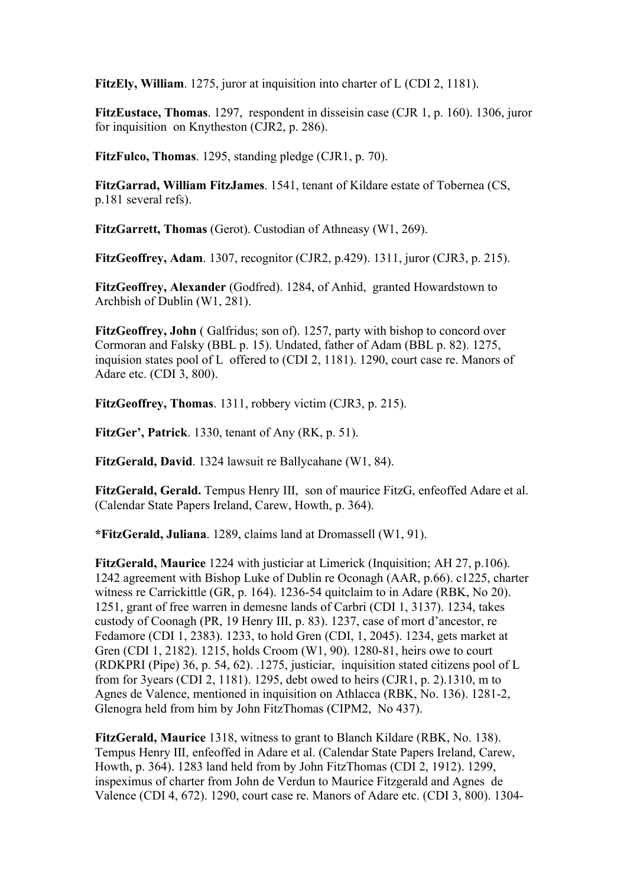**FitzEly, William**. 1275, juror at inquisition into charter of L (CDI 2, 1181).

**FitzEustace, Thomas**. 1297, respondent in disseisin case (CJR 1, p. 160). 1306, juror for inquisition on Knytheston (CJR2, p. 286).

**FitzFulco, Thomas**. 1295, standing pledge (CJR1, p. 70).

**FitzGarrad, William FitzJames**. 1541, tenant of Kildare estate of Tobernea (CS, p.181 several refs).

**FitzGarrett, Thomas** (Gerot). Custodian of Athneasy (W1, 269).

**FitzGeoffrey, Adam**. 1307, recognitor (CJR2, p.429). 1311, juror (CJR3, p. 215).

**FitzGeoffrey, Alexander** (Godfred). 1284, of Anhid, granted Howardstown to Archbish of Dublin (W1, 281).

**FitzGeoffrey, John** ( Galfridus; son of). 1257, party with bishop to concord over Cormoran and Falsky (BBL p. 15). Undated, father of Adam (BBL p. 82). 1275, inquision states pool of L offered to (CDI 2, 1181). 1290, court case re. Manors of Adare etc. (CDI 3, 800).

**FitzGeoffrey, Thomas**. 1311, robbery victim (CJR3, p. 215).

**FitzGer', Patrick**. 1330, tenant of Any (RK, p. 51).

**FitzGerald, David**. 1324 lawsuit re Ballycahane (W1, 84).

**FitzGerald, Gerald.** Tempus Henry III, son of maurice FitzG, enfeoffed Adare et al. (Calendar State Papers Ireland, Carew, Howth, p. 364).

**\*FitzGerald, Juliana**. 1289, claims land at Dromassell (W1, 91).

**FitzGerald, Maurice** 1224 with justiciar at Limerick (Inquisition; AH 27, p.106). 1242 agreement with Bishop Luke of Dublin re Oconagh (AAR, p.66). c1225, charter witness re Carrickittle (GR, p. 164). 1236-54 quitclaim to in Adare (RBK, No 20). 1251, grant of free warren in demesne lands of Carbri (CDI 1, 3137). 1234, takes custody of Coonagh (PR, 19 Henry III, p. 83). 1237, case of mort d'ancestor, re Fedamore (CDI 1, 2383). 1233, to hold Gren (CDI, 1, 2045). 1234, gets market at Gren (CDI 1, 2182). 1215, holds Croom (W1, 90). 1280-81, heirs owe to court (RDKPRI (Pipe) 36, p. 54, 62). .1275, justiciar, inquisition stated citizens pool of L from for 3years (CDI 2, 1181). 1295, debt owed to heirs (CJR1, p. 2).1310, m to Agnes de Valence, mentioned in inquisition on Athlacca (RBK, No. 136). 1281-2, Glenogra held from him by John FitzThomas (CIPM2, No 437).

**FitzGerald, Maurice** 1318, witness to grant to Blanch Kildare (RBK, No. 138). Tempus Henry III, enfeoffed in Adare et al. (Calendar State Papers Ireland, Carew, Howth, p. 364). 1283 land held from by John FitzThomas (CDI 2, 1912). 1299, inspeximus of charter from John de Verdun to Maurice Fitzgerald and Agnes de Valence (CDI 4, 672). 1290, court case re. Manors of Adare etc. (CDI 3, 800). 1304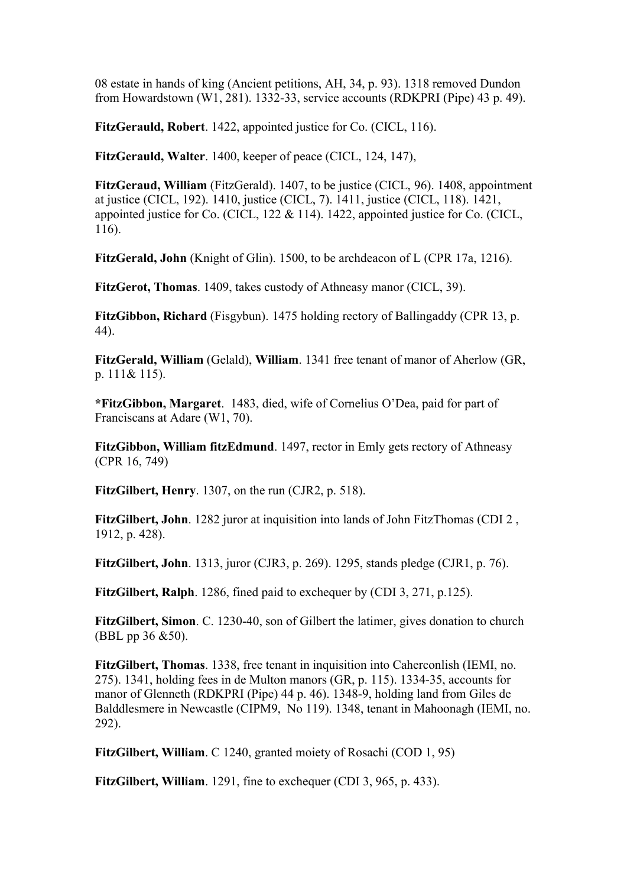08 estate in hands of king (Ancient petitions, AH, 34, p. 93). 1318 removed Dundon from Howardstown (W1, 281). 1332-33, service accounts (RDKPRI (Pipe) 43 p. 49).

**FitzGerauld, Robert**. 1422, appointed justice for Co. (CICL, 116).

**FitzGerauld, Walter**. 1400, keeper of peace (CICL, 124, 147),

**FitzGeraud, William** (FitzGerald). 1407, to be justice (CICL, 96). 1408, appointment at justice (CICL, 192). 1410, justice (CICL, 7). 1411, justice (CICL, 118). 1421, appointed justice for Co. (CICL, 122 & 114). 1422, appointed justice for Co. (CICL, 116).

**FitzGerald, John** (Knight of Glin). 1500, to be archdeacon of L (CPR 17a, 1216).

**FitzGerot, Thomas**. 1409, takes custody of Athneasy manor (CICL, 39).

**FitzGibbon, Richard** (Fisgybun). 1475 holding rectory of Ballingaddy (CPR 13, p. 44).

**FitzGerald, William** (Gelald), **William**. 1341 free tenant of manor of Aherlow (GR, p. 111& 115).

**\*FitzGibbon, Margaret**. 1483, died, wife of Cornelius O'Dea, paid for part of Franciscans at Adare (W1, 70).

**FitzGibbon, William fitzEdmund**. 1497, rector in Emly gets rectory of Athneasy (CPR 16, 749)

**FitzGilbert, Henry**. 1307, on the run (CJR2, p. 518).

**FitzGilbert, John**. 1282 juror at inquisition into lands of John FitzThomas (CDI 2 , 1912, p. 428).

**FitzGilbert, John**. 1313, juror (CJR3, p. 269). 1295, stands pledge (CJR1, p. 76).

**FitzGilbert, Ralph**. 1286, fined paid to exchequer by (CDI 3, 271, p.125).

**FitzGilbert, Simon**. C. 1230-40, son of Gilbert the latimer, gives donation to church (BBL pp 36 &50).

**FitzGilbert, Thomas**. 1338, free tenant in inquisition into Caherconlish (IEMI, no. 275). 1341, holding fees in de Multon manors (GR, p. 115). 1334-35, accounts for manor of Glenneth (RDKPRI (Pipe) 44 p. 46). 1348-9, holding land from Giles de Balddlesmere in Newcastle (CIPM9, No 119). 1348, tenant in Mahoonagh (IEMI, no. 292).

**FitzGilbert, William**. C 1240, granted moiety of Rosachi (COD 1, 95)

**FitzGilbert, William**. 1291, fine to exchequer (CDI 3, 965, p. 433).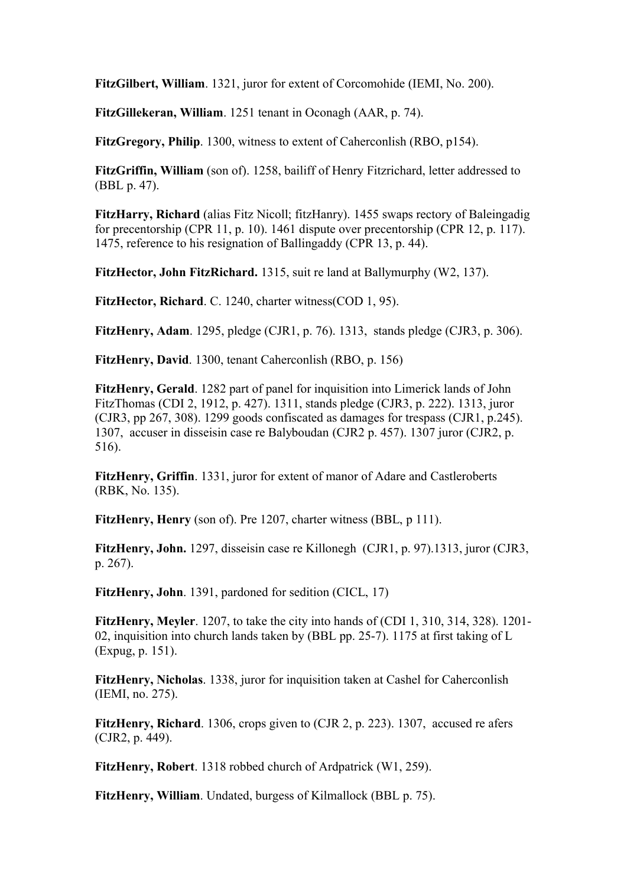**FitzGilbert, William**. 1321, juror for extent of Corcomohide (IEMI, No. 200).

**FitzGillekeran, William**. 1251 tenant in Oconagh (AAR, p. 74).

**FitzGregory, Philip**. 1300, witness to extent of Caherconlish (RBO, p154).

**FitzGriffin, William** (son of). 1258, bailiff of Henry Fitzrichard, letter addressed to (BBL p. 47).

**FitzHarry, Richard** (alias Fitz Nicoll; fitzHanry). 1455 swaps rectory of Baleingadig for precentorship (CPR 11, p. 10). 1461 dispute over precentorship (CPR 12, p. 117). 1475, reference to his resignation of Ballingaddy (CPR 13, p. 44).

**FitzHector, John FitzRichard.** 1315, suit re land at Ballymurphy (W2, 137).

**FitzHector, Richard**. C. 1240, charter witness(COD 1, 95).

**FitzHenry, Adam**. 1295, pledge (CJR1, p. 76). 1313, stands pledge (CJR3, p. 306).

**FitzHenry, David**. 1300, tenant Caherconlish (RBO, p. 156)

**FitzHenry, Gerald**. 1282 part of panel for inquisition into Limerick lands of John FitzThomas (CDI 2, 1912, p. 427). 1311, stands pledge (CJR3, p. 222). 1313, juror (CJR3, pp 267, 308). 1299 goods confiscated as damages for trespass (CJR1, p.245). 1307, accuser in disseisin case re Balyboudan (CJR2 p. 457). 1307 juror (CJR2, p. 516).

**FitzHenry, Griffin**. 1331, juror for extent of manor of Adare and Castleroberts (RBK, No. 135).

**FitzHenry, Henry** (son of). Pre 1207, charter witness (BBL, p 111).

**FitzHenry, John.** 1297, disseisin case re Killonegh (CJR1, p. 97).1313, juror (CJR3, p. 267).

**FitzHenry, John**. 1391, pardoned for sedition (CICL, 17)

**FitzHenry, Meyler**. 1207, to take the city into hands of (CDI 1, 310, 314, 328). 1201- 02, inquisition into church lands taken by (BBL pp. 25-7). 1175 at first taking of L (Expug, p. 151).

**FitzHenry, Nicholas**. 1338, juror for inquisition taken at Cashel for Caherconlish (IEMI, no. 275).

**FitzHenry, Richard**. 1306, crops given to (CJR 2, p. 223). 1307, accused re afers (CJR2, p. 449).

**FitzHenry, Robert**. 1318 robbed church of Ardpatrick (W1, 259).

**FitzHenry, William**. Undated, burgess of Kilmallock (BBL p. 75).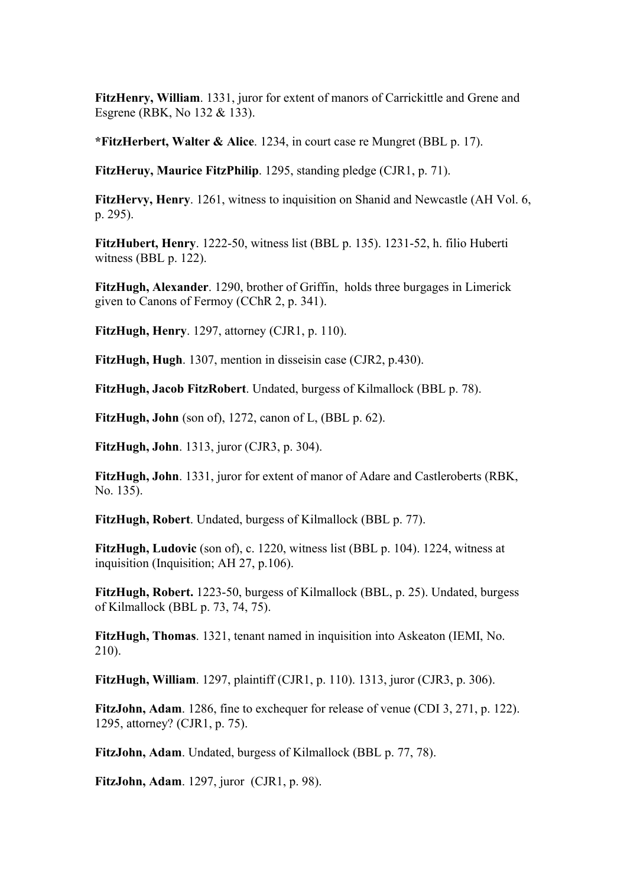**FitzHenry, William**. 1331, juror for extent of manors of Carrickittle and Grene and Esgrene (RBK, No 132 & 133).

**\*FitzHerbert, Walter & Alice**. 1234, in court case re Mungret (BBL p. 17).

**FitzHeruy, Maurice FitzPhilip**. 1295, standing pledge (CJR1, p. 71).

**FitzHervy, Henry**. 1261, witness to inquisition on Shanid and Newcastle (AH Vol. 6, p. 295).

**FitzHubert, Henry**. 1222-50, witness list (BBL p. 135). 1231-52, h. filio Huberti witness (BBL p. 122).

**FitzHugh, Alexander**. 1290, brother of Griffin, holds three burgages in Limerick given to Canons of Fermoy (CChR 2, p. 341).

**FitzHugh, Henry**. 1297, attorney (CJR1, p. 110).

**FitzHugh, Hugh**. 1307, mention in disseisin case (CJR2, p.430).

**FitzHugh, Jacob FitzRobert**. Undated, burgess of Kilmallock (BBL p. 78).

**FitzHugh, John** (son of), 1272, canon of L, (BBL p. 62).

**FitzHugh, John**. 1313, juror (CJR3, p. 304).

**FitzHugh, John**. 1331, juror for extent of manor of Adare and Castleroberts (RBK, No. 135).

**FitzHugh, Robert**. Undated, burgess of Kilmallock (BBL p. 77).

**FitzHugh, Ludovic** (son of), c. 1220, witness list (BBL p. 104). 1224, witness at inquisition (Inquisition; AH 27, p.106).

**FitzHugh, Robert.** 1223-50, burgess of Kilmallock (BBL, p. 25). Undated, burgess of Kilmallock (BBL p. 73, 74, 75).

**FitzHugh, Thomas**. 1321, tenant named in inquisition into Askeaton (IEMI, No. 210).

**FitzHugh, William**. 1297, plaintiff (CJR1, p. 110). 1313, juror (CJR3, p. 306).

**FitzJohn, Adam**. 1286, fine to exchequer for release of venue (CDI 3, 271, p. 122). 1295, attorney? (CJR1, p. 75).

**FitzJohn, Adam**. Undated, burgess of Kilmallock (BBL p. 77, 78).

**FitzJohn, Adam**. 1297, juror (CJR1, p. 98).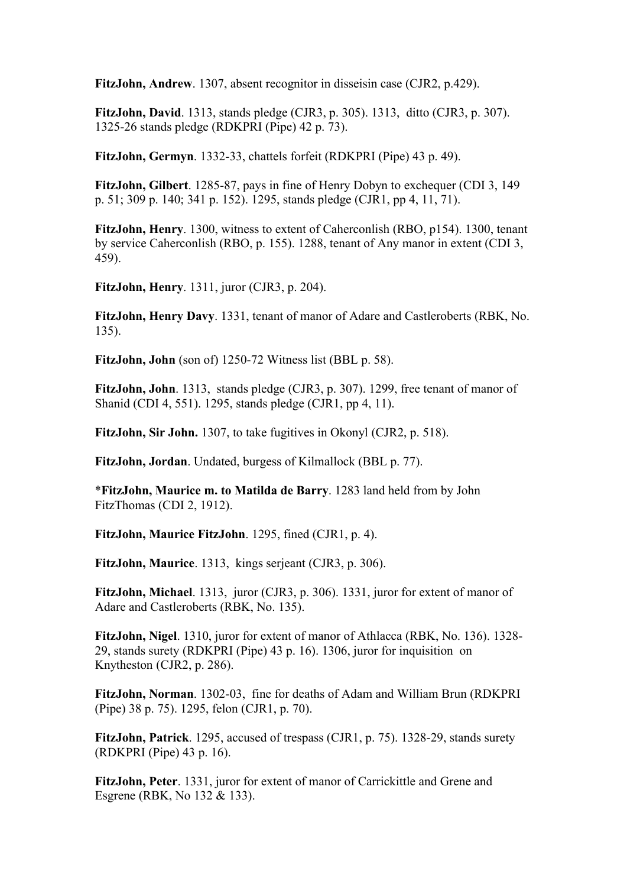**FitzJohn, Andrew**. 1307, absent recognitor in disseisin case (CJR2, p.429).

**FitzJohn, David**. 1313, stands pledge (CJR3, p. 305). 1313, ditto (CJR3, p. 307). 1325-26 stands pledge (RDKPRI (Pipe) 42 p. 73).

**FitzJohn, Germyn**. 1332-33, chattels forfeit (RDKPRI (Pipe) 43 p. 49).

**FitzJohn, Gilbert**. 1285-87, pays in fine of Henry Dobyn to exchequer (CDI 3, 149 p. 51; 309 p. 140; 341 p. 152). 1295, stands pledge (CJR1, pp 4, 11, 71).

**FitzJohn, Henry**. 1300, witness to extent of Caherconlish (RBO, p154). 1300, tenant by service Caherconlish (RBO, p. 155). 1288, tenant of Any manor in extent (CDI 3, 459).

**FitzJohn, Henry**. 1311, juror (CJR3, p. 204).

**FitzJohn, Henry Davy**. 1331, tenant of manor of Adare and Castleroberts (RBK, No. 135).

**FitzJohn, John** (son of) 1250-72 Witness list (BBL p. 58).

**FitzJohn, John**. 1313, stands pledge (CJR3, p. 307). 1299, free tenant of manor of Shanid (CDI 4, 551). 1295, stands pledge (CJR1, pp 4, 11).

**FitzJohn, Sir John.** 1307, to take fugitives in Okonyl (CJR2, p. 518).

**FitzJohn, Jordan**. Undated, burgess of Kilmallock (BBL p. 77).

\***FitzJohn, Maurice m. to Matilda de Barry**. 1283 land held from by John FitzThomas (CDI 2, 1912).

**FitzJohn, Maurice FitzJohn**. 1295, fined (CJR1, p. 4).

**FitzJohn, Maurice**. 1313, kings serjeant (CJR3, p. 306).

**FitzJohn, Michael**. 1313, juror (CJR3, p. 306). 1331, juror for extent of manor of Adare and Castleroberts (RBK, No. 135).

**FitzJohn, Nigel**. 1310, juror for extent of manor of Athlacca (RBK, No. 136). 1328- 29, stands surety (RDKPRI (Pipe) 43 p. 16). 1306, juror for inquisition on Knytheston (CJR2, p. 286).

**FitzJohn, Norman**. 1302-03, fine for deaths of Adam and William Brun (RDKPRI (Pipe) 38 p. 75). 1295, felon (CJR1, p. 70).

**FitzJohn, Patrick**. 1295, accused of trespass (CJR1, p. 75). 1328-29, stands surety (RDKPRI (Pipe) 43 p. 16).

**FitzJohn, Peter**. 1331, juror for extent of manor of Carrickittle and Grene and Esgrene (RBK, No 132 & 133).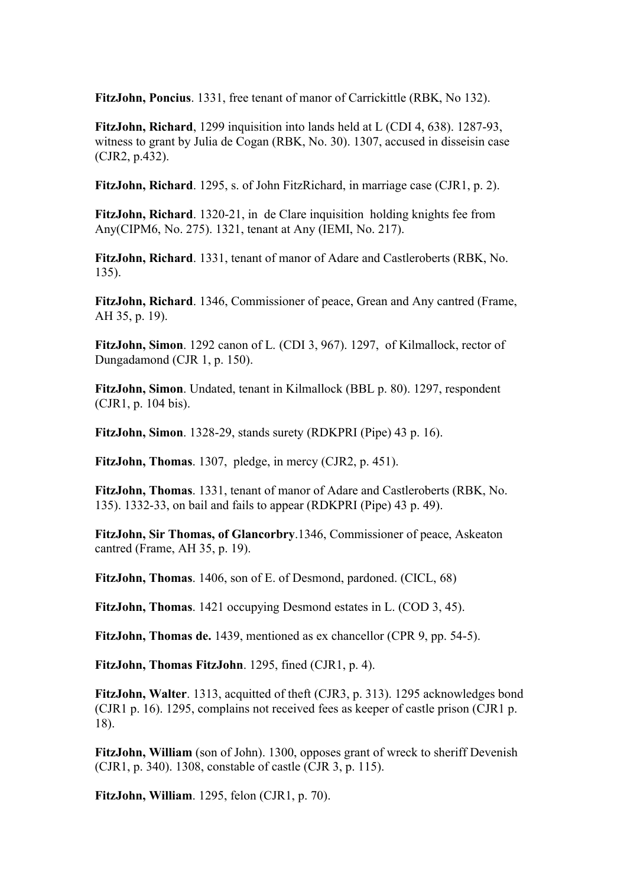**FitzJohn, Poncius**. 1331, free tenant of manor of Carrickittle (RBK, No 132).

**FitzJohn, Richard**, 1299 inquisition into lands held at L (CDI 4, 638). 1287-93, witness to grant by Julia de Cogan (RBK, No. 30). 1307, accused in disseisin case (CJR2, p.432).

**FitzJohn, Richard**. 1295, s. of John FitzRichard, in marriage case (CJR1, p. 2).

**FitzJohn, Richard**. 1320-21, in de Clare inquisition holding knights fee from Any(CIPM6, No. 275). 1321, tenant at Any (IEMI, No. 217).

**FitzJohn, Richard**. 1331, tenant of manor of Adare and Castleroberts (RBK, No. 135).

**FitzJohn, Richard**. 1346, Commissioner of peace, Grean and Any cantred (Frame, AH 35, p. 19).

**FitzJohn, Simon**. 1292 canon of L. (CDI 3, 967). 1297, of Kilmallock, rector of Dungadamond (CJR 1, p. 150).

**FitzJohn, Simon**. Undated, tenant in Kilmallock (BBL p. 80). 1297, respondent (CJR1, p. 104 bis).

**FitzJohn, Simon**. 1328-29, stands surety (RDKPRI (Pipe) 43 p. 16).

**FitzJohn, Thomas**. 1307, pledge, in mercy (CJR2, p. 451).

**FitzJohn, Thomas**. 1331, tenant of manor of Adare and Castleroberts (RBK, No. 135). 1332-33, on bail and fails to appear (RDKPRI (Pipe) 43 p. 49).

**FitzJohn, Sir Thomas, of Glancorbry**.1346, Commissioner of peace, Askeaton cantred (Frame, AH 35, p. 19).

**FitzJohn, Thomas**. 1406, son of E. of Desmond, pardoned. (CICL, 68)

**FitzJohn, Thomas**. 1421 occupying Desmond estates in L. (COD 3, 45).

**FitzJohn, Thomas de.** 1439, mentioned as ex chancellor (CPR 9, pp. 54-5).

**FitzJohn, Thomas FitzJohn**. 1295, fined (CJR1, p. 4).

**FitzJohn, Walter**. 1313, acquitted of theft (CJR3, p. 313). 1295 acknowledges bond (CJR1 p. 16). 1295, complains not received fees as keeper of castle prison (CJR1 p. 18).

**FitzJohn, William** (son of John). 1300, opposes grant of wreck to sheriff Devenish (CJR1, p. 340). 1308, constable of castle (CJR 3, p. 115).

**FitzJohn, William**. 1295, felon (CJR1, p. 70).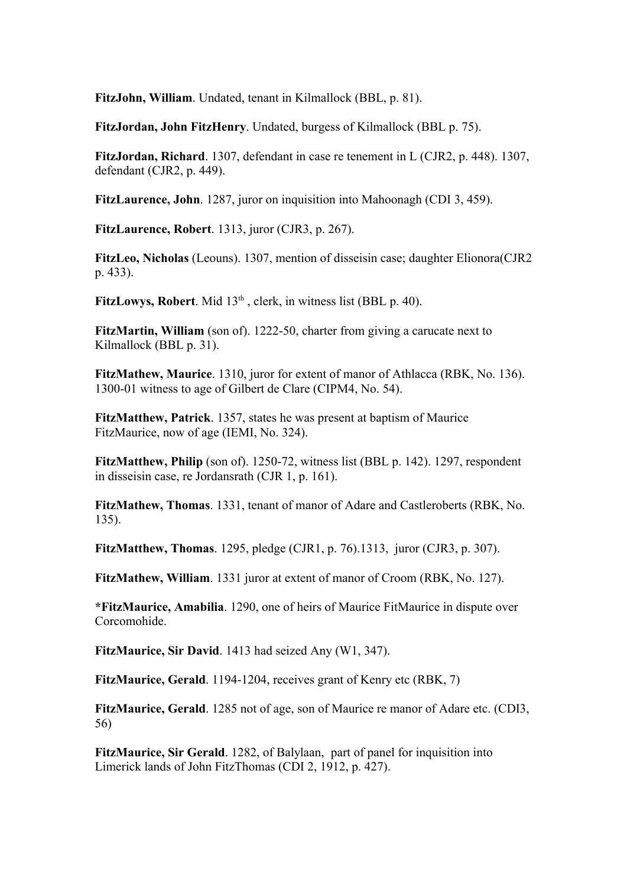**FitzJohn, William**. Undated, tenant in Kilmallock (BBL, p. 81).

**FitzJordan, John FitzHenry**. Undated, burgess of Kilmallock (BBL p. 75).

**FitzJordan, Richard**. 1307, defendant in case re tenement in L (CJR2, p. 448). 1307, defendant (CJR2, p. 449).

**FitzLaurence, John**. 1287, juror on inquisition into Mahoonagh (CDI 3, 459).

**FitzLaurence, Robert**. 1313, juror (CJR3, p. 267).

**FitzLeo, Nicholas** (Leouns). 1307, mention of disseisin case; daughter Elionora(CJR2 p. 433).

FitzLowys, Robert. Mid 13<sup>th</sup>, clerk, in witness list (BBL p. 40).

**FitzMartin, William** (son of). 1222-50, charter from giving a carucate next to Kilmallock (BBL p. 31).

**FitzMathew, Maurice**. 1310, juror for extent of manor of Athlacca (RBK, No. 136). 1300-01 witness to age of Gilbert de Clare (CIPM4, No. 54).

**FitzMatthew, Patrick**. 1357, states he was present at baptism of Maurice FitzMaurice, now of age (IEMI, No. 324).

**FitzMatthew, Philip** (son of). 1250-72, witness list (BBL p. 142). 1297, respondent in disseisin case, re Jordansrath (CJR 1, p. 161).

**FitzMathew, Thomas**. 1331, tenant of manor of Adare and Castleroberts (RBK, No. 135).

**FitzMatthew, Thomas**. 1295, pledge (CJR1, p. 76).1313, juror (CJR3, p. 307).

**FitzMathew, William**. 1331 juror at extent of manor of Croom (RBK, No. 127).

**\*FitzMaurice, Amabilia**. 1290, one of heirs of Maurice FitMaurice in dispute over Corcomohide.

**FitzMaurice, Sir David**. 1413 had seized Any (W1, 347).

**FitzMaurice, Gerald.** 1194-1204, receives grant of Kenry etc (RBK, 7)

**FitzMaurice, Gerald**. 1285 not of age, son of Maurice re manor of Adare etc. (CDI3, 56)

**FitzMaurice, Sir Gerald**. 1282, of Balylaan, part of panel for inquisition into Limerick lands of John FitzThomas (CDI 2, 1912, p. 427).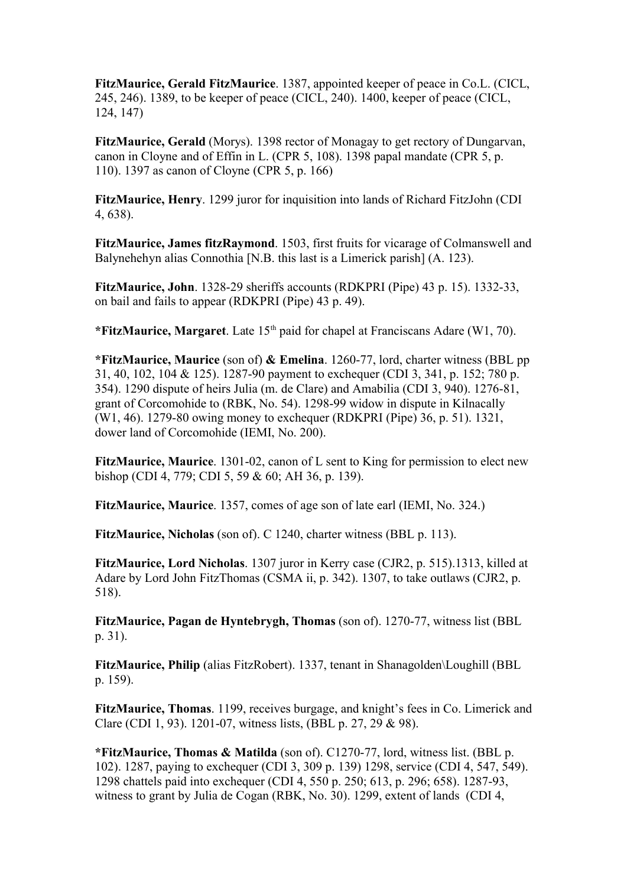**FitzMaurice, Gerald FitzMaurice**. 1387, appointed keeper of peace in Co.L. (CICL, 245, 246). 1389, to be keeper of peace (CICL, 240). 1400, keeper of peace (CICL, 124, 147)

**FitzMaurice, Gerald** (Morys). 1398 rector of Monagay to get rectory of Dungarvan, canon in Cloyne and of Effin in L. (CPR 5, 108). 1398 papal mandate (CPR 5, p. 110). 1397 as canon of Cloyne (CPR 5, p. 166)

**FitzMaurice, Henry**. 1299 juror for inquisition into lands of Richard FitzJohn (CDI 4, 638).

**FitzMaurice, James fitzRaymond**. 1503, first fruits for vicarage of Colmanswell and Balynehehyn alias Connothia [N.B. this last is a Limerick parish] (A. 123).

**FitzMaurice, John**. 1328-29 sheriffs accounts (RDKPRI (Pipe) 43 p. 15). 1332-33, on bail and fails to appear (RDKPRI (Pipe) 43 p. 49).

\***FitzMaurice, Margaret**. Late 15<sup>th</sup> paid for chapel at Franciscans Adare (W1, 70).

**\*FitzMaurice, Maurice** (son of) **& Emelina**. 1260-77, lord, charter witness (BBL pp 31, 40, 102, 104 & 125). 1287-90 payment to exchequer (CDI 3, 341, p. 152; 780 p. 354). 1290 dispute of heirs Julia (m. de Clare) and Amabilia (CDI 3, 940). 1276-81, grant of Corcomohide to (RBK, No. 54). 1298-99 widow in dispute in Kilnacally (W1, 46). 1279-80 owing money to exchequer (RDKPRI (Pipe) 36, p. 51). 1321, dower land of Corcomohide (IEMI, No. 200).

**FitzMaurice, Maurice**. 1301-02, canon of L sent to King for permission to elect new bishop (CDI 4, 779; CDI 5, 59 & 60; AH 36, p. 139).

**FitzMaurice, Maurice**. 1357, comes of age son of late earl (IEMI, No. 324.)

**FitzMaurice, Nicholas** (son of). C 1240, charter witness (BBL p. 113).

**FitzMaurice, Lord Nicholas**. 1307 juror in Kerry case (CJR2, p. 515).1313, killed at Adare by Lord John FitzThomas (CSMA ii, p. 342). 1307, to take outlaws (CJR2, p. 518).

**FitzMaurice, Pagan de Hyntebrygh, Thomas** (son of). 1270-77, witness list (BBL p. 31).

**FitzMaurice, Philip** (alias FitzRobert). 1337, tenant in Shanagolden\Loughill (BBL p. 159).

**FitzMaurice, Thomas**. 1199, receives burgage, and knight's fees in Co. Limerick and Clare (CDI 1, 93). 1201-07, witness lists, (BBL p. 27, 29 & 98).

**\*FitzMaurice, Thomas & Matilda** (son of). C1270-77, lord, witness list. (BBL p. 102). 1287, paying to exchequer (CDI 3, 309 p. 139) 1298, service (CDI 4, 547, 549). 1298 chattels paid into exchequer (CDI 4, 550 p. 250; 613, p. 296; 658). 1287-93, witness to grant by Julia de Cogan (RBK, No. 30). 1299, extent of lands (CDI 4,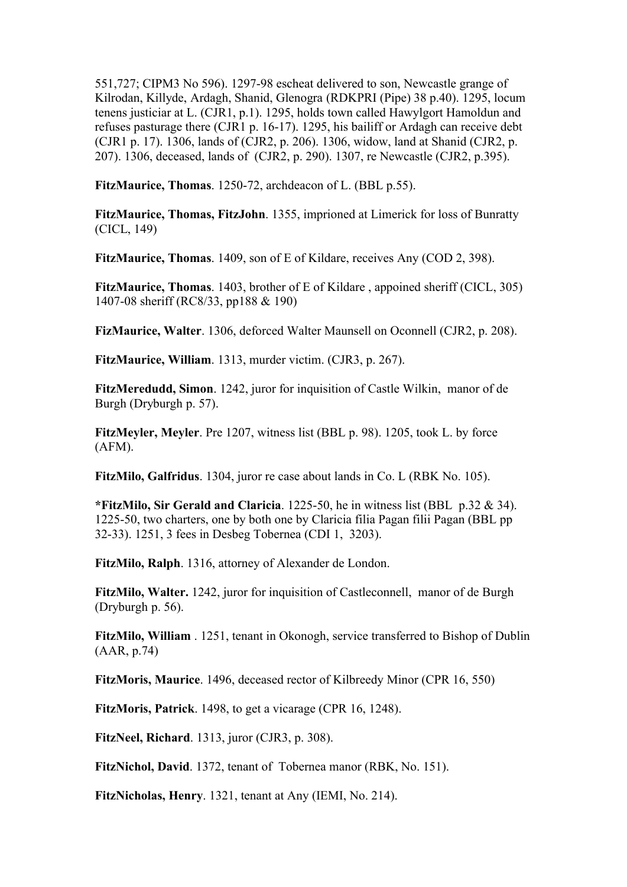551,727; CIPM3 No 596). 1297-98 escheat delivered to son, Newcastle grange of Kilrodan, Killyde, Ardagh, Shanid, Glenogra (RDKPRI (Pipe) 38 p.40). 1295, locum tenens justiciar at L. (CJR1, p.1). 1295, holds town called Hawylgort Hamoldun and refuses pasturage there (CJR1 p. 16-17). 1295, his bailiff or Ardagh can receive debt (CJR1 p. 17). 1306, lands of (CJR2, p. 206). 1306, widow, land at Shanid (CJR2, p. 207). 1306, deceased, lands of (CJR2, p. 290). 1307, re Newcastle (CJR2, p.395).

**FitzMaurice, Thomas**. 1250-72, archdeacon of L. (BBL p.55).

**FitzMaurice, Thomas, FitzJohn**. 1355, imprioned at Limerick for loss of Bunratty (CICL, 149)

**FitzMaurice, Thomas**. 1409, son of E of Kildare, receives Any (COD 2, 398).

**FitzMaurice, Thomas**. 1403, brother of E of Kildare , appoined sheriff (CICL, 305) 1407-08 sheriff (RC8/33, pp188 & 190)

**FizMaurice, Walter**. 1306, deforced Walter Maunsell on Oconnell (CJR2, p. 208).

**FitzMaurice, William**. 1313, murder victim. (CJR3, p. 267).

**FitzMeredudd, Simon**. 1242, juror for inquisition of Castle Wilkin, manor of de Burgh (Dryburgh p. 57).

**FitzMeyler, Meyler**. Pre 1207, witness list (BBL p. 98). 1205, took L. by force (AFM).

**FitzMilo, Galfridus**. 1304, juror re case about lands in Co. L (RBK No. 105).

**\*FitzMilo, Sir Gerald and Claricia**. 1225-50, he in witness list (BBL p.32 & 34). 1225-50, two charters, one by both one by Claricia filia Pagan filii Pagan (BBL pp 32-33). 1251, 3 fees in Desbeg Tobernea (CDI 1, 3203).

**FitzMilo, Ralph**. 1316, attorney of Alexander de London.

**FitzMilo, Walter.** 1242, juror for inquisition of Castleconnell, manor of de Burgh (Dryburgh p. 56).

**FitzMilo, William** . 1251, tenant in Okonogh, service transferred to Bishop of Dublin (AAR, p.74)

**FitzMoris, Maurice**. 1496, deceased rector of Kilbreedy Minor (CPR 16, 550)

**FitzMoris, Patrick**. 1498, to get a vicarage (CPR 16, 1248).

**FitzNeel, Richard**. 1313, juror (CJR3, p. 308).

**FitzNichol, David**. 1372, tenant of Tobernea manor (RBK, No. 151).

**FitzNicholas, Henry**. 1321, tenant at Any (IEMI, No. 214).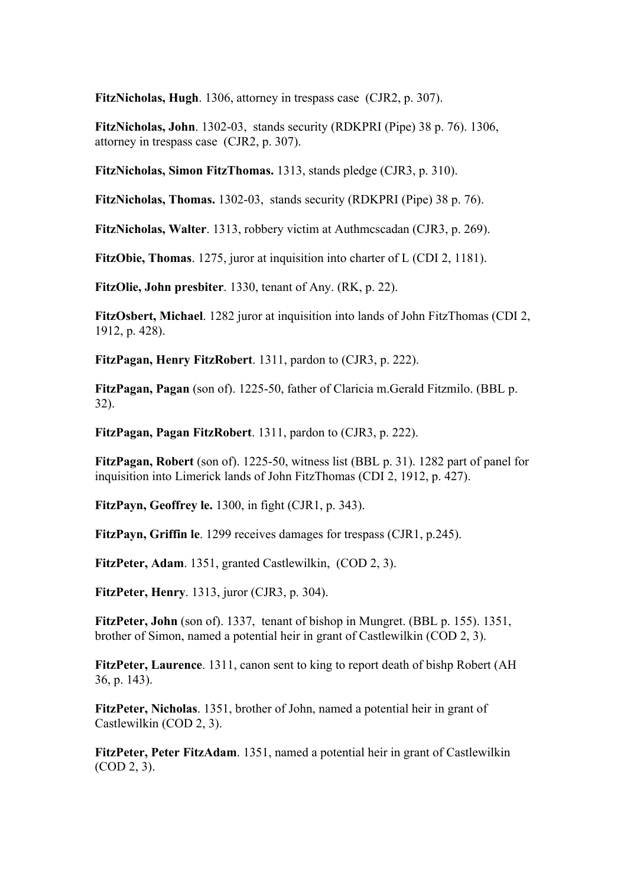**FitzNicholas, Hugh**. 1306, attorney in trespass case (CJR2, p. 307).

**FitzNicholas, John**. 1302-03, stands security (RDKPRI (Pipe) 38 p. 76). 1306, attorney in trespass case (CJR2, p. 307).

**FitzNicholas, Simon FitzThomas.** 1313, stands pledge (CJR3, p. 310).

**FitzNicholas, Thomas.** 1302-03, stands security (RDKPRI (Pipe) 38 p. 76).

**FitzNicholas, Walter**. 1313, robbery victim at Authmcscadan (CJR3, p. 269).

**FitzObie, Thomas**. 1275, juror at inquisition into charter of L (CDI 2, 1181).

**FitzOlie, John presbiter**. 1330, tenant of Any. (RK, p. 22).

**FitzOsbert, Michael**. 1282 juror at inquisition into lands of John FitzThomas (CDI 2, 1912, p. 428).

**FitzPagan, Henry FitzRobert**. 1311, pardon to (CJR3, p. 222).

**FitzPagan, Pagan** (son of). 1225-50, father of Claricia m.Gerald Fitzmilo. (BBL p. 32).

**FitzPagan, Pagan FitzRobert**. 1311, pardon to (CJR3, p. 222).

**FitzPagan, Robert** (son of). 1225-50, witness list (BBL p. 31). 1282 part of panel for inquisition into Limerick lands of John FitzThomas (CDI 2, 1912, p. 427).

**FitzPayn, Geoffrey le.** 1300, in fight (CJR1, p. 343).

**FitzPayn, Griffin le**. 1299 receives damages for trespass (CJR1, p.245).

**FitzPeter, Adam**. 1351, granted Castlewilkin, (COD 2, 3).

**FitzPeter, Henry**. 1313, juror (CJR3, p. 304).

**FitzPeter, John** (son of). 1337, tenant of bishop in Mungret. (BBL p. 155). 1351, brother of Simon, named a potential heir in grant of Castlewilkin (COD 2, 3).

**FitzPeter, Laurence**. 1311, canon sent to king to report death of bishp Robert (AH 36, p. 143).

**FitzPeter, Nicholas**. 1351, brother of John, named a potential heir in grant of Castlewilkin (COD 2, 3).

**FitzPeter, Peter FitzAdam**. 1351, named a potential heir in grant of Castlewilkin (COD 2, 3).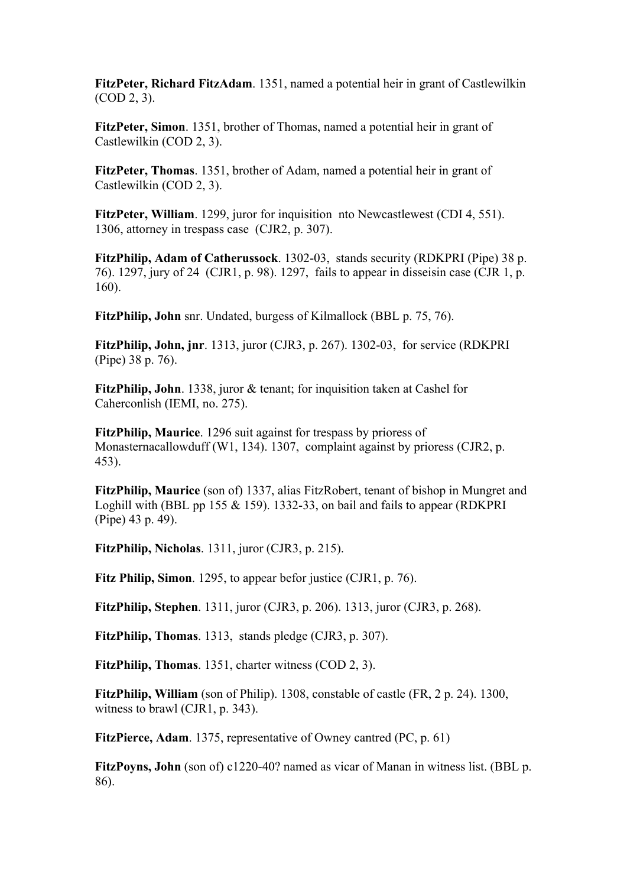**FitzPeter, Richard FitzAdam**. 1351, named a potential heir in grant of Castlewilkin (COD 2, 3).

**FitzPeter, Simon**. 1351, brother of Thomas, named a potential heir in grant of Castlewilkin (COD 2, 3).

**FitzPeter, Thomas**. 1351, brother of Adam, named a potential heir in grant of Castlewilkin (COD 2, 3).

**FitzPeter, William**. 1299, juror for inquisition nto Newcastlewest (CDI 4, 551). 1306, attorney in trespass case (CJR2, p. 307).

**FitzPhilip, Adam of Catherussock**. 1302-03, stands security (RDKPRI (Pipe) 38 p. 76). 1297, jury of 24 (CJR1, p. 98). 1297, fails to appear in disseisin case (CJR 1, p. 160).

**FitzPhilip, John** snr. Undated, burgess of Kilmallock (BBL p. 75, 76).

**FitzPhilip, John, jnr**. 1313, juror (CJR3, p. 267). 1302-03, for service (RDKPRI (Pipe) 38 p. 76).

**FitzPhilip, John**. 1338, juror & tenant; for inquisition taken at Cashel for Caherconlish (IEMI, no. 275).

**FitzPhilip, Maurice**. 1296 suit against for trespass by prioress of Monasternacallowduff (W1, 134). 1307, complaint against by prioress (CJR2, p. 453).

**FitzPhilip, Maurice** (son of) 1337, alias FitzRobert, tenant of bishop in Mungret and Loghill with (BBL pp 155  $\&$  159). 1332-33, on bail and fails to appear (RDKPRI) (Pipe) 43 p. 49).

**FitzPhilip, Nicholas**. 1311, juror (CJR3, p. 215).

**Fitz Philip, Simon**. 1295, to appear befor justice (CJR1, p. 76).

**FitzPhilip, Stephen**. 1311, juror (CJR3, p. 206). 1313, juror (CJR3, p. 268).

**FitzPhilip, Thomas**. 1313, stands pledge (CJR3, p. 307).

**FitzPhilip, Thomas**. 1351, charter witness (COD 2, 3).

**FitzPhilip, William** (son of Philip). 1308, constable of castle (FR, 2 p. 24). 1300, witness to brawl (CJR1, p. 343).

**FitzPierce, Adam**. 1375, representative of Owney cantred (PC, p. 61)

**FitzPoyns, John** (son of) c1220-40? named as vicar of Manan in witness list. (BBL p. 86).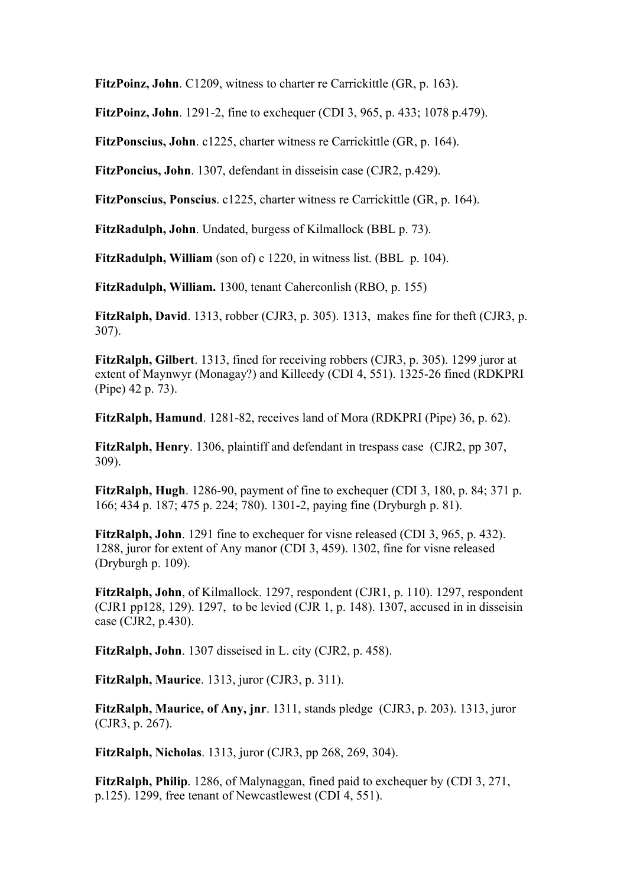**FitzPoinz, John**. C1209, witness to charter re Carrickittle (GR, p. 163).

**FitzPoinz, John**. 1291-2, fine to exchequer (CDI 3, 965, p. 433; 1078 p.479).

**FitzPonscius, John**. c1225, charter witness re Carrickittle (GR, p. 164).

**FitzPoncius, John**. 1307, defendant in disseisin case (CJR2, p.429).

**FitzPonscius, Ponscius**. c1225, charter witness re Carrickittle (GR, p. 164).

**FitzRadulph, John**. Undated, burgess of Kilmallock (BBL p. 73).

**FitzRadulph, William** (son of) c 1220, in witness list. (BBL p. 104).

**FitzRadulph, William.** 1300, tenant Caherconlish (RBO, p. 155)

**FitzRalph, David**. 1313, robber (CJR3, p. 305). 1313, makes fine for theft (CJR3, p. 307).

**FitzRalph, Gilbert**. 1313, fined for receiving robbers (CJR3, p. 305). 1299 juror at extent of Maynwyr (Monagay?) and Killeedy (CDI 4, 551). 1325-26 fined (RDKPRI (Pipe) 42 p. 73).

**FitzRalph, Hamund**. 1281-82, receives land of Mora (RDKPRI (Pipe) 36, p. 62).

**FitzRalph, Henry**. 1306, plaintiff and defendant in trespass case (CJR2, pp 307, 309).

**FitzRalph, Hugh**. 1286-90, payment of fine to exchequer (CDI 3, 180, p. 84; 371 p. 166; 434 p. 187; 475 p. 224; 780). 1301-2, paying fine (Dryburgh p. 81).

**FitzRalph, John**. 1291 fine to exchequer for visne released (CDI 3, 965, p. 432). 1288, juror for extent of Any manor (CDI 3, 459). 1302, fine for visne released (Dryburgh p. 109).

**FitzRalph, John**, of Kilmallock. 1297, respondent (CJR1, p. 110). 1297, respondent (CJR1 pp128, 129). 1297, to be levied (CJR 1, p. 148). 1307, accused in in disseisin case (CJR2, p.430).

**FitzRalph, John**. 1307 disseised in L. city (CJR2, p. 458).

**FitzRalph, Maurice**. 1313, juror (CJR3, p. 311).

**FitzRalph, Maurice, of Any, jnr**. 1311, stands pledge (CJR3, p. 203). 1313, juror (CJR3, p. 267).

**FitzRalph, Nicholas**. 1313, juror (CJR3, pp 268, 269, 304).

**FitzRalph, Philip**. 1286, of Malynaggan, fined paid to exchequer by (CDI 3, 271, p.125). 1299, free tenant of Newcastlewest (CDI 4, 551).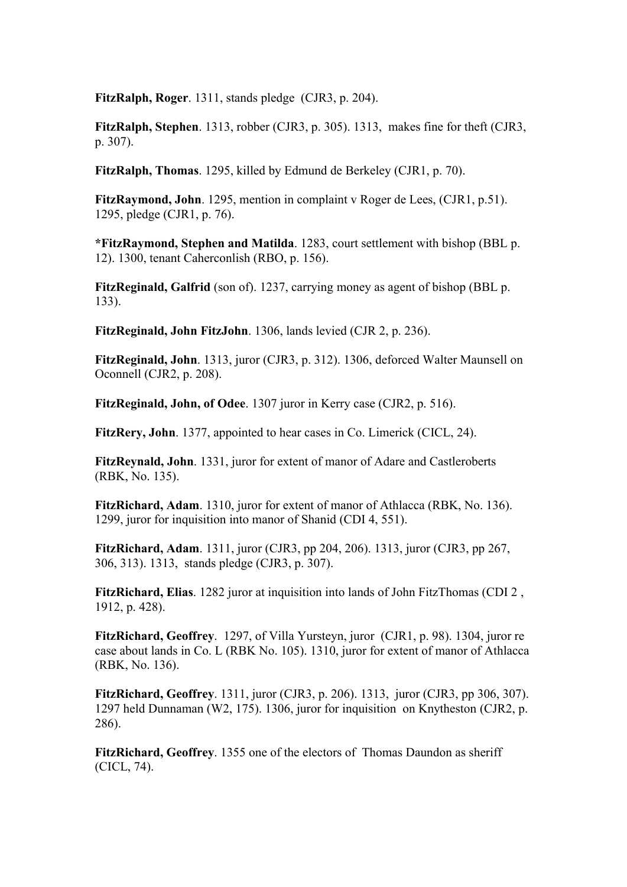**FitzRalph, Roger**. 1311, stands pledge (CJR3, p. 204).

**FitzRalph, Stephen**. 1313, robber (CJR3, p. 305). 1313, makes fine for theft (CJR3, p. 307).

**FitzRalph, Thomas**. 1295, killed by Edmund de Berkeley (CJR1, p. 70).

**FitzRaymond, John**. 1295, mention in complaint v Roger de Lees, (CJR1, p.51). 1295, pledge (CJR1, p. 76).

**\*FitzRaymond, Stephen and Matilda**. 1283, court settlement with bishop (BBL p. 12). 1300, tenant Caherconlish (RBO, p. 156).

**FitzReginald, Galfrid** (son of). 1237, carrying money as agent of bishop (BBL p. 133).

**FitzReginald, John FitzJohn**. 1306, lands levied (CJR 2, p. 236).

**FitzReginald, John**. 1313, juror (CJR3, p. 312). 1306, deforced Walter Maunsell on Oconnell (CJR2, p. 208).

**FitzReginald, John, of Odee**. 1307 juror in Kerry case (CJR2, p. 516).

**FitzRery, John**. 1377, appointed to hear cases in Co. Limerick (CICL, 24).

**FitzReynald, John**. 1331, juror for extent of manor of Adare and Castleroberts (RBK, No. 135).

**FitzRichard, Adam**. 1310, juror for extent of manor of Athlacca (RBK, No. 136). 1299, juror for inquisition into manor of Shanid (CDI 4, 551).

**FitzRichard, Adam**. 1311, juror (CJR3, pp 204, 206). 1313, juror (CJR3, pp 267, 306, 313). 1313, stands pledge (CJR3, p. 307).

**FitzRichard, Elias**. 1282 juror at inquisition into lands of John FitzThomas (CDI 2 , 1912, p. 428).

**FitzRichard, Geoffrey**. 1297, of Villa Yursteyn, juror (CJR1, p. 98). 1304, juror re case about lands in Co. L (RBK No. 105). 1310, juror for extent of manor of Athlacca (RBK, No. 136).

**FitzRichard, Geoffrey**. 1311, juror (CJR3, p. 206). 1313, juror (CJR3, pp 306, 307). 1297 held Dunnaman (W2, 175). 1306, juror for inquisition on Knytheston (CJR2, p. 286).

**FitzRichard, Geoffrey**. 1355 one of the electors of Thomas Daundon as sheriff (CICL, 74).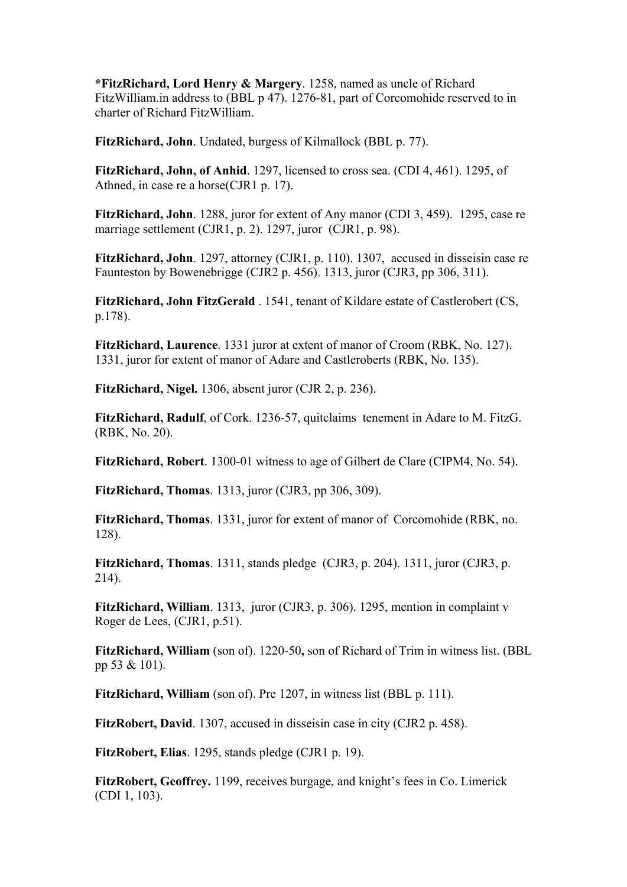**\*FitzRichard, Lord Henry & Margery**. 1258, named as uncle of Richard FitzWilliam.in address to (BBL p 47). 1276-81, part of Corcomohide reserved to in charter of Richard FitzWilliam.

**FitzRichard, John**. Undated, burgess of Kilmallock (BBL p. 77).

**FitzRichard, John, of Anhid**. 1297, licensed to cross sea. (CDI 4, 461). 1295, of Athned, in case re a horse(CJR1 p. 17).

**FitzRichard, John**. 1288, juror for extent of Any manor (CDI 3, 459). 1295, case re marriage settlement (CJR1, p. 2). 1297, juror (CJR1, p. 98).

**FitzRichard, John**. 1297, attorney (CJR1, p. 110). 1307, accused in disseisin case re Faunteston by Bowenebrigge (CJR2 p. 456). 1313, juror (CJR3, pp 306, 311).

**FitzRichard, John FitzGerald** . 1541, tenant of Kildare estate of Castlerobert (CS, p.178).

**FitzRichard, Laurence**. 1331 juror at extent of manor of Croom (RBK, No. 127). 1331, juror for extent of manor of Adare and Castleroberts (RBK, No. 135).

**FitzRichard, Nigel.** 1306, absent juror (CJR 2, p. 236).

**FitzRichard, Radulf**, of Cork. 1236-57, quitclaims tenement in Adare to M. FitzG. (RBK, No. 20).

**FitzRichard, Robert**. 1300-01 witness to age of Gilbert de Clare (CIPM4, No. 54).

**FitzRichard, Thomas**. 1313, juror (CJR3, pp 306, 309).

**FitzRichard, Thomas**. 1331, juror for extent of manor of Corcomohide (RBK, no. 128).

**FitzRichard, Thomas**. 1311, stands pledge (CJR3, p. 204). 1311, juror (CJR3, p. 214).

**FitzRichard, William**. 1313, juror (CJR3, p. 306). 1295, mention in complaint v Roger de Lees, (CJR1, p.51).

**FitzRichard, William** (son of). 1220-50**,** son of Richard of Trim in witness list. (BBL pp 53 & 101).

**FitzRichard, William** (son of). Pre 1207, in witness list (BBL p. 111).

**FitzRobert, David**. 1307, accused in disseisin case in city (CJR2 p. 458).

**FitzRobert, Elias**. 1295, stands pledge (CJR1 p. 19).

**FitzRobert, Geoffrey.** 1199, receives burgage, and knight's fees in Co. Limerick (CDI 1, 103).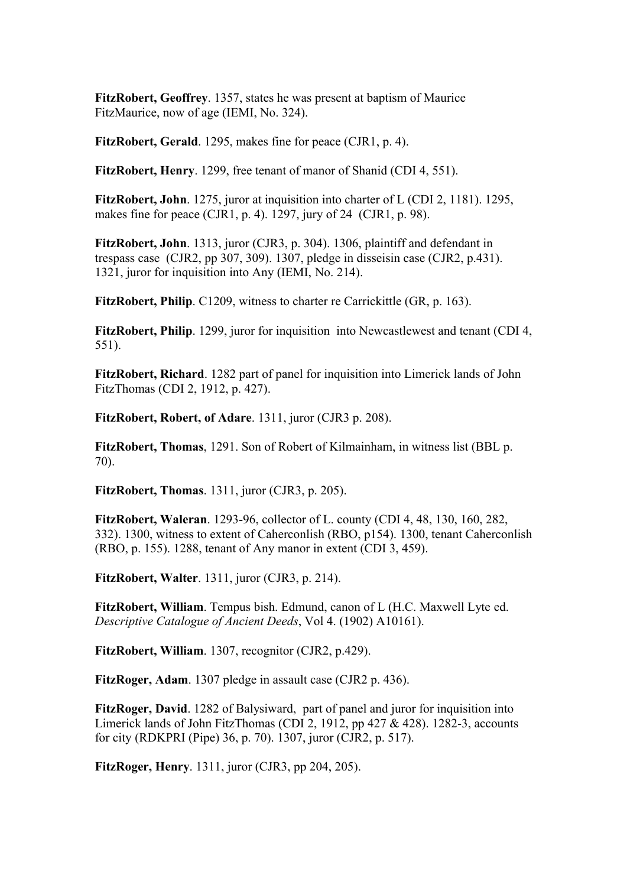**FitzRobert, Geoffrey**. 1357, states he was present at baptism of Maurice FitzMaurice, now of age (IEMI, No. 324).

**FitzRobert, Gerald**. 1295, makes fine for peace (CJR1, p. 4).

**FitzRobert, Henry**. 1299, free tenant of manor of Shanid (CDI 4, 551).

**FitzRobert, John**. 1275, juror at inquisition into charter of L (CDI 2, 1181). 1295, makes fine for peace (CJR1, p. 4). 1297, jury of 24 (CJR1, p. 98).

**FitzRobert, John**. 1313, juror (CJR3, p. 304). 1306, plaintiff and defendant in trespass case (CJR2, pp 307, 309). 1307, pledge in disseisin case (CJR2, p.431). 1321, juror for inquisition into Any (IEMI, No. 214).

**FitzRobert, Philip**. C1209, witness to charter re Carrickittle (GR, p. 163).

**FitzRobert, Philip**. 1299, juror for inquisition into Newcastlewest and tenant (CDI 4, 551).

**FitzRobert, Richard**. 1282 part of panel for inquisition into Limerick lands of John FitzThomas (CDI 2, 1912, p. 427).

**FitzRobert, Robert, of Adare**. 1311, juror (CJR3 p. 208).

**FitzRobert, Thomas**, 1291. Son of Robert of Kilmainham, in witness list (BBL p. 70).

**FitzRobert, Thomas**. 1311, juror (CJR3, p. 205).

**FitzRobert, Waleran**. 1293-96, collector of L. county (CDI 4, 48, 130, 160, 282, 332). 1300, witness to extent of Caherconlish (RBO, p154). 1300, tenant Caherconlish (RBO, p. 155). 1288, tenant of Any manor in extent (CDI 3, 459).

**FitzRobert, Walter**. 1311, juror (CJR3, p. 214).

**FitzRobert, William**. Tempus bish. Edmund, canon of L (H.C. Maxwell Lyte ed. *Descriptive Catalogue of Ancient Deeds*, Vol 4. (1902) A10161).

**FitzRobert, William**. 1307, recognitor (CJR2, p.429).

**FitzRoger, Adam**. 1307 pledge in assault case (CJR2 p. 436).

**FitzRoger, David**. 1282 of Balysiward, part of panel and juror for inquisition into Limerick lands of John FitzThomas (CDI 2, 1912, pp 427  $\&$  428). 1282-3, accounts for city (RDKPRI (Pipe) 36, p. 70). 1307, juror (CJR2, p. 517).

**FitzRoger, Henry**. 1311, juror (CJR3, pp 204, 205).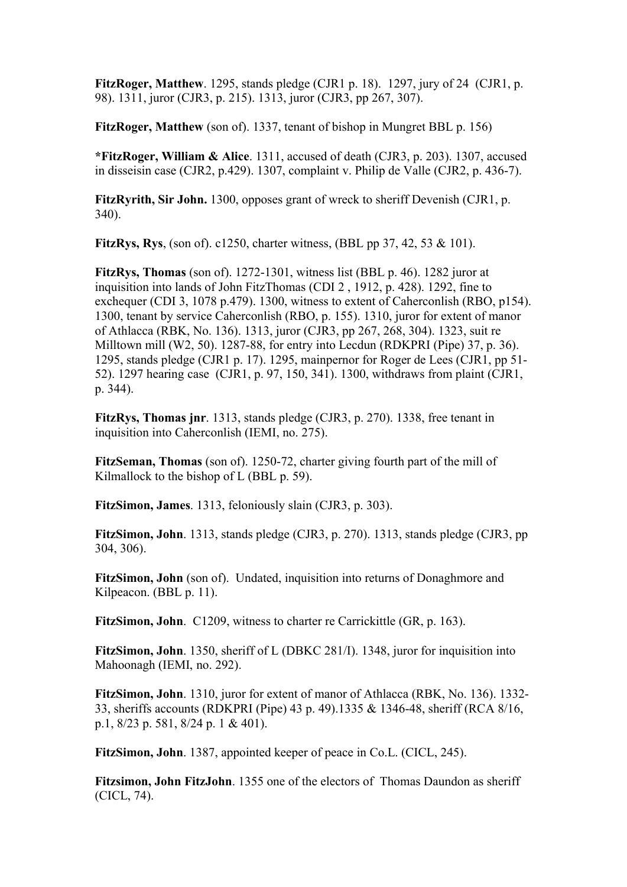**FitzRoger, Matthew**. 1295, stands pledge (CJR1 p. 18). 1297, jury of 24 (CJR1, p. 98). 1311, juror (CJR3, p. 215). 1313, juror (CJR3, pp 267, 307).

**FitzRoger, Matthew** (son of). 1337, tenant of bishop in Mungret BBL p. 156)

**\*FitzRoger, William & Alice**. 1311, accused of death (CJR3, p. 203). 1307, accused in disseisin case (CJR2, p.429). 1307, complaint v. Philip de Valle (CJR2, p. 436-7).

**FitzRyrith, Sir John.** 1300, opposes grant of wreck to sheriff Devenish (CJR1, p. 340).

**FitzRys, Rys**, (son of). c1250, charter witness, (BBL pp 37, 42, 53 & 101).

**FitzRys, Thomas** (son of). 1272-1301, witness list (BBL p. 46). 1282 juror at inquisition into lands of John FitzThomas (CDI 2 , 1912, p. 428). 1292, fine to exchequer (CDI 3, 1078 p.479). 1300, witness to extent of Caherconlish (RBO, p154). 1300, tenant by service Caherconlish (RBO, p. 155). 1310, juror for extent of manor of Athlacca (RBK, No. 136). 1313, juror (CJR3, pp 267, 268, 304). 1323, suit re Milltown mill (W2, 50). 1287-88, for entry into Lecdun (RDKPRI (Pipe) 37, p. 36). 1295, stands pledge (CJR1 p. 17). 1295, mainpernor for Roger de Lees (CJR1, pp 51- 52). 1297 hearing case (CJR1, p. 97, 150, 341). 1300, withdraws from plaint (CJR1, p. 344).

**FitzRys, Thomas jnr**. 1313, stands pledge (CJR3, p. 270). 1338, free tenant in inquisition into Caherconlish (IEMI, no. 275).

**FitzSeman, Thomas** (son of). 1250-72, charter giving fourth part of the mill of Kilmallock to the bishop of L (BBL p. 59).

**FitzSimon, James**. 1313, feloniously slain (CJR3, p. 303).

**FitzSimon, John**. 1313, stands pledge (CJR3, p. 270). 1313, stands pledge (CJR3, pp 304, 306).

FitzSimon, John (son of). Undated, inquisition into returns of Donaghmore and Kilpeacon. (BBL p. 11).

**FitzSimon, John**. C1209, witness to charter re Carrickittle (GR, p. 163).

**FitzSimon, John**. 1350, sheriff of L (DBKC 281/I). 1348, juror for inquisition into Mahoonagh (IEMI, no. 292).

**FitzSimon, John**. 1310, juror for extent of manor of Athlacca (RBK, No. 136). 1332- 33, sheriffs accounts (RDKPRI (Pipe) 43 p. 49).1335 & 1346-48, sheriff (RCA 8/16, p.1, 8/23 p. 581, 8/24 p. 1 & 401).

**FitzSimon, John**. 1387, appointed keeper of peace in Co.L. (CICL, 245).

**Fitzsimon, John FitzJohn**. 1355 one of the electors of Thomas Daundon as sheriff (CICL, 74).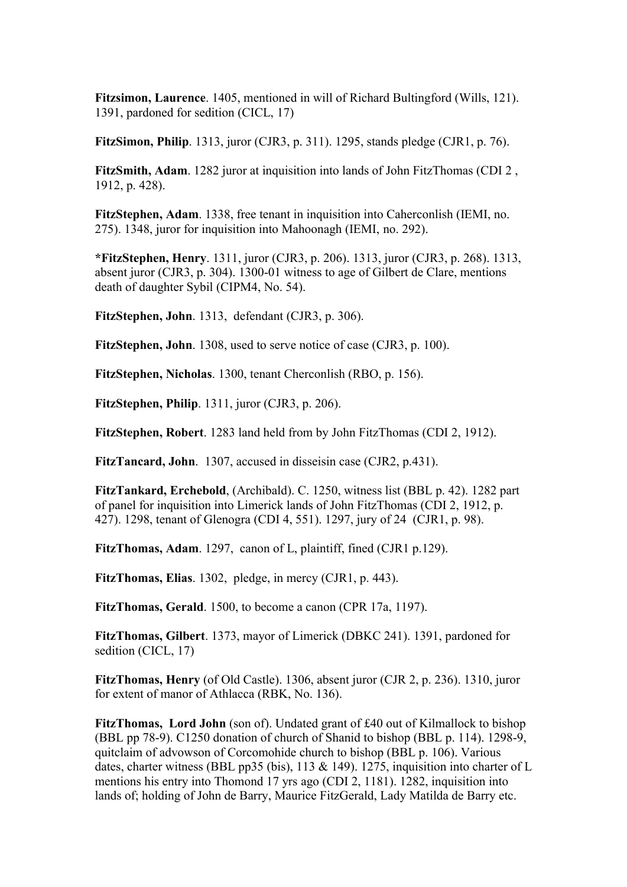**Fitzsimon, Laurence**. 1405, mentioned in will of Richard Bultingford (Wills, 121). 1391, pardoned for sedition (CICL, 17)

**FitzSimon, Philip**. 1313, juror (CJR3, p. 311). 1295, stands pledge (CJR1, p. 76).

**FitzSmith, Adam**. 1282 juror at inquisition into lands of John FitzThomas (CDI 2 , 1912, p. 428).

**FitzStephen, Adam**. 1338, free tenant in inquisition into Caherconlish (IEMI, no. 275). 1348, juror for inquisition into Mahoonagh (IEMI, no. 292).

**\*FitzStephen, Henry**. 1311, juror (CJR3, p. 206). 1313, juror (CJR3, p. 268). 1313, absent juror (CJR3, p. 304). 1300-01 witness to age of Gilbert de Clare, mentions death of daughter Sybil (CIPM4, No. 54).

**FitzStephen, John**. 1313, defendant (CJR3, p. 306).

**FitzStephen, John**. 1308, used to serve notice of case (CJR3, p. 100).

**FitzStephen, Nicholas**. 1300, tenant Cherconlish (RBO, p. 156).

**FitzStephen, Philip**. 1311, juror (CJR3, p. 206).

**FitzStephen, Robert**. 1283 land held from by John FitzThomas (CDI 2, 1912).

**FitzTancard, John**. 1307, accused in disseisin case (CJR2, p.431).

**FitzTankard, Erchebold**, (Archibald). C. 1250, witness list (BBL p. 42). 1282 part of panel for inquisition into Limerick lands of John FitzThomas (CDI 2, 1912, p. 427). 1298, tenant of Glenogra (CDI 4, 551). 1297, jury of 24 (CJR1, p. 98).

**FitzThomas, Adam**. 1297, canon of L, plaintiff, fined (CJR1 p.129).

**FitzThomas, Elias**. 1302, pledge, in mercy (CJR1, p. 443).

**FitzThomas, Gerald**. 1500, to become a canon (CPR 17a, 1197).

**FitzThomas, Gilbert**. 1373, mayor of Limerick (DBKC 241). 1391, pardoned for sedition (CICL, 17)

**FitzThomas, Henry** (of Old Castle). 1306, absent juror (CJR 2, p. 236). 1310, juror for extent of manor of Athlacca (RBK, No. 136).

FitzThomas, Lord John (son of). Undated grant of £40 out of Kilmallock to bishop (BBL pp 78-9). C1250 donation of church of Shanid to bishop (BBL p. 114). 1298-9, quitclaim of advowson of Corcomohide church to bishop (BBL p. 106). Various dates, charter witness (BBL pp35 (bis), 113 & 149). 1275, inquisition into charter of L mentions his entry into Thomond 17 yrs ago (CDI 2, 1181). 1282, inquisition into lands of; holding of John de Barry, Maurice FitzGerald, Lady Matilda de Barry etc.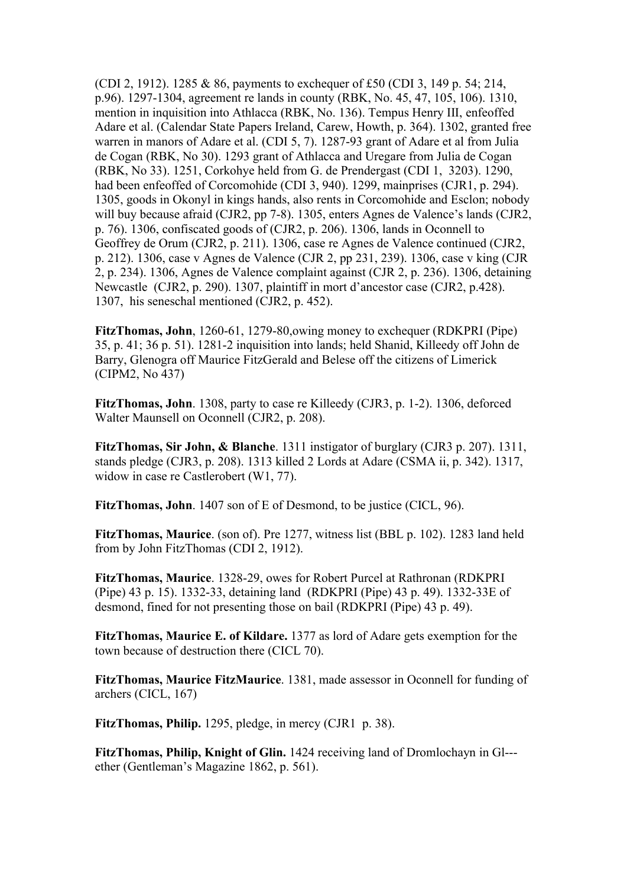(CDI 2, 1912). 1285 & 86, payments to exchequer of £50 (CDI 3, 149 p. 54; 214, p.96). 1297-1304, agreement re lands in county (RBK, No. 45, 47, 105, 106). 1310, mention in inquisition into Athlacca (RBK, No. 136). Tempus Henry III, enfeoffed Adare et al. (Calendar State Papers Ireland, Carew, Howth, p. 364). 1302, granted free warren in manors of Adare et al. (CDI 5, 7). 1287-93 grant of Adare et al from Julia de Cogan (RBK, No 30). 1293 grant of Athlacca and Uregare from Julia de Cogan (RBK, No 33). 1251, Corkohye held from G. de Prendergast (CDI 1, 3203). 1290, had been enfeoffed of Corcomohide (CDI 3, 940). 1299, mainprises (CJR1, p. 294). 1305, goods in Okonyl in kings hands, also rents in Corcomohide and Esclon; nobody will buy because afraid (CJR2, pp 7-8). 1305, enters Agnes de Valence's lands (CJR2, p. 76). 1306, confiscated goods of (CJR2, p. 206). 1306, lands in Oconnell to Geoffrey de Orum (CJR2, p. 211). 1306, case re Agnes de Valence continued (CJR2, p. 212). 1306, case v Agnes de Valence (CJR 2, pp 231, 239). 1306, case v king (CJR 2, p. 234). 1306, Agnes de Valence complaint against (CJR 2, p. 236). 1306, detaining Newcastle (CJR2, p. 290). 1307, plaintiff in mort d'ancestor case (CJR2, p.428). 1307, his seneschal mentioned (CJR2, p. 452).

**FitzThomas, John**, 1260-61, 1279-80,owing money to exchequer (RDKPRI (Pipe) 35, p. 41; 36 p. 51). 1281-2 inquisition into lands; held Shanid, Killeedy off John de Barry, Glenogra off Maurice FitzGerald and Belese off the citizens of Limerick (CIPM2, No 437)

**FitzThomas, John**. 1308, party to case re Killeedy (CJR3, p. 1-2). 1306, deforced Walter Maunsell on Oconnell (CJR2, p. 208).

**FitzThomas, Sir John, & Blanche**. 1311 instigator of burglary (CJR3 p. 207). 1311, stands pledge (CJR3, p. 208). 1313 killed 2 Lords at Adare (CSMA ii, p. 342). 1317, widow in case re Castlerobert (W1, 77).

**FitzThomas, John**. 1407 son of E of Desmond, to be justice (CICL, 96).

**FitzThomas, Maurice**. (son of). Pre 1277, witness list (BBL p. 102). 1283 land held from by John FitzThomas (CDI 2, 1912).

**FitzThomas, Maurice**. 1328-29, owes for Robert Purcel at Rathronan (RDKPRI (Pipe) 43 p. 15). 1332-33, detaining land (RDKPRI (Pipe) 43 p. 49). 1332-33E of desmond, fined for not presenting those on bail (RDKPRI (Pipe) 43 p. 49).

**FitzThomas, Maurice E. of Kildare.** 1377 as lord of Adare gets exemption for the town because of destruction there (CICL 70).

**FitzThomas, Maurice FitzMaurice**. 1381, made assessor in Oconnell for funding of archers (CICL, 167)

**FitzThomas, Philip.** 1295, pledge, in mercy (CJR1 p. 38).

**FitzThomas, Philip, Knight of Glin.** 1424 receiving land of Dromlochayn in Gl-- ether (Gentleman's Magazine 1862, p. 561).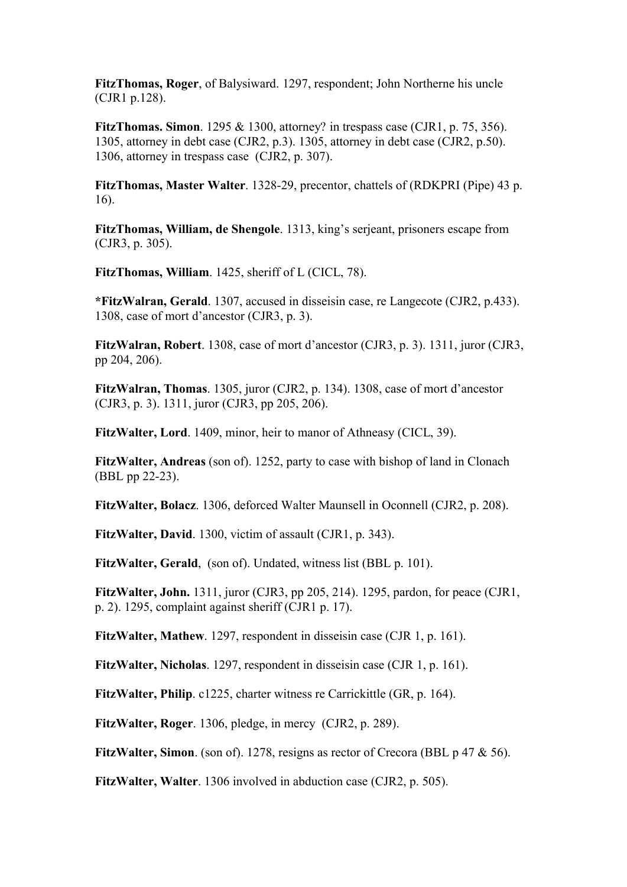**FitzThomas, Roger**, of Balysiward. 1297, respondent; John Northerne his uncle (CJR1 p.128).

**FitzThomas. Simon**. 1295 & 1300, attorney? in trespass case (CJR1, p. 75, 356). 1305, attorney in debt case (CJR2, p.3). 1305, attorney in debt case (CJR2, p.50). 1306, attorney in trespass case (CJR2, p. 307).

**FitzThomas, Master Walter**. 1328-29, precentor, chattels of (RDKPRI (Pipe) 43 p. 16).

**FitzThomas, William, de Shengole**. 1313, king's serjeant, prisoners escape from (CJR3, p. 305).

**FitzThomas, William**. 1425, sheriff of L (CICL, 78).

**\*FitzWalran, Gerald**. 1307, accused in disseisin case, re Langecote (CJR2, p.433). 1308, case of mort d'ancestor (CJR3, p. 3).

**FitzWalran, Robert**. 1308, case of mort d'ancestor (CJR3, p. 3). 1311, juror (CJR3, pp 204, 206).

**FitzWalran, Thomas**. 1305, juror (CJR2, p. 134). 1308, case of mort d'ancestor (CJR3, p. 3). 1311, juror (CJR3, pp 205, 206).

**FitzWalter, Lord**. 1409, minor, heir to manor of Athneasy (CICL, 39).

**FitzWalter, Andreas** (son of). 1252, party to case with bishop of land in Clonach (BBL pp 22-23).

**FitzWalter, Bolacz**. 1306, deforced Walter Maunsell in Oconnell (CJR2, p. 208).

**FitzWalter, David**. 1300, victim of assault (CJR1, p. 343).

FitzWalter, Gerald, (son of). Undated, witness list (BBL p. 101).

**FitzWalter, John.** 1311, juror (CJR3, pp 205, 214). 1295, pardon, for peace (CJR1, p. 2). 1295, complaint against sheriff (CJR1 p. 17).

**FitzWalter, Mathew**. 1297, respondent in disseisin case (CJR 1, p. 161).

**FitzWalter, Nicholas**. 1297, respondent in disseisin case (CJR 1, p. 161).

**FitzWalter, Philip**. c1225, charter witness re Carrickittle (GR, p. 164).

**FitzWalter, Roger**. 1306, pledge, in mercy (CJR2, p. 289).

**FitzWalter, Simon**. (son of). 1278, resigns as rector of Crecora (BBL p 47 & 56).

**FitzWalter, Walter**. 1306 involved in abduction case (CJR2, p. 505).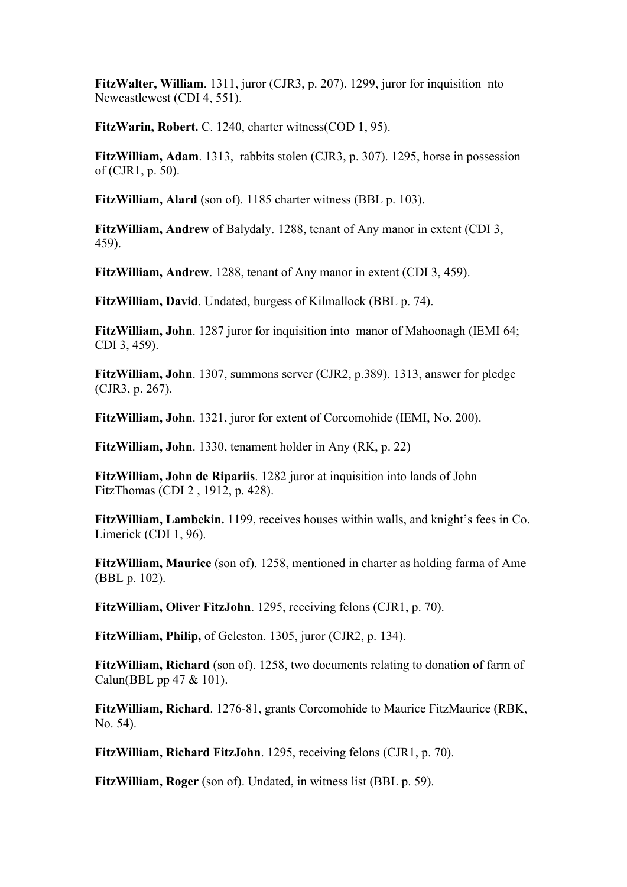**FitzWalter, William**. 1311, juror (CJR3, p. 207). 1299, juror for inquisition nto Newcastlewest (CDI 4, 551).

**FitzWarin, Robert.** C. 1240, charter witness(COD 1, 95).

**FitzWilliam, Adam**. 1313, rabbits stolen (CJR3, p. 307). 1295, horse in possession of (CJR1, p. 50).

**FitzWilliam, Alard** (son of). 1185 charter witness (BBL p. 103).

**FitzWilliam, Andrew** of Balydaly. 1288, tenant of Any manor in extent (CDI 3, 459).

**FitzWilliam, Andrew**. 1288, tenant of Any manor in extent (CDI 3, 459).

**FitzWilliam, David**. Undated, burgess of Kilmallock (BBL p. 74).

**FitzWilliam, John**. 1287 juror for inquisition into manor of Mahoonagh (IEMI 64; CDI 3, 459).

**FitzWilliam, John**. 1307, summons server (CJR2, p.389). 1313, answer for pledge (CJR3, p. 267).

**FitzWilliam, John**. 1321, juror for extent of Corcomohide (IEMI, No. 200).

**FitzWilliam, John**. 1330, tenament holder in Any (RK, p. 22)

**FitzWilliam, John de Ripariis**. 1282 juror at inquisition into lands of John FitzThomas (CDI 2 , 1912, p. 428).

**FitzWilliam, Lambekin.** 1199, receives houses within walls, and knight's fees in Co. Limerick (CDI 1, 96).

**FitzWilliam, Maurice** (son of). 1258, mentioned in charter as holding farma of Ame (BBL p. 102).

**FitzWilliam, Oliver FitzJohn**. 1295, receiving felons (CJR1, p. 70).

**FitzWilliam, Philip,** of Geleston. 1305, juror (CJR2, p. 134).

**FitzWilliam, Richard** (son of). 1258, two documents relating to donation of farm of Calun(BBL pp 47 & 101).

**FitzWilliam, Richard**. 1276-81, grants Corcomohide to Maurice FitzMaurice (RBK, No. 54).

**FitzWilliam, Richard FitzJohn**. 1295, receiving felons (CJR1, p. 70).

**FitzWilliam, Roger** (son of). Undated, in witness list (BBL p. 59).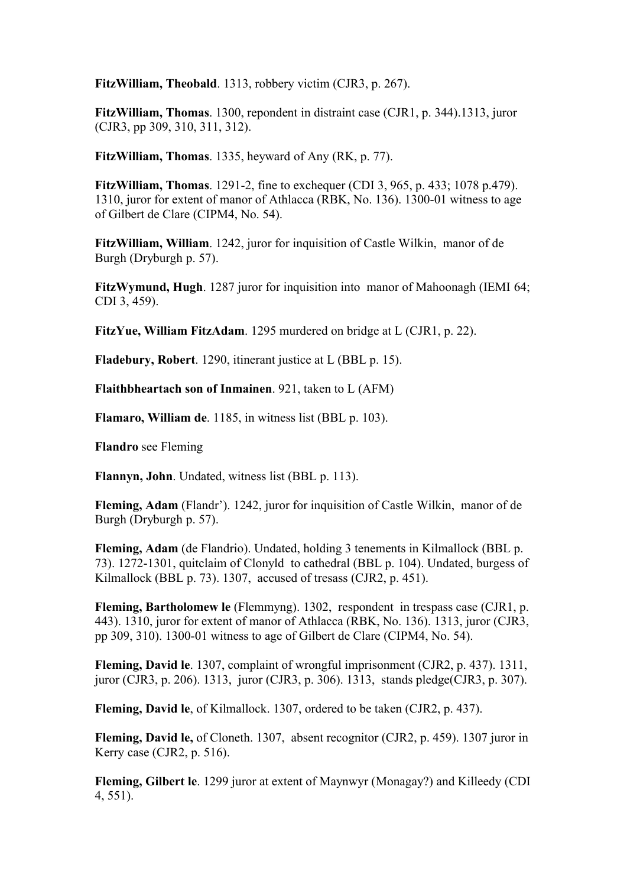**FitzWilliam, Theobald**. 1313, robbery victim (CJR3, p. 267).

**FitzWilliam, Thomas**. 1300, repondent in distraint case (CJR1, p. 344).1313, juror (CJR3, pp 309, 310, 311, 312).

**FitzWilliam, Thomas**. 1335, heyward of Any (RK, p. 77).

**FitzWilliam, Thomas**. 1291-2, fine to exchequer (CDI 3, 965, p. 433; 1078 p.479). 1310, juror for extent of manor of Athlacca (RBK, No. 136). 1300-01 witness to age of Gilbert de Clare (CIPM4, No. 54).

**FitzWilliam, William**. 1242, juror for inquisition of Castle Wilkin, manor of de Burgh (Dryburgh p. 57).

**FitzWymund, Hugh**. 1287 juror for inquisition into manor of Mahoonagh (IEMI 64; CDI 3, 459).

**FitzYue, William FitzAdam**. 1295 murdered on bridge at L (CJR1, p. 22).

**Fladebury, Robert**. 1290, itinerant justice at L (BBL p. 15).

**Flaithbheartach son of Inmainen**. 921, taken to L (AFM)

**Flamaro, William de**. 1185, in witness list (BBL p. 103).

**Flandro** see Fleming

**Flannyn, John**. Undated, witness list (BBL p. 113).

**Fleming, Adam** (Flandr'). 1242, juror for inquisition of Castle Wilkin, manor of de Burgh (Dryburgh p. 57).

**Fleming, Adam** (de Flandrio). Undated, holding 3 tenements in Kilmallock (BBL p. 73). 1272-1301, quitclaim of Clonyld to cathedral (BBL p. 104). Undated, burgess of Kilmallock (BBL p. 73). 1307, accused of tresass (CJR2, p. 451).

**Fleming, Bartholomew le** (Flemmyng). 1302, respondent in trespass case (CJR1, p. 443). 1310, juror for extent of manor of Athlacca (RBK, No. 136). 1313, juror (CJR3, pp 309, 310). 1300-01 witness to age of Gilbert de Clare (CIPM4, No. 54).

**Fleming, David le**. 1307, complaint of wrongful imprisonment (CJR2, p. 437). 1311, juror (CJR3, p. 206). 1313, juror (CJR3, p. 306). 1313, stands pledge(CJR3, p. 307).

**Fleming, David le**, of Kilmallock. 1307, ordered to be taken (CJR2, p. 437).

**Fleming, David le,** of Cloneth. 1307, absent recognitor (CJR2, p. 459). 1307 juror in Kerry case (CJR2, p. 516).

**Fleming, Gilbert le**. 1299 juror at extent of Maynwyr (Monagay?) and Killeedy (CDI 4, 551).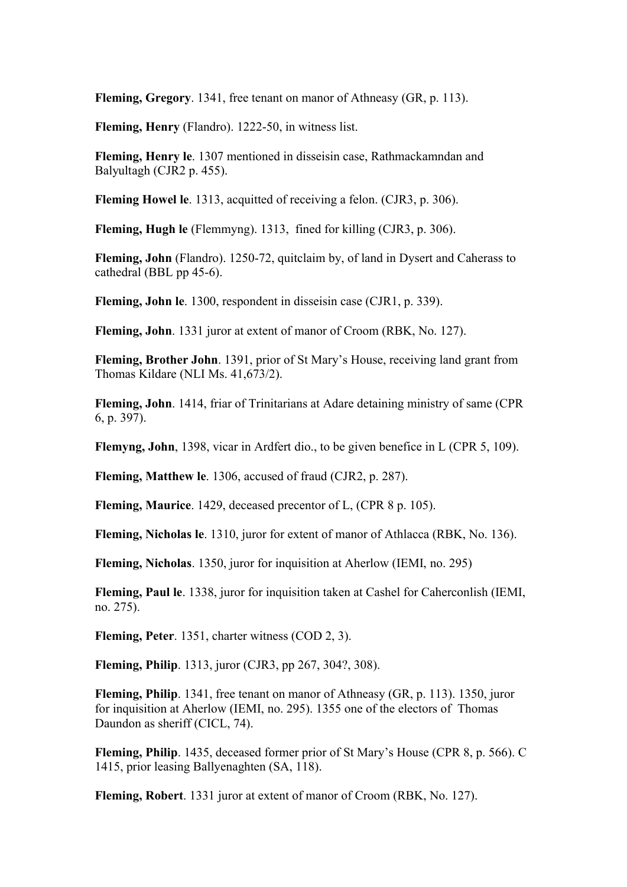**Fleming, Gregory**. 1341, free tenant on manor of Athneasy (GR, p. 113).

**Fleming, Henry** (Flandro). 1222-50, in witness list.

**Fleming, Henry le**. 1307 mentioned in disseisin case, Rathmackamndan and Balyultagh (CJR2 p. 455).

**Fleming Howel le**. 1313, acquitted of receiving a felon. (CJR3, p. 306).

**Fleming, Hugh le** (Flemmyng). 1313, fined for killing (CJR3, p. 306).

**Fleming, John** (Flandro). 1250-72, quitclaim by, of land in Dysert and Caherass to cathedral (BBL pp 45-6).

**Fleming, John le**. 1300, respondent in disseisin case (CJR1, p. 339).

**Fleming, John**. 1331 juror at extent of manor of Croom (RBK, No. 127).

**Fleming, Brother John**. 1391, prior of St Mary's House, receiving land grant from Thomas Kildare (NLI Ms. 41,673/2).

**Fleming, John**. 1414, friar of Trinitarians at Adare detaining ministry of same (CPR 6, p. 397).

**Flemyng, John**, 1398, vicar in Ardfert dio., to be given benefice in L (CPR 5, 109).

**Fleming, Matthew le**. 1306, accused of fraud (CJR2, p. 287).

**Fleming, Maurice**. 1429, deceased precentor of L, (CPR 8 p. 105).

**Fleming, Nicholas le**. 1310, juror for extent of manor of Athlacca (RBK, No. 136).

**Fleming, Nicholas**. 1350, juror for inquisition at Aherlow (IEMI, no. 295)

**Fleming, Paul le**. 1338, juror for inquisition taken at Cashel for Caherconlish (IEMI, no. 275).

**Fleming, Peter**. 1351, charter witness (COD 2, 3).

**Fleming, Philip**. 1313, juror (CJR3, pp 267, 304?, 308).

**Fleming, Philip**. 1341, free tenant on manor of Athneasy (GR, p. 113). 1350, juror for inquisition at Aherlow (IEMI, no. 295). 1355 one of the electors of Thomas Daundon as sheriff (CICL, 74).

**Fleming, Philip**. 1435, deceased former prior of St Mary's House (CPR 8, p. 566). C 1415, prior leasing Ballyenaghten (SA, 118).

**Fleming, Robert**. 1331 juror at extent of manor of Croom (RBK, No. 127).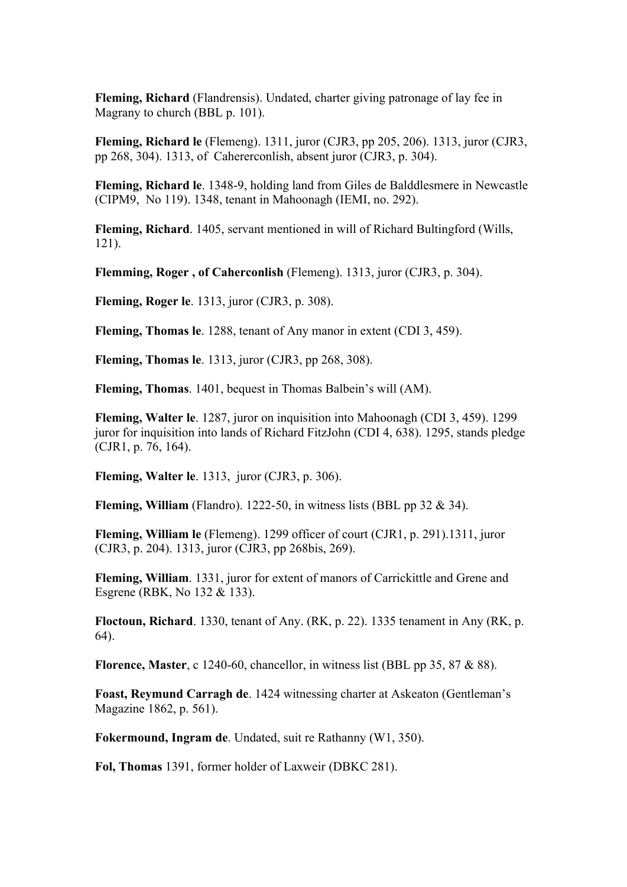**Fleming, Richard** (Flandrensis). Undated, charter giving patronage of lay fee in Magrany to church (BBL p. 101).

**Fleming, Richard le** (Flemeng). 1311, juror (CJR3, pp 205, 206). 1313, juror (CJR3, pp 268, 304). 1313, of Cahererconlish, absent juror (CJR3, p. 304).

**Fleming, Richard le**. 1348-9, holding land from Giles de Balddlesmere in Newcastle (CIPM9, No 119). 1348, tenant in Mahoonagh (IEMI, no. 292).

**Fleming, Richard**. 1405, servant mentioned in will of Richard Bultingford (Wills, 121).

**Flemming, Roger , of Caherconlish** (Flemeng). 1313, juror (CJR3, p. 304).

**Fleming, Roger le**. 1313, juror (CJR3, p. 308).

**Fleming, Thomas le**. 1288, tenant of Any manor in extent (CDI 3, 459).

**Fleming, Thomas le**. 1313, juror (CJR3, pp 268, 308).

**Fleming, Thomas**. 1401, bequest in Thomas Balbein's will (AM).

**Fleming, Walter le**. 1287, juror on inquisition into Mahoonagh (CDI 3, 459). 1299 juror for inquisition into lands of Richard FitzJohn (CDI 4, 638). 1295, stands pledge (CJR1, p. 76, 164).

**Fleming, Walter le**. 1313, juror (CJR3, p. 306).

**Fleming, William** (Flandro). 1222-50, in witness lists (BBL pp 32 & 34).

**Fleming, William le** (Flemeng). 1299 officer of court (CJR1, p. 291).1311, juror (CJR3, p. 204). 1313, juror (CJR3, pp 268bis, 269).

**Fleming, William**. 1331, juror for extent of manors of Carrickittle and Grene and Esgrene (RBK, No 132 & 133).

**Floctoun, Richard**. 1330, tenant of Any. (RK, p. 22). 1335 tenament in Any (RK, p. 64).

**Florence, Master**, c 1240-60, chancellor, in witness list (BBL pp 35, 87 & 88).

**Foast, Reymund Carragh de**. 1424 witnessing charter at Askeaton (Gentleman's Magazine 1862, p. 561).

**Fokermound, Ingram de**. Undated, suit re Rathanny (W1, 350).

**Fol, Thomas** 1391, former holder of Laxweir (DBKC 281).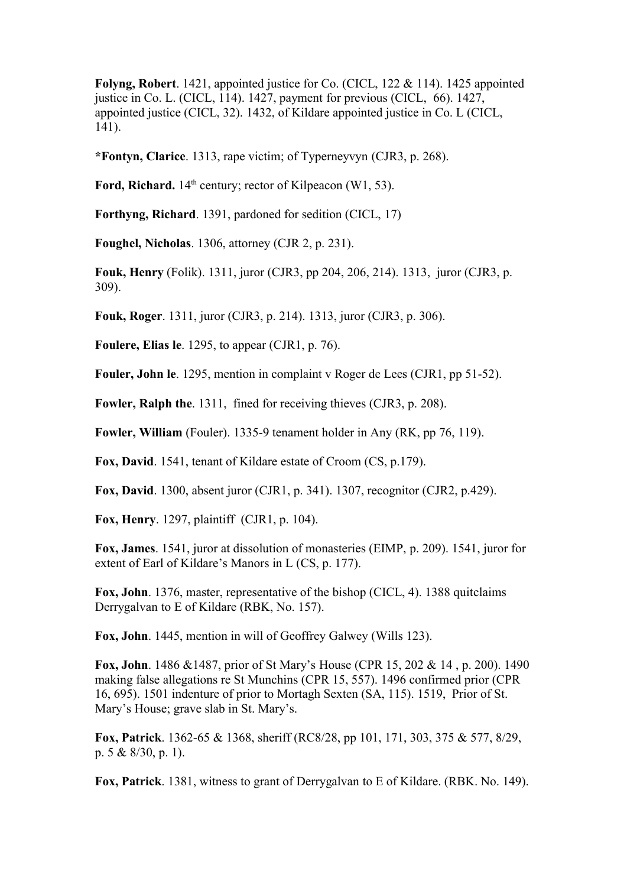**Folyng, Robert**. 1421, appointed justice for Co. (CICL, 122 & 114). 1425 appointed justice in Co. L. (CICL, 114). 1427, payment for previous (CICL, 66). 1427, appointed justice (CICL, 32). 1432, of Kildare appointed justice in Co. L (CICL, 141).

**\*Fontyn, Clarice**. 1313, rape victim; of Typerneyvyn (CJR3, p. 268).

Ford, Richard. 14<sup>th</sup> century; rector of Kilpeacon (W1, 53).

**Forthyng, Richard**. 1391, pardoned for sedition (CICL, 17)

**Foughel, Nicholas**. 1306, attorney (CJR 2, p. 231).

**Fouk, Henry** (Folik). 1311, juror (CJR3, pp 204, 206, 214). 1313, juror (CJR3, p. 309).

**Fouk, Roger**. 1311, juror (CJR3, p. 214). 1313, juror (CJR3, p. 306).

**Foulere, Elias le**. 1295, to appear (CJR1, p. 76).

**Fouler, John le**. 1295, mention in complaint v Roger de Lees (CJR1, pp 51-52).

**Fowler, Ralph the**. 1311, fined for receiving thieves (CJR3, p. 208).

**Fowler, William** (Fouler). 1335-9 tenament holder in Any (RK, pp 76, 119).

**Fox, David**. 1541, tenant of Kildare estate of Croom (CS, p.179).

**Fox, David**. 1300, absent juror (CJR1, p. 341). 1307, recognitor (CJR2, p.429).

**Fox, Henry**. 1297, plaintiff (CJR1, p. 104).

**Fox, James**. 1541, juror at dissolution of monasteries (EIMP, p. 209). 1541, juror for extent of Earl of Kildare's Manors in L (CS, p. 177).

**Fox, John**. 1376, master, representative of the bishop (CICL, 4). 1388 quitclaims Derrygalvan to E of Kildare (RBK, No. 157).

**Fox, John**. 1445, mention in will of Geoffrey Galwey (Wills 123).

**Fox, John**. 1486 &1487, prior of St Mary's House (CPR 15, 202 & 14 , p. 200). 1490 making false allegations re St Munchins (CPR 15, 557). 1496 confirmed prior (CPR 16, 695). 1501 indenture of prior to Mortagh Sexten (SA, 115). 1519, Prior of St. Mary's House; grave slab in St. Mary's.

**Fox, Patrick**. 1362-65 & 1368, sheriff (RC8/28, pp 101, 171, 303, 375 & 577, 8/29, p. 5 & 8/30, p. 1).

**Fox, Patrick**. 1381, witness to grant of Derrygalvan to E of Kildare. (RBK. No. 149).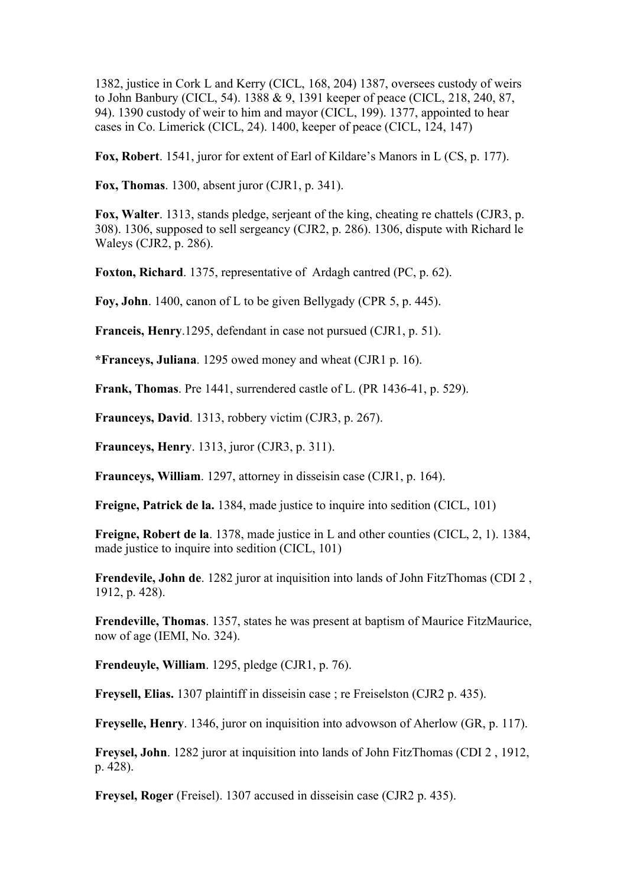1382, justice in Cork L and Kerry (CICL, 168, 204) 1387, oversees custody of weirs to John Banbury (CICL, 54). 1388 & 9, 1391 keeper of peace (CICL, 218, 240, 87, 94). 1390 custody of weir to him and mayor (CICL, 199). 1377, appointed to hear cases in Co. Limerick (CICL, 24). 1400, keeper of peace (CICL, 124, 147)

**Fox, Robert**. 1541, juror for extent of Earl of Kildare's Manors in L (CS, p. 177).

**Fox, Thomas**. 1300, absent juror (CJR1, p. 341).

**Fox, Walter**. 1313, stands pledge, serjeant of the king, cheating re chattels (CJR3, p. 308). 1306, supposed to sell sergeancy (CJR2, p. 286). 1306, dispute with Richard le Waleys (CJR2, p. 286).

**Foxton, Richard**. 1375, representative of Ardagh cantred (PC, p. 62).

**Foy, John**. 1400, canon of L to be given Bellygady (CPR 5, p. 445).

**Franceis, Henry**.1295, defendant in case not pursued (CJR1, p. 51).

**\*Franceys, Juliana**. 1295 owed money and wheat (CJR1 p. 16).

**Frank, Thomas**. Pre 1441, surrendered castle of L. (PR 1436-41, p. 529).

**Fraunceys, David**. 1313, robbery victim (CJR3, p. 267).

**Fraunceys, Henry**. 1313, juror (CJR3, p. 311).

**Fraunceys, William**. 1297, attorney in disseisin case (CJR1, p. 164).

**Freigne, Patrick de la.** 1384, made justice to inquire into sedition (CICL, 101)

**Freigne, Robert de la**. 1378, made justice in L and other counties (CICL, 2, 1). 1384, made justice to inquire into sedition (CICL, 101)

**Frendevile, John de**. 1282 juror at inquisition into lands of John FitzThomas (CDI 2 , 1912, p. 428).

**Frendeville, Thomas**. 1357, states he was present at baptism of Maurice FitzMaurice, now of age (IEMI, No. 324).

**Frendeuyle, William**. 1295, pledge (CJR1, p. 76).

**Freysell, Elias.** 1307 plaintiff in disseisin case ; re Freiselston (CJR2 p. 435).

**Freyselle, Henry**. 1346, juror on inquisition into advowson of Aherlow (GR, p. 117).

**Freysel, John**. 1282 juror at inquisition into lands of John FitzThomas (CDI 2 , 1912, p. 428).

**Freysel, Roger** (Freisel). 1307 accused in disseisin case (CJR2 p. 435).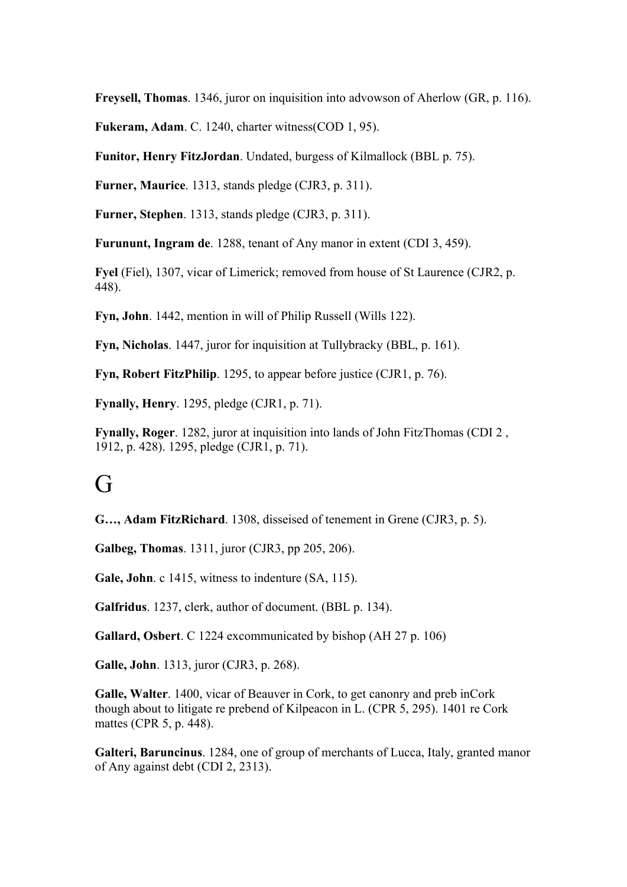**Freysell, Thomas**. 1346, juror on inquisition into advowson of Aherlow (GR, p. 116).

**Fukeram, Adam**. C. 1240, charter witness(COD 1, 95).

**Funitor, Henry FitzJordan**. Undated, burgess of Kilmallock (BBL p. 75).

**Furner, Maurice**. 1313, stands pledge (CJR3, p. 311).

**Furner, Stephen**. 1313, stands pledge (CJR3, p. 311).

**Furununt, Ingram de**. 1288, tenant of Any manor in extent (CDI 3, 459).

**Fyel** (Fiel), 1307, vicar of Limerick; removed from house of St Laurence (CJR2, p. 448).

**Fyn, John**. 1442, mention in will of Philip Russell (Wills 122).

**Fyn, Nicholas**. 1447, juror for inquisition at Tullybracky (BBL, p. 161).

**Fyn, Robert FitzPhilip**. 1295, to appear before justice (CJR1, p. 76).

**Fynally, Henry**. 1295, pledge (CJR1, p. 71).

**Fynally, Roger**. 1282, juror at inquisition into lands of John FitzThomas (CDI 2 , 1912, p. 428). 1295, pledge (CJR1, p. 71).

## G

**G…, Adam FitzRichard**. 1308, disseised of tenement in Grene (CJR3, p. 5).

**Galbeg, Thomas**. 1311, juror (CJR3, pp 205, 206).

**Gale, John**. c 1415, witness to indenture (SA, 115).

**Galfridus**. 1237, clerk, author of document. (BBL p. 134).

**Gallard, Osbert**. C 1224 excommunicated by bishop (AH 27 p. 106)

**Galle, John**. 1313, juror (CJR3, p. 268).

**Galle, Walter**. 1400, vicar of Beauver in Cork, to get canonry and preb inCork though about to litigate re prebend of Kilpeacon in L. (CPR 5, 295). 1401 re Cork mattes (CPR 5, p. 448).

**Galteri, Baruncinus**. 1284, one of group of merchants of Lucca, Italy, granted manor of Any against debt (CDI 2, 2313).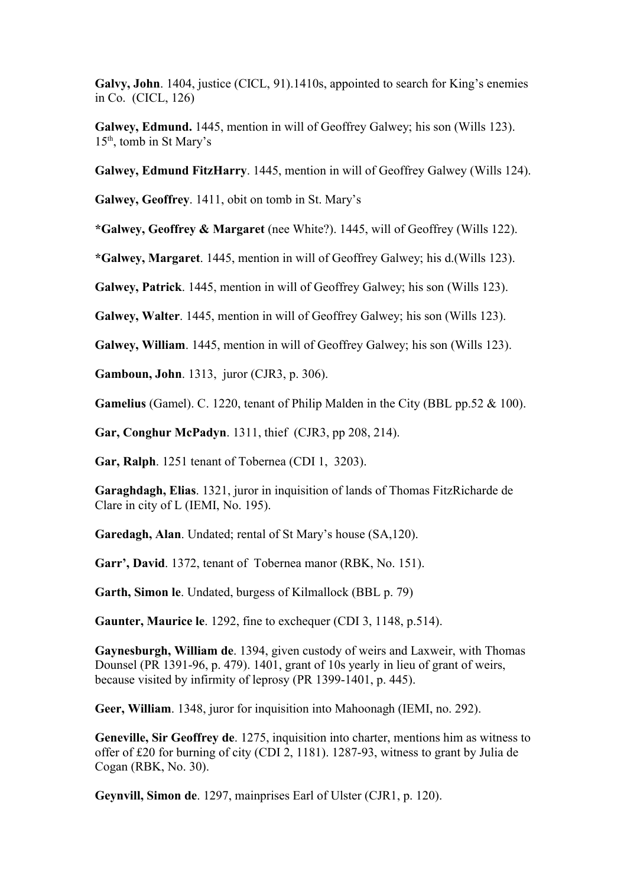**Galvy, John**. 1404, justice (CICL, 91).1410s, appointed to search for King's enemies in Co. (CICL, 126)

**Galwey, Edmund.** 1445, mention in will of Geoffrey Galwey; his son (Wills 123).  $15<sup>th</sup>$ , tomb in St Mary's

**Galwey, Edmund FitzHarry**. 1445, mention in will of Geoffrey Galwey (Wills 124).

**Galwey, Geoffrey**. 1411, obit on tomb in St. Mary's

**\*Galwey, Geoffrey & Margaret** (nee White?). 1445, will of Geoffrey (Wills 122).

**\*Galwey, Margaret**. 1445, mention in will of Geoffrey Galwey; his d.(Wills 123).

**Galwey, Patrick**. 1445, mention in will of Geoffrey Galwey; his son (Wills 123).

**Galwey, Walter**. 1445, mention in will of Geoffrey Galwey; his son (Wills 123).

**Galwey, William**. 1445, mention in will of Geoffrey Galwey; his son (Wills 123).

**Gamboun, John**. 1313, juror (CJR3, p. 306).

**Gamelius** (Gamel). C. 1220, tenant of Philip Malden in the City (BBL pp.52 & 100).

**Gar, Conghur McPadyn**. 1311, thief (CJR3, pp 208, 214).

**Gar, Ralph**. 1251 tenant of Tobernea (CDI 1, 3203).

**Garaghdagh, Elias**. 1321, juror in inquisition of lands of Thomas FitzRicharde de Clare in city of L (IEMI, No. 195).

**Garedagh, Alan**. Undated; rental of St Mary's house (SA,120).

**Garr', David**. 1372, tenant of Tobernea manor (RBK, No. 151).

**Garth, Simon le**. Undated, burgess of Kilmallock (BBL p. 79)

**Gaunter, Maurice le**. 1292, fine to exchequer (CDI 3, 1148, p.514).

**Gaynesburgh, William de**. 1394, given custody of weirs and Laxweir, with Thomas Dounsel (PR 1391-96, p. 479). 1401, grant of 10s yearly in lieu of grant of weirs, because visited by infirmity of leprosy (PR 1399-1401, p. 445).

**Geer, William**. 1348, juror for inquisition into Mahoonagh (IEMI, no. 292).

**Geneville, Sir Geoffrey de**. 1275, inquisition into charter, mentions him as witness to offer of £20 for burning of city (CDI 2, 1181). 1287-93, witness to grant by Julia de Cogan (RBK, No. 30).

**Geynvill, Simon de**. 1297, mainprises Earl of Ulster (CJR1, p. 120).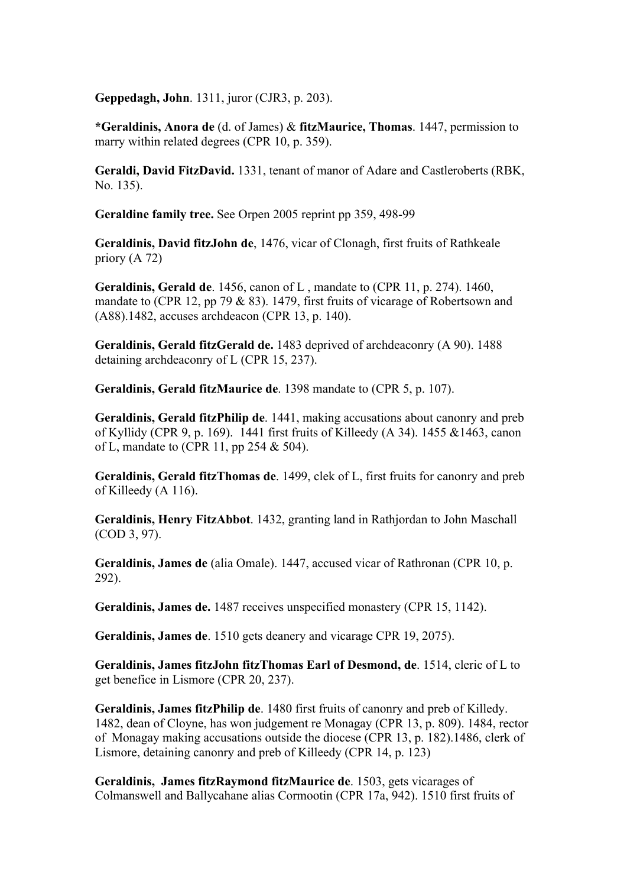**Geppedagh, John**. 1311, juror (CJR3, p. 203).

**\*Geraldinis, Anora de** (d. of James) & **fitzMaurice, Thomas**. 1447, permission to marry within related degrees (CPR 10, p. 359).

**Geraldi, David FitzDavid.** 1331, tenant of manor of Adare and Castleroberts (RBK, No. 135).

**Geraldine family tree.** See Orpen 2005 reprint pp 359, 498-99

**Geraldinis, David fitzJohn de**, 1476, vicar of Clonagh, first fruits of Rathkeale priory (A 72)

**Geraldinis, Gerald de**. 1456, canon of L , mandate to (CPR 11, p. 274). 1460, mandate to (CPR 12, pp 79 & 83). 1479, first fruits of vicarage of Robertsown and (A88).1482, accuses archdeacon (CPR 13, p. 140).

**Geraldinis, Gerald fitzGerald de.** 1483 deprived of archdeaconry (A 90). 1488 detaining archdeaconry of L (CPR 15, 237).

**Geraldinis, Gerald fitzMaurice de**. 1398 mandate to (CPR 5, p. 107).

**Geraldinis, Gerald fitzPhilip de**. 1441, making accusations about canonry and preb of Kyllidy (CPR 9, p. 169). 1441 first fruits of Killeedy (A 34). 1455 &1463, canon of L, mandate to (CPR 11, pp 254 & 504).

**Geraldinis, Gerald fitzThomas de**. 1499, clek of L, first fruits for canonry and preb of Killeedy (A 116).

**Geraldinis, Henry FitzAbbot**. 1432, granting land in Rathjordan to John Maschall (COD 3, 97).

**Geraldinis, James de** (alia Omale). 1447, accused vicar of Rathronan (CPR 10, p. 292).

**Geraldinis, James de.** 1487 receives unspecified monastery (CPR 15, 1142).

**Geraldinis, James de**. 1510 gets deanery and vicarage CPR 19, 2075).

**Geraldinis, James fitzJohn fitzThomas Earl of Desmond, de**. 1514, cleric of L to get benefice in Lismore (CPR 20, 237).

**Geraldinis, James fitzPhilip de**. 1480 first fruits of canonry and preb of Killedy. 1482, dean of Cloyne, has won judgement re Monagay (CPR 13, p. 809). 1484, rector of Monagay making accusations outside the diocese (CPR 13, p. 182).1486, clerk of Lismore, detaining canonry and preb of Killeedy (CPR 14, p. 123)

**Geraldinis, James fitzRaymond fitzMaurice de**. 1503, gets vicarages of Colmanswell and Ballycahane alias Cormootin (CPR 17a, 942). 1510 first fruits of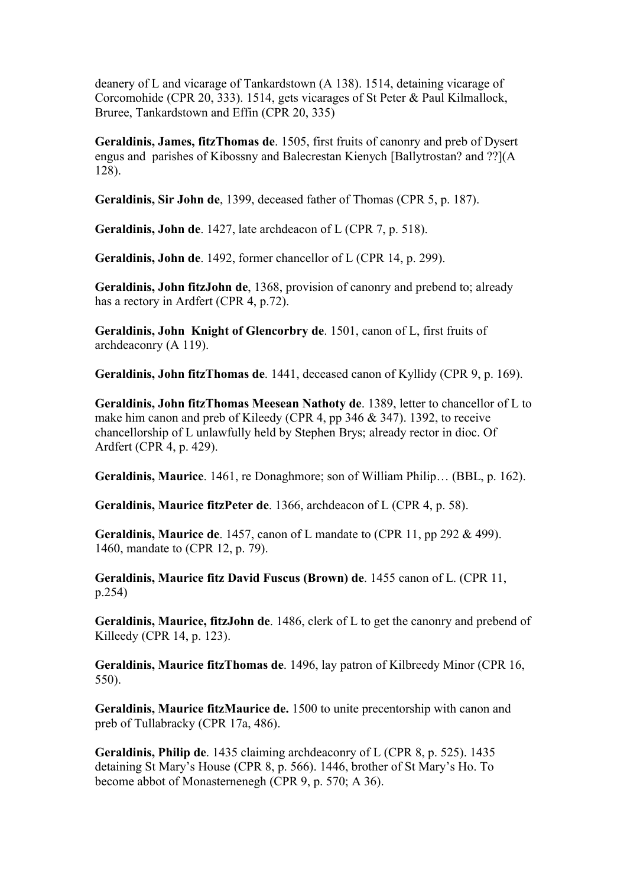deanery of L and vicarage of Tankardstown (A 138). 1514, detaining vicarage of Corcomohide (CPR 20, 333). 1514, gets vicarages of St Peter & Paul Kilmallock, Bruree, Tankardstown and Effin (CPR 20, 335)

**Geraldinis, James, fitzThomas de**. 1505, first fruits of canonry and preb of Dysert engus and parishes of Kibossny and Balecrestan Kienych [Ballytrostan? and ??](A 128).

**Geraldinis, Sir John de**, 1399, deceased father of Thomas (CPR 5, p. 187).

**Geraldinis, John de**. 1427, late archdeacon of L (CPR 7, p. 518).

**Geraldinis, John de**. 1492, former chancellor of L (CPR 14, p. 299).

**Geraldinis, John fitzJohn de**, 1368, provision of canonry and prebend to; already has a rectory in Ardfert (CPR 4, p.72).

**Geraldinis, John Knight of Glencorbry de**. 1501, canon of L, first fruits of archdeaconry (A 119).

**Geraldinis, John fitzThomas de**. 1441, deceased canon of Kyllidy (CPR 9, p. 169).

**Geraldinis, John fitzThomas Meesean Nathoty de**. 1389, letter to chancellor of L to make him canon and preb of Kileedy (CPR 4, pp 346 & 347). 1392, to receive chancellorship of L unlawfully held by Stephen Brys; already rector in dioc. Of Ardfert (CPR 4, p. 429).

**Geraldinis, Maurice**. 1461, re Donaghmore; son of William Philip… (BBL, p. 162).

**Geraldinis, Maurice fitzPeter de**. 1366, archdeacon of L (CPR 4, p. 58).

**Geraldinis, Maurice de**. 1457, canon of L mandate to (CPR 11, pp 292 & 499). 1460, mandate to (CPR 12, p. 79).

**Geraldinis, Maurice fitz David Fuscus (Brown) de**. 1455 canon of L. (CPR 11, p.254)

**Geraldinis, Maurice, fitzJohn de**. 1486, clerk of L to get the canonry and prebend of Killeedy (CPR 14, p. 123).

**Geraldinis, Maurice fitzThomas de**. 1496, lay patron of Kilbreedy Minor (CPR 16, 550).

**Geraldinis, Maurice fitzMaurice de.** 1500 to unite precentorship with canon and preb of Tullabracky (CPR 17a, 486).

**Geraldinis, Philip de**. 1435 claiming archdeaconry of L (CPR 8, p. 525). 1435 detaining St Mary's House (CPR 8, p. 566). 1446, brother of St Mary's Ho. To become abbot of Monasternenegh (CPR 9, p. 570; A 36).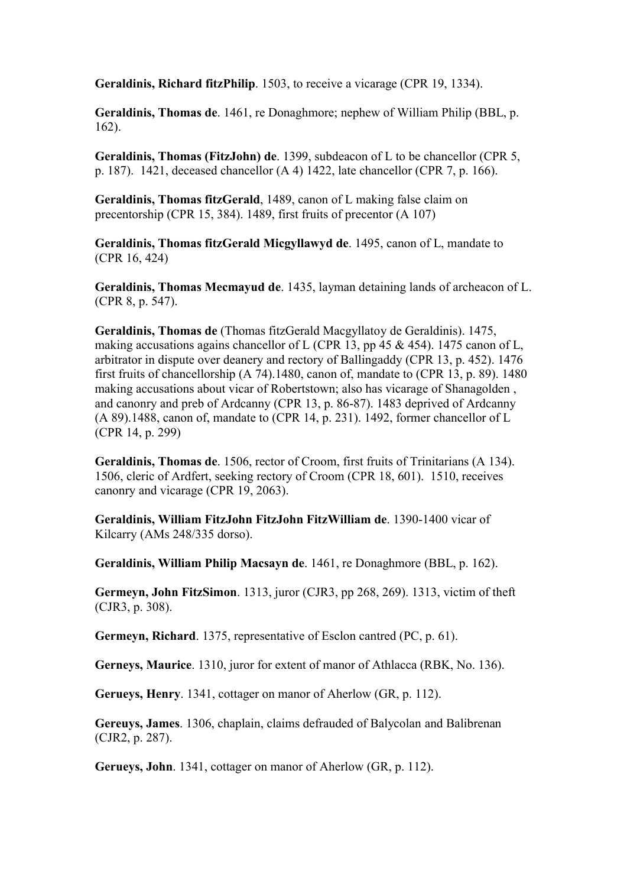**Geraldinis, Richard fitzPhilip**. 1503, to receive a vicarage (CPR 19, 1334).

**Geraldinis, Thomas de**. 1461, re Donaghmore; nephew of William Philip (BBL, p. 162).

**Geraldinis, Thomas (FitzJohn) de**. 1399, subdeacon of L to be chancellor (CPR 5, p. 187). 1421, deceased chancellor (A 4) 1422, late chancellor (CPR 7, p. 166).

**Geraldinis, Thomas fitzGerald**, 1489, canon of L making false claim on precentorship (CPR 15, 384). 1489, first fruits of precentor (A 107)

**Geraldinis, Thomas fitzGerald Micgyllawyd de**. 1495, canon of L, mandate to (CPR 16, 424)

**Geraldinis, Thomas Mecmayud de**. 1435, layman detaining lands of archeacon of L. (CPR 8, p. 547).

**Geraldinis, Thomas de** (Thomas fitzGerald Macgyllatoy de Geraldinis). 1475, making accusations agains chancellor of L (CPR 13, pp 45  $&$  454). 1475 canon of L, arbitrator in dispute over deanery and rectory of Ballingaddy (CPR 13, p. 452). 1476 first fruits of chancellorship (A 74).1480, canon of, mandate to (CPR 13, p. 89). 1480 making accusations about vicar of Robertstown; also has vicarage of Shanagolden , and canonry and preb of Ardcanny (CPR 13, p. 86-87). 1483 deprived of Ardcanny (A 89).1488, canon of, mandate to (CPR 14, p. 231). 1492, former chancellor of L (CPR 14, p. 299)

**Geraldinis, Thomas de**. 1506, rector of Croom, first fruits of Trinitarians (A 134). 1506, cleric of Ardfert, seeking rectory of Croom (CPR 18, 601). 1510, receives canonry and vicarage (CPR 19, 2063).

**Geraldinis, William FitzJohn FitzJohn FitzWilliam de**. 1390-1400 vicar of Kilcarry (AMs 248/335 dorso).

**Geraldinis, William Philip Macsayn de**. 1461, re Donaghmore (BBL, p. 162).

**Germeyn, John FitzSimon**. 1313, juror (CJR3, pp 268, 269). 1313, victim of theft (CJR3, p. 308).

**Germeyn, Richard**. 1375, representative of Esclon cantred (PC, p. 61).

**Gerneys, Maurice**. 1310, juror for extent of manor of Athlacca (RBK, No. 136).

**Gerueys, Henry**. 1341, cottager on manor of Aherlow (GR, p. 112).

**Gereuys, James**. 1306, chaplain, claims defrauded of Balycolan and Balibrenan (CJR2, p. 287).

**Gerueys, John**. 1341, cottager on manor of Aherlow (GR, p. 112).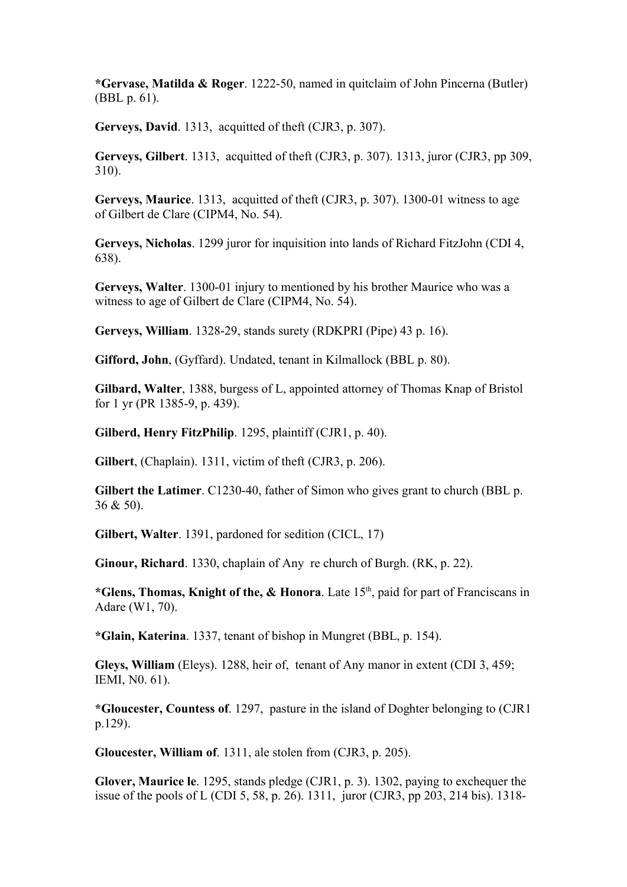**\*Gervase, Matilda & Roger**. 1222-50, named in quitclaim of John Pincerna (Butler) (BBL p. 61).

**Gerveys, David**. 1313, acquitted of theft (CJR3, p. 307).

**Gerveys, Gilbert**. 1313, acquitted of theft (CJR3, p. 307). 1313, juror (CJR3, pp 309, 310).

**Gerveys, Maurice**. 1313, acquitted of theft (CJR3, p. 307). 1300-01 witness to age of Gilbert de Clare (CIPM4, No. 54).

**Gerveys, Nicholas**. 1299 juror for inquisition into lands of Richard FitzJohn (CDI 4, 638).

**Gerveys, Walter**. 1300-01 injury to mentioned by his brother Maurice who was a witness to age of Gilbert de Clare (CIPM4, No. 54).

**Gerveys, William**. 1328-29, stands surety (RDKPRI (Pipe) 43 p. 16).

**Gifford, John**, (Gyffard). Undated, tenant in Kilmallock (BBL p. 80).

**Gilbard, Walter**, 1388, burgess of L, appointed attorney of Thomas Knap of Bristol for 1 yr (PR 1385-9, p. 439).

**Gilberd, Henry FitzPhilip**. 1295, plaintiff (CJR1, p. 40).

**Gilbert**, (Chaplain). 1311, victim of theft (CJR3, p. 206).

**Gilbert the Latimer**. C1230-40, father of Simon who gives grant to church (BBL p. 36 & 50).

**Gilbert, Walter**. 1391, pardoned for sedition (CICL, 17)

**Ginour, Richard**. 1330, chaplain of Any re church of Burgh. (RK, p. 22).

\*Glens, Thomas, Knight of the, & Honora. Late 15<sup>th</sup>, paid for part of Franciscans in Adare (W1, 70).

**\*Glain, Katerina**. 1337, tenant of bishop in Mungret (BBL, p. 154).

**Gleys, William** (Eleys). 1288, heir of, tenant of Any manor in extent (CDI 3, 459; IEMI, N0. 61).

**\*Gloucester, Countess of**. 1297, pasture in the island of Doghter belonging to (CJR1 p.129).

**Gloucester, William of**. 1311, ale stolen from (CJR3, p. 205).

**Glover, Maurice le**. 1295, stands pledge (CJR1, p. 3). 1302, paying to exchequer the issue of the pools of L (CDI 5, 58, p. 26). 1311, juror (CJR3, pp 203, 214 bis). 1318-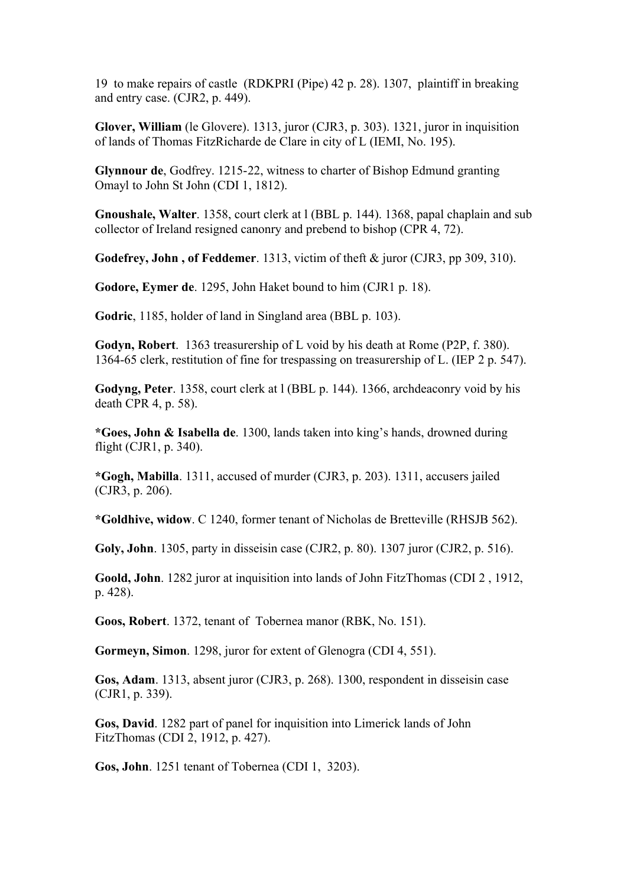19 to make repairs of castle (RDKPRI (Pipe) 42 p. 28). 1307, plaintiff in breaking and entry case. (CJR2, p. 449).

**Glover, William** (le Glovere). 1313, juror (CJR3, p. 303). 1321, juror in inquisition of lands of Thomas FitzRicharde de Clare in city of L (IEMI, No. 195).

**Glynnour de**, Godfrey. 1215-22, witness to charter of Bishop Edmund granting Omayl to John St John (CDI 1, 1812).

**Gnoushale, Walter**. 1358, court clerk at l (BBL p. 144). 1368, papal chaplain and sub collector of Ireland resigned canonry and prebend to bishop (CPR 4, 72).

**Godefrey, John , of Feddemer**. 1313, victim of theft & juror (CJR3, pp 309, 310).

**Godore, Eymer de**. 1295, John Haket bound to him (CJR1 p. 18).

**Godric**, 1185, holder of land in Singland area (BBL p. 103).

**Godyn, Robert**. 1363 treasurership of L void by his death at Rome (P2P, f. 380). 1364-65 clerk, restitution of fine for trespassing on treasurership of L. (IEP 2 p. 547).

**Godyng, Peter**. 1358, court clerk at l (BBL p. 144). 1366, archdeaconry void by his death CPR 4, p. 58).

**\*Goes, John & Isabella de**. 1300, lands taken into king's hands, drowned during flight (CJR1, p. 340).

**\*Gogh, Mabilla**. 1311, accused of murder (CJR3, p. 203). 1311, accusers jailed (CJR3, p. 206).

**\*Goldhive, widow**. C 1240, former tenant of Nicholas de Bretteville (RHSJB 562).

**Goly, John**. 1305, party in disseisin case (CJR2, p. 80). 1307 juror (CJR2, p. 516).

**Goold, John**. 1282 juror at inquisition into lands of John FitzThomas (CDI 2 , 1912, p. 428).

**Goos, Robert**. 1372, tenant of Tobernea manor (RBK, No. 151).

**Gormeyn, Simon**. 1298, juror for extent of Glenogra (CDI 4, 551).

**Gos, Adam**. 1313, absent juror (CJR3, p. 268). 1300, respondent in disseisin case (CJR1, p. 339).

**Gos, David**. 1282 part of panel for inquisition into Limerick lands of John FitzThomas (CDI 2, 1912, p. 427).

**Gos, John**. 1251 tenant of Tobernea (CDI 1, 3203).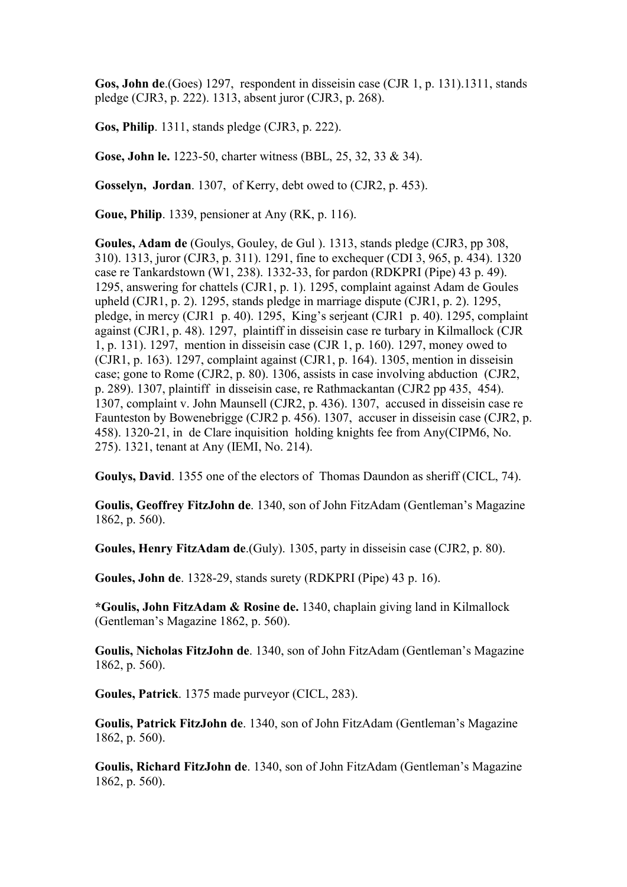**Gos, John de**.(Goes) 1297, respondent in disseisin case (CJR 1, p. 131).1311, stands pledge (CJR3, p. 222). 1313, absent juror (CJR3, p. 268).

**Gos, Philip**. 1311, stands pledge (CJR3, p. 222).

**Gose, John le.** 1223-50, charter witness (BBL, 25, 32, 33 & 34).

**Gosselyn, Jordan**. 1307, of Kerry, debt owed to (CJR2, p. 453).

**Goue, Philip**. 1339, pensioner at Any (RK, p. 116).

**Goules, Adam de** (Goulys, Gouley, de Gul ). 1313, stands pledge (CJR3, pp 308, 310). 1313, juror (CJR3, p. 311). 1291, fine to exchequer (CDI 3, 965, p. 434). 1320 case re Tankardstown (W1, 238). 1332-33, for pardon (RDKPRI (Pipe) 43 p. 49). 1295, answering for chattels (CJR1, p. 1). 1295, complaint against Adam de Goules upheld (CJR1, p. 2). 1295, stands pledge in marriage dispute (CJR1, p. 2). 1295, pledge, in mercy (CJR1 p. 40). 1295, King's serjeant (CJR1 p. 40). 1295, complaint against (CJR1, p. 48). 1297, plaintiff in disseisin case re turbary in Kilmallock (CJR 1, p. 131). 1297, mention in disseisin case (CJR 1, p. 160). 1297, money owed to (CJR1, p. 163). 1297, complaint against (CJR1, p. 164). 1305, mention in disseisin case; gone to Rome (CJR2, p. 80). 1306, assists in case involving abduction (CJR2, p. 289). 1307, plaintiff in disseisin case, re Rathmackantan (CJR2 pp 435, 454). 1307, complaint v. John Maunsell (CJR2, p. 436). 1307, accused in disseisin case re Faunteston by Bowenebrigge (CJR2 p. 456). 1307, accuser in disseisin case (CJR2, p. 458). 1320-21, in de Clare inquisition holding knights fee from Any(CIPM6, No. 275). 1321, tenant at Any (IEMI, No. 214).

**Goulys, David**. 1355 one of the electors of Thomas Daundon as sheriff (CICL, 74).

**Goulis, Geoffrey FitzJohn de**. 1340, son of John FitzAdam (Gentleman's Magazine 1862, p. 560).

**Goules, Henry FitzAdam de**.(Guly). 1305, party in disseisin case (CJR2, p. 80).

**Goules, John de**. 1328-29, stands surety (RDKPRI (Pipe) 43 p. 16).

**\*Goulis, John FitzAdam & Rosine de.** 1340, chaplain giving land in Kilmallock (Gentleman's Magazine 1862, p. 560).

**Goulis, Nicholas FitzJohn de**. 1340, son of John FitzAdam (Gentleman's Magazine 1862, p. 560).

**Goules, Patrick**. 1375 made purveyor (CICL, 283).

**Goulis, Patrick FitzJohn de**. 1340, son of John FitzAdam (Gentleman's Magazine 1862, p. 560).

**Goulis, Richard FitzJohn de**. 1340, son of John FitzAdam (Gentleman's Magazine 1862, p. 560).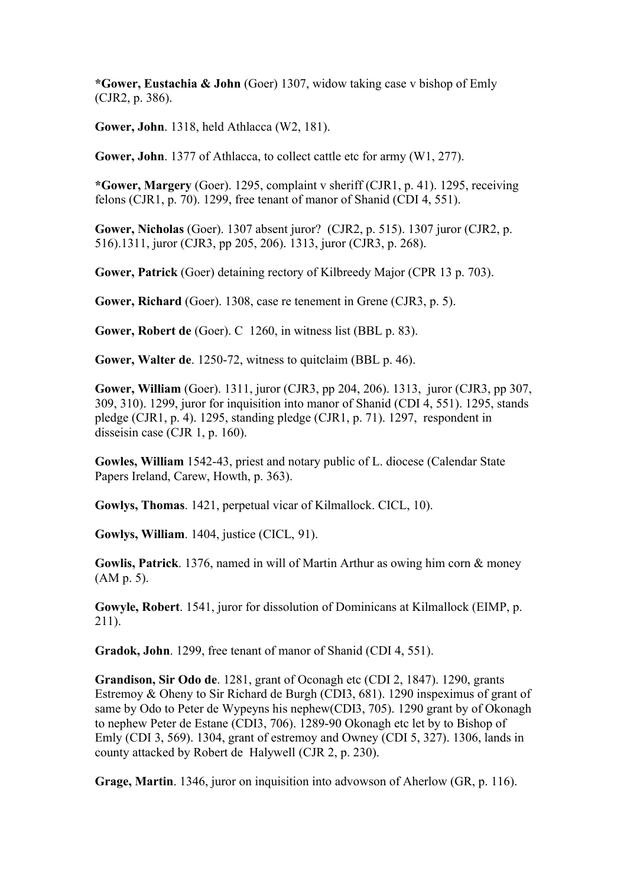**\*Gower, Eustachia & John** (Goer) 1307, widow taking case v bishop of Emly (CJR2, p. 386).

**Gower, John**. 1318, held Athlacca (W2, 181).

Gower, John. 1377 of Athlacca, to collect cattle etc for army (W1, 277).

**\*Gower, Margery** (Goer). 1295, complaint v sheriff (CJR1, p. 41). 1295, receiving felons (CJR1, p. 70). 1299, free tenant of manor of Shanid (CDI 4, 551).

**Gower, Nicholas** (Goer). 1307 absent juror? (CJR2, p. 515). 1307 juror (CJR2, p. 516).1311, juror (CJR3, pp 205, 206). 1313, juror (CJR3, p. 268).

**Gower, Patrick** (Goer) detaining rectory of Kilbreedy Major (CPR 13 p. 703).

**Gower, Richard** (Goer). 1308, case re tenement in Grene (CJR3, p. 5).

**Gower, Robert de** (Goer). C 1260, in witness list (BBL p. 83).

**Gower, Walter de**. 1250-72, witness to quitclaim (BBL p. 46).

**Gower, William** (Goer). 1311, juror (CJR3, pp 204, 206). 1313, juror (CJR3, pp 307, 309, 310). 1299, juror for inquisition into manor of Shanid (CDI 4, 551). 1295, stands pledge (CJR1, p. 4). 1295, standing pledge (CJR1, p. 71). 1297, respondent in disseisin case (CJR 1, p. 160).

**Gowles, William** 1542-43, priest and notary public of L. diocese (Calendar State Papers Ireland, Carew, Howth, p. 363).

**Gowlys, Thomas**. 1421, perpetual vicar of Kilmallock. CICL, 10).

**Gowlys, William**. 1404, justice (CICL, 91).

**Gowlis, Patrick**. 1376, named in will of Martin Arthur as owing him corn & money (AM p. 5).

**Gowyle, Robert**. 1541, juror for dissolution of Dominicans at Kilmallock (EIMP, p. 211).

**Gradok, John**. 1299, free tenant of manor of Shanid (CDI 4, 551).

**Grandison, Sir Odo de**. 1281, grant of Oconagh etc (CDI 2, 1847). 1290, grants Estremoy & Oheny to Sir Richard de Burgh (CDI3, 681). 1290 inspeximus of grant of same by Odo to Peter de Wypeyns his nephew(CDI3, 705). 1290 grant by of Okonagh to nephew Peter de Estane (CDI3, 706). 1289-90 Okonagh etc let by to Bishop of Emly (CDI 3, 569). 1304, grant of estremoy and Owney (CDI 5, 327). 1306, lands in county attacked by Robert de Halywell (CJR 2, p. 230).

**Grage, Martin**. 1346, juror on inquisition into advowson of Aherlow (GR, p. 116).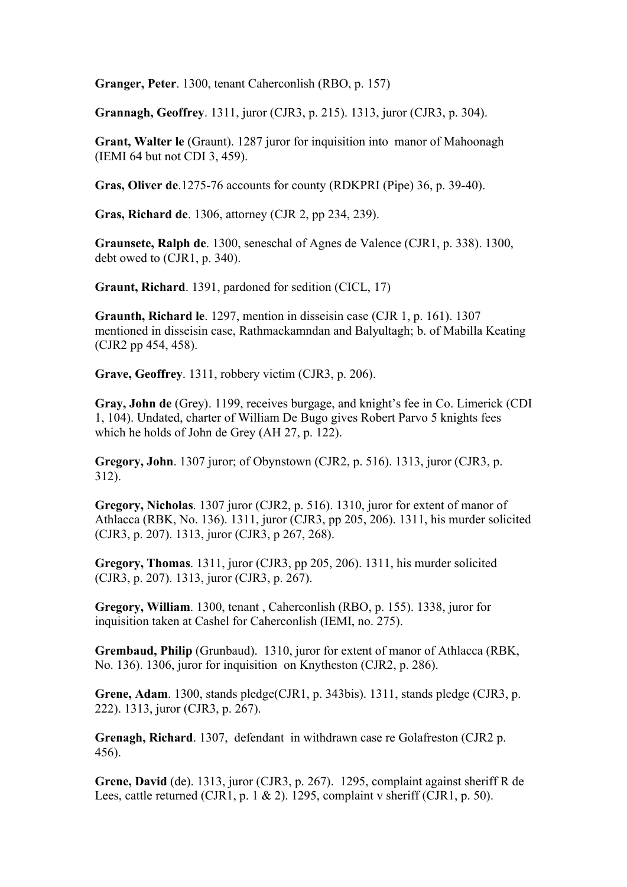**Granger, Peter**. 1300, tenant Caherconlish (RBO, p. 157)

**Grannagh, Geoffrey**. 1311, juror (CJR3, p. 215). 1313, juror (CJR3, p. 304).

**Grant, Walter le** (Graunt). 1287 juror for inquisition into manor of Mahoonagh (IEMI 64 but not CDI 3, 459).

**Gras, Oliver de**.1275-76 accounts for county (RDKPRI (Pipe) 36, p. 39-40).

**Gras, Richard de**. 1306, attorney (CJR 2, pp 234, 239).

**Graunsete, Ralph de**. 1300, seneschal of Agnes de Valence (CJR1, p. 338). 1300, debt owed to (CJR1, p. 340).

**Graunt, Richard**. 1391, pardoned for sedition (CICL, 17)

**Graunth, Richard le**. 1297, mention in disseisin case (CJR 1, p. 161). 1307 mentioned in disseisin case, Rathmackamndan and Balyultagh; b. of Mabilla Keating (CJR2 pp 454, 458).

**Grave, Geoffrey**. 1311, robbery victim (CJR3, p. 206).

**Gray, John de** (Grey). 1199, receives burgage, and knight's fee in Co. Limerick (CDI 1, 104). Undated, charter of William De Bugo gives Robert Parvo 5 knights fees which he holds of John de Grey (AH 27, p. 122).

**Gregory, John**. 1307 juror; of Obynstown (CJR2, p. 516). 1313, juror (CJR3, p. 312).

**Gregory, Nicholas**. 1307 juror (CJR2, p. 516). 1310, juror for extent of manor of Athlacca (RBK, No. 136). 1311, juror (CJR3, pp 205, 206). 1311, his murder solicited (CJR3, p. 207). 1313, juror (CJR3, p 267, 268).

**Gregory, Thomas**. 1311, juror (CJR3, pp 205, 206). 1311, his murder solicited (CJR3, p. 207). 1313, juror (CJR3, p. 267).

**Gregory, William**. 1300, tenant , Caherconlish (RBO, p. 155). 1338, juror for inquisition taken at Cashel for Caherconlish (IEMI, no. 275).

**Grembaud, Philip** (Grunbaud). 1310, juror for extent of manor of Athlacca (RBK, No. 136). 1306, juror for inquisition on Knytheston (CJR2, p. 286).

**Grene, Adam**. 1300, stands pledge(CJR1, p. 343bis). 1311, stands pledge (CJR3, p. 222). 1313, juror (CJR3, p. 267).

**Grenagh, Richard**. 1307, defendant in withdrawn case re Golafreston (CJR2 p. 456).

**Grene, David** (de). 1313, juror (CJR3, p. 267). 1295, complaint against sheriff R de Lees, cattle returned (CJR1, p. 1 & 2). 1295, complaint v sheriff (CJR1, p. 50).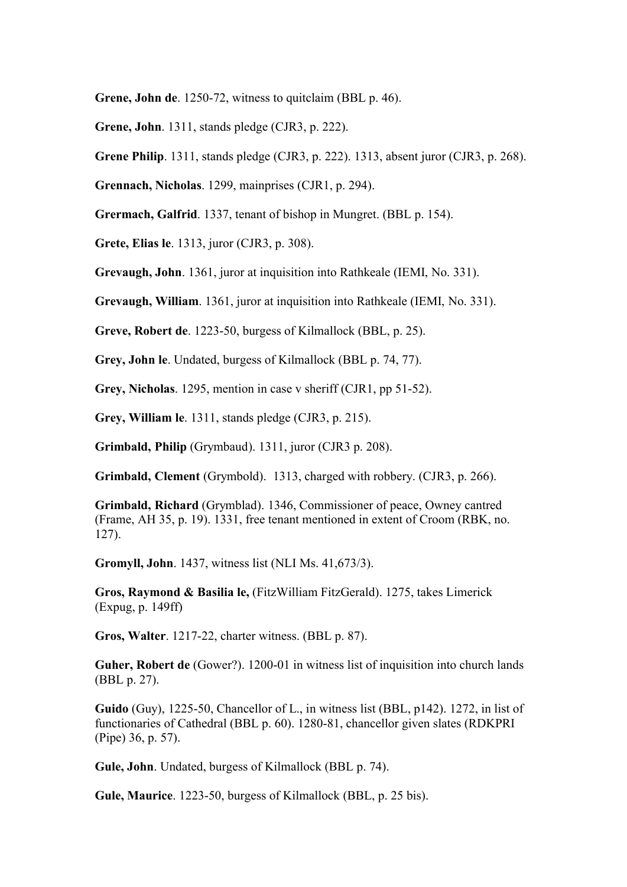**Grene, John de**. 1250-72, witness to quitclaim (BBL p. 46).

**Grene, John**. 1311, stands pledge (CJR3, p. 222).

**Grene Philip**. 1311, stands pledge (CJR3, p. 222). 1313, absent juror (CJR3, p. 268).

**Grennach, Nicholas**. 1299, mainprises (CJR1, p. 294).

**Grermach, Galfrid**. 1337, tenant of bishop in Mungret. (BBL p. 154).

**Grete, Elias le**. 1313, juror (CJR3, p. 308).

**Grevaugh, John**. 1361, juror at inquisition into Rathkeale (IEMI, No. 331).

**Grevaugh, William**. 1361, juror at inquisition into Rathkeale (IEMI, No. 331).

**Greve, Robert de**. 1223-50, burgess of Kilmallock (BBL, p. 25).

**Grey, John le**. Undated, burgess of Kilmallock (BBL p. 74, 77).

**Grey, Nicholas**. 1295, mention in case v sheriff (CJR1, pp 51-52).

**Grey, William le**. 1311, stands pledge (CJR3, p. 215).

**Grimbald, Philip** (Grymbaud). 1311, juror (CJR3 p. 208).

**Grimbald, Clement** (Grymbold). 1313, charged with robbery. (CJR3, p. 266).

**Grimbald, Richard** (Grymblad). 1346, Commissioner of peace, Owney cantred (Frame, AH 35, p. 19). 1331, free tenant mentioned in extent of Croom (RBK, no. 127).

**Gromyll, John**. 1437, witness list (NLI Ms. 41,673/3).

**Gros, Raymond & Basilia le,** (FitzWilliam FitzGerald). 1275, takes Limerick (Expug, p. 149ff)

**Gros, Walter**. 1217-22, charter witness. (BBL p. 87).

**Guher, Robert de** (Gower?). 1200-01 in witness list of inquisition into church lands (BBL p. 27).

**Guido** (Guy), 1225-50, Chancellor of L., in witness list (BBL, p142). 1272, in list of functionaries of Cathedral (BBL p. 60). 1280-81, chancellor given slates (RDKPRI (Pipe) 36, p. 57).

**Gule, John**. Undated, burgess of Kilmallock (BBL p. 74).

**Gule, Maurice**. 1223-50, burgess of Kilmallock (BBL, p. 25 bis).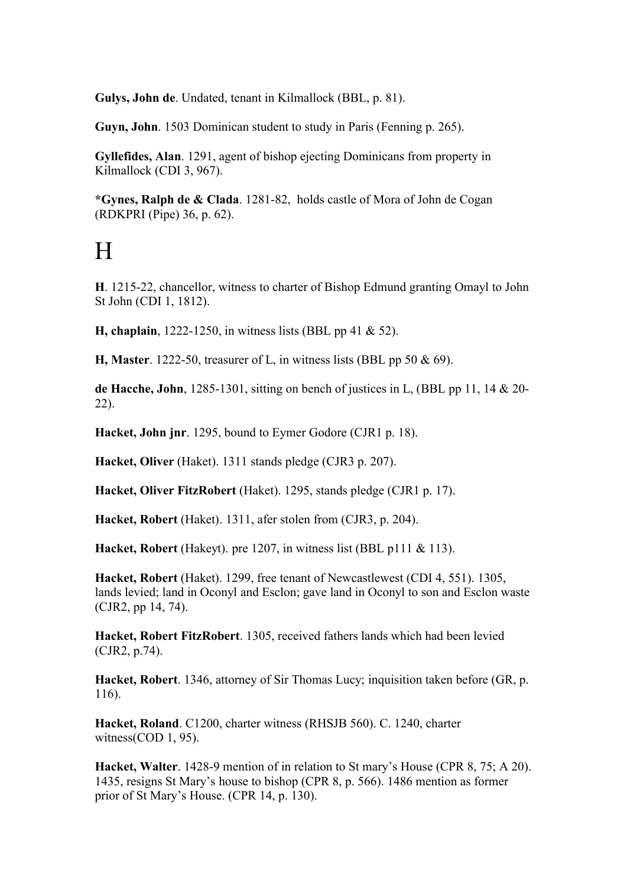**Gulys, John de**. Undated, tenant in Kilmallock (BBL, p. 81).

**Guyn, John**. 1503 Dominican student to study in Paris (Fenning p. 265).

**Gyllefides, Alan**. 1291, agent of bishop ejecting Dominicans from property in Kilmallock (CDI 3, 967).

**\*Gynes, Ralph de & Clada**. 1281-82, holds castle of Mora of John de Cogan (RDKPRI (Pipe) 36, p. 62).

## H

**H**. 1215-22, chancellor, witness to charter of Bishop Edmund granting Omayl to John St John (CDI 1, 1812).

**H, chaplain**, 1222-1250, in witness lists (BBL pp 41 & 52).

**H, Master**. 1222-50, treasurer of L, in witness lists (BBL pp 50 & 69).

**de Hacche, John**, 1285-1301, sitting on bench of justices in L, (BBL pp 11, 14 & 20- 22).

**Hacket, John jnr**. 1295, bound to Eymer Godore (CJR1 p. 18).

**Hacket, Oliver** (Haket). 1311 stands pledge (CJR3 p. 207).

**Hacket, Oliver FitzRobert** (Haket). 1295, stands pledge (CJR1 p. 17).

**Hacket, Robert** (Haket). 1311, afer stolen from (CJR3, p. 204).

**Hacket, Robert** (Hakeyt). pre 1207, in witness list (BBL p111 & 113).

**Hacket, Robert** (Haket). 1299, free tenant of Newcastlewest (CDI 4, 551). 1305, lands levied; land in Oconyl and Esclon; gave land in Oconyl to son and Esclon waste (CJR2, pp 14, 74).

**Hacket, Robert FitzRobert**. 1305, received fathers lands which had been levied (CJR2, p.74).

**Hacket, Robert**. 1346, attorney of Sir Thomas Lucy; inquisition taken before (GR, p. 116).

**Hacket, Roland**. C1200, charter witness (RHSJB 560). C. 1240, charter witness  $(COD 1, 95)$ .

**Hacket, Walter**. 1428-9 mention of in relation to St mary's House (CPR 8, 75; A 20). 1435, resigns St Mary's house to bishop (CPR 8, p. 566). 1486 mention as former prior of St Mary's House. (CPR 14, p. 130).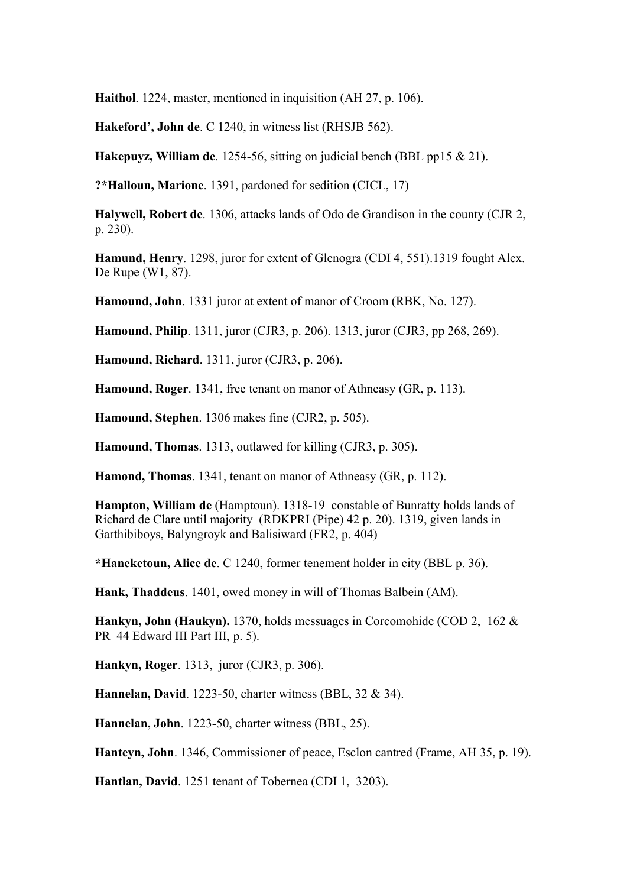**Haithol**. 1224, master, mentioned in inquisition (AH 27, p. 106).

**Hakeford', John de**. C 1240, in witness list (RHSJB 562).

**Hakepuyz, William de**. 1254-56, sitting on judicial bench (BBL pp15 & 21).

**?\*Halloun, Marione**. 1391, pardoned for sedition (CICL, 17)

**Halywell, Robert de**. 1306, attacks lands of Odo de Grandison in the county (CJR 2, p. 230).

**Hamund, Henry**. 1298, juror for extent of Glenogra (CDI 4, 551).1319 fought Alex. De Rupe (W1, 87).

**Hamound, John**. 1331 juror at extent of manor of Croom (RBK, No. 127).

**Hamound, Philip**. 1311, juror (CJR3, p. 206). 1313, juror (CJR3, pp 268, 269).

**Hamound, Richard**. 1311, juror (CJR3, p. 206).

**Hamound, Roger**. 1341, free tenant on manor of Athneasy (GR, p. 113).

**Hamound, Stephen**. 1306 makes fine (CJR2, p. 505).

**Hamound, Thomas**. 1313, outlawed for killing (CJR3, p. 305).

**Hamond, Thomas**. 1341, tenant on manor of Athneasy (GR, p. 112).

**Hampton, William de** (Hamptoun). 1318-19 constable of Bunratty holds lands of Richard de Clare until majority (RDKPRI (Pipe) 42 p. 20). 1319, given lands in Garthibiboys, Balyngroyk and Balisiward (FR2, p. 404)

**\*Haneketoun, Alice de**. C 1240, former tenement holder in city (BBL p. 36).

**Hank, Thaddeus**. 1401, owed money in will of Thomas Balbein (AM).

**Hankyn, John (Haukyn).** 1370, holds messuages in Corcomohide (COD 2, 162 & PR 44 Edward III Part III, p. 5).

**Hankyn, Roger**. 1313, juror (CJR3, p. 306).

**Hannelan, David**. 1223-50, charter witness (BBL, 32 & 34).

**Hannelan, John**. 1223-50, charter witness (BBL, 25).

**Hanteyn, John**. 1346, Commissioner of peace, Esclon cantred (Frame, AH 35, p. 19).

**Hantlan, David**. 1251 tenant of Tobernea (CDI 1, 3203).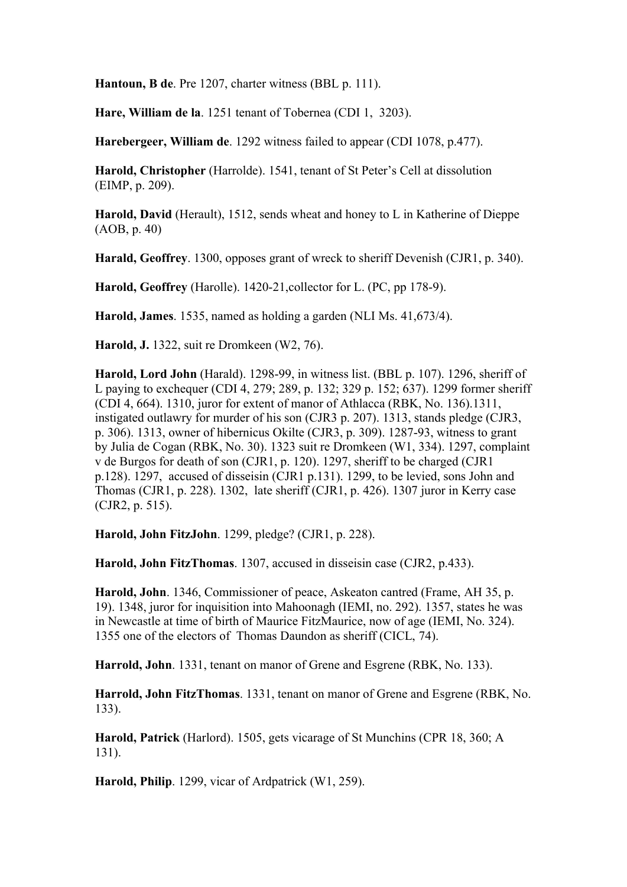**Hantoun, B de**. Pre 1207, charter witness (BBL p. 111).

**Hare, William de la**. 1251 tenant of Tobernea (CDI 1, 3203).

**Harebergeer, William de**. 1292 witness failed to appear (CDI 1078, p.477).

**Harold, Christopher** (Harrolde). 1541, tenant of St Peter's Cell at dissolution (EIMP, p. 209).

**Harold, David** (Herault), 1512, sends wheat and honey to L in Katherine of Dieppe (AOB, p. 40)

**Harald, Geoffrey**. 1300, opposes grant of wreck to sheriff Devenish (CJR1, p. 340).

**Harold, Geoffrey** (Harolle). 1420-21,collector for L. (PC, pp 178-9).

**Harold, James**. 1535, named as holding a garden (NLI Ms. 41,673/4).

**Harold, J.** 1322, suit re Dromkeen (W2, 76).

**Harold, Lord John** (Harald). 1298-99, in witness list. (BBL p. 107). 1296, sheriff of L paying to exchequer (CDI 4, 279; 289, p. 132; 329 p. 152; 637). 1299 former sheriff (CDI 4, 664). 1310, juror for extent of manor of Athlacca (RBK, No. 136).1311, instigated outlawry for murder of his son (CJR3 p. 207). 1313, stands pledge (CJR3, p. 306). 1313, owner of hibernicus Okilte (CJR3, p. 309). 1287-93, witness to grant by Julia de Cogan (RBK, No. 30). 1323 suit re Dromkeen (W1, 334). 1297, complaint v de Burgos for death of son (CJR1, p. 120). 1297, sheriff to be charged (CJR1 p.128). 1297, accused of disseisin (CJR1 p.131). 1299, to be levied, sons John and Thomas (CJR1, p. 228). 1302, late sheriff (CJR1, p. 426). 1307 juror in Kerry case (CJR2, p. 515).

**Harold, John FitzJohn**. 1299, pledge? (CJR1, p. 228).

**Harold, John FitzThomas**. 1307, accused in disseisin case (CJR2, p.433).

**Harold, John**. 1346, Commissioner of peace, Askeaton cantred (Frame, AH 35, p. 19). 1348, juror for inquisition into Mahoonagh (IEMI, no. 292). 1357, states he was in Newcastle at time of birth of Maurice FitzMaurice, now of age (IEMI, No. 324). 1355 one of the electors of Thomas Daundon as sheriff (CICL, 74).

**Harrold, John**. 1331, tenant on manor of Grene and Esgrene (RBK, No. 133).

**Harrold, John FitzThomas**. 1331, tenant on manor of Grene and Esgrene (RBK, No. 133).

**Harold, Patrick** (Harlord). 1505, gets vicarage of St Munchins (CPR 18, 360; A 131).

**Harold, Philip**. 1299, vicar of Ardpatrick (W1, 259).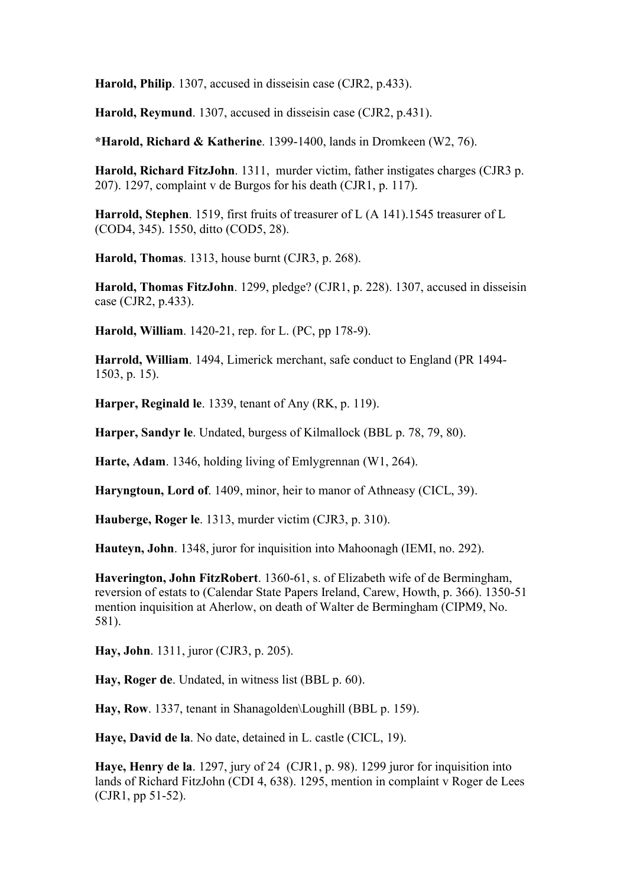**Harold, Philip**. 1307, accused in disseisin case (CJR2, p.433).

**Harold, Reymund**. 1307, accused in disseisin case (CJR2, p.431).

**\*Harold, Richard & Katherine**. 1399-1400, lands in Dromkeen (W2, 76).

**Harold, Richard FitzJohn**. 1311, murder victim, father instigates charges (CJR3 p. 207). 1297, complaint v de Burgos for his death (CJR1, p. 117).

**Harrold, Stephen**. 1519, first fruits of treasurer of L (A 141).1545 treasurer of L (COD4, 345). 1550, ditto (COD5, 28).

**Harold, Thomas**. 1313, house burnt (CJR3, p. 268).

**Harold, Thomas FitzJohn**. 1299, pledge? (CJR1, p. 228). 1307, accused in disseisin case (CJR2, p.433).

**Harold, William**. 1420-21, rep. for L. (PC, pp 178-9).

**Harrold, William**. 1494, Limerick merchant, safe conduct to England (PR 1494- 1503, p. 15).

**Harper, Reginald le**. 1339, tenant of Any (RK, p. 119).

**Harper, Sandyr le**. Undated, burgess of Kilmallock (BBL p. 78, 79, 80).

**Harte, Adam**. 1346, holding living of Emlygrennan (W1, 264).

**Haryngtoun, Lord of**. 1409, minor, heir to manor of Athneasy (CICL, 39).

**Hauberge, Roger le**. 1313, murder victim (CJR3, p. 310).

**Hauteyn, John**. 1348, juror for inquisition into Mahoonagh (IEMI, no. 292).

**Haverington, John FitzRobert**. 1360-61, s. of Elizabeth wife of de Bermingham, reversion of estats to (Calendar State Papers Ireland, Carew, Howth, p. 366). 1350-51 mention inquisition at Aherlow, on death of Walter de Bermingham (CIPM9, No. 581).

**Hay, John**. 1311, juror (CJR3, p. 205).

**Hay, Roger de**. Undated, in witness list (BBL p. 60).

**Hay, Row**. 1337, tenant in Shanagolden\Loughill (BBL p. 159).

**Haye, David de la**. No date, detained in L. castle (CICL, 19).

**Haye, Henry de la**. 1297, jury of 24 (CJR1, p. 98). 1299 juror for inquisition into lands of Richard FitzJohn (CDI 4, 638). 1295, mention in complaint v Roger de Lees (CJR1, pp 51-52).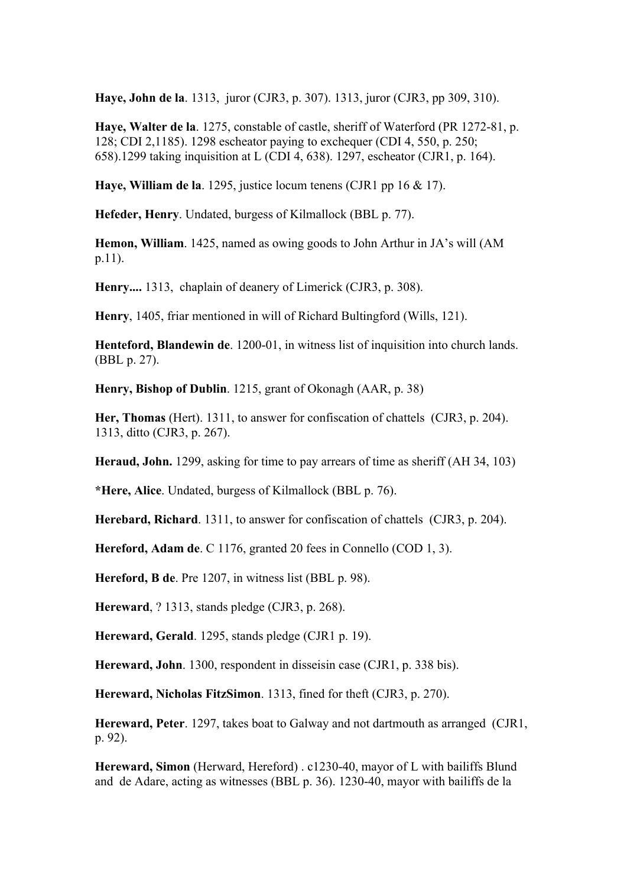**Haye, John de la**. 1313, juror (CJR3, p. 307). 1313, juror (CJR3, pp 309, 310).

**Haye, Walter de la**. 1275, constable of castle, sheriff of Waterford (PR 1272-81, p. 128; CDI 2,1185). 1298 escheator paying to exchequer (CDI 4, 550, p. 250; 658).1299 taking inquisition at L (CDI 4, 638). 1297, escheator (CJR1, p. 164).

**Haye, William de la**. 1295, justice locum tenens (CJR1 pp 16 & 17).

**Hefeder, Henry**. Undated, burgess of Kilmallock (BBL p. 77).

**Hemon, William**. 1425, named as owing goods to John Arthur in JA's will (AM p.11).

**Henry....** 1313, chaplain of deanery of Limerick (CJR3, p. 308).

**Henry**, 1405, friar mentioned in will of Richard Bultingford (Wills, 121).

**Henteford, Blandewin de**. 1200-01, in witness list of inquisition into church lands. (BBL p. 27).

**Henry, Bishop of Dublin**. 1215, grant of Okonagh (AAR, p. 38)

**Her, Thomas** (Hert). 1311, to answer for confiscation of chattels (CJR3, p. 204). 1313, ditto (CJR3, p. 267).

**Heraud, John.** 1299, asking for time to pay arrears of time as sheriff (AH 34, 103)

**\*Here, Alice**. Undated, burgess of Kilmallock (BBL p. 76).

**Herebard, Richard**. 1311, to answer for confiscation of chattels (CJR3, p. 204).

**Hereford, Adam de**. C 1176, granted 20 fees in Connello (COD 1, 3).

**Hereford, B de**. Pre 1207, in witness list (BBL p. 98).

**Hereward**, ? 1313, stands pledge (CJR3, p. 268).

**Hereward, Gerald**. 1295, stands pledge (CJR1 p. 19).

**Hereward, John**. 1300, respondent in disseisin case (CJR1, p. 338 bis).

**Hereward, Nicholas FitzSimon**. 1313, fined for theft (CJR3, p. 270).

**Hereward, Peter**. 1297, takes boat to Galway and not dartmouth as arranged (CJR1, p. 92).

**Hereward, Simon** (Herward, Hereford) . c1230-40, mayor of L with bailiffs Blund and de Adare, acting as witnesses (BBL p. 36). 1230-40, mayor with bailiffs de la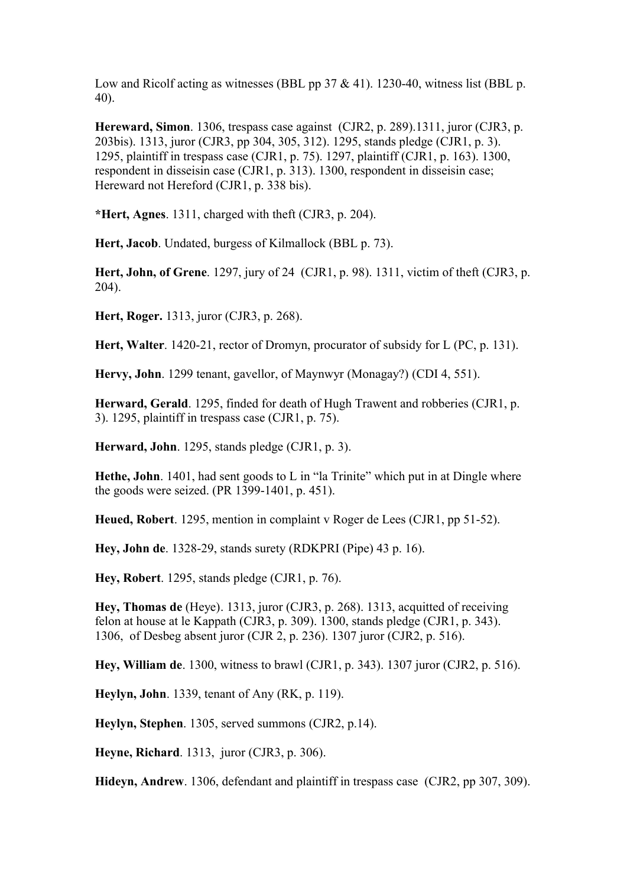Low and Ricolf acting as witnesses (BBL pp 37 & 41). 1230-40, witness list (BBL p. 40).

**Hereward, Simon**. 1306, trespass case against (CJR2, p. 289).1311, juror (CJR3, p. 203bis). 1313, juror (CJR3, pp 304, 305, 312). 1295, stands pledge (CJR1, p. 3). 1295, plaintiff in trespass case (CJR1, p. 75). 1297, plaintiff (CJR1, p. 163). 1300, respondent in disseisin case (CJR1, p. 313). 1300, respondent in disseisin case; Hereward not Hereford (CJR1, p. 338 bis).

**\*Hert, Agnes**. 1311, charged with theft (CJR3, p. 204).

**Hert, Jacob**. Undated, burgess of Kilmallock (BBL p. 73).

**Hert, John, of Grene**. 1297, jury of 24 (CJR1, p. 98). 1311, victim of theft (CJR3, p. 204).

**Hert, Roger.** 1313, juror (CJR3, p. 268).

**Hert, Walter**. 1420-21, rector of Dromyn, procurator of subsidy for L (PC, p. 131).

**Hervy, John**. 1299 tenant, gavellor, of Maynwyr (Monagay?) (CDI 4, 551).

**Herward, Gerald**. 1295, finded for death of Hugh Trawent and robberies (CJR1, p. 3). 1295, plaintiff in trespass case (CJR1, p. 75).

**Herward, John**. 1295, stands pledge (CJR1, p. 3).

**Hethe, John**. 1401, had sent goods to L in "la Trinite" which put in at Dingle where the goods were seized. (PR 1399-1401, p. 451).

**Heued, Robert**. 1295, mention in complaint v Roger de Lees (CJR1, pp 51-52).

**Hey, John de**. 1328-29, stands surety (RDKPRI (Pipe) 43 p. 16).

**Hey, Robert**. 1295, stands pledge (CJR1, p. 76).

**Hey, Thomas de** (Heye). 1313, juror (CJR3, p. 268). 1313, acquitted of receiving felon at house at le Kappath (CJR3, p. 309). 1300, stands pledge (CJR1, p. 343). 1306, of Desbeg absent juror (CJR 2, p. 236). 1307 juror (CJR2, p. 516).

**Hey, William de**. 1300, witness to brawl (CJR1, p. 343). 1307 juror (CJR2, p. 516).

**Heylyn, John**. 1339, tenant of Any (RK, p. 119).

**Heylyn, Stephen**. 1305, served summons (CJR2, p.14).

**Heyne, Richard**. 1313, juror (CJR3, p. 306).

**Hideyn, Andrew**. 1306, defendant and plaintiff in trespass case (CJR2, pp 307, 309).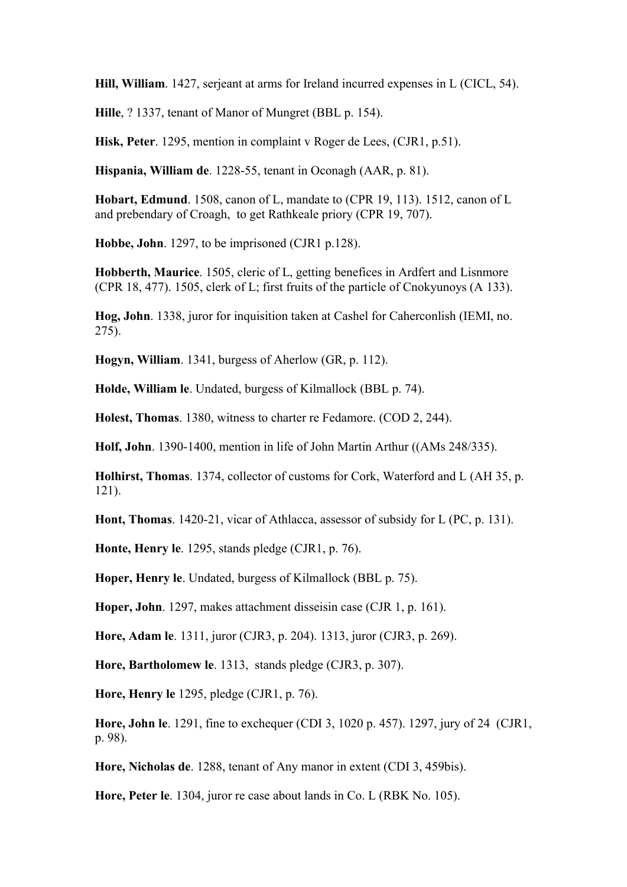**Hill, William**. 1427, serjeant at arms for Ireland incurred expenses in L (CICL, 54).

**Hille**, ? 1337, tenant of Manor of Mungret (BBL p. 154).

**Hisk, Peter**. 1295, mention in complaint v Roger de Lees, (CJR1, p.51).

**Hispania, William de**. 1228-55, tenant in Oconagh (AAR, p. 81).

**Hobart, Edmund**. 1508, canon of L, mandate to (CPR 19, 113). 1512, canon of L and prebendary of Croagh, to get Rathkeale priory (CPR 19, 707).

**Hobbe, John**. 1297, to be imprisoned (CJR1 p.128).

**Hobberth, Maurice**. 1505, cleric of L, getting benefices in Ardfert and Lisnmore (CPR 18, 477). 1505, clerk of L; first fruits of the particle of Cnokyunoys (A 133).

**Hog, John**. 1338, juror for inquisition taken at Cashel for Caherconlish (IEMI, no. 275).

**Hogyn, William**. 1341, burgess of Aherlow (GR, p. 112).

**Holde, William le**. Undated, burgess of Kilmallock (BBL p. 74).

**Holest, Thomas**. 1380, witness to charter re Fedamore. (COD 2, 244).

**Holf, John**. 1390-1400, mention in life of John Martin Arthur ((AMs 248/335).

**Holhirst, Thomas**. 1374, collector of customs for Cork, Waterford and L (AH 35, p. 121).

**Hont, Thomas**. 1420-21, vicar of Athlacca, assessor of subsidy for L (PC, p. 131).

**Honte, Henry le**. 1295, stands pledge (CJR1, p. 76).

**Hoper, Henry le**. Undated, burgess of Kilmallock (BBL p. 75).

**Hoper, John**. 1297, makes attachment disseisin case (CJR 1, p. 161).

**Hore, Adam le**. 1311, juror (CJR3, p. 204). 1313, juror (CJR3, p. 269).

**Hore, Bartholomew le**. 1313, stands pledge (CJR3, p. 307).

**Hore, Henry le** 1295, pledge (CJR1, p. 76).

**Hore, John le**. 1291, fine to exchequer (CDI 3, 1020 p. 457). 1297, jury of 24 (CJR1, p. 98).

**Hore, Nicholas de**. 1288, tenant of Any manor in extent (CDI 3, 459bis).

**Hore, Peter le**. 1304, juror re case about lands in Co. L (RBK No. 105).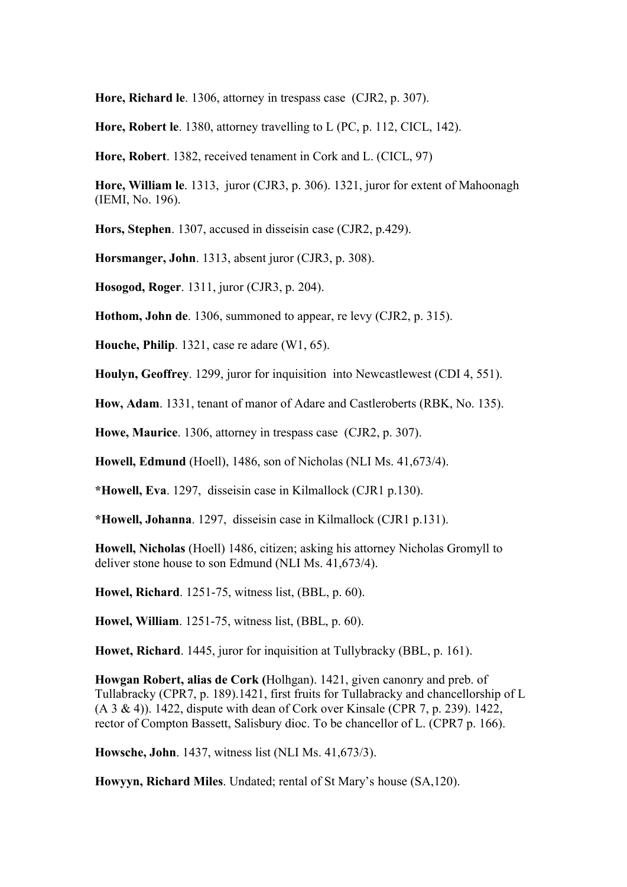**Hore, Richard le**. 1306, attorney in trespass case (CJR2, p. 307).

**Hore, Robert le**. 1380, attorney travelling to L (PC, p. 112, CICL, 142).

**Hore, Robert**. 1382, received tenament in Cork and L. (CICL, 97)

**Hore, William le**. 1313, juror (CJR3, p. 306). 1321, juror for extent of Mahoonagh (IEMI, No. 196).

**Hors, Stephen**. 1307, accused in disseisin case (CJR2, p.429).

**Horsmanger, John**. 1313, absent juror (CJR3, p. 308).

**Hosogod, Roger**. 1311, juror (CJR3, p. 204).

**Hothom, John de**. 1306, summoned to appear, re levy (CJR2, p. 315).

**Houche, Philip**. 1321, case re adare (W1, 65).

**Houlyn, Geoffrey**. 1299, juror for inquisition into Newcastlewest (CDI 4, 551).

**How, Adam**. 1331, tenant of manor of Adare and Castleroberts (RBK, No. 135).

**Howe, Maurice**. 1306, attorney in trespass case (CJR2, p. 307).

**Howell, Edmund** (Hoell), 1486, son of Nicholas (NLI Ms. 41,673/4).

**\*Howell, Eva**. 1297, disseisin case in Kilmallock (CJR1 p.130).

**\*Howell, Johanna**. 1297, disseisin case in Kilmallock (CJR1 p.131).

**Howell, Nicholas** (Hoell) 1486, citizen; asking his attorney Nicholas Gromyll to deliver stone house to son Edmund (NLI Ms. 41,673/4).

**Howel, Richard**. 1251-75, witness list, (BBL, p. 60).

**Howel, William**. 1251-75, witness list, (BBL, p. 60).

**Howet, Richard**. 1445, juror for inquisition at Tullybracky (BBL, p. 161).

**Howgan Robert, alias de Cork (**Holhgan). 1421, given canonry and preb. of Tullabracky (CPR7, p. 189).1421, first fruits for Tullabracky and chancellorship of L (A 3 & 4)). 1422, dispute with dean of Cork over Kinsale (CPR 7, p. 239). 1422, rector of Compton Bassett, Salisbury dioc. To be chancellor of L. (CPR7 p. 166).

**Howsche, John**. 1437, witness list (NLI Ms. 41,673/3).

**Howyyn, Richard Miles**. Undated; rental of St Mary's house (SA,120).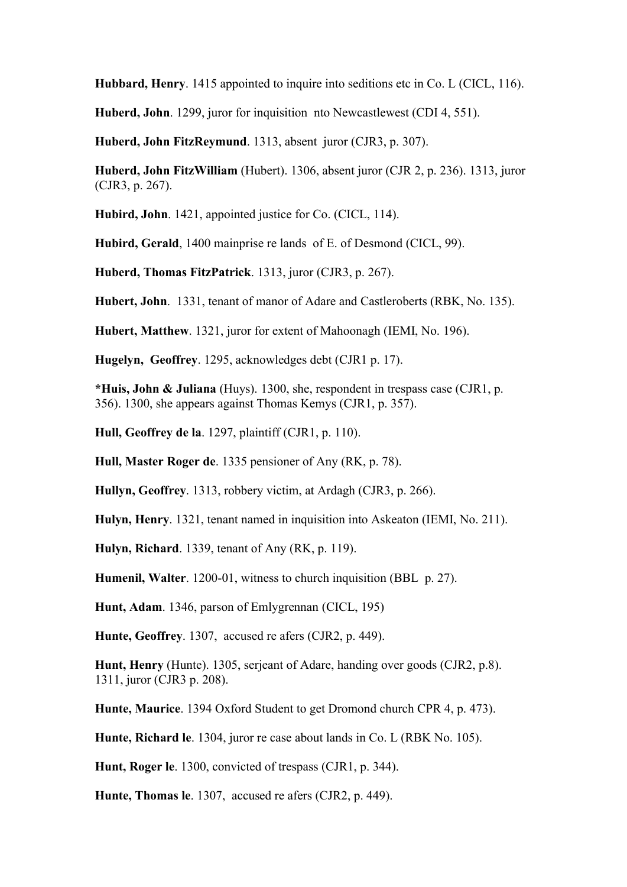**Hubbard, Henry**. 1415 appointed to inquire into seditions etc in Co. L (CICL, 116).

**Huberd, John**. 1299, juror for inquisition nto Newcastlewest (CDI 4, 551).

**Huberd, John FitzReymund**. 1313, absent juror (CJR3, p. 307).

**Huberd, John FitzWilliam** (Hubert). 1306, absent juror (CJR 2, p. 236). 1313, juror (CJR3, p. 267).

**Hubird, John**. 1421, appointed justice for Co. (CICL, 114).

**Hubird, Gerald**, 1400 mainprise re lands of E. of Desmond (CICL, 99).

**Huberd, Thomas FitzPatrick**. 1313, juror (CJR3, p. 267).

**Hubert, John**. 1331, tenant of manor of Adare and Castleroberts (RBK, No. 135).

**Hubert, Matthew**. 1321, juror for extent of Mahoonagh (IEMI, No. 196).

**Hugelyn, Geoffrey**. 1295, acknowledges debt (CJR1 p. 17).

**\*Huis, John & Juliana** (Huys). 1300, she, respondent in trespass case (CJR1, p. 356). 1300, she appears against Thomas Kemys (CJR1, p. 357).

**Hull, Geoffrey de la**. 1297, plaintiff (CJR1, p. 110).

**Hull, Master Roger de**. 1335 pensioner of Any (RK, p. 78).

**Hullyn, Geoffrey**. 1313, robbery victim, at Ardagh (CJR3, p. 266).

**Hulyn, Henry**. 1321, tenant named in inquisition into Askeaton (IEMI, No. 211).

**Hulyn, Richard**. 1339, tenant of Any (RK, p. 119).

**Humenil, Walter**. 1200-01, witness to church inquisition (BBL p. 27).

**Hunt, Adam**. 1346, parson of Emlygrennan (CICL, 195)

**Hunte, Geoffrey**. 1307, accused re afers (CJR2, p. 449).

**Hunt, Henry** (Hunte). 1305, serjeant of Adare, handing over goods (CJR2, p.8). 1311, juror (CJR3 p. 208).

**Hunte, Maurice**. 1394 Oxford Student to get Dromond church CPR 4, p. 473).

**Hunte, Richard le**. 1304, juror re case about lands in Co. L (RBK No. 105).

**Hunt, Roger le**. 1300, convicted of trespass (CJR1, p. 344).

**Hunte, Thomas le**. 1307, accused re afers (CJR2, p. 449).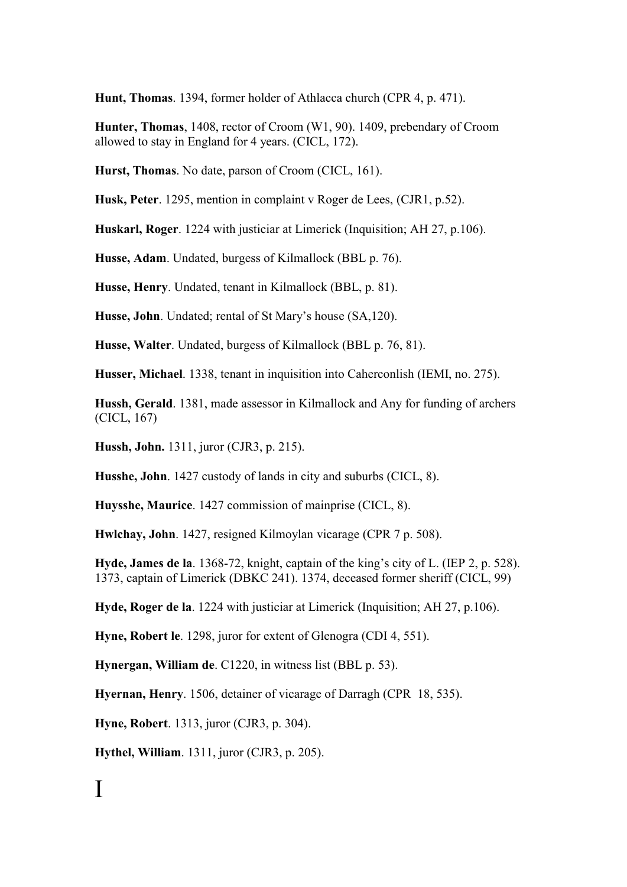**Hunt, Thomas**. 1394, former holder of Athlacca church (CPR 4, p. 471).

**Hunter, Thomas**, 1408, rector of Croom (W1, 90). 1409, prebendary of Croom allowed to stay in England for 4 years. (CICL, 172).

**Hurst, Thomas**. No date, parson of Croom (CICL, 161).

**Husk, Peter**. 1295, mention in complaint v Roger de Lees, (CJR1, p.52).

**Huskarl, Roger**. 1224 with justiciar at Limerick (Inquisition; AH 27, p.106).

**Husse, Adam**. Undated, burgess of Kilmallock (BBL p. 76).

**Husse, Henry**. Undated, tenant in Kilmallock (BBL, p. 81).

**Husse, John**. Undated; rental of St Mary's house (SA,120).

**Husse, Walter**. Undated, burgess of Kilmallock (BBL p. 76, 81).

**Husser, Michael**. 1338, tenant in inquisition into Caherconlish (IEMI, no. 275).

**Hussh, Gerald**. 1381, made assessor in Kilmallock and Any for funding of archers (CICL, 167)

**Hussh, John.** 1311, juror (CJR3, p. 215).

**Husshe, John**. 1427 custody of lands in city and suburbs (CICL, 8).

**Huysshe, Maurice**. 1427 commission of mainprise (CICL, 8).

**Hwlchay, John**. 1427, resigned Kilmoylan vicarage (CPR 7 p. 508).

**Hyde, James de la**. 1368-72, knight, captain of the king's city of L. (IEP 2, p. 528). 1373, captain of Limerick (DBKC 241). 1374, deceased former sheriff (CICL, 99)

**Hyde, Roger de la**. 1224 with justiciar at Limerick (Inquisition; AH 27, p.106).

**Hyne, Robert le**. 1298, juror for extent of Glenogra (CDI 4, 551).

**Hynergan, William de**. C1220, in witness list (BBL p. 53).

**Hyernan, Henry**. 1506, detainer of vicarage of Darragh (CPR 18, 535).

**Hyne, Robert**. 1313, juror (CJR3, p. 304).

**Hythel, William**. 1311, juror (CJR3, p. 205).

## I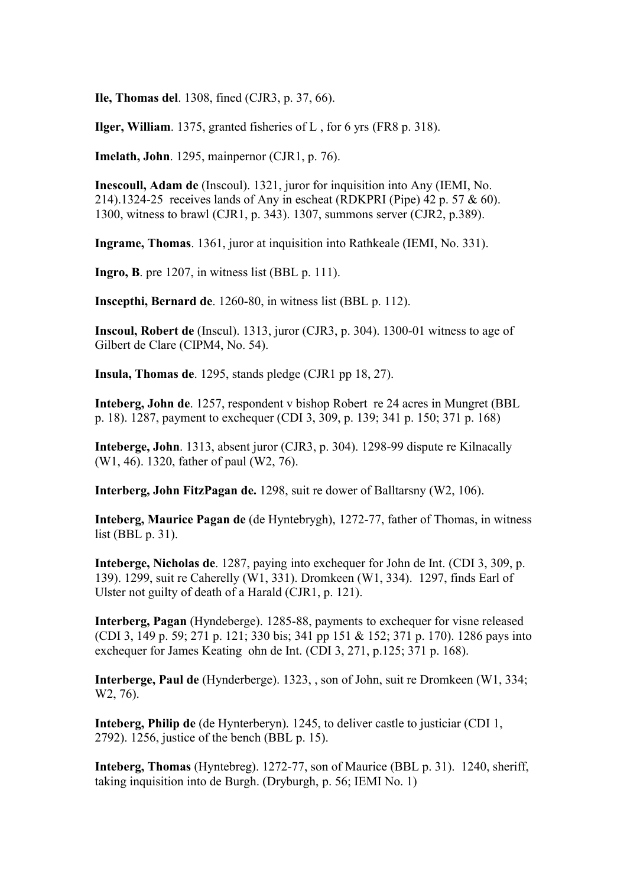**Ile, Thomas del**. 1308, fined (CJR3, p. 37, 66).

**Ilger, William**. 1375, granted fisheries of L , for 6 yrs (FR8 p. 318).

**Imelath, John**. 1295, mainpernor (CJR1, p. 76).

**Inescoull, Adam de** (Inscoul). 1321, juror for inquisition into Any (IEMI, No. 214).1324-25 receives lands of Any in escheat (RDKPRI (Pipe) 42 p. 57 & 60). 1300, witness to brawl (CJR1, p. 343). 1307, summons server (CJR2, p.389).

**Ingrame, Thomas**. 1361, juror at inquisition into Rathkeale (IEMI, No. 331).

**Ingro, B**. pre 1207, in witness list (BBL p. 111).

**Inscepthi, Bernard de**. 1260-80, in witness list (BBL p. 112).

**Inscoul, Robert de** (Inscul). 1313, juror (CJR3, p. 304). 1300-01 witness to age of Gilbert de Clare (CIPM4, No. 54).

**Insula, Thomas de**. 1295, stands pledge (CJR1 pp 18, 27).

**Inteberg, John de**. 1257, respondent v bishop Robert re 24 acres in Mungret (BBL p. 18). 1287, payment to exchequer (CDI 3, 309, p. 139; 341 p. 150; 371 p. 168)

**Inteberge, John**. 1313, absent juror (CJR3, p. 304). 1298-99 dispute re Kilnacally (W1, 46). 1320, father of paul (W2, 76).

**Interberg, John FitzPagan de.** 1298, suit re dower of Balltarsny (W2, 106).

**Inteberg, Maurice Pagan de** (de Hyntebrygh), 1272-77, father of Thomas, in witness list (BBL p. 31).

**Inteberge, Nicholas de**. 1287, paying into exchequer for John de Int. (CDI 3, 309, p. 139). 1299, suit re Caherelly (W1, 331). Dromkeen (W1, 334). 1297, finds Earl of Ulster not guilty of death of a Harald (CJR1, p. 121).

**Interberg, Pagan** (Hyndeberge). 1285-88, payments to exchequer for visne released (CDI 3, 149 p. 59; 271 p. 121; 330 bis; 341 pp 151 & 152; 371 p. 170). 1286 pays into exchequer for James Keating ohn de Int. (CDI 3, 271, p.125; 371 p. 168).

**Interberge, Paul de** (Hynderberge). 1323, , son of John, suit re Dromkeen (W1, 334; W2, 76).

**Inteberg, Philip de** (de Hynterberyn). 1245, to deliver castle to justiciar (CDI 1, 2792). 1256, justice of the bench (BBL p. 15).

**Inteberg, Thomas** (Hyntebreg). 1272-77, son of Maurice (BBL p. 31). 1240, sheriff, taking inquisition into de Burgh. (Dryburgh, p. 56; IEMI No. 1)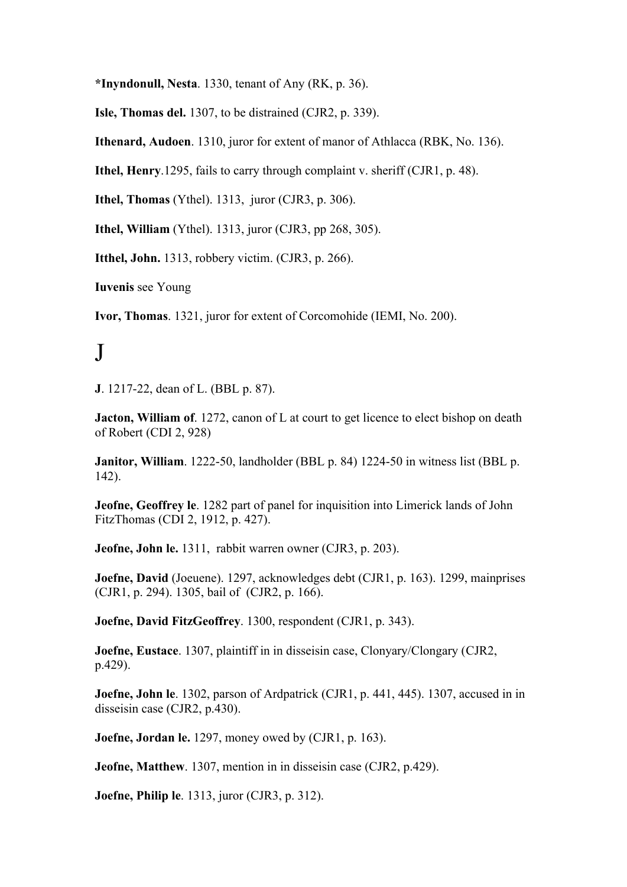**\*Inyndonull, Nesta**. 1330, tenant of Any (RK, p. 36).

**Isle, Thomas del.** 1307, to be distrained (CJR2, p. 339).

**Ithenard, Audoen**. 1310, juror for extent of manor of Athlacca (RBK, No. 136).

**Ithel, Henry**.1295, fails to carry through complaint v. sheriff (CJR1, p. 48).

**Ithel, Thomas** (Ythel). 1313, juror (CJR3, p. 306).

**Ithel, William** (Ythel). 1313, juror (CJR3, pp 268, 305).

**Itthel, John.** 1313, robbery victim. (CJR3, p. 266).

**Iuvenis** see Young

**Ivor, Thomas**. 1321, juror for extent of Corcomohide (IEMI, No. 200).

#### J

**J**. 1217-22, dean of L. (BBL p. 87).

**Jacton, William of**. 1272, canon of L at court to get licence to elect bishop on death of Robert (CDI 2, 928)

**Janitor, William**. 1222-50, landholder (BBL p. 84) 1224-50 in witness list (BBL p. 142).

**Jeofne, Geoffrey le**. 1282 part of panel for inquisition into Limerick lands of John FitzThomas (CDI 2, 1912, p. 427).

**Jeofne, John le.** 1311, rabbit warren owner (CJR3, p. 203).

**Joefne, David** (Joeuene). 1297, acknowledges debt (CJR1, p. 163). 1299, mainprises (CJR1, p. 294). 1305, bail of (CJR2, p. 166).

**Joefne, David FitzGeoffrey**. 1300, respondent (CJR1, p. 343).

**Joefne, Eustace**. 1307, plaintiff in in disseisin case, Clonyary/Clongary (CJR2, p.429).

**Joefne, John le**. 1302, parson of Ardpatrick (CJR1, p. 441, 445). 1307, accused in in disseisin case (CJR2, p.430).

**Joefne, Jordan le.** 1297, money owed by (CJR1, p. 163).

**Jeofne, Matthew.** 1307, mention in in disseisin case (CJR2, p.429).

**Joefne, Philip le**. 1313, juror (CJR3, p. 312).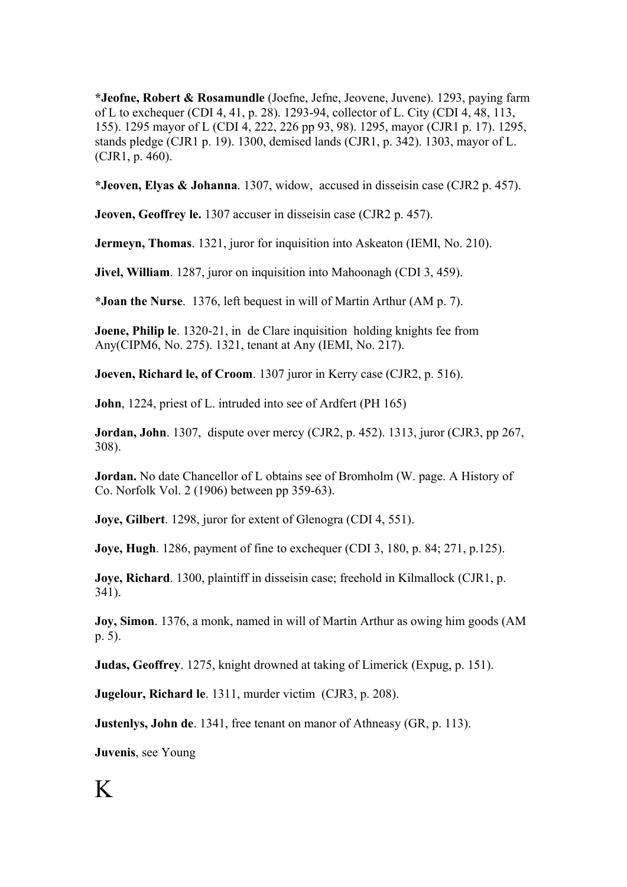**\*Jeofne, Robert & Rosamundle** (Joefne, Jefne, Jeovene, Juvene). 1293, paying farm of L to exchequer (CDI 4, 41, p. 28). 1293-94, collector of L. City (CDI 4, 48, 113, 155). 1295 mayor of L (CDI 4, 222, 226 pp 93, 98). 1295, mayor (CJR1 p. 17). 1295, stands pledge (CJR1 p. 19). 1300, demised lands (CJR1, p. 342). 1303, mayor of L. (CJR1, p. 460).

**\*Jeoven, Elyas & Johanna**. 1307, widow, accused in disseisin case (CJR2 p. 457).

**Jeoven, Geoffrey le.** 1307 accuser in disseisin case (CJR2 p. 457).

**Jermeyn, Thomas**. 1321, juror for inquisition into Askeaton (IEMI, No. 210).

**Jivel, William**. 1287, juror on inquisition into Mahoonagh (CDI 3, 459).

**\*Joan the Nurse**. 1376, left bequest in will of Martin Arthur (AM p. 7).

**Joene, Philip le**. 1320-21, in de Clare inquisition holding knights fee from Any(CIPM6, No. 275). 1321, tenant at Any (IEMI, No. 217).

**Joeven, Richard le, of Croom**. 1307 juror in Kerry case (CJR2, p. 516).

**John**, 1224, priest of L. intruded into see of Ardfert (PH 165)

**Jordan, John**. 1307, dispute over mercy (CJR2, p. 452). 1313, juror (CJR3, pp 267, 308).

**Jordan.** No date Chancellor of L obtains see of Bromholm (W. page. A History of Co. Norfolk Vol. 2 (1906) between pp 359-63).

**Joye, Gilbert**. 1298, juror for extent of Glenogra (CDI 4, 551).

**Joye, Hugh**. 1286, payment of fine to exchequer (CDI 3, 180, p. 84; 271, p.125).

**Joye, Richard**. 1300, plaintiff in disseisin case; freehold in Kilmallock (CJR1, p. 341).

**Joy, Simon**. 1376, a monk, named in will of Martin Arthur as owing him goods (AM p. 5).

**Judas, Geoffrey**. 1275, knight drowned at taking of Limerick (Expug, p. 151).

**Jugelour, Richard le**. 1311, murder victim (CJR3, p. 208).

**Justenlys, John de**. 1341, free tenant on manor of Athneasy (GR, p. 113).

**Juvenis**, see Young

# K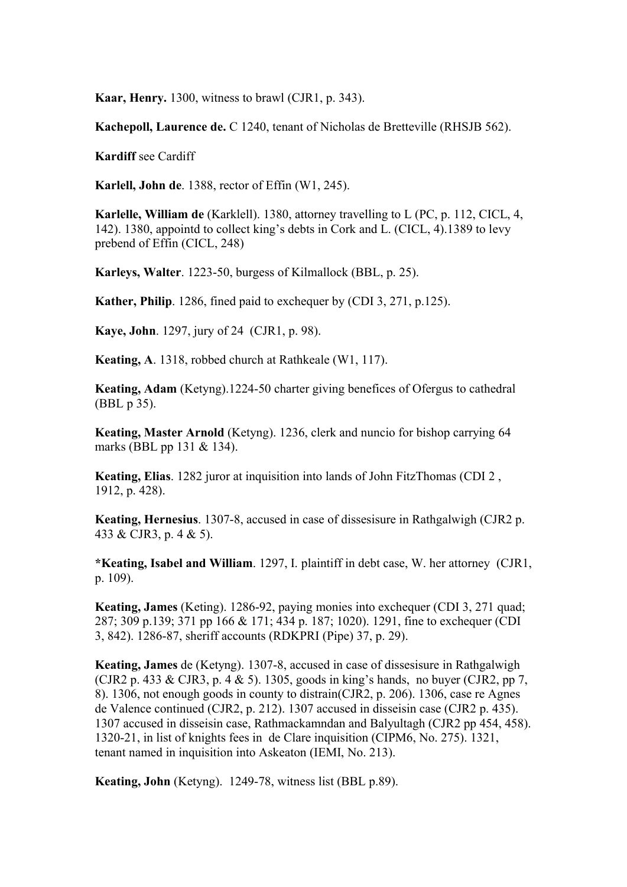**Kaar, Henry.** 1300, witness to brawl (CJR1, p. 343).

**Kachepoll, Laurence de.** C 1240, tenant of Nicholas de Bretteville (RHSJB 562).

**Kardiff** see Cardiff

**Karlell, John de**. 1388, rector of Effin (W1, 245).

**Karlelle, William de** (Karklell). 1380, attorney travelling to L (PC, p. 112, CICL, 4, 142). 1380, appointd to collect king's debts in Cork and L. (CICL, 4).1389 to levy prebend of Effin (CICL, 248)

**Karleys, Walter**. 1223-50, burgess of Kilmallock (BBL, p. 25).

**Kather, Philip**. 1286, fined paid to exchequer by (CDI 3, 271, p.125).

**Kaye, John**. 1297, jury of 24 (CJR1, p. 98).

**Keating, A**. 1318, robbed church at Rathkeale (W1, 117).

**Keating, Adam** (Ketyng).1224-50 charter giving benefices of Ofergus to cathedral (BBL p 35).

**Keating, Master Arnold** (Ketyng). 1236, clerk and nuncio for bishop carrying 64 marks (BBL pp 131 & 134).

**Keating, Elias**. 1282 juror at inquisition into lands of John FitzThomas (CDI 2 , 1912, p. 428).

**Keating, Hernesius**. 1307-8, accused in case of dissesisure in Rathgalwigh (CJR2 p. 433 & CJR3, p. 4 & 5).

**\*Keating, Isabel and William**. 1297, I. plaintiff in debt case, W. her attorney (CJR1, p. 109).

**Keating, James** (Keting). 1286-92, paying monies into exchequer (CDI 3, 271 quad; 287; 309 p.139; 371 pp 166 & 171; 434 p. 187; 1020). 1291, fine to exchequer (CDI 3, 842). 1286-87, sheriff accounts (RDKPRI (Pipe) 37, p. 29).

**Keating, James** de (Ketyng). 1307-8, accused in case of dissesisure in Rathgalwigh (CJR2 p. 433 & CJR3, p. 4 & 5). 1305, goods in king's hands, no buyer (CJR2, pp 7, 8). 1306, not enough goods in county to distrain(CJR2, p. 206). 1306, case re Agnes de Valence continued (CJR2, p. 212). 1307 accused in disseisin case (CJR2 p. 435). 1307 accused in disseisin case, Rathmackamndan and Balyultagh (CJR2 pp 454, 458). 1320-21, in list of knights fees in de Clare inquisition (CIPM6, No. 275). 1321, tenant named in inquisition into Askeaton (IEMI, No. 213).

**Keating, John** (Ketyng). 1249-78, witness list (BBL p.89).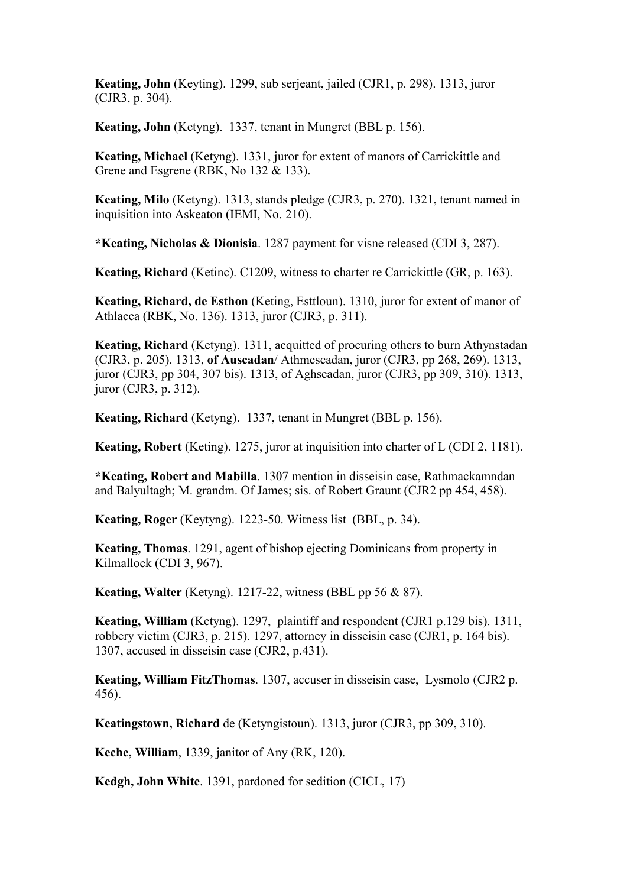**Keating, John** (Keyting). 1299, sub serjeant, jailed (CJR1, p. 298). 1313, juror (CJR3, p. 304).

**Keating, John** (Ketyng). 1337, tenant in Mungret (BBL p. 156).

**Keating, Michael** (Ketyng). 1331, juror for extent of manors of Carrickittle and Grene and Esgrene (RBK, No 132 & 133).

**Keating, Milo** (Ketyng). 1313, stands pledge (CJR3, p. 270). 1321, tenant named in inquisition into Askeaton (IEMI, No. 210).

**\*Keating, Nicholas & Dionisia**. 1287 payment for visne released (CDI 3, 287).

**Keating, Richard** (Ketinc). C1209, witness to charter re Carrickittle (GR, p. 163).

**Keating, Richard, de Esthon** (Keting, Esttloun). 1310, juror for extent of manor of Athlacca (RBK, No. 136). 1313, juror (CJR3, p. 311).

**Keating, Richard** (Ketyng). 1311, acquitted of procuring others to burn Athynstadan (CJR3, p. 205). 1313, **of Auscadan**/ Athmcscadan, juror (CJR3, pp 268, 269). 1313, juror (CJR3, pp 304, 307 bis). 1313, of Aghscadan, juror (CJR3, pp 309, 310). 1313, juror (CJR3, p. 312).

**Keating, Richard** (Ketyng). 1337, tenant in Mungret (BBL p. 156).

**Keating, Robert** (Keting). 1275, juror at inquisition into charter of L (CDI 2, 1181).

**\*Keating, Robert and Mabilla**. 1307 mention in disseisin case, Rathmackamndan and Balyultagh; M. grandm. Of James; sis. of Robert Graunt (CJR2 pp 454, 458).

**Keating, Roger** (Keytyng). 1223-50. Witness list (BBL, p. 34).

**Keating, Thomas**. 1291, agent of bishop ejecting Dominicans from property in Kilmallock (CDI 3, 967).

**Keating, Walter** (Ketyng). 1217-22, witness (BBL pp 56 & 87).

**Keating, William** (Ketyng). 1297, plaintiff and respondent (CJR1 p.129 bis). 1311, robbery victim (CJR3, p. 215). 1297, attorney in disseisin case (CJR1, p. 164 bis). 1307, accused in disseisin case (CJR2, p.431).

**Keating, William FitzThomas**. 1307, accuser in disseisin case, Lysmolo (CJR2 p. 456).

**Keatingstown, Richard** de (Ketyngistoun). 1313, juror (CJR3, pp 309, 310).

**Keche, William**, 1339, janitor of Any (RK, 120).

**Kedgh, John White**. 1391, pardoned for sedition (CICL, 17)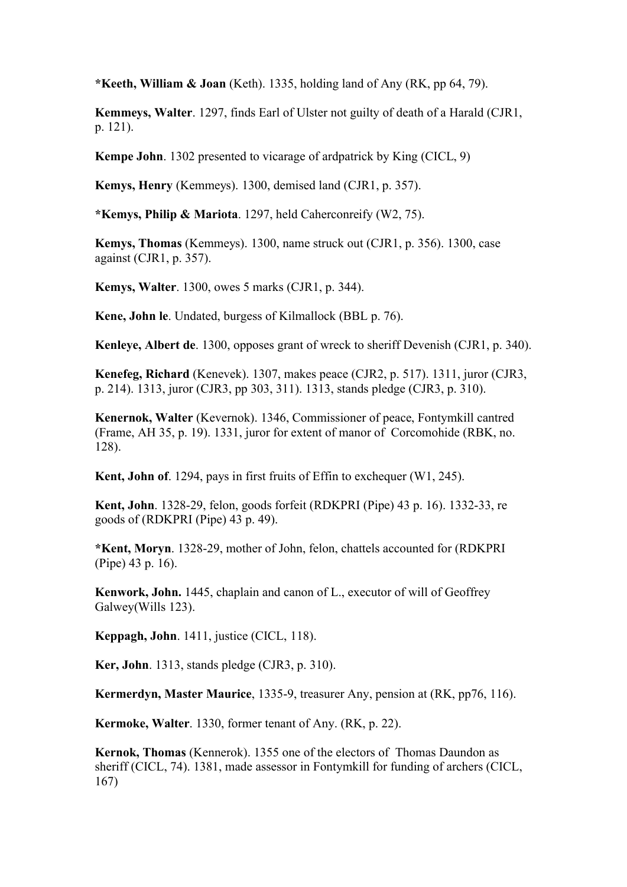**\*Keeth, William & Joan** (Keth). 1335, holding land of Any (RK, pp 64, 79).

**Kemmeys, Walter**. 1297, finds Earl of Ulster not guilty of death of a Harald (CJR1, p. 121).

**Kempe John**. 1302 presented to vicarage of ardpatrick by King (CICL, 9)

**Kemys, Henry** (Kemmeys). 1300, demised land (CJR1, p. 357).

**\*Kemys, Philip & Mariota**. 1297, held Caherconreify (W2, 75).

**Kemys, Thomas** (Kemmeys). 1300, name struck out (CJR1, p. 356). 1300, case against (CJR1, p. 357).

**Kemys, Walter**. 1300, owes 5 marks (CJR1, p. 344).

**Kene, John le**. Undated, burgess of Kilmallock (BBL p. 76).

**Kenleye, Albert de**. 1300, opposes grant of wreck to sheriff Devenish (CJR1, p. 340).

**Kenefeg, Richard** (Kenevek). 1307, makes peace (CJR2, p. 517). 1311, juror (CJR3, p. 214). 1313, juror (CJR3, pp 303, 311). 1313, stands pledge (CJR3, p. 310).

**Kenernok, Walter** (Kevernok). 1346, Commissioner of peace, Fontymkill cantred (Frame, AH 35, p. 19). 1331, juror for extent of manor of Corcomohide (RBK, no. 128).

**Kent, John of**. 1294, pays in first fruits of Effin to exchequer (W1, 245).

**Kent, John**. 1328-29, felon, goods forfeit (RDKPRI (Pipe) 43 p. 16). 1332-33, re goods of (RDKPRI (Pipe) 43 p. 49).

**\*Kent, Moryn**. 1328-29, mother of John, felon, chattels accounted for (RDKPRI (Pipe) 43 p. 16).

**Kenwork, John.** 1445, chaplain and canon of L., executor of will of Geoffrey Galwey(Wills 123).

**Keppagh, John**. 1411, justice (CICL, 118).

**Ker, John**. 1313, stands pledge (CJR3, p. 310).

**Kermerdyn, Master Maurice**, 1335-9, treasurer Any, pension at (RK, pp76, 116).

**Kermoke, Walter**. 1330, former tenant of Any. (RK, p. 22).

**Kernok, Thomas** (Kennerok). 1355 one of the electors of Thomas Daundon as sheriff (CICL, 74). 1381, made assessor in Fontymkill for funding of archers (CICL, 167)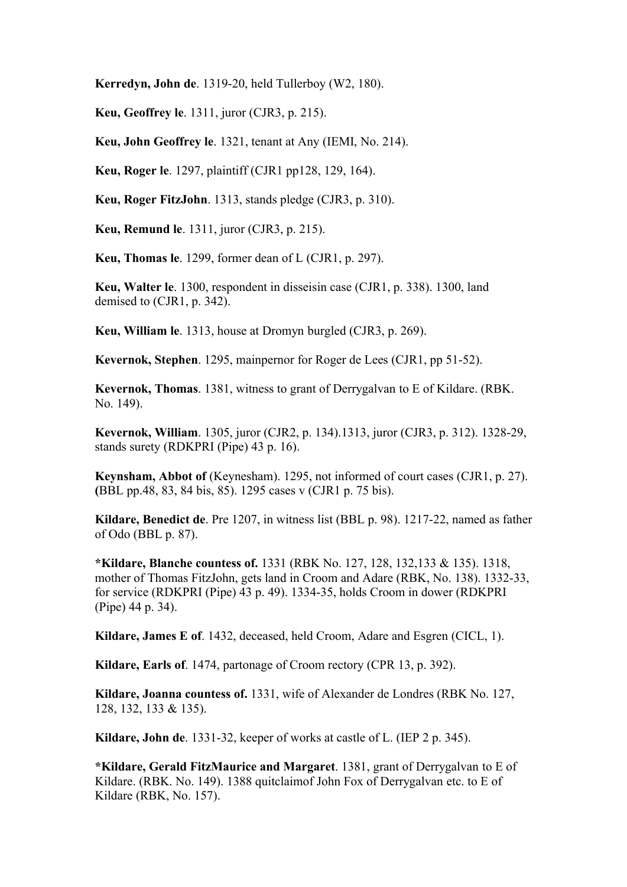**Kerredyn, John de**. 1319-20, held Tullerboy (W2, 180).

**Keu, Geoffrey le**. 1311, juror (CJR3, p. 215).

**Keu, John Geoffrey le**. 1321, tenant at Any (IEMI, No. 214).

**Keu, Roger le**. 1297, plaintiff (CJR1 pp128, 129, 164).

**Keu, Roger FitzJohn**. 1313, stands pledge (CJR3, p. 310).

**Keu, Remund le**. 1311, juror (CJR3, p. 215).

**Keu, Thomas le**. 1299, former dean of L (CJR1, p. 297).

**Keu, Walter le**. 1300, respondent in disseisin case (CJR1, p. 338). 1300, land demised to (CJR1, p. 342).

**Keu, William le**. 1313, house at Dromyn burgled (CJR3, p. 269).

**Kevernok, Stephen**. 1295, mainpernor for Roger de Lees (CJR1, pp 51-52).

**Kevernok, Thomas**. 1381, witness to grant of Derrygalvan to E of Kildare. (RBK. No. 149).

**Kevernok, William**. 1305, juror (CJR2, p. 134).1313, juror (CJR3, p. 312). 1328-29, stands surety (RDKPRI (Pipe) 43 p. 16).

**Keynsham, Abbot of** (Keynesham). 1295, not informed of court cases (CJR1, p. 27). **(**BBL pp.48, 83, 84 bis, 85). 1295 cases v (CJR1 p. 75 bis).

**Kildare, Benedict de**. Pre 1207, in witness list (BBL p. 98). 1217-22, named as father of Odo (BBL p. 87).

**\*Kildare, Blanche countess of.** 1331 (RBK No. 127, 128, 132,133 & 135). 1318, mother of Thomas FitzJohn, gets land in Croom and Adare (RBK, No. 138). 1332-33, for service (RDKPRI (Pipe) 43 p. 49). 1334-35, holds Croom in dower (RDKPRI (Pipe) 44 p. 34).

**Kildare, James E of**. 1432, deceased, held Croom, Adare and Esgren (CICL, 1).

**Kildare, Earls of**. 1474, partonage of Croom rectory (CPR 13, p. 392).

**Kildare, Joanna countess of.** 1331, wife of Alexander de Londres (RBK No. 127, 128, 132, 133 & 135).

**Kildare, John de**. 1331-32, keeper of works at castle of L. (IEP 2 p. 345).

**\*Kildare, Gerald FitzMaurice and Margaret**. 1381, grant of Derrygalvan to E of Kildare. (RBK. No. 149). 1388 quitclaimof John Fox of Derrygalvan etc. to E of Kildare (RBK, No. 157).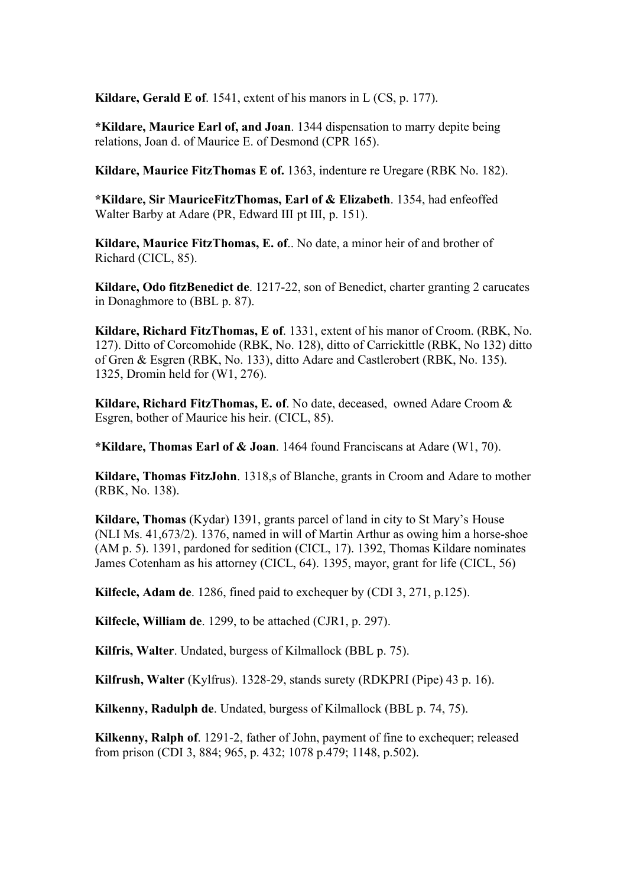**Kildare, Gerald E of**. 1541, extent of his manors in L (CS, p. 177).

**\*Kildare, Maurice Earl of, and Joan**. 1344 dispensation to marry depite being relations, Joan d. of Maurice E. of Desmond (CPR 165).

**Kildare, Maurice FitzThomas E of.** 1363, indenture re Uregare (RBK No. 182).

**\*Kildare, Sir MauriceFitzThomas, Earl of & Elizabeth**. 1354, had enfeoffed Walter Barby at Adare (PR, Edward III pt III, p. 151).

**Kildare, Maurice FitzThomas, E. of**.. No date, a minor heir of and brother of Richard (CICL, 85).

**Kildare, Odo fitzBenedict de**. 1217-22, son of Benedict, charter granting 2 carucates in Donaghmore to (BBL p. 87).

**Kildare, Richard FitzThomas, E of**. 1331, extent of his manor of Croom. (RBK, No. 127). Ditto of Corcomohide (RBK, No. 128), ditto of Carrickittle (RBK, No 132) ditto of Gren & Esgren (RBK, No. 133), ditto Adare and Castlerobert (RBK, No. 135). 1325, Dromin held for (W1, 276).

**Kildare, Richard FitzThomas, E. of**. No date, deceased, owned Adare Croom & Esgren, bother of Maurice his heir. (CICL, 85).

**\*Kildare, Thomas Earl of & Joan**. 1464 found Franciscans at Adare (W1, 70).

**Kildare, Thomas FitzJohn**. 1318,s of Blanche, grants in Croom and Adare to mother (RBK, No. 138).

**Kildare, Thomas** (Kydar) 1391, grants parcel of land in city to St Mary's House (NLI Ms. 41,673/2). 1376, named in will of Martin Arthur as owing him a horse-shoe (AM p. 5). 1391, pardoned for sedition (CICL, 17). 1392, Thomas Kildare nominates James Cotenham as his attorney (CICL, 64). 1395, mayor, grant for life (CICL, 56)

**Kilfecle, Adam de**. 1286, fined paid to exchequer by (CDI 3, 271, p.125).

**Kilfecle, William de**. 1299, to be attached (CJR1, p. 297).

**Kilfris, Walter**. Undated, burgess of Kilmallock (BBL p. 75).

**Kilfrush, Walter** (Kylfrus). 1328-29, stands surety (RDKPRI (Pipe) 43 p. 16).

**Kilkenny, Radulph de**. Undated, burgess of Kilmallock (BBL p. 74, 75).

**Kilkenny, Ralph of**. 1291-2, father of John, payment of fine to exchequer; released from prison (CDI 3, 884; 965, p. 432; 1078 p.479; 1148, p.502).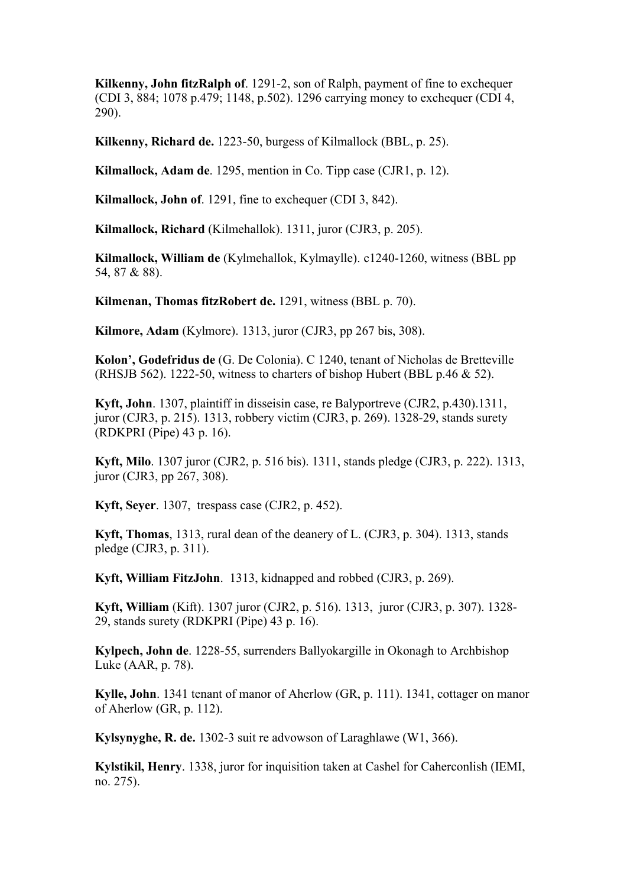**Kilkenny, John fitzRalph of**. 1291-2, son of Ralph, payment of fine to exchequer (CDI 3, 884; 1078 p.479; 1148, p.502). 1296 carrying money to exchequer (CDI 4, 290).

**Kilkenny, Richard de.** 1223-50, burgess of Kilmallock (BBL, p. 25).

**Kilmallock, Adam de**. 1295, mention in Co. Tipp case (CJR1, p. 12).

**Kilmallock, John of**. 1291, fine to exchequer (CDI 3, 842).

**Kilmallock, Richard** (Kilmehallok). 1311, juror (CJR3, p. 205).

**Kilmallock, William de** (Kylmehallok, Kylmaylle). c1240-1260, witness (BBL pp 54, 87 & 88).

**Kilmenan, Thomas fitzRobert de.** 1291, witness (BBL p. 70).

**Kilmore, Adam** (Kylmore). 1313, juror (CJR3, pp 267 bis, 308).

**Kolon', Godefridus de** (G. De Colonia). C 1240, tenant of Nicholas de Bretteville (RHSJB 562). 1222-50, witness to charters of bishop Hubert (BBL p.46  $\&$  52).

**Kyft, John**. 1307, plaintiff in disseisin case, re Balyportreve (CJR2, p.430).1311, juror (CJR3, p. 215). 1313, robbery victim (CJR3, p. 269). 1328-29, stands surety (RDKPRI (Pipe) 43 p. 16).

**Kyft, Milo**. 1307 juror (CJR2, p. 516 bis). 1311, stands pledge (CJR3, p. 222). 1313, juror (CJR3, pp 267, 308).

**Kyft, Seyer**. 1307, trespass case (CJR2, p. 452).

**Kyft, Thomas**, 1313, rural dean of the deanery of L. (CJR3, p. 304). 1313, stands pledge (CJR3, p. 311).

**Kyft, William FitzJohn**. 1313, kidnapped and robbed (CJR3, p. 269).

**Kyft, William** (Kift). 1307 juror (CJR2, p. 516). 1313, juror (CJR3, p. 307). 1328- 29, stands surety (RDKPRI (Pipe) 43 p. 16).

**Kylpech, John de**. 1228-55, surrenders Ballyokargille in Okonagh to Archbishop Luke (AAR, p. 78).

**Kylle, John**. 1341 tenant of manor of Aherlow (GR, p. 111). 1341, cottager on manor of Aherlow (GR, p. 112).

**Kylsynyghe, R. de.** 1302-3 suit re advowson of Laraghlawe (W1, 366).

**Kylstikil, Henry**. 1338, juror for inquisition taken at Cashel for Caherconlish (IEMI, no. 275).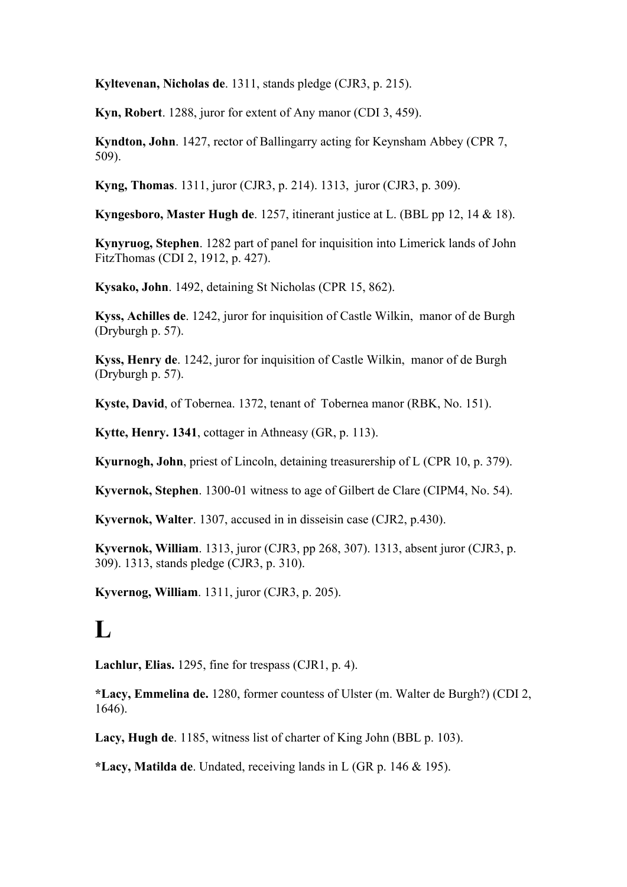**Kyltevenan, Nicholas de**. 1311, stands pledge (CJR3, p. 215).

**Kyn, Robert**. 1288, juror for extent of Any manor (CDI 3, 459).

**Kyndton, John**. 1427, rector of Ballingarry acting for Keynsham Abbey (CPR 7, 509).

**Kyng, Thomas**. 1311, juror (CJR3, p. 214). 1313, juror (CJR3, p. 309).

**Kyngesboro, Master Hugh de**. 1257, itinerant justice at L. (BBL pp 12, 14 & 18).

**Kynyruog, Stephen**. 1282 part of panel for inquisition into Limerick lands of John FitzThomas (CDI 2, 1912, p. 427).

**Kysako, John**. 1492, detaining St Nicholas (CPR 15, 862).

**Kyss, Achilles de**. 1242, juror for inquisition of Castle Wilkin, manor of de Burgh (Dryburgh p. 57).

**Kyss, Henry de**. 1242, juror for inquisition of Castle Wilkin, manor of de Burgh (Dryburgh p. 57).

**Kyste, David**, of Tobernea. 1372, tenant of Tobernea manor (RBK, No. 151).

**Kytte, Henry. 1341**, cottager in Athneasy (GR, p. 113).

**Kyurnogh, John**, priest of Lincoln, detaining treasurership of L (CPR 10, p. 379).

**Kyvernok, Stephen**. 1300-01 witness to age of Gilbert de Clare (CIPM4, No. 54).

**Kyvernok, Walter**. 1307, accused in in disseisin case (CJR2, p.430).

**Kyvernok, William**. 1313, juror (CJR3, pp 268, 307). 1313, absent juror (CJR3, p. 309). 1313, stands pledge (CJR3, p. 310).

**Kyvernog, William**. 1311, juror (CJR3, p. 205).

## $\mathbf{L}$

**Lachlur, Elias.** 1295, fine for trespass (CJR1, p. 4).

**\*Lacy, Emmelina de.** 1280, former countess of Ulster (m. Walter de Burgh?) (CDI 2, 1646).

**Lacy, Hugh de**. 1185, witness list of charter of King John (BBL p. 103).

**\*Lacy, Matilda de**. Undated, receiving lands in L (GR p. 146 & 195).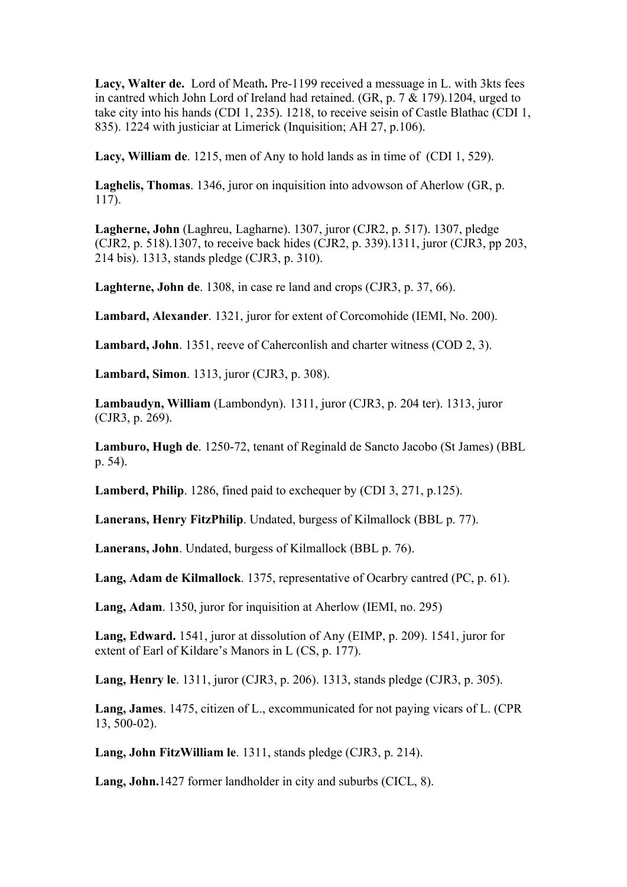**Lacy, Walter de.** Lord of Meath**.** Pre-1199 received a messuage in L. with 3kts fees in cantred which John Lord of Ireland had retained. (GR, p. 7 & 179).1204, urged to take city into his hands (CDI 1, 235). 1218, to receive seisin of Castle Blathac (CDI 1, 835). 1224 with justiciar at Limerick (Inquisition; AH 27, p.106).

**Lacy, William de**. 1215, men of Any to hold lands as in time of (CDI 1, 529).

**Laghelis, Thomas**. 1346, juror on inquisition into advowson of Aherlow (GR, p. 117).

**Lagherne, John** (Laghreu, Lagharne). 1307, juror (CJR2, p. 517). 1307, pledge (CJR2, p. 518).1307, to receive back hides (CJR2, p. 339).1311, juror (CJR3, pp 203, 214 bis). 1313, stands pledge (CJR3, p. 310).

**Laghterne, John de**. 1308, in case re land and crops (CJR3, p. 37, 66).

**Lambard, Alexander**. 1321, juror for extent of Corcomohide (IEMI, No. 200).

**Lambard, John**. 1351, reeve of Caherconlish and charter witness (COD 2, 3).

**Lambard, Simon**. 1313, juror (CJR3, p. 308).

**Lambaudyn, William** (Lambondyn). 1311, juror (CJR3, p. 204 ter). 1313, juror (CJR3, p. 269).

**Lamburo, Hugh de**. 1250-72, tenant of Reginald de Sancto Jacobo (St James) (BBL p. 54).

**Lamberd, Philip**. 1286, fined paid to exchequer by (CDI 3, 271, p.125).

**Lanerans, Henry FitzPhilip**. Undated, burgess of Kilmallock (BBL p. 77).

**Lanerans, John**. Undated, burgess of Kilmallock (BBL p. 76).

**Lang, Adam de Kilmallock**. 1375, representative of Ocarbry cantred (PC, p. 61).

**Lang, Adam**. 1350, juror for inquisition at Aherlow (IEMI, no. 295)

**Lang, Edward.** 1541, juror at dissolution of Any (EIMP, p. 209). 1541, juror for extent of Earl of Kildare's Manors in L (CS, p. 177).

**Lang, Henry le**. 1311, juror (CJR3, p. 206). 1313, stands pledge (CJR3, p. 305).

**Lang, James**. 1475, citizen of L., excommunicated for not paying vicars of L. (CPR 13, 500-02).

**Lang, John FitzWilliam le**. 1311, stands pledge (CJR3, p. 214).

**Lang, John.**1427 former landholder in city and suburbs (CICL, 8).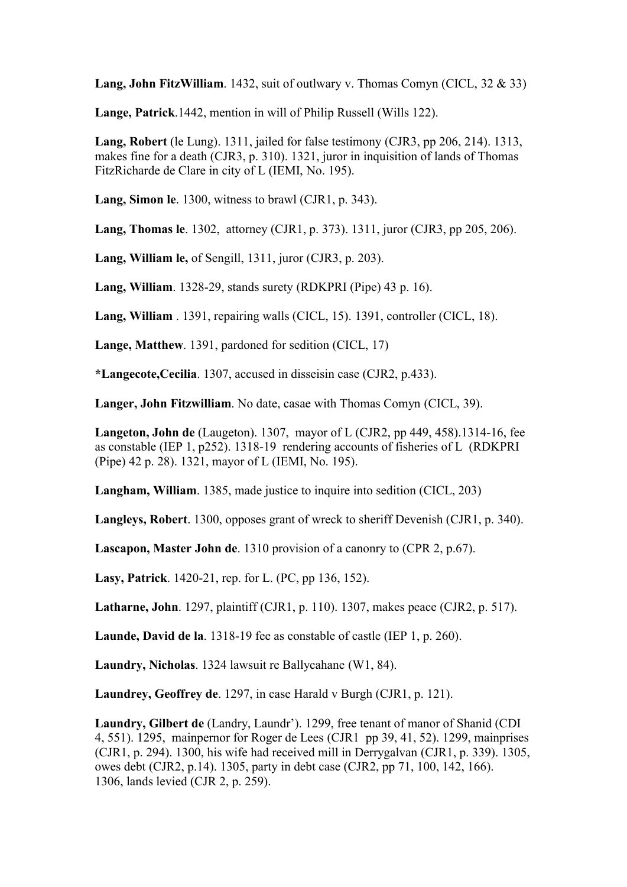**Lang, John FitzWilliam**. 1432, suit of outlwary v. Thomas Comyn (CICL, 32 & 33)

**Lange, Patrick**.1442, mention in will of Philip Russell (Wills 122).

**Lang, Robert** (le Lung). 1311, jailed for false testimony (CJR3, pp 206, 214). 1313, makes fine for a death (CJR3, p. 310). 1321, juror in inquisition of lands of Thomas FitzRicharde de Clare in city of L (IEMI, No. 195).

**Lang, Simon le**. 1300, witness to brawl (CJR1, p. 343).

**Lang, Thomas le**. 1302, attorney (CJR1, p. 373). 1311, juror (CJR3, pp 205, 206).

**Lang, William le,** of Sengill, 1311, juror (CJR3, p. 203).

**Lang, William**. 1328-29, stands surety (RDKPRI (Pipe) 43 p. 16).

**Lang, William** . 1391, repairing walls (CICL, 15). 1391, controller (CICL, 18).

**Lange, Matthew**. 1391, pardoned for sedition (CICL, 17)

**\*Langecote,Cecilia**. 1307, accused in disseisin case (CJR2, p.433).

**Langer, John Fitzwilliam**. No date, casae with Thomas Comyn (CICL, 39).

**Langeton, John de** (Laugeton). 1307, mayor of L (CJR2, pp 449, 458).1314-16, fee as constable (IEP 1, p252). 1318-19 rendering accounts of fisheries of L (RDKPRI (Pipe) 42 p. 28). 1321, mayor of L (IEMI, No. 195).

**Langham, William**. 1385, made justice to inquire into sedition (CICL, 203)

**Langleys, Robert**. 1300, opposes grant of wreck to sheriff Devenish (CJR1, p. 340).

**Lascapon, Master John de**. 1310 provision of a canonry to (CPR 2, p.67).

**Lasy, Patrick**. 1420-21, rep. for L. (PC, pp 136, 152).

**Latharne, John**. 1297, plaintiff (CJR1, p. 110). 1307, makes peace (CJR2, p. 517).

**Launde, David de la**. 1318-19 fee as constable of castle (IEP 1, p. 260).

**Laundry, Nicholas**. 1324 lawsuit re Ballycahane (W1, 84).

**Laundrey, Geoffrey de**. 1297, in case Harald v Burgh (CJR1, p. 121).

**Laundry, Gilbert de** (Landry, Laundr'). 1299, free tenant of manor of Shanid (CDI 4, 551). 1295, mainpernor for Roger de Lees (CJR1 pp 39, 41, 52). 1299, mainprises (CJR1, p. 294). 1300, his wife had received mill in Derrygalvan (CJR1, p. 339). 1305, owes debt (CJR2, p.14). 1305, party in debt case (CJR2, pp 71, 100, 142, 166). 1306, lands levied (CJR 2, p. 259).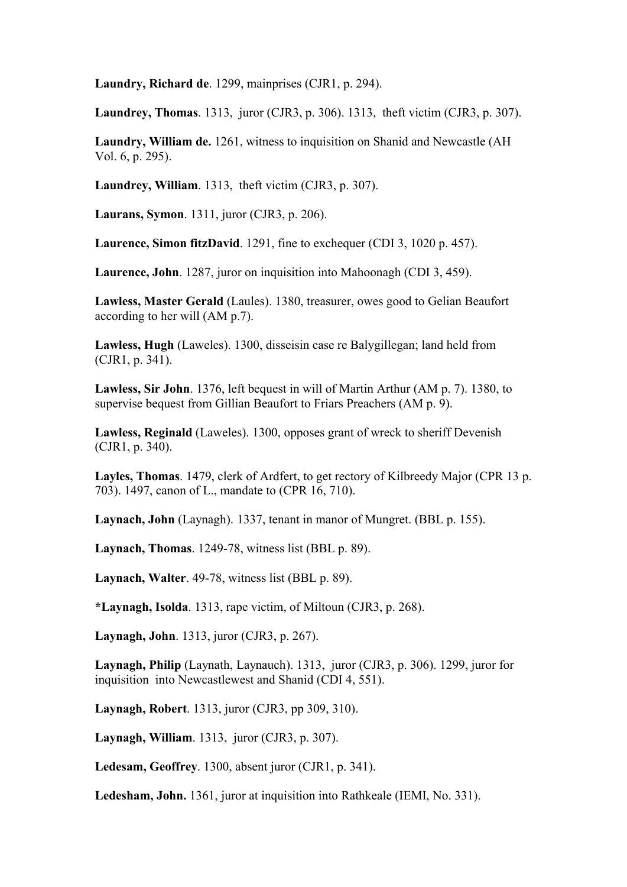**Laundry, Richard de**. 1299, mainprises (CJR1, p. 294).

**Laundrey, Thomas**. 1313, juror (CJR3, p. 306). 1313, theft victim (CJR3, p. 307).

**Laundry, William de.** 1261, witness to inquisition on Shanid and Newcastle (AH Vol. 6, p. 295).

**Laundrey, William**. 1313, theft victim (CJR3, p. 307).

**Laurans, Symon**. 1311, juror (CJR3, p. 206).

**Laurence, Simon fitzDavid**. 1291, fine to exchequer (CDI 3, 1020 p. 457).

**Laurence, John**. 1287, juror on inquisition into Mahoonagh (CDI 3, 459).

**Lawless, Master Gerald** (Laules). 1380, treasurer, owes good to Gelian Beaufort according to her will (AM p.7).

**Lawless, Hugh** (Laweles). 1300, disseisin case re Balygillegan; land held from (CJR1, p. 341).

**Lawless, Sir John**. 1376, left bequest in will of Martin Arthur (AM p. 7). 1380, to supervise bequest from Gillian Beaufort to Friars Preachers (AM p. 9).

**Lawless, Reginald** (Laweles). 1300, opposes grant of wreck to sheriff Devenish (CJR1, p. 340).

**Layles, Thomas**. 1479, clerk of Ardfert, to get rectory of Kilbreedy Major (CPR 13 p. 703). 1497, canon of L., mandate to (CPR 16, 710).

**Laynach, John** (Laynagh). 1337, tenant in manor of Mungret. (BBL p. 155).

**Laynach, Thomas**. 1249-78, witness list (BBL p. 89).

**Laynach, Walter**. 49-78, witness list (BBL p. 89).

**\*Laynagh, Isolda**. 1313, rape victim, of Miltoun (CJR3, p. 268).

**Laynagh, John**. 1313, juror (CJR3, p. 267).

**Laynagh, Philip** (Laynath, Laynauch). 1313, juror (CJR3, p. 306). 1299, juror for inquisition into Newcastlewest and Shanid (CDI 4, 551).

**Laynagh, Robert**. 1313, juror (CJR3, pp 309, 310).

**Laynagh, William**. 1313, juror (CJR3, p. 307).

**Ledesam, Geoffrey**. 1300, absent juror (CJR1, p. 341).

**Ledesham, John.** 1361, juror at inquisition into Rathkeale (IEMI, No. 331).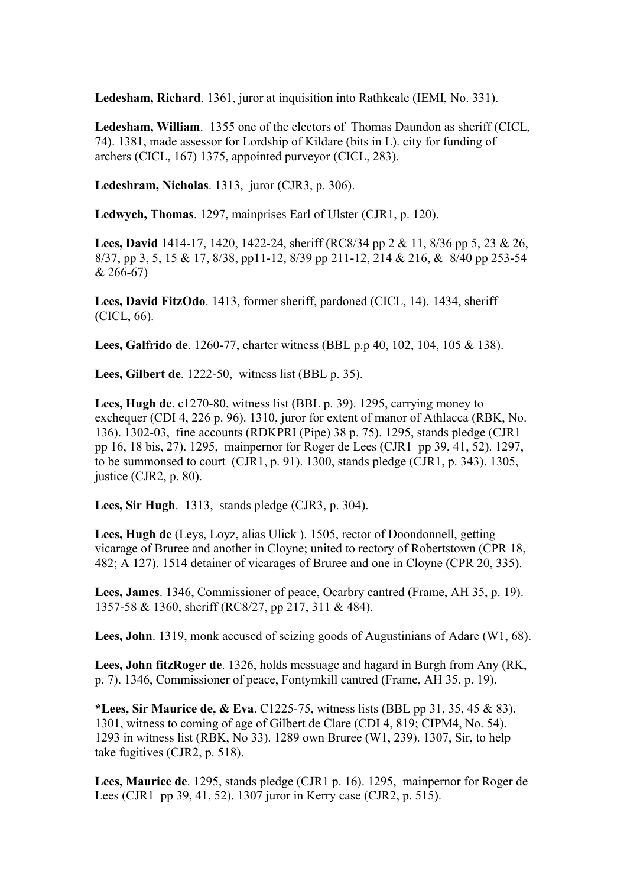**Ledesham, Richard**. 1361, juror at inquisition into Rathkeale (IEMI, No. 331).

**Ledesham, William**. 1355 one of the electors of Thomas Daundon as sheriff (CICL, 74). 1381, made assessor for Lordship of Kildare (bits in L). city for funding of archers (CICL, 167) 1375, appointed purveyor (CICL, 283).

**Ledeshram, Nicholas**. 1313, juror (CJR3, p. 306).

**Ledwych, Thomas**. 1297, mainprises Earl of Ulster (CJR1, p. 120).

**Lees, David** 1414-17, 1420, 1422-24, sheriff (RC8/34 pp 2 & 11, 8/36 pp 5, 23 & 26, 8/37, pp 3, 5, 15 & 17, 8/38, pp11-12, 8/39 pp 211-12, 214 & 216, & 8/40 pp 253-54 & 266-67)

**Lees, David FitzOdo**. 1413, former sheriff, pardoned (CICL, 14). 1434, sheriff (CICL, 66).

**Lees, Galfrido de**. 1260-77, charter witness (BBL p.p 40, 102, 104, 105 & 138).

**Lees, Gilbert de**. 1222-50, witness list (BBL p. 35).

**Lees, Hugh de**. c1270-80, witness list (BBL p. 39). 1295, carrying money to exchequer (CDI 4, 226 p. 96). 1310, juror for extent of manor of Athlacca (RBK, No. 136). 1302-03, fine accounts (RDKPRI (Pipe) 38 p. 75). 1295, stands pledge (CJR1 pp 16, 18 bis, 27). 1295, mainpernor for Roger de Lees (CJR1 pp 39, 41, 52). 1297, to be summonsed to court (CJR1, p. 91). 1300, stands pledge (CJR1, p. 343). 1305, justice (CJR2, p. 80).

**Lees, Sir Hugh**. 1313, stands pledge (CJR3, p. 304).

**Lees, Hugh de** (Leys, Loyz, alias Ulick ). 1505, rector of Doondonnell, getting vicarage of Bruree and another in Cloyne; united to rectory of Robertstown (CPR 18, 482; A 127). 1514 detainer of vicarages of Bruree and one in Cloyne (CPR 20, 335).

**Lees, James**. 1346, Commissioner of peace, Ocarbry cantred (Frame, AH 35, p. 19). 1357-58 & 1360, sheriff (RC8/27, pp 217, 311 & 484).

**Lees, John**. 1319, monk accused of seizing goods of Augustinians of Adare (W1, 68).

**Lees, John fitzRoger de**. 1326, holds messuage and hagard in Burgh from Any (RK, p. 7). 1346, Commissioner of peace, Fontymkill cantred (Frame, AH 35, p. 19).

**\*Lees, Sir Maurice de, & Eva**. C1225-75, witness lists (BBL pp 31, 35, 45 & 83). 1301, witness to coming of age of Gilbert de Clare (CDI 4, 819; CIPM4, No. 54). 1293 in witness list (RBK, No 33). 1289 own Bruree (W1, 239). 1307, Sir, to help take fugitives (CJR2, p. 518).

**Lees, Maurice de**. 1295, stands pledge (CJR1 p. 16). 1295, mainpernor for Roger de Lees (CJR1 pp 39, 41, 52). 1307 juror in Kerry case (CJR2, p. 515).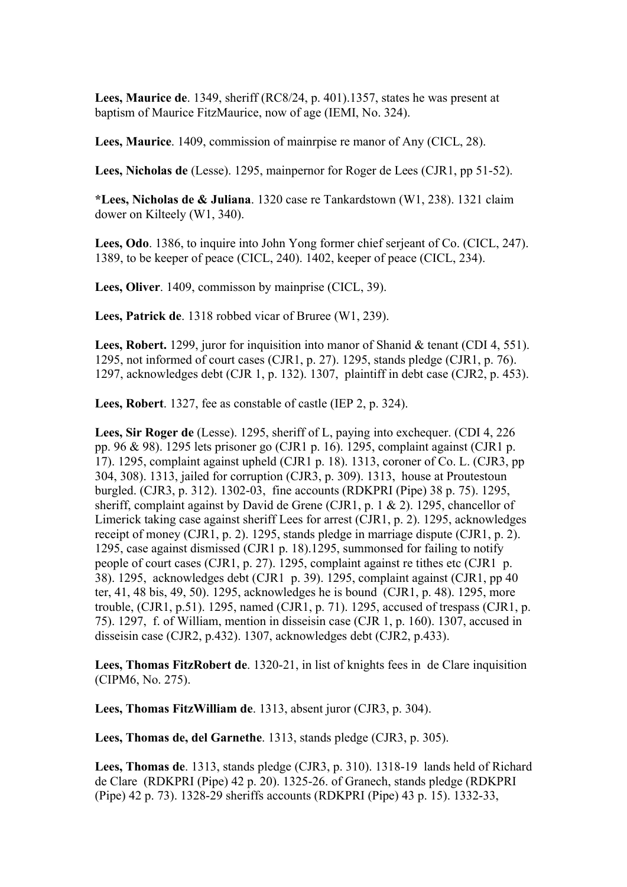**Lees, Maurice de**. 1349, sheriff (RC8/24, p. 401).1357, states he was present at baptism of Maurice FitzMaurice, now of age (IEMI, No. 324).

**Lees, Maurice**. 1409, commission of mainrpise re manor of Any (CICL, 28).

**Lees, Nicholas de** (Lesse). 1295, mainpernor for Roger de Lees (CJR1, pp 51-52).

**\*Lees, Nicholas de & Juliana**. 1320 case re Tankardstown (W1, 238). 1321 claim dower on Kilteely (W1, 340).

**Lees, Odo**. 1386, to inquire into John Yong former chief serjeant of Co. (CICL, 247). 1389, to be keeper of peace (CICL, 240). 1402, keeper of peace (CICL, 234).

**Lees, Oliver**. 1409, commisson by mainprise (CICL, 39).

**Lees, Patrick de**. 1318 robbed vicar of Bruree (W1, 239).

Lees, Robert. 1299, juror for inquisition into manor of Shanid & tenant (CDI 4, 551). 1295, not informed of court cases (CJR1, p. 27). 1295, stands pledge (CJR1, p. 76). 1297, acknowledges debt (CJR 1, p. 132). 1307, plaintiff in debt case (CJR2, p. 453).

**Lees, Robert**. 1327, fee as constable of castle (IEP 2, p. 324).

**Lees, Sir Roger de** (Lesse). 1295, sheriff of L, paying into exchequer. (CDI 4, 226 pp. 96 & 98). 1295 lets prisoner go (CJR1 p. 16). 1295, complaint against (CJR1 p. 17). 1295, complaint against upheld (CJR1 p. 18). 1313, coroner of Co. L. (CJR3, pp 304, 308). 1313, jailed for corruption (CJR3, p. 309). 1313, house at Proutestoun burgled. (CJR3, p. 312). 1302-03, fine accounts (RDKPRI (Pipe) 38 p. 75). 1295, sheriff, complaint against by David de Grene (CJR1, p. 1 & 2). 1295, chancellor of Limerick taking case against sheriff Lees for arrest (CJR1, p. 2). 1295, acknowledges receipt of money (CJR1, p. 2). 1295, stands pledge in marriage dispute (CJR1, p. 2). 1295, case against dismissed (CJR1 p. 18).1295, summonsed for failing to notify people of court cases (CJR1, p. 27). 1295, complaint against re tithes etc (CJR1 p. 38). 1295, acknowledges debt (CJR1 p. 39). 1295, complaint against (CJR1, pp 40 ter, 41, 48 bis, 49, 50). 1295, acknowledges he is bound (CJR1, p. 48). 1295, more trouble, (CJR1, p.51). 1295, named (CJR1, p. 71). 1295, accused of trespass (CJR1, p. 75). 1297, f. of William, mention in disseisin case (CJR 1, p. 160). 1307, accused in disseisin case (CJR2, p.432). 1307, acknowledges debt (CJR2, p.433).

**Lees, Thomas FitzRobert de**. 1320-21, in list of knights fees in de Clare inquisition (CIPM6, No. 275).

**Lees, Thomas FitzWilliam de**. 1313, absent juror (CJR3, p. 304).

**Lees, Thomas de, del Garnethe**. 1313, stands pledge (CJR3, p. 305).

**Lees, Thomas de**. 1313, stands pledge (CJR3, p. 310). 1318-19 lands held of Richard de Clare (RDKPRI (Pipe) 42 p. 20). 1325-26. of Granech, stands pledge (RDKPRI (Pipe) 42 p. 73). 1328-29 sheriffs accounts (RDKPRI (Pipe) 43 p. 15). 1332-33,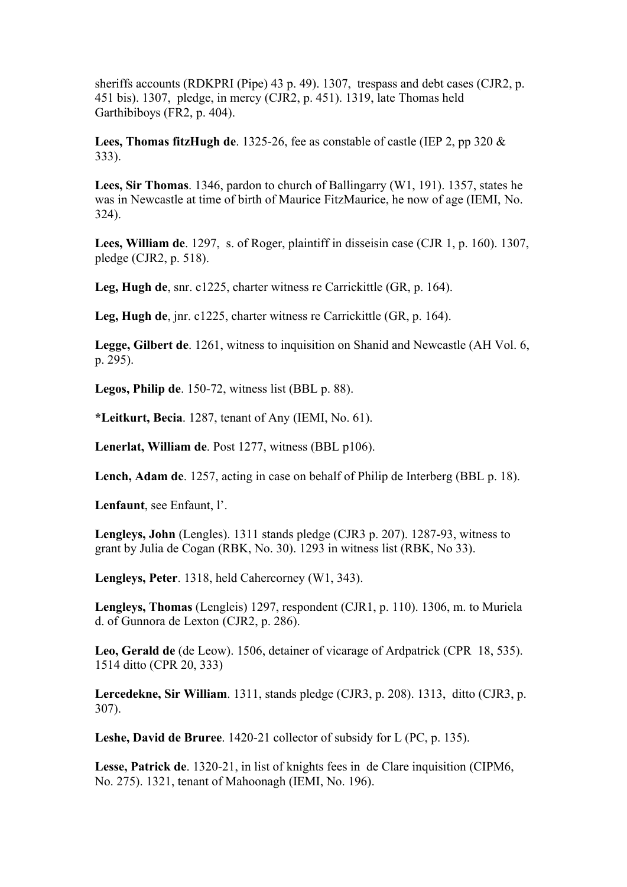sheriffs accounts (RDKPRI (Pipe) 43 p. 49). 1307, trespass and debt cases (CJR2, p. 451 bis). 1307, pledge, in mercy (CJR2, p. 451). 1319, late Thomas held Garthibiboys (FR2, p. 404).

**Lees, Thomas fitzHugh de**. 1325-26, fee as constable of castle (IEP 2, pp 320 & 333).

**Lees, Sir Thomas**. 1346, pardon to church of Ballingarry (W1, 191). 1357, states he was in Newcastle at time of birth of Maurice FitzMaurice, he now of age (IEMI, No. 324).

**Lees, William de**. 1297, s. of Roger, plaintiff in disseisin case (CJR 1, p. 160). 1307, pledge (CJR2, p. 518).

**Leg, Hugh de**, snr. c1225, charter witness re Carrickittle (GR, p. 164).

**Leg, Hugh de**, jnr. c1225, charter witness re Carrickittle (GR, p. 164).

**Legge, Gilbert de**. 1261, witness to inquisition on Shanid and Newcastle (AH Vol. 6, p. 295).

**Legos, Philip de**. 150-72, witness list (BBL p. 88).

**\*Leitkurt, Becia**. 1287, tenant of Any (IEMI, No. 61).

**Lenerlat, William de**. Post 1277, witness (BBL p106).

**Lench, Adam de**. 1257, acting in case on behalf of Philip de Interberg (BBL p. 18).

**Lenfaunt**, see Enfaunt, l'.

**Lengleys, John** (Lengles). 1311 stands pledge (CJR3 p. 207). 1287-93, witness to grant by Julia de Cogan (RBK, No. 30). 1293 in witness list (RBK, No 33).

**Lengleys, Peter**. 1318, held Cahercorney (W1, 343).

**Lengleys, Thomas** (Lengleis) 1297, respondent (CJR1, p. 110). 1306, m. to Muriela d. of Gunnora de Lexton (CJR2, p. 286).

**Leo, Gerald de** (de Leow). 1506, detainer of vicarage of Ardpatrick (CPR 18, 535). 1514 ditto (CPR 20, 333)

**Lercedekne, Sir William**. 1311, stands pledge (CJR3, p. 208). 1313, ditto (CJR3, p. 307).

**Leshe, David de Bruree**. 1420-21 collector of subsidy for L (PC, p. 135).

**Lesse, Patrick de**. 1320-21, in list of knights fees in de Clare inquisition (CIPM6, No. 275). 1321, tenant of Mahoonagh (IEMI, No. 196).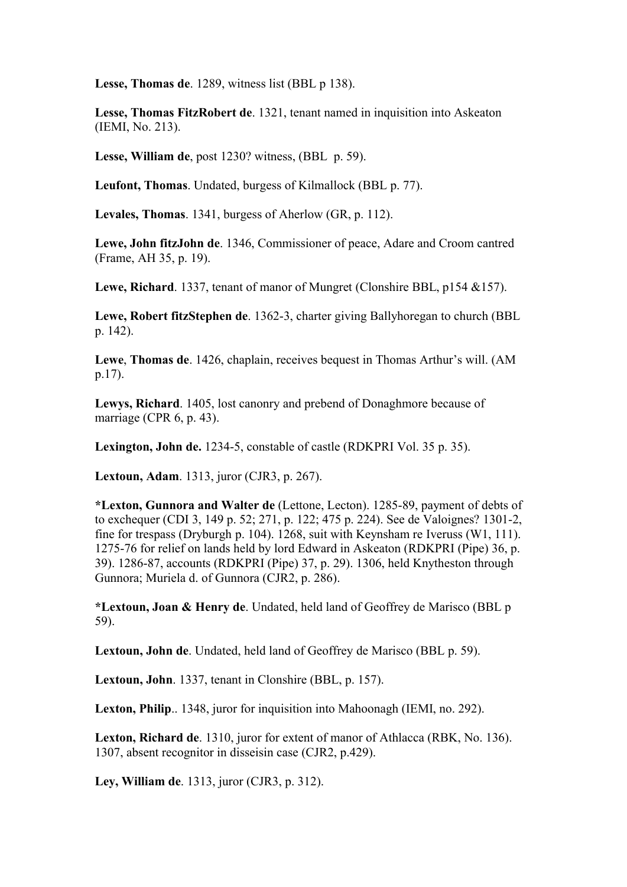**Lesse, Thomas de**. 1289, witness list (BBL p 138).

**Lesse, Thomas FitzRobert de**. 1321, tenant named in inquisition into Askeaton (IEMI, No. 213).

**Lesse, William de**, post 1230? witness, (BBL p. 59).

**Leufont, Thomas**. Undated, burgess of Kilmallock (BBL p. 77).

**Levales, Thomas**. 1341, burgess of Aherlow (GR, p. 112).

**Lewe, John fitzJohn de**. 1346, Commissioner of peace, Adare and Croom cantred (Frame, AH 35, p. 19).

**Lewe, Richard**. 1337, tenant of manor of Mungret (Clonshire BBL, p154 &157).

**Lewe, Robert fitzStephen de**. 1362-3, charter giving Ballyhoregan to church (BBL p. 142).

**Lewe**, **Thomas de**. 1426, chaplain, receives bequest in Thomas Arthur's will. (AM p.17).

**Lewys, Richard**. 1405, lost canonry and prebend of Donaghmore because of marriage (CPR 6, p. 43).

**Lexington, John de.** 1234-5, constable of castle (RDKPRI Vol. 35 p. 35).

**Lextoun, Adam**. 1313, juror (CJR3, p. 267).

**\*Lexton, Gunnora and Walter de** (Lettone, Lecton). 1285-89, payment of debts of to exchequer (CDI 3, 149 p. 52; 271, p. 122; 475 p. 224). See de Valoignes? 1301-2, fine for trespass (Dryburgh p. 104). 1268, suit with Keynsham re Iveruss (W1, 111). 1275-76 for relief on lands held by lord Edward in Askeaton (RDKPRI (Pipe) 36, p. 39). 1286-87, accounts (RDKPRI (Pipe) 37, p. 29). 1306, held Knytheston through Gunnora; Muriela d. of Gunnora (CJR2, p. 286).

**\*Lextoun, Joan & Henry de**. Undated, held land of Geoffrey de Marisco (BBL p 59).

**Lextoun, John de**. Undated, held land of Geoffrey de Marisco (BBL p. 59).

**Lextoun, John**. 1337, tenant in Clonshire (BBL, p. 157).

**Lexton, Philip**.. 1348, juror for inquisition into Mahoonagh (IEMI, no. 292).

**Lexton, Richard de**. 1310, juror for extent of manor of Athlacca (RBK, No. 136). 1307, absent recognitor in disseisin case (CJR2, p.429).

**Ley, William de**. 1313, juror (CJR3, p. 312).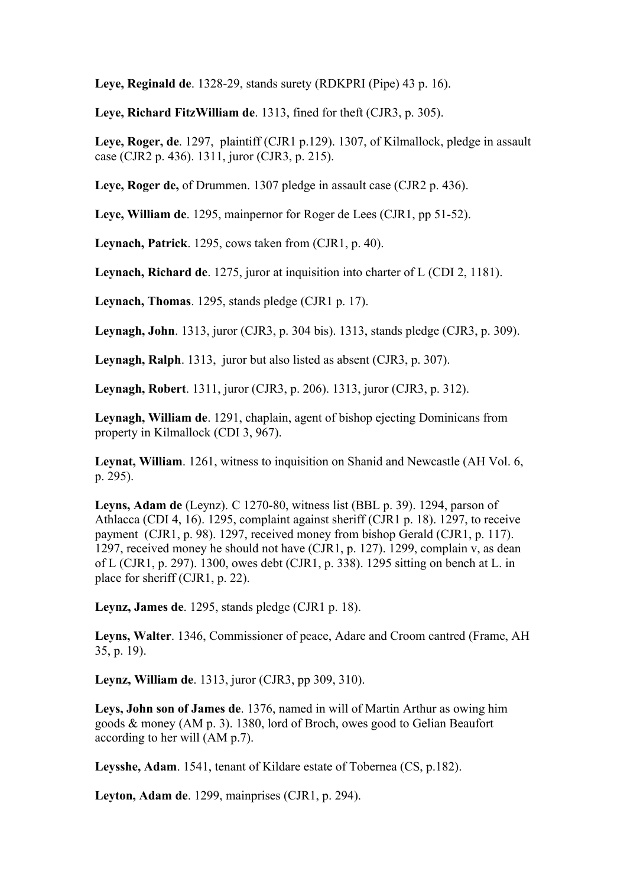**Leye, Reginald de**. 1328-29, stands surety (RDKPRI (Pipe) 43 p. 16).

**Leye, Richard FitzWilliam de**. 1313, fined for theft (CJR3, p. 305).

**Leye, Roger, de**. 1297, plaintiff (CJR1 p.129). 1307, of Kilmallock, pledge in assault case (CJR2 p. 436). 1311, juror (CJR3, p. 215).

**Leye, Roger de,** of Drummen. 1307 pledge in assault case (CJR2 p. 436).

**Leye, William de**. 1295, mainpernor for Roger de Lees (CJR1, pp 51-52).

**Leynach, Patrick**. 1295, cows taken from (CJR1, p. 40).

**Leynach, Richard de**. 1275, juror at inquisition into charter of L (CDI 2, 1181).

**Leynach, Thomas**. 1295, stands pledge (CJR1 p. 17).

**Leynagh, John**. 1313, juror (CJR3, p. 304 bis). 1313, stands pledge (CJR3, p. 309).

**Leynagh, Ralph**. 1313, juror but also listed as absent (CJR3, p. 307).

**Leynagh, Robert**. 1311, juror (CJR3, p. 206). 1313, juror (CJR3, p. 312).

**Leynagh, William de**. 1291, chaplain, agent of bishop ejecting Dominicans from property in Kilmallock (CDI 3, 967).

**Leynat, William**. 1261, witness to inquisition on Shanid and Newcastle (AH Vol. 6, p. 295).

**Leyns, Adam de** (Leynz). C 1270-80, witness list (BBL p. 39). 1294, parson of Athlacca (CDI 4, 16). 1295, complaint against sheriff (CJR1 p. 18). 1297, to receive payment (CJR1, p. 98). 1297, received money from bishop Gerald (CJR1, p. 117). 1297, received money he should not have (CJR1, p. 127). 1299, complain v, as dean of L (CJR1, p. 297). 1300, owes debt (CJR1, p. 338). 1295 sitting on bench at L. in place for sheriff (CJR1, p. 22).

**Leynz, James de**. 1295, stands pledge (CJR1 p. 18).

**Leyns, Walter**. 1346, Commissioner of peace, Adare and Croom cantred (Frame, AH 35, p. 19).

**Leynz, William de**. 1313, juror (CJR3, pp 309, 310).

**Leys, John son of James de**. 1376, named in will of Martin Arthur as owing him goods & money (AM p. 3). 1380, lord of Broch, owes good to Gelian Beaufort according to her will (AM p.7).

**Leysshe, Adam**. 1541, tenant of Kildare estate of Tobernea (CS, p.182).

**Leyton, Adam de**. 1299, mainprises (CJR1, p. 294).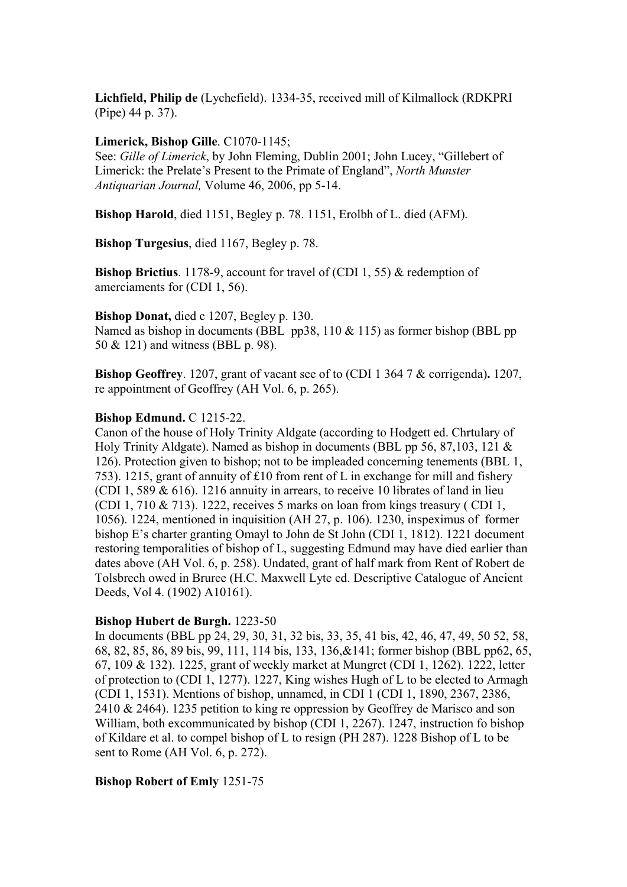**Lichfield, Philip de** (Lychefield). 1334-35, received mill of Kilmallock (RDKPRI (Pipe) 44 p. 37).

#### **Limerick, Bishop Gille**. C1070-1145;

See: *Gille of Limerick*, by John Fleming, Dublin 2001; John Lucey, "Gillebert of Limerick: the Prelate's Present to the Primate of England", *North Munster Antiquarian Journal,* Volume 46, 2006, pp 5-14.

**Bishop Harold**, died 1151, Begley p. 78. 1151, Erolbh of L. died (AFM).

**Bishop Turgesius**, died 1167, Begley p. 78.

**Bishop Brictius**. 1178-9, account for travel of (CDI 1, 55) & redemption of amerciaments for (CDI 1, 56).

#### **Bishop Donat,** died c 1207, Begley p. 130.

Named as bishop in documents (BBL pp38, 110 & 115) as former bishop (BBL pp 50 & 121) and witness (BBL p. 98).

**Bishop Geoffrey**. 1207, grant of vacant see of to (CDI 1 364 7 & corrigenda)**.** 1207, re appointment of Geoffrey (AH Vol. 6, p. 265).

#### **Bishop Edmund.** C 1215-22.

Canon of the house of Holy Trinity Aldgate (according to Hodgett ed. Chrtulary of Holy Trinity Aldgate). Named as bishop in documents (BBL pp 56, 87,103, 121 & 126). Protection given to bishop; not to be impleaded concerning tenements (BBL 1, 753). 1215, grant of annuity of £10 from rent of L in exchange for mill and fishery (CDI 1, 589 & 616). 1216 annuity in arrears, to receive 10 librates of land in lieu (CDI 1, 710  $\&$  713). 1222, receives 5 marks on loan from kings treasury (CDI 1, 1056). 1224, mentioned in inquisition (AH 27, p. 106). 1230, inspeximus of former bishop E's charter granting Omayl to John de St John (CDI 1, 1812). 1221 document restoring temporalities of bishop of L, suggesting Edmund may have died earlier than dates above (AH Vol. 6, p. 258). Undated, grant of half mark from Rent of Robert de Tolsbrech owed in Bruree (H.C. Maxwell Lyte ed. Descriptive Catalogue of Ancient Deeds, Vol 4. (1902) A10161).

#### **Bishop Hubert de Burgh.** 1223-50

In documents (BBL pp 24, 29, 30, 31, 32 bis, 33, 35, 41 bis, 42, 46, 47, 49, 50 52, 58, 68, 82, 85, 86, 89 bis, 99, 111, 114 bis, 133, 136,&141; former bishop (BBL pp62, 65, 67, 109 & 132). 1225, grant of weekly market at Mungret (CDI 1, 1262). 1222, letter of protection to (CDI 1, 1277). 1227, King wishes Hugh of L to be elected to Armagh (CDI 1, 1531). Mentions of bishop, unnamed, in CDI 1 (CDI 1, 1890, 2367, 2386, 2410 & 2464). 1235 petition to king re oppression by Geoffrey de Marisco and son William, both excommunicated by bishop (CDI 1, 2267). 1247, instruction fo bishop of Kildare et al. to compel bishop of L to resign (PH 287). 1228 Bishop of L to be sent to Rome (AH Vol. 6, p. 272).

#### **Bishop Robert of Emly** 1251-75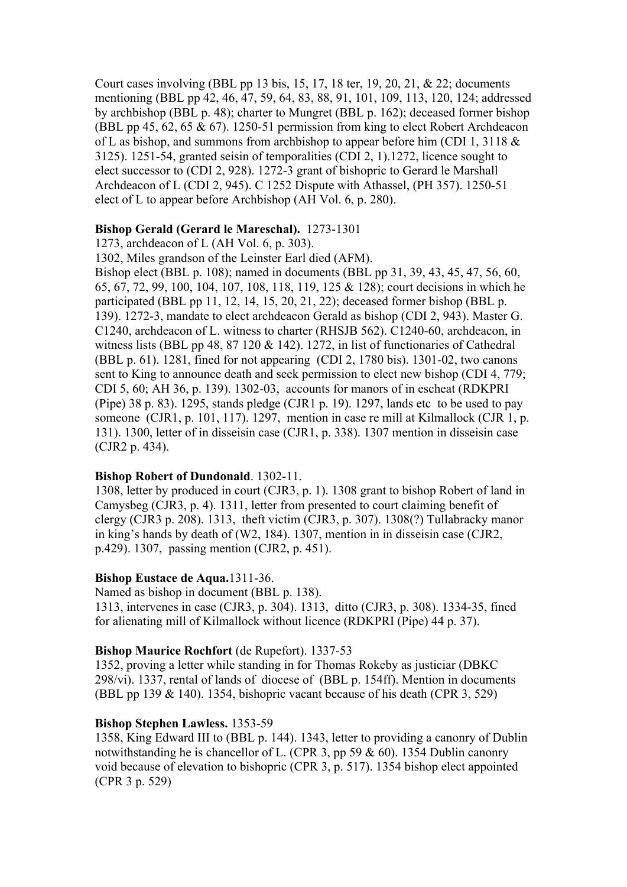Court cases involving (BBL pp 13 bis, 15, 17, 18 ter, 19, 20, 21, & 22; documents mentioning (BBL pp 42, 46, 47, 59, 64, 83, 88, 91, 101, 109, 113, 120, 124; addressed by archbishop (BBL p. 48); charter to Mungret (BBL p. 162); deceased former bishop (BBL pp 45, 62, 65 & 67). 1250-51 permission from king to elect Robert Archdeacon of L as bishop, and summons from archbishop to appear before him (CDI 1, 3118 & 3125). 1251-54, granted seisin of temporalities (CDI 2, 1).1272, licence sought to elect successor to (CDI 2, 928). 1272-3 grant of bishopric to Gerard le Marshall Archdeacon of L (CDI 2, 945). C 1252 Dispute with Athassel, (PH 357). 1250-51 elect of L to appear before Archbishop (AH Vol. 6, p. 280).

#### **Bishop Gerald (Gerard le Mareschal).** 1273-1301

1273, archdeacon of L (AH Vol. 6, p. 303).

1302, Miles grandson of the Leinster Earl died (AFM).

Bishop elect (BBL p. 108); named in documents (BBL pp 31, 39, 43, 45, 47, 56, 60, 65, 67, 72, 99, 100, 104, 107, 108, 118, 119, 125 & 128); court decisions in which he participated (BBL pp 11, 12, 14, 15, 20, 21, 22); deceased former bishop (BBL p. 139). 1272-3, mandate to elect archdeacon Gerald as bishop (CDI 2, 943). Master G. C1240, archdeacon of L. witness to charter (RHSJB 562). C1240-60, archdeacon, in witness lists (BBL pp 48, 87 120 & 142). 1272, in list of functionaries of Cathedral (BBL p. 61). 1281, fined for not appearing (CDI 2, 1780 bis). 1301-02, two canons sent to King to announce death and seek permission to elect new bishop (CDI 4, 779; CDI 5, 60; AH 36, p. 139). 1302-03, accounts for manors of in escheat (RDKPRI (Pipe) 38 p. 83). 1295, stands pledge (CJR1 p. 19). 1297, lands etc to be used to pay someone (CJR1, p. 101, 117). 1297, mention in case re mill at Kilmallock (CJR 1, p. 131). 1300, letter of in disseisin case (CJR1, p. 338). 1307 mention in disseisin case (CJR2 p. 434).

#### **Bishop Robert of Dundonald**. 1302-11.

1308, letter by produced in court (CJR3, p. 1). 1308 grant to bishop Robert of land in Camysbeg (CJR3, p. 4). 1311, letter from presented to court claiming benefit of clergy (CJR3 p. 208). 1313, theft victim (CJR3, p. 307). 1308(?) Tullabracky manor in king's hands by death of (W2, 184). 1307, mention in in disseisin case (CJR2, p.429). 1307, passing mention (CJR2, p. 451).

#### **Bishop Eustace de Aqua.**1311-36.

Named as bishop in document (BBL p. 138). 1313, intervenes in case (CJR3, p. 304). 1313, ditto (CJR3, p. 308). 1334-35, fined

for alienating mill of Kilmallock without licence (RDKPRI (Pipe) 44 p. 37).

## **Bishop Maurice Rochfort** (de Rupefort). 1337-53

1352, proving a letter while standing in for Thomas Rokeby as justiciar (DBKC 298/vi). 1337, rental of lands of diocese of (BBL p. 154ff). Mention in documents (BBL pp 139  $&$  140). 1354, bishopric vacant because of his death (CPR 3, 529)

## **Bishop Stephen Lawless.** 1353-59

1358, King Edward III to (BBL p. 144). 1343, letter to providing a canonry of Dublin notwithstanding he is chancellor of L. (CPR 3, pp 59 & 60). 1354 Dublin canonry void because of elevation to bishopric (CPR 3, p. 517). 1354 bishop elect appointed (CPR 3 p. 529)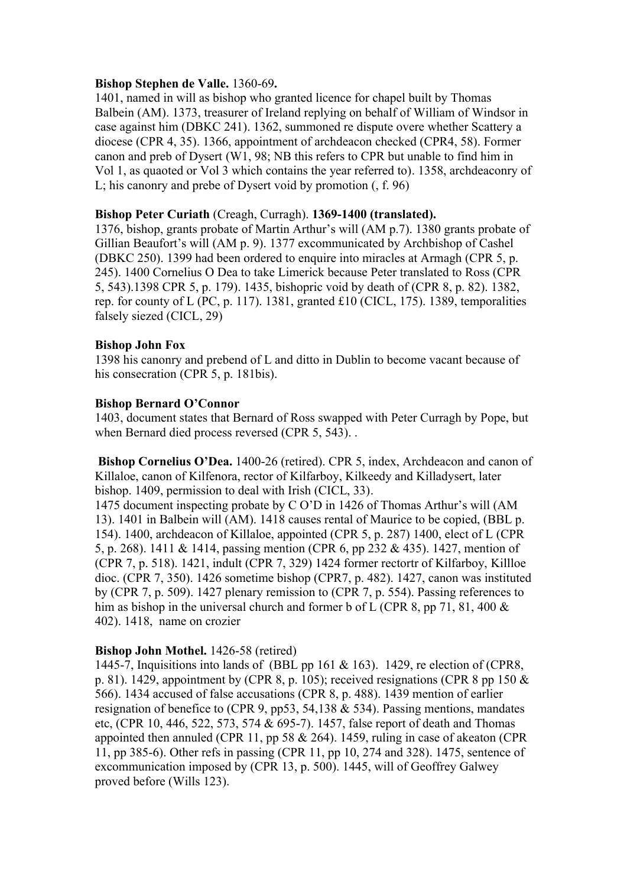#### **Bishop Stephen de Valle.** 1360-69**.**

1401, named in will as bishop who granted licence for chapel built by Thomas Balbein (AM). 1373, treasurer of Ireland replying on behalf of William of Windsor in case against him (DBKC 241). 1362, summoned re dispute overe whether Scattery a diocese (CPR 4, 35). 1366, appointment of archdeacon checked (CPR4, 58). Former canon and preb of Dysert (W1, 98; NB this refers to CPR but unable to find him in Vol 1, as quaoted or Vol 3 which contains the year referred to). 1358, archdeaconry of L; his canonry and prebe of Dysert void by promotion (, f. 96)

#### **Bishop Peter Curiath** (Creagh, Curragh). **1369-1400 (translated).**

1376, bishop, grants probate of Martin Arthur's will (AM p.7). 1380 grants probate of Gillian Beaufort's will (AM p. 9). 1377 excommunicated by Archbishop of Cashel (DBKC 250). 1399 had been ordered to enquire into miracles at Armagh (CPR 5, p. 245). 1400 Cornelius O Dea to take Limerick because Peter translated to Ross (CPR 5, 543).1398 CPR 5, p. 179). 1435, bishopric void by death of (CPR 8, p. 82). 1382, rep. for county of L (PC, p. 117). 1381, granted £10 (CICL, 175). 1389, temporalities falsely siezed (CICL, 29)

#### **Bishop John Fox**

1398 his canonry and prebend of L and ditto in Dublin to become vacant because of his consecration (CPR 5, p. 181bis).

#### **Bishop Bernard O'Connor**

1403, document states that Bernard of Ross swapped with Peter Curragh by Pope, but when Bernard died process reversed (CPR 5, 543). .

 **Bishop Cornelius O'Dea.** 1400-26 (retired). CPR 5, index, Archdeacon and canon of Killaloe, canon of Kilfenora, rector of Kilfarboy, Kilkeedy and Killadysert, later bishop. 1409, permission to deal with Irish (CICL, 33).

1475 document inspecting probate by C O'D in 1426 of Thomas Arthur's will (AM 13). 1401 in Balbein will (AM). 1418 causes rental of Maurice to be copied, (BBL p. 154). 1400, archdeacon of Killaloe, appointed (CPR 5, p. 287) 1400, elect of L (CPR 5, p. 268). 1411 & 1414, passing mention (CPR 6, pp 232 & 435). 1427, mention of (CPR 7, p. 518). 1421, indult (CPR 7, 329) 1424 former rectortr of Kilfarboy, Killloe dioc. (CPR 7, 350). 1426 sometime bishop (CPR7, p. 482). 1427, canon was instituted by (CPR 7, p. 509). 1427 plenary remission to (CPR 7, p. 554). Passing references to him as bishop in the universal church and former b of L (CPR 8, pp 71, 81, 400  $\&$ 402). 1418, name on crozier

## **Bishop John Mothel.** 1426-58 (retired)

1445-7, Inquisitions into lands of (BBL pp 161 & 163). 1429, re election of (CPR8, p. 81). 1429, appointment by (CPR 8, p. 105); received resignations (CPR 8 pp 150 & 566). 1434 accused of false accusations (CPR 8, p. 488). 1439 mention of earlier resignation of benefice to (CPR 9, pp53, 54,138 & 534). Passing mentions, mandates etc, (CPR 10, 446, 522, 573, 574 & 695-7). 1457, false report of death and Thomas appointed then annuled (CPR 11, pp 58 & 264). 1459, ruling in case of akeaton (CPR 11, pp 385-6). Other refs in passing (CPR 11, pp 10, 274 and 328). 1475, sentence of excommunication imposed by (CPR 13, p. 500). 1445, will of Geoffrey Galwey proved before (Wills 123).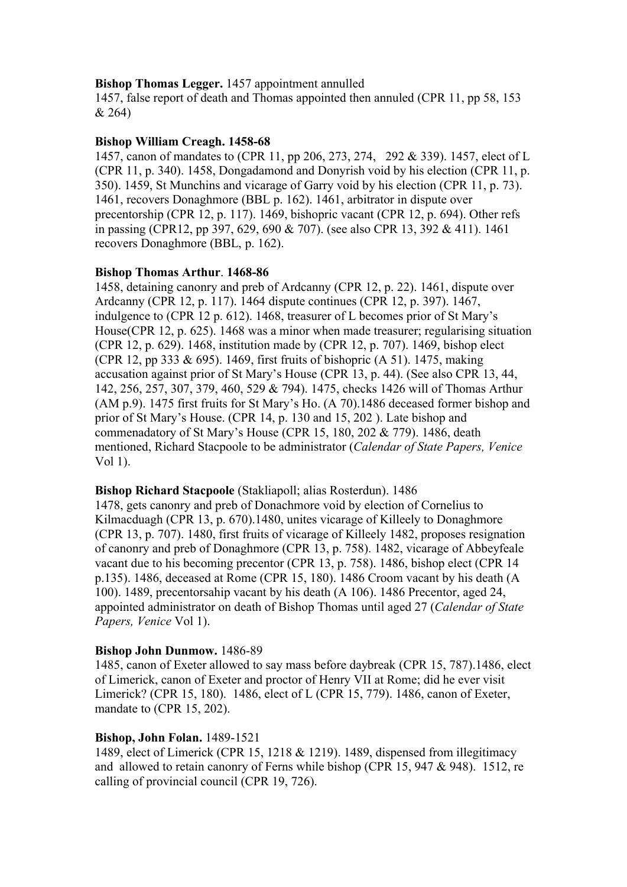#### **Bishop Thomas Legger.** 1457 appointment annulled

1457, false report of death and Thomas appointed then annuled (CPR 11, pp 58, 153 & 264)

#### **Bishop William Creagh. 1458-68**

1457, canon of mandates to (CPR 11, pp 206, 273, 274, 292 & 339). 1457, elect of L (CPR 11, p. 340). 1458, Dongadamond and Donyrish void by his election (CPR 11, p. 350). 1459, St Munchins and vicarage of Garry void by his election (CPR 11, p. 73). 1461, recovers Donaghmore (BBL p. 162). 1461, arbitrator in dispute over precentorship (CPR 12, p. 117). 1469, bishopric vacant (CPR 12, p. 694). Other refs in passing (CPR12, pp 397, 629, 690 & 707). (see also CPR 13, 392 & 411). 1461 recovers Donaghmore (BBL, p. 162).

#### **Bishop Thomas Arthur**. **1468-86**

1458, detaining canonry and preb of Ardcanny (CPR 12, p. 22). 1461, dispute over Ardcanny (CPR 12, p. 117). 1464 dispute continues (CPR 12, p. 397). 1467, indulgence to (CPR 12 p. 612). 1468, treasurer of L becomes prior of St Mary's House(CPR 12, p. 625). 1468 was a minor when made treasurer; regularising situation (CPR 12, p. 629). 1468, institution made by (CPR 12, p. 707). 1469, bishop elect (CPR 12, pp 333 & 695). 1469, first fruits of bishopric (A 51). 1475, making accusation against prior of St Mary's House (CPR 13, p. 44). (See also CPR 13, 44, 142, 256, 257, 307, 379, 460, 529 & 794). 1475, checks 1426 will of Thomas Arthur (AM p.9). 1475 first fruits for St Mary's Ho. (A 70).1486 deceased former bishop and prior of St Mary's House. (CPR 14, p. 130 and 15, 202 ). Late bishop and commenadatory of St Mary's House (CPR 15, 180, 202 & 779). 1486, death mentioned, Richard Stacpoole to be administrator (*Calendar of State Papers, Venice* Vol 1).

#### **Bishop Richard Stacpoole** (Stakliapoll; alias Rosterdun). 1486

1478, gets canonry and preb of Donachmore void by election of Cornelius to Kilmacduagh (CPR 13, p. 670).1480, unites vicarage of Killeely to Donaghmore (CPR 13, p. 707). 1480, first fruits of vicarage of Killeely 1482, proposes resignation of canonry and preb of Donaghmore (CPR 13, p. 758). 1482, vicarage of Abbeyfeale vacant due to his becoming precentor (CPR 13, p. 758). 1486, bishop elect (CPR 14 p.135). 1486, deceased at Rome (CPR 15, 180). 1486 Croom vacant by his death (A 100). 1489, precentorsahip vacant by his death (A 106). 1486 Precentor, aged 24, appointed administrator on death of Bishop Thomas until aged 27 (*Calendar of State Papers, Venice* Vol 1).

## **Bishop John Dunmow.** 1486-89

1485, canon of Exeter allowed to say mass before daybreak (CPR 15, 787).1486, elect of Limerick, canon of Exeter and proctor of Henry VII at Rome; did he ever visit Limerick? (CPR 15, 180). 1486, elect of L (CPR 15, 779). 1486, canon of Exeter, mandate to (CPR 15, 202).

## **Bishop, John Folan.** 1489-1521

1489, elect of Limerick (CPR 15, 1218 & 1219). 1489, dispensed from illegitimacy and allowed to retain canonry of Ferns while bishop (CPR 15, 947 & 948). 1512, re calling of provincial council (CPR 19, 726).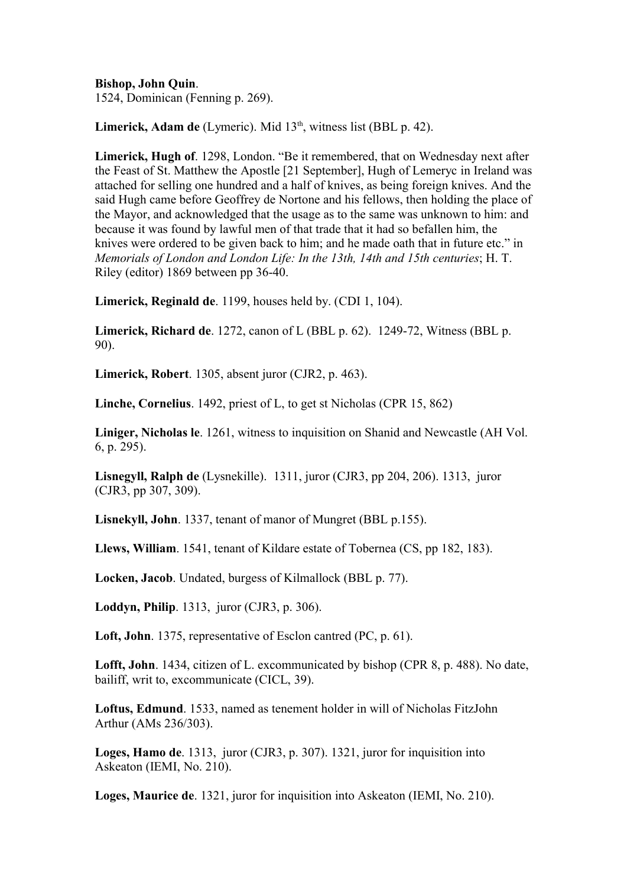**Bishop, John Quin**.

1524, Dominican (Fenning p. 269).

Limerick, Adam de (Lymeric). Mid 13<sup>th</sup>, witness list (BBL p. 42).

**Limerick, Hugh of**. 1298, London. "Be it remembered, that on Wednesday next after the Feast of St. Matthew the Apostle [21 September], Hugh of Lemeryc in Ireland was attached for selling one hundred and a half of knives, as being foreign knives. And the said Hugh came before Geoffrey de Nortone and his fellows, then holding the place of the Mayor, and acknowledged that the usage as to the same was unknown to him: and because it was found by lawful men of that trade that it had so befallen him, the knives were ordered to be given back to him; and he made oath that in future etc." in *Memorials of London and London Life: In the 13th, 14th and 15th centuries*; H. T. Riley (editor) 1869 between pp 36-40.

**Limerick, Reginald de**. 1199, houses held by. (CDI 1, 104).

**Limerick, Richard de**. 1272, canon of L (BBL p. 62). 1249-72, Witness (BBL p. 90).

**Limerick, Robert**. 1305, absent juror (CJR2, p. 463).

**Linche, Cornelius**. 1492, priest of L, to get st Nicholas (CPR 15, 862)

**Liniger, Nicholas le**. 1261, witness to inquisition on Shanid and Newcastle (AH Vol. 6, p. 295).

**Lisnegyll, Ralph de** (Lysnekille). 1311, juror (CJR3, pp 204, 206). 1313, juror (CJR3, pp 307, 309).

**Lisnekyll, John**. 1337, tenant of manor of Mungret (BBL p.155).

**Llews, William**. 1541, tenant of Kildare estate of Tobernea (CS, pp 182, 183).

**Locken, Jacob**. Undated, burgess of Kilmallock (BBL p. 77).

**Loddyn, Philip**. 1313, juror (CJR3, p. 306).

**Loft, John**. 1375, representative of Esclon cantred (PC, p. 61).

**Lofft, John**. 1434, citizen of L. excommunicated by bishop (CPR 8, p. 488). No date, bailiff, writ to, excommunicate (CICL, 39).

**Loftus, Edmund**. 1533, named as tenement holder in will of Nicholas FitzJohn Arthur (AMs 236/303).

**Loges, Hamo de**. 1313, juror (CJR3, p. 307). 1321, juror for inquisition into Askeaton (IEMI, No. 210).

**Loges, Maurice de**. 1321, juror for inquisition into Askeaton (IEMI, No. 210).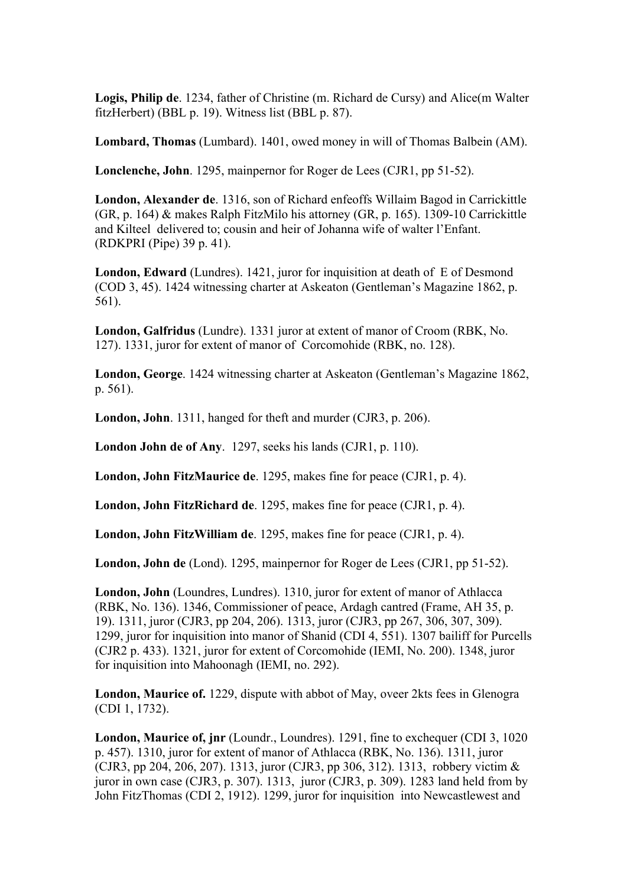**Logis, Philip de**. 1234, father of Christine (m. Richard de Cursy) and Alice(m Walter fitzHerbert) (BBL p. 19). Witness list (BBL p. 87).

**Lombard, Thomas** (Lumbard). 1401, owed money in will of Thomas Balbein (AM).

**Lonclenche, John**. 1295, mainpernor for Roger de Lees (CJR1, pp 51-52).

**London, Alexander de**. 1316, son of Richard enfeoffs Willaim Bagod in Carrickittle (GR, p. 164) & makes Ralph FitzMilo his attorney (GR, p. 165). 1309-10 Carrickittle and Kilteel delivered to; cousin and heir of Johanna wife of walter l'Enfant. (RDKPRI (Pipe) 39 p. 41).

**London, Edward** (Lundres). 1421, juror for inquisition at death of E of Desmond (COD 3, 45). 1424 witnessing charter at Askeaton (Gentleman's Magazine 1862, p. 561).

**London, Galfridus** (Lundre). 1331 juror at extent of manor of Croom (RBK, No. 127). 1331, juror for extent of manor of Corcomohide (RBK, no. 128).

**London, George**. 1424 witnessing charter at Askeaton (Gentleman's Magazine 1862, p. 561).

**London, John**. 1311, hanged for theft and murder (CJR3, p. 206).

**London John de of Any**. 1297, seeks his lands (CJR1, p. 110).

**London, John FitzMaurice de**. 1295, makes fine for peace (CJR1, p. 4).

**London, John FitzRichard de**. 1295, makes fine for peace (CJR1, p. 4).

**London, John FitzWilliam de**. 1295, makes fine for peace (CJR1, p. 4).

**London, John de** (Lond). 1295, mainpernor for Roger de Lees (CJR1, pp 51-52).

**London, John** (Loundres, Lundres). 1310, juror for extent of manor of Athlacca (RBK, No. 136). 1346, Commissioner of peace, Ardagh cantred (Frame, AH 35, p. 19). 1311, juror (CJR3, pp 204, 206). 1313, juror (CJR3, pp 267, 306, 307, 309). 1299, juror for inquisition into manor of Shanid (CDI 4, 551). 1307 bailiff for Purcells (CJR2 p. 433). 1321, juror for extent of Corcomohide (IEMI, No. 200). 1348, juror for inquisition into Mahoonagh (IEMI, no. 292).

**London, Maurice of.** 1229, dispute with abbot of May, oveer 2kts fees in Glenogra (CDI 1, 1732).

**London, Maurice of, jnr** (Loundr., Loundres). 1291, fine to exchequer (CDI 3, 1020 p. 457). 1310, juror for extent of manor of Athlacca (RBK, No. 136). 1311, juror (CJR3, pp 204, 206, 207). 1313, juror (CJR3, pp 306, 312). 1313, robbery victim & juror in own case (CJR3, p. 307). 1313, juror (CJR3, p. 309). 1283 land held from by John FitzThomas (CDI 2, 1912). 1299, juror for inquisition into Newcastlewest and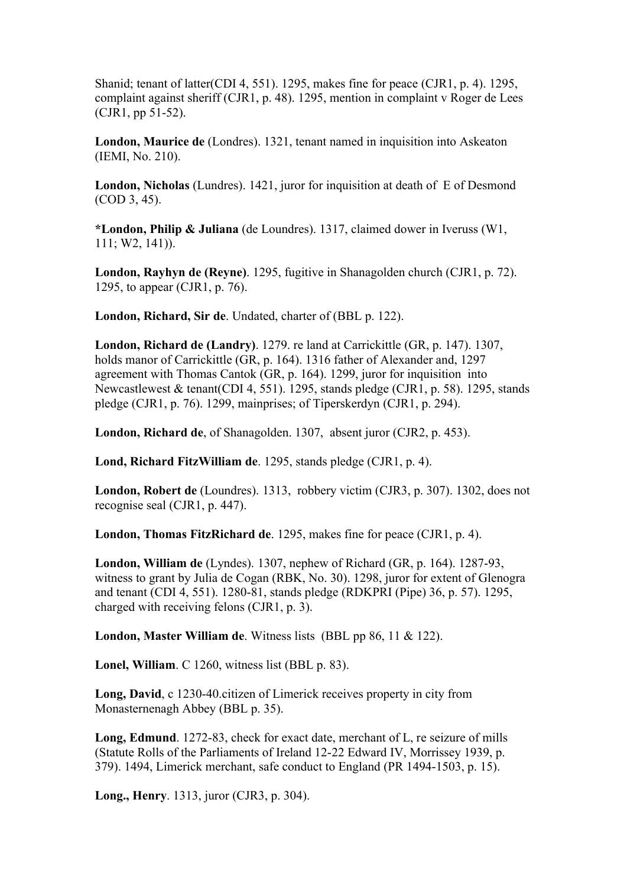Shanid; tenant of latter(CDI 4, 551). 1295, makes fine for peace (CJR1, p. 4). 1295, complaint against sheriff (CJR1, p. 48). 1295, mention in complaint v Roger de Lees (CJR1, pp 51-52).

**London, Maurice de** (Londres). 1321, tenant named in inquisition into Askeaton (IEMI, No. 210).

**London, Nicholas** (Lundres). 1421, juror for inquisition at death of E of Desmond (COD 3, 45).

**\*London, Philip & Juliana** (de Loundres). 1317, claimed dower in Iveruss (W1, 111; W2, 141)).

**London, Rayhyn de (Reyne)**. 1295, fugitive in Shanagolden church (CJR1, p. 72). 1295, to appear (CJR1, p. 76).

**London, Richard, Sir de**. Undated, charter of (BBL p. 122).

**London, Richard de (Landry)**. 1279. re land at Carrickittle (GR, p. 147). 1307, holds manor of Carrickittle (GR, p. 164). 1316 father of Alexander and, 1297 agreement with Thomas Cantok (GR, p. 164). 1299, juror for inquisition into Newcastlewest & tenant(CDI 4, 551). 1295, stands pledge (CJR1, p. 58). 1295, stands pledge (CJR1, p. 76). 1299, mainprises; of Tiperskerdyn (CJR1, p. 294).

**London, Richard de**, of Shanagolden. 1307, absent juror (CJR2, p. 453).

**Lond, Richard FitzWilliam de**. 1295, stands pledge (CJR1, p. 4).

**London, Robert de** (Loundres). 1313, robbery victim (CJR3, p. 307). 1302, does not recognise seal (CJR1, p. 447).

**London, Thomas FitzRichard de**. 1295, makes fine for peace (CJR1, p. 4).

**London, William de** (Lyndes). 1307, nephew of Richard (GR, p. 164). 1287-93, witness to grant by Julia de Cogan (RBK, No. 30). 1298, juror for extent of Glenogra and tenant (CDI 4, 551). 1280-81, stands pledge (RDKPRI (Pipe) 36, p. 57). 1295, charged with receiving felons (CJR1, p. 3).

**London, Master William de**. Witness lists (BBL pp 86, 11 & 122).

**Lonel, William**. C 1260, witness list (BBL p. 83).

**Long, David**, c 1230-40.citizen of Limerick receives property in city from Monasternenagh Abbey (BBL p. 35).

**Long, Edmund**. 1272-83, check for exact date, merchant of L, re seizure of mills (Statute Rolls of the Parliaments of Ireland 12-22 Edward IV, Morrissey 1939, p. 379). 1494, Limerick merchant, safe conduct to England (PR 1494-1503, p. 15).

**Long., Henry**. 1313, juror (CJR3, p. 304).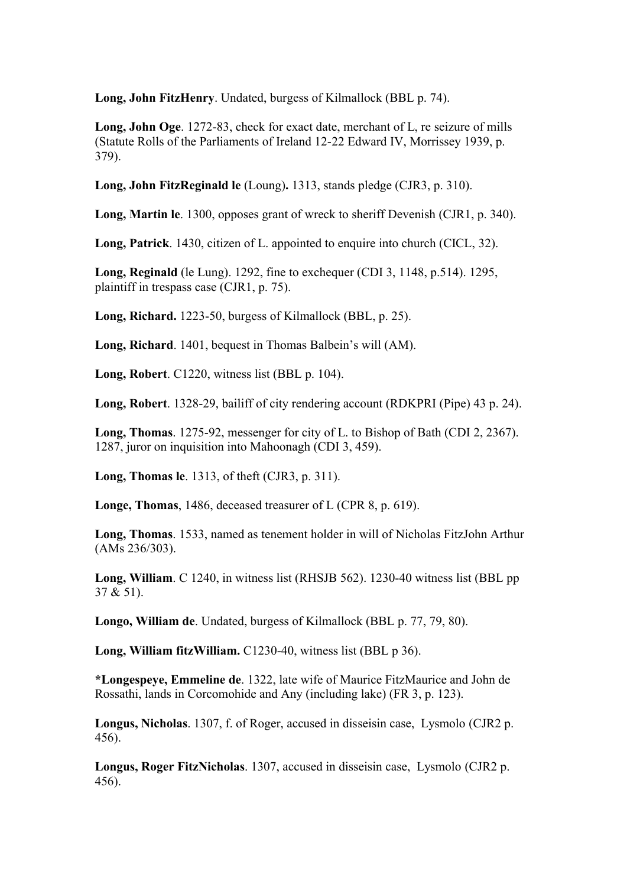**Long, John FitzHenry**. Undated, burgess of Kilmallock (BBL p. 74).

**Long, John Oge**. 1272-83, check for exact date, merchant of L, re seizure of mills (Statute Rolls of the Parliaments of Ireland 12-22 Edward IV, Morrissey 1939, p. 379).

**Long, John FitzReginald le** (Loung)**.** 1313, stands pledge (CJR3, p. 310).

**Long, Martin le**. 1300, opposes grant of wreck to sheriff Devenish (CJR1, p. 340).

**Long, Patrick**. 1430, citizen of L. appointed to enquire into church (CICL, 32).

**Long, Reginald** (le Lung). 1292, fine to exchequer (CDI 3, 1148, p.514). 1295, plaintiff in trespass case (CJR1, p. 75).

**Long, Richard.** 1223-50, burgess of Kilmallock (BBL, p. 25).

**Long, Richard**. 1401, bequest in Thomas Balbein's will (AM).

**Long, Robert**. C1220, witness list (BBL p. 104).

**Long, Robert**. 1328-29, bailiff of city rendering account (RDKPRI (Pipe) 43 p. 24).

**Long, Thomas**. 1275-92, messenger for city of L. to Bishop of Bath (CDI 2, 2367). 1287, juror on inquisition into Mahoonagh (CDI 3, 459).

**Long, Thomas le**. 1313, of theft (CJR3, p. 311).

**Longe, Thomas**, 1486, deceased treasurer of L (CPR 8, p. 619).

**Long, Thomas**. 1533, named as tenement holder in will of Nicholas FitzJohn Arthur (AMs 236/303).

**Long, William**. C 1240, in witness list (RHSJB 562). 1230-40 witness list (BBL pp 37 & 51).

**Longo, William de**. Undated, burgess of Kilmallock (BBL p. 77, 79, 80).

**Long, William fitzWilliam.** C1230-40, witness list (BBL p 36).

**\*Longespeye, Emmeline de**. 1322, late wife of Maurice FitzMaurice and John de Rossathi, lands in Corcomohide and Any (including lake) (FR 3, p. 123).

**Longus, Nicholas**. 1307, f. of Roger, accused in disseisin case, Lysmolo (CJR2 p. 456).

**Longus, Roger FitzNicholas**. 1307, accused in disseisin case, Lysmolo (CJR2 p. 456).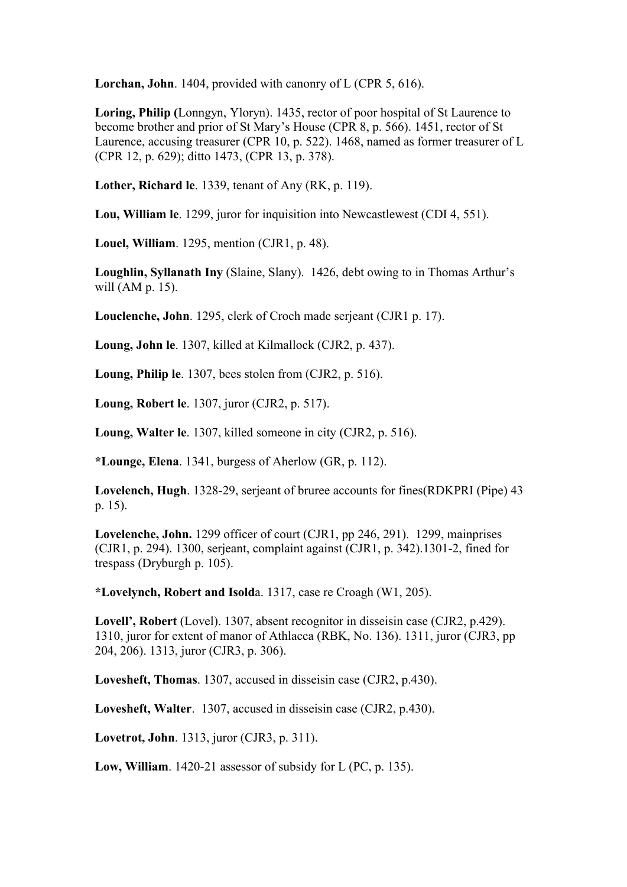**Lorchan, John**. 1404, provided with canonry of L (CPR 5, 616).

**Loring, Philip (**Lonngyn, Yloryn). 1435, rector of poor hospital of St Laurence to become brother and prior of St Mary's House (CPR 8, p. 566). 1451, rector of St Laurence, accusing treasurer (CPR 10, p. 522). 1468, named as former treasurer of L (CPR 12, p. 629); ditto 1473, (CPR 13, p. 378).

**Lother, Richard le**. 1339, tenant of Any (RK, p. 119).

**Lou, William le**. 1299, juror for inquisition into Newcastlewest (CDI 4, 551).

**Louel, William**. 1295, mention (CJR1, p. 48).

**Loughlin, Syllanath Iny** (Slaine, Slany). 1426, debt owing to in Thomas Arthur's will (AM p. 15).

**Louclenche, John**. 1295, clerk of Croch made serjeant (CJR1 p. 17).

**Loung, John le**. 1307, killed at Kilmallock (CJR2, p. 437).

**Loung, Philip le**. 1307, bees stolen from (CJR2, p. 516).

**Loung, Robert le**. 1307, juror (CJR2, p. 517).

**Loung, Walter le**. 1307, killed someone in city (CJR2, p. 516).

**\*Lounge, Elena**. 1341, burgess of Aherlow (GR, p. 112).

**Lovelench, Hugh**. 1328-29, serjeant of bruree accounts for fines(RDKPRI (Pipe) 43 p. 15).

**Lovelenche, John.** 1299 officer of court (CJR1, pp 246, 291). 1299, mainprises (CJR1, p. 294). 1300, serjeant, complaint against (CJR1, p. 342).1301-2, fined for trespass (Dryburgh p. 105).

**\*Lovelynch, Robert and Isold**a. 1317, case re Croagh (W1, 205).

**Lovell', Robert** (Lovel). 1307, absent recognitor in disseisin case (CJR2, p.429). 1310, juror for extent of manor of Athlacca (RBK, No. 136). 1311, juror (CJR3, pp 204, 206). 1313, juror (CJR3, p. 306).

**Lovesheft, Thomas**. 1307, accused in disseisin case (CJR2, p.430).

**Lovesheft, Walter**. 1307, accused in disseisin case (CJR2, p.430).

**Lovetrot, John**. 1313, juror (CJR3, p. 311).

**Low, William**. 1420-21 assessor of subsidy for L (PC, p. 135).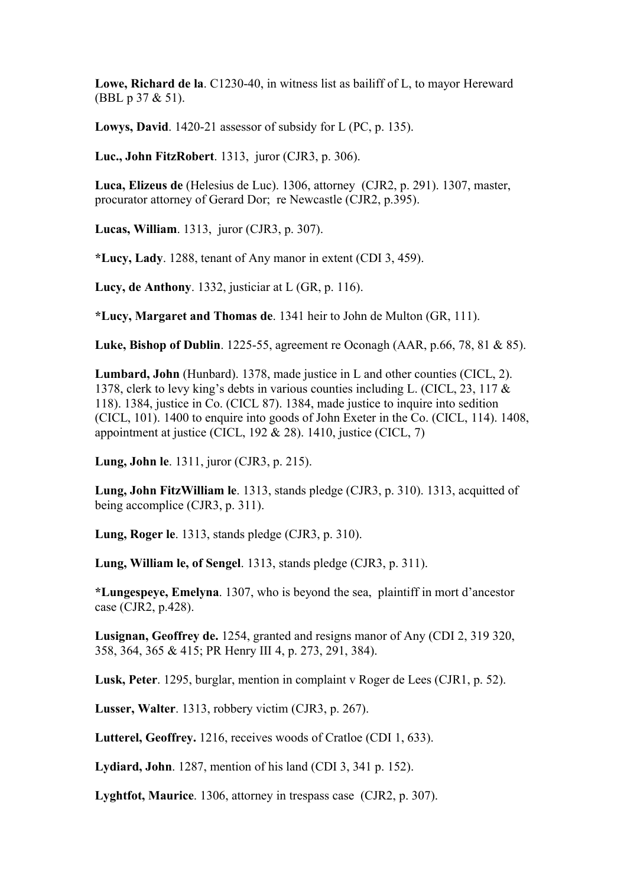**Lowe, Richard de la**. C1230-40, in witness list as bailiff of L, to mayor Hereward (BBL p 37 & 51).

**Lowys, David**. 1420-21 assessor of subsidy for L (PC, p. 135).

**Luc., John FitzRobert**. 1313, juror (CJR3, p. 306).

**Luca, Elizeus de** (Helesius de Luc). 1306, attorney (CJR2, p. 291). 1307, master, procurator attorney of Gerard Dor; re Newcastle (CJR2, p.395).

**Lucas, William**. 1313, juror (CJR3, p. 307).

**\*Lucy, Lady**. 1288, tenant of Any manor in extent (CDI 3, 459).

**Lucy, de Anthony**. 1332, justiciar at L (GR, p. 116).

**\*Lucy, Margaret and Thomas de**. 1341 heir to John de Multon (GR, 111).

**Luke, Bishop of Dublin**. 1225-55, agreement re Oconagh (AAR, p.66, 78, 81 & 85).

**Lumbard, John** (Hunbard). 1378, made justice in L and other counties (CICL, 2). 1378, clerk to levy king's debts in various counties including L. (CICL, 23, 117 & 118). 1384, justice in Co. (CICL 87). 1384, made justice to inquire into sedition (CICL, 101). 1400 to enquire into goods of John Exeter in the Co. (CICL, 114). 1408, appointment at justice (CICL,  $192 \& 28$ ). 1410, justice (CICL, 7)

**Lung, John le**. 1311, juror (CJR3, p. 215).

**Lung, John FitzWilliam le**. 1313, stands pledge (CJR3, p. 310). 1313, acquitted of being accomplice (CJR3, p. 311).

**Lung, Roger le**. 1313, stands pledge (CJR3, p. 310).

**Lung, William le, of Sengel**. 1313, stands pledge (CJR3, p. 311).

**\*Lungespeye, Emelyna**. 1307, who is beyond the sea, plaintiff in mort d'ancestor case (CJR2, p.428).

**Lusignan, Geoffrey de.** 1254, granted and resigns manor of Any (CDI 2, 319 320, 358, 364, 365 & 415; PR Henry III 4, p. 273, 291, 384).

**Lusk, Peter**. 1295, burglar, mention in complaint v Roger de Lees (CJR1, p. 52).

**Lusser, Walter**. 1313, robbery victim (CJR3, p. 267).

**Lutterel, Geoffrey.** 1216, receives woods of Cratloe (CDI 1, 633).

**Lydiard, John**. 1287, mention of his land (CDI 3, 341 p. 152).

**Lyghtfot, Maurice**. 1306, attorney in trespass case (CJR2, p. 307).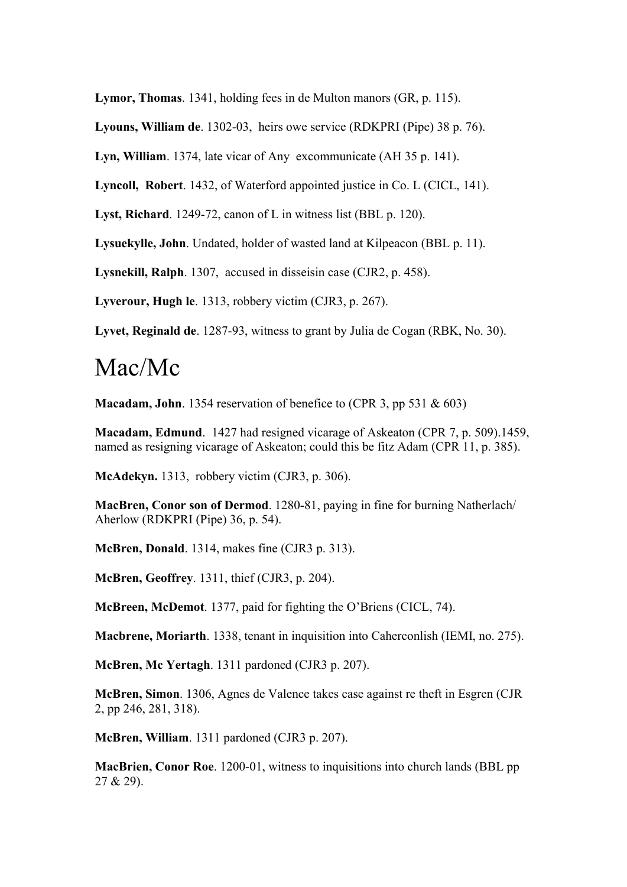**Lymor, Thomas**. 1341, holding fees in de Multon manors (GR, p. 115).

**Lyouns, William de**. 1302-03, heirs owe service (RDKPRI (Pipe) 38 p. 76).

**Lyn, William**. 1374, late vicar of Any excommunicate (AH 35 p. 141).

**Lyncoll, Robert**. 1432, of Waterford appointed justice in Co. L (CICL, 141).

**Lyst, Richard**. 1249-72, canon of L in witness list (BBL p. 120).

**Lysuekylle, John**. Undated, holder of wasted land at Kilpeacon (BBL p. 11).

**Lysnekill, Ralph**. 1307, accused in disseisin case (CJR2, p. 458).

**Lyverour, Hugh le**. 1313, robbery victim (CJR3, p. 267).

**Lyvet, Reginald de**. 1287-93, witness to grant by Julia de Cogan (RBK, No. 30).

# Mac/Mc

**Macadam, John**. 1354 reservation of benefice to (CPR 3, pp 531 & 603)

**Macadam, Edmund**. 1427 had resigned vicarage of Askeaton (CPR 7, p. 509).1459, named as resigning vicarage of Askeaton; could this be fitz Adam (CPR 11, p. 385).

**McAdekyn.** 1313, robbery victim (CJR3, p. 306).

**MacBren, Conor son of Dermod**. 1280-81, paying in fine for burning Natherlach/ Aherlow (RDKPRI (Pipe) 36, p. 54).

**McBren, Donald**. 1314, makes fine (CJR3 p. 313).

**McBren, Geoffrey**. 1311, thief (CJR3, p. 204).

**McBreen, McDemot**. 1377, paid for fighting the O'Briens (CICL, 74).

**Macbrene, Moriarth**. 1338, tenant in inquisition into Caherconlish (IEMI, no. 275).

**McBren, Mc Yertagh**. 1311 pardoned (CJR3 p. 207).

**McBren, Simon**. 1306, Agnes de Valence takes case against re theft in Esgren (CJR 2, pp 246, 281, 318).

**McBren, William**. 1311 pardoned (CJR3 p. 207).

**MacBrien, Conor Roe**. 1200-01, witness to inquisitions into church lands (BBL pp 27 & 29).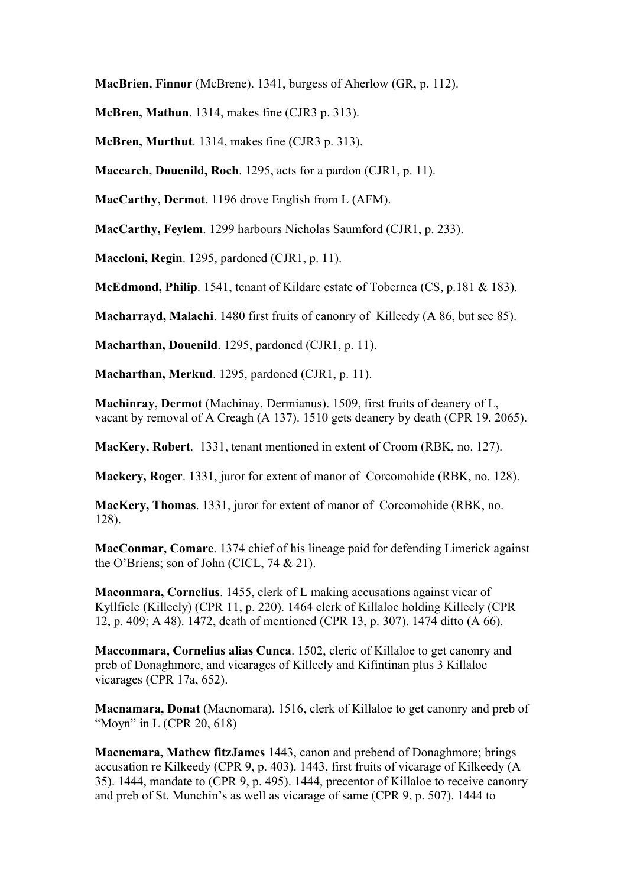**MacBrien, Finnor** (McBrene). 1341, burgess of Aherlow (GR, p. 112).

**McBren, Mathun**. 1314, makes fine (CJR3 p. 313).

**McBren, Murthut**. 1314, makes fine (CJR3 p. 313).

**Maccarch, Douenild, Roch**. 1295, acts for a pardon (CJR1, p. 11).

**MacCarthy, Dermot**. 1196 drove English from L (AFM).

**MacCarthy, Feylem**. 1299 harbours Nicholas Saumford (CJR1, p. 233).

**Maccloni, Regin**. 1295, pardoned (CJR1, p. 11).

**McEdmond, Philip**. 1541, tenant of Kildare estate of Tobernea (CS, p.181 & 183).

**Macharrayd, Malachi**. 1480 first fruits of canonry of Killeedy (A 86, but see 85).

**Macharthan, Douenild**. 1295, pardoned (CJR1, p. 11).

**Macharthan, Merkud**. 1295, pardoned (CJR1, p. 11).

**Machinray, Dermot** (Machinay, Dermianus). 1509, first fruits of deanery of L, vacant by removal of A Creagh (A 137). 1510 gets deanery by death (CPR 19, 2065).

**MacKery, Robert**. 1331, tenant mentioned in extent of Croom (RBK, no. 127).

**Mackery, Roger**. 1331, juror for extent of manor of Corcomohide (RBK, no. 128).

**MacKery, Thomas**. 1331, juror for extent of manor of Corcomohide (RBK, no. 128).

**MacConmar, Comare**. 1374 chief of his lineage paid for defending Limerick against the O'Briens; son of John (CICL, 74 & 21).

**Maconmara, Cornelius**. 1455, clerk of L making accusations against vicar of Kyllfiele (Killeely) (CPR 11, p. 220). 1464 clerk of Killaloe holding Killeely (CPR 12, p. 409; A 48). 1472, death of mentioned (CPR 13, p. 307). 1474 ditto (A 66).

**Macconmara, Cornelius alias Cunca**. 1502, cleric of Killaloe to get canonry and preb of Donaghmore, and vicarages of Killeely and Kifintinan plus 3 Killaloe vicarages (CPR 17a, 652).

**Macnamara, Donat** (Macnomara). 1516, clerk of Killaloe to get canonry and preb of "Moyn" in L (CPR 20, 618)

**Macnemara, Mathew fitzJames** 1443, canon and prebend of Donaghmore; brings accusation re Kilkeedy (CPR 9, p. 403). 1443, first fruits of vicarage of Kilkeedy (A 35). 1444, mandate to (CPR 9, p. 495). 1444, precentor of Killaloe to receive canonry and preb of St. Munchin's as well as vicarage of same (CPR 9, p. 507). 1444 to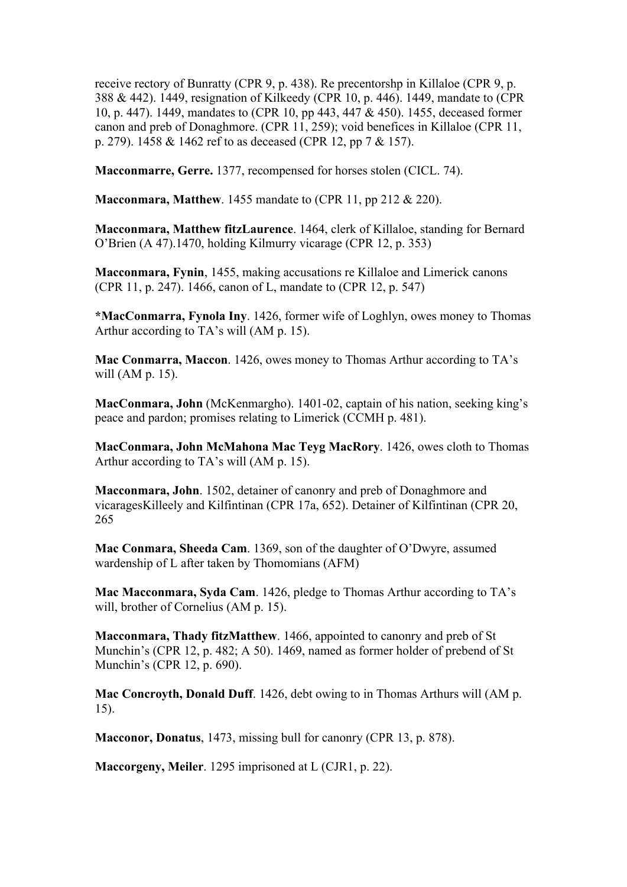receive rectory of Bunratty (CPR 9, p. 438). Re precentorshp in Killaloe (CPR 9, p. 388 & 442). 1449, resignation of Kilkeedy (CPR 10, p. 446). 1449, mandate to (CPR 10, p. 447). 1449, mandates to (CPR 10, pp 443, 447 & 450). 1455, deceased former canon and preb of Donaghmore. (CPR 11, 259); void benefices in Killaloe (CPR 11, p. 279). 1458 & 1462 ref to as deceased (CPR 12, pp 7 & 157).

**Macconmarre, Gerre.** 1377, recompensed for horses stolen (CICL. 74).

**Macconmara, Matthew.** 1455 mandate to (CPR 11, pp 212 & 220).

**Macconmara, Matthew fitzLaurence**. 1464, clerk of Killaloe, standing for Bernard O'Brien (A 47).1470, holding Kilmurry vicarage (CPR 12, p. 353)

**Macconmara, Fynin**, 1455, making accusations re Killaloe and Limerick canons (CPR 11, p. 247). 1466, canon of L, mandate to (CPR 12, p. 547)

**\*MacConmarra, Fynola Iny**. 1426, former wife of Loghlyn, owes money to Thomas Arthur according to TA's will (AM p. 15).

**Mac Conmarra, Maccon**. 1426, owes money to Thomas Arthur according to TA's will (AM p. 15).

**MacConmara, John** (McKenmargho). 1401-02, captain of his nation, seeking king's peace and pardon; promises relating to Limerick (CCMH p. 481).

**MacConmara, John McMahona Mac Teyg MacRory**. 1426, owes cloth to Thomas Arthur according to TA's will (AM p. 15).

**Macconmara, John**. 1502, detainer of canonry and preb of Donaghmore and vicaragesKilleely and Kilfintinan (CPR 17a, 652). Detainer of Kilfintinan (CPR 20, 265

**Mac Conmara, Sheeda Cam**. 1369, son of the daughter of O'Dwyre, assumed wardenship of L after taken by Thomomians (AFM)

**Mac Macconmara, Syda Cam**. 1426, pledge to Thomas Arthur according to TA's will, brother of Cornelius (AM p. 15).

**Macconmara, Thady fitzMatthew**. 1466, appointed to canonry and preb of St Munchin's (CPR 12, p. 482; A 50). 1469, named as former holder of prebend of St Munchin's (CPR 12, p. 690).

**Mac Concroyth, Donald Duff**. 1426, debt owing to in Thomas Arthurs will (AM p. 15).

**Macconor, Donatus**, 1473, missing bull for canonry (CPR 13, p. 878).

**Maccorgeny, Meiler**. 1295 imprisoned at L (CJR1, p. 22).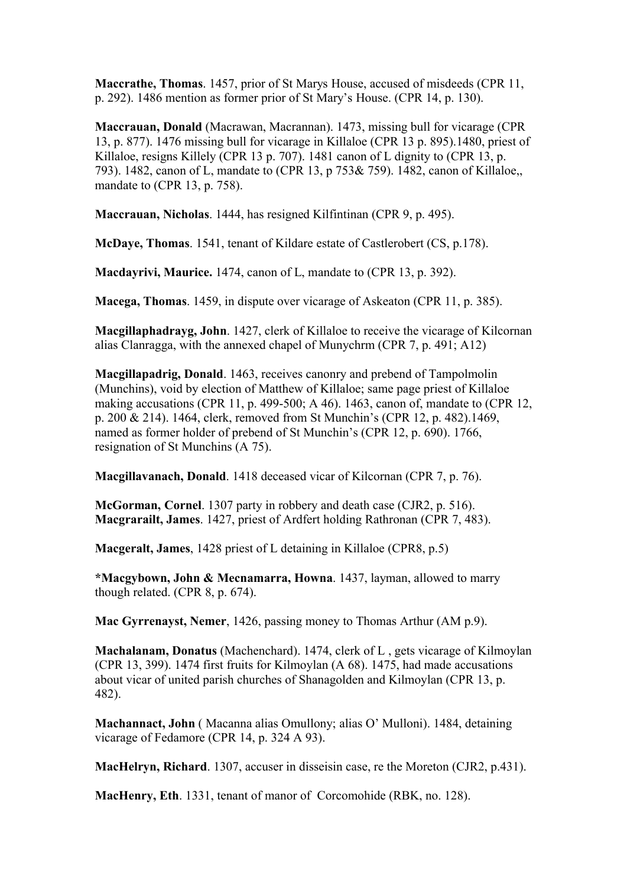**Maccrathe, Thomas**. 1457, prior of St Marys House, accused of misdeeds (CPR 11, p. 292). 1486 mention as former prior of St Mary's House. (CPR 14, p. 130).

**Maccrauan, Donald** (Macrawan, Macrannan). 1473, missing bull for vicarage (CPR 13, p. 877). 1476 missing bull for vicarage in Killaloe (CPR 13 p. 895).1480, priest of Killaloe, resigns Killely (CPR 13 p. 707). 1481 canon of L dignity to (CPR 13, p. 793). 1482, canon of L, mandate to (CPR 13, p 753& 759). 1482, canon of Killaloe,, mandate to (CPR 13, p. 758).

**Maccrauan, Nicholas**. 1444, has resigned Kilfintinan (CPR 9, p. 495).

**McDaye, Thomas**. 1541, tenant of Kildare estate of Castlerobert (CS, p.178).

**Macdayrivi, Maurice.** 1474, canon of L, mandate to (CPR 13, p. 392).

**Macega, Thomas**. 1459, in dispute over vicarage of Askeaton (CPR 11, p. 385).

**Macgillaphadrayg, John**. 1427, clerk of Killaloe to receive the vicarage of Kilcornan alias Clanragga, with the annexed chapel of Munychrm (CPR 7, p. 491; A12)

**Macgillapadrig, Donald**. 1463, receives canonry and prebend of Tampolmolin (Munchins), void by election of Matthew of Killaloe; same page priest of Killaloe making accusations (CPR 11, p. 499-500; A 46). 1463, canon of, mandate to (CPR 12, p. 200 & 214). 1464, clerk, removed from St Munchin's (CPR 12, p. 482).1469, named as former holder of prebend of St Munchin's (CPR 12, p. 690). 1766, resignation of St Munchins (A 75).

**Macgillavanach, Donald**. 1418 deceased vicar of Kilcornan (CPR 7, p. 76).

**McGorman, Cornel**. 1307 party in robbery and death case (CJR2, p. 516). **Macgrarailt, James**. 1427, priest of Ardfert holding Rathronan (CPR 7, 483).

**Macgeralt, James**, 1428 priest of L detaining in Killaloe (CPR8, p.5)

**\*Macgybown, John & Mecnamarra, Howna**. 1437, layman, allowed to marry though related. (CPR 8, p. 674).

**Mac Gyrrenayst, Nemer**, 1426, passing money to Thomas Arthur (AM p.9).

**Machalanam, Donatus** (Machenchard). 1474, clerk of L , gets vicarage of Kilmoylan (CPR 13, 399). 1474 first fruits for Kilmoylan (A 68). 1475, had made accusations about vicar of united parish churches of Shanagolden and Kilmoylan (CPR 13, p. 482).

**Machannact, John** ( Macanna alias Omullony; alias O' Mulloni). 1484, detaining vicarage of Fedamore (CPR 14, p. 324 A 93).

**MacHelryn, Richard**. 1307, accuser in disseisin case, re the Moreton (CJR2, p.431).

**MacHenry, Eth**. 1331, tenant of manor of Corcomohide (RBK, no. 128).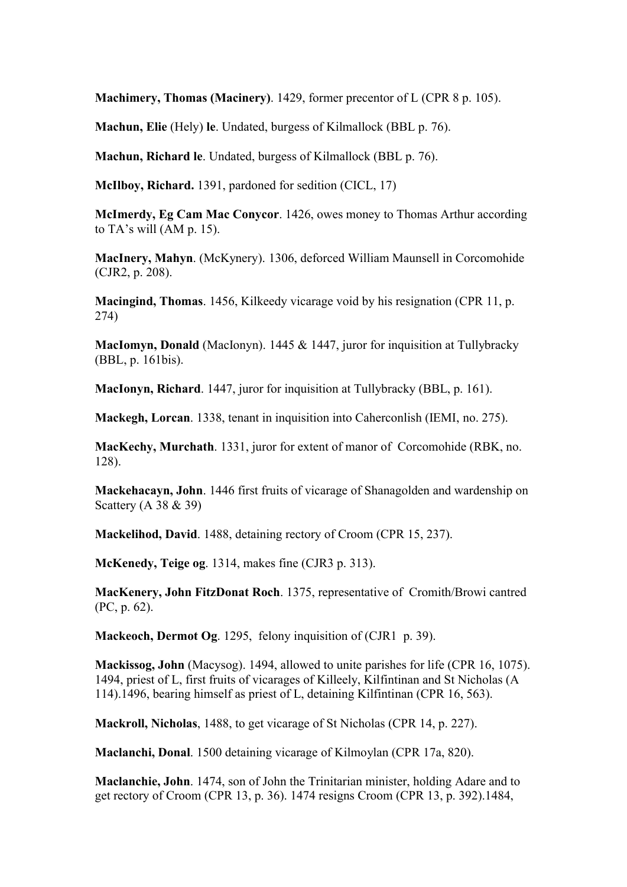**Machimery, Thomas (Macinery)**. 1429, former precentor of L (CPR 8 p. 105).

**Machun, Elie** (Hely) **le**. Undated, burgess of Kilmallock (BBL p. 76).

**Machun, Richard le**. Undated, burgess of Kilmallock (BBL p. 76).

**McIlboy, Richard.** 1391, pardoned for sedition (CICL, 17)

**McImerdy, Eg Cam Mac Conycor**. 1426, owes money to Thomas Arthur according to TA's will (AM p. 15).

**MacInery, Mahyn**. (McKynery). 1306, deforced William Maunsell in Corcomohide (CJR2, p. 208).

**Macingind, Thomas**. 1456, Kilkeedy vicarage void by his resignation (CPR 11, p. 274)

**MacIomyn, Donald** (MacIonyn). 1445 & 1447, juror for inquisition at Tullybracky (BBL, p. 161bis).

**MacIonyn, Richard**. 1447, juror for inquisition at Tullybracky (BBL, p. 161).

**Mackegh, Lorcan**. 1338, tenant in inquisition into Caherconlish (IEMI, no. 275).

**MacKechy, Murchath**. 1331, juror for extent of manor of Corcomohide (RBK, no. 128).

**Mackehacayn, John**. 1446 first fruits of vicarage of Shanagolden and wardenship on Scattery (A 38 & 39)

**Mackelihod, David**. 1488, detaining rectory of Croom (CPR 15, 237).

**McKenedy, Teige og**. 1314, makes fine (CJR3 p. 313).

**MacKenery, John FitzDonat Roch**. 1375, representative of Cromith/Browi cantred (PC, p. 62).

**Mackeoch, Dermot Og**. 1295, felony inquisition of (CJR1 p. 39).

**Mackissog, John** (Macysog). 1494, allowed to unite parishes for life (CPR 16, 1075). 1494, priest of L, first fruits of vicarages of Killeely, Kilfintinan and St Nicholas (A 114).1496, bearing himself as priest of L, detaining Kilfintinan (CPR 16, 563).

**Mackroll, Nicholas**, 1488, to get vicarage of St Nicholas (CPR 14, p. 227).

**Maclanchi, Donal**. 1500 detaining vicarage of Kilmoylan (CPR 17a, 820).

**Maclanchie, John**. 1474, son of John the Trinitarian minister, holding Adare and to get rectory of Croom (CPR 13, p. 36). 1474 resigns Croom (CPR 13, p. 392).1484,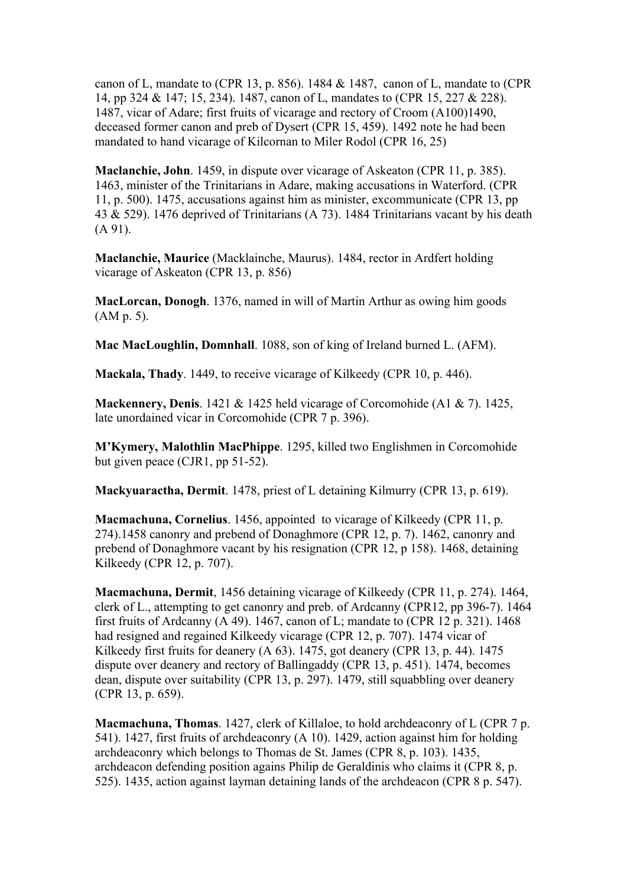canon of L, mandate to (CPR 13, p. 856). 1484 & 1487, canon of L, mandate to (CPR 14, pp 324 & 147; 15, 234). 1487, canon of L, mandates to (CPR 15, 227 & 228). 1487, vicar of Adare; first fruits of vicarage and rectory of Croom (A100)1490, deceased former canon and preb of Dysert (CPR 15, 459). 1492 note he had been mandated to hand vicarage of Kilcornan to Miler Rodol (CPR 16, 25)

**Maclanchie, John**. 1459, in dispute over vicarage of Askeaton (CPR 11, p. 385). 1463, minister of the Trinitarians in Adare, making accusations in Waterford. (CPR 11, p. 500). 1475, accusations against him as minister, excommunicate (CPR 13, pp 43 & 529). 1476 deprived of Trinitarians (A 73). 1484 Trinitarians vacant by his death (A 91).

**Maclanchie, Maurice** (Macklainche, Maurus). 1484, rector in Ardfert holding vicarage of Askeaton (CPR 13, p. 856)

**MacLorcan, Donogh**. 1376, named in will of Martin Arthur as owing him goods (AM p. 5).

**Mac MacLoughlin, Domnhall**. 1088, son of king of Ireland burned L. (AFM).

**Mackala, Thady**. 1449, to receive vicarage of Kilkeedy (CPR 10, p. 446).

**Mackennery, Denis**. 1421 & 1425 held vicarage of Corcomohide (A1 & 7). 1425, late unordained vicar in Corcomohide (CPR 7 p. 396).

**M'Kymery, Malothlin MacPhippe**. 1295, killed two Englishmen in Corcomohide but given peace (CJR1, pp 51-52).

**Mackyuaractha, Dermit**. 1478, priest of L detaining Kilmurry (CPR 13, p. 619).

**Macmachuna, Cornelius**. 1456, appointed to vicarage of Kilkeedy (CPR 11, p. 274).1458 canonry and prebend of Donaghmore (CPR 12, p. 7). 1462, canonry and prebend of Donaghmore vacant by his resignation (CPR 12, p 158). 1468, detaining Kilkeedy (CPR 12, p. 707).

**Macmachuna, Dermit**, 1456 detaining vicarage of Kilkeedy (CPR 11, p. 274). 1464, clerk of L., attempting to get canonry and preb. of Ardcanny (CPR12, pp 396-7). 1464 first fruits of Ardcanny (A 49). 1467, canon of L; mandate to (CPR 12 p. 321). 1468 had resigned and regained Kilkeedy vicarage (CPR 12, p. 707). 1474 vicar of Kilkeedy first fruits for deanery (A 63). 1475, got deanery (CPR 13, p. 44). 1475 dispute over deanery and rectory of Ballingaddy (CPR 13, p. 451). 1474, becomes dean, dispute over suitability (CPR 13, p. 297). 1479, still squabbling over deanery (CPR 13, p. 659).

**Macmachuna, Thomas**. 1427, clerk of Killaloe, to hold archdeaconry of L (CPR 7 p. 541). 1427, first fruits of archdeaconry (A 10). 1429, action against him for holding archdeaconry which belongs to Thomas de St. James (CPR 8, p. 103). 1435, archdeacon defending position agains Philip de Geraldinis who claims it (CPR 8, p. 525). 1435, action against layman detaining lands of the archdeacon (CPR 8 p. 547).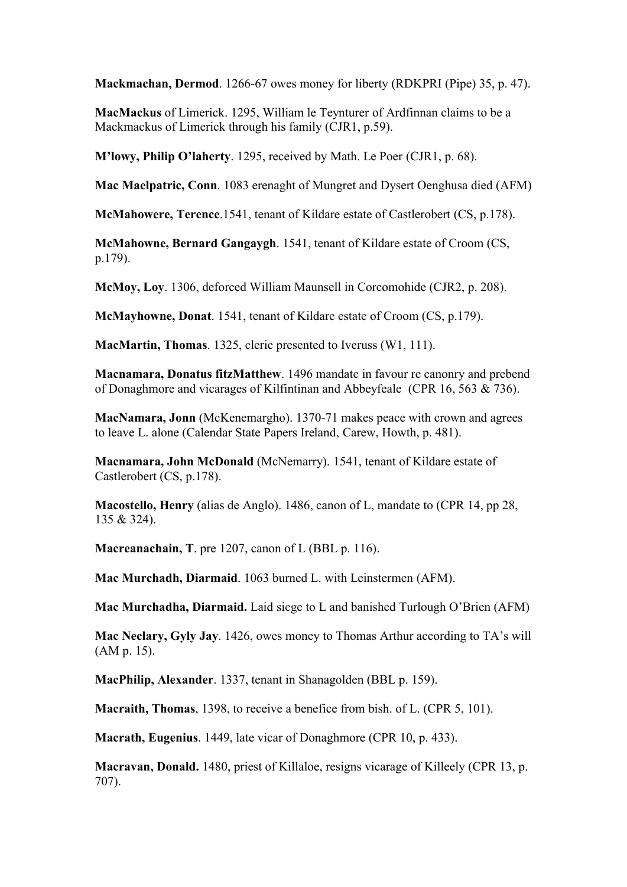**Mackmachan, Dermod**. 1266-67 owes money for liberty (RDKPRI (Pipe) 35, p. 47).

**MacMackus** of Limerick. 1295, William le Teynturer of Ardfinnan claims to be a Mackmackus of Limerick through his family (CJR1, p.59).

**M'lowy, Philip O'laherty**. 1295, received by Math. Le Poer (CJR1, p. 68).

**Mac Maelpatric, Conn**. 1083 erenaght of Mungret and Dysert Oenghusa died (AFM)

**McMahowere, Terence**.1541, tenant of Kildare estate of Castlerobert (CS, p.178).

**McMahowne, Bernard Gangaygh**. 1541, tenant of Kildare estate of Croom (CS, p.179).

**McMoy, Loy**. 1306, deforced William Maunsell in Corcomohide (CJR2, p. 208).

**McMayhowne, Donat**. 1541, tenant of Kildare estate of Croom (CS, p.179).

**MacMartin, Thomas**. 1325, cleric presented to Iveruss (W1, 111).

**Macnamara, Donatus fitzMatthew**. 1496 mandate in favour re canonry and prebend of Donaghmore and vicarages of Kilfintinan and Abbeyfeale (CPR 16, 563 & 736).

**MacNamara, Jonn** (McKenemargho). 1370-71 makes peace with crown and agrees to leave L. alone (Calendar State Papers Ireland, Carew, Howth, p. 481).

**Macnamara, John McDonald** (McNemarry). 1541, tenant of Kildare estate of Castlerobert (CS, p.178).

**Macostello, Henry** (alias de Anglo). 1486, canon of L, mandate to (CPR 14, pp 28, 135 & 324).

**Macreanachain, T**. pre 1207, canon of L (BBL p. 116).

**Mac Murchadh, Diarmaid**. 1063 burned L. with Leinstermen (AFM).

**Mac Murchadha, Diarmaid.** Laid siege to L and banished Turlough O'Brien (AFM)

**Mac Neclary, Gyly Jay**. 1426, owes money to Thomas Arthur according to TA's will (AM p. 15).

**MacPhilip, Alexander**. 1337, tenant in Shanagolden (BBL p. 159).

**Macraith, Thomas**, 1398, to receive a benefice from bish. of L. (CPR 5, 101).

**Macrath, Eugenius**. 1449, late vicar of Donaghmore (CPR 10, p. 433).

**Macravan, Donald.** 1480, priest of Killaloe, resigns vicarage of Killeely (CPR 13, p. 707).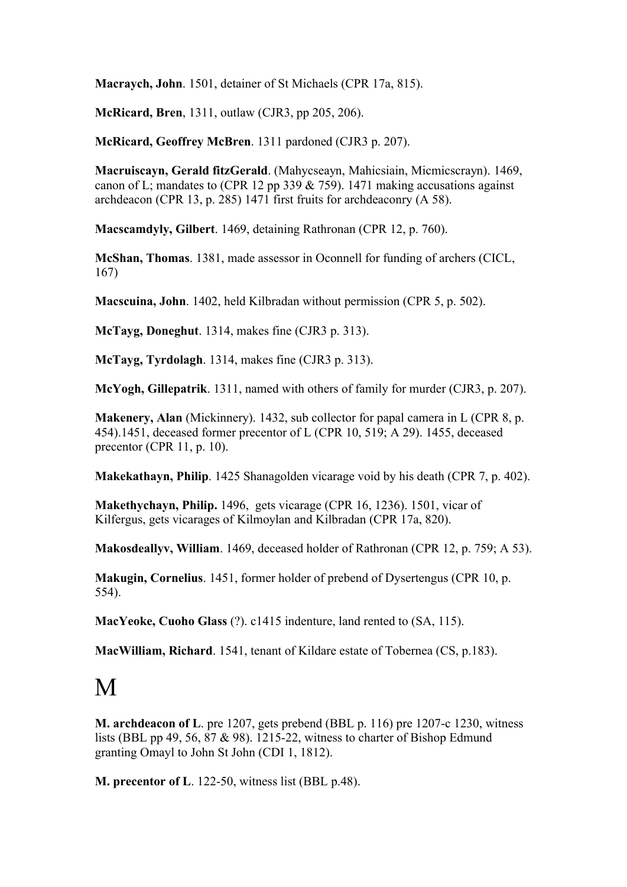**Macraych, John**. 1501, detainer of St Michaels (CPR 17a, 815).

**McRicard, Bren**, 1311, outlaw (CJR3, pp 205, 206).

**McRicard, Geoffrey McBren**. 1311 pardoned (CJR3 p. 207).

**Macruiscayn, Gerald fitzGerald**. (Mahycseayn, Mahicsiain, Micmicscrayn). 1469, canon of L; mandates to (CPR 12 pp 339  $&$  759). 1471 making accusations against archdeacon (CPR 13, p. 285) 1471 first fruits for archdeaconry (A 58).

**Macscamdyly, Gilbert**. 1469, detaining Rathronan (CPR 12, p. 760).

**McShan, Thomas**. 1381, made assessor in Oconnell for funding of archers (CICL, 167)

**Macscuina, John**. 1402, held Kilbradan without permission (CPR 5, p. 502).

**McTayg, Doneghut**. 1314, makes fine (CJR3 p. 313).

**McTayg, Tyrdolagh**. 1314, makes fine (CJR3 p. 313).

**McYogh, Gillepatrik**. 1311, named with others of family for murder (CJR3, p. 207).

**Makenery, Alan** (Mickinnery). 1432, sub collector for papal camera in L (CPR 8, p. 454).1451, deceased former precentor of L (CPR 10, 519; A 29). 1455, deceased precentor (CPR 11, p. 10).

**Makekathayn, Philip**. 1425 Shanagolden vicarage void by his death (CPR 7, p. 402).

**Makethychayn, Philip.** 1496, gets vicarage (CPR 16, 1236). 1501, vicar of Kilfergus, gets vicarages of Kilmoylan and Kilbradan (CPR 17a, 820).

**Makosdeallyv, William**. 1469, deceased holder of Rathronan (CPR 12, p. 759; A 53).

**Makugin, Cornelius**. 1451, former holder of prebend of Dysertengus (CPR 10, p. 554).

**MacYeoke, Cuoho Glass** (?). c1415 indenture, land rented to (SA, 115).

**MacWilliam, Richard**. 1541, tenant of Kildare estate of Tobernea (CS, p.183).

## M

**M. archdeacon of L**. pre 1207, gets prebend (BBL p. 116) pre 1207-c 1230, witness lists (BBL pp 49, 56, 87 & 98). 1215-22, witness to charter of Bishop Edmund granting Omayl to John St John (CDI 1, 1812).

**M. precentor of L**. 122-50, witness list (BBL p.48).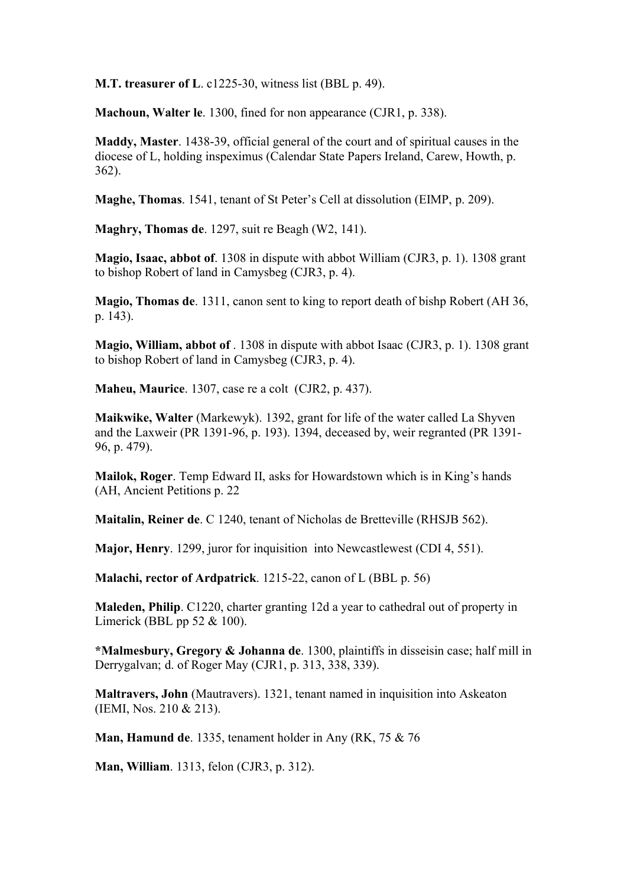**M.T. treasurer of L**. c1225-30, witness list (BBL p. 49).

**Machoun, Walter le**. 1300, fined for non appearance (CJR1, p. 338).

**Maddy, Master**. 1438-39, official general of the court and of spiritual causes in the diocese of L, holding inspeximus (Calendar State Papers Ireland, Carew, Howth, p. 362).

**Maghe, Thomas**. 1541, tenant of St Peter's Cell at dissolution (EIMP, p. 209).

**Maghry, Thomas de**. 1297, suit re Beagh (W2, 141).

**Magio, Isaac, abbot of**. 1308 in dispute with abbot William (CJR3, p. 1). 1308 grant to bishop Robert of land in Camysbeg (CJR3, p. 4).

**Magio, Thomas de**. 1311, canon sent to king to report death of bishp Robert (AH 36, p. 143).

**Magio, William, abbot of** . 1308 in dispute with abbot Isaac (CJR3, p. 1). 1308 grant to bishop Robert of land in Camysbeg (CJR3, p. 4).

**Maheu, Maurice**. 1307, case re a colt (CJR2, p. 437).

**Maikwike, Walter** (Markewyk). 1392, grant for life of the water called La Shyven and the Laxweir (PR 1391-96, p. 193). 1394, deceased by, weir regranted (PR 1391- 96, p. 479).

**Mailok, Roger**. Temp Edward II, asks for Howardstown which is in King's hands (AH, Ancient Petitions p. 22

**Maitalin, Reiner de**. C 1240, tenant of Nicholas de Bretteville (RHSJB 562).

**Major, Henry**. 1299, juror for inquisition into Newcastlewest (CDI 4, 551).

**Malachi, rector of Ardpatrick**. 1215-22, canon of L (BBL p. 56)

**Maleden, Philip**. C1220, charter granting 12d a year to cathedral out of property in Limerick (BBL pp 52 & 100).

**\*Malmesbury, Gregory & Johanna de**. 1300, plaintiffs in disseisin case; half mill in Derrygalvan; d. of Roger May (CJR1, p. 313, 338, 339).

**Maltravers, John** (Mautravers). 1321, tenant named in inquisition into Askeaton (IEMI, Nos. 210 & 213).

**Man, Hamund de**. 1335, tenament holder in Any (RK, 75 & 76

**Man, William**. 1313, felon (CJR3, p. 312).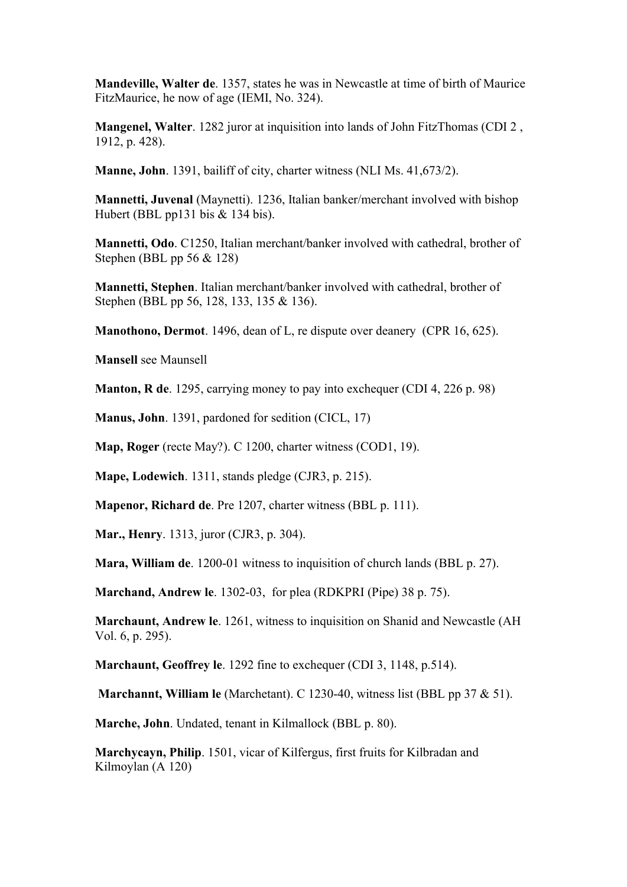**Mandeville, Walter de**. 1357, states he was in Newcastle at time of birth of Maurice FitzMaurice, he now of age (IEMI, No. 324).

**Mangenel, Walter**. 1282 juror at inquisition into lands of John FitzThomas (CDI 2 , 1912, p. 428).

**Manne, John**. 1391, bailiff of city, charter witness (NLI Ms. 41,673/2).

**Mannetti, Juvenal** (Maynetti). 1236, Italian banker/merchant involved with bishop Hubert (BBL pp131 bis & 134 bis).

**Mannetti, Odo**. C1250, Italian merchant/banker involved with cathedral, brother of Stephen (BBL pp 56 & 128)

**Mannetti, Stephen**. Italian merchant/banker involved with cathedral, brother of Stephen (BBL pp 56, 128, 133, 135 & 136).

**Manothono, Dermot**. 1496, dean of L, re dispute over deanery (CPR 16, 625).

**Mansell** see Maunsell

**Manton, R de.** 1295, carrying money to pay into exchequer (CDI 4, 226 p. 98)

**Manus, John**. 1391, pardoned for sedition (CICL, 17)

**Map, Roger** (recte May?). C 1200, charter witness (COD1, 19).

**Mape, Lodewich**. 1311, stands pledge (CJR3, p. 215).

**Mapenor, Richard de**. Pre 1207, charter witness (BBL p. 111).

**Mar., Henry**. 1313, juror (CJR3, p. 304).

**Mara, William de**. 1200-01 witness to inquisition of church lands (BBL p. 27).

**Marchand, Andrew le**. 1302-03, for plea (RDKPRI (Pipe) 38 p. 75).

**Marchaunt, Andrew le**. 1261, witness to inquisition on Shanid and Newcastle (AH Vol. 6, p. 295).

**Marchaunt, Geoffrey le**. 1292 fine to exchequer (CDI 3, 1148, p.514).

**Marchannt, William le** (Marchetant). C 1230-40, witness list (BBL pp 37 & 51).

**Marche, John**. Undated, tenant in Kilmallock (BBL p. 80).

**Marchycayn, Philip**. 1501, vicar of Kilfergus, first fruits for Kilbradan and Kilmoylan (A 120)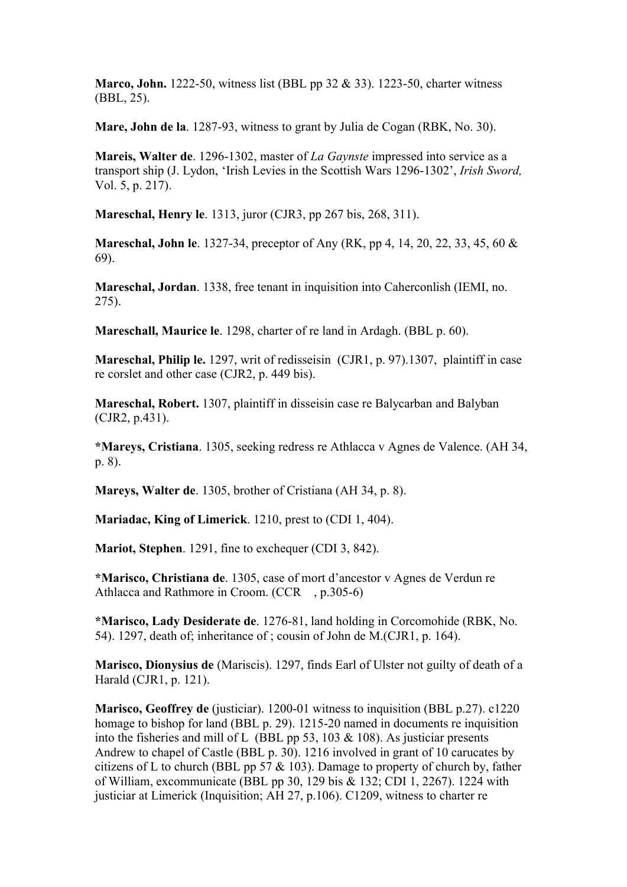**Marco, John.** 1222-50, witness list (BBL pp 32 & 33). 1223-50, charter witness (BBL, 25).

**Mare, John de la**. 1287-93, witness to grant by Julia de Cogan (RBK, No. 30).

**Mareis, Walter de**. 1296-1302, master of *La Gaynste* impressed into service as a transport ship (J. Lydon, 'Irish Levies in the Scottish Wars 1296-1302', *Irish Sword,*  Vol. 5, p. 217).

**Mareschal, Henry le**. 1313, juror (CJR3, pp 267 bis, 268, 311).

**Mareschal, John le**. 1327-34, preceptor of Any (RK, pp 4, 14, 20, 22, 33, 45, 60 & 69).

**Mareschal, Jordan**. 1338, free tenant in inquisition into Caherconlish (IEMI, no. 275).

**Mareschall, Maurice le**. 1298, charter of re land in Ardagh. (BBL p. 60).

**Mareschal, Philip le.** 1297, writ of redisseisin (CJR1, p. 97).1307, plaintiff in case re corslet and other case (CJR2, p. 449 bis).

**Mareschal, Robert.** 1307, plaintiff in disseisin case re Balycarban and Balyban (CJR2, p.431).

**\*Mareys, Cristiana**. 1305, seeking redress re Athlacca v Agnes de Valence. (AH 34, p. 8).

**Mareys, Walter de**. 1305, brother of Cristiana (AH 34, p. 8).

**Mariadac, King of Limerick**. 1210, prest to (CDI 1, 404).

**Mariot, Stephen**. 1291, fine to exchequer (CDI 3, 842).

**\*Marisco, Christiana de**. 1305, case of mort d'ancestor v Agnes de Verdun re Athlacca and Rathmore in Croom. (CCR , p.305-6)

**\*Marisco, Lady Desiderate de**. 1276-81, land holding in Corcomohide (RBK, No. 54). 1297, death of; inheritance of ; cousin of John de M.(CJR1, p. 164).

**Marisco, Dionysius de** (Mariscis). 1297, finds Earl of Ulster not guilty of death of a Harald (CJR1, p. 121).

**Marisco, Geoffrey de** (justiciar). 1200-01 witness to inquisition (BBL p.27). c1220 homage to bishop for land (BBL p. 29). 1215-20 named in documents re inquisition into the fisheries and mill of L (BBL pp 53, 103  $\&$  108). As justiciar presents Andrew to chapel of Castle (BBL p. 30). 1216 involved in grant of 10 carucates by citizens of L to church (BBL pp 57  $& 103$ ). Damage to property of church by, father of William, excommunicate (BBL pp 30, 129 bis & 132; CDI 1, 2267). 1224 with justiciar at Limerick (Inquisition; AH 27, p.106). C1209, witness to charter re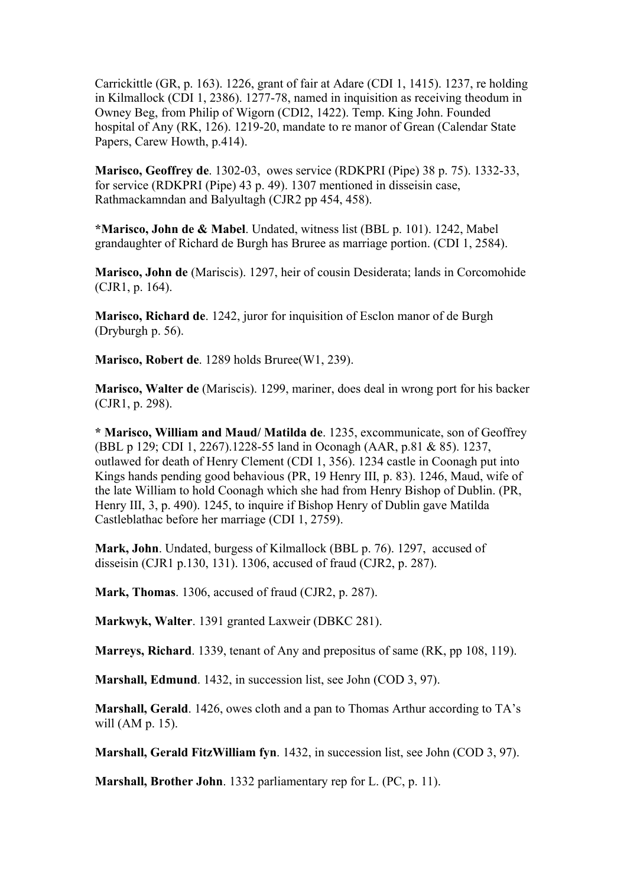Carrickittle (GR, p. 163). 1226, grant of fair at Adare (CDI 1, 1415). 1237, re holding in Kilmallock (CDI 1, 2386). 1277-78, named in inquisition as receiving theodum in Owney Beg, from Philip of Wigorn (CDI2, 1422). Temp. King John. Founded hospital of Any (RK, 126). 1219-20, mandate to re manor of Grean (Calendar State Papers, Carew Howth, p.414).

**Marisco, Geoffrey de**. 1302-03, owes service (RDKPRI (Pipe) 38 p. 75). 1332-33, for service (RDKPRI (Pipe) 43 p. 49). 1307 mentioned in disseisin case, Rathmackamndan and Balyultagh (CJR2 pp 454, 458).

**\*Marisco, John de & Mabel**. Undated, witness list (BBL p. 101). 1242, Mabel grandaughter of Richard de Burgh has Bruree as marriage portion. (CDI 1, 2584).

**Marisco, John de** (Mariscis). 1297, heir of cousin Desiderata; lands in Corcomohide (CJR1, p. 164).

**Marisco, Richard de**. 1242, juror for inquisition of Esclon manor of de Burgh (Dryburgh p. 56).

**Marisco, Robert de**. 1289 holds Bruree(W1, 239).

**Marisco, Walter de** (Mariscis). 1299, mariner, does deal in wrong port for his backer (CJR1, p. 298).

**\* Marisco, William and Maud/ Matilda de**. 1235, excommunicate, son of Geoffrey (BBL p 129; CDI 1, 2267).1228-55 land in Oconagh (AAR, p.81 & 85). 1237, outlawed for death of Henry Clement (CDI 1, 356). 1234 castle in Coonagh put into Kings hands pending good behavious (PR, 19 Henry III, p. 83). 1246, Maud, wife of the late William to hold Coonagh which she had from Henry Bishop of Dublin. (PR, Henry III, 3, p. 490). 1245, to inquire if Bishop Henry of Dublin gave Matilda Castleblathac before her marriage (CDI 1, 2759).

**Mark, John**. Undated, burgess of Kilmallock (BBL p. 76). 1297, accused of disseisin (CJR1 p.130, 131). 1306, accused of fraud (CJR2, p. 287).

**Mark, Thomas**. 1306, accused of fraud (CJR2, p. 287).

**Markwyk, Walter**. 1391 granted Laxweir (DBKC 281).

**Marreys, Richard**. 1339, tenant of Any and prepositus of same (RK, pp 108, 119).

**Marshall, Edmund**. 1432, in succession list, see John (COD 3, 97).

**Marshall, Gerald**. 1426, owes cloth and a pan to Thomas Arthur according to TA's will (AM p. 15).

**Marshall, Gerald FitzWilliam fyn**. 1432, in succession list, see John (COD 3, 97).

**Marshall, Brother John**. 1332 parliamentary rep for L. (PC, p. 11).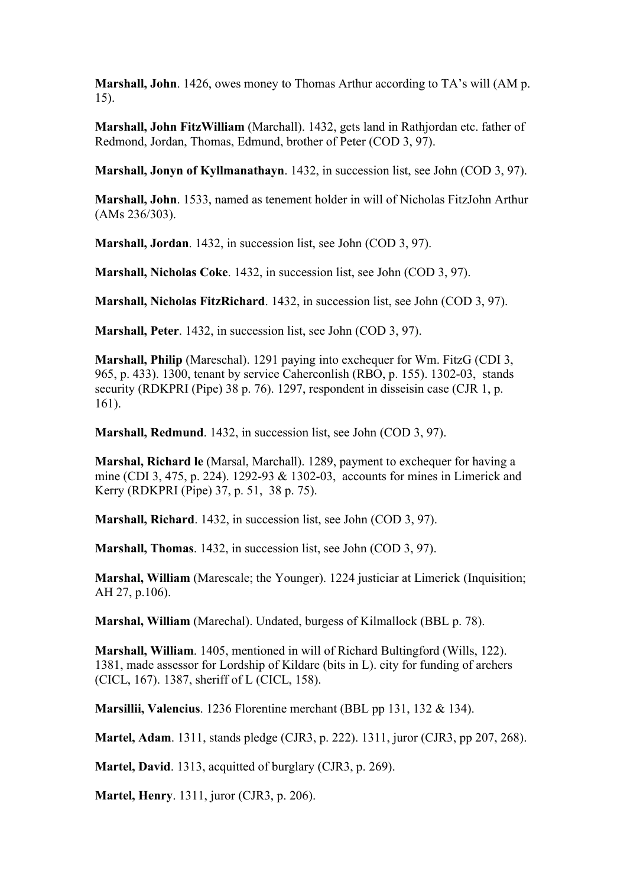**Marshall, John**. 1426, owes money to Thomas Arthur according to TA's will (AM p. 15).

**Marshall, John FitzWilliam** (Marchall). 1432, gets land in Rathjordan etc. father of Redmond, Jordan, Thomas, Edmund, brother of Peter (COD 3, 97).

**Marshall, Jonyn of Kyllmanathayn**. 1432, in succession list, see John (COD 3, 97).

**Marshall, John**. 1533, named as tenement holder in will of Nicholas FitzJohn Arthur (AMs 236/303).

**Marshall, Jordan**. 1432, in succession list, see John (COD 3, 97).

**Marshall, Nicholas Coke**. 1432, in succession list, see John (COD 3, 97).

**Marshall, Nicholas FitzRichard**. 1432, in succession list, see John (COD 3, 97).

**Marshall, Peter**. 1432, in succession list, see John (COD 3, 97).

**Marshall, Philip** (Mareschal). 1291 paying into exchequer for Wm. FitzG (CDI 3, 965, p. 433). 1300, tenant by service Caherconlish (RBO, p. 155). 1302-03, stands security (RDKPRI (Pipe) 38 p. 76). 1297, respondent in disseisin case (CJR 1, p. 161).

**Marshall, Redmund**. 1432, in succession list, see John (COD 3, 97).

**Marshal, Richard le** (Marsal, Marchall). 1289, payment to exchequer for having a mine (CDI 3, 475, p. 224). 1292-93 & 1302-03, accounts for mines in Limerick and Kerry (RDKPRI (Pipe) 37, p. 51, 38 p. 75).

**Marshall, Richard**. 1432, in succession list, see John (COD 3, 97).

**Marshall, Thomas**. 1432, in succession list, see John (COD 3, 97).

**Marshal, William** (Marescale; the Younger). 1224 justiciar at Limerick (Inquisition; AH 27, p.106).

**Marshal, William** (Marechal). Undated, burgess of Kilmallock (BBL p. 78).

**Marshall, William**. 1405, mentioned in will of Richard Bultingford (Wills, 122). 1381, made assessor for Lordship of Kildare (bits in L). city for funding of archers (CICL, 167). 1387, sheriff of L (CICL, 158).

**Marsillii, Valencius**. 1236 Florentine merchant (BBL pp 131, 132 & 134).

**Martel, Adam**. 1311, stands pledge (CJR3, p. 222). 1311, juror (CJR3, pp 207, 268).

**Martel, David**. 1313, acquitted of burglary (CJR3, p. 269).

**Martel, Henry**. 1311, juror (CJR3, p. 206).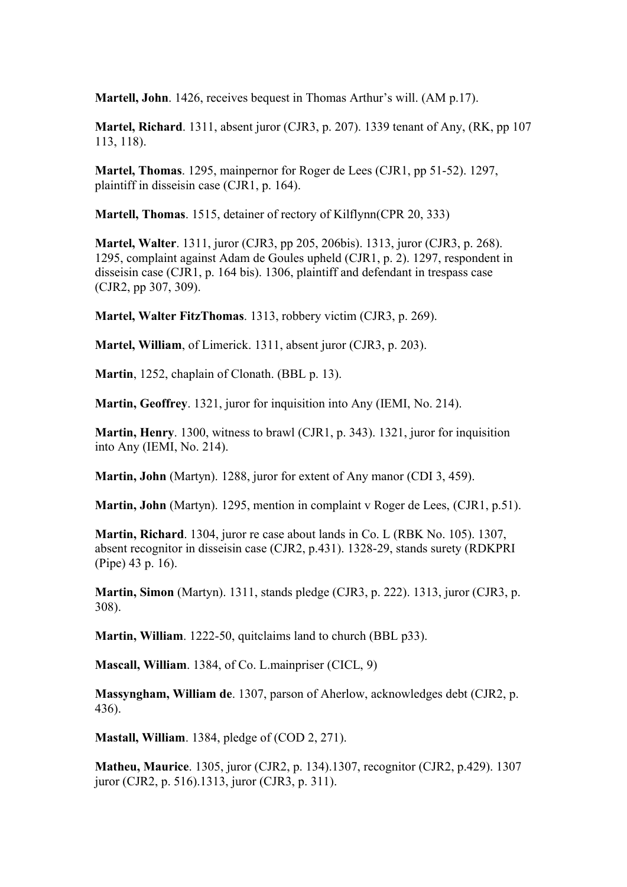**Martell, John**. 1426, receives bequest in Thomas Arthur's will. (AM p.17).

**Martel, Richard**. 1311, absent juror (CJR3, p. 207). 1339 tenant of Any, (RK, pp 107 113, 118).

**Martel, Thomas**. 1295, mainpernor for Roger de Lees (CJR1, pp 51-52). 1297, plaintiff in disseisin case (CJR1, p. 164).

**Martell, Thomas**. 1515, detainer of rectory of Kilflynn(CPR 20, 333)

**Martel, Walter**. 1311, juror (CJR3, pp 205, 206bis). 1313, juror (CJR3, p. 268). 1295, complaint against Adam de Goules upheld (CJR1, p. 2). 1297, respondent in disseisin case (CJR1, p. 164 bis). 1306, plaintiff and defendant in trespass case (CJR2, pp 307, 309).

**Martel, Walter FitzThomas**. 1313, robbery victim (CJR3, p. 269).

**Martel, William**, of Limerick. 1311, absent juror (CJR3, p. 203).

**Martin**, 1252, chaplain of Clonath. (BBL p. 13).

**Martin, Geoffrey**. 1321, juror for inquisition into Any (IEMI, No. 214).

**Martin, Henry**. 1300, witness to brawl (CJR1, p. 343). 1321, juror for inquisition into Any (IEMI, No. 214).

**Martin, John** (Martyn). 1288, juror for extent of Any manor (CDI 3, 459).

**Martin, John** (Martyn). 1295, mention in complaint v Roger de Lees, (CJR1, p.51).

**Martin, Richard**. 1304, juror re case about lands in Co. L (RBK No. 105). 1307, absent recognitor in disseisin case (CJR2, p.431). 1328-29, stands surety (RDKPRI (Pipe) 43 p. 16).

**Martin, Simon** (Martyn). 1311, stands pledge (CJR3, p. 222). 1313, juror (CJR3, p. 308).

**Martin, William**. 1222-50, quitclaims land to church (BBL p33).

**Mascall, William**. 1384, of Co. L.mainpriser (CICL, 9)

**Massyngham, William de**. 1307, parson of Aherlow, acknowledges debt (CJR2, p. 436).

**Mastall, William**. 1384, pledge of (COD 2, 271).

**Matheu, Maurice**. 1305, juror (CJR2, p. 134).1307, recognitor (CJR2, p.429). 1307 juror (CJR2, p. 516).1313, juror (CJR3, p. 311).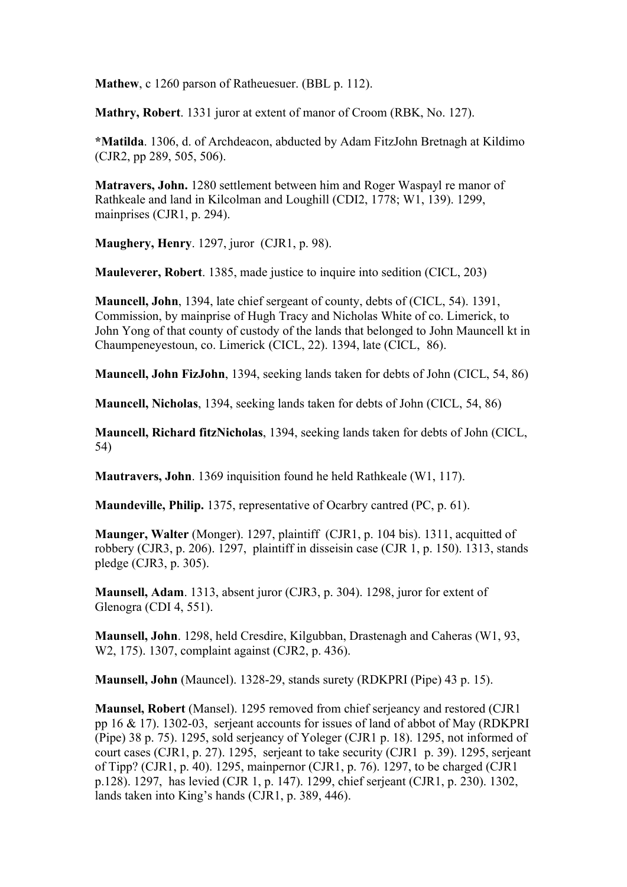**Mathew**, c 1260 parson of Ratheuesuer. (BBL p. 112).

**Mathry, Robert**. 1331 juror at extent of manor of Croom (RBK, No. 127).

**\*Matilda**. 1306, d. of Archdeacon, abducted by Adam FitzJohn Bretnagh at Kildimo (CJR2, pp 289, 505, 506).

**Matravers, John.** 1280 settlement between him and Roger Waspayl re manor of Rathkeale and land in Kilcolman and Loughill (CDI2, 1778; W1, 139). 1299, mainprises (CJR1, p. 294).

**Maughery, Henry**. 1297, juror (CJR1, p. 98).

**Mauleverer, Robert**. 1385, made justice to inquire into sedition (CICL, 203)

**Mauncell, John**, 1394, late chief sergeant of county, debts of (CICL, 54). 1391, Commission, by mainprise of Hugh Tracy and Nicholas White of co. Limerick, to John Yong of that county of custody of the lands that belonged to John Mauncell kt in Chaumpeneyestoun, co. Limerick (CICL, 22). 1394, late (CICL, 86).

**Mauncell, John FizJohn**, 1394, seeking lands taken for debts of John (CICL, 54, 86)

**Mauncell, Nicholas**, 1394, seeking lands taken for debts of John (CICL, 54, 86)

**Mauncell, Richard fitzNicholas**, 1394, seeking lands taken for debts of John (CICL, 54)

**Mautravers, John**. 1369 inquisition found he held Rathkeale (W1, 117).

**Maundeville, Philip.** 1375, representative of Ocarbry cantred (PC, p. 61).

**Maunger, Walter** (Monger). 1297, plaintiff (CJR1, p. 104 bis). 1311, acquitted of robbery (CJR3, p. 206). 1297, plaintiff in disseisin case (CJR 1, p. 150). 1313, stands pledge (CJR3, p. 305).

**Maunsell, Adam**. 1313, absent juror (CJR3, p. 304). 1298, juror for extent of Glenogra (CDI 4, 551).

**Maunsell, John**. 1298, held Cresdire, Kilgubban, Drastenagh and Caheras (W1, 93, W2, 175). 1307, complaint against (CJR2, p. 436).

**Maunsell, John** (Mauncel). 1328-29, stands surety (RDKPRI (Pipe) 43 p. 15).

**Maunsel, Robert** (Mansel). 1295 removed from chief serjeancy and restored (CJR1 pp 16 & 17). 1302-03, serjeant accounts for issues of land of abbot of May (RDKPRI (Pipe) 38 p. 75). 1295, sold serjeancy of Yoleger (CJR1 p. 18). 1295, not informed of court cases (CJR1, p. 27). 1295, serjeant to take security (CJR1 p. 39). 1295, serjeant of Tipp? (CJR1, p. 40). 1295, mainpernor (CJR1, p. 76). 1297, to be charged (CJR1 p.128). 1297, has levied (CJR 1, p. 147). 1299, chief serjeant (CJR1, p. 230). 1302, lands taken into King's hands (CJR1, p. 389, 446).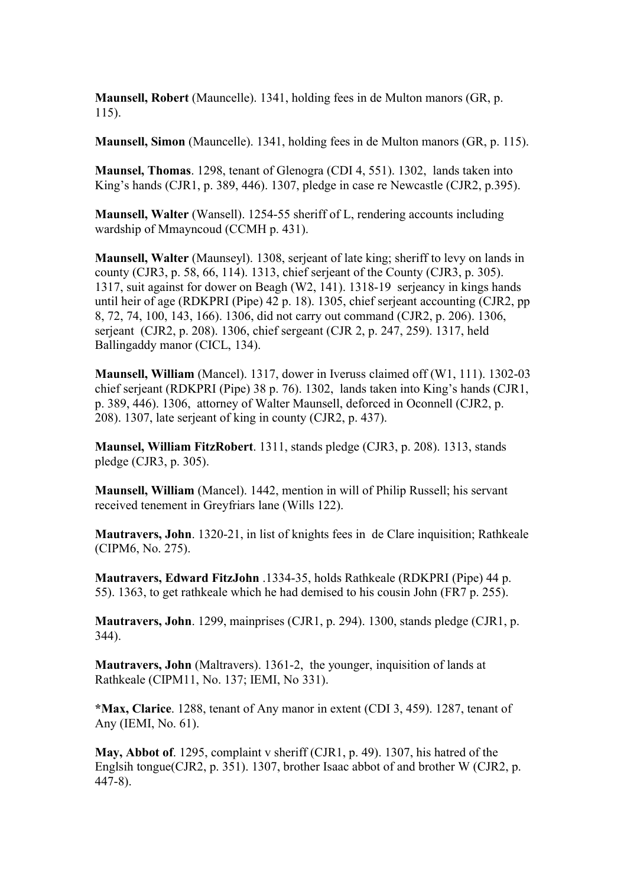**Maunsell, Robert** (Mauncelle). 1341, holding fees in de Multon manors (GR, p. 115).

**Maunsell, Simon** (Mauncelle). 1341, holding fees in de Multon manors (GR, p. 115).

**Maunsel, Thomas**. 1298, tenant of Glenogra (CDI 4, 551). 1302, lands taken into King's hands (CJR1, p. 389, 446). 1307, pledge in case re Newcastle (CJR2, p.395).

**Maunsell, Walter** (Wansell). 1254-55 sheriff of L, rendering accounts including wardship of Mmayncoud (CCMH p. 431).

**Maunsell, Walter** (Maunseyl). 1308, serjeant of late king; sheriff to levy on lands in county (CJR3, p. 58, 66, 114). 1313, chief serjeant of the County (CJR3, p. 305). 1317, suit against for dower on Beagh (W2, 141). 1318-19 serjeancy in kings hands until heir of age (RDKPRI (Pipe) 42 p. 18). 1305, chief serjeant accounting (CJR2, pp 8, 72, 74, 100, 143, 166). 1306, did not carry out command (CJR2, p. 206). 1306, serjeant (CJR2, p. 208). 1306, chief sergeant (CJR 2, p. 247, 259). 1317, held Ballingaddy manor (CICL, 134).

**Maunsell, William** (Mancel). 1317, dower in Iveruss claimed off (W1, 111). 1302-03 chief serjeant (RDKPRI (Pipe) 38 p. 76). 1302, lands taken into King's hands (CJR1, p. 389, 446). 1306, attorney of Walter Maunsell, deforced in Oconnell (CJR2, p. 208). 1307, late serjeant of king in county (CJR2, p. 437).

**Maunsel, William FitzRobert**. 1311, stands pledge (CJR3, p. 208). 1313, stands pledge (CJR3, p. 305).

**Maunsell, William** (Mancel). 1442, mention in will of Philip Russell; his servant received tenement in Greyfriars lane (Wills 122).

**Mautravers, John**. 1320-21, in list of knights fees in de Clare inquisition; Rathkeale (CIPM6, No. 275).

**Mautravers, Edward FitzJohn** .1334-35, holds Rathkeale (RDKPRI (Pipe) 44 p. 55). 1363, to get rathkeale which he had demised to his cousin John (FR7 p. 255).

**Mautravers, John**. 1299, mainprises (CJR1, p. 294). 1300, stands pledge (CJR1, p. 344).

**Mautravers, John** (Maltravers). 1361-2, the younger, inquisition of lands at Rathkeale (CIPM11, No. 137; IEMI, No 331).

**\*Max, Clarice**. 1288, tenant of Any manor in extent (CDI 3, 459). 1287, tenant of Any (IEMI, No. 61).

**May, Abbot of**. 1295, complaint v sheriff (CJR1, p. 49). 1307, his hatred of the Englsih tongue(CJR2, p. 351). 1307, brother Isaac abbot of and brother W (CJR2, p. 447-8).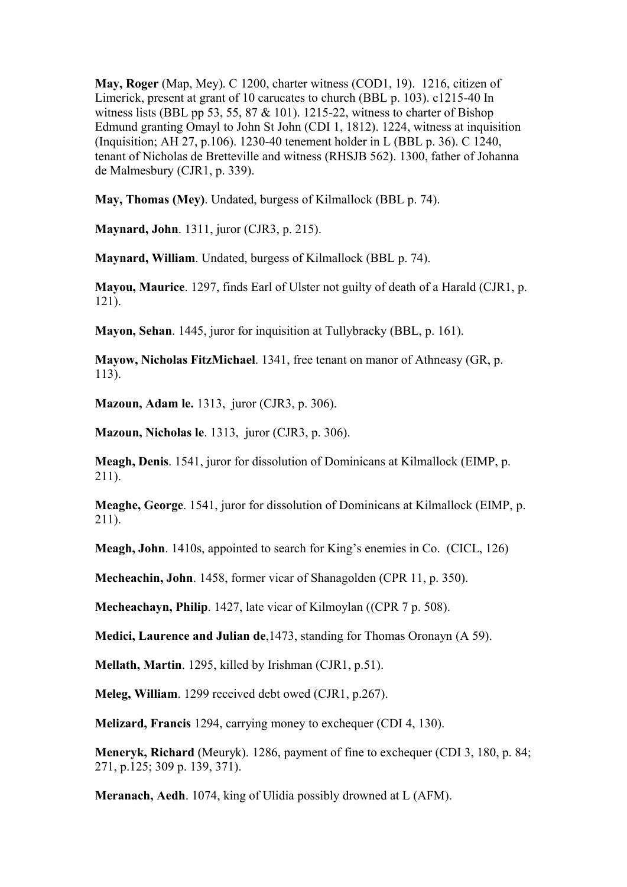**May, Roger** (Map, Mey). C 1200, charter witness (COD1, 19). 1216, citizen of Limerick, present at grant of 10 carucates to church (BBL p. 103). c1215-40 In witness lists (BBL pp 53, 55, 87  $& 101$ ). 1215-22, witness to charter of Bishop Edmund granting Omayl to John St John (CDI 1, 1812). 1224, witness at inquisition (Inquisition; AH 27, p.106). 1230-40 tenement holder in L (BBL p. 36). C 1240, tenant of Nicholas de Bretteville and witness (RHSJB 562). 1300, father of Johanna de Malmesbury (CJR1, p. 339).

**May, Thomas (Mey)**. Undated, burgess of Kilmallock (BBL p. 74).

**Maynard, John**. 1311, juror (CJR3, p. 215).

**Maynard, William**. Undated, burgess of Kilmallock (BBL p. 74).

**Mayou, Maurice**. 1297, finds Earl of Ulster not guilty of death of a Harald (CJR1, p. 121).

**Mayon, Sehan**. 1445, juror for inquisition at Tullybracky (BBL, p. 161).

**Mayow, Nicholas FitzMichael**. 1341, free tenant on manor of Athneasy (GR, p. 113).

**Mazoun, Adam le.** 1313, juror (CJR3, p. 306).

**Mazoun, Nicholas le**. 1313, juror (CJR3, p. 306).

**Meagh, Denis**. 1541, juror for dissolution of Dominicans at Kilmallock (EIMP, p. 211).

**Meaghe, George**. 1541, juror for dissolution of Dominicans at Kilmallock (EIMP, p. 211).

**Meagh, John**. 1410s, appointed to search for King's enemies in Co. (CICL, 126)

**Mecheachin, John**. 1458, former vicar of Shanagolden (CPR 11, p. 350).

**Mecheachayn, Philip**. 1427, late vicar of Kilmoylan ((CPR 7 p. 508).

**Medici, Laurence and Julian de**,1473, standing for Thomas Oronayn (A 59).

**Mellath, Martin**. 1295, killed by Irishman (CJR1, p.51).

**Meleg, William**. 1299 received debt owed (CJR1, p.267).

**Melizard, Francis** 1294, carrying money to exchequer (CDI 4, 130).

**Meneryk, Richard** (Meuryk). 1286, payment of fine to exchequer (CDI 3, 180, p. 84; 271, p.125; 309 p. 139, 371).

**Meranach, Aedh**. 1074, king of Ulidia possibly drowned at L (AFM).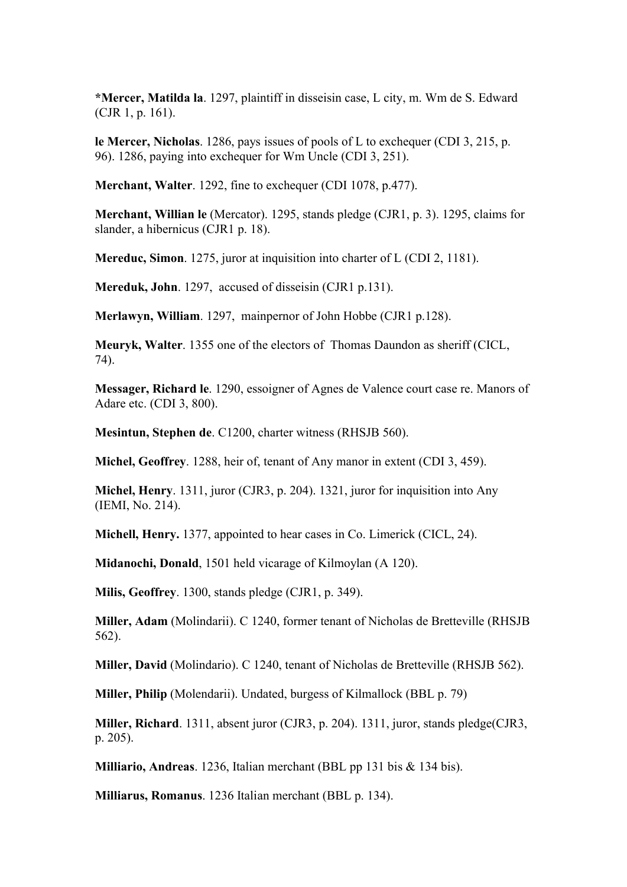**\*Mercer, Matilda la**. 1297, plaintiff in disseisin case, L city, m. Wm de S. Edward (CJR 1, p. 161).

**le Mercer, Nicholas**. 1286, pays issues of pools of L to exchequer (CDI 3, 215, p. 96). 1286, paying into exchequer for Wm Uncle (CDI 3, 251).

**Merchant, Walter**. 1292, fine to exchequer (CDI 1078, p.477).

**Merchant, Willian le** (Mercator). 1295, stands pledge (CJR1, p. 3). 1295, claims for slander, a hibernicus (CJR1 p. 18).

**Mereduc, Simon**. 1275, juror at inquisition into charter of L (CDI 2, 1181).

**Mereduk, John**. 1297, accused of disseisin (CJR1 p.131).

**Merlawyn, William**. 1297, mainpernor of John Hobbe (CJR1 p.128).

**Meuryk, Walter**. 1355 one of the electors of Thomas Daundon as sheriff (CICL, 74).

**Messager, Richard le**. 1290, essoigner of Agnes de Valence court case re. Manors of Adare etc. (CDI 3, 800).

**Mesintun, Stephen de**. C1200, charter witness (RHSJB 560).

**Michel, Geoffrey**. 1288, heir of, tenant of Any manor in extent (CDI 3, 459).

**Michel, Henry**. 1311, juror (CJR3, p. 204). 1321, juror for inquisition into Any (IEMI, No. 214).

**Michell, Henry.** 1377, appointed to hear cases in Co. Limerick (CICL, 24).

**Midanochi, Donald**, 1501 held vicarage of Kilmoylan (A 120).

**Milis, Geoffrey**. 1300, stands pledge (CJR1, p. 349).

**Miller, Adam** (Molindarii). C 1240, former tenant of Nicholas de Bretteville (RHSJB 562).

**Miller, David** (Molindario). C 1240, tenant of Nicholas de Bretteville (RHSJB 562).

**Miller, Philip** (Molendarii). Undated, burgess of Kilmallock (BBL p. 79)

**Miller, Richard**. 1311, absent juror (CJR3, p. 204). 1311, juror, stands pledge(CJR3, p. 205).

**Milliario, Andreas**. 1236, Italian merchant (BBL pp 131 bis & 134 bis).

**Milliarus, Romanus**. 1236 Italian merchant (BBL p. 134).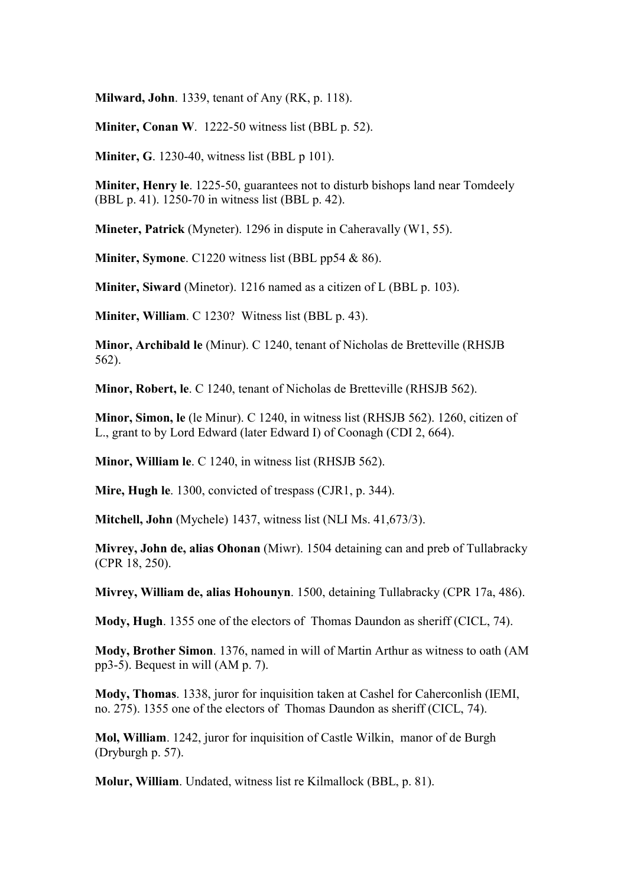**Milward, John**. 1339, tenant of Any (RK, p. 118).

**Miniter, Conan W**. 1222-50 witness list (BBL p. 52).

**Miniter, G.** 1230-40, witness list (BBL p 101).

**Miniter, Henry le**. 1225-50, guarantees not to disturb bishops land near Tomdeely (BBL p. 41). 1250-70 in witness list (BBL p. 42).

**Mineter, Patrick** (Myneter). 1296 in dispute in Caheravally (W1, 55).

**Miniter, Symone**. C1220 witness list (BBL pp54 & 86).

**Miniter, Siward** (Minetor). 1216 named as a citizen of L (BBL p. 103).

**Miniter, William**. C 1230? Witness list (BBL p. 43).

**Minor, Archibald le** (Minur). C 1240, tenant of Nicholas de Bretteville (RHSJB 562).

**Minor, Robert, le**. C 1240, tenant of Nicholas de Bretteville (RHSJB 562).

**Minor, Simon, le** (le Minur). C 1240, in witness list (RHSJB 562). 1260, citizen of L., grant to by Lord Edward (later Edward I) of Coonagh (CDI 2, 664).

**Minor, William le**. C 1240, in witness list (RHSJB 562).

**Mire, Hugh le**. 1300, convicted of trespass (CJR1, p. 344).

**Mitchell, John** (Mychele) 1437, witness list (NLI Ms. 41,673/3).

**Mivrey, John de, alias Ohonan** (Miwr). 1504 detaining can and preb of Tullabracky (CPR 18, 250).

**Mivrey, William de, alias Hohounyn**. 1500, detaining Tullabracky (CPR 17a, 486).

**Mody, Hugh**. 1355 one of the electors of Thomas Daundon as sheriff (CICL, 74).

**Mody, Brother Simon**. 1376, named in will of Martin Arthur as witness to oath (AM pp3-5). Bequest in will (AM p. 7).

**Mody, Thomas**. 1338, juror for inquisition taken at Cashel for Caherconlish (IEMI, no. 275). 1355 one of the electors of Thomas Daundon as sheriff (CICL, 74).

**Mol, William**. 1242, juror for inquisition of Castle Wilkin, manor of de Burgh (Dryburgh p. 57).

**Molur, William**. Undated, witness list re Kilmallock (BBL, p. 81).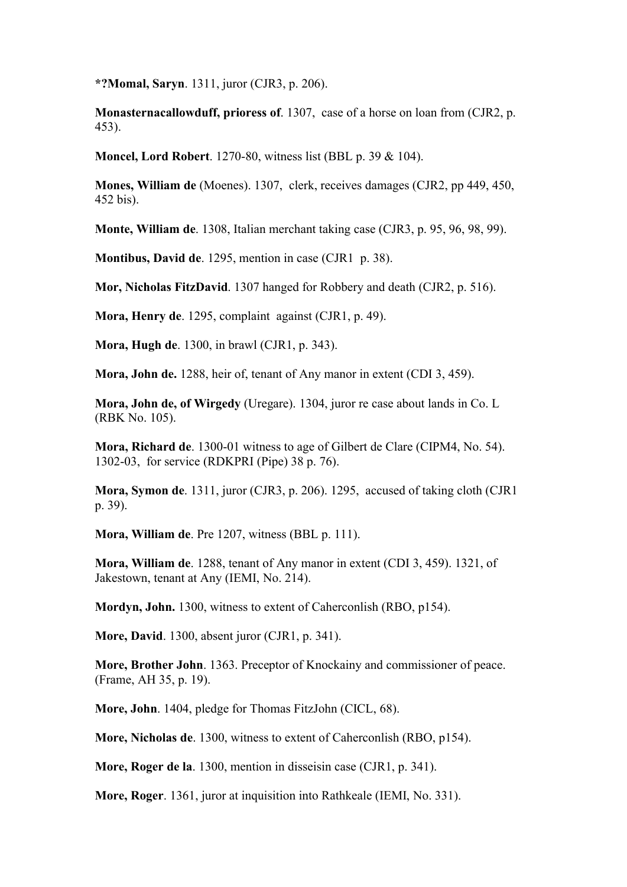**\*?Momal, Saryn**. 1311, juror (CJR3, p. 206).

**Monasternacallowduff, prioress of**. 1307, case of a horse on loan from (CJR2, p. 453).

**Moncel, Lord Robert**. 1270-80, witness list (BBL p. 39 & 104).

**Mones, William de** (Moenes). 1307, clerk, receives damages (CJR2, pp 449, 450, 452 bis).

**Monte, William de**. 1308, Italian merchant taking case (CJR3, p. 95, 96, 98, 99).

**Montibus, David de**. 1295, mention in case (CJR1 p. 38).

**Mor, Nicholas FitzDavid**. 1307 hanged for Robbery and death (CJR2, p. 516).

**Mora, Henry de**. 1295, complaint against (CJR1, p. 49).

**Mora, Hugh de**. 1300, in brawl (CJR1, p. 343).

**Mora, John de.** 1288, heir of, tenant of Any manor in extent (CDI 3, 459).

**Mora, John de, of Wirgedy** (Uregare). 1304, juror re case about lands in Co. L (RBK No. 105).

**Mora, Richard de**. 1300-01 witness to age of Gilbert de Clare (CIPM4, No. 54). 1302-03, for service (RDKPRI (Pipe) 38 p. 76).

**Mora, Symon de**. 1311, juror (CJR3, p. 206). 1295, accused of taking cloth (CJR1 p. 39).

**Mora, William de**. Pre 1207, witness (BBL p. 111).

**Mora, William de**. 1288, tenant of Any manor in extent (CDI 3, 459). 1321, of Jakestown, tenant at Any (IEMI, No. 214).

**Mordyn, John.** 1300, witness to extent of Caherconlish (RBO, p154).

**More, David**. 1300, absent juror (CJR1, p. 341).

**More, Brother John**. 1363. Preceptor of Knockainy and commissioner of peace. (Frame, AH 35, p. 19).

**More, John**. 1404, pledge for Thomas FitzJohn (CICL, 68).

**More, Nicholas de**. 1300, witness to extent of Caherconlish (RBO, p154).

**More, Roger de la**. 1300, mention in disseisin case (CJR1, p. 341).

**More, Roger**. 1361, juror at inquisition into Rathkeale (IEMI, No. 331).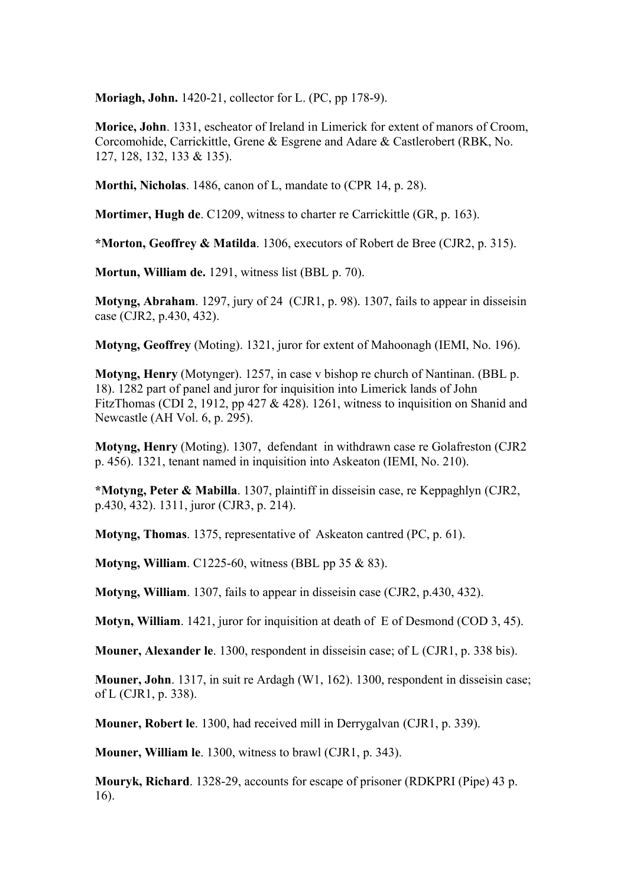**Moriagh, John.** 1420-21, collector for L. (PC, pp 178-9).

**Morice, John**. 1331, escheator of Ireland in Limerick for extent of manors of Croom, Corcomohide, Carrickittle, Grene & Esgrene and Adare & Castlerobert (RBK, No. 127, 128, 132, 133 & 135).

**Morthi, Nicholas**. 1486, canon of L, mandate to (CPR 14, p. 28).

**Mortimer, Hugh de**. C1209, witness to charter re Carrickittle (GR, p. 163).

**\*Morton, Geoffrey & Matilda**. 1306, executors of Robert de Bree (CJR2, p. 315).

**Mortun, William de.** 1291, witness list (BBL p. 70).

**Motyng, Abraham**. 1297, jury of 24 (CJR1, p. 98). 1307, fails to appear in disseisin case (CJR2, p.430, 432).

**Motyng, Geoffrey** (Moting). 1321, juror for extent of Mahoonagh (IEMI, No. 196).

**Motyng, Henry** (Motynger). 1257, in case v bishop re church of Nantinan. (BBL p. 18). 1282 part of panel and juror for inquisition into Limerick lands of John FitzThomas (CDI 2, 1912, pp 427 & 428). 1261, witness to inquisition on Shanid and Newcastle (AH Vol. 6, p. 295).

**Motyng, Henry** (Moting). 1307, defendant in withdrawn case re Golafreston (CJR2 p. 456). 1321, tenant named in inquisition into Askeaton (IEMI, No. 210).

**\*Motyng, Peter & Mabilla**. 1307, plaintiff in disseisin case, re Keppaghlyn (CJR2, p.430, 432). 1311, juror (CJR3, p. 214).

**Motyng, Thomas**. 1375, representative of Askeaton cantred (PC, p. 61).

**Motyng, William**. C1225-60, witness (BBL pp 35 & 83).

**Motyng, William**. 1307, fails to appear in disseisin case (CJR2, p.430, 432).

**Motyn, William**. 1421, juror for inquisition at death of E of Desmond (COD 3, 45).

**Mouner, Alexander le**. 1300, respondent in disseisin case; of L (CJR1, p. 338 bis).

**Mouner, John**. 1317, in suit re Ardagh (W1, 162). 1300, respondent in disseisin case; of L (CJR1, p. 338).

**Mouner, Robert le**. 1300, had received mill in Derrygalvan (CJR1, p. 339).

**Mouner, William le**. 1300, witness to brawl (CJR1, p. 343).

**Mouryk, Richard**. 1328-29, accounts for escape of prisoner (RDKPRI (Pipe) 43 p. 16).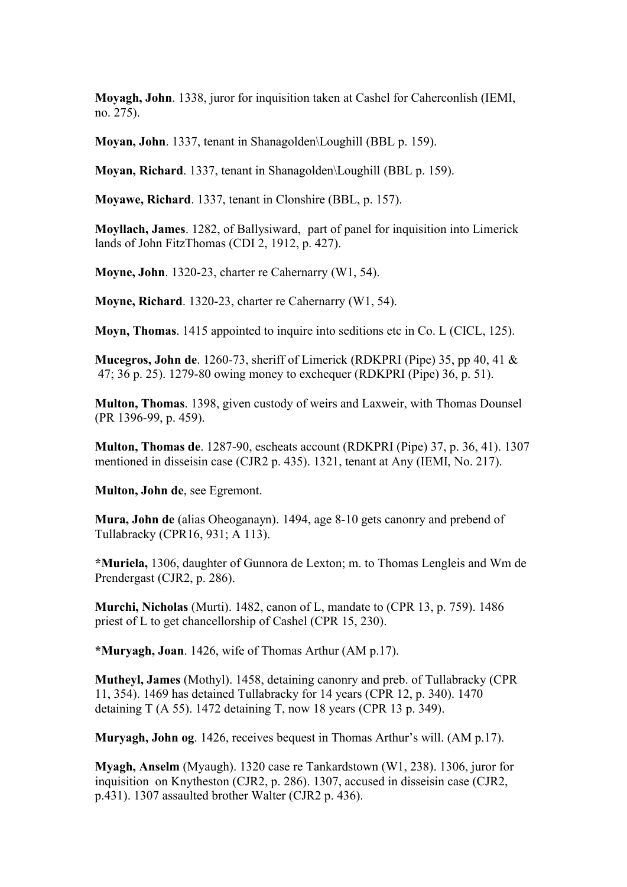**Moyagh, John**. 1338, juror for inquisition taken at Cashel for Caherconlish (IEMI, no. 275).

**Moyan, John**. 1337, tenant in Shanagolden\Loughill (BBL p. 159).

**Moyan, Richard**. 1337, tenant in Shanagolden\Loughill (BBL p. 159).

**Moyawe, Richard**. 1337, tenant in Clonshire (BBL, p. 157).

**Moyllach, James**. 1282, of Ballysiward, part of panel for inquisition into Limerick lands of John FitzThomas (CDI 2, 1912, p. 427).

**Moyne, John**. 1320-23, charter re Cahernarry (W1, 54).

**Moyne, Richard**. 1320-23, charter re Cahernarry (W1, 54).

**Moyn, Thomas**. 1415 appointed to inquire into seditions etc in Co. L (CICL, 125).

**Mucegros, John de**. 1260-73, sheriff of Limerick (RDKPRI (Pipe) 35, pp 40, 41 & 47; 36 p. 25). 1279-80 owing money to exchequer (RDKPRI (Pipe) 36, p. 51).

**Multon, Thomas**. 1398, given custody of weirs and Laxweir, with Thomas Dounsel (PR 1396-99, p. 459).

**Multon, Thomas de**. 1287-90, escheats account (RDKPRI (Pipe) 37, p. 36, 41). 1307 mentioned in disseisin case (CJR2 p. 435). 1321, tenant at Any (IEMI, No. 217).

**Multon, John de**, see Egremont.

**Mura, John de** (alias Oheoganayn). 1494, age 8-10 gets canonry and prebend of Tullabracky (CPR16, 931; A 113).

**\*Muriela,** 1306, daughter of Gunnora de Lexton; m. to Thomas Lengleis and Wm de Prendergast (CJR2, p. 286).

**Murchi, Nicholas** (Murti). 1482, canon of L, mandate to (CPR 13, p. 759). 1486 priest of L to get chancellorship of Cashel (CPR 15, 230).

**\*Muryagh, Joan**. 1426, wife of Thomas Arthur (AM p.17).

**Mutheyl, James** (Mothyl). 1458, detaining canonry and preb. of Tullabracky (CPR 11, 354). 1469 has detained Tullabracky for 14 years (CPR 12, p. 340). 1470 detaining T  $(A 55)$ . 1472 detaining T, now 18 years (CPR 13 p. 349).

**Muryagh, John og**. 1426, receives bequest in Thomas Arthur's will. (AM p.17).

**Myagh, Anselm** (Myaugh). 1320 case re Tankardstown (W1, 238). 1306, juror for inquisition on Knytheston (CJR2, p. 286). 1307, accused in disseisin case (CJR2, p.431). 1307 assaulted brother Walter (CJR2 p. 436).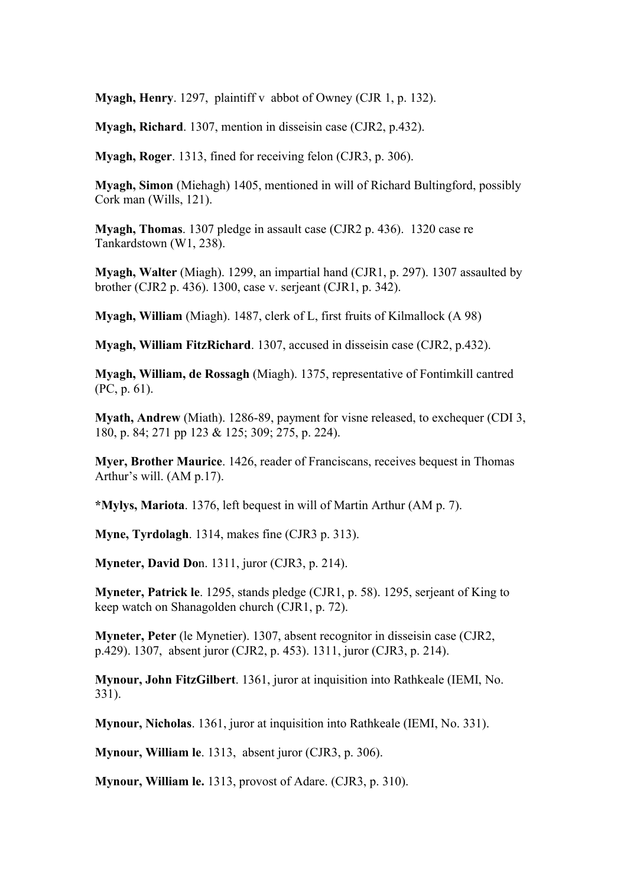**Myagh, Henry**. 1297, plaintiff v abbot of Owney (CJR 1, p. 132).

**Myagh, Richard**. 1307, mention in disseisin case (CJR2, p.432).

**Myagh, Roger**. 1313, fined for receiving felon (CJR3, p. 306).

**Myagh, Simon** (Miehagh) 1405, mentioned in will of Richard Bultingford, possibly Cork man (Wills, 121).

**Myagh, Thomas**. 1307 pledge in assault case (CJR2 p. 436). 1320 case re Tankardstown (W1, 238).

**Myagh, Walter** (Miagh). 1299, an impartial hand (CJR1, p. 297). 1307 assaulted by brother (CJR2 p. 436). 1300, case v. serjeant (CJR1, p. 342).

**Myagh, William** (Miagh). 1487, clerk of L, first fruits of Kilmallock (A 98)

**Myagh, William FitzRichard**. 1307, accused in disseisin case (CJR2, p.432).

**Myagh, William, de Rossagh** (Miagh). 1375, representative of Fontimkill cantred (PC, p. 61).

**Myath, Andrew** (Miath). 1286-89, payment for visne released, to exchequer (CDI 3, 180, p. 84; 271 pp 123 & 125; 309; 275, p. 224).

**Myer, Brother Maurice**. 1426, reader of Franciscans, receives bequest in Thomas Arthur's will. (AM p.17).

**\*Mylys, Mariota**. 1376, left bequest in will of Martin Arthur (AM p. 7).

**Myne, Tyrdolagh**. 1314, makes fine (CJR3 p. 313).

**Myneter, David Do**n. 1311, juror (CJR3, p. 214).

**Myneter, Patrick le**. 1295, stands pledge (CJR1, p. 58). 1295, serjeant of King to keep watch on Shanagolden church (CJR1, p. 72).

**Myneter, Peter** (le Mynetier). 1307, absent recognitor in disseisin case (CJR2, p.429). 1307, absent juror (CJR2, p. 453). 1311, juror (CJR3, p. 214).

**Mynour, John FitzGilbert**. 1361, juror at inquisition into Rathkeale (IEMI, No. 331).

**Mynour, Nicholas**. 1361, juror at inquisition into Rathkeale (IEMI, No. 331).

**Mynour, William le**. 1313, absent juror (CJR3, p. 306).

**Mynour, William le.** 1313, provost of Adare. (CJR3, p. 310).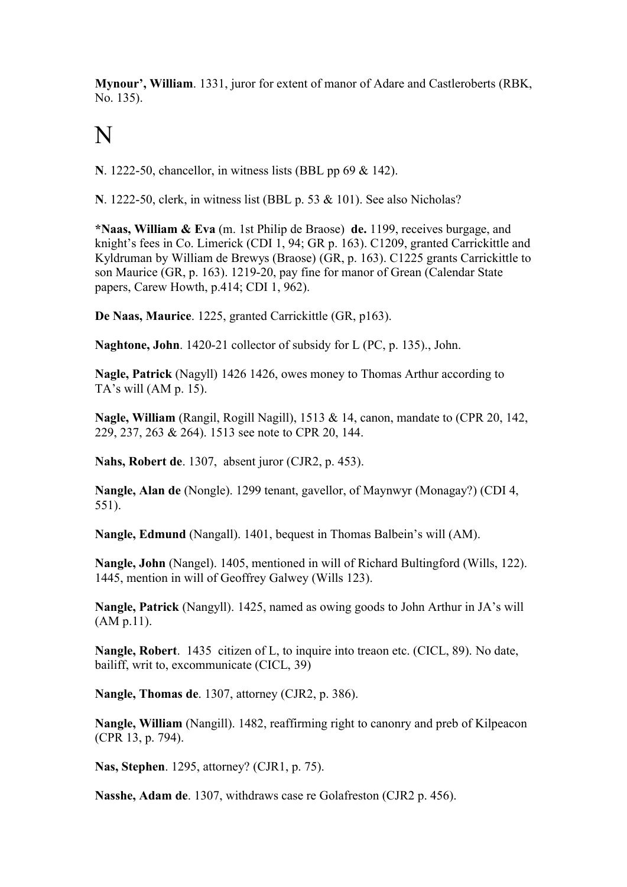**Mynour', William**. 1331, juror for extent of manor of Adare and Castleroberts (RBK, No. 135).

## N

**N**. 1222-50, chancellor, in witness lists (BBL pp 69 & 142).

**N**. 1222-50, clerk, in witness list (BBL p. 53 & 101). See also Nicholas?

**\*Naas, William & Eva** (m. 1st Philip de Braose) **de.** 1199, receives burgage, and knight's fees in Co. Limerick (CDI 1, 94; GR p. 163). C1209, granted Carrickittle and Kyldruman by William de Brewys (Braose) (GR, p. 163). C1225 grants Carrickittle to son Maurice (GR, p. 163). 1219-20, pay fine for manor of Grean (Calendar State papers, Carew Howth, p.414; CDI 1, 962).

**De Naas, Maurice**. 1225, granted Carrickittle (GR, p163).

**Naghtone, John**. 1420-21 collector of subsidy for L (PC, p. 135)., John.

**Nagle, Patrick** (Nagyll) 1426 1426, owes money to Thomas Arthur according to TA's will (AM p. 15).

**Nagle, William** (Rangil, Rogill Nagill), 1513 & 14, canon, mandate to (CPR 20, 142, 229, 237, 263 & 264). 1513 see note to CPR 20, 144.

**Nahs, Robert de**. 1307, absent juror (CJR2, p. 453).

**Nangle, Alan de** (Nongle). 1299 tenant, gavellor, of Maynwyr (Monagay?) (CDI 4, 551).

**Nangle, Edmund** (Nangall). 1401, bequest in Thomas Balbein's will (AM).

**Nangle, John** (Nangel). 1405, mentioned in will of Richard Bultingford (Wills, 122). 1445, mention in will of Geoffrey Galwey (Wills 123).

**Nangle, Patrick** (Nangyll). 1425, named as owing goods to John Arthur in JA's will (AM p.11).

**Nangle, Robert**. 1435 citizen of L, to inquire into treaon etc. (CICL, 89). No date, bailiff, writ to, excommunicate (CICL, 39)

**Nangle, Thomas de**. 1307, attorney (CJR2, p. 386).

**Nangle, William** (Nangill). 1482, reaffirming right to canonry and preb of Kilpeacon (CPR 13, p. 794).

**Nas, Stephen**. 1295, attorney? (CJR1, p. 75).

**Nasshe, Adam de**. 1307, withdraws case re Golafreston (CJR2 p. 456).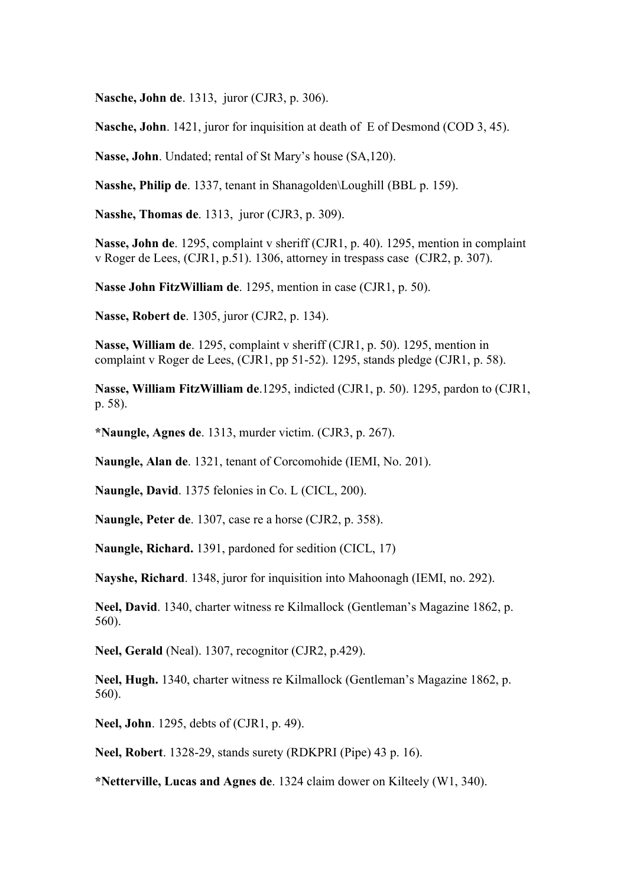**Nasche, John de**. 1313, juror (CJR3, p. 306).

**Nasche, John**. 1421, juror for inquisition at death of E of Desmond (COD 3, 45).

**Nasse, John**. Undated; rental of St Mary's house (SA,120).

**Nasshe, Philip de**. 1337, tenant in Shanagolden\Loughill (BBL p. 159).

**Nasshe, Thomas de**. 1313, juror (CJR3, p. 309).

**Nasse, John de**. 1295, complaint v sheriff (CJR1, p. 40). 1295, mention in complaint v Roger de Lees, (CJR1, p.51). 1306, attorney in trespass case (CJR2, p. 307).

**Nasse John FitzWilliam de**. 1295, mention in case (CJR1, p. 50).

**Nasse, Robert de**. 1305, juror (CJR2, p. 134).

**Nasse, William de**. 1295, complaint v sheriff (CJR1, p. 50). 1295, mention in complaint v Roger de Lees, (CJR1, pp 51-52). 1295, stands pledge (CJR1, p. 58).

**Nasse, William FitzWilliam de**.1295, indicted (CJR1, p. 50). 1295, pardon to (CJR1, p. 58).

**\*Naungle, Agnes de**. 1313, murder victim. (CJR3, p. 267).

**Naungle, Alan de**. 1321, tenant of Corcomohide (IEMI, No. 201).

**Naungle, David**. 1375 felonies in Co. L (CICL, 200).

**Naungle, Peter de**. 1307, case re a horse (CJR2, p. 358).

**Naungle, Richard.** 1391, pardoned for sedition (CICL, 17)

**Nayshe, Richard**. 1348, juror for inquisition into Mahoonagh (IEMI, no. 292).

**Neel, David**. 1340, charter witness re Kilmallock (Gentleman's Magazine 1862, p. 560).

**Neel, Gerald** (Neal). 1307, recognitor (CJR2, p.429).

**Neel, Hugh.** 1340, charter witness re Kilmallock (Gentleman's Magazine 1862, p. 560).

**Neel, John**. 1295, debts of (CJR1, p. 49).

**Neel, Robert**. 1328-29, stands surety (RDKPRI (Pipe) 43 p. 16).

**\*Netterville, Lucas and Agnes de**. 1324 claim dower on Kilteely (W1, 340).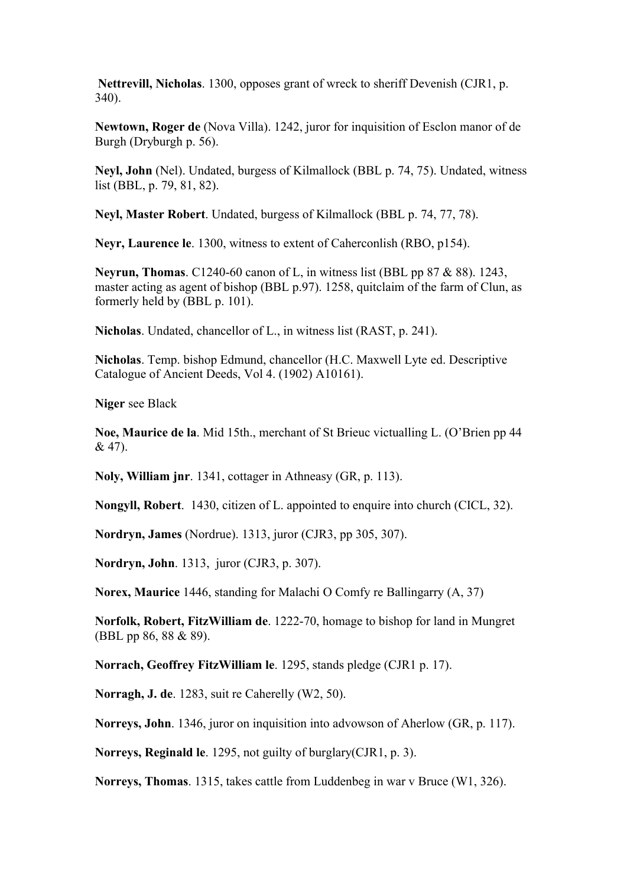**Nettrevill, Nicholas**. 1300, opposes grant of wreck to sheriff Devenish (CJR1, p. 340).

**Newtown, Roger de** (Nova Villa). 1242, juror for inquisition of Esclon manor of de Burgh (Dryburgh p. 56).

**Neyl, John** (Nel). Undated, burgess of Kilmallock (BBL p. 74, 75). Undated, witness list (BBL, p. 79, 81, 82).

**Neyl, Master Robert**. Undated, burgess of Kilmallock (BBL p. 74, 77, 78).

**Neyr, Laurence le**. 1300, witness to extent of Caherconlish (RBO, p154).

**Neyrun, Thomas**. C1240-60 canon of L, in witness list (BBL pp 87 & 88). 1243, master acting as agent of bishop (BBL p.97). 1258, quitclaim of the farm of Clun, as formerly held by (BBL p. 101).

**Nicholas**. Undated, chancellor of L., in witness list (RAST, p. 241).

**Nicholas**. Temp. bishop Edmund, chancellor (H.C. Maxwell Lyte ed. Descriptive Catalogue of Ancient Deeds, Vol 4. (1902) A10161).

**Niger** see Black

**Noe, Maurice de la**. Mid 15th., merchant of St Brieuc victualling L. (O'Brien pp 44 & 47).

**Noly, William jnr**. 1341, cottager in Athneasy (GR, p. 113).

**Nongyll, Robert**. 1430, citizen of L. appointed to enquire into church (CICL, 32).

**Nordryn, James** (Nordrue). 1313, juror (CJR3, pp 305, 307).

**Nordryn, John**. 1313, juror (CJR3, p. 307).

**Norex, Maurice** 1446, standing for Malachi O Comfy re Ballingarry (A, 37)

**Norfolk, Robert, FitzWilliam de**. 1222-70, homage to bishop for land in Mungret (BBL pp 86, 88 & 89).

**Norrach, Geoffrey FitzWilliam le**. 1295, stands pledge (CJR1 p. 17).

**Norragh, J. de**. 1283, suit re Caherelly (W2, 50).

**Norreys, John**. 1346, juror on inquisition into advowson of Aherlow (GR, p. 117).

**Norreys, Reginald le**. 1295, not guilty of burglary(CJR1, p. 3).

**Norreys, Thomas**. 1315, takes cattle from Luddenbeg in war v Bruce (W1, 326).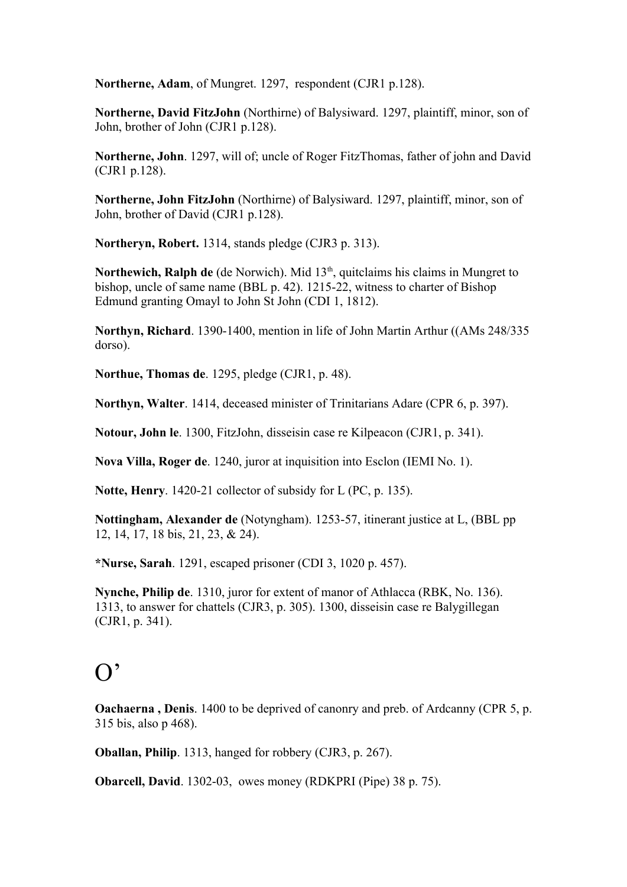**Northerne, Adam**, of Mungret. 1297, respondent (CJR1 p.128).

**Northerne, David FitzJohn** (Northirne) of Balysiward. 1297, plaintiff, minor, son of John, brother of John (CJR1 p.128).

**Northerne, John**. 1297, will of; uncle of Roger FitzThomas, father of john and David (CJR1 p.128).

**Northerne, John FitzJohn** (Northirne) of Balysiward. 1297, plaintiff, minor, son of John, brother of David (CJR1 p.128).

**Northeryn, Robert.** 1314, stands pledge (CJR3 p. 313).

**Northewich, Ralph de** (de Norwich). Mid 13<sup>th</sup>, quitclaims his claims in Mungret to bishop, uncle of same name (BBL p. 42). 1215-22, witness to charter of Bishop Edmund granting Omayl to John St John (CDI 1, 1812).

**Northyn, Richard**. 1390-1400, mention in life of John Martin Arthur ((AMs 248/335 dorso).

**Northue, Thomas de**. 1295, pledge (CJR1, p. 48).

**Northyn, Walter**. 1414, deceased minister of Trinitarians Adare (CPR 6, p. 397).

**Notour, John le**. 1300, FitzJohn, disseisin case re Kilpeacon (CJR1, p. 341).

**Nova Villa, Roger de**. 1240, juror at inquisition into Esclon (IEMI No. 1).

**Notte, Henry**. 1420-21 collector of subsidy for L (PC, p. 135).

**Nottingham, Alexander de** (Notyngham). 1253-57, itinerant justice at L, (BBL pp 12, 14, 17, 18 bis, 21, 23, & 24).

**\*Nurse, Sarah**. 1291, escaped prisoner (CDI 3, 1020 p. 457).

**Nynche, Philip de**. 1310, juror for extent of manor of Athlacca (RBK, No. 136). 1313, to answer for chattels (CJR3, p. 305). 1300, disseisin case re Balygillegan (CJR1, p. 341).

## O'

**Oachaerna , Denis**. 1400 to be deprived of canonry and preb. of Ardcanny (CPR 5, p. 315 bis, also p 468).

**Oballan, Philip**. 1313, hanged for robbery (CJR3, p. 267).

**Obarcell, David**. 1302-03, owes money (RDKPRI (Pipe) 38 p. 75).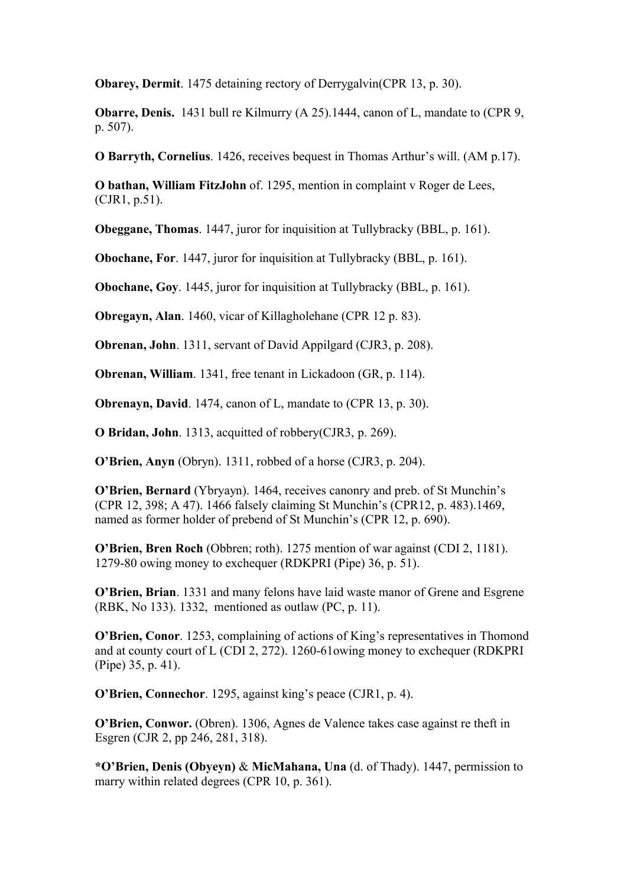**Obarey, Dermit**. 1475 detaining rectory of Derrygalvin(CPR 13, p. 30).

**Obarre, Denis.** 1431 bull re Kilmurry (A 25).1444, canon of L, mandate to (CPR 9, p. 507).

**O Barryth, Cornelius**. 1426, receives bequest in Thomas Arthur's will. (AM p.17).

**O bathan, William FitzJohn** of. 1295, mention in complaint v Roger de Lees, (CJR1, p.51).

**Obeggane, Thomas**. 1447, juror for inquisition at Tullybracky (BBL, p. 161).

**Obochane, For**. 1447, juror for inquisition at Tullybracky (BBL, p. 161).

**Obochane, Goy**. 1445, juror for inquisition at Tullybracky (BBL, p. 161).

**Obregayn, Alan**. 1460, vicar of Killagholehane (CPR 12 p. 83).

**Obrenan, John**. 1311, servant of David Appilgard (CJR3, p. 208).

**Obrenan, William**. 1341, free tenant in Lickadoon (GR, p. 114).

**Obrenayn, David**. 1474, canon of L, mandate to (CPR 13, p. 30).

**O Bridan, John**. 1313, acquitted of robbery(CJR3, p. 269).

**O'Brien, Anyn** (Obryn). 1311, robbed of a horse (CJR3, p. 204).

**O'Brien, Bernard** (Ybryayn). 1464, receives canonry and preb. of St Munchin's (CPR 12, 398; A 47). 1466 falsely claiming St Munchin's (CPR12, p. 483).1469, named as former holder of prebend of St Munchin's (CPR 12, p. 690).

**O'Brien, Bren Roch** (Obbren; roth). 1275 mention of war against (CDI 2, 1181). 1279-80 owing money to exchequer (RDKPRI (Pipe) 36, p. 51).

**O'Brien, Brian**. 1331 and many felons have laid waste manor of Grene and Esgrene (RBK, No 133). 1332, mentioned as outlaw (PC, p. 11).

**O'Brien, Conor**. 1253, complaining of actions of King's representatives in Thomond and at county court of L (CDI 2, 272). 1260-61owing money to exchequer (RDKPRI (Pipe) 35, p. 41).

**O'Brien, Connechor**. 1295, against king's peace (CJR1, p. 4).

**O'Brien, Conwor.** (Obren). 1306, Agnes de Valence takes case against re theft in Esgren (CJR 2, pp 246, 281, 318).

**\*O'Brien, Denis (Obyeyn)** & **MicMahana, Una** (d. of Thady). 1447, permission to marry within related degrees (CPR 10, p. 361).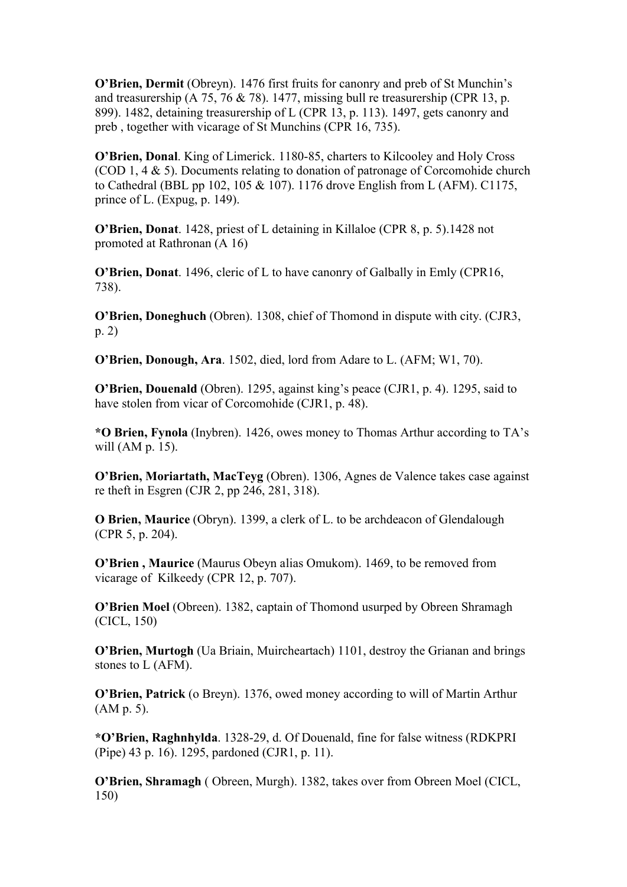**O'Brien, Dermit** (Obreyn). 1476 first fruits for canonry and preb of St Munchin's and treasurership (A 75, 76 & 78). 1477, missing bull re treasurership (CPR 13, p. 899). 1482, detaining treasurership of L (CPR 13, p. 113). 1497, gets canonry and preb , together with vicarage of St Munchins (CPR 16, 735).

**O'Brien, Donal**. King of Limerick. 1180-85, charters to Kilcooley and Holy Cross (COD 1, 4 & 5). Documents relating to donation of patronage of Corcomohide church to Cathedral (BBL pp 102, 105 & 107). 1176 drove English from L (AFM). C1175, prince of L. (Expug, p. 149).

**O'Brien, Donat**. 1428, priest of L detaining in Killaloe (CPR 8, p. 5).1428 not promoted at Rathronan (A 16)

**O'Brien, Donat**. 1496, cleric of L to have canonry of Galbally in Emly (CPR16, 738).

**O'Brien, Doneghuch** (Obren). 1308, chief of Thomond in dispute with city. (CJR3, p. 2)

**O'Brien, Donough, Ara**. 1502, died, lord from Adare to L. (AFM; W1, 70).

**O'Brien, Douenald** (Obren). 1295, against king's peace (CJR1, p. 4). 1295, said to have stolen from vicar of Corcomohide (CJR1, p. 48).

**\*O Brien, Fynola** (Inybren). 1426, owes money to Thomas Arthur according to TA's will (AM p. 15).

**O'Brien, Moriartath, MacTeyg** (Obren). 1306, Agnes de Valence takes case against re theft in Esgren (CJR 2, pp 246, 281, 318).

**O Brien, Maurice** (Obryn). 1399, a clerk of L. to be archdeacon of Glendalough (CPR 5, p. 204).

**O'Brien , Maurice** (Maurus Obeyn alias Omukom). 1469, to be removed from vicarage of Kilkeedy (CPR 12, p. 707).

**O'Brien Moel** (Obreen). 1382, captain of Thomond usurped by Obreen Shramagh (CICL, 150)

**O'Brien, Murtogh** (Ua Briain, Muircheartach) 1101, destroy the Grianan and brings stones to L (AFM).

**O'Brien, Patrick** (o Breyn). 1376, owed money according to will of Martin Arthur (AM p. 5).

**\*O'Brien, Raghnhylda**. 1328-29, d. Of Douenald, fine for false witness (RDKPRI (Pipe) 43 p. 16). 1295, pardoned (CJR1, p. 11).

**O'Brien, Shramagh** ( Obreen, Murgh). 1382, takes over from Obreen Moel (CICL, 150)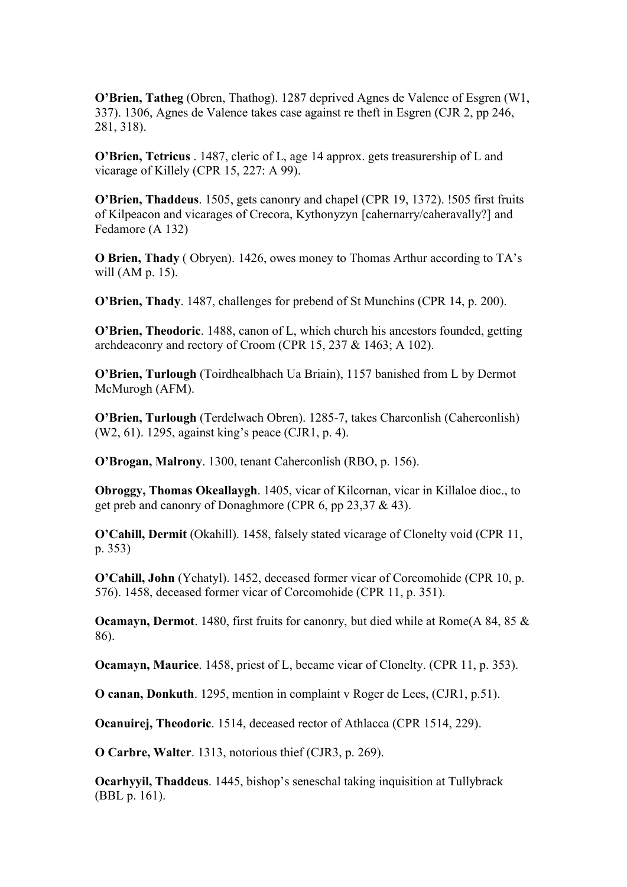**O'Brien, Tatheg** (Obren, Thathog). 1287 deprived Agnes de Valence of Esgren (W1, 337). 1306, Agnes de Valence takes case against re theft in Esgren (CJR 2, pp 246, 281, 318).

**O'Brien, Tetricus** . 1487, cleric of L, age 14 approx. gets treasurership of L and vicarage of Killely (CPR 15, 227: A 99).

**O'Brien, Thaddeus**. 1505, gets canonry and chapel (CPR 19, 1372). !505 first fruits of Kilpeacon and vicarages of Crecora, Kythonyzyn [cahernarry/caheravally?] and Fedamore (A 132)

**O Brien, Thady** ( Obryen). 1426, owes money to Thomas Arthur according to TA's will (AM p. 15).

**O'Brien, Thady**. 1487, challenges for prebend of St Munchins (CPR 14, p. 200).

**O'Brien, Theodoric**. 1488, canon of L, which church his ancestors founded, getting archdeaconry and rectory of Croom (CPR 15, 237 & 1463; A 102).

**O'Brien, Turlough** (Toirdhealbhach Ua Briain), 1157 banished from L by Dermot McMurogh (AFM).

**O'Brien, Turlough** (Terdelwach Obren). 1285-7, takes Charconlish (Caherconlish) (W2, 61). 1295, against king's peace (CJR1, p. 4).

**O'Brogan, Malrony**. 1300, tenant Caherconlish (RBO, p. 156).

**Obroggy, Thomas Okeallaygh**. 1405, vicar of Kilcornan, vicar in Killaloe dioc., to get preb and canonry of Donaghmore (CPR 6, pp 23,37 & 43).

**O'Cahill, Dermit** (Okahill). 1458, falsely stated vicarage of Clonelty void (CPR 11, p. 353)

**O'Cahill, John** (Ychatyl). 1452, deceased former vicar of Corcomohide (CPR 10, p. 576). 1458, deceased former vicar of Corcomohide (CPR 11, p. 351).

**Ocamayn, Dermot**. 1480, first fruits for canonry, but died while at Rome(A 84, 85 & 86).

**Ocamayn, Maurice**. 1458, priest of L, became vicar of Clonelty. (CPR 11, p. 353).

**O canan, Donkuth**. 1295, mention in complaint v Roger de Lees, (CJR1, p.51).

**Ocanuirej, Theodoric**. 1514, deceased rector of Athlacca (CPR 1514, 229).

**O Carbre, Walter**. 1313, notorious thief (CJR3, p. 269).

**Ocarhyyil, Thaddeus**. 1445, bishop's seneschal taking inquisition at Tullybrack (BBL p. 161).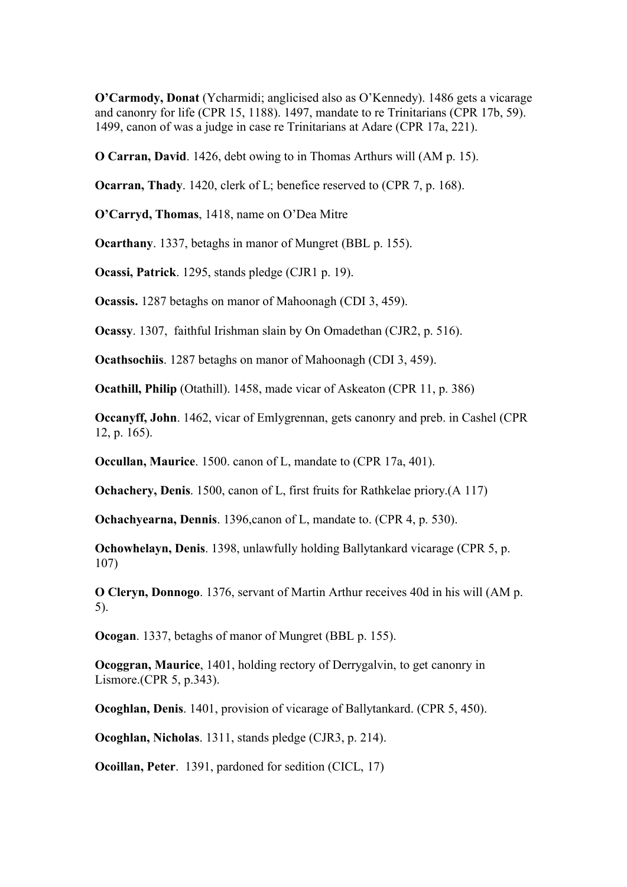**O'Carmody, Donat** (Ycharmidi; anglicised also as O'Kennedy). 1486 gets a vicarage and canonry for life (CPR 15, 1188). 1497, mandate to re Trinitarians (CPR 17b, 59). 1499, canon of was a judge in case re Trinitarians at Adare (CPR 17a, 221).

**O Carran, David**. 1426, debt owing to in Thomas Arthurs will (AM p. 15).

**Ocarran, Thady**. 1420, clerk of L; benefice reserved to (CPR 7, p. 168).

**O'Carryd, Thomas**, 1418, name on O'Dea Mitre

**Ocarthany**. 1337, betaghs in manor of Mungret (BBL p. 155).

**Ocassi, Patrick**. 1295, stands pledge (CJR1 p. 19).

**Ocassis.** 1287 betaghs on manor of Mahoonagh (CDI 3, 459).

**Ocassy**. 1307, faithful Irishman slain by On Omadethan (CJR2, p. 516).

**Ocathsochiis**. 1287 betaghs on manor of Mahoonagh (CDI 3, 459).

**Ocathill, Philip** (Otathill). 1458, made vicar of Askeaton (CPR 11, p. 386)

**Occanyff, John**. 1462, vicar of Emlygrennan, gets canonry and preb. in Cashel (CPR 12, p. 165).

**Occullan, Maurice**. 1500. canon of L, mandate to (CPR 17a, 401).

**Ochachery, Denis**. 1500, canon of L, first fruits for Rathkelae priory.(A 117)

**Ochachyearna, Dennis**. 1396,canon of L, mandate to. (CPR 4, p. 530).

**Ochowhelayn, Denis**. 1398, unlawfully holding Ballytankard vicarage (CPR 5, p. 107)

**O Cleryn, Donnogo**. 1376, servant of Martin Arthur receives 40d in his will (AM p. 5).

**Ocogan**. 1337, betaghs of manor of Mungret (BBL p. 155).

**Ocoggran, Maurice**, 1401, holding rectory of Derrygalvin, to get canonry in Lismore.(CPR 5, p.343).

**Ocoghlan, Denis**. 1401, provision of vicarage of Ballytankard. (CPR 5, 450).

**Ocoghlan, Nicholas**. 1311, stands pledge (CJR3, p. 214).

**Ocoillan, Peter**. 1391, pardoned for sedition (CICL, 17)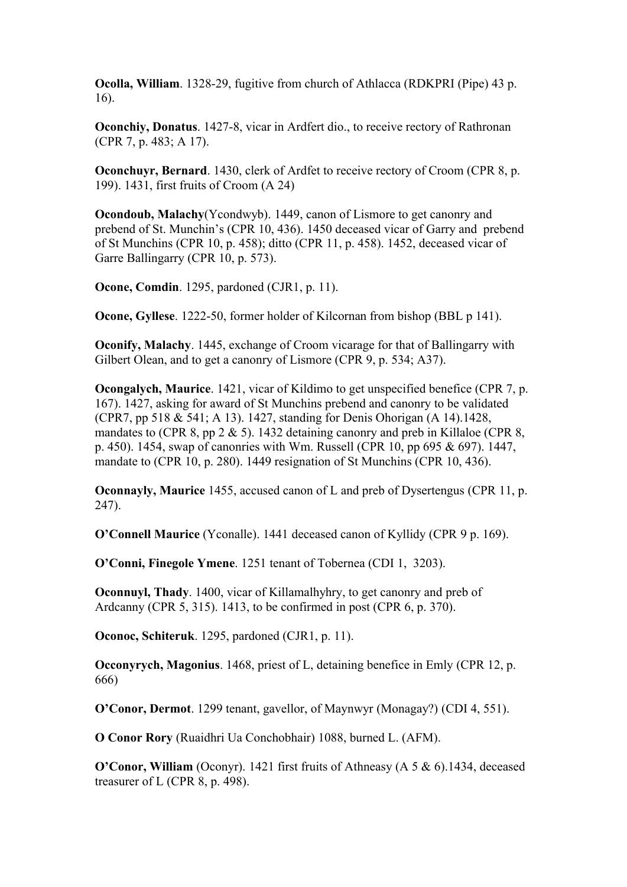**Ocolla, William**. 1328-29, fugitive from church of Athlacca (RDKPRI (Pipe) 43 p. 16).

**Oconchiy, Donatus**. 1427-8, vicar in Ardfert dio., to receive rectory of Rathronan (CPR 7, p. 483; A 17).

**Oconchuyr, Bernard**. 1430, clerk of Ardfet to receive rectory of Croom (CPR 8, p. 199). 1431, first fruits of Croom (A 24)

**Ocondoub, Malachy**(Ycondwyb). 1449, canon of Lismore to get canonry and prebend of St. Munchin's (CPR 10, 436). 1450 deceased vicar of Garry and prebend of St Munchins (CPR 10, p. 458); ditto (CPR 11, p. 458). 1452, deceased vicar of Garre Ballingarry (CPR 10, p. 573).

**Ocone, Comdin**. 1295, pardoned (CJR1, p. 11).

**Ocone, Gyllese**. 1222-50, former holder of Kilcornan from bishop (BBL p 141).

**Oconify, Malachy**. 1445, exchange of Croom vicarage for that of Ballingarry with Gilbert Olean, and to get a canonry of Lismore (CPR 9, p. 534; A37).

**Ocongalych, Maurice**. 1421, vicar of Kildimo to get unspecified benefice (CPR 7, p. 167). 1427, asking for award of St Munchins prebend and canonry to be validated (CPR7, pp 518 & 541; A 13). 1427, standing for Denis Ohorigan (A 14).1428, mandates to (CPR 8, pp 2  $\&$  5). 1432 detaining canonry and preb in Killaloe (CPR 8, p. 450). 1454, swap of canonries with Wm. Russell (CPR 10, pp 695 & 697). 1447, mandate to (CPR 10, p. 280). 1449 resignation of St Munchins (CPR 10, 436).

**Oconnayly, Maurice** 1455, accused canon of L and preb of Dysertengus (CPR 11, p. 247).

**O'Connell Maurice** (Yconalle). 1441 deceased canon of Kyllidy (CPR 9 p. 169).

**O'Conni, Finegole Ymene**. 1251 tenant of Tobernea (CDI 1, 3203).

**Oconnuyl, Thady**. 1400, vicar of Killamalhyhry, to get canonry and preb of Ardcanny (CPR 5, 315). 1413, to be confirmed in post (CPR 6, p. 370).

**Oconoc, Schiteruk**. 1295, pardoned (CJR1, p. 11).

**Occonyrych, Magonius**. 1468, priest of L, detaining benefice in Emly (CPR 12, p. 666)

**O'Conor, Dermot**. 1299 tenant, gavellor, of Maynwyr (Monagay?) (CDI 4, 551).

**O Conor Rory** (Ruaidhri Ua Conchobhair) 1088, burned L. (AFM).

**O'Conor, William** (Oconyr). 1421 first fruits of Athneasy (A 5 & 6).1434, deceased treasurer of L (CPR 8, p. 498).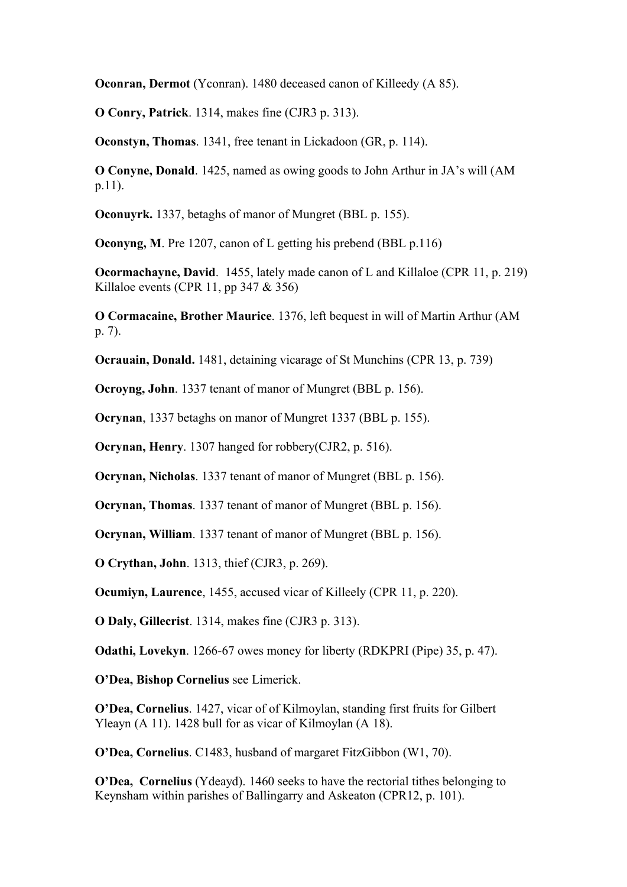**Oconran, Dermot** (Yconran). 1480 deceased canon of Killeedy (A 85).

**O Conry, Patrick**. 1314, makes fine (CJR3 p. 313).

**Oconstyn, Thomas**. 1341, free tenant in Lickadoon (GR, p. 114).

**O Conyne, Donald**. 1425, named as owing goods to John Arthur in JA's will (AM p.11).

**Oconuyrk.** 1337, betaghs of manor of Mungret (BBL p. 155).

**Oconyng, M**. Pre 1207, canon of L getting his prebend (BBL p.116)

**Ocormachayne, David**. 1455, lately made canon of L and Killaloe (CPR 11, p. 219) Killaloe events (CPR 11, pp 347 & 356)

**O Cormacaine, Brother Maurice**. 1376, left bequest in will of Martin Arthur (AM p. 7).

**Ocrauain, Donald.** 1481, detaining vicarage of St Munchins (CPR 13, p. 739)

**Ocroyng, John**. 1337 tenant of manor of Mungret (BBL p. 156).

**Ocrynan**, 1337 betaghs on manor of Mungret 1337 (BBL p. 155).

**Ocrynan, Henry**. 1307 hanged for robbery(CJR2, p. 516).

**Ocrynan, Nicholas**. 1337 tenant of manor of Mungret (BBL p. 156).

**Ocrynan, Thomas**. 1337 tenant of manor of Mungret (BBL p. 156).

**Ocrynan, William**. 1337 tenant of manor of Mungret (BBL p. 156).

**O Crythan, John**. 1313, thief (CJR3, p. 269).

**Ocumiyn, Laurence**, 1455, accused vicar of Killeely (CPR 11, p. 220).

**O Daly, Gillecrist**. 1314, makes fine (CJR3 p. 313).

**Odathi, Lovekyn**. 1266-67 owes money for liberty (RDKPRI (Pipe) 35, p. 47).

**O'Dea, Bishop Cornelius** see Limerick.

**O'Dea, Cornelius**. 1427, vicar of of Kilmoylan, standing first fruits for Gilbert Yleayn (A 11). 1428 bull for as vicar of Kilmoylan (A 18).

**O'Dea, Cornelius**. C1483, husband of margaret FitzGibbon (W1, 70).

**O'Dea, Cornelius** (Ydeayd). 1460 seeks to have the rectorial tithes belonging to Keynsham within parishes of Ballingarry and Askeaton (CPR12, p. 101).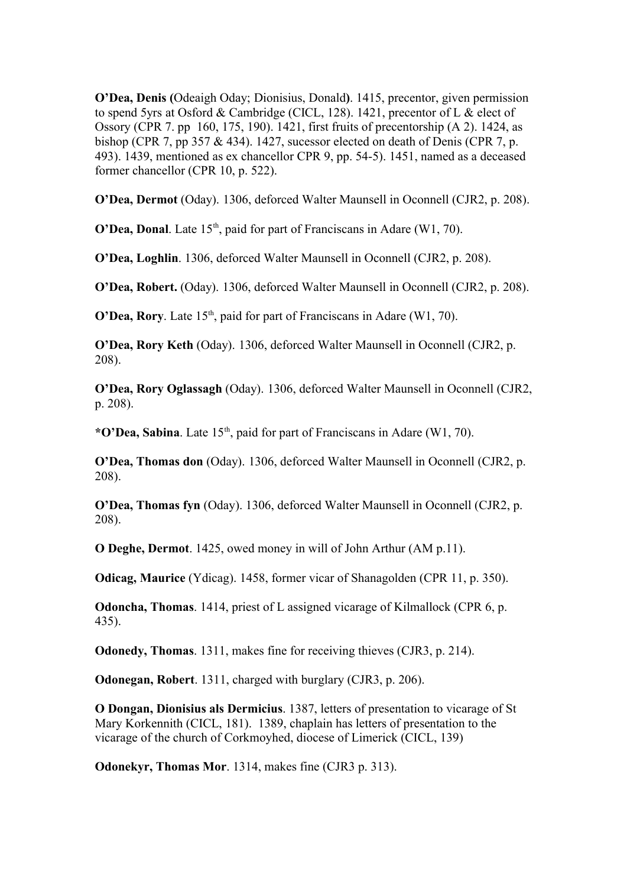**O'Dea, Denis (**Odeaigh Oday; Dionisius, Donald**)**. 1415, precentor, given permission to spend 5yrs at Osford & Cambridge (CICL, 128). 1421, precentor of L & elect of Ossory (CPR 7. pp 160, 175, 190). 1421, first fruits of precentorship (A 2). 1424, as bishop (CPR 7, pp 357 & 434). 1427, sucessor elected on death of Denis (CPR 7, p. 493). 1439, mentioned as ex chancellor CPR 9, pp. 54-5). 1451, named as a deceased former chancellor (CPR 10, p. 522).

**O'Dea, Dermot** (Oday). 1306, deforced Walter Maunsell in Oconnell (CJR2, p. 208).

**O'Dea, Donal**. Late 15<sup>th</sup>, paid for part of Franciscans in Adare (W1, 70).

**O'Dea, Loghlin**. 1306, deforced Walter Maunsell in Oconnell (CJR2, p. 208).

**O'Dea, Robert.** (Oday). 1306, deforced Walter Maunsell in Oconnell (CJR2, p. 208).

**O'Dea, Rory**. Late 15<sup>th</sup>, paid for part of Franciscans in Adare (W1, 70).

**O'Dea, Rory Keth** (Oday). 1306, deforced Walter Maunsell in Oconnell (CJR2, p. 208).

**O'Dea, Rory Oglassagh** (Oday). 1306, deforced Walter Maunsell in Oconnell (CJR2, p. 208).

\***O'Dea, Sabina**. Late 15<sup>th</sup>, paid for part of Franciscans in Adare (W1, 70).

**O'Dea, Thomas don** (Oday). 1306, deforced Walter Maunsell in Oconnell (CJR2, p. 208).

**O'Dea, Thomas fyn** (Oday). 1306, deforced Walter Maunsell in Oconnell (CJR2, p. 208).

**O Deghe, Dermot**. 1425, owed money in will of John Arthur (AM p.11).

**Odicag, Maurice** (Ydicag). 1458, former vicar of Shanagolden (CPR 11, p. 350).

**Odoncha, Thomas**. 1414, priest of L assigned vicarage of Kilmallock (CPR 6, p. 435).

**Odonedy, Thomas**. 1311, makes fine for receiving thieves (CJR3, p. 214).

**Odonegan, Robert**. 1311, charged with burglary (CJR3, p. 206).

**O Dongan, Dionisius als Dermicius**. 1387, letters of presentation to vicarage of St Mary Korkennith (CICL, 181). 1389, chaplain has letters of presentation to the vicarage of the church of Corkmoyhed, diocese of Limerick (CICL, 139)

**Odonekyr, Thomas Mor**. 1314, makes fine (CJR3 p. 313).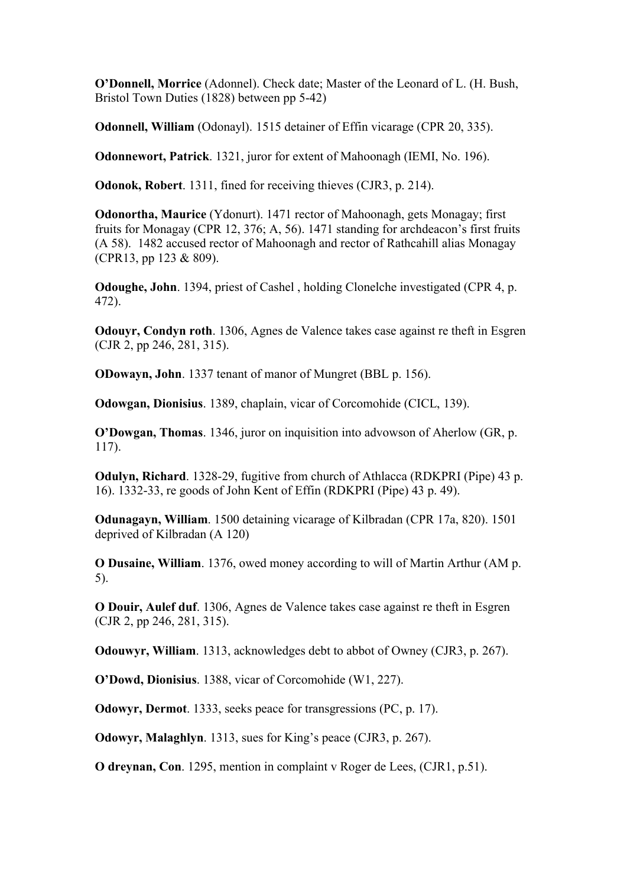**O'Donnell, Morrice** (Adonnel). Check date; Master of the Leonard of L. (H. Bush, Bristol Town Duties (1828) between pp 5-42)

**Odonnell, William** (Odonayl). 1515 detainer of Effin vicarage (CPR 20, 335).

**Odonnewort, Patrick**. 1321, juror for extent of Mahoonagh (IEMI, No. 196).

**Odonok, Robert**. 1311, fined for receiving thieves (CJR3, p. 214).

**Odonortha, Maurice** (Ydonurt). 1471 rector of Mahoonagh, gets Monagay; first fruits for Monagay (CPR 12, 376; A, 56). 1471 standing for archdeacon's first fruits (A 58). 1482 accused rector of Mahoonagh and rector of Rathcahill alias Monagay (CPR13, pp 123 & 809).

**Odoughe, John**. 1394, priest of Cashel , holding Clonelche investigated (CPR 4, p. 472).

**Odouyr, Condyn roth**. 1306, Agnes de Valence takes case against re theft in Esgren (CJR 2, pp 246, 281, 315).

**ODowayn, John**. 1337 tenant of manor of Mungret (BBL p. 156).

**Odowgan, Dionisius**. 1389, chaplain, vicar of Corcomohide (CICL, 139).

**O'Dowgan, Thomas**. 1346, juror on inquisition into advowson of Aherlow (GR, p. 117).

**Odulyn, Richard**. 1328-29, fugitive from church of Athlacca (RDKPRI (Pipe) 43 p. 16). 1332-33, re goods of John Kent of Effin (RDKPRI (Pipe) 43 p. 49).

**Odunagayn, William**. 1500 detaining vicarage of Kilbradan (CPR 17a, 820). 1501 deprived of Kilbradan (A 120)

**O Dusaine, William**. 1376, owed money according to will of Martin Arthur (AM p. 5).

**O Douir, Aulef duf**. 1306, Agnes de Valence takes case against re theft in Esgren (CJR 2, pp 246, 281, 315).

**Odouwyr, William**. 1313, acknowledges debt to abbot of Owney (CJR3, p. 267).

**O'Dowd, Dionisius**. 1388, vicar of Corcomohide (W1, 227).

**Odowyr, Dermot**. 1333, seeks peace for transgressions (PC, p. 17).

**Odowyr, Malaghlyn**. 1313, sues for King's peace (CJR3, p. 267).

**O dreynan, Con**. 1295, mention in complaint v Roger de Lees, (CJR1, p.51).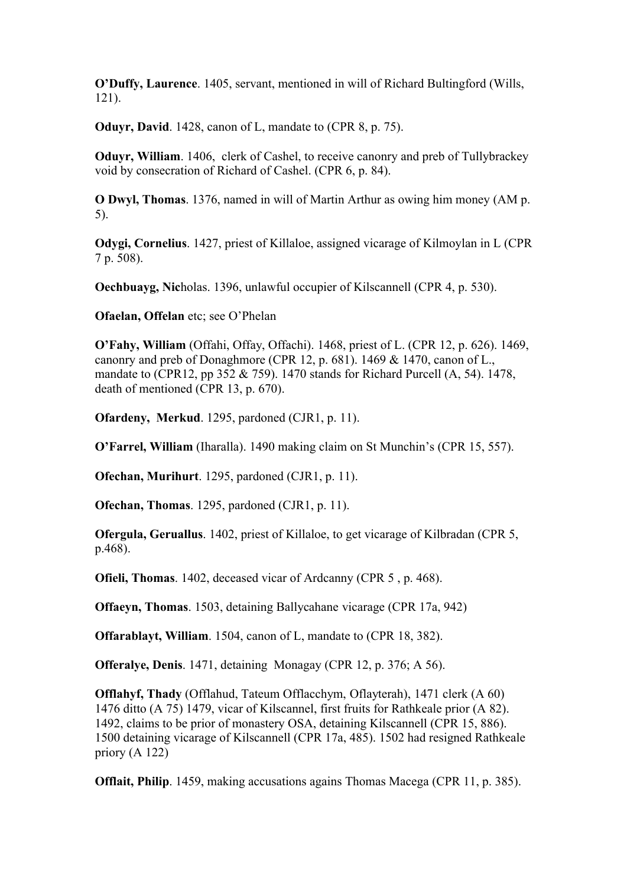**O'Duffy, Laurence**. 1405, servant, mentioned in will of Richard Bultingford (Wills, 121).

**Oduyr, David**. 1428, canon of L, mandate to (CPR 8, p. 75).

**Oduyr, William**. 1406, clerk of Cashel, to receive canonry and preb of Tullybrackey void by consecration of Richard of Cashel. (CPR 6, p. 84).

**O Dwyl, Thomas**. 1376, named in will of Martin Arthur as owing him money (AM p. 5).

**Odygi, Cornelius**. 1427, priest of Killaloe, assigned vicarage of Kilmoylan in L (CPR 7 p. 508).

**Oechbuayg, Nic**holas. 1396, unlawful occupier of Kilscannell (CPR 4, p. 530).

**Ofaelan, Offelan** etc; see O'Phelan

**O'Fahy, William** (Offahi, Offay, Offachi). 1468, priest of L. (CPR 12, p. 626). 1469, canonry and preb of Donaghmore (CPR 12, p. 681). 1469 & 1470, canon of L., mandate to (CPR12, pp 352 & 759). 1470 stands for Richard Purcell (A, 54). 1478, death of mentioned (CPR 13, p. 670).

**Ofardeny, Merkud**. 1295, pardoned (CJR1, p. 11).

**O'Farrel, William** (Iharalla). 1490 making claim on St Munchin's (CPR 15, 557).

**Ofechan, Murihurt**. 1295, pardoned (CJR1, p. 11).

**Ofechan, Thomas**. 1295, pardoned (CJR1, p. 11).

**Ofergula, Geruallus**. 1402, priest of Killaloe, to get vicarage of Kilbradan (CPR 5, p.468).

**Ofieli, Thomas**. 1402, deceased vicar of Ardcanny (CPR 5 , p. 468).

**Offaeyn, Thomas**. 1503, detaining Ballycahane vicarage (CPR 17a, 942)

**Offarablayt, William**. 1504, canon of L, mandate to (CPR 18, 382).

**Offeralye, Denis**. 1471, detaining Monagay (CPR 12, p. 376; A 56).

**Offlahyf, Thady** (Offlahud, Tateum Offlacchym, Oflayterah), 1471 clerk (A 60) 1476 ditto (A 75) 1479, vicar of Kilscannel, first fruits for Rathkeale prior (A 82). 1492, claims to be prior of monastery OSA, detaining Kilscannell (CPR 15, 886). 1500 detaining vicarage of Kilscannell (CPR 17a, 485). 1502 had resigned Rathkeale priory (A 122)

**Offlait, Philip**. 1459, making accusations agains Thomas Macega (CPR 11, p. 385).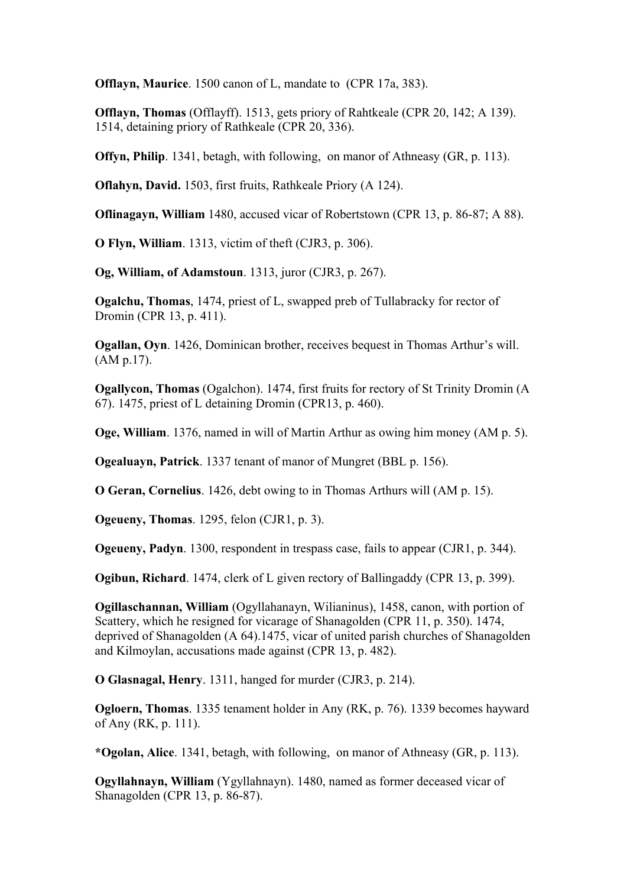**Offlayn, Maurice**. 1500 canon of L, mandate to (CPR 17a, 383).

**Offlayn, Thomas** (Offlayff). 1513, gets priory of Rahtkeale (CPR 20, 142; A 139). 1514, detaining priory of Rathkeale (CPR 20, 336).

**Offyn, Philip**. 1341, betagh, with following, on manor of Athneasy (GR, p. 113).

**Oflahyn, David.** 1503, first fruits, Rathkeale Priory (A 124).

**Oflinagayn, William** 1480, accused vicar of Robertstown (CPR 13, p. 86-87; A 88).

**O Flyn, William**. 1313, victim of theft (CJR3, p. 306).

**Og, William, of Adamstoun**. 1313, juror (CJR3, p. 267).

**Ogalchu, Thomas**, 1474, priest of L, swapped preb of Tullabracky for rector of Dromin (CPR 13, p. 411).

**Ogallan, Oyn**. 1426, Dominican brother, receives bequest in Thomas Arthur's will. (AM p.17).

**Ogallycon, Thomas** (Ogalchon). 1474, first fruits for rectory of St Trinity Dromin (A 67). 1475, priest of L detaining Dromin (CPR13, p. 460).

**Oge, William**. 1376, named in will of Martin Arthur as owing him money (AM p. 5).

**Ogealuayn, Patrick**. 1337 tenant of manor of Mungret (BBL p. 156).

**O Geran, Cornelius**. 1426, debt owing to in Thomas Arthurs will (AM p. 15).

**Ogeueny, Thomas**. 1295, felon (CJR1, p. 3).

**Ogeueny, Padyn**. 1300, respondent in trespass case, fails to appear (CJR1, p. 344).

**Ogibun, Richard**. 1474, clerk of L given rectory of Ballingaddy (CPR 13, p. 399).

**Ogillaschannan, William** (Ogyllahanayn, Wilianinus), 1458, canon, with portion of Scattery, which he resigned for vicarage of Shanagolden (CPR 11, p. 350). 1474, deprived of Shanagolden (A 64).1475, vicar of united parish churches of Shanagolden and Kilmoylan, accusations made against (CPR 13, p. 482).

**O Glasnagal, Henry**. 1311, hanged for murder (CJR3, p. 214).

**Ogloern, Thomas**. 1335 tenament holder in Any (RK, p. 76). 1339 becomes hayward of Any (RK, p. 111).

**\*Ogolan, Alice**. 1341, betagh, with following, on manor of Athneasy (GR, p. 113).

**Ogyllahnayn, William** (Ygyllahnayn). 1480, named as former deceased vicar of Shanagolden (CPR 13, p. 86-87).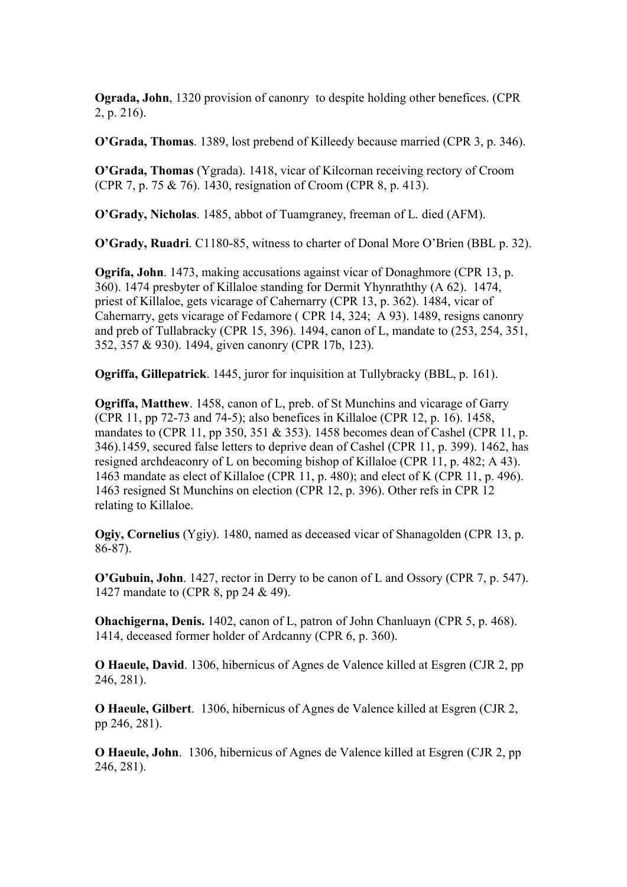**Ograda, John**, 1320 provision of canonry to despite holding other benefices. (CPR 2, p. 216).

**O'Grada, Thomas**. 1389, lost prebend of Killeedy because married (CPR 3, p. 346).

**O'Grada, Thomas** (Ygrada). 1418, vicar of Kilcornan receiving rectory of Croom (CPR 7, p. 75 & 76). 1430, resignation of Croom (CPR 8, p. 413).

**O'Grady, Nicholas**. 1485, abbot of Tuamgraney, freeman of L. died (AFM).

**O'Grady, Ruadri**. C1180-85, witness to charter of Donal More O'Brien (BBL p. 32).

**Ogrifa, John**. 1473, making accusations against vicar of Donaghmore (CPR 13, p. 360). 1474 presbyter of Killaloe standing for Dermit Yhynraththy (A 62). 1474, priest of Killaloe, gets vicarage of Cahernarry (CPR 13, p. 362). 1484, vicar of Cahernarry, gets vicarage of Fedamore ( CPR 14, 324; A 93). 1489, resigns canonry and preb of Tullabracky (CPR 15, 396). 1494, canon of L, mandate to (253, 254, 351, 352, 357 & 930). 1494, given canonry (CPR 17b, 123).

**Ogriffa, Gillepatrick**. 1445, juror for inquisition at Tullybracky (BBL, p. 161).

**Ogriffa, Matthew**. 1458, canon of L, preb. of St Munchins and vicarage of Garry (CPR 11, pp 72-73 and 74-5); also benefices in Killaloe (CPR 12, p. 16). 1458, mandates to (CPR 11, pp 350, 351 & 353). 1458 becomes dean of Cashel (CPR 11, p. 346).1459, secured false letters to deprive dean of Cashel (CPR 11, p. 399). 1462, has resigned archdeaconry of L on becoming bishop of Killaloe (CPR 11, p. 482; A 43). 1463 mandate as elect of Killaloe (CPR 11, p. 480); and elect of K (CPR 11, p. 496). 1463 resigned St Munchins on election (CPR 12, p. 396). Other refs in CPR 12 relating to Killaloe.

**Ogiy, Cornelius** (Ygiy). 1480, named as deceased vicar of Shanagolden (CPR 13, p. 86-87).

**O'Gubuin, John**. 1427, rector in Derry to be canon of L and Ossory (CPR 7, p. 547). 1427 mandate to (CPR 8, pp 24 & 49).

**Ohachigerna, Denis.** 1402, canon of L, patron of John Chanluayn (CPR 5, p. 468). 1414, deceased former holder of Ardcanny (CPR 6, p. 360).

**O Haeule, David**. 1306, hibernicus of Agnes de Valence killed at Esgren (CJR 2, pp 246, 281).

**O Haeule, Gilbert**. 1306, hibernicus of Agnes de Valence killed at Esgren (CJR 2, pp 246, 281).

**O Haeule, John**. 1306, hibernicus of Agnes de Valence killed at Esgren (CJR 2, pp 246, 281).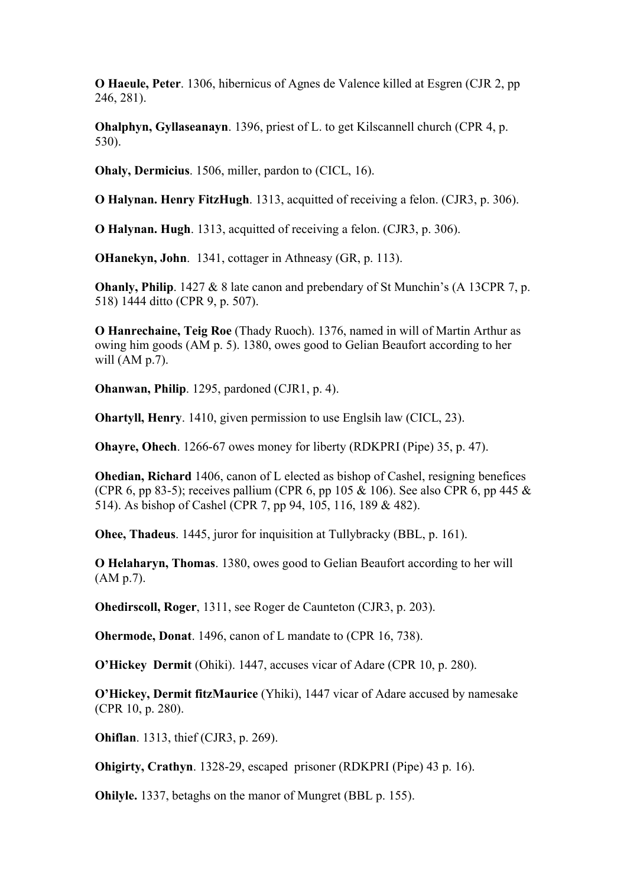**O Haeule, Peter**. 1306, hibernicus of Agnes de Valence killed at Esgren (CJR 2, pp 246, 281).

**Ohalphyn, Gyllaseanayn**. 1396, priest of L. to get Kilscannell church (CPR 4, p. 530).

**Ohaly, Dermicius**. 1506, miller, pardon to (CICL, 16).

**O Halynan. Henry FitzHugh**. 1313, acquitted of receiving a felon. (CJR3, p. 306).

**O Halynan. Hugh**. 1313, acquitted of receiving a felon. (CJR3, p. 306).

**OHanekyn, John**. 1341, cottager in Athneasy (GR, p. 113).

**Ohanly, Philip**. 1427 & 8 late canon and prebendary of St Munchin's (A 13CPR 7, p. 518) 1444 ditto (CPR 9, p. 507).

**O Hanrechaine, Teig Roe** (Thady Ruoch). 1376, named in will of Martin Arthur as owing him goods (AM p. 5). 1380, owes good to Gelian Beaufort according to her will (AM p.7).

**Ohanwan, Philip**. 1295, pardoned (CJR1, p. 4).

**Ohartyll, Henry**. 1410, given permission to use Englsih law (CICL, 23).

**Ohayre, Ohech**. 1266-67 owes money for liberty (RDKPRI (Pipe) 35, p. 47).

**Ohedian, Richard** 1406, canon of L elected as bishop of Cashel, resigning benefices (CPR 6, pp 83-5); receives pallium (CPR 6, pp 105  $\&$  106). See also CPR 6, pp 445  $\&$ 514). As bishop of Cashel (CPR 7, pp 94, 105, 116, 189 & 482).

**Ohee, Thadeus**. 1445, juror for inquisition at Tullybracky (BBL, p. 161).

**O Helaharyn, Thomas**. 1380, owes good to Gelian Beaufort according to her will (AM p.7).

**Ohedirscoll, Roger**, 1311, see Roger de Caunteton (CJR3, p. 203).

**Ohermode, Donat**. 1496, canon of L mandate to (CPR 16, 738).

**O'Hickey Dermit** (Ohiki). 1447, accuses vicar of Adare (CPR 10, p. 280).

**O'Hickey, Dermit fitzMaurice** (Yhiki), 1447 vicar of Adare accused by namesake (CPR 10, p. 280).

**Ohiflan**. 1313, thief (CJR3, p. 269).

**Ohigirty, Crathyn**. 1328-29, escaped prisoner (RDKPRI (Pipe) 43 p. 16).

**Ohilyle.** 1337, betaghs on the manor of Mungret (BBL p. 155).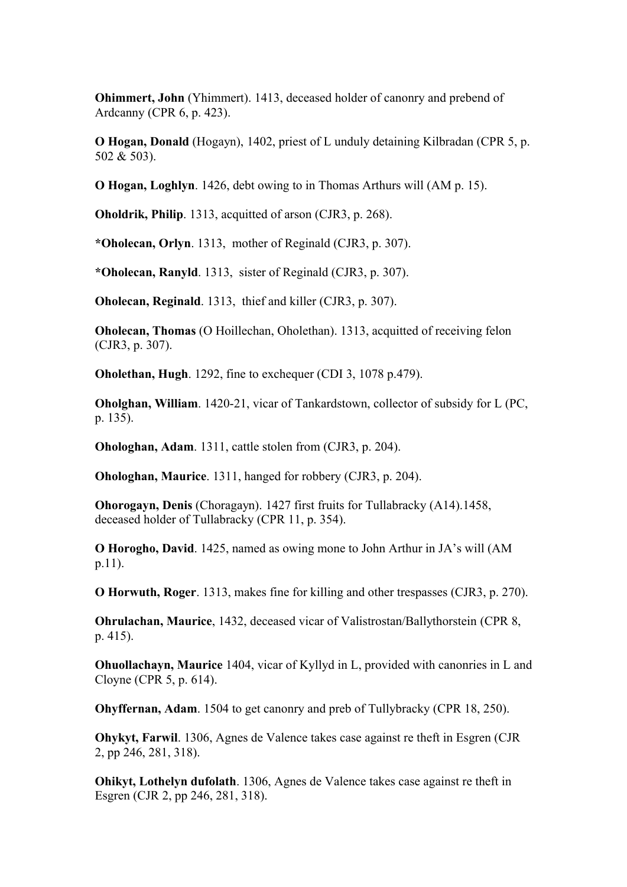**Ohimmert, John** (Yhimmert). 1413, deceased holder of canonry and prebend of Ardcanny (CPR 6, p. 423).

**O Hogan, Donald** (Hogayn), 1402, priest of L unduly detaining Kilbradan (CPR 5, p. 502 & 503).

**O Hogan, Loghlyn**. 1426, debt owing to in Thomas Arthurs will (AM p. 15).

**Oholdrik, Philip**. 1313, acquitted of arson (CJR3, p. 268).

**\*Oholecan, Orlyn**. 1313, mother of Reginald (CJR3, p. 307).

**\*Oholecan, Ranyld**. 1313, sister of Reginald (CJR3, p. 307).

**Oholecan, Reginald**. 1313, thief and killer (CJR3, p. 307).

**Oholecan, Thomas** (O Hoillechan, Oholethan). 1313, acquitted of receiving felon (CJR3, p. 307).

**Oholethan, Hugh**. 1292, fine to exchequer (CDI 3, 1078 p.479).

**Oholghan, William**. 1420-21, vicar of Tankardstown, collector of subsidy for L (PC, p. 135).

**Ohologhan, Adam**. 1311, cattle stolen from (CJR3, p. 204).

**Ohologhan, Maurice**. 1311, hanged for robbery (CJR3, p. 204).

**Ohorogayn, Denis** (Choragayn). 1427 first fruits for Tullabracky (A14).1458, deceased holder of Tullabracky (CPR 11, p. 354).

**O Horogho, David**. 1425, named as owing mone to John Arthur in JA's will (AM p.11).

**O Horwuth, Roger**. 1313, makes fine for killing and other trespasses (CJR3, p. 270).

**Ohrulachan, Maurice**, 1432, deceased vicar of Valistrostan/Ballythorstein (CPR 8, p. 415).

**Ohuollachayn, Maurice** 1404, vicar of Kyllyd in L, provided with canonries in L and Cloyne (CPR 5, p. 614).

**Ohyffernan, Adam**. 1504 to get canonry and preb of Tullybracky (CPR 18, 250).

**Ohykyt, Farwil**. 1306, Agnes de Valence takes case against re theft in Esgren (CJR 2, pp 246, 281, 318).

**Ohikyt, Lothelyn dufolath**. 1306, Agnes de Valence takes case against re theft in Esgren (CJR 2, pp 246, 281, 318).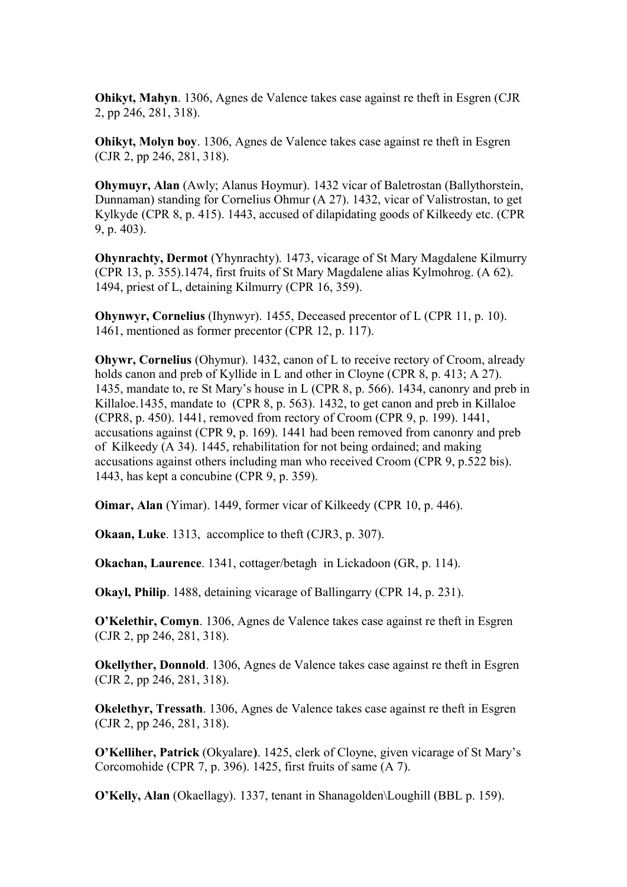**Ohikyt, Mahyn**. 1306, Agnes de Valence takes case against re theft in Esgren (CJR 2, pp 246, 281, 318).

**Ohikyt, Molyn boy**. 1306, Agnes de Valence takes case against re theft in Esgren (CJR 2, pp 246, 281, 318).

**Ohymuyr, Alan** (Awly; Alanus Hoymur). 1432 vicar of Baletrostan (Ballythorstein, Dunnaman) standing for Cornelius Ohmur (A 27). 1432, vicar of Valistrostan, to get Kylkyde (CPR 8, p. 415). 1443, accused of dilapidating goods of Kilkeedy etc. (CPR 9, p. 403).

**Ohynrachty, Dermot** (Yhynrachty). 1473, vicarage of St Mary Magdalene Kilmurry (CPR 13, p. 355).1474, first fruits of St Mary Magdalene alias Kylmohrog. (A 62). 1494, priest of L, detaining Kilmurry (CPR 16, 359).

**Ohynwyr, Cornelius** (Ihynwyr). 1455, Deceased precentor of L (CPR 11, p. 10). 1461, mentioned as former precentor (CPR 12, p. 117).

**Ohywr, Cornelius** (Ohymur). 1432, canon of L to receive rectory of Croom, already holds canon and preb of Kyllide in L and other in Cloyne (CPR 8, p. 413; A 27). 1435, mandate to, re St Mary's house in L (CPR 8, p. 566). 1434, canonry and preb in Killaloe.1435, mandate to (CPR 8, p. 563). 1432, to get canon and preb in Killaloe (CPR8, p. 450). 1441, removed from rectory of Croom (CPR 9, p. 199). 1441, accusations against (CPR 9, p. 169). 1441 had been removed from canonry and preb of Kilkeedy (A 34). 1445, rehabilitation for not being ordained; and making accusations against others including man who received Croom (CPR 9, p.522 bis). 1443, has kept a concubine (CPR 9, p. 359).

**Oimar, Alan** (Yimar). 1449, former vicar of Kilkeedy (CPR 10, p. 446).

**Okaan, Luke**. 1313, accomplice to theft (CJR3, p. 307).

**Okachan, Laurence**. 1341, cottager/betagh in Lickadoon (GR, p. 114).

**Okayl, Philip**. 1488, detaining vicarage of Ballingarry (CPR 14, p. 231).

**O'Kelethir, Comyn**. 1306, Agnes de Valence takes case against re theft in Esgren (CJR 2, pp 246, 281, 318).

**Okellyther, Donnold**. 1306, Agnes de Valence takes case against re theft in Esgren (CJR 2, pp 246, 281, 318).

**Okelethyr, Tressath**. 1306, Agnes de Valence takes case against re theft in Esgren (CJR 2, pp 246, 281, 318).

**O'Kelliher, Patrick** (Okyalare**)**. 1425, clerk of Cloyne, given vicarage of St Mary's Corcomohide (CPR 7, p. 396). 1425, first fruits of same (A 7).

**O'Kelly, Alan** (Okaellagy). 1337, tenant in Shanagolden\Loughill (BBL p. 159).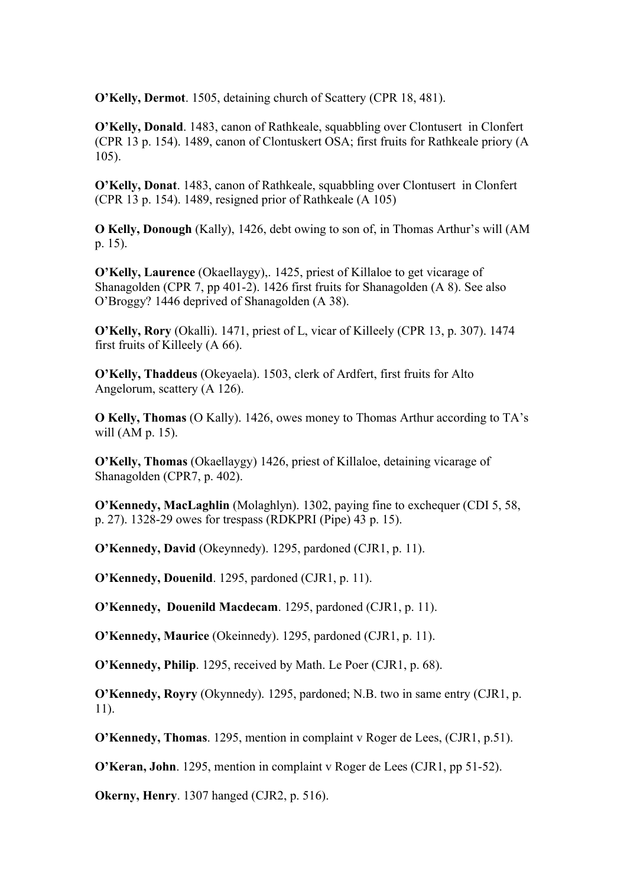**O'Kelly, Dermot**. 1505, detaining church of Scattery (CPR 18, 481).

**O'Kelly, Donald**. 1483, canon of Rathkeale, squabbling over Clontusert in Clonfert (CPR 13 p. 154). 1489, canon of Clontuskert OSA; first fruits for Rathkeale priory (A 105).

**O'Kelly, Donat**. 1483, canon of Rathkeale, squabbling over Clontusert in Clonfert (CPR 13 p. 154). 1489, resigned prior of Rathkeale (A 105)

**O Kelly, Donough** (Kally), 1426, debt owing to son of, in Thomas Arthur's will (AM p. 15).

**O'Kelly, Laurence** (Okaellaygy),. 1425, priest of Killaloe to get vicarage of Shanagolden (CPR 7, pp 401-2). 1426 first fruits for Shanagolden (A 8). See also O'Broggy? 1446 deprived of Shanagolden (A 38).

**O'Kelly, Rory** (Okalli). 1471, priest of L, vicar of Killeely (CPR 13, p. 307). 1474 first fruits of Killeely (A 66).

**O'Kelly, Thaddeus** (Okeyaela). 1503, clerk of Ardfert, first fruits for Alto Angelorum, scattery (A 126).

**O Kelly, Thomas** (O Kally). 1426, owes money to Thomas Arthur according to TA's will (AM p. 15).

**O'Kelly, Thomas** (Okaellaygy) 1426, priest of Killaloe, detaining vicarage of Shanagolden (CPR7, p. 402).

**O'Kennedy, MacLaghlin** (Molaghlyn). 1302, paying fine to exchequer (CDI 5, 58, p. 27). 1328-29 owes for trespass (RDKPRI (Pipe) 43 p. 15).

**O'Kennedy, David** (Okeynnedy). 1295, pardoned (CJR1, p. 11).

**O'Kennedy, Douenild**. 1295, pardoned (CJR1, p. 11).

**O'Kennedy, Douenild Macdecam**. 1295, pardoned (CJR1, p. 11).

**O'Kennedy, Maurice** (Okeinnedy). 1295, pardoned (CJR1, p. 11).

**O'Kennedy, Philip**. 1295, received by Math. Le Poer (CJR1, p. 68).

**O'Kennedy, Royry** (Okynnedy). 1295, pardoned; N.B. two in same entry (CJR1, p. 11).

**O'Kennedy, Thomas**. 1295, mention in complaint v Roger de Lees, (CJR1, p.51).

**O'Keran, John**. 1295, mention in complaint v Roger de Lees (CJR1, pp 51-52).

**Okerny, Henry**. 1307 hanged (CJR2, p. 516).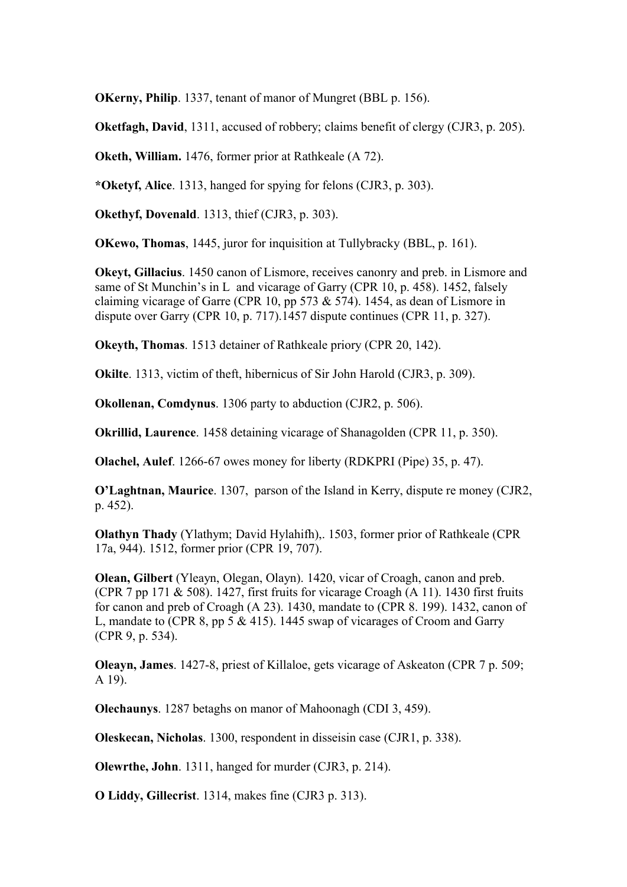**OKerny, Philip**. 1337, tenant of manor of Mungret (BBL p. 156).

**Oketfagh, David**, 1311, accused of robbery; claims benefit of clergy (CJR3, p. 205).

**Oketh, William.** 1476, former prior at Rathkeale (A 72).

**\*Oketyf, Alice**. 1313, hanged for spying for felons (CJR3, p. 303).

**Okethyf, Dovenald**. 1313, thief (CJR3, p. 303).

**OKewo, Thomas**, 1445, juror for inquisition at Tullybracky (BBL, p. 161).

**Okeyt, Gillacius**. 1450 canon of Lismore, receives canonry and preb. in Lismore and same of St Munchin's in L and vicarage of Garry (CPR 10, p. 458). 1452, falsely claiming vicarage of Garre (CPR 10, pp 573 & 574). 1454, as dean of Lismore in dispute over Garry (CPR 10, p. 717).1457 dispute continues (CPR 11, p. 327).

**Okeyth, Thomas**. 1513 detainer of Rathkeale priory (CPR 20, 142).

**Okilte**. 1313, victim of theft, hibernicus of Sir John Harold (CJR3, p. 309).

**Okollenan, Comdynus**. 1306 party to abduction (CJR2, p. 506).

**Okrillid, Laurence**. 1458 detaining vicarage of Shanagolden (CPR 11, p. 350).

**Olachel, Aulef**. 1266-67 owes money for liberty (RDKPRI (Pipe) 35, p. 47).

**O'Laghtnan, Maurice**. 1307, parson of the Island in Kerry, dispute re money (CJR2, p. 452).

**Olathyn Thady** (Ylathym; David Hylahifh),. 1503, former prior of Rathkeale (CPR 17a, 944). 1512, former prior (CPR 19, 707).

**Olean, Gilbert** (Yleayn, Olegan, Olayn). 1420, vicar of Croagh, canon and preb. (CPR 7 pp 171  $&$  508). 1427, first fruits for vicarage Croagh (A 11). 1430 first fruits for canon and preb of Croagh (A 23). 1430, mandate to (CPR 8. 199). 1432, canon of L, mandate to (CPR 8, pp 5 & 415). 1445 swap of vicarages of Croom and Garry (CPR 9, p. 534).

**Oleayn, James**. 1427-8, priest of Killaloe, gets vicarage of Askeaton (CPR 7 p. 509; A 19).

**Olechaunys**. 1287 betaghs on manor of Mahoonagh (CDI 3, 459).

**Oleskecan, Nicholas**. 1300, respondent in disseisin case (CJR1, p. 338).

**Olewrthe, John**. 1311, hanged for murder (CJR3, p. 214).

**O Liddy, Gillecrist**. 1314, makes fine (CJR3 p. 313).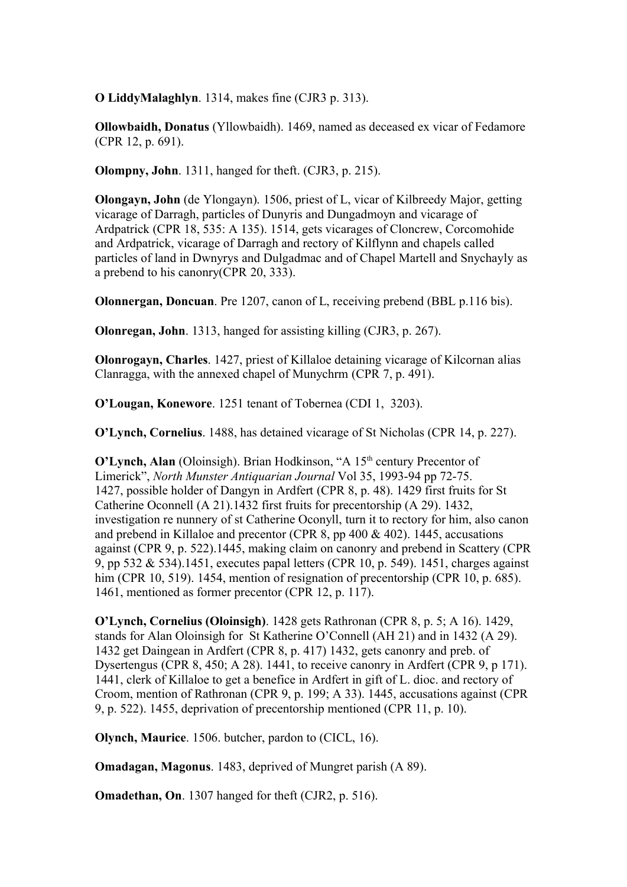**O LiddyMalaghlyn**. 1314, makes fine (CJR3 p. 313).

**Ollowbaidh, Donatus** (Yllowbaidh). 1469, named as deceased ex vicar of Fedamore (CPR 12, p. 691).

**Olompny, John**. 1311, hanged for theft. (CJR3, p. 215).

**Olongayn, John** (de Ylongayn). 1506, priest of L, vicar of Kilbreedy Major, getting vicarage of Darragh, particles of Dunyris and Dungadmoyn and vicarage of Ardpatrick (CPR 18, 535: A 135). 1514, gets vicarages of Cloncrew, Corcomohide and Ardpatrick, vicarage of Darragh and rectory of Kilflynn and chapels called particles of land in Dwnyrys and Dulgadmac and of Chapel Martell and Snychayly as a prebend to his canonry(CPR 20, 333).

**Olonnergan, Doncuan**. Pre 1207, canon of L, receiving prebend (BBL p.116 bis).

**Olonregan, John**. 1313, hanged for assisting killing (CJR3, p. 267).

**Olonrogayn, Charles**. 1427, priest of Killaloe detaining vicarage of Kilcornan alias Clanragga, with the annexed chapel of Munychrm (CPR 7, p. 491).

**O'Lougan, Konewore**. 1251 tenant of Tobernea (CDI 1, 3203).

**O'Lynch, Cornelius**. 1488, has detained vicarage of St Nicholas (CPR 14, p. 227).

**O'Lynch, Alan** (Oloinsigh). Brian Hodkinson, "A 15<sup>th</sup> century Precentor of Limerick", *North Munster Antiquarian Journal* Vol 35, 1993-94 pp 72-75. 1427, possible holder of Dangyn in Ardfert (CPR 8, p. 48). 1429 first fruits for St Catherine Oconnell (A 21).1432 first fruits for precentorship (A 29). 1432, investigation re nunnery of st Catherine Oconyll, turn it to rectory for him, also canon and prebend in Killaloe and precentor (CPR 8, pp 400 & 402). 1445, accusations against (CPR 9, p. 522).1445, making claim on canonry and prebend in Scattery (CPR 9, pp 532 & 534).1451, executes papal letters (CPR 10, p. 549). 1451, charges against him (CPR 10, 519). 1454, mention of resignation of precentorship (CPR 10, p. 685). 1461, mentioned as former precentor (CPR 12, p. 117).

**O'Lynch, Cornelius (Oloinsigh)**. 1428 gets Rathronan (CPR 8, p. 5; A 16). 1429, stands for Alan Oloinsigh for St Katherine O'Connell (AH 21) and in 1432 (A 29). 1432 get Daingean in Ardfert (CPR 8, p. 417) 1432, gets canonry and preb. of Dysertengus (CPR 8, 450; A 28). 1441, to receive canonry in Ardfert (CPR 9, p 171). 1441, clerk of Killaloe to get a benefice in Ardfert in gift of L. dioc. and rectory of Croom, mention of Rathronan (CPR 9, p. 199; A 33). 1445, accusations against (CPR 9, p. 522). 1455, deprivation of precentorship mentioned (CPR 11, p. 10).

**Olynch, Maurice**. 1506. butcher, pardon to (CICL, 16).

**Omadagan, Magonus**. 1483, deprived of Mungret parish (A 89).

**Omadethan, On**. 1307 hanged for theft (CJR2, p. 516).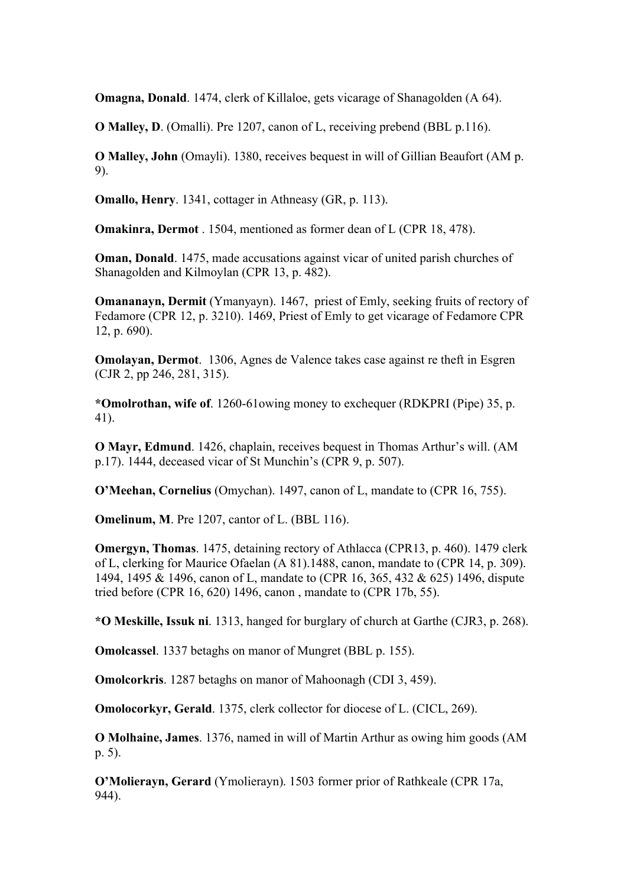**Omagna, Donald**. 1474, clerk of Killaloe, gets vicarage of Shanagolden (A 64).

**O Malley, D**. (Omalli). Pre 1207, canon of L, receiving prebend (BBL p.116).

**O Malley, John** (Omayli). 1380, receives bequest in will of Gillian Beaufort (AM p. 9).

**Omallo, Henry**. 1341, cottager in Athneasy (GR, p. 113).

**Omakinra, Dermot** . 1504, mentioned as former dean of L (CPR 18, 478).

**Oman, Donald**. 1475, made accusations against vicar of united parish churches of Shanagolden and Kilmoylan (CPR 13, p. 482).

**Omananayn, Dermit** (Ymanyayn). 1467, priest of Emly, seeking fruits of rectory of Fedamore (CPR 12, p. 3210). 1469, Priest of Emly to get vicarage of Fedamore CPR 12, p. 690).

**Omolayan, Dermot**. 1306, Agnes de Valence takes case against re theft in Esgren (CJR 2, pp 246, 281, 315).

**\*Omolrothan, wife of**. 1260-61owing money to exchequer (RDKPRI (Pipe) 35, p. 41).

**O Mayr, Edmund**. 1426, chaplain, receives bequest in Thomas Arthur's will. (AM p.17). 1444, deceased vicar of St Munchin's (CPR 9, p. 507).

**O'Meehan, Cornelius** (Omychan). 1497, canon of L, mandate to (CPR 16, 755).

**Omelinum, M**. Pre 1207, cantor of L. (BBL 116).

**Omergyn, Thomas**. 1475, detaining rectory of Athlacca (CPR13, p. 460). 1479 clerk of L, clerking for Maurice Ofaelan (A 81).1488, canon, mandate to (CPR 14, p. 309). 1494, 1495 & 1496, canon of L, mandate to (CPR 16, 365, 432 & 625) 1496, dispute tried before (CPR 16, 620) 1496, canon , mandate to (CPR 17b, 55).

**\*O Meskille, Issuk ni**. 1313, hanged for burglary of church at Garthe (CJR3, p. 268).

**Omolcassel**. 1337 betaghs on manor of Mungret (BBL p. 155).

**Omolcorkris**. 1287 betaghs on manor of Mahoonagh (CDI 3, 459).

**Omolocorkyr, Gerald**. 1375, clerk collector for diocese of L. (CICL, 269).

**O Molhaine, James**. 1376, named in will of Martin Arthur as owing him goods (AM p. 5).

**O'Molierayn, Gerard** (Ymolierayn). 1503 former prior of Rathkeale (CPR 17a, 944).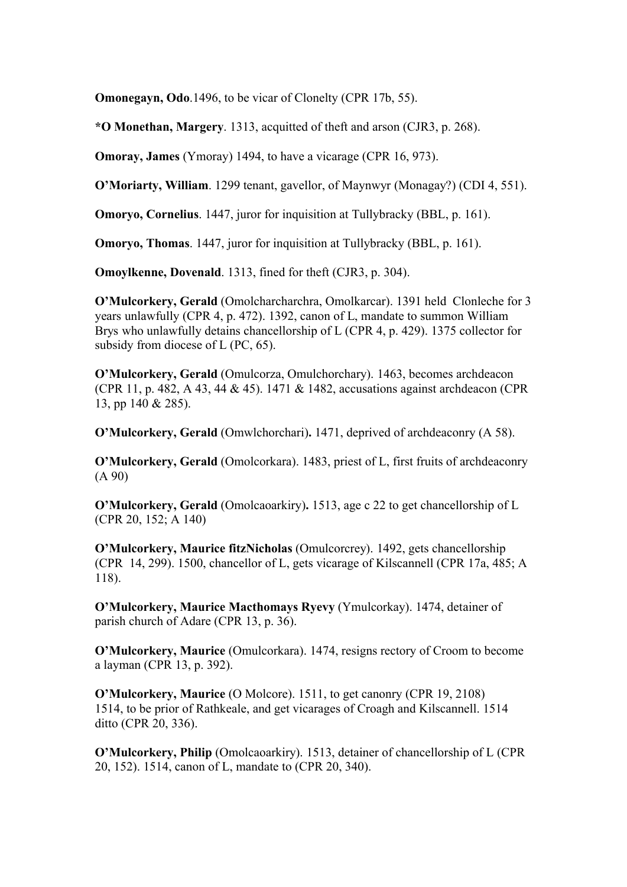**Omonegayn, Odo**.1496, to be vicar of Clonelty (CPR 17b, 55).

**\*O Monethan, Margery**. 1313, acquitted of theft and arson (CJR3, p. 268).

**Omoray, James** (Ymoray) 1494, to have a vicarage (CPR 16, 973).

**O'Moriarty, William**. 1299 tenant, gavellor, of Maynwyr (Monagay?) (CDI 4, 551).

**Omoryo, Cornelius**. 1447, juror for inquisition at Tullybracky (BBL, p. 161).

**Omoryo, Thomas**. 1447, juror for inquisition at Tullybracky (BBL, p. 161).

**Omoylkenne, Dovenald**. 1313, fined for theft (CJR3, p. 304).

**O'Mulcorkery, Gerald** (Omolcharcharchra, Omolkarcar). 1391 held Clonleche for 3 years unlawfully (CPR 4, p. 472). 1392, canon of L, mandate to summon William Brys who unlawfully detains chancellorship of L (CPR 4, p. 429). 1375 collector for subsidy from diocese of L (PC, 65).

**O'Mulcorkery, Gerald** (Omulcorza, Omulchorchary). 1463, becomes archdeacon (CPR 11, p. 482, A 43, 44 & 45). 1471 & 1482, accusations against archdeacon (CPR 13, pp 140 & 285).

**O'Mulcorkery, Gerald** (Omwlchorchari)**.** 1471, deprived of archdeaconry (A 58).

**O'Mulcorkery, Gerald** (Omolcorkara). 1483, priest of L, first fruits of archdeaconry (A 90)

**O'Mulcorkery, Gerald** (Omolcaoarkiry)**.** 1513, age c 22 to get chancellorship of L (CPR 20, 152; A 140)

**O'Mulcorkery, Maurice fitzNicholas** (Omulcorcrey). 1492, gets chancellorship (CPR 14, 299). 1500, chancellor of L, gets vicarage of Kilscannell (CPR 17a, 485; A 118).

**O'Mulcorkery, Maurice Macthomays Ryevy** (Ymulcorkay). 1474, detainer of parish church of Adare (CPR 13, p. 36).

**O'Mulcorkery, Maurice** (Omulcorkara). 1474, resigns rectory of Croom to become a layman (CPR 13, p. 392).

**O'Mulcorkery, Maurice** (O Molcore). 1511, to get canonry (CPR 19, 2108) 1514, to be prior of Rathkeale, and get vicarages of Croagh and Kilscannell. 1514 ditto (CPR 20, 336).

**O'Mulcorkery, Philip** (Omolcaoarkiry). 1513, detainer of chancellorship of L (CPR 20, 152). 1514, canon of L, mandate to (CPR 20, 340).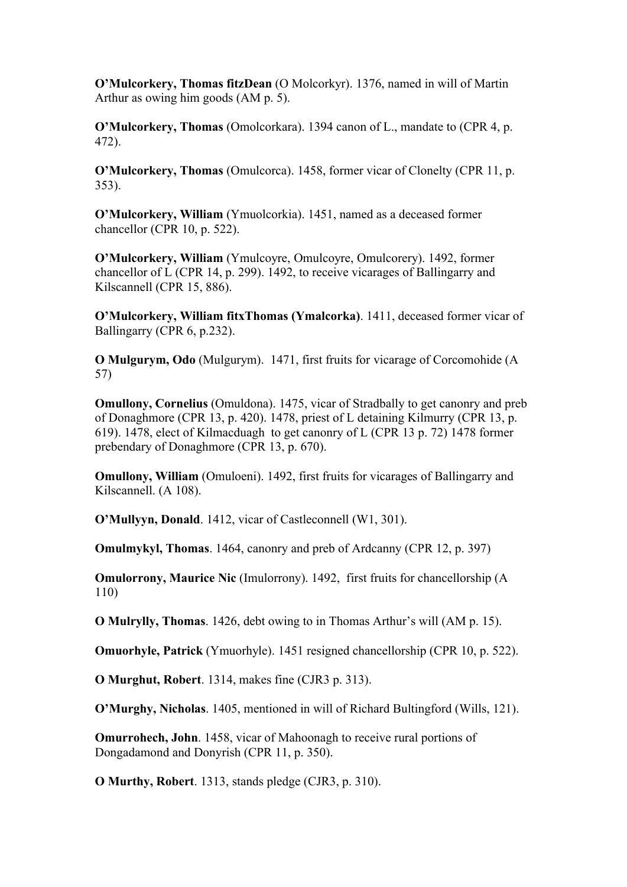**O'Mulcorkery, Thomas fitzDean** (O Molcorkyr). 1376, named in will of Martin Arthur as owing him goods (AM p. 5).

**O'Mulcorkery, Thomas** (Omolcorkara). 1394 canon of L., mandate to (CPR 4, p. 472).

**O'Mulcorkery, Thomas** (Omulcorca). 1458, former vicar of Clonelty (CPR 11, p. 353).

**O'Mulcorkery, William** (Ymuolcorkia). 1451, named as a deceased former chancellor (CPR 10, p. 522).

**O'Mulcorkery, William** (Ymulcoyre, Omulcoyre, Omulcorery). 1492, former chancellor of L (CPR 14, p. 299). 1492, to receive vicarages of Ballingarry and Kilscannell (CPR 15, 886).

**O'Mulcorkery, William fitxThomas (Ymalcorka)**. 1411, deceased former vicar of Ballingarry (CPR 6, p.232).

**O Mulgurym, Odo** (Mulgurym). 1471, first fruits for vicarage of Corcomohide (A 57)

**Omullony, Cornelius** (Omuldona). 1475, vicar of Stradbally to get canonry and preb of Donaghmore (CPR 13, p. 420). 1478, priest of L detaining Kilmurry (CPR 13, p. 619). 1478, elect of Kilmacduagh to get canonry of L (CPR 13 p. 72) 1478 former prebendary of Donaghmore (CPR 13, p. 670).

**Omullony, William** (Omuloeni). 1492, first fruits for vicarages of Ballingarry and Kilscannell. (A 108).

**O'Mullyyn, Donald**. 1412, vicar of Castleconnell (W1, 301).

**Omulmykyl, Thomas**. 1464, canonry and preb of Ardcanny (CPR 12, p. 397)

**Omulorrony, Maurice Nic** (Imulorrony). 1492, first fruits for chancellorship (A 110)

**O Mulrylly, Thomas**. 1426, debt owing to in Thomas Arthur's will (AM p. 15).

**Omuorhyle, Patrick** (Ymuorhyle). 1451 resigned chancellorship (CPR 10, p. 522).

**O Murghut, Robert**. 1314, makes fine (CJR3 p. 313).

**O'Murghy, Nicholas**. 1405, mentioned in will of Richard Bultingford (Wills, 121).

**Omurrohech, John**. 1458, vicar of Mahoonagh to receive rural portions of Dongadamond and Donyrish (CPR 11, p. 350).

**O Murthy, Robert**. 1313, stands pledge (CJR3, p. 310).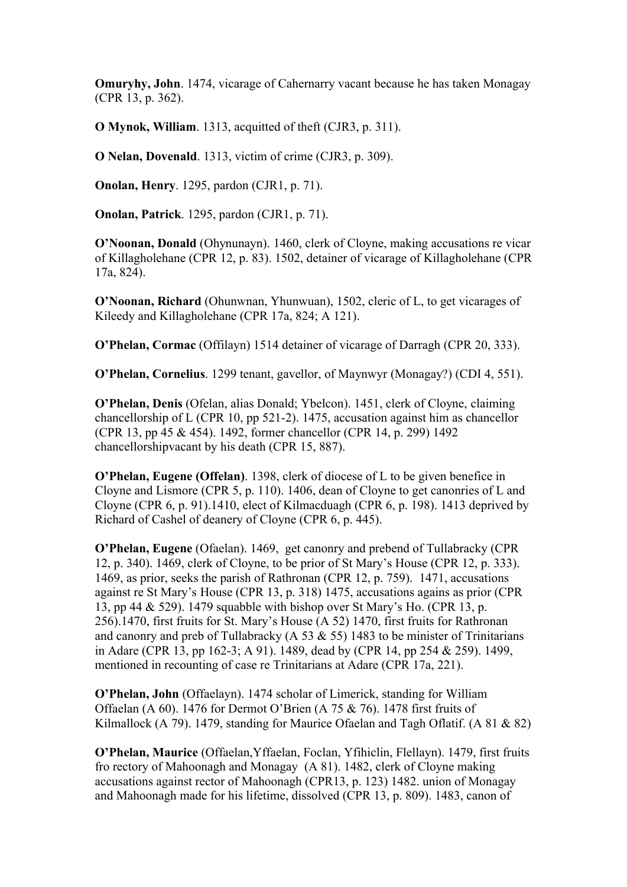**Omuryhy, John**. 1474, vicarage of Cahernarry vacant because he has taken Monagay (CPR 13, p. 362).

**O Mynok, William**. 1313, acquitted of theft (CJR3, p. 311).

**O Nelan, Dovenald**. 1313, victim of crime (CJR3, p. 309).

**Onolan, Henry**. 1295, pardon (CJR1, p. 71).

**Onolan, Patrick**. 1295, pardon (CJR1, p. 71).

**O'Noonan, Donald** (Ohynunayn). 1460, clerk of Cloyne, making accusations re vicar of Killagholehane (CPR 12, p. 83). 1502, detainer of vicarage of Killagholehane (CPR 17a, 824).

**O'Noonan, Richard** (Ohunwnan, Yhunwuan), 1502, cleric of L, to get vicarages of Kileedy and Killagholehane (CPR 17a, 824; A 121).

**O'Phelan, Cormac** (Offilayn) 1514 detainer of vicarage of Darragh (CPR 20, 333).

**O'Phelan, Cornelius**. 1299 tenant, gavellor, of Maynwyr (Monagay?) (CDI 4, 551).

**O'Phelan, Denis** (Ofelan, alias Donald; Ybelcon). 1451, clerk of Cloyne, claiming chancellorship of L (CPR 10, pp 521-2). 1475, accusation against him as chancellor (CPR 13, pp 45 & 454). 1492, former chancellor (CPR 14, p. 299) 1492 chancellorshipvacant by his death (CPR 15, 887).

**O'Phelan, Eugene (Offelan)**. 1398, clerk of diocese of L to be given benefice in Cloyne and Lismore (CPR 5, p. 110). 1406, dean of Cloyne to get canonries of L and Cloyne (CPR 6, p. 91).1410, elect of Kilmacduagh (CPR 6, p. 198). 1413 deprived by Richard of Cashel of deanery of Cloyne (CPR 6, p. 445).

**O'Phelan, Eugene** (Ofaelan). 1469, get canonry and prebend of Tullabracky (CPR 12, p. 340). 1469, clerk of Cloyne, to be prior of St Mary's House (CPR 12, p. 333). 1469, as prior, seeks the parish of Rathronan (CPR 12, p. 759). 1471, accusations against re St Mary's House (CPR 13, p. 318) 1475, accusations agains as prior (CPR 13, pp 44 & 529). 1479 squabble with bishop over St Mary's Ho. (CPR 13, p. 256).1470, first fruits for St. Mary's House (A 52) 1470, first fruits for Rathronan and canonry and preb of Tullabracky (A 53  $\&$  55) 1483 to be minister of Trinitarians in Adare (CPR 13, pp 162-3; A 91). 1489, dead by (CPR 14, pp 254 & 259). 1499, mentioned in recounting of case re Trinitarians at Adare (CPR 17a, 221).

**O'Phelan, John** (Offaelayn). 1474 scholar of Limerick, standing for William Offaelan (A 60). 1476 for Dermot O'Brien (A 75 & 76). 1478 first fruits of Kilmallock (A 79). 1479, standing for Maurice Ofaelan and Tagh Oflatif. (A 81 & 82)

**O'Phelan, Maurice** (Offaelan,Yffaelan, Foclan, Yfihiclin, Flellayn). 1479, first fruits fro rectory of Mahoonagh and Monagay (A 81). 1482, clerk of Cloyne making accusations against rector of Mahoonagh (CPR13, p. 123) 1482. union of Monagay and Mahoonagh made for his lifetime, dissolved (CPR 13, p. 809). 1483, canon of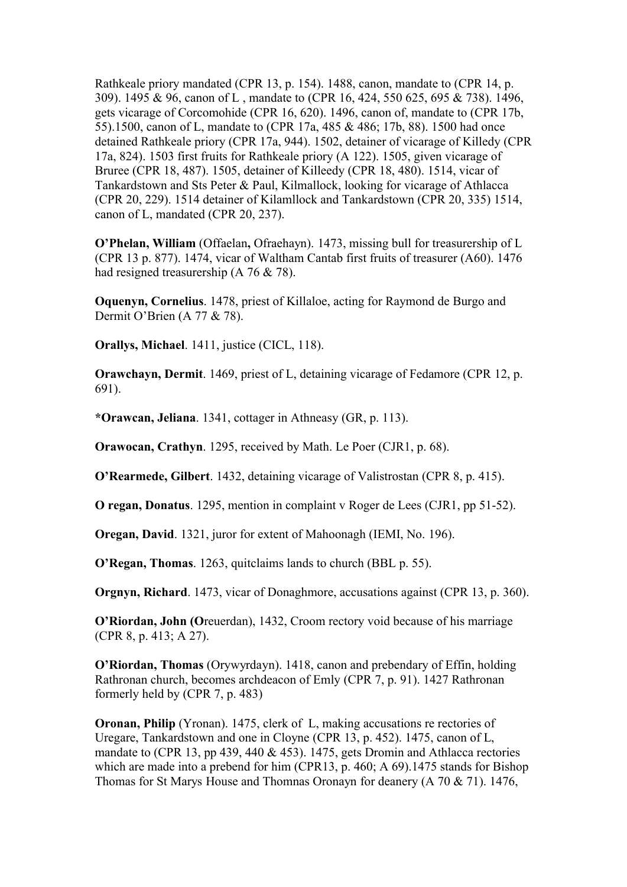Rathkeale priory mandated (CPR 13, p. 154). 1488, canon, mandate to (CPR 14, p. 309). 1495 & 96, canon of L , mandate to (CPR 16, 424, 550 625, 695 & 738). 1496, gets vicarage of Corcomohide (CPR 16, 620). 1496, canon of, mandate to (CPR 17b, 55).1500, canon of L, mandate to (CPR 17a, 485 & 486; 17b, 88). 1500 had once detained Rathkeale priory (CPR 17a, 944). 1502, detainer of vicarage of Killedy (CPR 17a, 824). 1503 first fruits for Rathkeale priory (A 122). 1505, given vicarage of Bruree (CPR 18, 487). 1505, detainer of Killeedy (CPR 18, 480). 1514, vicar of Tankardstown and Sts Peter & Paul, Kilmallock, looking for vicarage of Athlacca (CPR 20, 229). 1514 detainer of Kilamllock and Tankardstown (CPR 20, 335) 1514, canon of L, mandated (CPR 20, 237).

**O'Phelan, William** (Offaelan**,** Ofraehayn). 1473, missing bull for treasurership of L (CPR 13 p. 877). 1474, vicar of Waltham Cantab first fruits of treasurer (A60). 1476 had resigned treasurership (A 76 & 78).

**Oquenyn, Cornelius**. 1478, priest of Killaloe, acting for Raymond de Burgo and Dermit O'Brien (A 77 & 78).

**Orallys, Michael**. 1411, justice (CICL, 118).

**Orawchayn, Dermit**. 1469, priest of L, detaining vicarage of Fedamore (CPR 12, p. 691).

**\*Orawcan, Jeliana**. 1341, cottager in Athneasy (GR, p. 113).

**Orawocan, Crathyn**. 1295, received by Math. Le Poer (CJR1, p. 68).

**O'Rearmede, Gilbert**. 1432, detaining vicarage of Valistrostan (CPR 8, p. 415).

**O regan, Donatus**. 1295, mention in complaint v Roger de Lees (CJR1, pp 51-52).

**Oregan, David**. 1321, juror for extent of Mahoonagh (IEMI, No. 196).

**O'Regan, Thomas**. 1263, quitclaims lands to church (BBL p. 55).

**Orgnyn, Richard**. 1473, vicar of Donaghmore, accusations against (CPR 13, p. 360).

**O'Riordan, John (O**reuerdan), 1432, Croom rectory void because of his marriage (CPR 8, p. 413; A 27).

**O'Riordan, Thomas** (Orywyrdayn). 1418, canon and prebendary of Effin, holding Rathronan church, becomes archdeacon of Emly (CPR 7, p. 91). 1427 Rathronan formerly held by (CPR 7, p. 483)

**Oronan, Philip** (Yronan). 1475, clerk of L, making accusations re rectories of Uregare, Tankardstown and one in Cloyne (CPR 13, p. 452). 1475, canon of L, mandate to (CPR 13, pp 439, 440 & 453). 1475, gets Dromin and Athlacca rectories which are made into a prebend for him (CPR13, p. 460; A 69).1475 stands for Bishop Thomas for St Marys House and Thomnas Oronayn for deanery (A 70 & 71). 1476,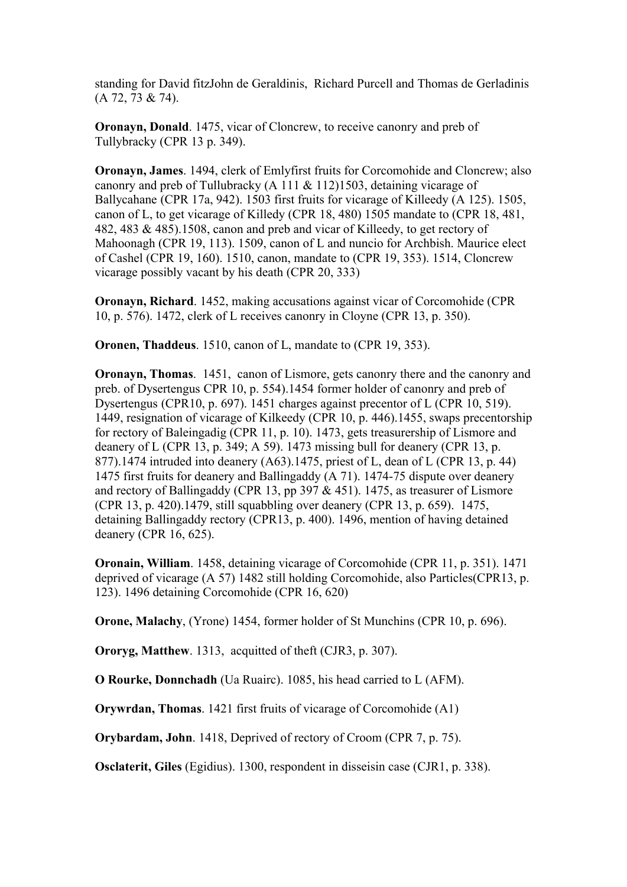standing for David fitzJohn de Geraldinis, Richard Purcell and Thomas de Gerladinis (A 72, 73 & 74).

**Oronayn, Donald**. 1475, vicar of Cloncrew, to receive canonry and preb of Tullybracky (CPR 13 p. 349).

**Oronayn, James**. 1494, clerk of Emlyfirst fruits for Corcomohide and Cloncrew; also canonry and preb of Tullubracky (A 111 & 112)1503, detaining vicarage of Ballycahane (CPR 17a, 942). 1503 first fruits for vicarage of Killeedy (A 125). 1505, canon of L, to get vicarage of Killedy (CPR 18, 480) 1505 mandate to (CPR 18, 481, 482, 483 & 485).1508, canon and preb and vicar of Killeedy, to get rectory of Mahoonagh (CPR 19, 113). 1509, canon of L and nuncio for Archbish. Maurice elect of Cashel (CPR 19, 160). 1510, canon, mandate to (CPR 19, 353). 1514, Cloncrew vicarage possibly vacant by his death (CPR 20, 333)

**Oronayn, Richard**. 1452, making accusations against vicar of Corcomohide (CPR 10, p. 576). 1472, clerk of L receives canonry in Cloyne (CPR 13, p. 350).

**Oronen, Thaddeus**. 1510, canon of L, mandate to (CPR 19, 353).

**Oronayn, Thomas**. 1451, canon of Lismore, gets canonry there and the canonry and preb. of Dysertengus CPR 10, p. 554).1454 former holder of canonry and preb of Dysertengus (CPR10, p. 697). 1451 charges against precentor of L (CPR 10, 519). 1449, resignation of vicarage of Kilkeedy (CPR 10, p. 446).1455, swaps precentorship for rectory of Baleingadig (CPR 11, p. 10). 1473, gets treasurership of Lismore and deanery of L (CPR 13, p. 349; A 59). 1473 missing bull for deanery (CPR 13, p. 877).1474 intruded into deanery (A63).1475, priest of L, dean of L (CPR 13, p. 44) 1475 first fruits for deanery and Ballingaddy (A 71). 1474-75 dispute over deanery and rectory of Ballingaddy (CPR 13, pp 397  $\&$  451). 1475, as treasurer of Lismore (CPR 13, p. 420).1479, still squabbling over deanery (CPR 13, p. 659). 1475, detaining Ballingaddy rectory (CPR13, p. 400). 1496, mention of having detained deanery (CPR 16, 625).

**Oronain, William**. 1458, detaining vicarage of Corcomohide (CPR 11, p. 351). 1471 deprived of vicarage (A 57) 1482 still holding Corcomohide, also Particles(CPR13, p. 123). 1496 detaining Corcomohide (CPR 16, 620)

**Orone, Malachy**, (Yrone) 1454, former holder of St Munchins (CPR 10, p. 696).

**Ororyg, Matthew**. 1313, acquitted of theft (CJR3, p. 307).

**O Rourke, Donnchadh** (Ua Ruairc). 1085, his head carried to L (AFM).

**Orywrdan, Thomas**. 1421 first fruits of vicarage of Corcomohide (A1)

**Orybardam, John**. 1418, Deprived of rectory of Croom (CPR 7, p. 75).

**Osclaterit, Giles** (Egidius). 1300, respondent in disseisin case (CJR1, p. 338).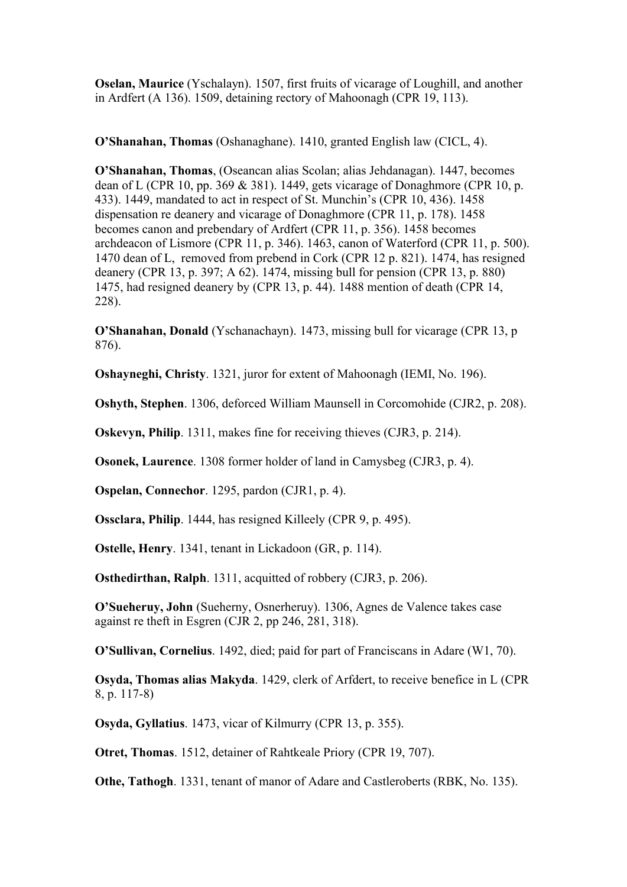**Oselan, Maurice** (Yschalayn). 1507, first fruits of vicarage of Loughill, and another in Ardfert (A 136). 1509, detaining rectory of Mahoonagh (CPR 19, 113).

**O'Shanahan, Thomas** (Oshanaghane). 1410, granted English law (CICL, 4).

**O'Shanahan, Thomas**, (Oseancan alias Scolan; alias Jehdanagan). 1447, becomes dean of L (CPR 10, pp. 369  $&$  381). 1449, gets vicarage of Donaghmore (CPR 10, p. 433). 1449, mandated to act in respect of St. Munchin's (CPR 10, 436). 1458 dispensation re deanery and vicarage of Donaghmore (CPR 11, p. 178). 1458 becomes canon and prebendary of Ardfert (CPR 11, p. 356). 1458 becomes archdeacon of Lismore (CPR 11, p. 346). 1463, canon of Waterford (CPR 11, p. 500). 1470 dean of L, removed from prebend in Cork (CPR 12 p. 821). 1474, has resigned deanery (CPR 13, p. 397; A 62). 1474, missing bull for pension (CPR 13, p. 880) 1475, had resigned deanery by (CPR 13, p. 44). 1488 mention of death (CPR 14, 228).

**O'Shanahan, Donald** (Yschanachayn). 1473, missing bull for vicarage (CPR 13, p 876).

**Oshayneghi, Christy**. 1321, juror for extent of Mahoonagh (IEMI, No. 196).

**Oshyth, Stephen**. 1306, deforced William Maunsell in Corcomohide (CJR2, p. 208).

**Oskevyn, Philip**. 1311, makes fine for receiving thieves (CJR3, p. 214).

**Osonek, Laurence**. 1308 former holder of land in Camysbeg (CJR3, p. 4).

**Ospelan, Connechor**. 1295, pardon (CJR1, p. 4).

**Ossclara, Philip**. 1444, has resigned Killeely (CPR 9, p. 495).

**Ostelle, Henry**. 1341, tenant in Lickadoon (GR, p. 114).

**Osthedirthan, Ralph**. 1311, acquitted of robbery (CJR3, p. 206).

**O'Sueheruy, John** (Sueherny, Osnerheruy). 1306, Agnes de Valence takes case against re theft in Esgren (CJR 2, pp 246, 281, 318).

**O'Sullivan, Cornelius**. 1492, died; paid for part of Franciscans in Adare (W1, 70).

**Osyda, Thomas alias Makyda**. 1429, clerk of Arfdert, to receive benefice in L (CPR 8, p. 117-8)

**Osyda, Gyllatius**. 1473, vicar of Kilmurry (CPR 13, p. 355).

**Otret, Thomas**. 1512, detainer of Rahtkeale Priory (CPR 19, 707).

**Othe, Tathogh**. 1331, tenant of manor of Adare and Castleroberts (RBK, No. 135).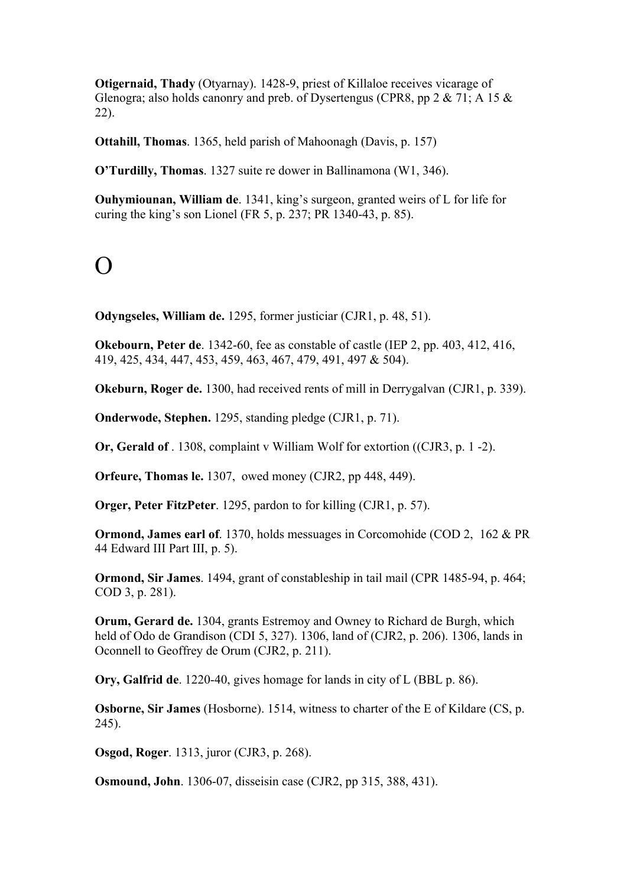**Otigernaid, Thady** (Otyarnay). 1428-9, priest of Killaloe receives vicarage of Glenogra; also holds canonry and preb. of Dysertengus (CPR8, pp 2 & 71; A 15 & 22).

**Ottahill, Thomas**. 1365, held parish of Mahoonagh (Davis, p. 157)

**O'Turdilly, Thomas**. 1327 suite re dower in Ballinamona (W1, 346).

**Ouhymiounan, William de**. 1341, king's surgeon, granted weirs of L for life for curing the king's son Lionel (FR 5, p. 237; PR 1340-43, p. 85).

## $\Omega$

**Odyngseles, William de.** 1295, former justiciar (CJR1, p. 48, 51).

**Okebourn, Peter de**. 1342-60, fee as constable of castle (IEP 2, pp. 403, 412, 416, 419, 425, 434, 447, 453, 459, 463, 467, 479, 491, 497 & 504).

**Okeburn, Roger de.** 1300, had received rents of mill in Derrygalvan (CJR1, p. 339).

**Onderwode, Stephen.** 1295, standing pledge (CJR1, p. 71).

**Or, Gerald of** . 1308, complaint v William Wolf for extortion ((CJR3, p. 1 -2).

**Orfeure, Thomas le.** 1307, owed money (CJR2, pp 448, 449).

**Orger, Peter FitzPeter**. 1295, pardon to for killing (CJR1, p. 57).

**Ormond, James earl of**. 1370, holds messuages in Corcomohide (COD 2, 162 & PR 44 Edward III Part III, p. 5).

**Ormond, Sir James**. 1494, grant of constableship in tail mail (CPR 1485-94, p. 464; COD 3, p. 281).

**Orum, Gerard de.** 1304, grants Estremoy and Owney to Richard de Burgh, which held of Odo de Grandison (CDI 5, 327). 1306, land of (CJR2, p. 206). 1306, lands in Oconnell to Geoffrey de Orum (CJR2, p. 211).

**Ory, Galfrid de**. 1220-40, gives homage for lands in city of L (BBL p. 86).

**Osborne, Sir James** (Hosborne). 1514, witness to charter of the E of Kildare (CS, p. 245).

**Osgod, Roger**. 1313, juror (CJR3, p. 268).

**Osmound, John**. 1306-07, disseisin case (CJR2, pp 315, 388, 431).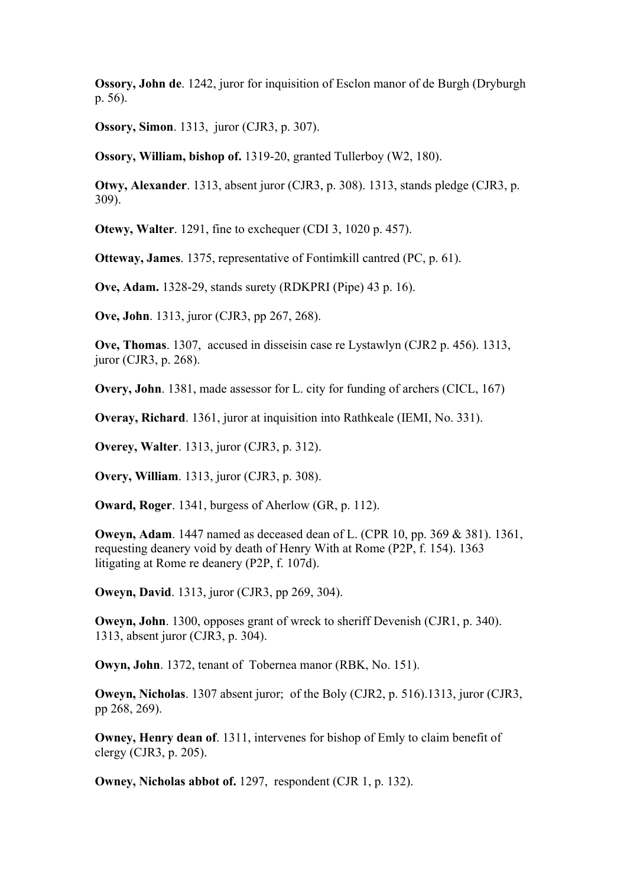**Ossory, John de**. 1242, juror for inquisition of Esclon manor of de Burgh (Dryburgh p. 56).

**Ossory, Simon**. 1313, juror (CJR3, p. 307).

**Ossory, William, bishop of.** 1319-20, granted Tullerboy (W2, 180).

**Otwy, Alexander**. 1313, absent juror (CJR3, p. 308). 1313, stands pledge (CJR3, p. 309).

**Otewy, Walter**. 1291, fine to exchequer (CDI 3, 1020 p. 457).

**Otteway, James**. 1375, representative of Fontimkill cantred (PC, p. 61).

**Ove, Adam.** 1328-29, stands surety (RDKPRI (Pipe) 43 p. 16).

**Ove, John**. 1313, juror (CJR3, pp 267, 268).

**Ove, Thomas**. 1307, accused in disseisin case re Lystawlyn (CJR2 p. 456). 1313, juror (CJR3, p. 268).

**Overy, John**. 1381, made assessor for L. city for funding of archers (CICL, 167)

**Overay, Richard**. 1361, juror at inquisition into Rathkeale (IEMI, No. 331).

**Overey, Walter**. 1313, juror (CJR3, p. 312).

**Overy, William**. 1313, juror (CJR3, p. 308).

**Oward, Roger**. 1341, burgess of Aherlow (GR, p. 112).

**Oweyn, Adam**. 1447 named as deceased dean of L. (CPR 10, pp. 369 & 381). 1361, requesting deanery void by death of Henry With at Rome (P2P, f. 154). 1363 litigating at Rome re deanery (P2P, f. 107d).

**Oweyn, David**. 1313, juror (CJR3, pp 269, 304).

**Oweyn, John**. 1300, opposes grant of wreck to sheriff Devenish (CJR1, p. 340). 1313, absent juror (CJR3, p. 304).

**Owyn, John**. 1372, tenant of Tobernea manor (RBK, No. 151).

**Oweyn, Nicholas**. 1307 absent juror; of the Boly (CJR2, p. 516).1313, juror (CJR3, pp 268, 269).

**Owney, Henry dean of**. 1311, intervenes for bishop of Emly to claim benefit of clergy (CJR3, p. 205).

**Owney, Nicholas abbot of.** 1297, respondent (CJR 1, p. 132).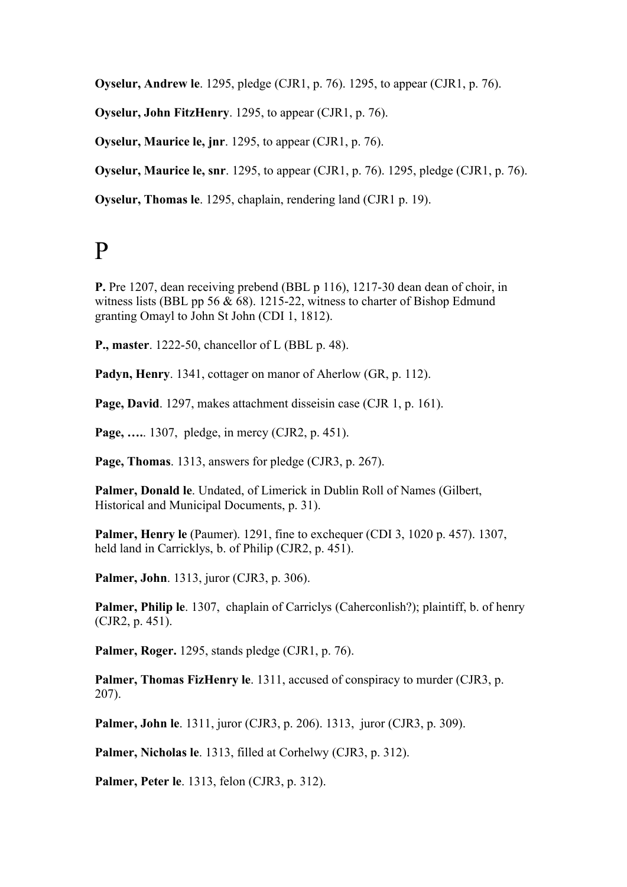**Oyselur, Andrew le**. 1295, pledge (CJR1, p. 76). 1295, to appear (CJR1, p. 76).

**Oyselur, John FitzHenry**. 1295, to appear (CJR1, p. 76).

**Oyselur, Maurice le, jnr**. 1295, to appear (CJR1, p. 76).

**Oyselur, Maurice le, snr**. 1295, to appear (CJR1, p. 76). 1295, pledge (CJR1, p. 76).

**Oyselur, Thomas le**. 1295, chaplain, rendering land (CJR1 p. 19).

## P

**P.** Pre 1207, dean receiving prebend (BBL p 116), 1217-30 dean dean of choir, in witness lists (BBL pp 56 & 68). 1215-22, witness to charter of Bishop Edmund granting Omayl to John St John (CDI 1, 1812).

**P., master**. 1222-50, chancellor of L (BBL p. 48).

**Padyn, Henry**. 1341, cottager on manor of Aherlow (GR, p. 112).

**Page, David**. 1297, makes attachment disseisin case (CJR 1, p. 161).

**Page, ….**. 1307, pledge, in mercy (CJR2, p. 451).

**Page, Thomas**. 1313, answers for pledge (CJR3, p. 267).

**Palmer, Donald le**. Undated, of Limerick in Dublin Roll of Names (Gilbert, Historical and Municipal Documents, p. 31).

**Palmer, Henry le** (Paumer). 1291, fine to exchequer (CDI 3, 1020 p. 457). 1307, held land in Carricklys, b. of Philip (CJR2, p. 451).

**Palmer, John**. 1313, juror (CJR3, p. 306).

**Palmer, Philip le**. 1307, chaplain of Carriclys (Caherconlish?); plaintiff, b. of henry (CJR2, p. 451).

**Palmer, Roger.** 1295, stands pledge (CJR1, p. 76).

**Palmer, Thomas FizHenry le**. 1311, accused of conspiracy to murder (CJR3, p. 207).

**Palmer, John le**. 1311, juror (CJR3, p. 206). 1313, juror (CJR3, p. 309).

**Palmer, Nicholas le**. 1313, filled at Corhelwy (CJR3, p. 312).

**Palmer, Peter le**. 1313, felon (CJR3, p. 312).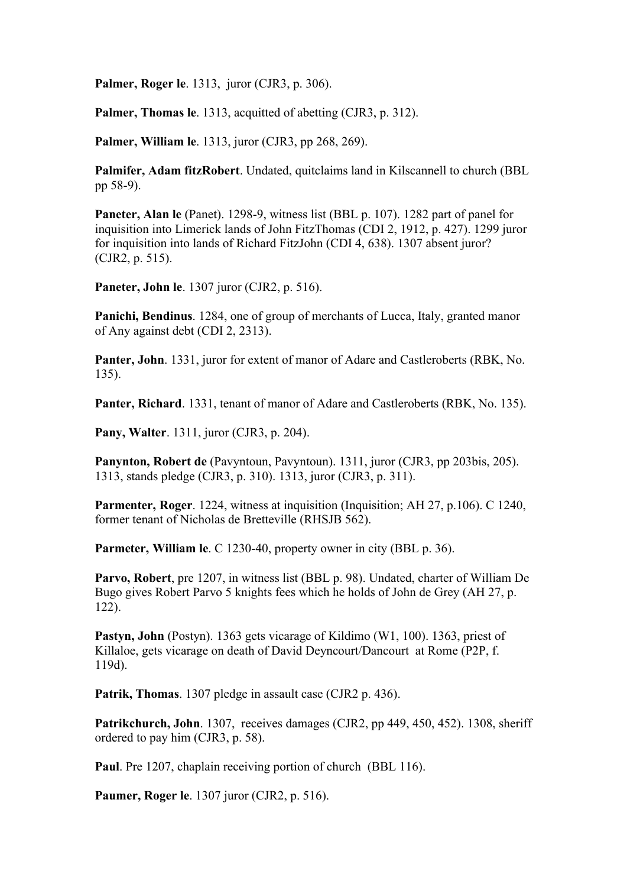**Palmer, Roger le**. 1313, juror (CJR3, p. 306).

**Palmer, Thomas le**. 1313, acquitted of abetting (CJR3, p. 312).

**Palmer, William le**. 1313, juror (CJR3, pp 268, 269).

**Palmifer, Adam fitzRobert**. Undated, quitclaims land in Kilscannell to church (BBL pp 58-9).

**Paneter, Alan le** (Panet). 1298-9, witness list (BBL p. 107). 1282 part of panel for inquisition into Limerick lands of John FitzThomas (CDI 2, 1912, p. 427). 1299 juror for inquisition into lands of Richard FitzJohn (CDI 4, 638). 1307 absent juror? (CJR2, p. 515).

**Paneter, John le**. 1307 juror (CJR2, p. 516).

**Panichi, Bendinus**. 1284, one of group of merchants of Lucca, Italy, granted manor of Any against debt (CDI 2, 2313).

**Panter, John**. 1331, juror for extent of manor of Adare and Castleroberts (RBK, No. 135).

**Panter, Richard**. 1331, tenant of manor of Adare and Castleroberts (RBK, No. 135).

**Pany, Walter**. 1311, juror (CJR3, p. 204).

**Panynton, Robert de** (Pavyntoun, Pavyntoun). 1311, juror (CJR3, pp 203bis, 205). 1313, stands pledge (CJR3, p. 310). 1313, juror (CJR3, p. 311).

**Parmenter, Roger**. 1224, witness at inquisition (Inquisition; AH 27, p.106). C 1240, former tenant of Nicholas de Bretteville (RHSJB 562).

**Parmeter, William le**. C 1230-40, property owner in city (BBL p. 36).

**Parvo, Robert**, pre 1207, in witness list (BBL p. 98). Undated, charter of William De Bugo gives Robert Parvo 5 knights fees which he holds of John de Grey (AH 27, p. 122).

**Pastyn, John** (Postyn). 1363 gets vicarage of Kildimo (W1, 100). 1363, priest of Killaloe, gets vicarage on death of David Deyncourt/Dancourt at Rome (P2P, f. 119d).

**Patrik, Thomas**. 1307 pledge in assault case (CJR2 p. 436).

**Patrikchurch, John**. 1307, receives damages (CJR2, pp 449, 450, 452). 1308, sheriff ordered to pay him (CJR3, p. 58).

**Paul**. Pre 1207, chaplain receiving portion of church (BBL 116).

**Paumer, Roger le**. 1307 juror (CJR2, p. 516).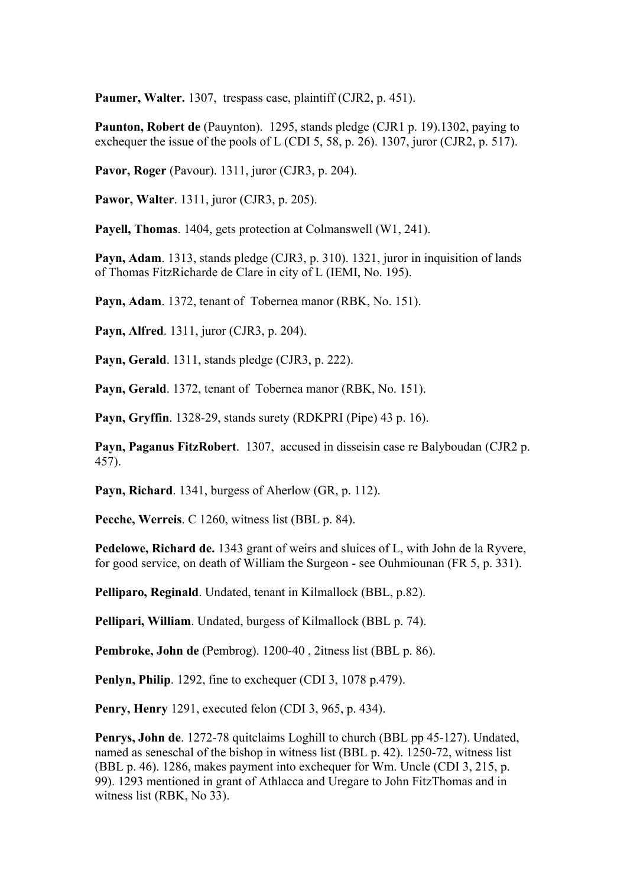Paumer, Walter. 1307, trespass case, plaintiff (CJR2, p. 451).

**Paunton, Robert de** (Pauynton). 1295, stands pledge (CJR1 p. 19).1302, paying to exchequer the issue of the pools of L (CDI 5, 58, p. 26). 1307, juror (CJR2, p. 517).

**Pavor, Roger** (Pavour). 1311, juror (CJR3, p. 204).

**Pawor, Walter**. 1311, juror (CJR3, p. 205).

**Payell, Thomas**. 1404, gets protection at Colmanswell (W1, 241).

**Payn, Adam**. 1313, stands pledge (CJR3, p. 310). 1321, juror in inquisition of lands of Thomas FitzRicharde de Clare in city of L (IEMI, No. 195).

**Payn, Adam**. 1372, tenant of Tobernea manor (RBK, No. 151).

**Payn, Alfred**. 1311, juror (CJR3, p. 204).

**Payn, Gerald**. 1311, stands pledge (CJR3, p. 222).

**Payn, Gerald**. 1372, tenant of Tobernea manor (RBK, No. 151).

**Payn, Gryffin**. 1328-29, stands surety (RDKPRI (Pipe) 43 p. 16).

**Payn, Paganus FitzRobert**. 1307, accused in disseisin case re Balyboudan (CJR2 p. 457).

**Payn, Richard**. 1341, burgess of Aherlow (GR, p. 112).

**Pecche, Werreis**. C 1260, witness list (BBL p. 84).

**Pedelowe, Richard de.** 1343 grant of weirs and sluices of L, with John de la Ryvere, for good service, on death of William the Surgeon - see Ouhmiounan (FR 5, p. 331).

**Pelliparo, Reginald**. Undated, tenant in Kilmallock (BBL, p.82).

**Pellipari, William**. Undated, burgess of Kilmallock (BBL p. 74).

**Pembroke, John de** (Pembrog). 1200-40 , 2itness list (BBL p. 86).

**Penlyn, Philip**. 1292, fine to exchequer (CDI 3, 1078 p.479).

**Penry, Henry** 1291, executed felon (CDI 3, 965, p. 434).

**Penrys, John de**. 1272-78 quitclaims Loghill to church (BBL pp 45-127). Undated, named as seneschal of the bishop in witness list (BBL p. 42). 1250-72, witness list (BBL p. 46). 1286, makes payment into exchequer for Wm. Uncle (CDI 3, 215, p. 99). 1293 mentioned in grant of Athlacca and Uregare to John FitzThomas and in witness list (RBK, No 33).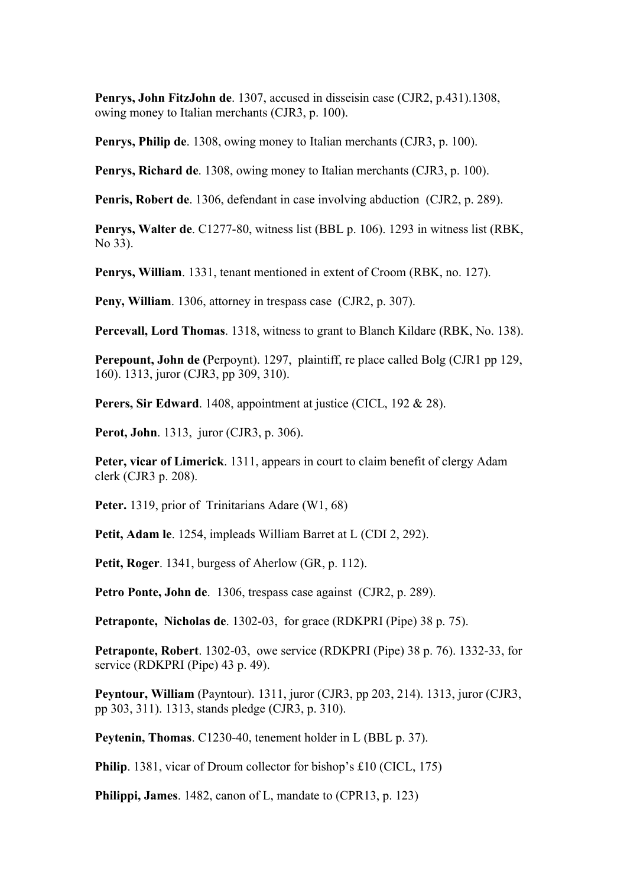**Penrys, John FitzJohn de**. 1307, accused in disseisin case (CJR2, p.431).1308, owing money to Italian merchants (CJR3, p. 100).

**Penrys, Philip de**. 1308, owing money to Italian merchants (CJR3, p. 100).

**Penrys, Richard de**. 1308, owing money to Italian merchants (CJR3, p. 100).

**Penris, Robert de**. 1306, defendant in case involving abduction (CJR2, p. 289).

**Penrys, Walter de**. C1277-80, witness list (BBL p. 106). 1293 in witness list (RBK, No 33).

**Penrys, William**. 1331, tenant mentioned in extent of Croom (RBK, no. 127).

**Peny, William**. 1306, attorney in trespass case (CJR2, p. 307).

**Percevall, Lord Thomas**. 1318, witness to grant to Blanch Kildare (RBK, No. 138).

**Perepount, John de (**Perpoynt). 1297, plaintiff, re place called Bolg (CJR1 pp 129, 160). 1313, juror (CJR3, pp 309, 310).

Perers, Sir Edward. 1408, appointment at justice (CICL, 192 & 28).

**Perot, John**. 1313, juror (CJR3, p. 306).

**Peter, vicar of Limerick**. 1311, appears in court to claim benefit of clergy Adam clerk (CJR3 p. 208).

Peter. 1319, prior of Trinitarians Adare (W1, 68)

**Petit, Adam le**. 1254, impleads William Barret at L (CDI 2, 292).

**Petit, Roger**. 1341, burgess of Aherlow (GR, p. 112).

**Petro Ponte, John de**. 1306, trespass case against (CJR2, p. 289).

**Petraponte, Nicholas de**. 1302-03, for grace (RDKPRI (Pipe) 38 p. 75).

**Petraponte, Robert**. 1302-03, owe service (RDKPRI (Pipe) 38 p. 76). 1332-33, for service (RDKPRI (Pipe) 43 p. 49).

**Peyntour, William** (Payntour). 1311, juror (CJR3, pp 203, 214). 1313, juror (CJR3, pp 303, 311). 1313, stands pledge (CJR3, p. 310).

**Peytenin, Thomas**. C1230-40, tenement holder in L (BBL p. 37).

**Philip**. 1381, vicar of Droum collector for bishop's £10 (CICL, 175)

**Philippi, James**. 1482, canon of L, mandate to (CPR13, p. 123)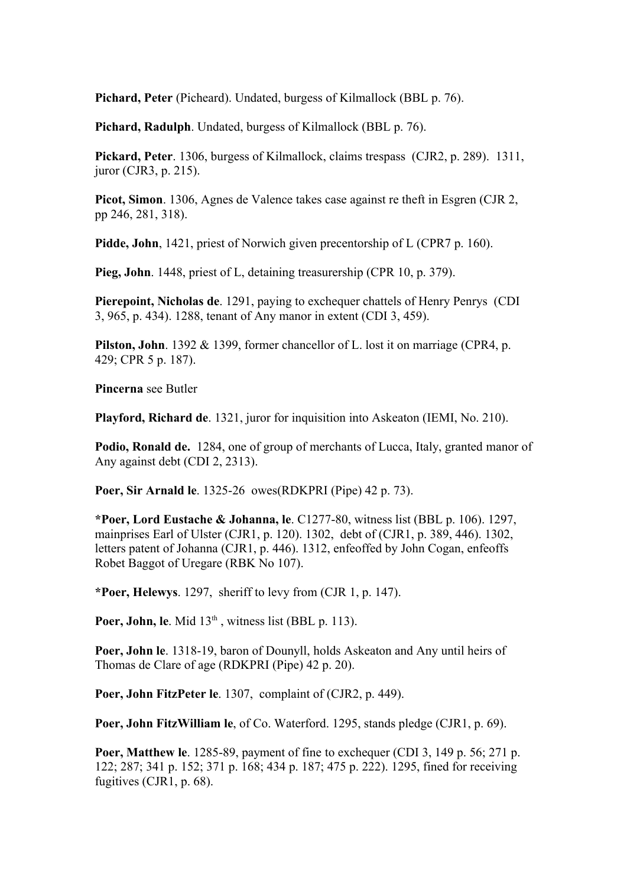**Pichard, Peter** (Picheard). Undated, burgess of Kilmallock (BBL p. 76).

**Pichard, Radulph**. Undated, burgess of Kilmallock (BBL p. 76).

**Pickard, Peter**. 1306, burgess of Kilmallock, claims trespass (CJR2, p. 289). 1311, juror (CJR3, p. 215).

**Picot, Simon**. 1306, Agnes de Valence takes case against re theft in Esgren (CJR 2, pp 246, 281, 318).

**Pidde, John**, 1421, priest of Norwich given precentorship of L (CPR7 p. 160).

Pieg, John. 1448, priest of L, detaining treasurership (CPR 10, p. 379).

**Pierepoint, Nicholas de**. 1291, paying to exchequer chattels of Henry Penrys (CDI 3, 965, p. 434). 1288, tenant of Any manor in extent (CDI 3, 459).

**Pilston, John**. 1392 & 1399, former chancellor of L. lost it on marriage (CPR4, p. 429; CPR 5 p. 187).

**Pincerna** see Butler

**Playford, Richard de**. 1321, juror for inquisition into Askeaton (IEMI, No. 210).

**Podio, Ronald de.** 1284, one of group of merchants of Lucca, Italy, granted manor of Any against debt (CDI 2, 2313).

**Poer, Sir Arnald le**. 1325-26 owes(RDKPRI (Pipe) 42 p. 73).

**\*Poer, Lord Eustache & Johanna, le**. C1277-80, witness list (BBL p. 106). 1297, mainprises Earl of Ulster (CJR1, p. 120). 1302, debt of (CJR1, p. 389, 446). 1302, letters patent of Johanna (CJR1, p. 446). 1312, enfeoffed by John Cogan, enfeoffs Robet Baggot of Uregare (RBK No 107).

**\*Poer, Helewys**. 1297, sheriff to levy from (CJR 1, p. 147).

Poer, John, le. Mid 13<sup>th</sup>, witness list (BBL p. 113).

**Poer, John le**. 1318-19, baron of Dounyll, holds Askeaton and Any until heirs of Thomas de Clare of age (RDKPRI (Pipe) 42 p. 20).

**Poer, John FitzPeter le**. 1307, complaint of (CJR2, p. 449).

**Poer, John FitzWilliam le**, of Co. Waterford. 1295, stands pledge (CJR1, p. 69).

**Poer, Matthew le**. 1285-89, payment of fine to exchequer (CDI 3, 149 p. 56; 271 p. 122; 287; 341 p. 152; 371 p. 168; 434 p. 187; 475 p. 222). 1295, fined for receiving fugitives (CJR1, p. 68).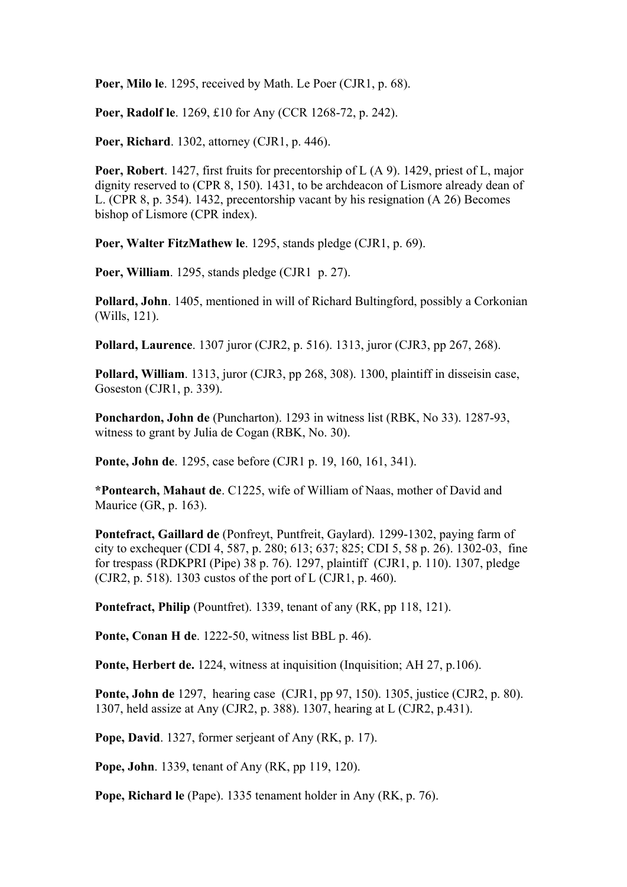**Poer, Milo le**. 1295, received by Math. Le Poer (CJR1, p. 68).

**Poer, Radolf le**. 1269, £10 for Any (CCR 1268-72, p. 242).

**Poer, Richard**. 1302, attorney (CJR1, p. 446).

**Poer, Robert**. 1427, first fruits for precentorship of L (A 9). 1429, priest of L, major dignity reserved to (CPR 8, 150). 1431, to be archdeacon of Lismore already dean of L. (CPR 8, p. 354). 1432, precentorship vacant by his resignation (A 26) Becomes bishop of Lismore (CPR index).

**Poer, Walter FitzMathew le**. 1295, stands pledge (CJR1, p. 69).

**Poer, William**. 1295, stands pledge (CJR1 p. 27).

**Pollard, John**. 1405, mentioned in will of Richard Bultingford, possibly a Corkonian (Wills, 121).

**Pollard, Laurence**. 1307 juror (CJR2, p. 516). 1313, juror (CJR3, pp 267, 268).

**Pollard, William**. 1313, juror (CJR3, pp 268, 308). 1300, plaintiff in disseisin case, Goseston (CJR1, p. 339).

**Ponchardon, John de** (Puncharton). 1293 in witness list (RBK, No 33). 1287-93, witness to grant by Julia de Cogan (RBK, No. 30).

**Ponte, John de**. 1295, case before (CJR1 p. 19, 160, 161, 341).

**\*Pontearch, Mahaut de**. C1225, wife of William of Naas, mother of David and Maurice (GR, p. 163).

**Pontefract, Gaillard de** (Ponfreyt, Puntfreit, Gaylard). 1299-1302, paying farm of city to exchequer (CDI 4, 587, p. 280; 613; 637; 825; CDI 5, 58 p. 26). 1302-03, fine for trespass (RDKPRI (Pipe) 38 p. 76). 1297, plaintiff (CJR1, p. 110). 1307, pledge (CJR2, p. 518). 1303 custos of the port of L (CJR1, p. 460).

**Pontefract, Philip** (Pountfret). 1339, tenant of any (RK, pp 118, 121).

**Ponte, Conan H de**. 1222-50, witness list BBL p. 46).

**Ponte, Herbert de.** 1224, witness at inquisition (Inquisition; AH 27, p.106).

**Ponte, John de** 1297, hearing case (CJR1, pp 97, 150). 1305, justice (CJR2, p. 80). 1307, held assize at Any (CJR2, p. 388). 1307, hearing at L (CJR2, p.431).

**Pope, David**. 1327, former serjeant of Any (RK, p. 17).

**Pope, John**. 1339, tenant of Any (RK, pp 119, 120).

**Pope, Richard le** (Pape). 1335 tenament holder in Any (RK, p. 76).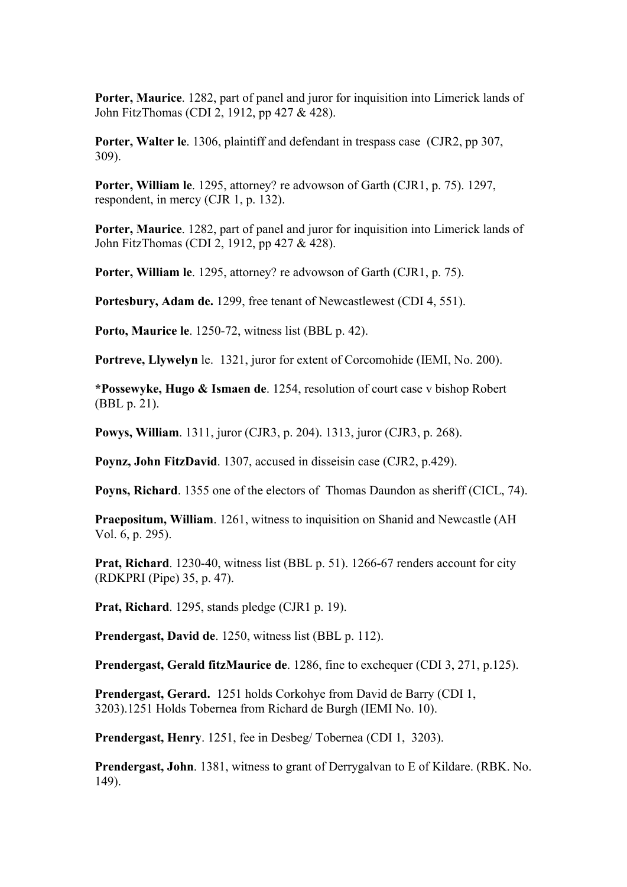**Porter, Maurice**. 1282, part of panel and juror for inquisition into Limerick lands of John FitzThomas (CDI 2, 1912, pp 427 & 428).

**Porter, Walter le**. 1306, plaintiff and defendant in trespass case (CJR2, pp 307, 309).

**Porter, William le**. 1295, attorney? re advowson of Garth (CJR1, p. 75). 1297, respondent, in mercy (CJR 1, p. 132).

**Porter, Maurice**. 1282, part of panel and juror for inquisition into Limerick lands of John FitzThomas (CDI 2, 1912, pp 427 & 428).

**Porter, William le**. 1295, attorney? re advowson of Garth (CJR1, p. 75).

**Portesbury, Adam de.** 1299, free tenant of Newcastlewest (CDI 4, 551).

**Porto, Maurice le**. 1250-72, witness list (BBL p. 42).

**Portreve, Llywelyn** le. 1321, juror for extent of Corcomohide (IEMI, No. 200).

**\*Possewyke, Hugo & Ismaen de**. 1254, resolution of court case v bishop Robert (BBL p. 21).

**Powys, William**. 1311, juror (CJR3, p. 204). 1313, juror (CJR3, p. 268).

**Poynz, John FitzDavid**. 1307, accused in disseisin case (CJR2, p.429).

**Poyns, Richard**. 1355 one of the electors of Thomas Daundon as sheriff (CICL, 74).

**Praepositum, William**. 1261, witness to inquisition on Shanid and Newcastle (AH Vol. 6, p. 295).

**Prat, Richard.** 1230-40, witness list (BBL p. 51). 1266-67 renders account for city (RDKPRI (Pipe) 35, p. 47).

**Prat, Richard**. 1295, stands pledge (CJR1 p. 19).

**Prendergast, David de**. 1250, witness list (BBL p. 112).

**Prendergast, Gerald fitzMaurice de**. 1286, fine to exchequer (CDI 3, 271, p.125).

**Prendergast, Gerard.** 1251 holds Corkohye from David de Barry (CDI 1, 3203).1251 Holds Tobernea from Richard de Burgh (IEMI No. 10).

**Prendergast, Henry**. 1251, fee in Desbeg/ Tobernea (CDI 1, 3203).

**Prendergast, John**. 1381, witness to grant of Derrygalvan to E of Kildare. (RBK. No. 149).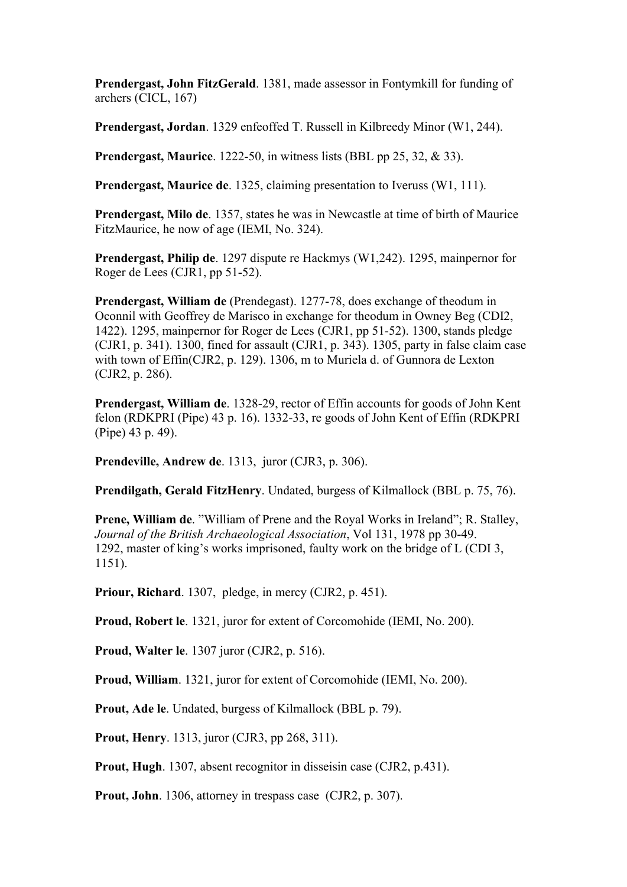**Prendergast, John FitzGerald**. 1381, made assessor in Fontymkill for funding of archers (CICL, 167)

**Prendergast, Jordan**. 1329 enfeoffed T. Russell in Kilbreedy Minor (W1, 244).

**Prendergast, Maurice**. 1222-50, in witness lists (BBL pp 25, 32, & 33).

**Prendergast, Maurice de**. 1325, claiming presentation to Iveruss (W1, 111).

**Prendergast, Milo de**. 1357, states he was in Newcastle at time of birth of Maurice FitzMaurice, he now of age (IEMI, No. 324).

**Prendergast, Philip de**. 1297 dispute re Hackmys (W1,242). 1295, mainpernor for Roger de Lees (CJR1, pp 51-52).

**Prendergast, William de** (Prendegast). 1277-78, does exchange of theodum in Oconnil with Geoffrey de Marisco in exchange for theodum in Owney Beg (CDI2, 1422). 1295, mainpernor for Roger de Lees (CJR1, pp 51-52). 1300, stands pledge (CJR1, p. 341). 1300, fined for assault (CJR1, p. 343). 1305, party in false claim case with town of Effin(CJR2, p. 129). 1306, m to Muriela d. of Gunnora de Lexton (CJR2, p. 286).

**Prendergast, William de**. 1328-29, rector of Effin accounts for goods of John Kent felon (RDKPRI (Pipe) 43 p. 16). 1332-33, re goods of John Kent of Effin (RDKPRI (Pipe) 43 p. 49).

**Prendeville, Andrew de**. 1313, juror (CJR3, p. 306).

**Prendilgath, Gerald FitzHenry**. Undated, burgess of Kilmallock (BBL p. 75, 76).

**Prene, William de**. "William of Prene and the Royal Works in Ireland"; R. Stalley, *Journal of the British Archaeological Association*, Vol 131, 1978 pp 30-49. 1292, master of king's works imprisoned, faulty work on the bridge of L (CDI 3, 1151).

**Priour, Richard**. 1307, pledge, in mercy (CJR2, p. 451).

**Proud, Robert le**. 1321, juror for extent of Corcomohide (IEMI, No. 200).

**Proud, Walter le**. 1307 juror (CJR2, p. 516).

**Proud, William**. 1321, juror for extent of Corcomohide (IEMI, No. 200).

**Prout, Ade le**. Undated, burgess of Kilmallock (BBL p. 79).

**Prout, Henry**. 1313, juror (CJR3, pp 268, 311).

**Prout, Hugh**. 1307, absent recognitor in disseisin case (CJR2, p.431).

**Prout, John**. 1306, attorney in trespass case (CJR2, p. 307).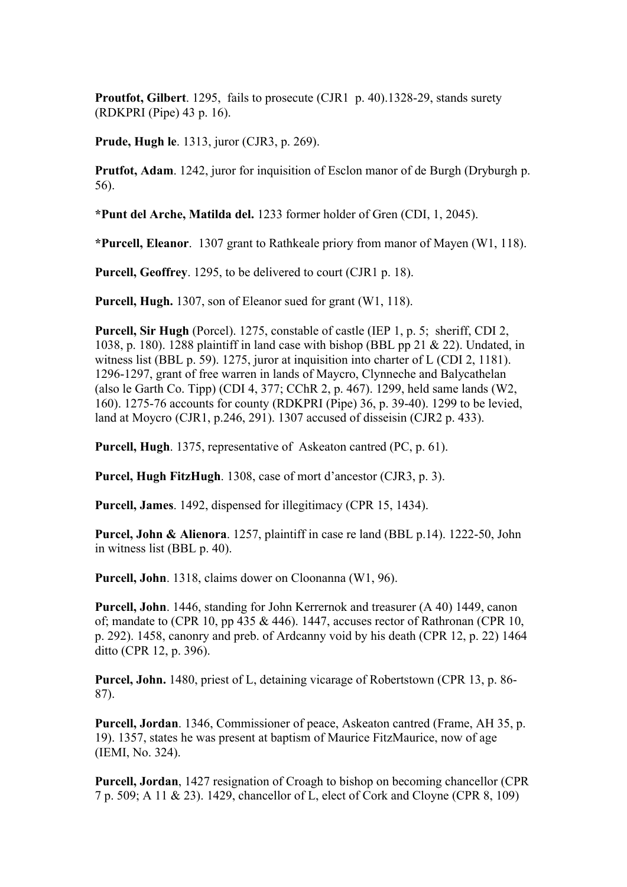**Proutfot, Gilbert**. 1295, fails to prosecute (CJR1 p. 40).1328-29, stands surety (RDKPRI (Pipe) 43 p. 16).

**Prude, Hugh le**. 1313, juror (CJR3, p. 269).

**Prutfot, Adam.** 1242, juror for inquisition of Esclon manor of de Burgh (Dryburgh p. 56).

**\*Punt del Arche, Matilda del.** 1233 former holder of Gren (CDI, 1, 2045).

**\*Purcell, Eleanor**. 1307 grant to Rathkeale priory from manor of Mayen (W1, 118).

**Purcell, Geoffrey**. 1295, to be delivered to court (CJR1 p. 18).

**Purcell, Hugh.** 1307, son of Eleanor sued for grant (W1, 118).

**Purcell, Sir Hugh** (Porcel). 1275, constable of castle (IEP 1, p. 5; sheriff, CDI 2, 1038, p. 180). 1288 plaintiff in land case with bishop (BBL pp 21 & 22). Undated, in witness list (BBL p. 59). 1275, juror at inquisition into charter of L (CDI 2, 1181). 1296-1297, grant of free warren in lands of Maycro, Clynneche and Balycathelan (also le Garth Co. Tipp) (CDI 4, 377; CChR 2, p. 467). 1299, held same lands (W2, 160). 1275-76 accounts for county (RDKPRI (Pipe) 36, p. 39-40). 1299 to be levied, land at Moycro (CJR1, p.246, 291). 1307 accused of disseisin (CJR2 p. 433).

**Purcell, Hugh**. 1375, representative of Askeaton cantred (PC, p. 61).

**Purcel, Hugh FitzHugh**. 1308, case of mort d'ancestor (CJR3, p. 3).

**Purcell, James**. 1492, dispensed for illegitimacy (CPR 15, 1434).

**Purcel, John & Alienora**. 1257, plaintiff in case re land (BBL p.14). 1222-50, John in witness list (BBL p. 40).

**Purcell, John**. 1318, claims dower on Cloonanna (W1, 96).

**Purcell, John**. 1446, standing for John Kerrernok and treasurer (A 40) 1449, canon of; mandate to (CPR 10, pp 435  $\&$  446). 1447, accuses rector of Rathronan (CPR 10, p. 292). 1458, canonry and preb. of Ardcanny void by his death (CPR 12, p. 22) 1464 ditto (CPR 12, p. 396).

**Purcel, John.** 1480, priest of L, detaining vicarage of Robertstown (CPR 13, p. 86- 87).

**Purcell, Jordan**. 1346, Commissioner of peace, Askeaton cantred (Frame, AH 35, p. 19). 1357, states he was present at baptism of Maurice FitzMaurice, now of age (IEMI, No. 324).

**Purcell, Jordan**, 1427 resignation of Croagh to bishop on becoming chancellor (CPR 7 p. 509; A 11 & 23). 1429, chancellor of L, elect of Cork and Cloyne (CPR 8, 109)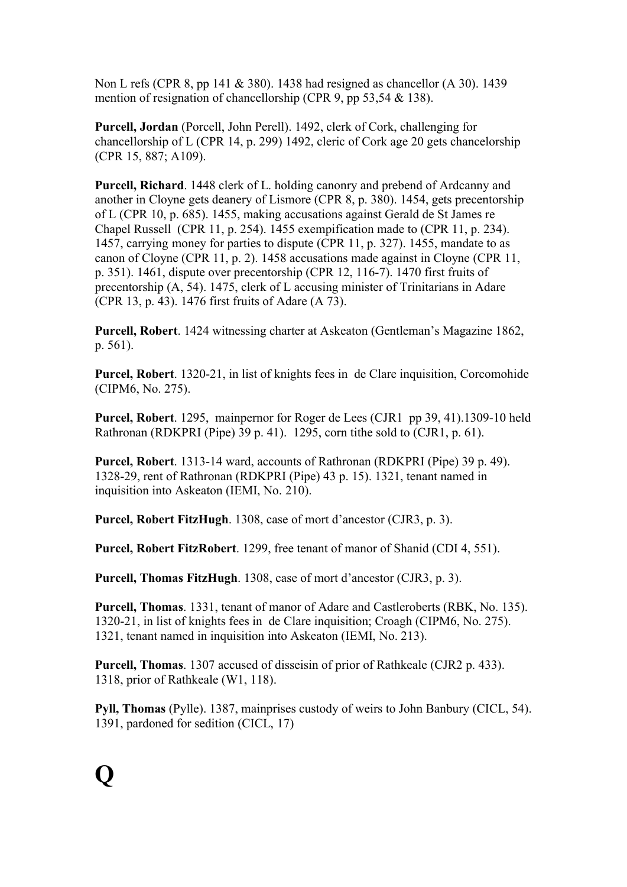Non L refs (CPR 8, pp 141 & 380). 1438 had resigned as chancellor (A 30). 1439 mention of resignation of chancellorship (CPR 9, pp 53,54 & 138).

**Purcell, Jordan** (Porcell, John Perell). 1492, clerk of Cork, challenging for chancellorship of L (CPR 14, p. 299) 1492, cleric of Cork age 20 gets chancelorship (CPR 15, 887; A109).

**Purcell, Richard**. 1448 clerk of L. holding canonry and prebend of Ardcanny and another in Cloyne gets deanery of Lismore (CPR 8, p. 380). 1454, gets precentorship of L (CPR 10, p. 685). 1455, making accusations against Gerald de St James re Chapel Russell (CPR 11, p. 254). 1455 exempification made to (CPR 11, p. 234). 1457, carrying money for parties to dispute (CPR 11, p. 327). 1455, mandate to as canon of Cloyne (CPR 11, p. 2). 1458 accusations made against in Cloyne (CPR 11, p. 351). 1461, dispute over precentorship (CPR 12, 116-7). 1470 first fruits of precentorship (A, 54). 1475, clerk of L accusing minister of Trinitarians in Adare (CPR 13, p. 43). 1476 first fruits of Adare (A 73).

**Purcell, Robert**. 1424 witnessing charter at Askeaton (Gentleman's Magazine 1862, p. 561).

**Purcel, Robert**. 1320-21, in list of knights fees in de Clare inquisition, Corcomohide (CIPM6, No. 275).

**Purcel, Robert**. 1295, mainpernor for Roger de Lees (CJR1 pp 39, 41).1309-10 held Rathronan (RDKPRI (Pipe) 39 p. 41). 1295, corn tithe sold to (CJR1, p. 61).

**Purcel, Robert**. 1313-14 ward, accounts of Rathronan (RDKPRI (Pipe) 39 p. 49). 1328-29, rent of Rathronan (RDKPRI (Pipe) 43 p. 15). 1321, tenant named in inquisition into Askeaton (IEMI, No. 210).

**Purcel, Robert FitzHugh**. 1308, case of mort d'ancestor (CJR3, p. 3).

**Purcel, Robert FitzRobert**. 1299, free tenant of manor of Shanid (CDI 4, 551).

**Purcell, Thomas FitzHugh**. 1308, case of mort d'ancestor (CJR3, p. 3).

**Purcell, Thomas**. 1331, tenant of manor of Adare and Castleroberts (RBK, No. 135). 1320-21, in list of knights fees in de Clare inquisition; Croagh (CIPM6, No. 275). 1321, tenant named in inquisition into Askeaton (IEMI, No. 213).

**Purcell, Thomas**. 1307 accused of disseisin of prior of Rathkeale (CJR2 p. 433). 1318, prior of Rathkeale (W1, 118).

**Pyll, Thomas** (Pylle). 1387, mainprises custody of weirs to John Banbury (CICL, 54). 1391, pardoned for sedition (CICL, 17)

# **Q**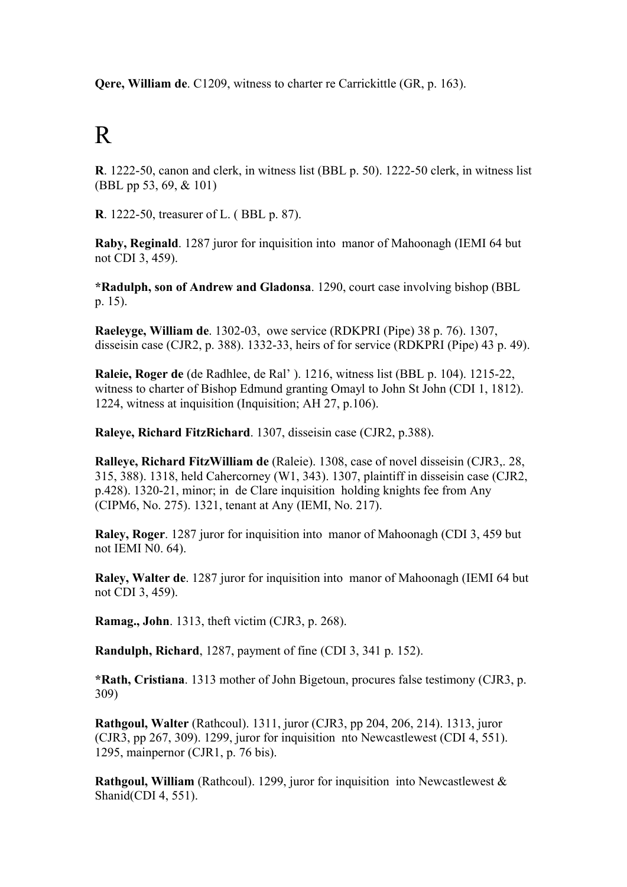**Qere, William de**. C1209, witness to charter re Carrickittle (GR, p. 163).

# R

**R**. 1222-50, canon and clerk, in witness list (BBL p. 50). 1222-50 clerk, in witness list (BBL pp 53, 69, & 101)

**R**. 1222-50, treasurer of L. ( BBL p. 87).

**Raby, Reginald**. 1287 juror for inquisition into manor of Mahoonagh (IEMI 64 but not CDI 3, 459).

**\*Radulph, son of Andrew and Gladonsa**. 1290, court case involving bishop (BBL p. 15).

**Raeleyge, William de**. 1302-03, owe service (RDKPRI (Pipe) 38 p. 76). 1307, disseisin case (CJR2, p. 388). 1332-33, heirs of for service (RDKPRI (Pipe) 43 p. 49).

**Raleie, Roger de** (de Radhlee, de Ral' ). 1216, witness list (BBL p. 104). 1215-22, witness to charter of Bishop Edmund granting Omayl to John St John (CDI 1, 1812). 1224, witness at inquisition (Inquisition; AH 27, p.106).

**Raleye, Richard FitzRichard**. 1307, disseisin case (CJR2, p.388).

**Ralleye, Richard FitzWilliam de** (Raleie). 1308, case of novel disseisin (CJR3,. 28, 315, 388). 1318, held Cahercorney (W1, 343). 1307, plaintiff in disseisin case (CJR2, p.428). 1320-21, minor; in de Clare inquisition holding knights fee from Any (CIPM6, No. 275). 1321, tenant at Any (IEMI, No. 217).

**Raley, Roger**. 1287 juror for inquisition into manor of Mahoonagh (CDI 3, 459 but not IEMI N0. 64).

**Raley, Walter de**. 1287 juror for inquisition into manor of Mahoonagh (IEMI 64 but not CDI 3, 459).

**Ramag., John**. 1313, theft victim (CJR3, p. 268).

**Randulph, Richard**, 1287, payment of fine (CDI 3, 341 p. 152).

**\*Rath, Cristiana**. 1313 mother of John Bigetoun, procures false testimony (CJR3, p. 309)

**Rathgoul, Walter** (Rathcoul). 1311, juror (CJR3, pp 204, 206, 214). 1313, juror (CJR3, pp 267, 309). 1299, juror for inquisition nto Newcastlewest (CDI 4, 551). 1295, mainpernor (CJR1, p. 76 bis).

Rathgoul, William (Rathcoul). 1299, juror for inquisition into Newcastlewest & Shanid(CDI 4, 551).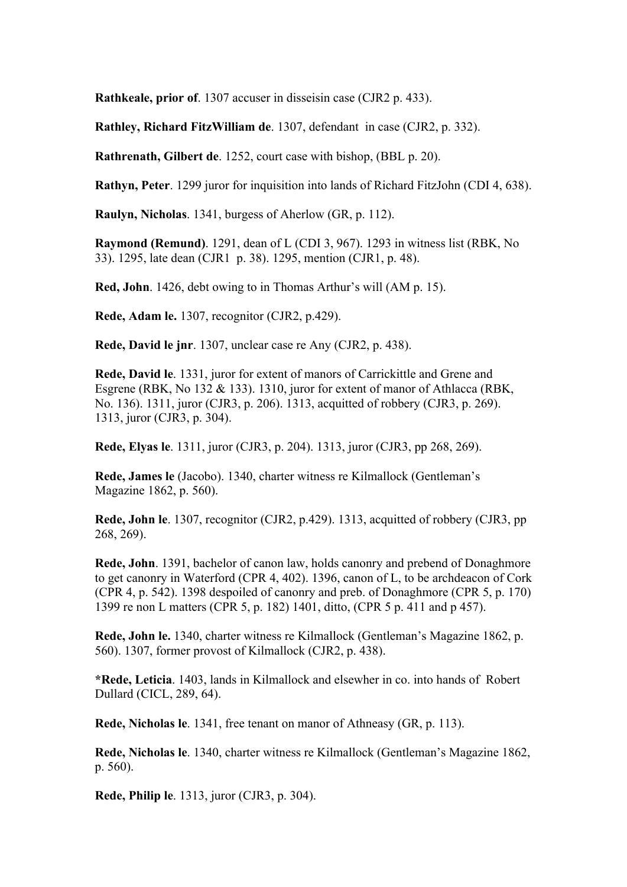**Rathkeale, prior of**. 1307 accuser in disseisin case (CJR2 p. 433).

**Rathley, Richard FitzWilliam de**. 1307, defendant in case (CJR2, p. 332).

**Rathrenath, Gilbert de**. 1252, court case with bishop, (BBL p. 20).

**Rathyn, Peter**. 1299 juror for inquisition into lands of Richard FitzJohn (CDI 4, 638).

**Raulyn, Nicholas**. 1341, burgess of Aherlow (GR, p. 112).

**Raymond (Remund)**. 1291, dean of L (CDI 3, 967). 1293 in witness list (RBK, No 33). 1295, late dean (CJR1 p. 38). 1295, mention (CJR1, p. 48).

**Red, John**. 1426, debt owing to in Thomas Arthur's will (AM p. 15).

**Rede, Adam le.** 1307, recognitor (CJR2, p.429).

**Rede, David le jnr**. 1307, unclear case re Any (CJR2, p. 438).

**Rede, David le**. 1331, juror for extent of manors of Carrickittle and Grene and Esgrene (RBK, No 132 & 133). 1310, juror for extent of manor of Athlacca (RBK, No. 136). 1311, juror (CJR3, p. 206). 1313, acquitted of robbery (CJR3, p. 269). 1313, juror (CJR3, p. 304).

**Rede, Elyas le**. 1311, juror (CJR3, p. 204). 1313, juror (CJR3, pp 268, 269).

**Rede, James le** (Jacobo). 1340, charter witness re Kilmallock (Gentleman's Magazine 1862, p. 560).

**Rede, John le**. 1307, recognitor (CJR2, p.429). 1313, acquitted of robbery (CJR3, pp 268, 269).

**Rede, John**. 1391, bachelor of canon law, holds canonry and prebend of Donaghmore to get canonry in Waterford (CPR 4, 402). 1396, canon of L, to be archdeacon of Cork (CPR 4, p. 542). 1398 despoiled of canonry and preb. of Donaghmore (CPR 5, p. 170) 1399 re non L matters (CPR 5, p. 182) 1401, ditto, (CPR 5 p. 411 and p 457).

**Rede, John le.** 1340, charter witness re Kilmallock (Gentleman's Magazine 1862, p. 560). 1307, former provost of Kilmallock (CJR2, p. 438).

**\*Rede, Leticia**. 1403, lands in Kilmallock and elsewher in co. into hands of Robert Dullard (CICL, 289, 64).

**Rede, Nicholas le**. 1341, free tenant on manor of Athneasy (GR, p. 113).

**Rede, Nicholas le**. 1340, charter witness re Kilmallock (Gentleman's Magazine 1862, p. 560).

**Rede, Philip le**. 1313, juror (CJR3, p. 304).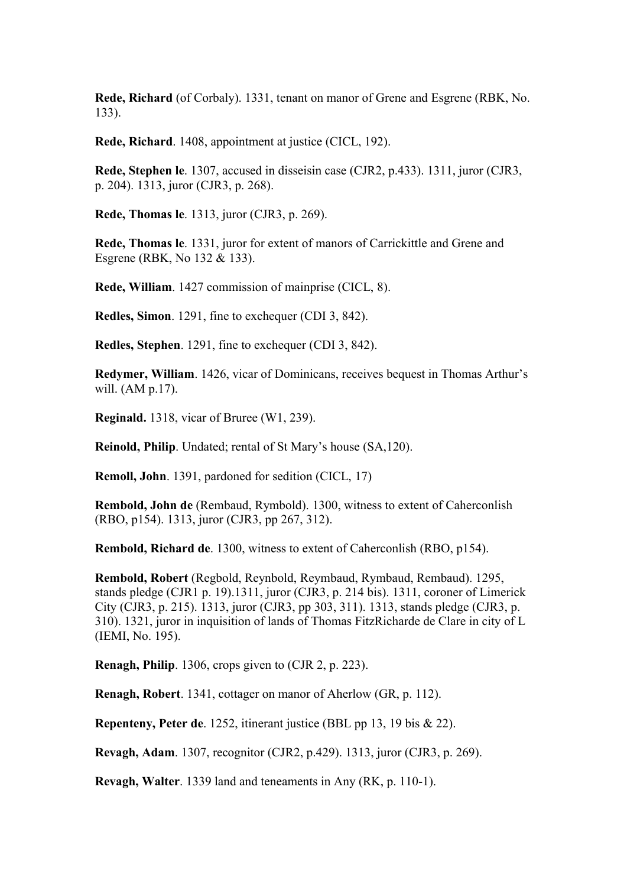**Rede, Richard** (of Corbaly). 1331, tenant on manor of Grene and Esgrene (RBK, No. 133).

**Rede, Richard**. 1408, appointment at justice (CICL, 192).

**Rede, Stephen le**. 1307, accused in disseisin case (CJR2, p.433). 1311, juror (CJR3, p. 204). 1313, juror (CJR3, p. 268).

**Rede, Thomas le**. 1313, juror (CJR3, p. 269).

**Rede, Thomas le**. 1331, juror for extent of manors of Carrickittle and Grene and Esgrene (RBK, No 132 & 133).

**Rede, William**. 1427 commission of mainprise (CICL, 8).

**Redles, Simon**. 1291, fine to exchequer (CDI 3, 842).

**Redles, Stephen**. 1291, fine to exchequer (CDI 3, 842).

**Redymer, William**. 1426, vicar of Dominicans, receives bequest in Thomas Arthur's will. (AM p.17).

**Reginald.** 1318, vicar of Bruree (W1, 239).

**Reinold, Philip**. Undated; rental of St Mary's house (SA,120).

**Remoll, John**. 1391, pardoned for sedition (CICL, 17)

**Rembold, John de** (Rembaud, Rymbold). 1300, witness to extent of Caherconlish (RBO, p154). 1313, juror (CJR3, pp 267, 312).

**Rembold, Richard de**. 1300, witness to extent of Caherconlish (RBO, p154).

**Rembold, Robert** (Regbold, Reynbold, Reymbaud, Rymbaud, Rembaud). 1295, stands pledge (CJR1 p. 19).1311, juror (CJR3, p. 214 bis). 1311, coroner of Limerick City (CJR3, p. 215). 1313, juror (CJR3, pp 303, 311). 1313, stands pledge (CJR3, p. 310). 1321, juror in inquisition of lands of Thomas FitzRicharde de Clare in city of L (IEMI, No. 195).

**Renagh, Philip**. 1306, crops given to (CJR 2, p. 223).

**Renagh, Robert**. 1341, cottager on manor of Aherlow (GR, p. 112).

**Repenteny, Peter de**. 1252, itinerant justice (BBL pp 13, 19 bis & 22).

**Revagh, Adam**. 1307, recognitor (CJR2, p.429). 1313, juror (CJR3, p. 269).

**Revagh, Walter**. 1339 land and teneaments in Any (RK, p. 110-1).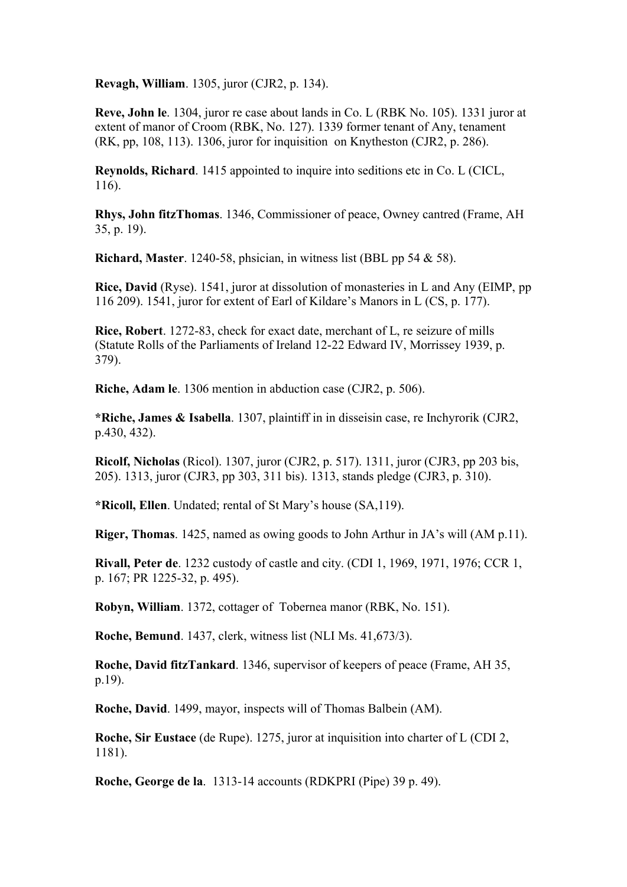**Revagh, William**. 1305, juror (CJR2, p. 134).

**Reve, John le**. 1304, juror re case about lands in Co. L (RBK No. 105). 1331 juror at extent of manor of Croom (RBK, No. 127). 1339 former tenant of Any, tenament (RK, pp, 108, 113). 1306, juror for inquisition on Knytheston (CJR2, p. 286).

**Reynolds, Richard**. 1415 appointed to inquire into seditions etc in Co. L (CICL, 116).

**Rhys, John fitzThomas**. 1346, Commissioner of peace, Owney cantred (Frame, AH 35, p. 19).

**Richard, Master**. 1240-58, phsician, in witness list (BBL pp 54 & 58).

**Rice, David** (Ryse). 1541, juror at dissolution of monasteries in L and Any (EIMP, pp 116 209). 1541, juror for extent of Earl of Kildare's Manors in L (CS, p. 177).

**Rice, Robert**. 1272-83, check for exact date, merchant of L, re seizure of mills (Statute Rolls of the Parliaments of Ireland 12-22 Edward IV, Morrissey 1939, p. 379).

**Riche, Adam le**. 1306 mention in abduction case (CJR2, p. 506).

**\*Riche, James & Isabella**. 1307, plaintiff in in disseisin case, re Inchyrorik (CJR2, p.430, 432).

**Ricolf, Nicholas** (Ricol). 1307, juror (CJR2, p. 517). 1311, juror (CJR3, pp 203 bis, 205). 1313, juror (CJR3, pp 303, 311 bis). 1313, stands pledge (CJR3, p. 310).

**\*Ricoll, Ellen**. Undated; rental of St Mary's house (SA,119).

**Riger, Thomas**. 1425, named as owing goods to John Arthur in JA's will (AM p.11).

**Rivall, Peter de**. 1232 custody of castle and city. (CDI 1, 1969, 1971, 1976; CCR 1, p. 167; PR 1225-32, p. 495).

**Robyn, William**. 1372, cottager of Tobernea manor (RBK, No. 151).

**Roche, Bemund**. 1437, clerk, witness list (NLI Ms. 41,673/3).

**Roche, David fitzTankard**. 1346, supervisor of keepers of peace (Frame, AH 35, p.19).

**Roche, David**. 1499, mayor, inspects will of Thomas Balbein (AM).

**Roche, Sir Eustace** (de Rupe). 1275, juror at inquisition into charter of L (CDI 2, 1181).

**Roche, George de la**. 1313-14 accounts (RDKPRI (Pipe) 39 p. 49).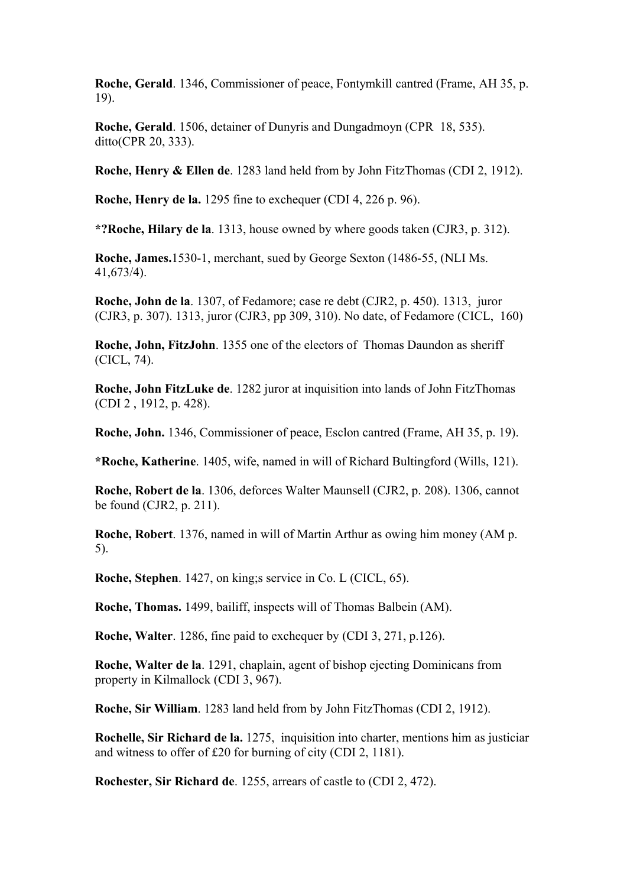**Roche, Gerald**. 1346, Commissioner of peace, Fontymkill cantred (Frame, AH 35, p. 19).

**Roche, Gerald**. 1506, detainer of Dunyris and Dungadmoyn (CPR 18, 535). ditto(CPR 20, 333).

**Roche, Henry & Ellen de**. 1283 land held from by John FitzThomas (CDI 2, 1912).

**Roche, Henry de la.** 1295 fine to exchequer (CDI 4, 226 p. 96).

**\*?Roche, Hilary de la**. 1313, house owned by where goods taken (CJR3, p. 312).

**Roche, James.**1530-1, merchant, sued by George Sexton (1486-55, (NLI Ms. 41,673/4).

**Roche, John de la**. 1307, of Fedamore; case re debt (CJR2, p. 450). 1313, juror (CJR3, p. 307). 1313, juror (CJR3, pp 309, 310). No date, of Fedamore (CICL, 160)

**Roche, John, FitzJohn**. 1355 one of the electors of Thomas Daundon as sheriff (CICL, 74).

**Roche, John FitzLuke de**. 1282 juror at inquisition into lands of John FitzThomas (CDI 2 , 1912, p. 428).

**Roche, John.** 1346, Commissioner of peace, Esclon cantred (Frame, AH 35, p. 19).

**\*Roche, Katherine**. 1405, wife, named in will of Richard Bultingford (Wills, 121).

**Roche, Robert de la**. 1306, deforces Walter Maunsell (CJR2, p. 208). 1306, cannot be found (CJR2, p. 211).

**Roche, Robert**. 1376, named in will of Martin Arthur as owing him money (AM p. 5).

**Roche, Stephen**. 1427, on king;s service in Co. L (CICL, 65).

**Roche, Thomas.** 1499, bailiff, inspects will of Thomas Balbein (AM).

**Roche, Walter**. 1286, fine paid to exchequer by (CDI 3, 271, p.126).

**Roche, Walter de la**. 1291, chaplain, agent of bishop ejecting Dominicans from property in Kilmallock (CDI 3, 967).

**Roche, Sir William**. 1283 land held from by John FitzThomas (CDI 2, 1912).

**Rochelle, Sir Richard de la.** 1275, inquisition into charter, mentions him as justiciar and witness to offer of £20 for burning of city (CDI 2, 1181).

**Rochester, Sir Richard de**. 1255, arrears of castle to (CDI 2, 472).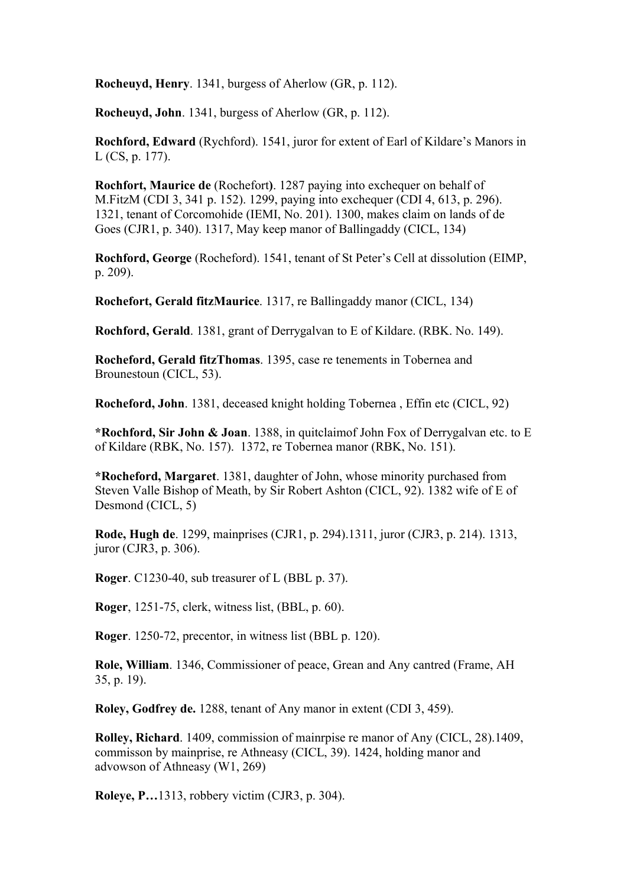**Rocheuyd, Henry**. 1341, burgess of Aherlow (GR, p. 112).

**Rocheuyd, John**. 1341, burgess of Aherlow (GR, p. 112).

**Rochford, Edward** (Rychford). 1541, juror for extent of Earl of Kildare's Manors in L (CS, p. 177).

**Rochfort, Maurice de** (Rochefort**)**. 1287 paying into exchequer on behalf of M.FitzM (CDI 3, 341 p. 152). 1299, paying into exchequer (CDI 4, 613, p. 296). 1321, tenant of Corcomohide (IEMI, No. 201). 1300, makes claim on lands of de Goes (CJR1, p. 340). 1317, May keep manor of Ballingaddy (CICL, 134)

**Rochford, George** (Rocheford). 1541, tenant of St Peter's Cell at dissolution (EIMP, p. 209).

**Rochefort, Gerald fitzMaurice**. 1317, re Ballingaddy manor (CICL, 134)

**Rochford, Gerald**. 1381, grant of Derrygalvan to E of Kildare. (RBK. No. 149).

**Rocheford, Gerald fitzThomas**. 1395, case re tenements in Tobernea and Brounestoun (CICL, 53).

**Rocheford, John**. 1381, deceased knight holding Tobernea, Effin etc (CICL, 92)

**\*Rochford, Sir John & Joan**. 1388, in quitclaimof John Fox of Derrygalvan etc. to E of Kildare (RBK, No. 157). 1372, re Tobernea manor (RBK, No. 151).

**\*Rocheford, Margaret**. 1381, daughter of John, whose minority purchased from Steven Valle Bishop of Meath, by Sir Robert Ashton (CICL, 92). 1382 wife of E of Desmond (CICL, 5)

**Rode, Hugh de**. 1299, mainprises (CJR1, p. 294).1311, juror (CJR3, p. 214). 1313, juror (CJR3, p. 306).

**Roger**. C1230-40, sub treasurer of L (BBL p. 37).

**Roger**, 1251-75, clerk, witness list, (BBL, p. 60).

**Roger**. 1250-72, precentor, in witness list (BBL p. 120).

**Role, William**. 1346, Commissioner of peace, Grean and Any cantred (Frame, AH 35, p. 19).

**Roley, Godfrey de.** 1288, tenant of Any manor in extent (CDI 3, 459).

**Rolley, Richard**. 1409, commission of mainrpise re manor of Any (CICL, 28).1409, commisson by mainprise, re Athneasy (CICL, 39). 1424, holding manor and advowson of Athneasy (W1, 269)

**Roleye, P…**1313, robbery victim (CJR3, p. 304).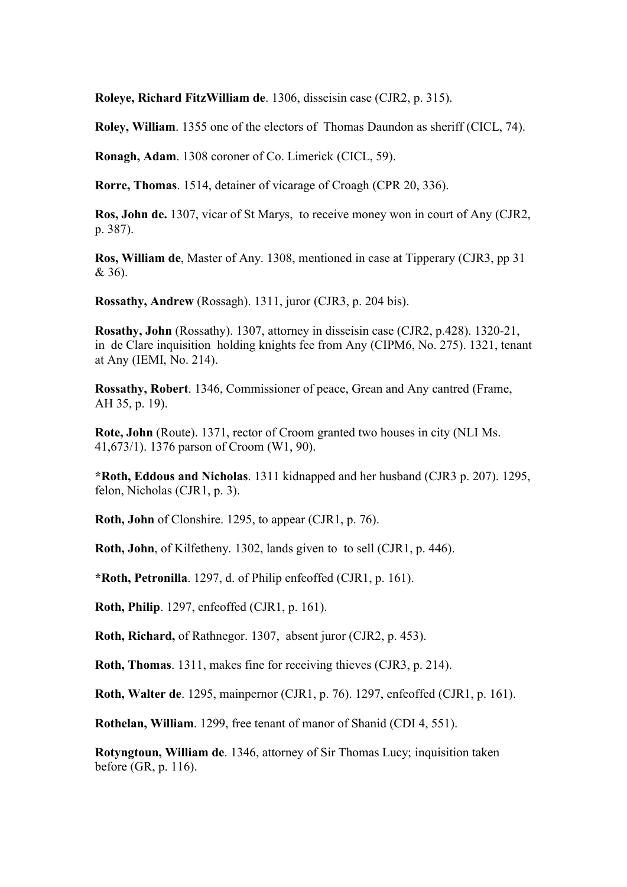**Roleye, Richard FitzWilliam de**. 1306, disseisin case (CJR2, p. 315).

**Roley, William**. 1355 one of the electors of Thomas Daundon as sheriff (CICL, 74).

**Ronagh, Adam**. 1308 coroner of Co. Limerick (CICL, 59).

**Rorre, Thomas**. 1514, detainer of vicarage of Croagh (CPR 20, 336).

**Ros, John de.** 1307, vicar of St Marys, to receive money won in court of Any (CJR2, p. 387).

**Ros, William de**, Master of Any. 1308, mentioned in case at Tipperary (CJR3, pp 31 & 36).

**Rossathy, Andrew** (Rossagh). 1311, juror (CJR3, p. 204 bis).

**Rosathy, John** (Rossathy). 1307, attorney in disseisin case (CJR2, p.428). 1320-21, in de Clare inquisition holding knights fee from Any (CIPM6, No. 275). 1321, tenant at Any (IEMI, No. 214).

**Rossathy, Robert**. 1346, Commissioner of peace, Grean and Any cantred (Frame, AH 35, p. 19).

**Rote, John** (Route). 1371, rector of Croom granted two houses in city (NLI Ms. 41,673/1). 1376 parson of Croom (W1, 90).

**\*Roth, Eddous and Nicholas**. 1311 kidnapped and her husband (CJR3 p. 207). 1295, felon, Nicholas (CJR1, p. 3).

**Roth, John** of Clonshire. 1295, to appear (CJR1, p. 76).

**Roth, John**, of Kilfetheny. 1302, lands given to to sell (CJR1, p. 446).

**\*Roth, Petronilla**. 1297, d. of Philip enfeoffed (CJR1, p. 161).

**Roth, Philip**. 1297, enfeoffed (CJR1, p. 161).

**Roth, Richard,** of Rathnegor. 1307, absent juror (CJR2, p. 453).

**Roth, Thomas**. 1311, makes fine for receiving thieves (CJR3, p. 214).

**Roth, Walter de**. 1295, mainpernor (CJR1, p. 76). 1297, enfeoffed (CJR1, p. 161).

**Rothelan, William**. 1299, free tenant of manor of Shanid (CDI 4, 551).

**Rotyngtoun, William de**. 1346, attorney of Sir Thomas Lucy; inquisition taken before (GR, p. 116).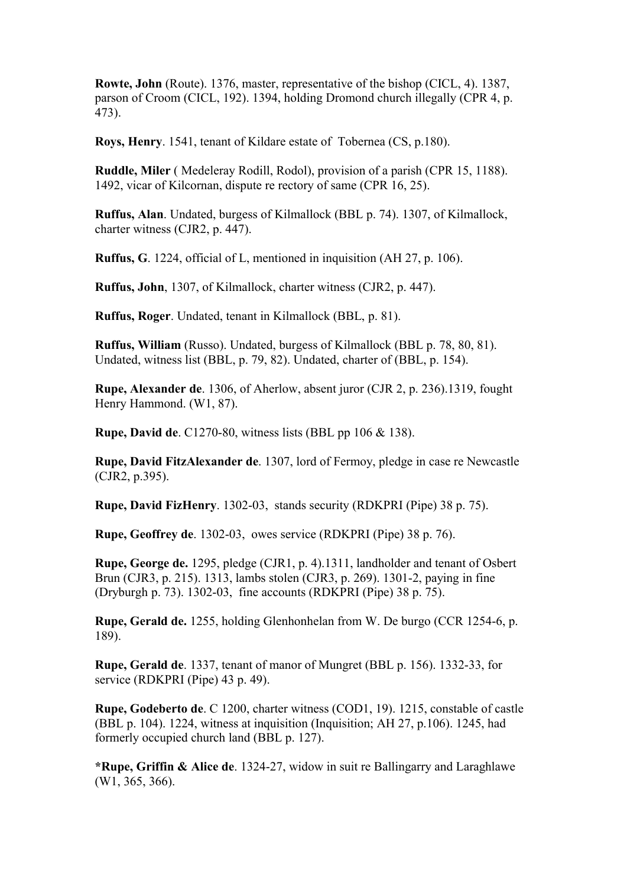**Rowte, John** (Route). 1376, master, representative of the bishop (CICL, 4). 1387, parson of Croom (CICL, 192). 1394, holding Dromond church illegally (CPR 4, p. 473).

**Roys, Henry**. 1541, tenant of Kildare estate of Tobernea (CS, p.180).

**Ruddle, Miler** ( Medeleray Rodill, Rodol), provision of a parish (CPR 15, 1188). 1492, vicar of Kilcornan, dispute re rectory of same (CPR 16, 25).

**Ruffus, Alan**. Undated, burgess of Kilmallock (BBL p. 74). 1307, of Kilmallock, charter witness (CJR2, p. 447).

**Ruffus, G**. 1224, official of L, mentioned in inquisition (AH 27, p. 106).

**Ruffus, John**, 1307, of Kilmallock, charter witness (CJR2, p. 447).

**Ruffus, Roger**. Undated, tenant in Kilmallock (BBL, p. 81).

**Ruffus, William** (Russo). Undated, burgess of Kilmallock (BBL p. 78, 80, 81). Undated, witness list (BBL, p. 79, 82). Undated, charter of (BBL, p. 154).

**Rupe, Alexander de**. 1306, of Aherlow, absent juror (CJR 2, p. 236).1319, fought Henry Hammond. (W1, 87).

**Rupe, David de**. C1270-80, witness lists (BBL pp 106 & 138).

**Rupe, David FitzAlexander de**. 1307, lord of Fermoy, pledge in case re Newcastle (CJR2, p.395).

**Rupe, David FizHenry**. 1302-03, stands security (RDKPRI (Pipe) 38 p. 75).

**Rupe, Geoffrey de**. 1302-03, owes service (RDKPRI (Pipe) 38 p. 76).

**Rupe, George de.** 1295, pledge (CJR1, p. 4).1311, landholder and tenant of Osbert Brun (CJR3, p. 215). 1313, lambs stolen (CJR3, p. 269). 1301-2, paying in fine (Dryburgh p. 73). 1302-03, fine accounts (RDKPRI (Pipe) 38 p. 75).

**Rupe, Gerald de.** 1255, holding Glenhonhelan from W. De burgo (CCR 1254-6, p. 189).

**Rupe, Gerald de**. 1337, tenant of manor of Mungret (BBL p. 156). 1332-33, for service (RDKPRI (Pipe) 43 p. 49).

**Rupe, Godeberto de**. C 1200, charter witness (COD1, 19). 1215, constable of castle (BBL p. 104). 1224, witness at inquisition (Inquisition; AH 27, p.106). 1245, had formerly occupied church land (BBL p. 127).

**\*Rupe, Griffin & Alice de**. 1324-27, widow in suit re Ballingarry and Laraghlawe (W1, 365, 366).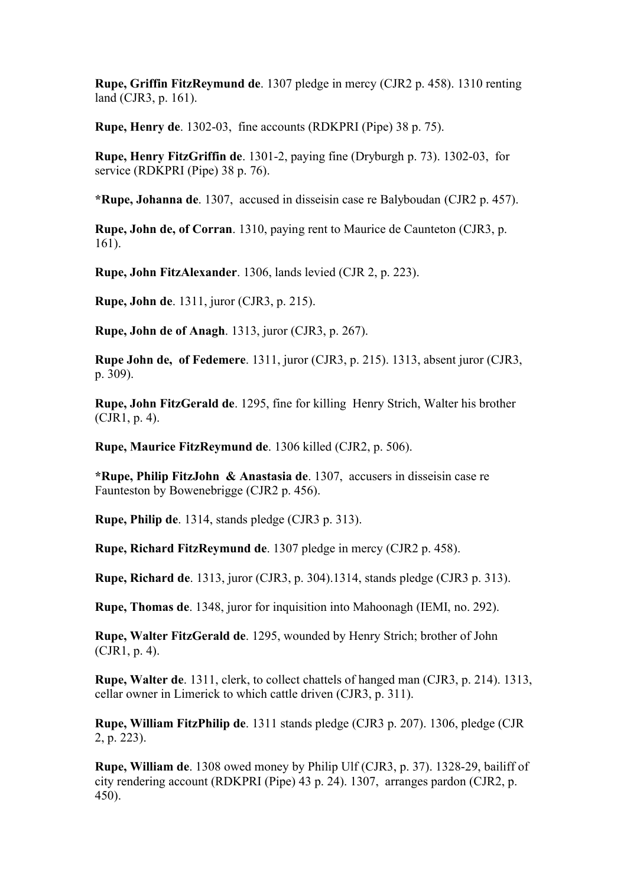**Rupe, Griffin FitzReymund de**. 1307 pledge in mercy (CJR2 p. 458). 1310 renting land (CJR3, p. 161).

**Rupe, Henry de**. 1302-03, fine accounts (RDKPRI (Pipe) 38 p. 75).

**Rupe, Henry FitzGriffin de**. 1301-2, paying fine (Dryburgh p. 73). 1302-03, for service (RDKPRI (Pipe) 38 p. 76).

**\*Rupe, Johanna de**. 1307, accused in disseisin case re Balyboudan (CJR2 p. 457).

**Rupe, John de, of Corran**. 1310, paying rent to Maurice de Caunteton (CJR3, p. 161).

**Rupe, John FitzAlexander**. 1306, lands levied (CJR 2, p. 223).

**Rupe, John de**. 1311, juror (CJR3, p. 215).

**Rupe, John de of Anagh**. 1313, juror (CJR3, p. 267).

**Rupe John de, of Fedemere**. 1311, juror (CJR3, p. 215). 1313, absent juror (CJR3, p. 309).

**Rupe, John FitzGerald de**. 1295, fine for killing Henry Strich, Walter his brother (CJR1, p. 4).

**Rupe, Maurice FitzReymund de**. 1306 killed (CJR2, p. 506).

**\*Rupe, Philip FitzJohn & Anastasia de**. 1307, accusers in disseisin case re Faunteston by Bowenebrigge (CJR2 p. 456).

**Rupe, Philip de**. 1314, stands pledge (CJR3 p. 313).

**Rupe, Richard FitzReymund de**. 1307 pledge in mercy (CJR2 p. 458).

**Rupe, Richard de**. 1313, juror (CJR3, p. 304).1314, stands pledge (CJR3 p. 313).

**Rupe, Thomas de**. 1348, juror for inquisition into Mahoonagh (IEMI, no. 292).

**Rupe, Walter FitzGerald de**. 1295, wounded by Henry Strich; brother of John (CJR1, p. 4).

**Rupe, Walter de**. 1311, clerk, to collect chattels of hanged man (CJR3, p. 214). 1313, cellar owner in Limerick to which cattle driven (CJR3, p. 311).

**Rupe, William FitzPhilip de**. 1311 stands pledge (CJR3 p. 207). 1306, pledge (CJR 2, p. 223).

**Rupe, William de**. 1308 owed money by Philip Ulf (CJR3, p. 37). 1328-29, bailiff of city rendering account (RDKPRI (Pipe) 43 p. 24). 1307, arranges pardon (CJR2, p. 450).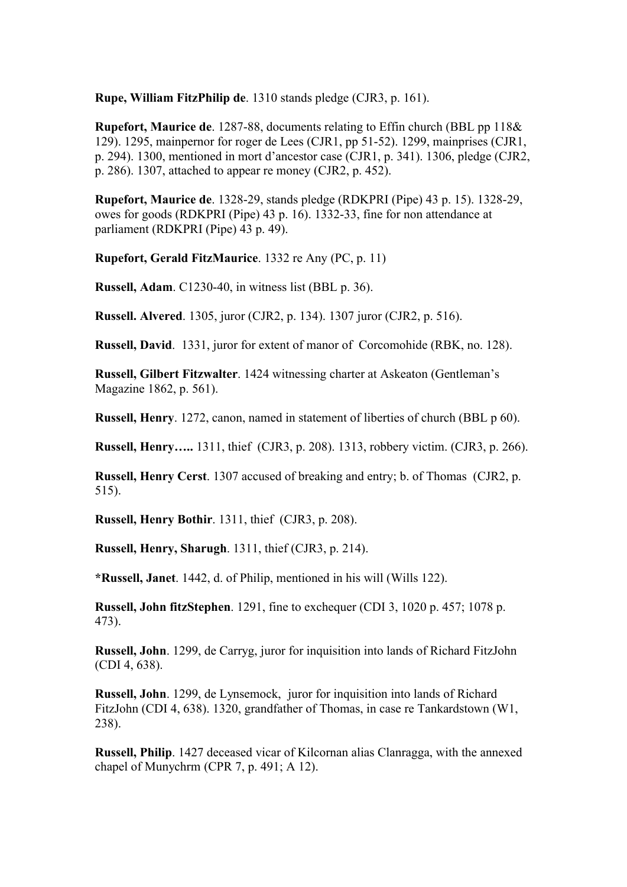**Rupe, William FitzPhilip de**. 1310 stands pledge (CJR3, p. 161).

**Rupefort, Maurice de**. 1287-88, documents relating to Effin church (BBL pp 118& 129). 1295, mainpernor for roger de Lees (CJR1, pp 51-52). 1299, mainprises (CJR1, p. 294). 1300, mentioned in mort d'ancestor case (CJR1, p. 341). 1306, pledge (CJR2, p. 286). 1307, attached to appear re money (CJR2, p. 452).

**Rupefort, Maurice de**. 1328-29, stands pledge (RDKPRI (Pipe) 43 p. 15). 1328-29, owes for goods (RDKPRI (Pipe) 43 p. 16). 1332-33, fine for non attendance at parliament (RDKPRI (Pipe) 43 p. 49).

**Rupefort, Gerald FitzMaurice**. 1332 re Any (PC, p. 11)

**Russell, Adam**. C1230-40, in witness list (BBL p. 36).

**Russell. Alvered**. 1305, juror (CJR2, p. 134). 1307 juror (CJR2, p. 516).

**Russell, David**. 1331, juror for extent of manor of Corcomohide (RBK, no. 128).

**Russell, Gilbert Fitzwalter**. 1424 witnessing charter at Askeaton (Gentleman's Magazine 1862, p. 561).

**Russell, Henry**. 1272, canon, named in statement of liberties of church (BBL p 60).

**Russell, Henry…..** 1311, thief (CJR3, p. 208). 1313, robbery victim. (CJR3, p. 266).

**Russell, Henry Cerst**. 1307 accused of breaking and entry; b. of Thomas (CJR2, p. 515).

**Russell, Henry Bothir**. 1311, thief (CJR3, p. 208).

**Russell, Henry, Sharugh**. 1311, thief (CJR3, p. 214).

**\*Russell, Janet**. 1442, d. of Philip, mentioned in his will (Wills 122).

**Russell, John fitzStephen**. 1291, fine to exchequer (CDI 3, 1020 p. 457; 1078 p. 473).

**Russell, John**. 1299, de Carryg, juror for inquisition into lands of Richard FitzJohn (CDI 4, 638).

**Russell, John**. 1299, de Lynsemock, juror for inquisition into lands of Richard FitzJohn (CDI 4, 638). 1320, grandfather of Thomas, in case re Tankardstown (W1, 238).

**Russell, Philip**. 1427 deceased vicar of Kilcornan alias Clanragga, with the annexed chapel of Munychrm (CPR 7, p. 491; A 12).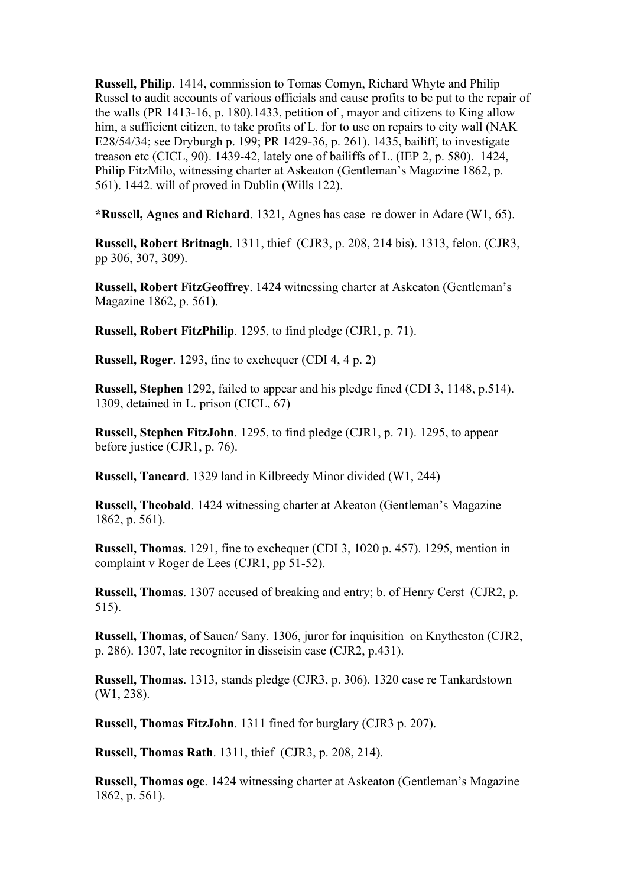**Russell, Philip**. 1414, commission to Tomas Comyn, Richard Whyte and Philip Russel to audit accounts of various officials and cause profits to be put to the repair of the walls (PR 1413-16, p. 180).1433, petition of , mayor and citizens to King allow him, a sufficient citizen, to take profits of L. for to use on repairs to city wall (NAK) E28/54/34; see Dryburgh p. 199; PR 1429-36, p. 261). 1435, bailiff, to investigate treason etc (CICL, 90). 1439-42, lately one of bailiffs of L. (IEP 2, p. 580). 1424, Philip FitzMilo, witnessing charter at Askeaton (Gentleman's Magazine 1862, p. 561). 1442. will of proved in Dublin (Wills 122).

**\*Russell, Agnes and Richard**. 1321, Agnes has case re dower in Adare (W1, 65).

**Russell, Robert Britnagh**. 1311, thief (CJR3, p. 208, 214 bis). 1313, felon. (CJR3, pp 306, 307, 309).

**Russell, Robert FitzGeoffrey**. 1424 witnessing charter at Askeaton (Gentleman's Magazine 1862, p. 561).

**Russell, Robert FitzPhilip**. 1295, to find pledge (CJR1, p. 71).

**Russell, Roger**. 1293, fine to exchequer (CDI 4, 4 p. 2)

**Russell, Stephen** 1292, failed to appear and his pledge fined (CDI 3, 1148, p.514). 1309, detained in L. prison (CICL, 67)

**Russell, Stephen FitzJohn**. 1295, to find pledge (CJR1, p. 71). 1295, to appear before justice (CJR1, p. 76).

**Russell, Tancard**. 1329 land in Kilbreedy Minor divided (W1, 244)

**Russell, Theobald**. 1424 witnessing charter at Akeaton (Gentleman's Magazine 1862, p. 561).

**Russell, Thomas**. 1291, fine to exchequer (CDI 3, 1020 p. 457). 1295, mention in complaint v Roger de Lees (CJR1, pp 51-52).

**Russell, Thomas**. 1307 accused of breaking and entry; b. of Henry Cerst (CJR2, p. 515).

**Russell, Thomas**, of Sauen/ Sany. 1306, juror for inquisition on Knytheston (CJR2, p. 286). 1307, late recognitor in disseisin case (CJR2, p.431).

**Russell, Thomas**. 1313, stands pledge (CJR3, p. 306). 1320 case re Tankardstown (W1, 238).

**Russell, Thomas FitzJohn**. 1311 fined for burglary (CJR3 p. 207).

**Russell, Thomas Rath**. 1311, thief (CJR3, p. 208, 214).

**Russell, Thomas oge**. 1424 witnessing charter at Askeaton (Gentleman's Magazine 1862, p. 561).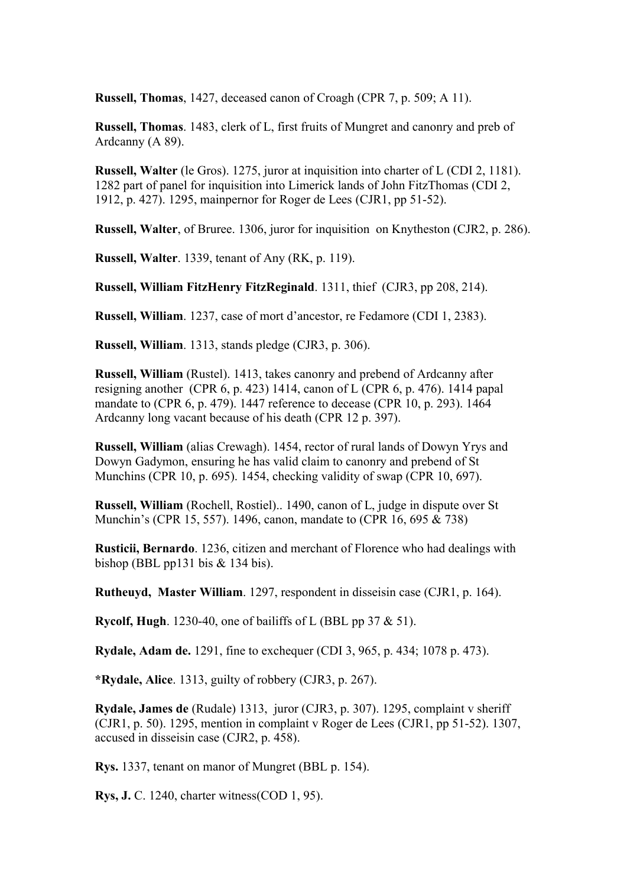**Russell, Thomas**, 1427, deceased canon of Croagh (CPR 7, p. 509; A 11).

**Russell, Thomas**. 1483, clerk of L, first fruits of Mungret and canonry and preb of Ardcanny (A 89).

**Russell, Walter** (le Gros). 1275, juror at inquisition into charter of L (CDI 2, 1181). 1282 part of panel for inquisition into Limerick lands of John FitzThomas (CDI 2, 1912, p. 427). 1295, mainpernor for Roger de Lees (CJR1, pp 51-52).

**Russell, Walter**, of Bruree. 1306, juror for inquisition on Knytheston (CJR2, p. 286).

**Russell, Walter**. 1339, tenant of Any (RK, p. 119).

**Russell, William FitzHenry FitzReginald**. 1311, thief (CJR3, pp 208, 214).

**Russell, William**. 1237, case of mort d'ancestor, re Fedamore (CDI 1, 2383).

**Russell, William**. 1313, stands pledge (CJR3, p. 306).

**Russell, William** (Rustel). 1413, takes canonry and prebend of Ardcanny after resigning another (CPR 6, p. 423) 1414, canon of L (CPR 6, p. 476). 1414 papal mandate to (CPR 6, p. 479). 1447 reference to decease (CPR 10, p. 293). 1464 Ardcanny long vacant because of his death (CPR 12 p. 397).

**Russell, William** (alias Crewagh). 1454, rector of rural lands of Dowyn Yrys and Dowyn Gadymon, ensuring he has valid claim to canonry and prebend of St Munchins (CPR 10, p. 695). 1454, checking validity of swap (CPR 10, 697).

**Russell, William** (Rochell, Rostiel).. 1490, canon of L, judge in dispute over St Munchin's (CPR 15, 557). 1496, canon, mandate to (CPR 16, 695 & 738)

**Rusticii, Bernardo**. 1236, citizen and merchant of Florence who had dealings with bishop (BBL pp131 bis & 134 bis).

**Rutheuyd, Master William**. 1297, respondent in disseisin case (CJR1, p. 164).

**Rycolf, Hugh**. 1230-40, one of bailiffs of L (BBL pp 37 & 51).

**Rydale, Adam de.** 1291, fine to exchequer (CDI 3, 965, p. 434; 1078 p. 473).

**\*Rydale, Alice**. 1313, guilty of robbery (CJR3, p. 267).

**Rydale, James de** (Rudale) 1313, juror (CJR3, p. 307). 1295, complaint v sheriff (CJR1, p. 50). 1295, mention in complaint v Roger de Lees (CJR1, pp 51-52). 1307, accused in disseisin case (CJR2, p. 458).

**Rys.** 1337, tenant on manor of Mungret (BBL p. 154).

**Rys, J.** C. 1240, charter witness(COD 1, 95).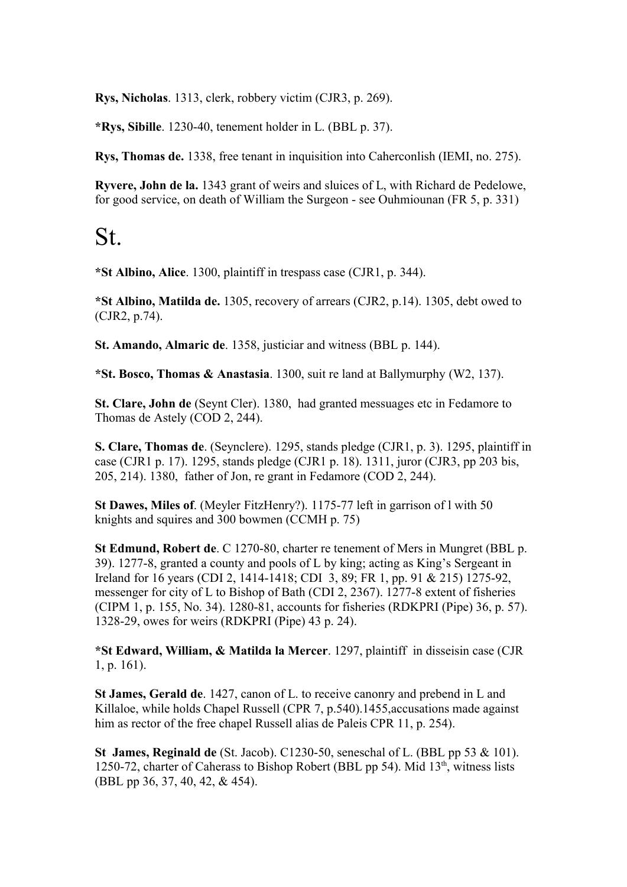**Rys, Nicholas**. 1313, clerk, robbery victim (CJR3, p. 269).

**\*Rys, Sibille**. 1230-40, tenement holder in L. (BBL p. 37).

**Rys, Thomas de.** 1338, free tenant in inquisition into Caherconlish (IEMI, no. 275).

**Ryvere, John de la.** 1343 grant of weirs and sluices of L, with Richard de Pedelowe, for good service, on death of William the Surgeon - see Ouhmiounan (FR 5, p. 331)

### St.

**\*St Albino, Alice**. 1300, plaintiff in trespass case (CJR1, p. 344).

**\*St Albino, Matilda de.** 1305, recovery of arrears (CJR2, p.14). 1305, debt owed to (CJR2, p.74).

**St. Amando, Almaric de**. 1358, justiciar and witness (BBL p. 144).

**\*St. Bosco, Thomas & Anastasia**. 1300, suit re land at Ballymurphy (W2, 137).

**St. Clare, John de** (Seynt Cler). 1380, had granted messuages etc in Fedamore to Thomas de Astely (COD 2, 244).

**S. Clare, Thomas de**. (Seynclere). 1295, stands pledge (CJR1, p. 3). 1295, plaintiff in case (CJR1 p. 17). 1295, stands pledge (CJR1 p. 18). 1311, juror (CJR3, pp 203 bis, 205, 214). 1380, father of Jon, re grant in Fedamore (COD 2, 244).

**St Dawes, Miles of**. (Meyler FitzHenry?). 1175-77 left in garrison of l with 50 knights and squires and 300 bowmen (CCMH p. 75)

**St Edmund, Robert de**. C 1270-80, charter re tenement of Mers in Mungret (BBL p. 39). 1277-8, granted a county and pools of L by king; acting as King's Sergeant in Ireland for 16 years (CDI 2, 1414-1418; CDI 3, 89; FR 1, pp. 91 & 215) 1275-92, messenger for city of L to Bishop of Bath (CDI 2, 2367). 1277-8 extent of fisheries (CIPM 1, p. 155, No. 34). 1280-81, accounts for fisheries (RDKPRI (Pipe) 36, p. 57). 1328-29, owes for weirs (RDKPRI (Pipe) 43 p. 24).

**\*St Edward, William, & Matilda la Mercer**. 1297, plaintiff in disseisin case (CJR 1, p. 161).

**St James, Gerald de**. 1427, canon of L. to receive canonry and prebend in L and Killaloe, while holds Chapel Russell (CPR 7, p.540).1455,accusations made against him as rector of the free chapel Russell alias de Paleis CPR 11, p. 254).

**St James, Reginald de** (St. Jacob). C1230-50, seneschal of L. (BBL pp 53 & 101). 1250-72, charter of Caherass to Bishop Robert (BBL pp 54). Mid  $13<sup>th</sup>$ , witness lists (BBL pp 36, 37, 40, 42, & 454).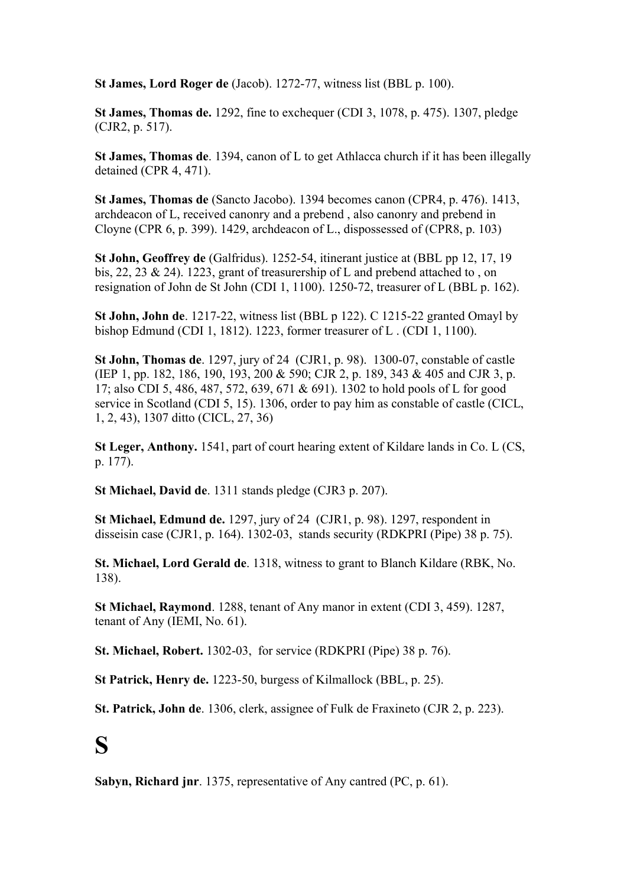**St James, Lord Roger de** (Jacob). 1272-77, witness list (BBL p. 100).

**St James, Thomas de.** 1292, fine to exchequer (CDI 3, 1078, p. 475). 1307, pledge (CJR2, p. 517).

**St James, Thomas de**. 1394, canon of L to get Athlacca church if it has been illegally detained (CPR 4, 471).

**St James, Thomas de** (Sancto Jacobo). 1394 becomes canon (CPR4, p. 476). 1413, archdeacon of L, received canonry and a prebend , also canonry and prebend in Cloyne (CPR 6, p. 399). 1429, archdeacon of L., dispossessed of (CPR8, p. 103)

**St John, Geoffrey de** (Galfridus). 1252-54, itinerant justice at (BBL pp 12, 17, 19 bis, 22, 23 & 24). 1223, grant of treasurership of L and prebend attached to , on resignation of John de St John (CDI 1, 1100). 1250-72, treasurer of L (BBL p. 162).

**St John, John de**. 1217-22, witness list (BBL p 122). C 1215-22 granted Omayl by bishop Edmund (CDI 1, 1812). 1223, former treasurer of L . (CDI 1, 1100).

**St John, Thomas de**. 1297, jury of 24 (CJR1, p. 98). 1300-07, constable of castle (IEP 1, pp. 182, 186, 190, 193, 200 & 590; CJR 2, p. 189, 343 & 405 and CJR 3, p. 17; also CDI 5, 486, 487, 572, 639, 671 & 691). 1302 to hold pools of L for good service in Scotland (CDI 5, 15). 1306, order to pay him as constable of castle (CICL, 1, 2, 43), 1307 ditto (CICL, 27, 36)

**St Leger, Anthony.** 1541, part of court hearing extent of Kildare lands in Co. L (CS, p. 177).

**St Michael, David de**. 1311 stands pledge (CJR3 p. 207).

**St Michael, Edmund de.** 1297, jury of 24 (CJR1, p. 98). 1297, respondent in disseisin case (CJR1, p. 164). 1302-03, stands security (RDKPRI (Pipe) 38 p. 75).

**St. Michael, Lord Gerald de**. 1318, witness to grant to Blanch Kildare (RBK, No. 138).

**St Michael, Raymond**. 1288, tenant of Any manor in extent (CDI 3, 459). 1287, tenant of Any (IEMI, No. 61).

**St. Michael, Robert.** 1302-03, for service (RDKPRI (Pipe) 38 p. 76).

**St Patrick, Henry de.** 1223-50, burgess of Kilmallock (BBL, p. 25).

**St. Patrick, John de**. 1306, clerk, assignee of Fulk de Fraxineto (CJR 2, p. 223).

### **S**

**Sabyn, Richard jnr**. 1375, representative of Any cantred (PC, p. 61).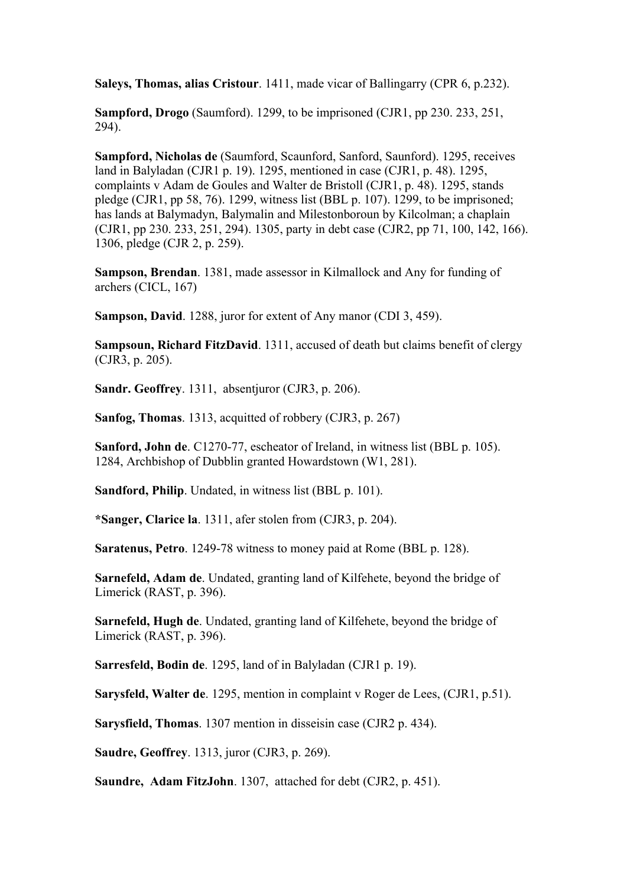**Saleys, Thomas, alias Cristour**. 1411, made vicar of Ballingarry (CPR 6, p.232).

**Sampford, Drogo** (Saumford). 1299, to be imprisoned (CJR1, pp 230. 233, 251, 294).

**Sampford, Nicholas de** (Saumford, Scaunford, Sanford, Saunford). 1295, receives land in Balyladan (CJR1 p. 19). 1295, mentioned in case (CJR1, p. 48). 1295, complaints v Adam de Goules and Walter de Bristoll (CJR1, p. 48). 1295, stands pledge (CJR1, pp 58, 76). 1299, witness list (BBL p. 107). 1299, to be imprisoned; has lands at Balymadyn, Balymalin and Milestonboroun by Kilcolman; a chaplain (CJR1, pp 230. 233, 251, 294). 1305, party in debt case (CJR2, pp 71, 100, 142, 166). 1306, pledge (CJR 2, p. 259).

**Sampson, Brendan**. 1381, made assessor in Kilmallock and Any for funding of archers (CICL, 167)

**Sampson, David**. 1288, juror for extent of Any manor (CDI 3, 459).

**Sampsoun, Richard FitzDavid**. 1311, accused of death but claims benefit of clergy (CJR3, p. 205).

**Sandr. Geoffrey**. 1311, absentjuror (CJR3, p. 206).

**Sanfog, Thomas**. 1313, acquitted of robbery (CJR3, p. 267)

**Sanford, John de**. C1270-77, escheator of Ireland, in witness list (BBL p. 105). 1284, Archbishop of Dubblin granted Howardstown (W1, 281).

**Sandford, Philip**. Undated, in witness list (BBL p. 101).

**\*Sanger, Clarice la**. 1311, afer stolen from (CJR3, p. 204).

**Saratenus, Petro**. 1249-78 witness to money paid at Rome (BBL p. 128).

**Sarnefeld, Adam de**. Undated, granting land of Kilfehete, beyond the bridge of Limerick (RAST, p. 396).

**Sarnefeld, Hugh de**. Undated, granting land of Kilfehete, beyond the bridge of Limerick (RAST, p. 396).

**Sarresfeld, Bodin de**. 1295, land of in Balyladan (CJR1 p. 19).

**Sarysfeld, Walter de**. 1295, mention in complaint v Roger de Lees, (CJR1, p.51).

**Sarysfield, Thomas**. 1307 mention in disseisin case (CJR2 p. 434).

**Saudre, Geoffrey**. 1313, juror (CJR3, p. 269).

**Saundre, Adam FitzJohn**. 1307, attached for debt (CJR2, p. 451).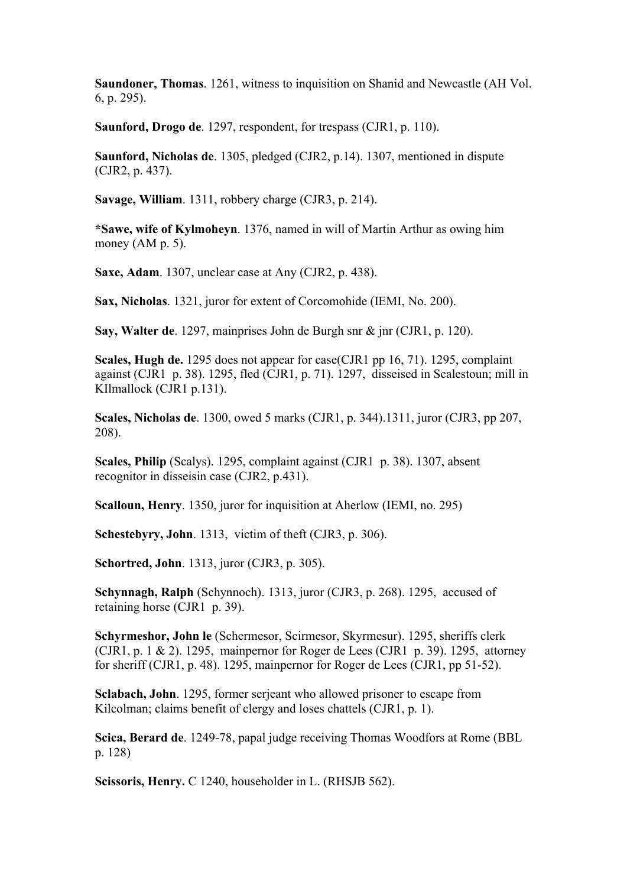**Saundoner, Thomas**. 1261, witness to inquisition on Shanid and Newcastle (AH Vol. 6, p. 295).

**Saunford, Drogo de**. 1297, respondent, for trespass (CJR1, p. 110).

**Saunford, Nicholas de**. 1305, pledged (CJR2, p.14). 1307, mentioned in dispute (CJR2, p. 437).

**Savage, William**. 1311, robbery charge (CJR3, p. 214).

**\*Sawe, wife of Kylmoheyn**. 1376, named in will of Martin Arthur as owing him money (AM p. 5).

**Saxe, Adam**. 1307, unclear case at Any (CJR2, p. 438).

**Sax, Nicholas**. 1321, juror for extent of Corcomohide (IEMI, No. 200).

**Say, Walter de**. 1297, mainprises John de Burgh snr & jnr (CJR1, p. 120).

**Scales, Hugh de.** 1295 does not appear for case(CJR1 pp 16, 71). 1295, complaint against (CJR1 p. 38). 1295, fled (CJR1, p. 71). 1297, disseised in Scalestoun; mill in KIlmallock (CJR1 p.131).

**Scales, Nicholas de**. 1300, owed 5 marks (CJR1, p. 344).1311, juror (CJR3, pp 207, 208).

**Scales, Philip** (Scalys). 1295, complaint against (CJR1 p. 38). 1307, absent recognitor in disseisin case (CJR2, p.431).

**Scalloun, Henry**. 1350, juror for inquisition at Aherlow (IEMI, no. 295)

**Schestebyry, John**. 1313, victim of theft (CJR3, p. 306).

**Schortred, John**. 1313, juror (CJR3, p. 305).

**Schynnagh, Ralph** (Schynnoch). 1313, juror (CJR3, p. 268). 1295, accused of retaining horse (CJR1 p. 39).

**Schyrmeshor, John le** (Schermesor, Scirmesor, Skyrmesur). 1295, sheriffs clerk (CJR1, p. 1  $\&$  2). 1295, mainpernor for Roger de Lees (CJR1 p. 39). 1295, attorney for sheriff (CJR1, p. 48). 1295, mainpernor for Roger de Lees (CJR1, pp 51-52).

**Sclabach, John**. 1295, former serjeant who allowed prisoner to escape from Kilcolman; claims benefit of clergy and loses chattels (CJR1, p. 1).

**Scica, Berard de**. 1249-78, papal judge receiving Thomas Woodfors at Rome (BBL p. 128)

**Scissoris, Henry.** C 1240, householder in L. (RHSJB 562).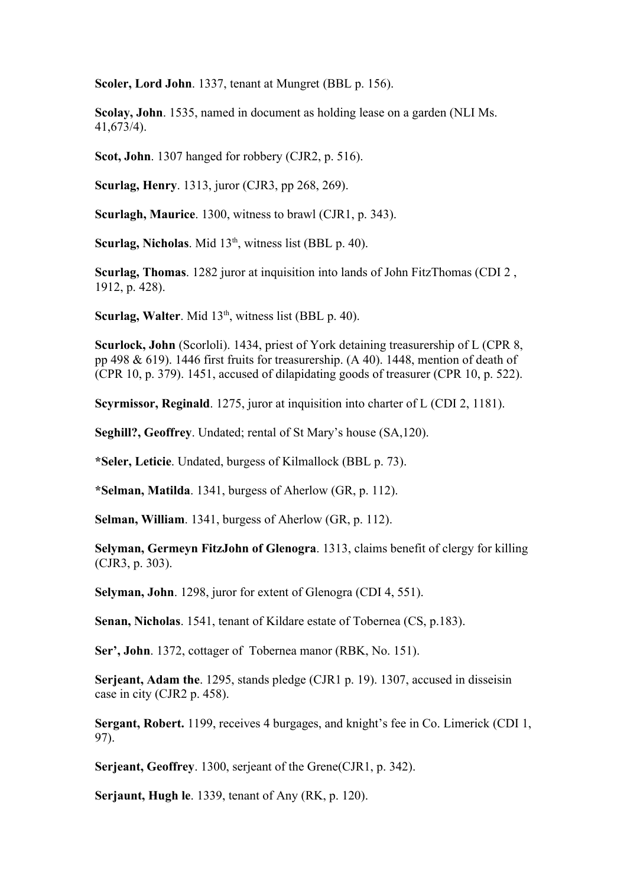**Scoler, Lord John**. 1337, tenant at Mungret (BBL p. 156).

**Scolay, John**. 1535, named in document as holding lease on a garden (NLI Ms. 41,673/4).

**Scot, John**. 1307 hanged for robbery (CJR2, p. 516).

**Scurlag, Henry**. 1313, juror (CJR3, pp 268, 269).

**Scurlagh, Maurice**. 1300, witness to brawl (CJR1, p. 343).

**Scurlag, Nicholas**. Mid 13<sup>th</sup>, witness list (BBL p. 40).

**Scurlag, Thomas**. 1282 juror at inquisition into lands of John FitzThomas (CDI 2 , 1912, p. 428).

**Scurlag, Walter**. Mid 13<sup>th</sup>, witness list (BBL p. 40).

**Scurlock, John** (Scorloli). 1434, priest of York detaining treasurership of L (CPR 8, pp 498 & 619). 1446 first fruits for treasurership. (A 40). 1448, mention of death of (CPR 10, p. 379). 1451, accused of dilapidating goods of treasurer (CPR 10, p. 522).

**Scyrmissor, Reginald**. 1275, juror at inquisition into charter of L (CDI 2, 1181).

**Seghill?, Geoffrey**. Undated; rental of St Mary's house (SA,120).

**\*Seler, Leticie**. Undated, burgess of Kilmallock (BBL p. 73).

**\*Selman, Matilda**. 1341, burgess of Aherlow (GR, p. 112).

**Selman, William**. 1341, burgess of Aherlow (GR, p. 112).

**Selyman, Germeyn FitzJohn of Glenogra**. 1313, claims benefit of clergy for killing (CJR3, p. 303).

**Selyman, John**. 1298, juror for extent of Glenogra (CDI 4, 551).

**Senan, Nicholas**. 1541, tenant of Kildare estate of Tobernea (CS, p.183).

**Ser', John**. 1372, cottager of Tobernea manor (RBK, No. 151).

**Serjeant, Adam the**. 1295, stands pledge (CJR1 p. 19). 1307, accused in disseisin case in city (CJR2 p. 458).

**Sergant, Robert.** 1199, receives 4 burgages, and knight's fee in Co. Limerick (CDI 1, 97).

**Serjeant, Geoffrey**. 1300, serjeant of the Grene(CJR1, p. 342).

**Serjaunt, Hugh le**. 1339, tenant of Any (RK, p. 120).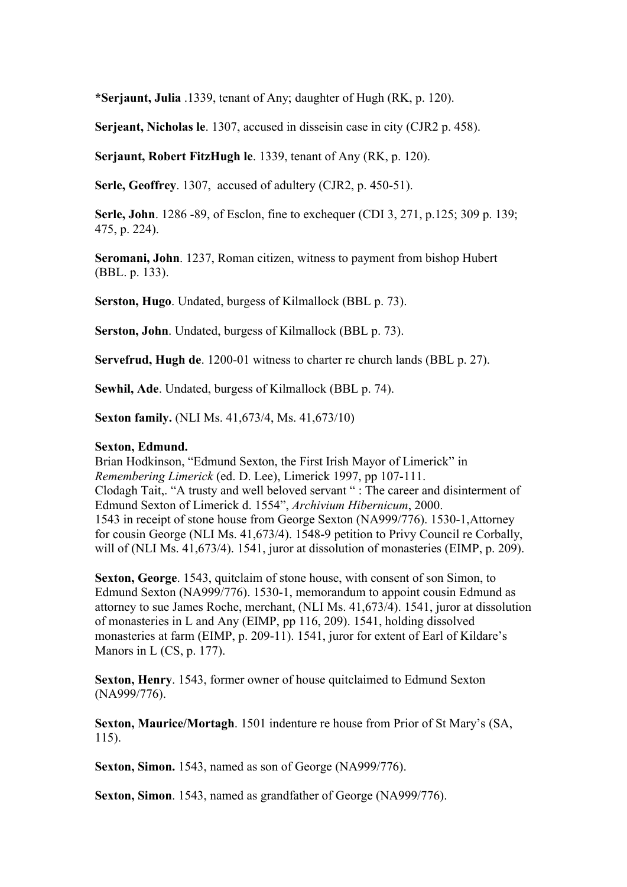**\*Serjaunt, Julia** .1339, tenant of Any; daughter of Hugh (RK, p. 120).

**Serjeant, Nicholas le**. 1307, accused in disseisin case in city (CJR2 p. 458).

**Serjaunt, Robert FitzHugh le**. 1339, tenant of Any (RK, p. 120).

**Serle, Geoffrey**. 1307, accused of adultery (CJR2, p. 450-51).

**Serle, John**. 1286 -89, of Esclon, fine to exchequer (CDI 3, 271, p.125; 309 p. 139; 475, p. 224).

**Seromani, John**. 1237, Roman citizen, witness to payment from bishop Hubert (BBL. p. 133).

**Serston, Hugo**. Undated, burgess of Kilmallock (BBL p. 73).

**Serston, John**. Undated, burgess of Kilmallock (BBL p. 73).

**Servefrud, Hugh de**. 1200-01 witness to charter re church lands (BBL p. 27).

**Sewhil, Ade**. Undated, burgess of Kilmallock (BBL p. 74).

**Sexton family.** (NLI Ms. 41,673/4, Ms. 41,673/10)

#### **Sexton, Edmund.**

Brian Hodkinson, "Edmund Sexton, the First Irish Mayor of Limerick" in *Remembering Limerick* (ed. D. Lee), Limerick 1997, pp 107-111. Clodagh Tait,. "A trusty and well beloved servant " : The career and disinterment of Edmund Sexton of Limerick d. 1554", *Archivium Hibernicum*, 2000. 1543 in receipt of stone house from George Sexton (NA999/776). 1530-1,Attorney for cousin George (NLI Ms. 41,673/4). 1548-9 petition to Privy Council re Corbally, will of (NLI Ms. 41,673/4). 1541, juror at dissolution of monasteries (EIMP, p. 209).

**Sexton, George**. 1543, quitclaim of stone house, with consent of son Simon, to Edmund Sexton (NA999/776). 1530-1, memorandum to appoint cousin Edmund as attorney to sue James Roche, merchant, (NLI Ms. 41,673/4). 1541, juror at dissolution of monasteries in L and Any (EIMP, pp 116, 209). 1541, holding dissolved monasteries at farm (EIMP, p. 209-11). 1541, juror for extent of Earl of Kildare's Manors in L (CS, p. 177).

**Sexton, Henry**. 1543, former owner of house quitclaimed to Edmund Sexton (NA999/776).

**Sexton, Maurice/Mortagh**. 1501 indenture re house from Prior of St Mary's (SA, 115).

**Sexton, Simon.** 1543, named as son of George (NA999/776).

**Sexton, Simon**. 1543, named as grandfather of George (NA999/776).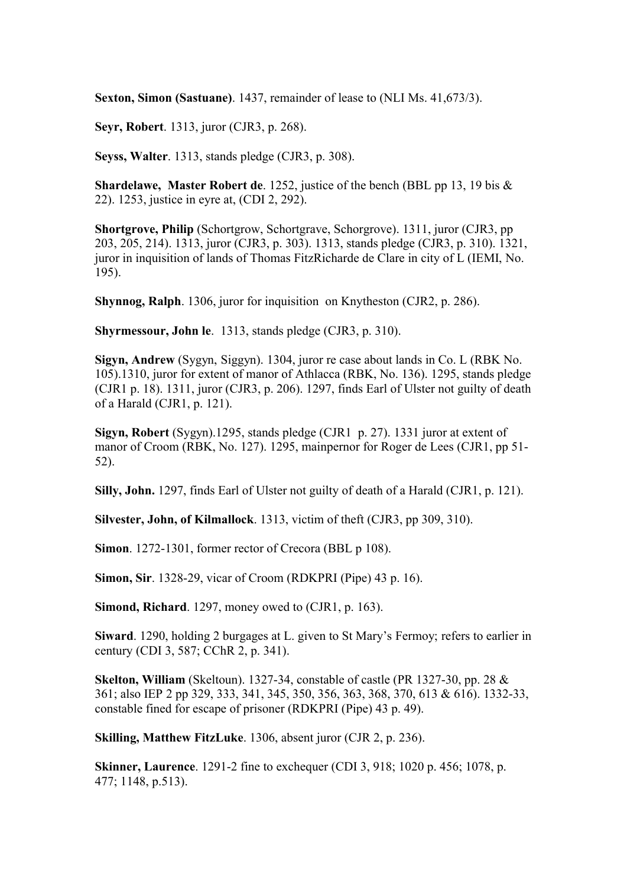**Sexton, Simon (Sastuane)**. 1437, remainder of lease to (NLI Ms. 41,673/3).

**Seyr, Robert**. 1313, juror (CJR3, p. 268).

**Seyss, Walter**. 1313, stands pledge (CJR3, p. 308).

**Shardelawe, Master Robert de**. 1252, justice of the bench (BBL pp 13, 19 bis & 22). 1253, justice in eyre at, (CDI 2, 292).

**Shortgrove, Philip** (Schortgrow, Schortgrave, Schorgrove). 1311, juror (CJR3, pp 203, 205, 214). 1313, juror (CJR3, p. 303). 1313, stands pledge (CJR3, p. 310). 1321, juror in inquisition of lands of Thomas FitzRicharde de Clare in city of L (IEMI, No. 195).

**Shynnog, Ralph**. 1306, juror for inquisition on Knytheston (CJR2, p. 286).

**Shyrmessour, John le**. 1313, stands pledge (CJR3, p. 310).

**Sigyn, Andrew** (Sygyn, Siggyn). 1304, juror re case about lands in Co. L (RBK No. 105).1310, juror for extent of manor of Athlacca (RBK, No. 136). 1295, stands pledge (CJR1 p. 18). 1311, juror (CJR3, p. 206). 1297, finds Earl of Ulster not guilty of death of a Harald (CJR1, p. 121).

**Sigyn, Robert** (Sygyn).1295, stands pledge (CJR1 p. 27). 1331 juror at extent of manor of Croom (RBK, No. 127). 1295, mainpernor for Roger de Lees (CJR1, pp 51- 52).

**Silly, John.** 1297, finds Earl of Ulster not guilty of death of a Harald (CJR1, p. 121).

**Silvester, John, of Kilmallock**. 1313, victim of theft (CJR3, pp 309, 310).

**Simon**. 1272-1301, former rector of Crecora (BBL p 108).

**Simon, Sir**. 1328-29, vicar of Croom (RDKPRI (Pipe) 43 p. 16).

**Simond, Richard**. 1297, money owed to (CJR1, p. 163).

**Siward**. 1290, holding 2 burgages at L. given to St Mary's Fermoy; refers to earlier in century (CDI 3, 587; CChR 2, p. 341).

**Skelton, William** (Skeltoun). 1327-34, constable of castle (PR 1327-30, pp. 28 & 361; also IEP 2 pp 329, 333, 341, 345, 350, 356, 363, 368, 370, 613 & 616). 1332-33, constable fined for escape of prisoner (RDKPRI (Pipe) 43 p. 49).

**Skilling, Matthew FitzLuke**. 1306, absent juror (CJR 2, p. 236).

**Skinner, Laurence**. 1291-2 fine to exchequer (CDI 3, 918; 1020 p. 456; 1078, p. 477; 1148, p.513).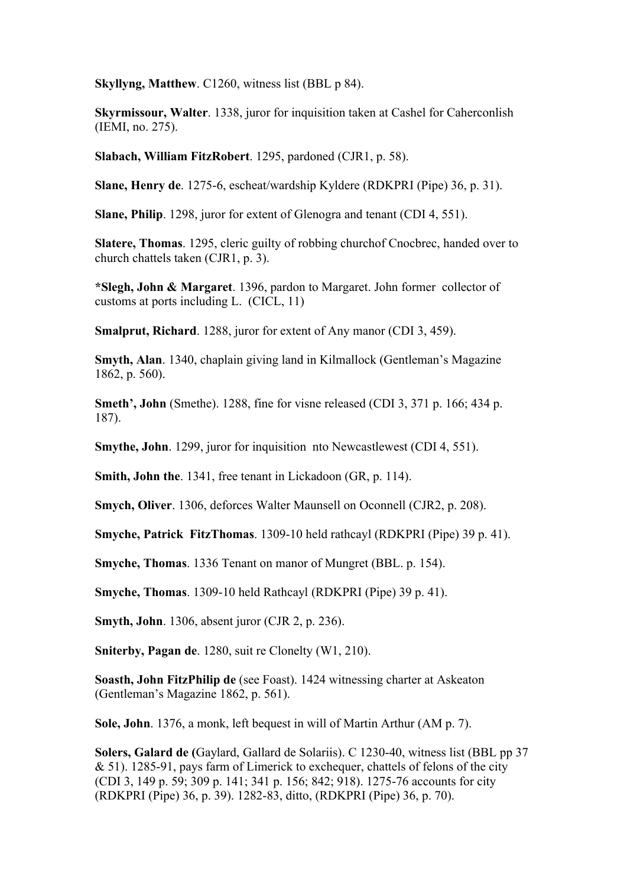**Skyllyng, Matthew**. C1260, witness list (BBL p 84).

**Skyrmissour, Walter**. 1338, juror for inquisition taken at Cashel for Caherconlish (IEMI, no. 275).

**Slabach, William FitzRobert**. 1295, pardoned (CJR1, p. 58).

**Slane, Henry de**. 1275-6, escheat/wardship Kyldere (RDKPRI (Pipe) 36, p. 31).

**Slane, Philip**. 1298, juror for extent of Glenogra and tenant (CDI 4, 551).

**Slatere, Thomas**. 1295, cleric guilty of robbing churchof Cnocbrec, handed over to church chattels taken (CJR1, p. 3).

**\*Slegh, John & Margaret**. 1396, pardon to Margaret. John former collector of customs at ports including L. (CICL, 11)

**Smalprut, Richard**. 1288, juror for extent of Any manor (CDI 3, 459).

**Smyth, Alan**. 1340, chaplain giving land in Kilmallock (Gentleman's Magazine 1862, p. 560).

**Smeth', John** (Smethe). 1288, fine for visne released (CDI 3, 371 p. 166; 434 p. 187).

**Smythe, John**. 1299, juror for inquisition nto Newcastlewest (CDI 4, 551).

**Smith, John the**. 1341, free tenant in Lickadoon (GR, p. 114).

**Smych, Oliver**. 1306, deforces Walter Maunsell on Oconnell (CJR2, p. 208).

**Smyche, Patrick FitzThomas**. 1309-10 held rathcayl (RDKPRI (Pipe) 39 p. 41).

**Smyche, Thomas**. 1336 Tenant on manor of Mungret (BBL. p. 154).

**Smyche, Thomas**. 1309-10 held Rathcayl (RDKPRI (Pipe) 39 p. 41).

**Smyth, John**. 1306, absent juror (CJR 2, p. 236).

**Sniterby, Pagan de**. 1280, suit re Clonelty (W1, 210).

**Soasth, John FitzPhilip de** (see Foast). 1424 witnessing charter at Askeaton (Gentleman's Magazine 1862, p. 561).

**Sole, John**. 1376, a monk, left bequest in will of Martin Arthur (AM p. 7).

**Solers, Galard de (**Gaylard, Gallard de Solariis). C 1230-40, witness list (BBL pp 37 & 51). 1285-91, pays farm of Limerick to exchequer, chattels of felons of the city (CDI 3, 149 p. 59; 309 p. 141; 341 p. 156; 842; 918). 1275-76 accounts for city (RDKPRI (Pipe) 36, p. 39). 1282-83, ditto, (RDKPRI (Pipe) 36, p. 70).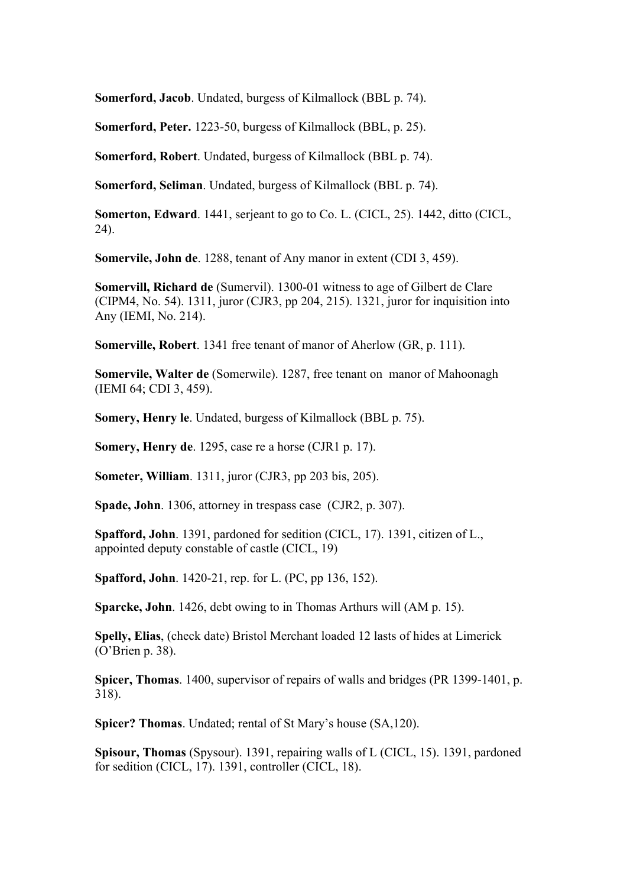**Somerford, Jacob**. Undated, burgess of Kilmallock (BBL p. 74).

**Somerford, Peter.** 1223-50, burgess of Kilmallock (BBL, p. 25).

**Somerford, Robert**. Undated, burgess of Kilmallock (BBL p. 74).

**Somerford, Seliman**. Undated, burgess of Kilmallock (BBL p. 74).

**Somerton, Edward**. 1441, serjeant to go to Co. L. (CICL, 25). 1442, ditto (CICL, 24).

**Somervile, John de**. 1288, tenant of Any manor in extent (CDI 3, 459).

**Somervill, Richard de** (Sumervil). 1300-01 witness to age of Gilbert de Clare (CIPM4, No. 54). 1311, juror (CJR3, pp 204, 215). 1321, juror for inquisition into Any (IEMI, No. 214).

**Somerville, Robert**. 1341 free tenant of manor of Aherlow (GR, p. 111).

**Somervile, Walter de** (Somerwile). 1287, free tenant on manor of Mahoonagh (IEMI 64; CDI 3, 459).

**Somery, Henry le**. Undated, burgess of Kilmallock (BBL p. 75).

**Somery, Henry de**. 1295, case re a horse (CJR1 p. 17).

**Someter, William**. 1311, juror (CJR3, pp 203 bis, 205).

**Spade, John**. 1306, attorney in trespass case (CJR2, p. 307).

**Spafford, John**. 1391, pardoned for sedition (CICL, 17). 1391, citizen of L., appointed deputy constable of castle (CICL, 19)

**Spafford, John**. 1420-21, rep. for L. (PC, pp 136, 152).

**Sparcke, John**. 1426, debt owing to in Thomas Arthurs will (AM p. 15).

**Spelly, Elias**, (check date) Bristol Merchant loaded 12 lasts of hides at Limerick (O'Brien p. 38).

**Spicer, Thomas**. 1400, supervisor of repairs of walls and bridges (PR 1399-1401, p. 318).

**Spicer? Thomas**. Undated; rental of St Mary's house (SA,120).

**Spisour, Thomas** (Spysour). 1391, repairing walls of L (CICL, 15). 1391, pardoned for sedition (CICL, 17). 1391, controller (CICL, 18).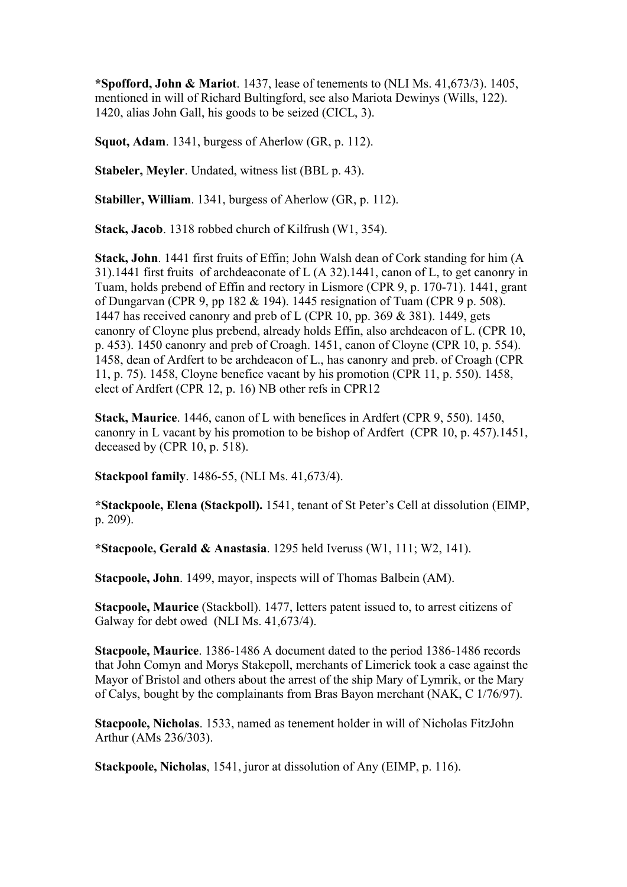**\*Spofford, John & Mariot**. 1437, lease of tenements to (NLI Ms. 41,673/3). 1405, mentioned in will of Richard Bultingford, see also Mariota Dewinys (Wills, 122). 1420, alias John Gall, his goods to be seized (CICL, 3).

**Squot, Adam**. 1341, burgess of Aherlow (GR, p. 112).

**Stabeler, Meyler**. Undated, witness list (BBL p. 43).

**Stabiller, William**. 1341, burgess of Aherlow (GR, p. 112).

**Stack, Jacob**. 1318 robbed church of Kilfrush (W1, 354).

**Stack, John**. 1441 first fruits of Effin; John Walsh dean of Cork standing for him (A 31).1441 first fruits of archdeaconate of L (A 32).1441, canon of L, to get canonry in Tuam, holds prebend of Effin and rectory in Lismore (CPR 9, p. 170-71). 1441, grant of Dungarvan (CPR 9, pp 182 & 194). 1445 resignation of Tuam (CPR 9 p. 508). 1447 has received canonry and preb of L (CPR 10, pp. 369 & 381). 1449, gets canonry of Cloyne plus prebend, already holds Effin, also archdeacon of L. (CPR 10, p. 453). 1450 canonry and preb of Croagh. 1451, canon of Cloyne (CPR 10, p. 554). 1458, dean of Ardfert to be archdeacon of L., has canonry and preb. of Croagh (CPR 11, p. 75). 1458, Cloyne benefice vacant by his promotion (CPR 11, p. 550). 1458, elect of Ardfert (CPR 12, p. 16) NB other refs in CPR12

**Stack, Maurice**. 1446, canon of L with benefices in Ardfert (CPR 9, 550). 1450, canonry in L vacant by his promotion to be bishop of Ardfert (CPR 10, p. 457).1451, deceased by (CPR 10, p. 518).

**Stackpool family**. 1486-55, (NLI Ms. 41,673/4).

**\*Stackpoole, Elena (Stackpoll).** 1541, tenant of St Peter's Cell at dissolution (EIMP, p. 209).

**\*Stacpoole, Gerald & Anastasia**. 1295 held Iveruss (W1, 111; W2, 141).

**Stacpoole, John**. 1499, mayor, inspects will of Thomas Balbein (AM).

**Stacpoole, Maurice** (Stackboll). 1477, letters patent issued to, to arrest citizens of Galway for debt owed (NLI Ms. 41,673/4).

**Stacpoole, Maurice**. 1386-1486 A document dated to the period 1386-1486 records that John Comyn and Morys Stakepoll, merchants of Limerick took a case against the Mayor of Bristol and others about the arrest of the ship Mary of Lymrik, or the Mary of Calys, bought by the complainants from Bras Bayon merchant (NAK, C 1/76/97).

**Stacpoole, Nicholas**. 1533, named as tenement holder in will of Nicholas FitzJohn Arthur (AMs 236/303).

**Stackpoole, Nicholas**, 1541, juror at dissolution of Any (EIMP, p. 116).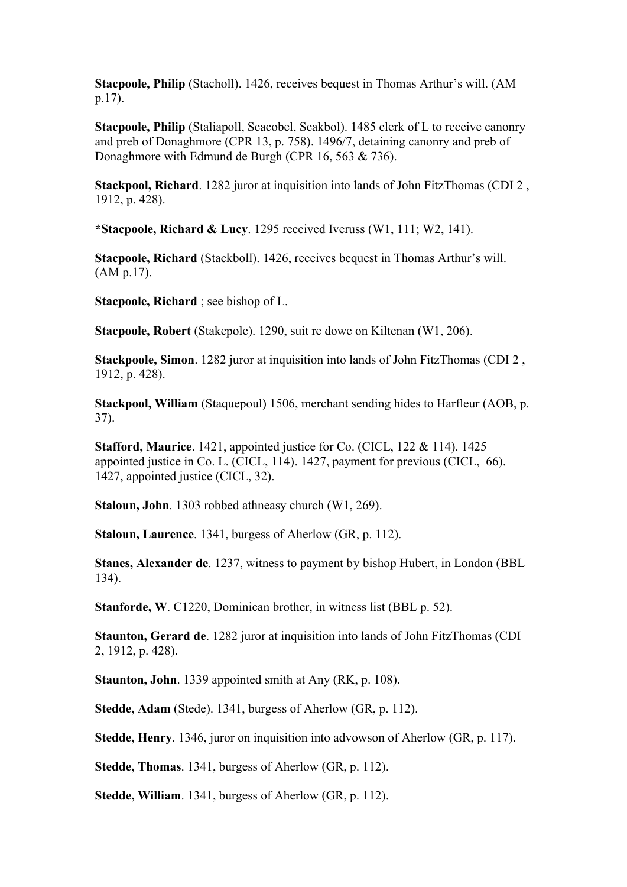**Stacpoole, Philip** (Stacholl). 1426, receives bequest in Thomas Arthur's will. (AM p.17).

**Stacpoole, Philip** (Staliapoll, Scacobel, Scakbol). 1485 clerk of L to receive canonry and preb of Donaghmore (CPR 13, p. 758). 1496/7, detaining canonry and preb of Donaghmore with Edmund de Burgh (CPR 16, 563 & 736).

**Stackpool, Richard**. 1282 juror at inquisition into lands of John FitzThomas (CDI 2 , 1912, p. 428).

**\*Stacpoole, Richard & Lucy**. 1295 received Iveruss (W1, 111; W2, 141).

**Stacpoole, Richard** (Stackboll). 1426, receives bequest in Thomas Arthur's will. (AM p.17).

**Stacpoole, Richard** ; see bishop of L.

**Stacpoole, Robert** (Stakepole). 1290, suit re dowe on Kiltenan (W1, 206).

**Stackpoole, Simon**. 1282 juror at inquisition into lands of John FitzThomas (CDI 2 , 1912, p. 428).

**Stackpool, William** (Staquepoul) 1506, merchant sending hides to Harfleur (AOB, p. 37).

**Stafford, Maurice**. 1421, appointed justice for Co. (CICL, 122 & 114). 1425 appointed justice in Co. L. (CICL, 114). 1427, payment for previous (CICL, 66). 1427, appointed justice (CICL, 32).

**Staloun, John**. 1303 robbed athneasy church (W1, 269).

**Staloun, Laurence**. 1341, burgess of Aherlow (GR, p. 112).

**Stanes, Alexander de**. 1237, witness to payment by bishop Hubert, in London (BBL 134).

**Stanforde, W**. C1220, Dominican brother, in witness list (BBL p. 52).

**Staunton, Gerard de**. 1282 juror at inquisition into lands of John FitzThomas (CDI 2, 1912, p. 428).

**Staunton, John**. 1339 appointed smith at Any (RK, p. 108).

**Stedde, Adam** (Stede). 1341, burgess of Aherlow (GR, p. 112).

**Stedde, Henry**. 1346, juror on inquisition into advowson of Aherlow (GR, p. 117).

**Stedde, Thomas**. 1341, burgess of Aherlow (GR, p. 112).

**Stedde, William**. 1341, burgess of Aherlow (GR, p. 112).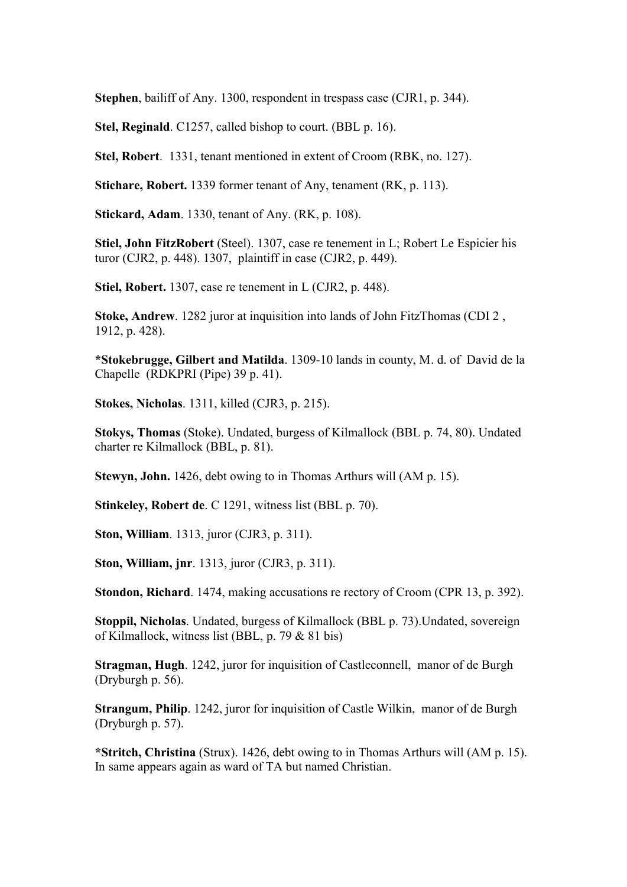**Stephen**, bailiff of Any. 1300, respondent in trespass case (CJR1, p. 344).

**Stel, Reginald**. C1257, called bishop to court. (BBL p. 16).

**Stel, Robert**. 1331, tenant mentioned in extent of Croom (RBK, no. 127).

**Stichare, Robert.** 1339 former tenant of Any, tenament (RK, p. 113).

**Stickard, Adam**. 1330, tenant of Any. (RK, p. 108).

**Stiel, John FitzRobert** (Steel). 1307, case re tenement in L; Robert Le Espicier his turor (CJR2, p. 448). 1307, plaintiff in case (CJR2, p. 449).

**Stiel, Robert.** 1307, case re tenement in L (CJR2, p. 448).

**Stoke, Andrew**. 1282 juror at inquisition into lands of John FitzThomas (CDI 2 , 1912, p. 428).

**\*Stokebrugge, Gilbert and Matilda**. 1309-10 lands in county, M. d. of David de la Chapelle (RDKPRI (Pipe) 39 p. 41).

**Stokes, Nicholas**. 1311, killed (CJR3, p. 215).

**Stokys, Thomas** (Stoke). Undated, burgess of Kilmallock (BBL p. 74, 80). Undated charter re Kilmallock (BBL, p. 81).

**Stewyn, John.** 1426, debt owing to in Thomas Arthurs will (AM p. 15).

**Stinkeley, Robert de**. C 1291, witness list (BBL p. 70).

**Ston, William**. 1313, juror (CJR3, p. 311).

**Ston, William, jnr**. 1313, juror (CJR3, p. 311).

**Stondon, Richard**. 1474, making accusations re rectory of Croom (CPR 13, p. 392).

**Stoppil, Nicholas**. Undated, burgess of Kilmallock (BBL p. 73).Undated, sovereign of Kilmallock, witness list (BBL, p. 79 & 81 bis)

**Stragman, Hugh**. 1242, juror for inquisition of Castleconnell, manor of de Burgh (Dryburgh p. 56).

**Strangum, Philip**. 1242, juror for inquisition of Castle Wilkin, manor of de Burgh (Dryburgh p. 57).

**\*Stritch, Christina** (Strux). 1426, debt owing to in Thomas Arthurs will (AM p. 15). In same appears again as ward of TA but named Christian.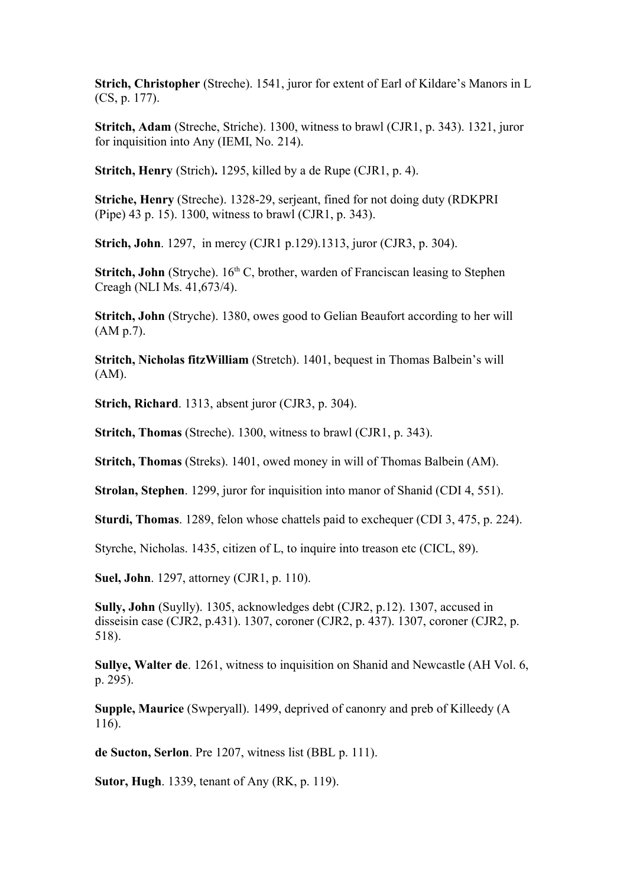**Strich, Christopher** (Streche). 1541, juror for extent of Earl of Kildare's Manors in L (CS, p. 177).

**Stritch, Adam** (Streche, Striche). 1300, witness to brawl (CJR1, p. 343). 1321, juror for inquisition into Any (IEMI, No. 214).

**Stritch, Henry** (Strich)**.** 1295, killed by a de Rupe (CJR1, p. 4).

**Striche, Henry** (Streche). 1328-29, serjeant, fined for not doing duty (RDKPRI (Pipe) 43 p. 15). 1300, witness to brawl (CJR1, p. 343).

**Strich, John**. 1297, in mercy (CJR1 p.129).1313, juror (CJR3, p. 304).

**Stritch, John** (Stryche). 16<sup>th</sup> C, brother, warden of Franciscan leasing to Stephen Creagh (NLI Ms. 41,673/4).

**Stritch, John** (Stryche). 1380, owes good to Gelian Beaufort according to her will (AM p.7).

**Stritch, Nicholas fitzWilliam** (Stretch). 1401, bequest in Thomas Balbein's will (AM).

**Strich, Richard**. 1313, absent juror (CJR3, p. 304).

**Stritch, Thomas** (Streche). 1300, witness to brawl (CJR1, p. 343).

**Stritch, Thomas** (Streks). 1401, owed money in will of Thomas Balbein (AM).

**Strolan, Stephen**. 1299, juror for inquisition into manor of Shanid (CDI 4, 551).

**Sturdi, Thomas**. 1289, felon whose chattels paid to exchequer (CDI 3, 475, p. 224).

Styrche, Nicholas. 1435, citizen of L, to inquire into treason etc (CICL, 89).

**Suel, John**. 1297, attorney (CJR1, p. 110).

**Sully, John** (Suylly). 1305, acknowledges debt (CJR2, p.12). 1307, accused in disseisin case (CJR2, p.431). 1307, coroner (CJR2, p. 437). 1307, coroner (CJR2, p. 518).

**Sullye, Walter de**. 1261, witness to inquisition on Shanid and Newcastle (AH Vol. 6, p. 295).

**Supple, Maurice** (Swperyall). 1499, deprived of canonry and preb of Killeedy (A 116).

**de Sucton, Serlon**. Pre 1207, witness list (BBL p. 111).

**Sutor, Hugh**. 1339, tenant of Any (RK, p. 119).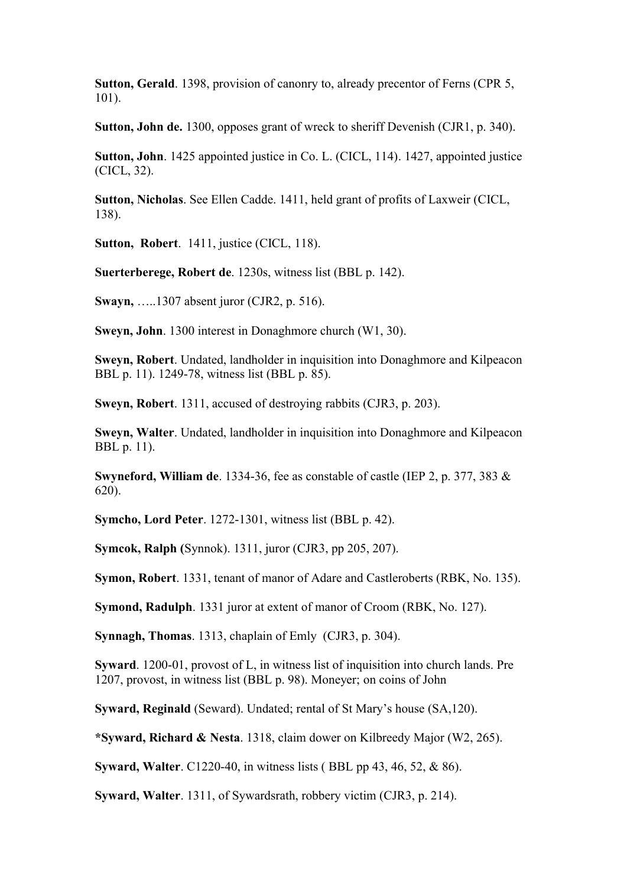**Sutton, Gerald**. 1398, provision of canonry to, already precentor of Ferns (CPR 5, 101).

**Sutton, John de.** 1300, opposes grant of wreck to sheriff Devenish (CJR1, p. 340).

**Sutton, John**. 1425 appointed justice in Co. L. (CICL, 114). 1427, appointed justice (CICL, 32).

**Sutton, Nicholas**. See Ellen Cadde. 1411, held grant of profits of Laxweir (CICL, 138).

**Sutton, Robert**. 1411, justice (CICL, 118).

**Suerterberege, Robert de**. 1230s, witness list (BBL p. 142).

**Swayn,** …..1307 absent juror (CJR2, p. 516).

**Sweyn, John**. 1300 interest in Donaghmore church (W1, 30).

**Sweyn, Robert**. Undated, landholder in inquisition into Donaghmore and Kilpeacon BBL p. 11). 1249-78, witness list (BBL p. 85).

**Sweyn, Robert**. 1311, accused of destroying rabbits (CJR3, p. 203).

**Sweyn, Walter**. Undated, landholder in inquisition into Donaghmore and Kilpeacon BBL p. 11).

**Swyneford, William de**. 1334-36, fee as constable of castle (IEP 2, p. 377, 383 & 620).

**Symcho, Lord Peter**. 1272-1301, witness list (BBL p. 42).

**Symcok, Ralph (**Synnok). 1311, juror (CJR3, pp 205, 207).

**Symon, Robert**. 1331, tenant of manor of Adare and Castleroberts (RBK, No. 135).

**Symond, Radulph**. 1331 juror at extent of manor of Croom (RBK, No. 127).

**Synnagh, Thomas**. 1313, chaplain of Emly (CJR3, p. 304).

**Syward**. 1200-01, provost of L, in witness list of inquisition into church lands. Pre 1207, provost, in witness list (BBL p. 98). Moneyer; on coins of John

**Syward, Reginald** (Seward). Undated; rental of St Mary's house (SA,120).

**\*Syward, Richard & Nesta**. 1318, claim dower on Kilbreedy Major (W2, 265).

**Syward, Walter**. C1220-40, in witness lists ( BBL pp 43, 46, 52, & 86).

**Syward, Walter**. 1311, of Sywardsrath, robbery victim (CJR3, p. 214).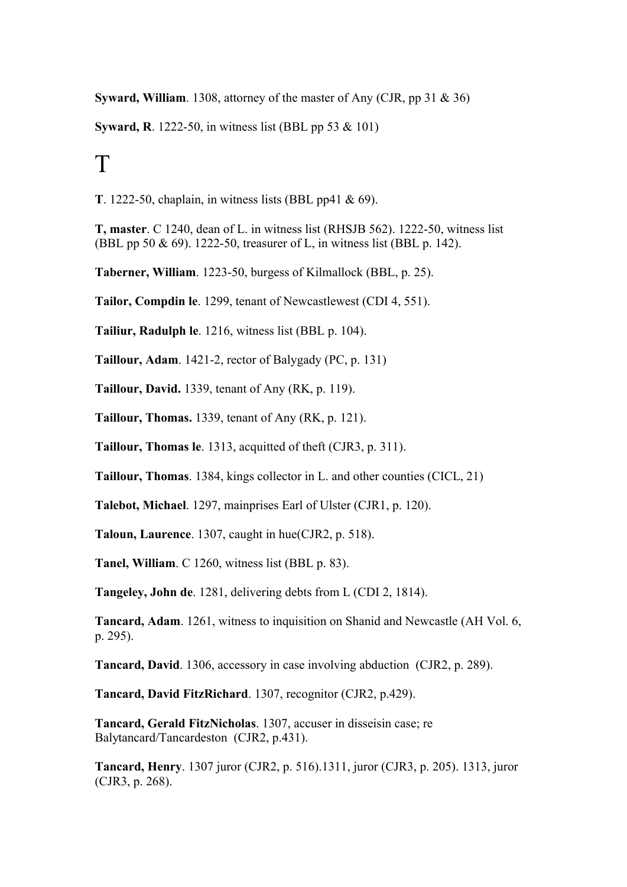**Syward, William**. 1308, attorney of the master of Any (CJR, pp 31 & 36)

**Syward, R**. 1222-50, in witness list (BBL pp 53 & 101)

### T

**T**. 1222-50, chaplain, in witness lists (BBL pp41 & 69).

**T, master**. C 1240, dean of L. in witness list (RHSJB 562). 1222-50, witness list (BBL pp 50 & 69). 1222-50, treasurer of L, in witness list (BBL p. 142).

**Taberner, William**. 1223-50, burgess of Kilmallock (BBL, p. 25).

**Tailor, Compdin le**. 1299, tenant of Newcastlewest (CDI 4, 551).

**Tailiur, Radulph le**. 1216, witness list (BBL p. 104).

**Taillour, Adam**. 1421-2, rector of Balygady (PC, p. 131)

**Taillour, David.** 1339, tenant of Any (RK, p. 119).

**Taillour, Thomas.** 1339, tenant of Any (RK, p. 121).

**Taillour, Thomas le**. 1313, acquitted of theft (CJR3, p. 311).

**Taillour, Thomas**. 1384, kings collector in L. and other counties (CICL, 21)

**Talebot, Michael**. 1297, mainprises Earl of Ulster (CJR1, p. 120).

**Taloun, Laurence**. 1307, caught in hue(CJR2, p. 518).

**Tanel, William**. C 1260, witness list (BBL p. 83).

**Tangeley, John de**. 1281, delivering debts from L (CDI 2, 1814).

**Tancard, Adam**. 1261, witness to inquisition on Shanid and Newcastle (AH Vol. 6, p. 295).

**Tancard, David**. 1306, accessory in case involving abduction (CJR2, p. 289).

**Tancard, David FitzRichard**. 1307, recognitor (CJR2, p.429).

**Tancard, Gerald FitzNicholas**. 1307, accuser in disseisin case; re Balytancard/Tancardeston (CJR2, p.431).

**Tancard, Henry**. 1307 juror (CJR2, p. 516).1311, juror (CJR3, p. 205). 1313, juror (CJR3, p. 268).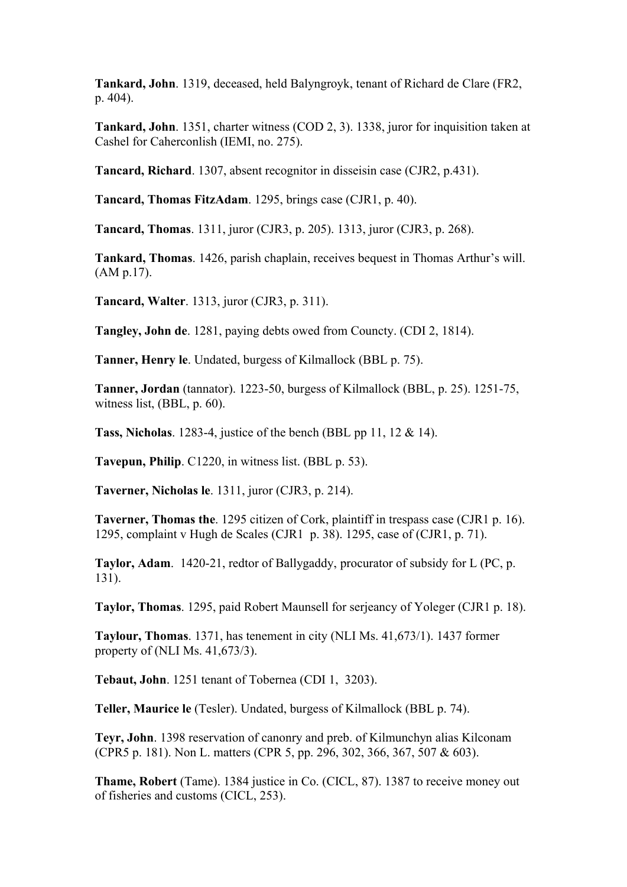**Tankard, John**. 1319, deceased, held Balyngroyk, tenant of Richard de Clare (FR2, p. 404).

**Tankard, John**. 1351, charter witness (COD 2, 3). 1338, juror for inquisition taken at Cashel for Caherconlish (IEMI, no. 275).

**Tancard, Richard**. 1307, absent recognitor in disseisin case (CJR2, p.431).

**Tancard, Thomas FitzAdam**. 1295, brings case (CJR1, p. 40).

**Tancard, Thomas**. 1311, juror (CJR3, p. 205). 1313, juror (CJR3, p. 268).

**Tankard, Thomas**. 1426, parish chaplain, receives bequest in Thomas Arthur's will. (AM p.17).

**Tancard, Walter**. 1313, juror (CJR3, p. 311).

**Tangley, John de**. 1281, paying debts owed from Councty. (CDI 2, 1814).

**Tanner, Henry le**. Undated, burgess of Kilmallock (BBL p. 75).

**Tanner, Jordan** (tannator). 1223-50, burgess of Kilmallock (BBL, p. 25). 1251-75, witness list, (BBL, p. 60).

**Tass, Nicholas**. 1283-4, justice of the bench (BBL pp 11, 12 & 14).

**Tavepun, Philip**. C1220, in witness list. (BBL p. 53).

**Taverner, Nicholas le**. 1311, juror (CJR3, p. 214).

**Taverner, Thomas the**. 1295 citizen of Cork, plaintiff in trespass case (CJR1 p. 16). 1295, complaint v Hugh de Scales (CJR1 p. 38). 1295, case of (CJR1, p. 71).

**Taylor, Adam**. 1420-21, redtor of Ballygaddy, procurator of subsidy for L (PC, p. 131).

**Taylor, Thomas**. 1295, paid Robert Maunsell for serjeancy of Yoleger (CJR1 p. 18).

**Taylour, Thomas**. 1371, has tenement in city (NLI Ms. 41,673/1). 1437 former property of (NLI Ms. 41,673/3).

**Tebaut, John**. 1251 tenant of Tobernea (CDI 1, 3203).

**Teller, Maurice le** (Tesler). Undated, burgess of Kilmallock (BBL p. 74).

**Teyr, John**. 1398 reservation of canonry and preb. of Kilmunchyn alias Kilconam (CPR5 p. 181). Non L. matters (CPR 5, pp. 296, 302, 366, 367, 507 & 603).

**Thame, Robert** (Tame). 1384 justice in Co. (CICL, 87). 1387 to receive money out of fisheries and customs (CICL, 253).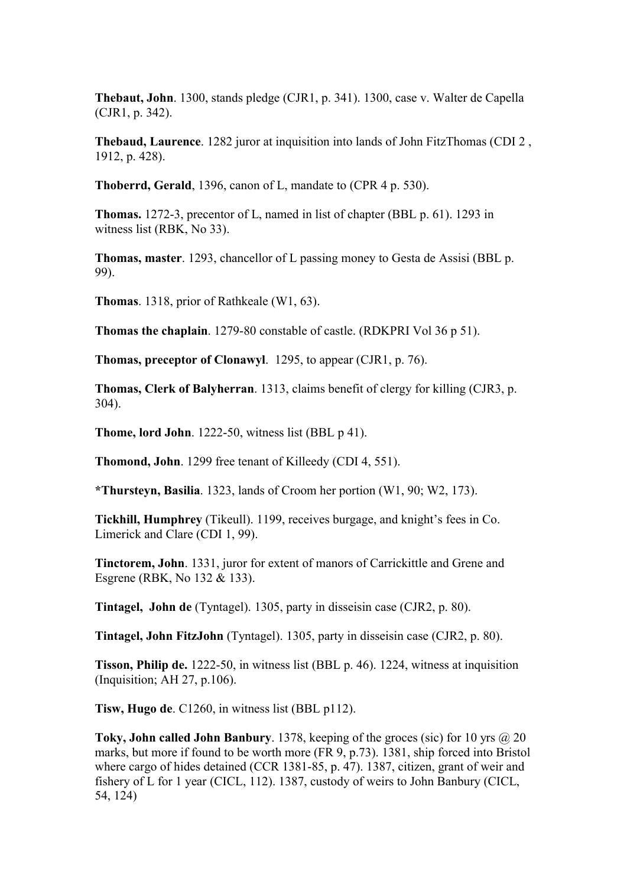**Thebaut, John**. 1300, stands pledge (CJR1, p. 341). 1300, case v. Walter de Capella (CJR1, p. 342).

**Thebaud, Laurence**. 1282 juror at inquisition into lands of John FitzThomas (CDI 2 , 1912, p. 428).

**Thoberrd, Gerald**, 1396, canon of L, mandate to (CPR 4 p. 530).

**Thomas.** 1272-3, precentor of L, named in list of chapter (BBL p. 61). 1293 in witness list (RBK, No 33).

**Thomas, master**. 1293, chancellor of L passing money to Gesta de Assisi (BBL p. 99).

**Thomas**. 1318, prior of Rathkeale (W1, 63).

**Thomas the chaplain**. 1279-80 constable of castle. (RDKPRI Vol 36 p 51).

**Thomas, preceptor of Clonawyl**. 1295, to appear (CJR1, p. 76).

**Thomas, Clerk of Balyherran**. 1313, claims benefit of clergy for killing (CJR3, p. 304).

**Thome, lord John**. 1222-50, witness list (BBL p 41).

**Thomond, John**. 1299 free tenant of Killeedy (CDI 4, 551).

**\*Thursteyn, Basilia**. 1323, lands of Croom her portion (W1, 90; W2, 173).

**Tickhill, Humphrey** (Tikeull). 1199, receives burgage, and knight's fees in Co. Limerick and Clare (CDI 1, 99).

**Tinctorem, John**. 1331, juror for extent of manors of Carrickittle and Grene and Esgrene (RBK, No 132 & 133).

**Tintagel, John de** (Tyntagel). 1305, party in disseisin case (CJR2, p. 80).

**Tintagel, John FitzJohn** (Tyntagel). 1305, party in disseisin case (CJR2, p. 80).

**Tisson, Philip de.** 1222-50, in witness list (BBL p. 46). 1224, witness at inquisition (Inquisition; AH 27, p.106).

**Tisw, Hugo de**. C1260, in witness list (BBL p112).

**Toky, John called John Banbury**. 1378, keeping of the groces (sic) for 10 yrs @ 20 marks, but more if found to be worth more (FR 9, p.73). 1381, ship forced into Bristol where cargo of hides detained (CCR 1381-85, p. 47). 1387, citizen, grant of weir and fishery of L for 1 year (CICL, 112). 1387, custody of weirs to John Banbury (CICL, 54, 124)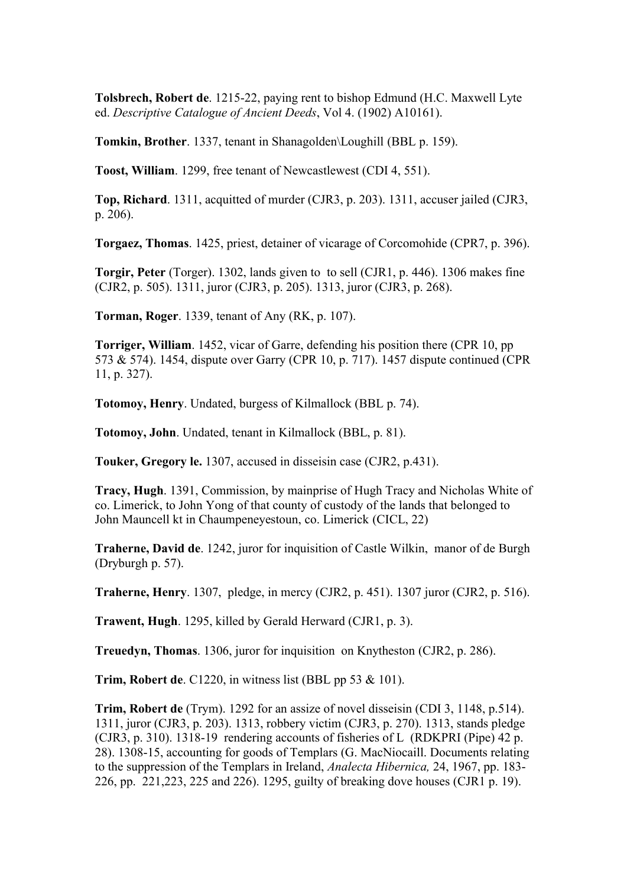**Tolsbrech, Robert de**. 1215-22, paying rent to bishop Edmund (H.C. Maxwell Lyte ed. *Descriptive Catalogue of Ancient Deeds*, Vol 4. (1902) A10161).

**Tomkin, Brother**. 1337, tenant in Shanagolden\Loughill (BBL p. 159).

**Toost, William**. 1299, free tenant of Newcastlewest (CDI 4, 551).

**Top, Richard**. 1311, acquitted of murder (CJR3, p. 203). 1311, accuser jailed (CJR3, p. 206).

**Torgaez, Thomas**. 1425, priest, detainer of vicarage of Corcomohide (CPR7, p. 396).

**Torgir, Peter** (Torger). 1302, lands given to to sell (CJR1, p. 446). 1306 makes fine (CJR2, p. 505). 1311, juror (CJR3, p. 205). 1313, juror (CJR3, p. 268).

**Torman, Roger**. 1339, tenant of Any (RK, p. 107).

**Torriger, William**. 1452, vicar of Garre, defending his position there (CPR 10, pp 573 & 574). 1454, dispute over Garry (CPR 10, p. 717). 1457 dispute continued (CPR 11, p. 327).

**Totomoy, Henry**. Undated, burgess of Kilmallock (BBL p. 74).

**Totomoy, John**. Undated, tenant in Kilmallock (BBL, p. 81).

**Touker, Gregory le.** 1307, accused in disseisin case (CJR2, p.431).

**Tracy, Hugh**. 1391, Commission, by mainprise of Hugh Tracy and Nicholas White of co. Limerick, to John Yong of that county of custody of the lands that belonged to John Mauncell kt in Chaumpeneyestoun, co. Limerick (CICL, 22)

**Traherne, David de**. 1242, juror for inquisition of Castle Wilkin, manor of de Burgh (Dryburgh p. 57).

**Traherne, Henry**. 1307, pledge, in mercy (CJR2, p. 451). 1307 juror (CJR2, p. 516).

**Trawent, Hugh**. 1295, killed by Gerald Herward (CJR1, p. 3).

**Treuedyn, Thomas**. 1306, juror for inquisition on Knytheston (CJR2, p. 286).

**Trim, Robert de**. C1220, in witness list (BBL pp 53 & 101).

**Trim, Robert de** (Trym). 1292 for an assize of novel disseisin (CDI 3, 1148, p.514). 1311, juror (CJR3, p. 203). 1313, robbery victim (CJR3, p. 270). 1313, stands pledge (CJR3, p. 310). 1318-19 rendering accounts of fisheries of L (RDKPRI (Pipe) 42 p. 28). 1308-15, accounting for goods of Templars (G. MacNiocaill. Documents relating to the suppression of the Templars in Ireland, *Analecta Hibernica,* 24, 1967, pp. 183- 226, pp. 221,223, 225 and 226). 1295, guilty of breaking dove houses (CJR1 p. 19).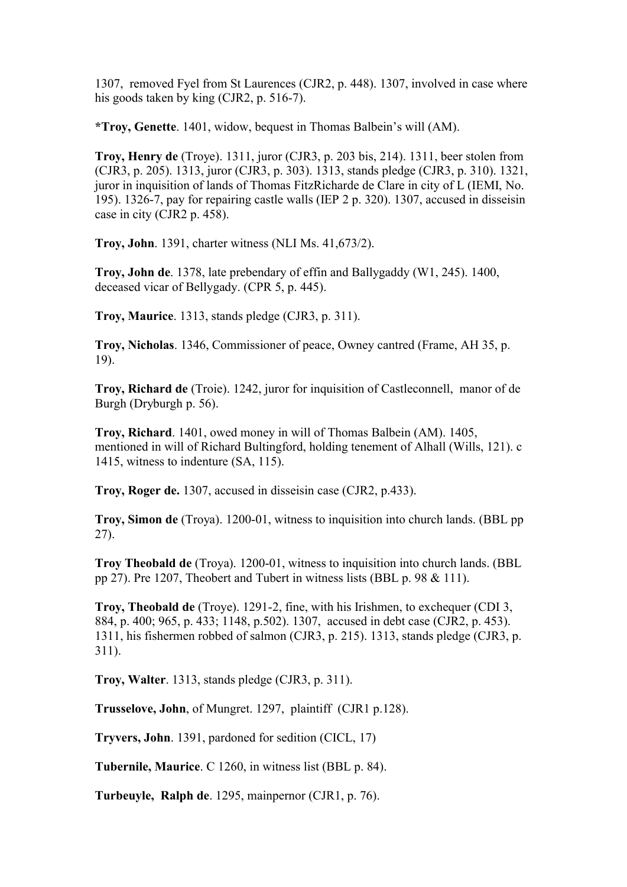1307, removed Fyel from St Laurences (CJR2, p. 448). 1307, involved in case where his goods taken by king (CJR2, p. 516-7).

**\*Troy, Genette**. 1401, widow, bequest in Thomas Balbein's will (AM).

**Troy, Henry de** (Troye). 1311, juror (CJR3, p. 203 bis, 214). 1311, beer stolen from (CJR3, p. 205). 1313, juror (CJR3, p. 303). 1313, stands pledge (CJR3, p. 310). 1321, juror in inquisition of lands of Thomas FitzRicharde de Clare in city of L (IEMI, No. 195). 1326-7, pay for repairing castle walls (IEP 2 p. 320). 1307, accused in disseisin case in city (CJR2 p. 458).

**Troy, John**. 1391, charter witness (NLI Ms. 41,673/2).

**Troy, John de**. 1378, late prebendary of effin and Ballygaddy (W1, 245). 1400, deceased vicar of Bellygady. (CPR 5, p. 445).

**Troy, Maurice**. 1313, stands pledge (CJR3, p. 311).

**Troy, Nicholas**. 1346, Commissioner of peace, Owney cantred (Frame, AH 35, p. 19).

**Troy, Richard de** (Troie). 1242, juror for inquisition of Castleconnell, manor of de Burgh (Dryburgh p. 56).

**Troy, Richard**. 1401, owed money in will of Thomas Balbein (AM). 1405, mentioned in will of Richard Bultingford, holding tenement of Alhall (Wills, 121). c 1415, witness to indenture (SA, 115).

**Troy, Roger de.** 1307, accused in disseisin case (CJR2, p.433).

**Troy, Simon de** (Troya). 1200-01, witness to inquisition into church lands. (BBL pp 27).

**Troy Theobald de** (Troya). 1200-01, witness to inquisition into church lands. (BBL pp 27). Pre 1207, Theobert and Tubert in witness lists (BBL p. 98 & 111).

**Troy, Theobald de** (Troye). 1291-2, fine, with his Irishmen, to exchequer (CDI 3, 884, p. 400; 965, p. 433; 1148, p.502). 1307, accused in debt case (CJR2, p. 453). 1311, his fishermen robbed of salmon (CJR3, p. 215). 1313, stands pledge (CJR3, p. 311).

**Troy, Walter**. 1313, stands pledge (CJR3, p. 311).

**Trusselove, John**, of Mungret. 1297, plaintiff (CJR1 p.128).

**Tryvers, John**. 1391, pardoned for sedition (CICL, 17)

**Tubernile, Maurice**. C 1260, in witness list (BBL p. 84).

**Turbeuyle, Ralph de**. 1295, mainpernor (CJR1, p. 76).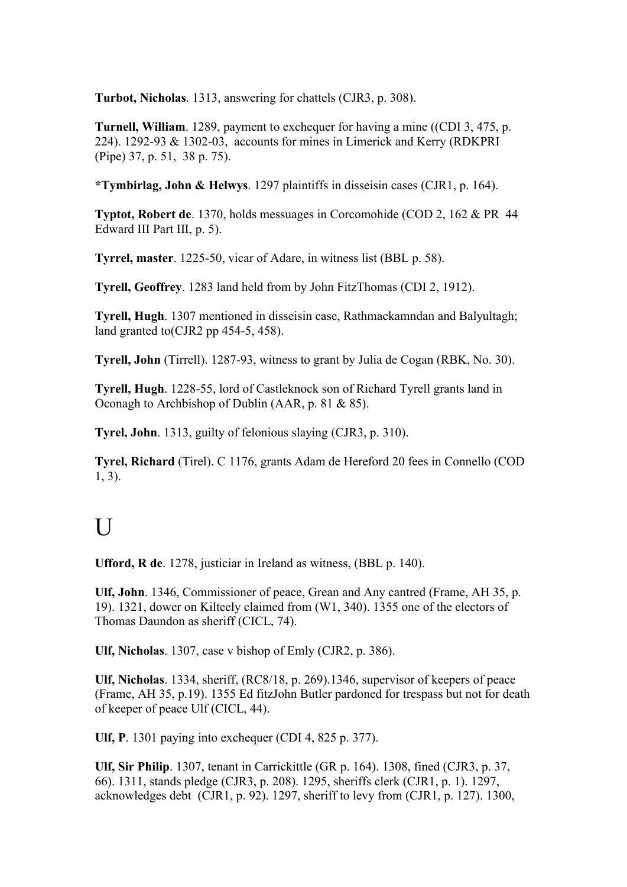**Turbot, Nicholas**. 1313, answering for chattels (CJR3, p. 308).

**Turnell, William**. 1289, payment to exchequer for having a mine ((CDI 3, 475, p. 224). 1292-93 & 1302-03, accounts for mines in Limerick and Kerry (RDKPRI (Pipe) 37, p. 51, 38 p. 75).

**\*Tymbirlag, John & Helwys**. 1297 plaintiffs in disseisin cases (CJR1, p. 164).

**Typtot, Robert de**. 1370, holds messuages in Corcomohide (COD 2, 162 & PR 44 Edward III Part III, p. 5).

**Tyrrel, master**. 1225-50, vicar of Adare, in witness list (BBL p. 58).

**Tyrell, Geoffrey**. 1283 land held from by John FitzThomas (CDI 2, 1912).

**Tyrell, Hugh**. 1307 mentioned in disseisin case, Rathmackamndan and Balyultagh; land granted to(CJR2 pp 454-5, 458).

**Tyrell, John** (Tirrell). 1287-93, witness to grant by Julia de Cogan (RBK, No. 30).

**Tyrell, Hugh**. 1228-55, lord of Castleknock son of Richard Tyrell grants land in Oconagh to Archbishop of Dublin (AAR, p. 81 & 85).

**Tyrel, John**. 1313, guilty of felonious slaying (CJR3, p. 310).

**Tyrel, Richard** (Tirel). C 1176, grants Adam de Hereford 20 fees in Connello (COD 1, 3).

### $\overline{U}$

**Ufford, R de**. 1278, justiciar in Ireland as witness, (BBL p. 140).

**Ulf, John**. 1346, Commissioner of peace, Grean and Any cantred (Frame, AH 35, p. 19). 1321, dower on Kilteely claimed from (W1, 340). 1355 one of the electors of Thomas Daundon as sheriff (CICL, 74).

**Ulf, Nicholas**. 1307, case v bishop of Emly (CJR2, p. 386).

**Ulf, Nicholas**. 1334, sheriff, (RC8/18, p. 269).1346, supervisor of keepers of peace (Frame, AH 35, p.19). 1355 Ed fitzJohn Butler pardoned for trespass but not for death of keeper of peace Ulf (CICL, 44).

**Ulf, P**. 1301 paying into exchequer (CDI 4, 825 p. 377).

**Ulf, Sir Philip**. 1307, tenant in Carrickittle (GR p. 164). 1308, fined (CJR3, p. 37, 66). 1311, stands pledge (CJR3, p. 208). 1295, sheriffs clerk (CJR1, p. 1). 1297, acknowledges debt (CJR1, p. 92). 1297, sheriff to levy from (CJR1, p. 127). 1300,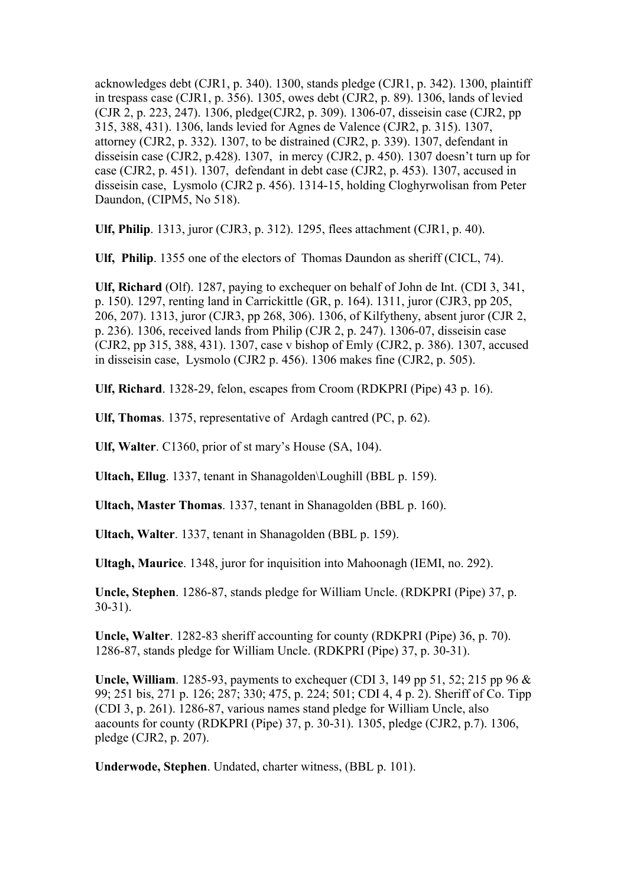acknowledges debt (CJR1, p. 340). 1300, stands pledge (CJR1, p. 342). 1300, plaintiff in trespass case (CJR1, p. 356). 1305, owes debt (CJR2, p. 89). 1306, lands of levied (CJR 2, p. 223, 247). 1306, pledge(CJR2, p. 309). 1306-07, disseisin case (CJR2, pp 315, 388, 431). 1306, lands levied for Agnes de Valence (CJR2, p. 315). 1307, attorney (CJR2, p. 332). 1307, to be distrained (CJR2, p. 339). 1307, defendant in disseisin case (CJR2, p.428). 1307, in mercy (CJR2, p. 450). 1307 doesn't turn up for case (CJR2, p. 451). 1307, defendant in debt case (CJR2, p. 453). 1307, accused in disseisin case, Lysmolo (CJR2 p. 456). 1314-15, holding Cloghyrwolisan from Peter Daundon, (CIPM5, No 518).

**Ulf, Philip**. 1313, juror (CJR3, p. 312). 1295, flees attachment (CJR1, p. 40).

**Ulf, Philip**. 1355 one of the electors of Thomas Daundon as sheriff (CICL, 74).

**Ulf, Richard** (Olf). 1287, paying to exchequer on behalf of John de Int. (CDI 3, 341, p. 150). 1297, renting land in Carrickittle (GR, p. 164). 1311, juror (CJR3, pp 205, 206, 207). 1313, juror (CJR3, pp 268, 306). 1306, of Kilfytheny, absent juror (CJR 2, p. 236). 1306, received lands from Philip (CJR 2, p. 247). 1306-07, disseisin case (CJR2, pp 315, 388, 431). 1307, case v bishop of Emly (CJR2, p. 386). 1307, accused in disseisin case, Lysmolo (CJR2 p. 456). 1306 makes fine (CJR2, p. 505).

**Ulf, Richard**. 1328-29, felon, escapes from Croom (RDKPRI (Pipe) 43 p. 16).

**Ulf, Thomas**. 1375, representative of Ardagh cantred (PC, p. 62).

**Ulf, Walter**. C1360, prior of st mary's House (SA, 104).

**Ultach, Ellug**. 1337, tenant in Shanagolden\Loughill (BBL p. 159).

**Ultach, Master Thomas**. 1337, tenant in Shanagolden (BBL p. 160).

**Ultach, Walter**. 1337, tenant in Shanagolden (BBL p. 159).

**Ultagh, Maurice**. 1348, juror for inquisition into Mahoonagh (IEMI, no. 292).

**Uncle, Stephen**. 1286-87, stands pledge for William Uncle. (RDKPRI (Pipe) 37, p. 30-31).

**Uncle, Walter**. 1282-83 sheriff accounting for county (RDKPRI (Pipe) 36, p. 70). 1286-87, stands pledge for William Uncle. (RDKPRI (Pipe) 37, p. 30-31).

**Uncle, William**. 1285-93, payments to exchequer (CDI 3, 149 pp 51, 52; 215 pp 96 & 99; 251 bis, 271 p. 126; 287; 330; 475, p. 224; 501; CDI 4, 4 p. 2). Sheriff of Co. Tipp (CDI 3, p. 261). 1286-87, various names stand pledge for William Uncle, also aacounts for county (RDKPRI (Pipe) 37, p. 30-31). 1305, pledge (CJR2, p.7). 1306, pledge (CJR2, p. 207).

**Underwode, Stephen**. Undated, charter witness, (BBL p. 101).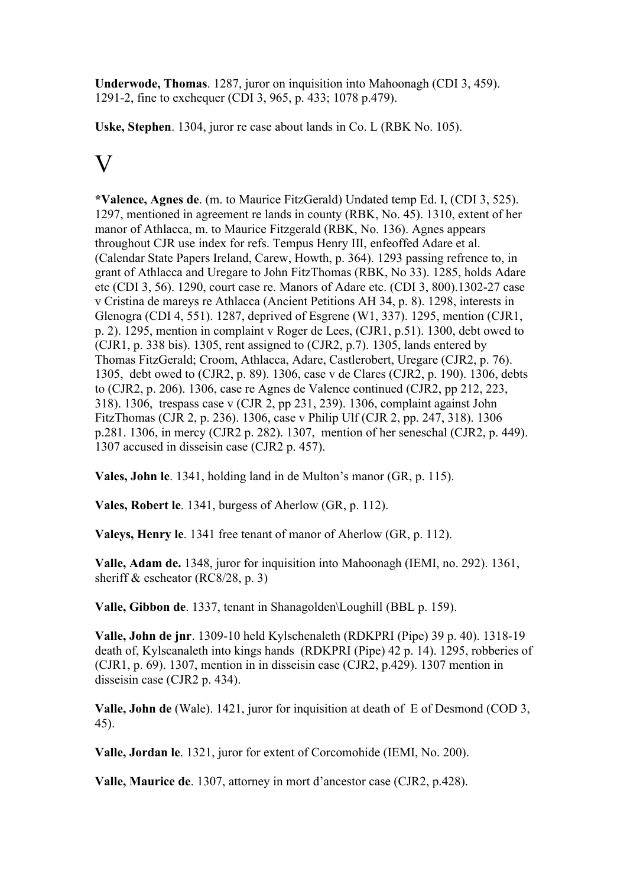**Underwode, Thomas**. 1287, juror on inquisition into Mahoonagh (CDI 3, 459). 1291-2, fine to exchequer (CDI 3, 965, p. 433; 1078 p.479).

**Uske, Stephen**. 1304, juror re case about lands in Co. L (RBK No. 105).

## V

**\*Valence, Agnes de**. (m. to Maurice FitzGerald) Undated temp Ed. I, (CDI 3, 525). 1297, mentioned in agreement re lands in county (RBK, No. 45). 1310, extent of her manor of Athlacca, m. to Maurice Fitzgerald (RBK, No. 136). Agnes appears throughout CJR use index for refs. Tempus Henry III, enfeoffed Adare et al. (Calendar State Papers Ireland, Carew, Howth, p. 364). 1293 passing refrence to, in grant of Athlacca and Uregare to John FitzThomas (RBK, No 33). 1285, holds Adare etc (CDI 3, 56). 1290, court case re. Manors of Adare etc. (CDI 3, 800).1302-27 case v Cristina de mareys re Athlacca (Ancient Petitions AH 34, p. 8). 1298, interests in Glenogra (CDI 4, 551). 1287, deprived of Esgrene (W1, 337). 1295, mention (CJR1, p. 2). 1295, mention in complaint v Roger de Lees, (CJR1, p.51). 1300, debt owed to (CJR1, p. 338 bis). 1305, rent assigned to (CJR2, p.7). 1305, lands entered by Thomas FitzGerald; Croom, Athlacca, Adare, Castlerobert, Uregare (CJR2, p. 76). 1305, debt owed to (CJR2, p. 89). 1306, case v de Clares (CJR2, p. 190). 1306, debts to (CJR2, p. 206). 1306, case re Agnes de Valence continued (CJR2, pp 212, 223, 318). 1306, trespass case v (CJR 2, pp 231, 239). 1306, complaint against John FitzThomas (CJR 2, p. 236). 1306, case v Philip Ulf (CJR 2, pp. 247, 318). 1306 p.281. 1306, in mercy (CJR2 p. 282). 1307, mention of her seneschal (CJR2, p. 449). 1307 accused in disseisin case (CJR2 p. 457).

**Vales, John le**. 1341, holding land in de Multon's manor (GR, p. 115).

**Vales, Robert le**. 1341, burgess of Aherlow (GR, p. 112).

**Valeys, Henry le**. 1341 free tenant of manor of Aherlow (GR, p. 112).

**Valle, Adam de.** 1348, juror for inquisition into Mahoonagh (IEMI, no. 292). 1361, sheriff & escheator (RC8/28, p. 3)

**Valle, Gibbon de**. 1337, tenant in Shanagolden\Loughill (BBL p. 159).

**Valle, John de jnr**. 1309-10 held Kylschenaleth (RDKPRI (Pipe) 39 p. 40). 1318-19 death of, Kylscanaleth into kings hands (RDKPRI (Pipe) 42 p. 14). 1295, robberies of (CJR1, p. 69). 1307, mention in in disseisin case (CJR2, p.429). 1307 mention in disseisin case (CJR2 p. 434).

**Valle, John de** (Wale). 1421, juror for inquisition at death of E of Desmond (COD 3, 45).

**Valle, Jordan le**. 1321, juror for extent of Corcomohide (IEMI, No. 200).

**Valle, Maurice de**. 1307, attorney in mort d'ancestor case (CJR2, p.428).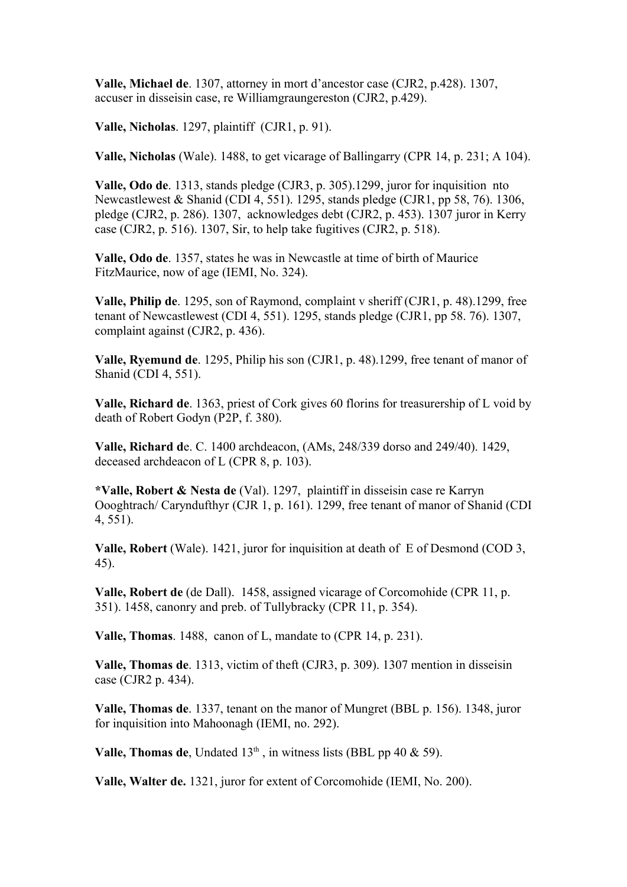**Valle, Michael de**. 1307, attorney in mort d'ancestor case (CJR2, p.428). 1307, accuser in disseisin case, re Williamgraungereston (CJR2, p.429).

**Valle, Nicholas**. 1297, plaintiff (CJR1, p. 91).

**Valle, Nicholas** (Wale). 1488, to get vicarage of Ballingarry (CPR 14, p. 231; A 104).

**Valle, Odo de**. 1313, stands pledge (CJR3, p. 305).1299, juror for inquisition nto Newcastlewest & Shanid (CDI 4, 551). 1295, stands pledge (CJR1, pp 58, 76). 1306, pledge (CJR2, p. 286). 1307, acknowledges debt (CJR2, p. 453). 1307 juror in Kerry case (CJR2, p. 516). 1307, Sir, to help take fugitives (CJR2, p. 518).

**Valle, Odo de**. 1357, states he was in Newcastle at time of birth of Maurice FitzMaurice, now of age (IEMI, No. 324).

**Valle, Philip de**. 1295, son of Raymond, complaint v sheriff (CJR1, p. 48).1299, free tenant of Newcastlewest (CDI 4, 551). 1295, stands pledge (CJR1, pp 58. 76). 1307, complaint against (CJR2, p. 436).

**Valle, Ryemund de**. 1295, Philip his son (CJR1, p. 48).1299, free tenant of manor of Shanid (CDI 4, 551).

**Valle, Richard de**. 1363, priest of Cork gives 60 florins for treasurership of L void by death of Robert Godyn (P2P, f. 380).

**Valle, Richard d**e. C. 1400 archdeacon, (AMs, 248/339 dorso and 249/40). 1429, deceased archdeacon of L (CPR 8, p. 103).

**\*Valle, Robert & Nesta de** (Val). 1297, plaintiff in disseisin case re Karryn Oooghtrach/ Caryndufthyr (CJR 1, p. 161). 1299, free tenant of manor of Shanid (CDI 4, 551).

**Valle, Robert** (Wale). 1421, juror for inquisition at death of E of Desmond (COD 3, 45).

**Valle, Robert de** (de Dall). 1458, assigned vicarage of Corcomohide (CPR 11, p. 351). 1458, canonry and preb. of Tullybracky (CPR 11, p. 354).

**Valle, Thomas**. 1488, canon of L, mandate to (CPR 14, p. 231).

**Valle, Thomas de**. 1313, victim of theft (CJR3, p. 309). 1307 mention in disseisin case (CJR2 p. 434).

**Valle, Thomas de**. 1337, tenant on the manor of Mungret (BBL p. 156). 1348, juror for inquisition into Mahoonagh (IEMI, no. 292).

**Valle, Thomas de**, Undated  $13<sup>th</sup>$ , in witness lists (BBL pp 40  $\&$  59).

**Valle, Walter de.** 1321, juror for extent of Corcomohide (IEMI, No. 200).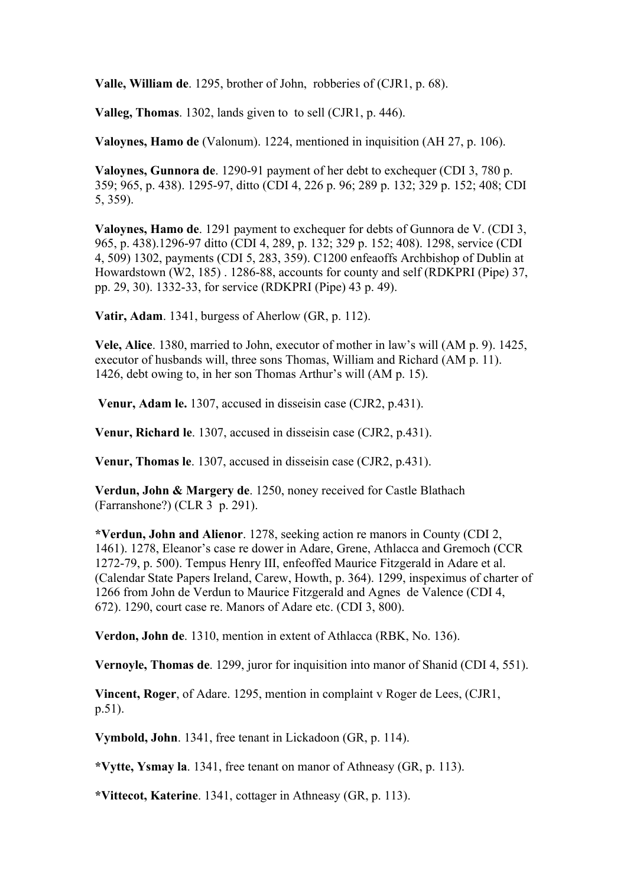**Valle, William de**. 1295, brother of John, robberies of (CJR1, p. 68).

**Valleg, Thomas**. 1302, lands given to to sell (CJR1, p. 446).

**Valoynes, Hamo de** (Valonum). 1224, mentioned in inquisition (AH 27, p. 106).

**Valoynes, Gunnora de**. 1290-91 payment of her debt to exchequer (CDI 3, 780 p. 359; 965, p. 438). 1295-97, ditto (CDI 4, 226 p. 96; 289 p. 132; 329 p. 152; 408; CDI 5, 359).

**Valoynes, Hamo de**. 1291 payment to exchequer for debts of Gunnora de V. (CDI 3, 965, p. 438).1296-97 ditto (CDI 4, 289, p. 132; 329 p. 152; 408). 1298, service (CDI 4, 509) 1302, payments (CDI 5, 283, 359). C1200 enfeaoffs Archbishop of Dublin at Howardstown (W2, 185) . 1286-88, accounts for county and self (RDKPRI (Pipe) 37, pp. 29, 30). 1332-33, for service (RDKPRI (Pipe) 43 p. 49).

**Vatir, Adam**. 1341, burgess of Aherlow (GR, p. 112).

**Vele, Alice**. 1380, married to John, executor of mother in law's will (AM p. 9). 1425, executor of husbands will, three sons Thomas, William and Richard (AM p. 11). 1426, debt owing to, in her son Thomas Arthur's will (AM p. 15).

 **Venur, Adam le.** 1307, accused in disseisin case (CJR2, p.431).

**Venur, Richard le**. 1307, accused in disseisin case (CJR2, p.431).

**Venur, Thomas le**. 1307, accused in disseisin case (CJR2, p.431).

**Verdun, John & Margery de**. 1250, noney received for Castle Blathach (Farranshone?) (CLR 3 p. 291).

**\*Verdun, John and Alienor**. 1278, seeking action re manors in County (CDI 2, 1461). 1278, Eleanor's case re dower in Adare, Grene, Athlacca and Gremoch (CCR 1272-79, p. 500). Tempus Henry III, enfeoffed Maurice Fitzgerald in Adare et al. (Calendar State Papers Ireland, Carew, Howth, p. 364). 1299, inspeximus of charter of 1266 from John de Verdun to Maurice Fitzgerald and Agnes de Valence (CDI 4, 672). 1290, court case re. Manors of Adare etc. (CDI 3, 800).

**Verdon, John de**. 1310, mention in extent of Athlacca (RBK, No. 136).

**Vernoyle, Thomas de**. 1299, juror for inquisition into manor of Shanid (CDI 4, 551).

**Vincent, Roger**, of Adare. 1295, mention in complaint v Roger de Lees, (CJR1, p.51).

**Vymbold, John**. 1341, free tenant in Lickadoon (GR, p. 114).

**\*Vytte, Ysmay la**. 1341, free tenant on manor of Athneasy (GR, p. 113).

**\*Vittecot, Katerine**. 1341, cottager in Athneasy (GR, p. 113).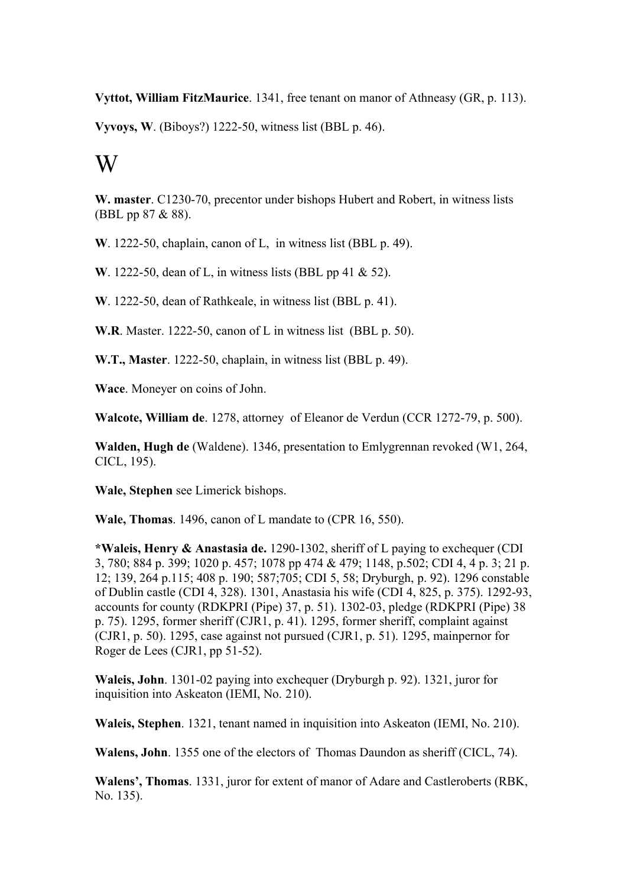**Vyttot, William FitzMaurice**. 1341, free tenant on manor of Athneasy (GR, p. 113).

**Vyvoys, W**. (Biboys?) 1222-50, witness list (BBL p. 46).

## W

**W. master**. C1230-70, precentor under bishops Hubert and Robert, in witness lists (BBL pp 87 & 88).

**W**. 1222-50, chaplain, canon of L, in witness list (BBL p. 49).

**W**. 1222-50, dean of L, in witness lists (BBL pp 41 & 52).

**W**. 1222-50, dean of Rathkeale, in witness list (BBL p. 41).

**W.R**. Master. 1222-50, canon of L in witness list (BBL p. 50).

**W.T., Master**. 1222-50, chaplain, in witness list (BBL p. 49).

**Wace**. Moneyer on coins of John.

**Walcote, William de**. 1278, attorney of Eleanor de Verdun (CCR 1272-79, p. 500).

**Walden, Hugh de** (Waldene). 1346, presentation to Emlygrennan revoked (W1, 264, CICL, 195).

**Wale, Stephen** see Limerick bishops.

**Wale, Thomas**. 1496, canon of L mandate to (CPR 16, 550).

**\*Waleis, Henry & Anastasia de.** 1290-1302, sheriff of L paying to exchequer (CDI 3, 780; 884 p. 399; 1020 p. 457; 1078 pp 474 & 479; 1148, p.502; CDI 4, 4 p. 3; 21 p. 12; 139, 264 p.115; 408 p. 190; 587;705; CDI 5, 58; Dryburgh, p. 92). 1296 constable of Dublin castle (CDI 4, 328). 1301, Anastasia his wife (CDI 4, 825, p. 375). 1292-93, accounts for county (RDKPRI (Pipe) 37, p. 51). 1302-03, pledge (RDKPRI (Pipe) 38 p. 75). 1295, former sheriff (CJR1, p. 41). 1295, former sheriff, complaint against (CJR1, p. 50). 1295, case against not pursued (CJR1, p. 51). 1295, mainpernor for Roger de Lees (CJR1, pp 51-52).

**Waleis, John**. 1301-02 paying into exchequer (Dryburgh p. 92). 1321, juror for inquisition into Askeaton (IEMI, No. 210).

**Waleis, Stephen**. 1321, tenant named in inquisition into Askeaton (IEMI, No. 210).

**Walens, John**. 1355 one of the electors of Thomas Daundon as sheriff (CICL, 74).

**Walens', Thomas**. 1331, juror for extent of manor of Adare and Castleroberts (RBK, No. 135).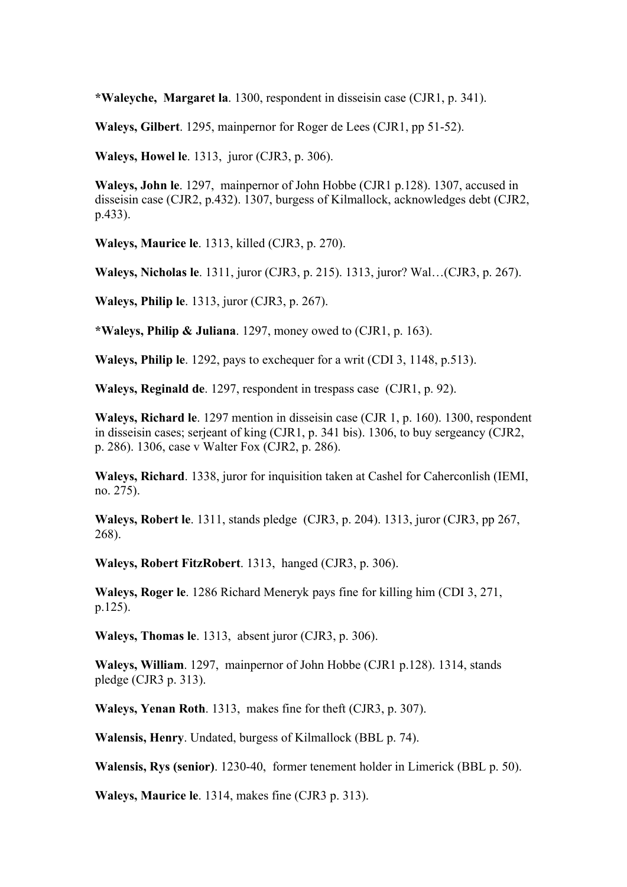**\*Waleyche, Margaret la**. 1300, respondent in disseisin case (CJR1, p. 341).

**Waleys, Gilbert**. 1295, mainpernor for Roger de Lees (CJR1, pp 51-52).

**Waleys, Howel le**. 1313, juror (CJR3, p. 306).

**Waleys, John le**. 1297, mainpernor of John Hobbe (CJR1 p.128). 1307, accused in disseisin case (CJR2, p.432). 1307, burgess of Kilmallock, acknowledges debt (CJR2, p.433).

**Waleys, Maurice le**. 1313, killed (CJR3, p. 270).

**Waleys, Nicholas le**. 1311, juror (CJR3, p. 215). 1313, juror? Wal…(CJR3, p. 267).

**Waleys, Philip le**. 1313, juror (CJR3, p. 267).

**\*Waleys, Philip & Juliana**. 1297, money owed to (CJR1, p. 163).

**Waleys, Philip le**. 1292, pays to exchequer for a writ (CDI 3, 1148, p.513).

**Waleys, Reginald de**. 1297, respondent in trespass case (CJR1, p. 92).

**Waleys, Richard le**. 1297 mention in disseisin case (CJR 1, p. 160). 1300, respondent in disseisin cases; serjeant of king (CJR1, p. 341 bis). 1306, to buy sergeancy (CJR2, p. 286). 1306, case v Walter Fox (CJR2, p. 286).

**Waleys, Richard**. 1338, juror for inquisition taken at Cashel for Caherconlish (IEMI, no. 275).

**Waleys, Robert le**. 1311, stands pledge (CJR3, p. 204). 1313, juror (CJR3, pp 267, 268).

**Waleys, Robert FitzRobert**. 1313, hanged (CJR3, p. 306).

**Waleys, Roger le**. 1286 Richard Meneryk pays fine for killing him (CDI 3, 271, p.125).

**Waleys, Thomas le**. 1313, absent juror (CJR3, p. 306).

**Waleys, William**. 1297, mainpernor of John Hobbe (CJR1 p.128). 1314, stands pledge (CJR3 p. 313).

**Waleys, Yenan Roth**. 1313, makes fine for theft (CJR3, p. 307).

**Walensis, Henry**. Undated, burgess of Kilmallock (BBL p. 74).

**Walensis, Rys (senior)**. 1230-40, former tenement holder in Limerick (BBL p. 50).

**Waleys, Maurice le**. 1314, makes fine (CJR3 p. 313).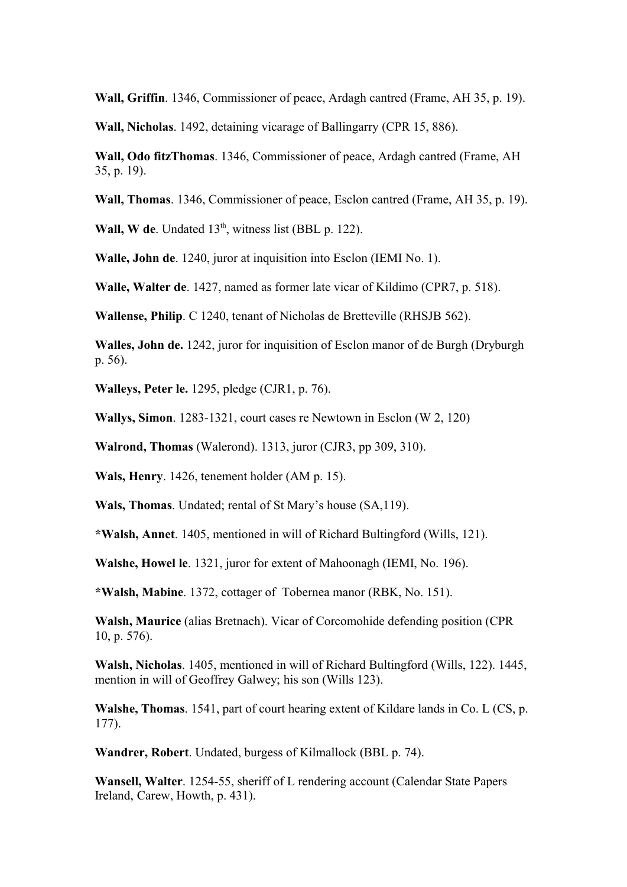**Wall, Griffin**. 1346, Commissioner of peace, Ardagh cantred (Frame, AH 35, p. 19).

**Wall, Nicholas**. 1492, detaining vicarage of Ballingarry (CPR 15, 886).

**Wall, Odo fitzThomas**. 1346, Commissioner of peace, Ardagh cantred (Frame, AH 35, p. 19).

**Wall, Thomas**. 1346, Commissioner of peace, Esclon cantred (Frame, AH 35, p. 19).

Wall, W de. Undated 13<sup>th</sup>, witness list (BBL p. 122).

**Walle, John de**. 1240, juror at inquisition into Esclon (IEMI No. 1).

**Walle, Walter de**. 1427, named as former late vicar of Kildimo (CPR7, p. 518).

**Wallense, Philip**. C 1240, tenant of Nicholas de Bretteville (RHSJB 562).

**Walles, John de.** 1242, juror for inquisition of Esclon manor of de Burgh (Dryburgh p. 56).

**Walleys, Peter le.** 1295, pledge (CJR1, p. 76).

**Wallys, Simon**. 1283-1321, court cases re Newtown in Esclon (W 2, 120)

**Walrond, Thomas** (Walerond). 1313, juror (CJR3, pp 309, 310).

**Wals, Henry**. 1426, tenement holder (AM p. 15).

**Wals, Thomas**. Undated; rental of St Mary's house (SA,119).

**\*Walsh, Annet**. 1405, mentioned in will of Richard Bultingford (Wills, 121).

**Walshe, Howel le**. 1321, juror for extent of Mahoonagh (IEMI, No. 196).

**\*Walsh, Mabine**. 1372, cottager of Tobernea manor (RBK, No. 151).

**Walsh, Maurice** (alias Bretnach). Vicar of Corcomohide defending position (CPR 10, p. 576).

**Walsh, Nicholas**. 1405, mentioned in will of Richard Bultingford (Wills, 122). 1445, mention in will of Geoffrey Galwey; his son (Wills 123).

**Walshe, Thomas**. 1541, part of court hearing extent of Kildare lands in Co. L (CS, p. 177).

**Wandrer, Robert**. Undated, burgess of Kilmallock (BBL p. 74).

**Wansell, Walter**. 1254-55, sheriff of L rendering account (Calendar State Papers Ireland, Carew, Howth, p. 431).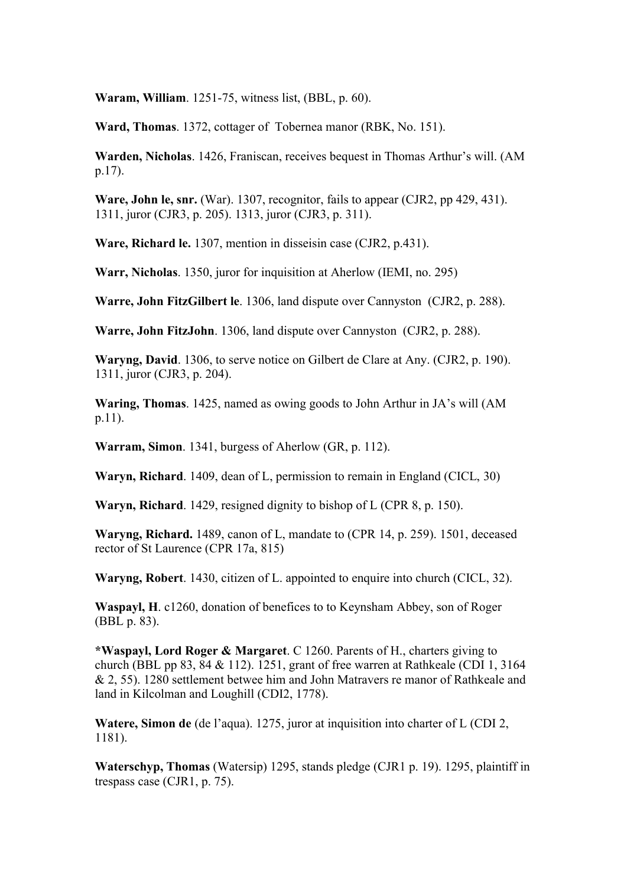**Waram, William**. 1251-75, witness list, (BBL, p. 60).

**Ward, Thomas**. 1372, cottager of Tobernea manor (RBK, No. 151).

**Warden, Nicholas**. 1426, Franiscan, receives bequest in Thomas Arthur's will. (AM p.17).

**Ware, John le, snr.** (War). 1307, recognitor, fails to appear (CJR2, pp 429, 431). 1311, juror (CJR3, p. 205). 1313, juror (CJR3, p. 311).

**Ware, Richard le.** 1307, mention in disseisin case (CJR2, p.431).

**Warr, Nicholas**. 1350, juror for inquisition at Aherlow (IEMI, no. 295)

**Warre, John FitzGilbert le**. 1306, land dispute over Cannyston (CJR2, p. 288).

**Warre, John FitzJohn**. 1306, land dispute over Cannyston (CJR2, p. 288).

**Waryng, David**. 1306, to serve notice on Gilbert de Clare at Any. (CJR2, p. 190). 1311, juror (CJR3, p. 204).

**Waring, Thomas**. 1425, named as owing goods to John Arthur in JA's will (AM p.11).

**Warram, Simon**. 1341, burgess of Aherlow (GR, p. 112).

**Waryn, Richard**. 1409, dean of L, permission to remain in England (CICL, 30)

**Waryn, Richard**. 1429, resigned dignity to bishop of L (CPR 8, p. 150).

**Waryng, Richard.** 1489, canon of L, mandate to (CPR 14, p. 259). 1501, deceased rector of St Laurence (CPR 17a, 815)

**Waryng, Robert**. 1430, citizen of L. appointed to enquire into church (CICL, 32).

**Waspayl, H**. c1260, donation of benefices to to Keynsham Abbey, son of Roger (BBL p. 83).

**\*Waspayl, Lord Roger & Margaret**. C 1260. Parents of H., charters giving to church (BBL pp 83, 84 & 112). 1251, grant of free warren at Rathkeale (CDI 1, 3164 & 2, 55). 1280 settlement betwee him and John Matravers re manor of Rathkeale and land in Kilcolman and Loughill (CDI2, 1778).

**Watere, Simon de** (de l'aqua). 1275, juror at inquisition into charter of L (CDI 2, 1181).

**Waterschyp, Thomas** (Watersip) 1295, stands pledge (CJR1 p. 19). 1295, plaintiff in trespass case (CJR1, p. 75).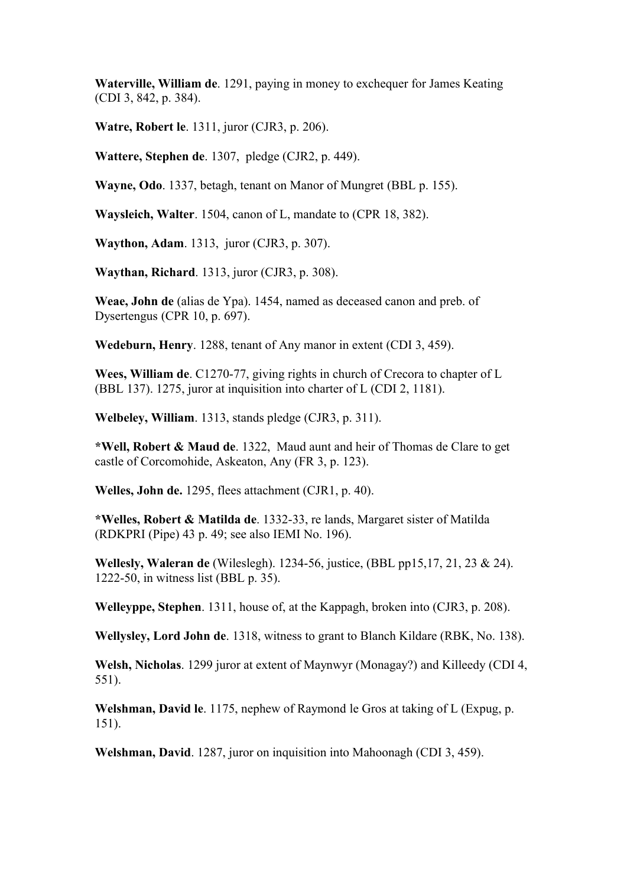**Waterville, William de**. 1291, paying in money to exchequer for James Keating (CDI 3, 842, p. 384).

**Watre, Robert le**. 1311, juror (CJR3, p. 206).

**Wattere, Stephen de**. 1307, pledge (CJR2, p. 449).

**Wayne, Odo**. 1337, betagh, tenant on Manor of Mungret (BBL p. 155).

**Waysleich, Walter**. 1504, canon of L, mandate to (CPR 18, 382).

**Waython, Adam**. 1313, juror (CJR3, p. 307).

**Waythan, Richard**. 1313, juror (CJR3, p. 308).

**Weae, John de** (alias de Ypa). 1454, named as deceased canon and preb. of Dysertengus (CPR 10, p. 697).

**Wedeburn, Henry**. 1288, tenant of Any manor in extent (CDI 3, 459).

**Wees, William de**. C1270-77, giving rights in church of Crecora to chapter of L (BBL 137). 1275, juror at inquisition into charter of L (CDI 2, 1181).

**Welbeley, William**. 1313, stands pledge (CJR3, p. 311).

**\*Well, Robert & Maud de**. 1322, Maud aunt and heir of Thomas de Clare to get castle of Corcomohide, Askeaton, Any (FR 3, p. 123).

**Welles, John de.** 1295, flees attachment (CJR1, p. 40).

**\*Welles, Robert & Matilda de**. 1332-33, re lands, Margaret sister of Matilda (RDKPRI (Pipe) 43 p. 49; see also IEMI No. 196).

**Wellesly, Waleran de** (Wileslegh). 1234-56, justice, (BBL pp15,17, 21, 23 & 24). 1222-50, in witness list (BBL p. 35).

**Welleyppe, Stephen**. 1311, house of, at the Kappagh, broken into (CJR3, p. 208).

**Wellysley, Lord John de**. 1318, witness to grant to Blanch Kildare (RBK, No. 138).

**Welsh, Nicholas**. 1299 juror at extent of Maynwyr (Monagay?) and Killeedy (CDI 4, 551).

**Welshman, David le**. 1175, nephew of Raymond le Gros at taking of L (Expug, p. 151).

**Welshman, David**. 1287, juror on inquisition into Mahoonagh (CDI 3, 459).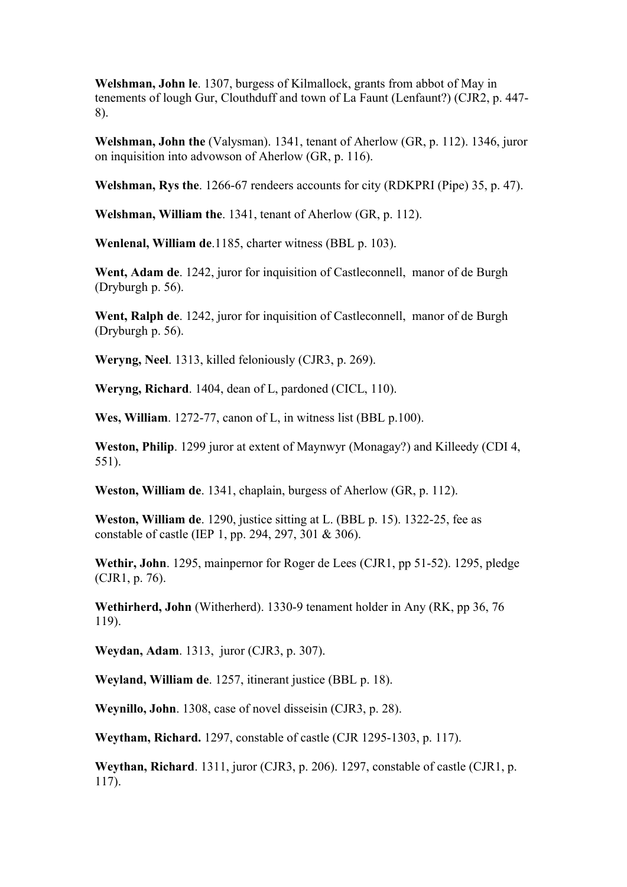**Welshman, John le**. 1307, burgess of Kilmallock, grants from abbot of May in tenements of lough Gur, Clouthduff and town of La Faunt (Lenfaunt?) (CJR2, p. 447- 8).

**Welshman, John the** (Valysman). 1341, tenant of Aherlow (GR, p. 112). 1346, juror on inquisition into advowson of Aherlow (GR, p. 116).

**Welshman, Rys the**. 1266-67 rendeers accounts for city (RDKPRI (Pipe) 35, p. 47).

**Welshman, William the**. 1341, tenant of Aherlow (GR, p. 112).

**Wenlenal, William de**.1185, charter witness (BBL p. 103).

**Went, Adam de**. 1242, juror for inquisition of Castleconnell, manor of de Burgh (Dryburgh p. 56).

**Went, Ralph de**. 1242, juror for inquisition of Castleconnell, manor of de Burgh (Dryburgh p. 56).

**Weryng, Neel**. 1313, killed feloniously (CJR3, p. 269).

**Weryng, Richard**. 1404, dean of L, pardoned (CICL, 110).

**Wes, William**. 1272-77, canon of L, in witness list (BBL p.100).

**Weston, Philip**. 1299 juror at extent of Maynwyr (Monagay?) and Killeedy (CDI 4, 551).

**Weston, William de**. 1341, chaplain, burgess of Aherlow (GR, p. 112).

**Weston, William de**. 1290, justice sitting at L. (BBL p. 15). 1322-25, fee as constable of castle (IEP 1, pp. 294, 297, 301 & 306).

**Wethir, John**. 1295, mainpernor for Roger de Lees (CJR1, pp 51-52). 1295, pledge (CJR1, p. 76).

**Wethirherd, John** (Witherherd). 1330-9 tenament holder in Any (RK, pp 36, 76 119).

**Weydan, Adam**. 1313, juror (CJR3, p. 307).

**Weyland, William de**. 1257, itinerant justice (BBL p. 18).

**Weynillo, John**. 1308, case of novel disseisin (CJR3, p. 28).

**Weytham, Richard.** 1297, constable of castle (CJR 1295-1303, p. 117).

**Weythan, Richard**. 1311, juror (CJR3, p. 206). 1297, constable of castle (CJR1, p. 117).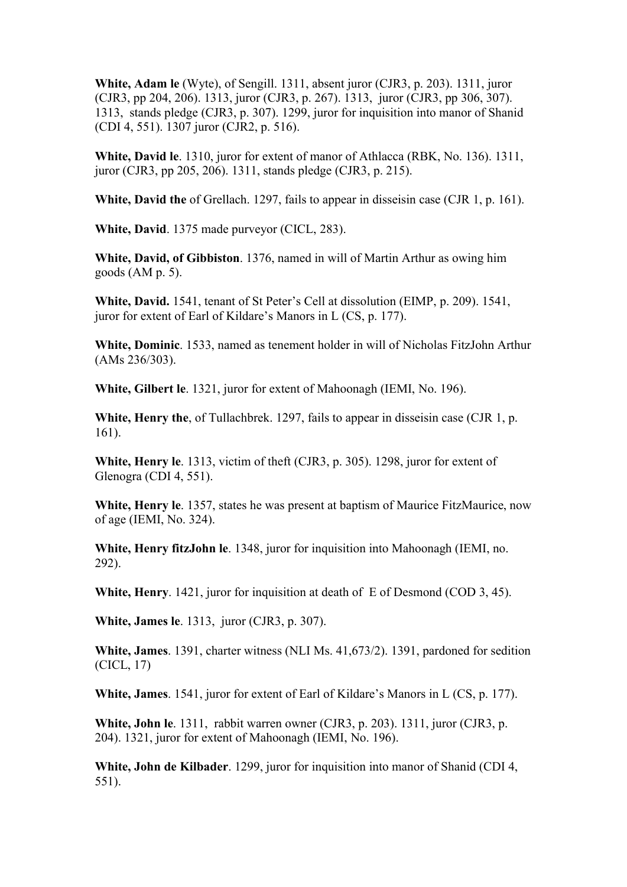**White, Adam le** (Wyte), of Sengill. 1311, absent juror (CJR3, p. 203). 1311, juror (CJR3, pp 204, 206). 1313, juror (CJR3, p. 267). 1313, juror (CJR3, pp 306, 307). 1313, stands pledge (CJR3, p. 307). 1299, juror for inquisition into manor of Shanid (CDI 4, 551). 1307 juror (CJR2, p. 516).

**White, David le**. 1310, juror for extent of manor of Athlacca (RBK, No. 136). 1311, juror (CJR3, pp 205, 206). 1311, stands pledge (CJR3, p. 215).

**White, David the** of Grellach. 1297, fails to appear in disseisin case (CJR 1, p. 161).

**White, David**. 1375 made purveyor (CICL, 283).

**White, David, of Gibbiston**. 1376, named in will of Martin Arthur as owing him goods (AM p. 5).

**White, David.** 1541, tenant of St Peter's Cell at dissolution (EIMP, p. 209). 1541, juror for extent of Earl of Kildare's Manors in L (CS, p. 177).

**White, Dominic**. 1533, named as tenement holder in will of Nicholas FitzJohn Arthur (AMs 236/303).

**White, Gilbert le**. 1321, juror for extent of Mahoonagh (IEMI, No. 196).

**White, Henry the**, of Tullachbrek. 1297, fails to appear in disseisin case (CJR 1, p. 161).

**White, Henry le**. 1313, victim of theft (CJR3, p. 305). 1298, juror for extent of Glenogra (CDI 4, 551).

**White, Henry le**. 1357, states he was present at baptism of Maurice FitzMaurice, now of age (IEMI, No. 324).

**White, Henry fitzJohn le**. 1348, juror for inquisition into Mahoonagh (IEMI, no. 292).

**White, Henry**. 1421, juror for inquisition at death of E of Desmond (COD 3, 45).

**White, James le**. 1313, juror (CJR3, p. 307).

**White, James**. 1391, charter witness (NLI Ms. 41,673/2). 1391, pardoned for sedition (CICL, 17)

**White, James**. 1541, juror for extent of Earl of Kildare's Manors in L (CS, p. 177).

**White, John le**. 1311, rabbit warren owner (CJR3, p. 203). 1311, juror (CJR3, p. 204). 1321, juror for extent of Mahoonagh (IEMI, No. 196).

**White, John de Kilbader**. 1299, juror for inquisition into manor of Shanid (CDI 4, 551).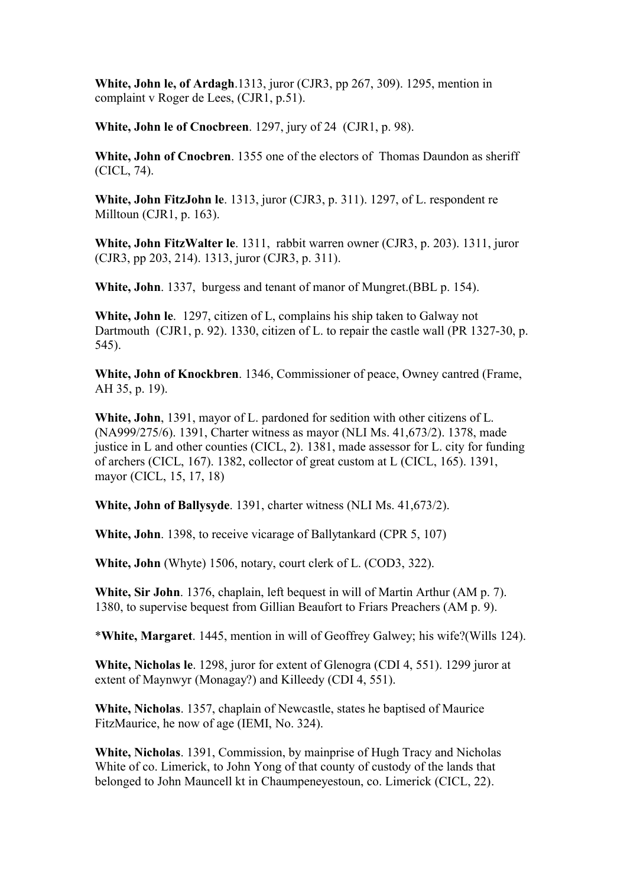**White, John le, of Ardagh**.1313, juror (CJR3, pp 267, 309). 1295, mention in complaint v Roger de Lees, (CJR1, p.51).

**White, John le of Cnocbreen**. 1297, jury of 24 (CJR1, p. 98).

**White, John of Cnocbren**. 1355 one of the electors of Thomas Daundon as sheriff (CICL, 74).

**White, John FitzJohn le**. 1313, juror (CJR3, p. 311). 1297, of L. respondent re Milltoun (CJR1, p. 163).

**White, John FitzWalter le**. 1311, rabbit warren owner (CJR3, p. 203). 1311, juror (CJR3, pp 203, 214). 1313, juror (CJR3, p. 311).

**White, John**. 1337, burgess and tenant of manor of Mungret.(BBL p. 154).

**White, John le**. 1297, citizen of L, complains his ship taken to Galway not Dartmouth (CJR1, p. 92). 1330, citizen of L. to repair the castle wall (PR 1327-30, p. 545).

**White, John of Knockbren**. 1346, Commissioner of peace, Owney cantred (Frame, AH 35, p. 19).

**White, John**, 1391, mayor of L. pardoned for sedition with other citizens of L. (NA999/275/6). 1391, Charter witness as mayor (NLI Ms. 41,673/2). 1378, made justice in L and other counties (CICL, 2). 1381, made assessor for L. city for funding of archers (CICL, 167). 1382, collector of great custom at L (CICL, 165). 1391, mayor (CICL, 15, 17, 18)

**White, John of Ballysyde**. 1391, charter witness (NLI Ms. 41,673/2).

**White, John**. 1398, to receive vicarage of Ballytankard (CPR 5, 107)

**White, John** (Whyte) 1506, notary, court clerk of L. (COD3, 322).

**White, Sir John**. 1376, chaplain, left bequest in will of Martin Arthur (AM p. 7). 1380, to supervise bequest from Gillian Beaufort to Friars Preachers (AM p. 9).

\***White, Margaret**. 1445, mention in will of Geoffrey Galwey; his wife?(Wills 124).

**White, Nicholas le**. 1298, juror for extent of Glenogra (CDI 4, 551). 1299 juror at extent of Maynwyr (Monagay?) and Killeedy (CDI 4, 551).

**White, Nicholas**. 1357, chaplain of Newcastle, states he baptised of Maurice FitzMaurice, he now of age (IEMI, No. 324).

**White, Nicholas**. 1391, Commission, by mainprise of Hugh Tracy and Nicholas White of co. Limerick, to John Yong of that county of custody of the lands that belonged to John Mauncell kt in Chaumpeneyestoun, co. Limerick (CICL, 22).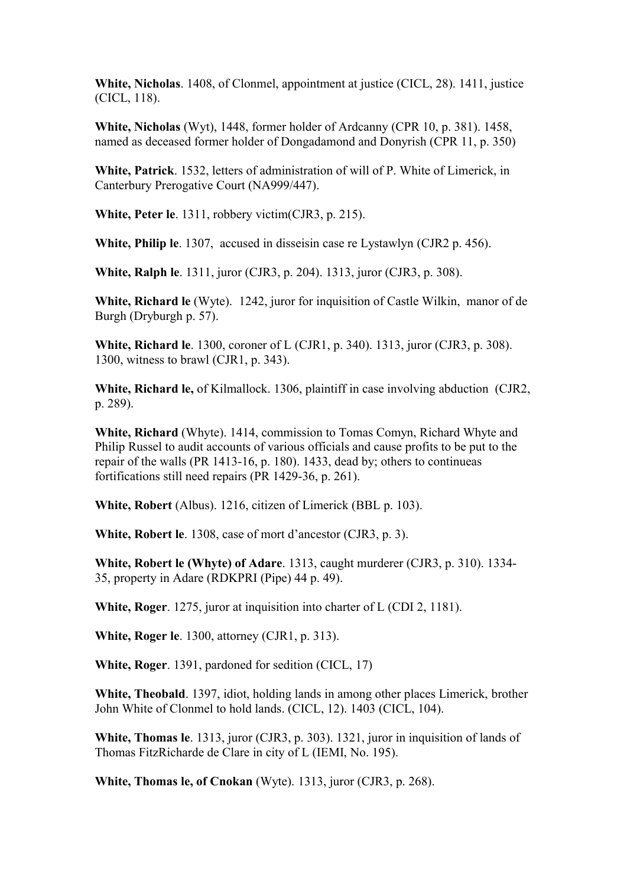**White, Nicholas**. 1408, of Clonmel, appointment at justice (CICL, 28). 1411, justice (CICL, 118).

**White, Nicholas** (Wyt), 1448, former holder of Ardcanny (CPR 10, p. 381). 1458, named as deceased former holder of Dongadamond and Donyrish (CPR 11, p. 350)

**White, Patrick**. 1532, letters of administration of will of P. White of Limerick, in Canterbury Prerogative Court (NA999/447).

**White, Peter le**. 1311, robbery victim(CJR3, p. 215).

**White, Philip le**. 1307, accused in disseisin case re Lystawlyn (CJR2 p. 456).

**White, Ralph le**. 1311, juror (CJR3, p. 204). 1313, juror (CJR3, p. 308).

**White, Richard le** (Wyte). 1242, juror for inquisition of Castle Wilkin, manor of de Burgh (Dryburgh p. 57).

**White, Richard le**. 1300, coroner of L (CJR1, p. 340). 1313, juror (CJR3, p. 308). 1300, witness to brawl (CJR1, p. 343).

**White, Richard le,** of Kilmallock. 1306, plaintiff in case involving abduction (CJR2, p. 289).

**White, Richard** (Whyte). 1414, commission to Tomas Comyn, Richard Whyte and Philip Russel to audit accounts of various officials and cause profits to be put to the repair of the walls (PR 1413-16, p. 180). 1433, dead by; others to continueas fortifications still need repairs (PR 1429-36, p. 261).

**White, Robert** (Albus). 1216, citizen of Limerick (BBL p. 103).

**White, Robert le**. 1308, case of mort d'ancestor (CJR3, p. 3).

**White, Robert le (Whyte) of Adare**. 1313, caught murderer (CJR3, p. 310). 1334- 35, property in Adare (RDKPRI (Pipe) 44 p. 49).

**White, Roger**. 1275, juror at inquisition into charter of L (CDI 2, 1181).

**White, Roger le**. 1300, attorney (CJR1, p. 313).

**White, Roger**. 1391, pardoned for sedition (CICL, 17)

**White, Theobald**. 1397, idiot, holding lands in among other places Limerick, brother John White of Clonmel to hold lands. (CICL, 12). 1403 (CICL, 104).

**White, Thomas le**. 1313, juror (CJR3, p. 303). 1321, juror in inquisition of lands of Thomas FitzRicharde de Clare in city of L (IEMI, No. 195).

**White, Thomas le, of Cnokan** (Wyte). 1313, juror (CJR3, p. 268).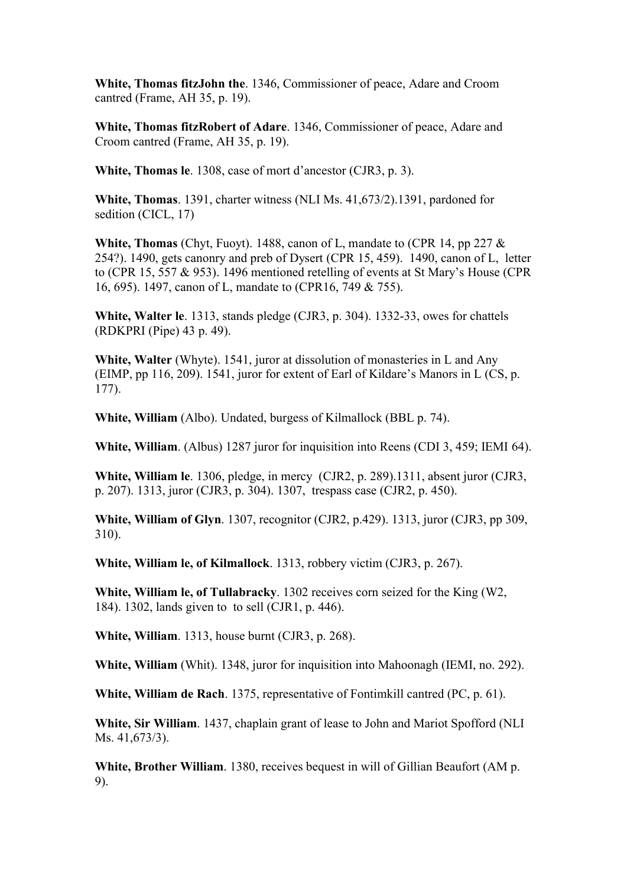**White, Thomas fitzJohn the**. 1346, Commissioner of peace, Adare and Croom cantred (Frame, AH 35, p. 19).

**White, Thomas fitzRobert of Adare**. 1346, Commissioner of peace, Adare and Croom cantred (Frame, AH 35, p. 19).

**White, Thomas le**. 1308, case of mort d'ancestor (CJR3, p. 3).

**White, Thomas**. 1391, charter witness (NLI Ms. 41,673/2).1391, pardoned for sedition (CICL, 17)

**White, Thomas** (Chyt, Fuoyt). 1488, canon of L, mandate to (CPR 14, pp 227 & 254?). 1490, gets canonry and preb of Dysert (CPR 15, 459). 1490, canon of L, letter to (CPR 15, 557 & 953). 1496 mentioned retelling of events at St Mary's House (CPR 16, 695). 1497, canon of L, mandate to (CPR16, 749 & 755).

**White, Walter le**. 1313, stands pledge (CJR3, p. 304). 1332-33, owes for chattels (RDKPRI (Pipe) 43 p. 49).

**White, Walter** (Whyte). 1541, juror at dissolution of monasteries in L and Any (EIMP, pp 116, 209). 1541, juror for extent of Earl of Kildare's Manors in L (CS, p. 177).

**White, William** (Albo). Undated, burgess of Kilmallock (BBL p. 74).

**White, William**. (Albus) 1287 juror for inquisition into Reens (CDI 3, 459; IEMI 64).

**White, William le**. 1306, pledge, in mercy (CJR2, p. 289).1311, absent juror (CJR3, p. 207). 1313, juror (CJR3, p. 304). 1307, trespass case (CJR2, p. 450).

**White, William of Glyn**. 1307, recognitor (CJR2, p.429). 1313, juror (CJR3, pp 309, 310).

**White, William le, of Kilmallock**. 1313, robbery victim (CJR3, p. 267).

**White, William le, of Tullabracky**. 1302 receives corn seized for the King (W2, 184). 1302, lands given to to sell (CJR1, p. 446).

**White, William**. 1313, house burnt (CJR3, p. 268).

**White, William** (Whit). 1348, juror for inquisition into Mahoonagh (IEMI, no. 292).

**White, William de Rach**. 1375, representative of Fontimkill cantred (PC, p. 61).

**White, Sir William**. 1437, chaplain grant of lease to John and Mariot Spofford (NLI Ms. 41,673/3).

**White, Brother William**. 1380, receives bequest in will of Gillian Beaufort (AM p. 9).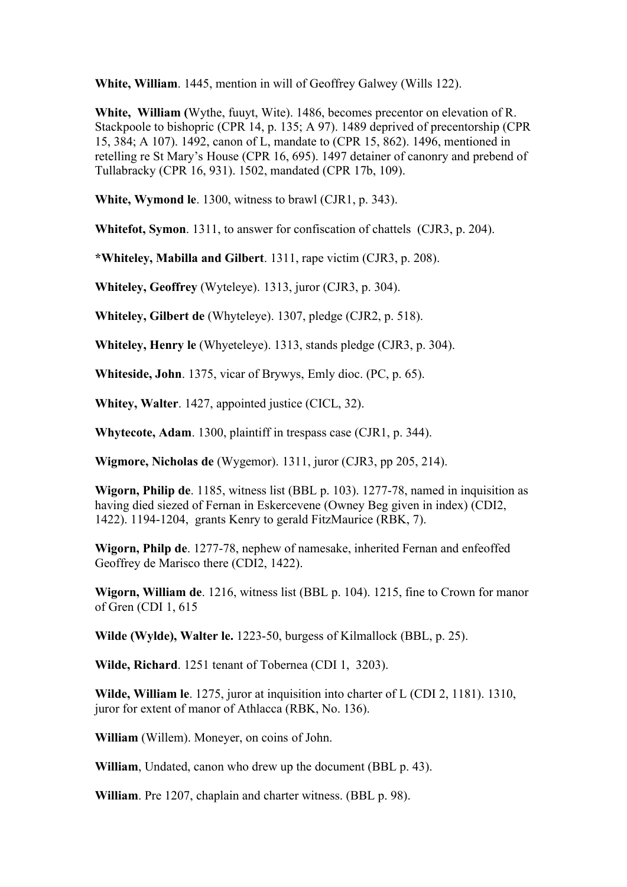**White, William**. 1445, mention in will of Geoffrey Galwey (Wills 122).

**White, William (**Wythe, fuuyt, Wite). 1486, becomes precentor on elevation of R. Stackpoole to bishopric (CPR 14, p. 135; A 97). 1489 deprived of precentorship (CPR 15, 384; A 107). 1492, canon of L, mandate to (CPR 15, 862). 1496, mentioned in retelling re St Mary's House (CPR 16, 695). 1497 detainer of canonry and prebend of Tullabracky (CPR 16, 931). 1502, mandated (CPR 17b, 109).

**White, Wymond le**. 1300, witness to brawl (CJR1, p. 343).

**Whitefot, Symon**. 1311, to answer for confiscation of chattels (CJR3, p. 204).

**\*Whiteley, Mabilla and Gilbert**. 1311, rape victim (CJR3, p. 208).

**Whiteley, Geoffrey** (Wyteleye). 1313, juror (CJR3, p. 304).

**Whiteley, Gilbert de** (Whyteleye). 1307, pledge (CJR2, p. 518).

**Whiteley, Henry le** (Whyeteleye). 1313, stands pledge (CJR3, p. 304).

**Whiteside, John**. 1375, vicar of Brywys, Emly dioc. (PC, p. 65).

**Whitey, Walter**. 1427, appointed justice (CICL, 32).

**Whytecote, Adam**. 1300, plaintiff in trespass case (CJR1, p. 344).

**Wigmore, Nicholas de** (Wygemor). 1311, juror (CJR3, pp 205, 214).

**Wigorn, Philip de**. 1185, witness list (BBL p. 103). 1277-78, named in inquisition as having died siezed of Fernan in Eskercevene (Owney Beg given in index) (CDI2, 1422). 1194-1204, grants Kenry to gerald FitzMaurice (RBK, 7).

**Wigorn, Philp de**. 1277-78, nephew of namesake, inherited Fernan and enfeoffed Geoffrey de Marisco there (CDI2, 1422).

**Wigorn, William de**. 1216, witness list (BBL p. 104). 1215, fine to Crown for manor of Gren (CDI 1, 615

**Wilde (Wylde), Walter le.** 1223-50, burgess of Kilmallock (BBL, p. 25).

**Wilde, Richard**. 1251 tenant of Tobernea (CDI 1, 3203).

**Wilde, William le**. 1275, juror at inquisition into charter of L (CDI 2, 1181). 1310, juror for extent of manor of Athlacca (RBK, No. 136).

**William** (Willem). Moneyer, on coins of John.

**William**, Undated, canon who drew up the document (BBL p. 43).

**William**. Pre 1207, chaplain and charter witness. (BBL p. 98).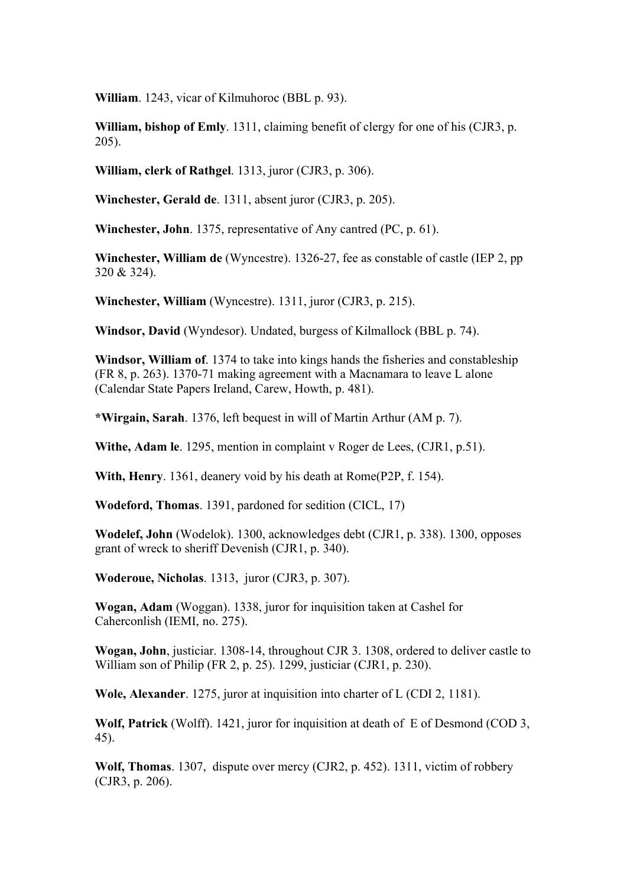**William**. 1243, vicar of Kilmuhoroc (BBL p. 93).

**William, bishop of Emly**. 1311, claiming benefit of clergy for one of his (CJR3, p. 205).

**William, clerk of Rathgel**. 1313, juror (CJR3, p. 306).

**Winchester, Gerald de**. 1311, absent juror (CJR3, p. 205).

**Winchester, John**. 1375, representative of Any cantred (PC, p. 61).

**Winchester, William de** (Wyncestre). 1326-27, fee as constable of castle (IEP 2, pp 320 & 324).

**Winchester, William** (Wyncestre). 1311, juror (CJR3, p. 215).

**Windsor, David** (Wyndesor). Undated, burgess of Kilmallock (BBL p. 74).

**Windsor, William of**. 1374 to take into kings hands the fisheries and constableship (FR 8, p. 263). 1370-71 making agreement with a Macnamara to leave L alone (Calendar State Papers Ireland, Carew, Howth, p. 481).

**\*Wirgain, Sarah**. 1376, left bequest in will of Martin Arthur (AM p. 7).

**Withe, Adam le**. 1295, mention in complaint v Roger de Lees, (CJR1, p.51).

**With, Henry**. 1361, deanery void by his death at Rome(P2P, f. 154).

**Wodeford, Thomas**. 1391, pardoned for sedition (CICL, 17)

**Wodelef, John** (Wodelok). 1300, acknowledges debt (CJR1, p. 338). 1300, opposes grant of wreck to sheriff Devenish (CJR1, p. 340).

**Woderoue, Nicholas**. 1313, juror (CJR3, p. 307).

**Wogan, Adam** (Woggan). 1338, juror for inquisition taken at Cashel for Caherconlish (IEMI, no. 275).

**Wogan, John**, justiciar. 1308-14, throughout CJR 3. 1308, ordered to deliver castle to William son of Philip (FR 2, p. 25). 1299, justiciar (CJR1, p. 230).

**Wole, Alexander**. 1275, juror at inquisition into charter of L (CDI 2, 1181).

**Wolf, Patrick** (Wolff). 1421, juror for inquisition at death of E of Desmond (COD 3, 45).

**Wolf, Thomas**. 1307, dispute over mercy (CJR2, p. 452). 1311, victim of robbery (CJR3, p. 206).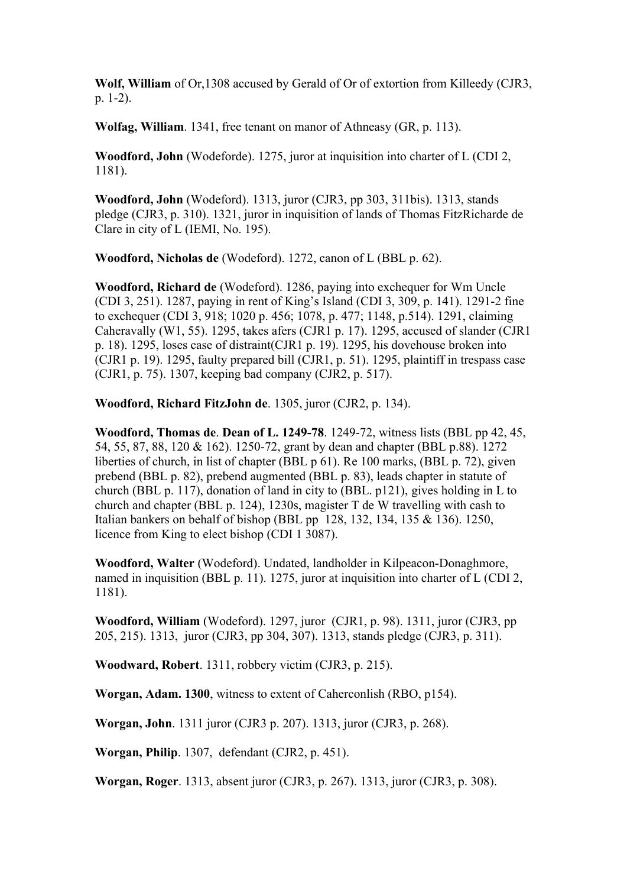**Wolf, William** of Or,1308 accused by Gerald of Or of extortion from Killeedy (CJR3, p. 1-2).

**Wolfag, William**. 1341, free tenant on manor of Athneasy (GR, p. 113).

**Woodford, John** (Wodeforde). 1275, juror at inquisition into charter of L (CDI 2, 1181).

**Woodford, John** (Wodeford). 1313, juror (CJR3, pp 303, 311bis). 1313, stands pledge (CJR3, p. 310). 1321, juror in inquisition of lands of Thomas FitzRicharde de Clare in city of L (IEMI, No. 195).

**Woodford, Nicholas de** (Wodeford). 1272, canon of L (BBL p. 62).

**Woodford, Richard de** (Wodeford). 1286, paying into exchequer for Wm Uncle (CDI 3, 251). 1287, paying in rent of King's Island (CDI 3, 309, p. 141). 1291-2 fine to exchequer (CDI 3, 918; 1020 p. 456; 1078, p. 477; 1148, p.514). 1291, claiming Caheravally (W1, 55). 1295, takes afers (CJR1 p. 17). 1295, accused of slander (CJR1 p. 18). 1295, loses case of distraint(CJR1 p. 19). 1295, his dovehouse broken into (CJR1 p. 19). 1295, faulty prepared bill (CJR1, p. 51). 1295, plaintiff in trespass case (CJR1, p. 75). 1307, keeping bad company (CJR2, p. 517).

**Woodford, Richard FitzJohn de**. 1305, juror (CJR2, p. 134).

**Woodford, Thomas de**. **Dean of L. 1249-78**. 1249-72, witness lists (BBL pp 42, 45, 54, 55, 87, 88, 120 & 162). 1250-72, grant by dean and chapter (BBL p.88). 1272 liberties of church, in list of chapter (BBL p 61). Re 100 marks, (BBL p. 72), given prebend (BBL p. 82), prebend augmented (BBL p. 83), leads chapter in statute of church (BBL p. 117), donation of land in city to (BBL. p121), gives holding in L to church and chapter (BBL p. 124), 1230s, magister T de W travelling with cash to Italian bankers on behalf of bishop (BBL pp 128, 132, 134, 135 & 136). 1250, licence from King to elect bishop (CDI 1 3087).

**Woodford, Walter** (Wodeford). Undated, landholder in Kilpeacon-Donaghmore, named in inquisition (BBL p. 11). 1275, juror at inquisition into charter of L (CDI 2, 1181).

**Woodford, William** (Wodeford). 1297, juror (CJR1, p. 98). 1311, juror (CJR3, pp 205, 215). 1313, juror (CJR3, pp 304, 307). 1313, stands pledge (CJR3, p. 311).

**Woodward, Robert**. 1311, robbery victim (CJR3, p. 215).

**Worgan, Adam. 1300**, witness to extent of Caherconlish (RBO, p154).

**Worgan, John**. 1311 juror (CJR3 p. 207). 1313, juror (CJR3, p. 268).

**Worgan, Philip**. 1307, defendant (CJR2, p. 451).

**Worgan, Roger**. 1313, absent juror (CJR3, p. 267). 1313, juror (CJR3, p. 308).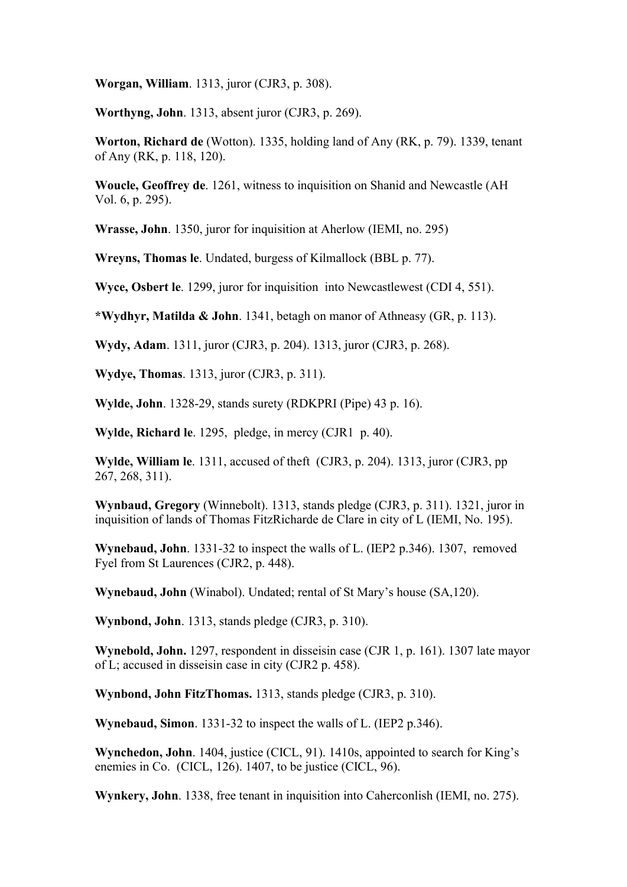**Worgan, William**. 1313, juror (CJR3, p. 308).

**Worthyng, John**. 1313, absent juror (CJR3, p. 269).

**Worton, Richard de** (Wotton). 1335, holding land of Any (RK, p. 79). 1339, tenant of Any (RK, p. 118, 120).

**Woucle, Geoffrey de**. 1261, witness to inquisition on Shanid and Newcastle (AH Vol. 6, p. 295).

**Wrasse, John**. 1350, juror for inquisition at Aherlow (IEMI, no. 295)

**Wreyns, Thomas le**. Undated, burgess of Kilmallock (BBL p. 77).

**Wyce, Osbert le**. 1299, juror for inquisition into Newcastlewest (CDI 4, 551).

**\*Wydhyr, Matilda & John**. 1341, betagh on manor of Athneasy (GR, p. 113).

**Wydy, Adam**. 1311, juror (CJR3, p. 204). 1313, juror (CJR3, p. 268).

**Wydye, Thomas**. 1313, juror (CJR3, p. 311).

**Wylde, John**. 1328-29, stands surety (RDKPRI (Pipe) 43 p. 16).

**Wylde, Richard le**. 1295, pledge, in mercy (CJR1 p. 40).

**Wylde, William le**. 1311, accused of theft (CJR3, p. 204). 1313, juror (CJR3, pp 267, 268, 311).

**Wynbaud, Gregory** (Winnebolt). 1313, stands pledge (CJR3, p. 311). 1321, juror in inquisition of lands of Thomas FitzRicharde de Clare in city of L (IEMI, No. 195).

**Wynebaud, John**. 1331-32 to inspect the walls of L. (IEP2 p.346). 1307, removed Fyel from St Laurences (CJR2, p. 448).

**Wynebaud, John** (Winabol). Undated; rental of St Mary's house (SA,120).

**Wynbond, John**. 1313, stands pledge (CJR3, p. 310).

**Wynebold, John.** 1297, respondent in disseisin case (CJR 1, p. 161). 1307 late mayor of L; accused in disseisin case in city (CJR2 p. 458).

**Wynbond, John FitzThomas.** 1313, stands pledge (CJR3, p. 310).

**Wynebaud, Simon**. 1331-32 to inspect the walls of L. (IEP2 p.346).

**Wynchedon, John**. 1404, justice (CICL, 91). 1410s, appointed to search for King's enemies in Co. (CICL, 126). 1407, to be justice (CICL, 96).

**Wynkery, John**. 1338, free tenant in inquisition into Caherconlish (IEMI, no. 275).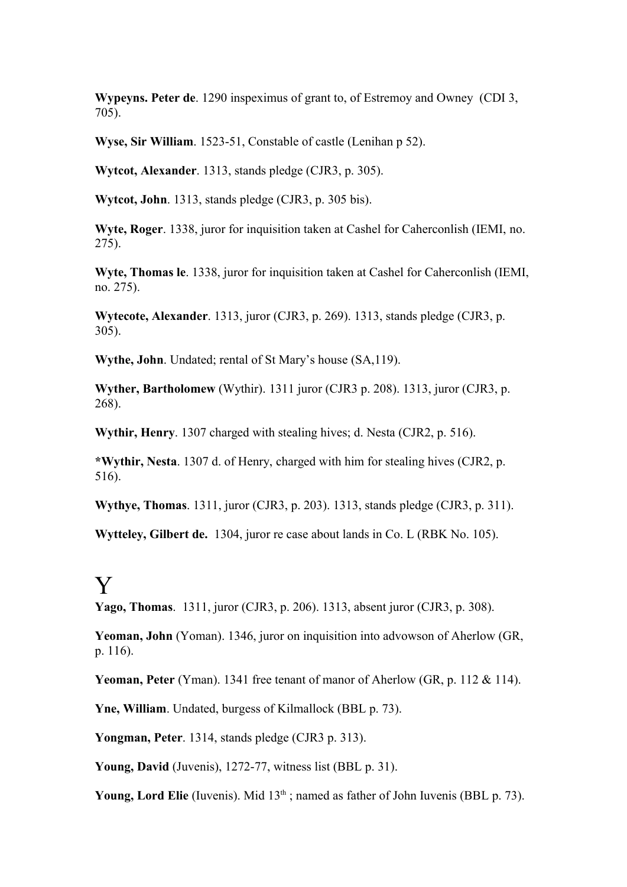**Wypeyns. Peter de**. 1290 inspeximus of grant to, of Estremoy and Owney (CDI 3, 705).

**Wyse, Sir William**. 1523-51, Constable of castle (Lenihan p 52).

**Wytcot, Alexander**. 1313, stands pledge (CJR3, p. 305).

**Wytcot, John**. 1313, stands pledge (CJR3, p. 305 bis).

**Wyte, Roger**. 1338, juror for inquisition taken at Cashel for Caherconlish (IEMI, no. 275).

**Wyte, Thomas le**. 1338, juror for inquisition taken at Cashel for Caherconlish (IEMI, no. 275).

**Wytecote, Alexander**. 1313, juror (CJR3, p. 269). 1313, stands pledge (CJR3, p. 305).

**Wythe, John**. Undated; rental of St Mary's house (SA,119).

**Wyther, Bartholomew** (Wythir). 1311 juror (CJR3 p. 208). 1313, juror (CJR3, p. 268).

**Wythir, Henry**. 1307 charged with stealing hives; d. Nesta (CJR2, p. 516).

**\*Wythir, Nesta**. 1307 d. of Henry, charged with him for stealing hives (CJR2, p. 516).

**Wythye, Thomas**. 1311, juror (CJR3, p. 203). 1313, stands pledge (CJR3, p. 311).

**Wytteley, Gilbert de.** 1304, juror re case about lands in Co. L (RBK No. 105).

## Y

**Yago, Thomas**. 1311, juror (CJR3, p. 206). 1313, absent juror (CJR3, p. 308).

**Yeoman, John** (Yoman). 1346, juror on inquisition into advowson of Aherlow (GR, p. 116).

**Yeoman, Peter** (Yman). 1341 free tenant of manor of Aherlow (GR, p. 112 & 114).

**Yne, William**. Undated, burgess of Kilmallock (BBL p. 73).

**Yongman, Peter**. 1314, stands pledge (CJR3 p. 313).

**Young, David** (Juvenis), 1272-77, witness list (BBL p. 31).

**Young, Lord Elie** (Iuvenis). Mid 13<sup>th</sup>; named as father of John Iuvenis (BBL p. 73).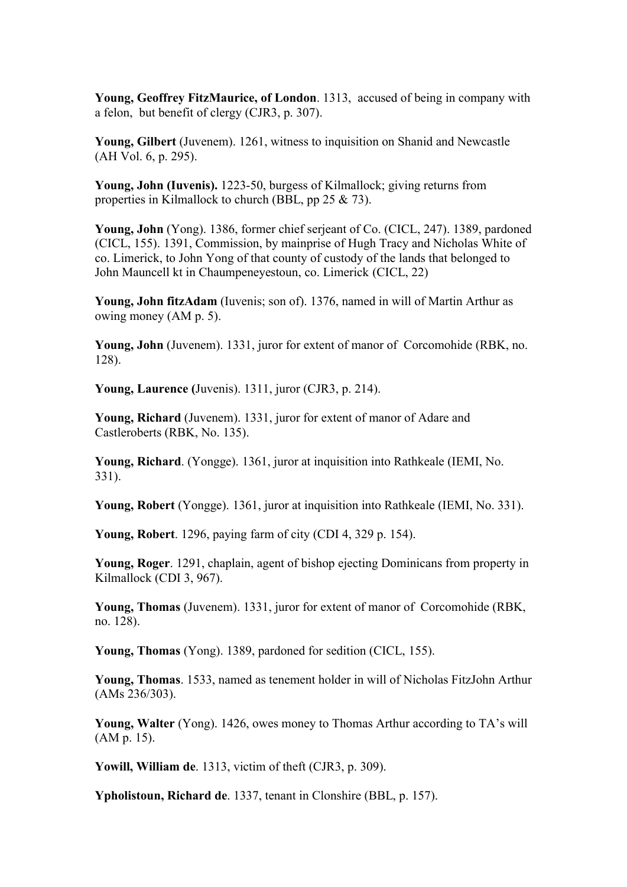**Young, Geoffrey FitzMaurice, of London**. 1313, accused of being in company with a felon, but benefit of clergy (CJR3, p. 307).

**Young, Gilbert** (Juvenem). 1261, witness to inquisition on Shanid and Newcastle (AH Vol. 6, p. 295).

**Young, John (Iuvenis).** 1223-50, burgess of Kilmallock; giving returns from properties in Kilmallock to church (BBL, pp 25 & 73).

**Young, John** (Yong). 1386, former chief serjeant of Co. (CICL, 247). 1389, pardoned (CICL, 155). 1391, Commission, by mainprise of Hugh Tracy and Nicholas White of co. Limerick, to John Yong of that county of custody of the lands that belonged to John Mauncell kt in Chaumpeneyestoun, co. Limerick (CICL, 22)

**Young, John fitzAdam** (Iuvenis; son of). 1376, named in will of Martin Arthur as owing money (AM p. 5).

**Young, John** (Juvenem). 1331, juror for extent of manor of Corcomohide (RBK, no. 128).

**Young, Laurence (**Juvenis). 1311, juror (CJR3, p. 214).

**Young, Richard** (Juvenem). 1331, juror for extent of manor of Adare and Castleroberts (RBK, No. 135).

**Young, Richard**. (Yongge). 1361, juror at inquisition into Rathkeale (IEMI, No. 331).

**Young, Robert** (Yongge). 1361, juror at inquisition into Rathkeale (IEMI, No. 331).

**Young, Robert**. 1296, paying farm of city (CDI 4, 329 p. 154).

**Young, Roger**. 1291, chaplain, agent of bishop ejecting Dominicans from property in Kilmallock (CDI 3, 967).

**Young, Thomas** (Juvenem). 1331, juror for extent of manor of Corcomohide (RBK, no. 128).

**Young, Thomas** (Yong). 1389, pardoned for sedition (CICL, 155).

**Young, Thomas**. 1533, named as tenement holder in will of Nicholas FitzJohn Arthur (AMs 236/303).

**Young, Walter** (Yong). 1426, owes money to Thomas Arthur according to TA's will (AM p. 15).

**Yowill, William de**. 1313, victim of theft (CJR3, p. 309).

**Ypholistoun, Richard de**. 1337, tenant in Clonshire (BBL, p. 157).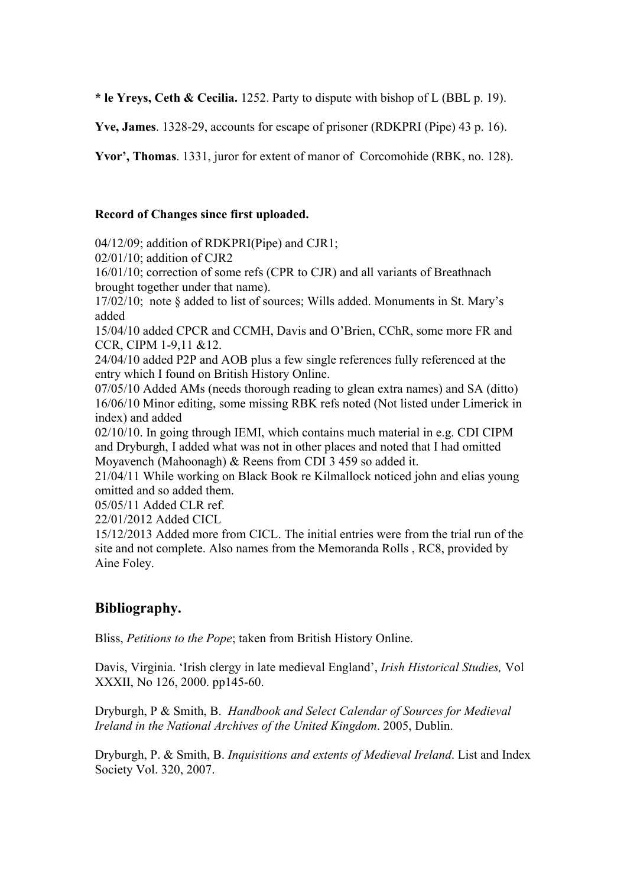**\* le Yreys, Ceth & Cecilia.** 1252. Party to dispute with bishop of L (BBL p. 19).

**Yve, James**. 1328-29, accounts for escape of prisoner (RDKPRI (Pipe) 43 p. 16).

**Yvor', Thomas**. 1331, juror for extent of manor of Corcomohide (RBK, no. 128).

## **Record of Changes since first uploaded.**

04/12/09; addition of RDKPRI(Pipe) and CJR1;

02/01/10; addition of CJR2

16/01/10; correction of some refs (CPR to CJR) and all variants of Breathnach brought together under that name).

17/02/10; note § added to list of sources; Wills added. Monuments in St. Mary's added

15/04/10 added CPCR and CCMH, Davis and O'Brien, CChR, some more FR and CCR, CIPM 1-9,11 &12.

24/04/10 added P2P and AOB plus a few single references fully referenced at the entry which I found on British History Online.

07/05/10 Added AMs (needs thorough reading to glean extra names) and SA (ditto) 16/06/10 Minor editing, some missing RBK refs noted (Not listed under Limerick in index) and added

02/10/10. In going through IEMI, which contains much material in e.g. CDI CIPM and Dryburgh, I added what was not in other places and noted that I had omitted Moyavench (Mahoonagh) & Reens from CDI 3 459 so added it.

21/04/11 While working on Black Book re Kilmallock noticed john and elias young omitted and so added them.

05/05/11 Added CLR ref.

22/01/2012 Added CICL

15/12/2013 Added more from CICL. The initial entries were from the trial run of the site and not complete. Also names from the Memoranda Rolls , RC8, provided by Aine Foley.

## **Bibliography.**

Bliss, *Petitions to the Pope*; taken from British History Online.

Davis, Virginia. 'Irish clergy in late medieval England', *Irish Historical Studies,* Vol XXXII, No 126, 2000. pp145-60.

Dryburgh, P & Smith, B. *Handbook and Select Calendar of Sources for Medieval Ireland in the National Archives of the United Kingdom*. 2005, Dublin.

Dryburgh, P. & Smith, B. *Inquisitions and extents of Medieval Ireland*. List and Index Society Vol. 320, 2007.